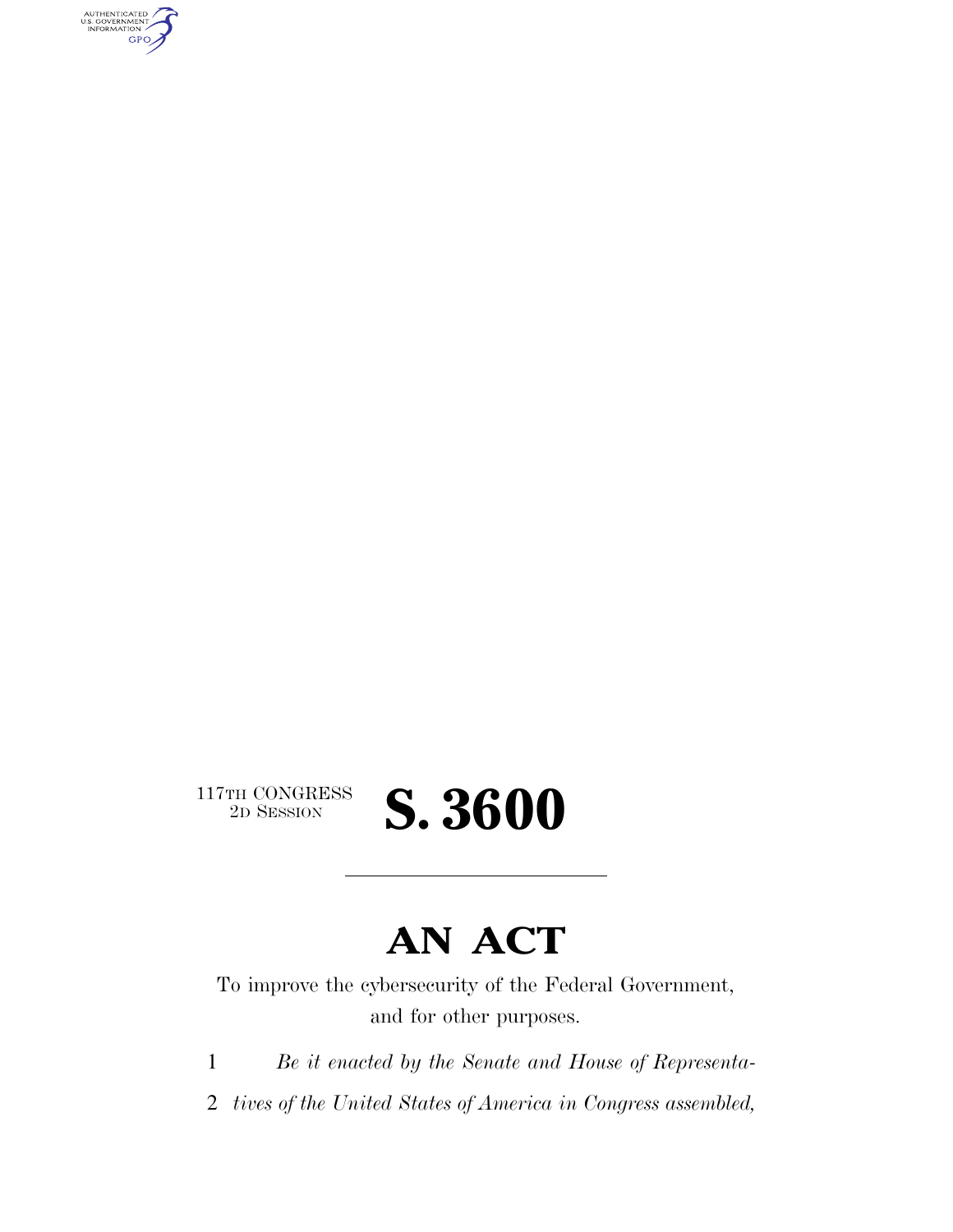AUTHENTICATED<br>U.S. GOVERNMENT<br>INFORMATION GPO

 $\begin{array}{c} \textbf{117TH CONGRESS} \\ \textbf{2D SESION} \end{array}$ 

# **AN ACT**

2D SESSION **S. 3600** 

To improve the cybersecurity of the Federal Government, and for other purposes.

1 *Be it enacted by the Senate and House of Representa-*

2 *tives of the United States of America in Congress assembled,*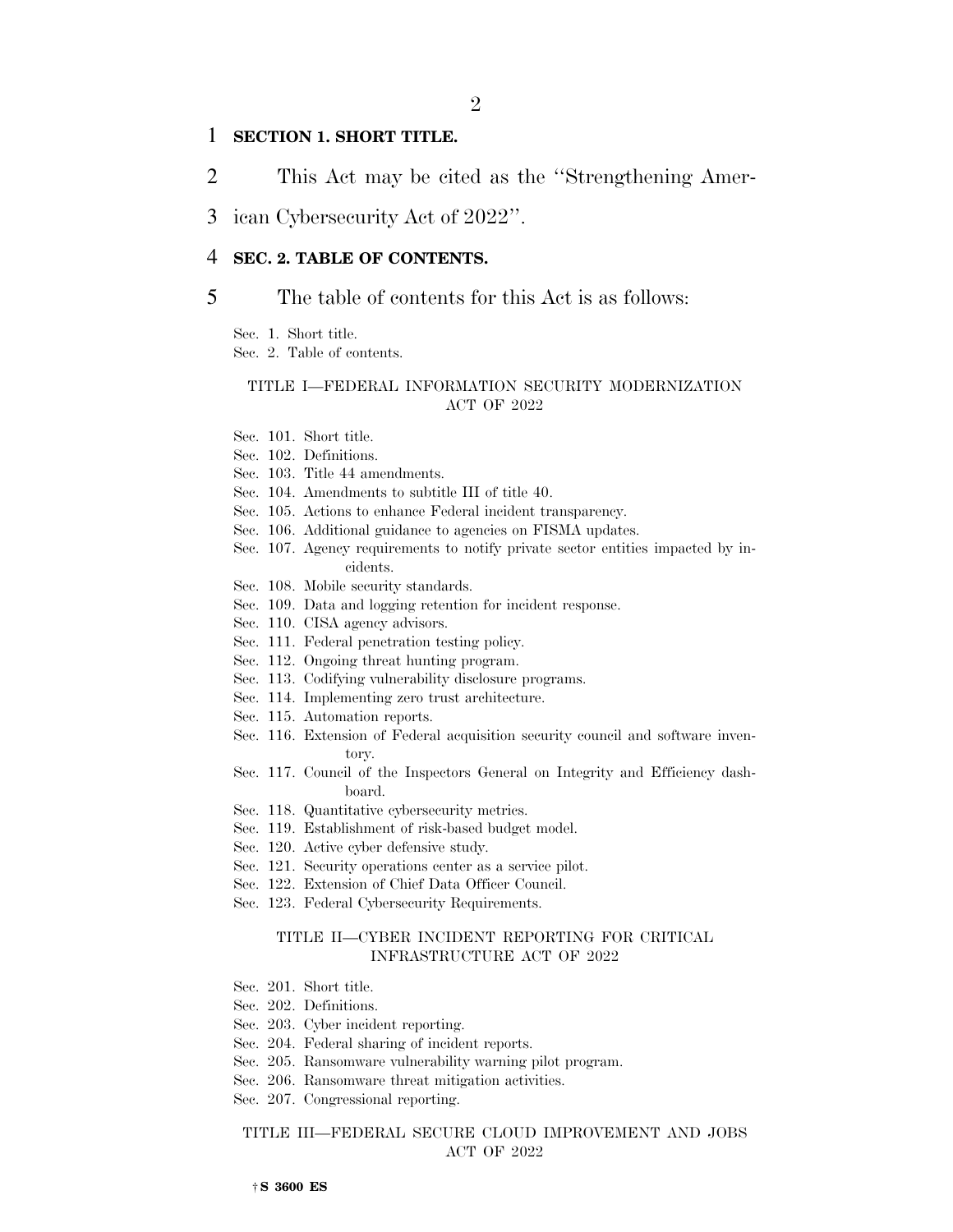## 1 **SECTION 1. SHORT TITLE.**

- 2 This Act may be cited as the ''Strengthening Amer-
- 3 ican Cybersecurity Act of 2022''.

## 4 **SEC. 2. TABLE OF CONTENTS.**

# 5 The table of contents for this Act is as follows:

Sec. 1. Short title. Sec. 2. Table of contents.

#### TITLE I—FEDERAL INFORMATION SECURITY MODERNIZATION ACT OF 2022

Sec. 101. Short title.

Sec. 102. Definitions.

Sec. 103. Title 44 amendments.

Sec. 104. Amendments to subtitle III of title 40.

- Sec. 105. Actions to enhance Federal incident transparency.
- Sec. 106. Additional guidance to agencies on FISMA updates.
- Sec. 107. Agency requirements to notify private sector entities impacted by incidents.
- Sec. 108. Mobile security standards.
- Sec. 109. Data and logging retention for incident response.
- Sec. 110. CISA agency advisors.
- Sec. 111. Federal penetration testing policy.
- Sec. 112. Ongoing threat hunting program.
- Sec. 113. Codifying vulnerability disclosure programs.
- Sec. 114. Implementing zero trust architecture.
- Sec. 115. Automation reports.
- Sec. 116. Extension of Federal acquisition security council and software inventory.
- Sec. 117. Council of the Inspectors General on Integrity and Efficiency dashboard.
- Sec. 118. Quantitative cybersecurity metrics.
- Sec. 119. Establishment of risk-based budget model.
- Sec. 120. Active cyber defensive study.
- Sec. 121. Security operations center as a service pilot.
- Sec. 122. Extension of Chief Data Officer Council.
- Sec. 123. Federal Cybersecurity Requirements.

#### TITLE II—CYBER INCIDENT REPORTING FOR CRITICAL INFRASTRUCTURE ACT OF 2022

- Sec. 201. Short title.
- Sec. 202. Definitions.
- Sec. 203. Cyber incident reporting.
- Sec. 204. Federal sharing of incident reports.
- Sec. 205. Ransomware vulnerability warning pilot program.
- Sec. 206. Ransomware threat mitigation activities.
- Sec. 207. Congressional reporting.

#### TITLE III—FEDERAL SECURE CLOUD IMPROVEMENT AND JOBS ACT OF 2022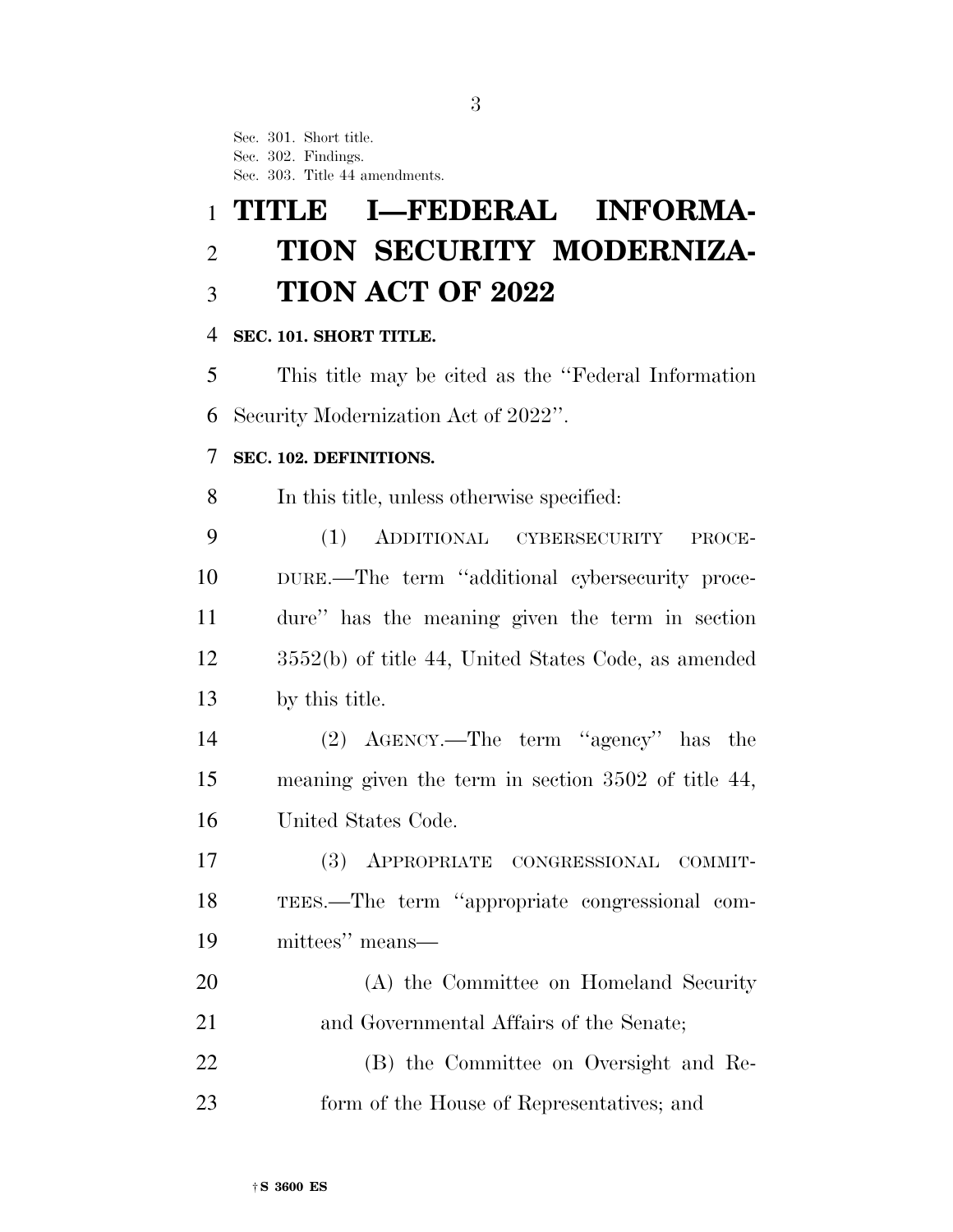Sec. 301. Short title. Sec. 302. Findings. Sec. 303. Title 44 amendments.

# **TITLE I—FEDERAL INFORMA- TION SECURITY MODERNIZA-TION ACT OF 2022**

# **SEC. 101. SHORT TITLE.**

 This title may be cited as the ''Federal Information Security Modernization Act of 2022''.

# **SEC. 102. DEFINITIONS.**

In this title, unless otherwise specified:

 (1) ADDITIONAL CYBERSECURITY PROCE- DURE.—The term ''additional cybersecurity proce- dure'' has the meaning given the term in section 3552(b) of title 44, United States Code, as amended by this title.

 (2) AGENCY.—The term ''agency'' has the meaning given the term in section 3502 of title 44, United States Code.

 (3) APPROPRIATE CONGRESSIONAL COMMIT- TEES.—The term ''appropriate congressional com-mittees'' means—

 (A) the Committee on Homeland Security and Governmental Affairs of the Senate;

 (B) the Committee on Oversight and Re-form of the House of Representatives; and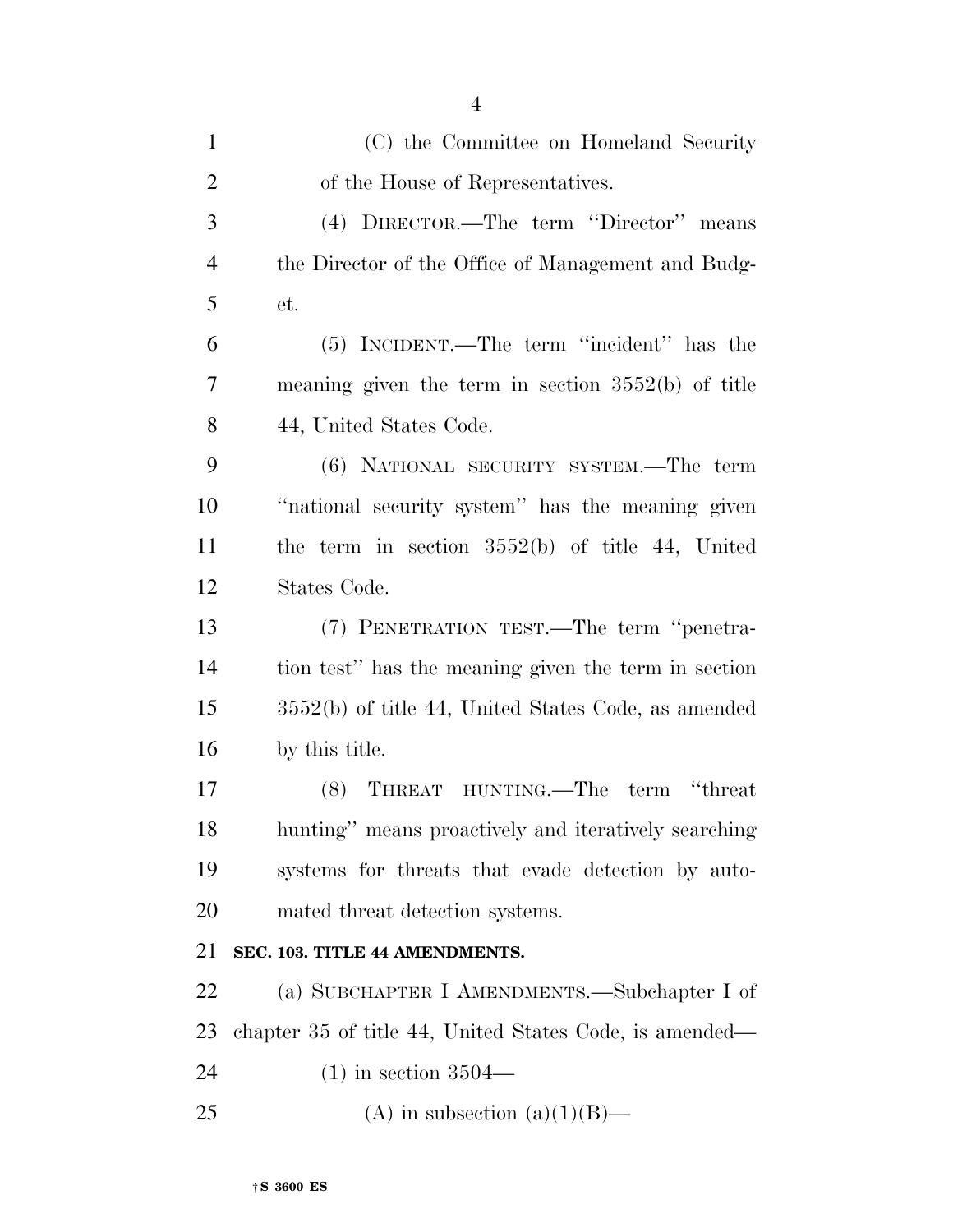| $\mathbf{1}$   | (C) the Committee on Homeland Security                  |
|----------------|---------------------------------------------------------|
| $\overline{2}$ | of the House of Representatives.                        |
| 3              | (4) DIRECTOR.—The term "Director" means                 |
| $\overline{4}$ | the Director of the Office of Management and Budg-      |
| 5              | et.                                                     |
| 6              | (5) INCIDENT.—The term "incident" has the               |
| $\overline{7}$ | meaning given the term in section $3552(b)$ of title    |
| 8              | 44, United States Code.                                 |
| 9              | (6) NATIONAL SECURITY SYSTEM.—The term                  |
| 10             | "national security system" has the meaning given        |
| 11             | the term in section $3552(b)$ of title 44, United       |
| 12             | States Code.                                            |
| 13             | (7) PENETRATION TEST.—The term "penetra-                |
| 14             | tion test" has the meaning given the term in section    |
| 15             | $3552(b)$ of title 44, United States Code, as amended   |
| 16             | by this title.                                          |
| 17             | (8) THREAT HUNTING.—The term "threat                    |
| 18             | hunting" means proactively and iteratively searching    |
| 19             | systems for threats that evade detection by auto-       |
| 20             | mated threat detection systems.                         |
| 21             | SEC. 103. TITLE 44 AMENDMENTS.                          |
| 22             | (a) SUBCHAPTER I AMENDMENTS.—Subchapter I of            |
| 23             | chapter 35 of title 44, United States Code, is amended— |
| 24             | $(1)$ in section 3504—                                  |
| 25             | (A) in subsection (a)(1)(B)—                            |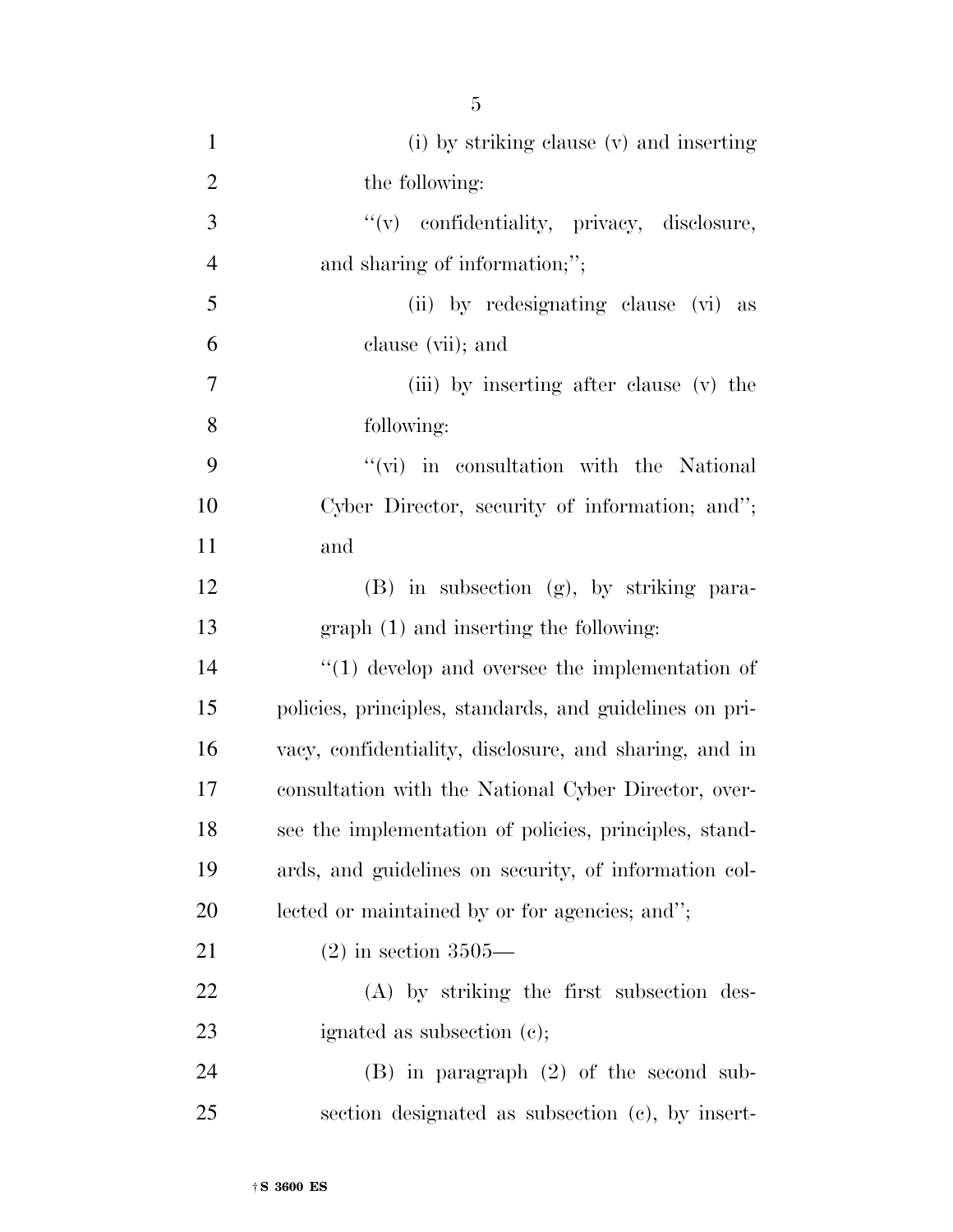| $\mathbf{1}$   | (i) by striking clause (v) and inserting                |
|----------------|---------------------------------------------------------|
| $\overline{2}$ | the following:                                          |
| 3              | "(v) confidentiality, privacy, disclosure,              |
| $\overline{4}$ | and sharing of information;";                           |
| 5              | (ii) by redesignating clause (vi) as                    |
| 6              | clause (vii); and                                       |
| 7              | (iii) by inserting after clause (v) the                 |
| 8              | following:                                              |
| 9              | $\lq\lq$ (vi) in consultation with the National         |
| 10             | Cyber Director, security of information; and";          |
| 11             | and                                                     |
| 12             | (B) in subsection (g), by striking para-                |
| 13             | $graph(1)$ and inserting the following:                 |
| 14             | $\lq(1)$ develop and oversee the implementation of      |
| 15             | policies, principles, standards, and guidelines on pri- |
| 16             | vacy, confidentiality, disclosure, and sharing, and in  |
| 17             | consultation with the National Cyber Director, over-    |
| 18             | see the implementation of policies, principles, stand-  |
| 19             | ards, and guidelines on security, of information col-   |
| 20             | lected or maintained by or for agencies; and";          |
| 21             | $(2)$ in section 3505—                                  |
| 22             | (A) by striking the first subsection des-               |
| 23             | ignated as subsection $(c)$ ;                           |
| 24             | $(B)$ in paragraph $(2)$ of the second sub-             |
| 25             | section designated as subsection (c), by insert-        |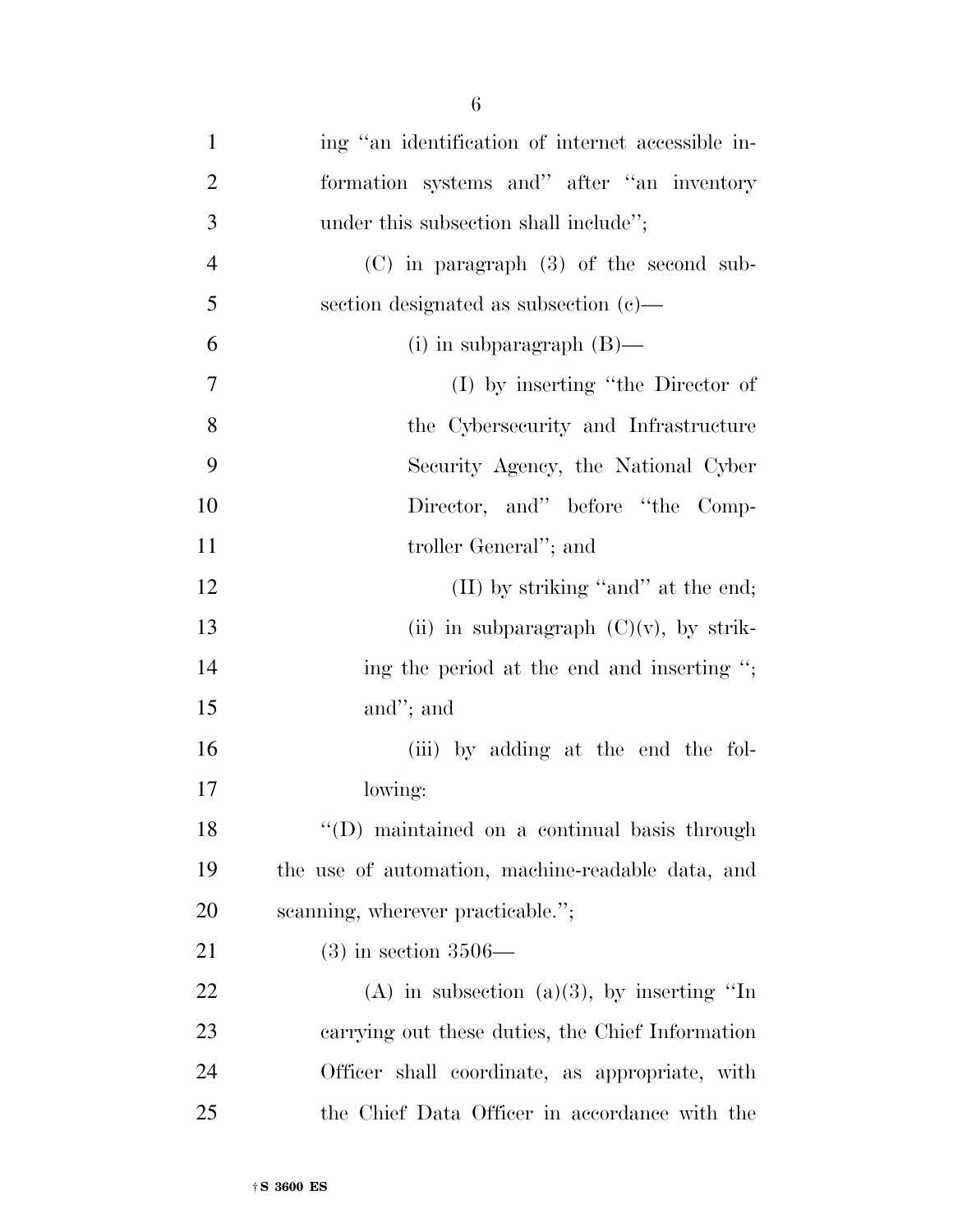| $\mathbf{1}$   | ing "an identification of internet accessible in- |
|----------------|---------------------------------------------------|
| $\overline{2}$ | formation systems and" after "an inventory        |
| 3              | under this subsection shall include";             |
| $\overline{4}$ | $(C)$ in paragraph $(3)$ of the second sub-       |
| 5              | section designated as subsection $(c)$ —          |
| 6              | (i) in subparagraph $(B)$ —                       |
| 7              | (I) by inserting "the Director of                 |
| 8              | the Cybersecurity and Infrastructure              |
| 9              | Security Agency, the National Cyber               |
| 10             | Director, and" before "the Comp-                  |
| 11             | troller General"; and                             |
| 12             | $(II)$ by striking "and" at the end;              |
| 13             | (ii) in subparagraph $(C)(v)$ , by strik-         |
| 14             | ing the period at the end and inserting ";        |
| 15             | and"; and                                         |
| 16             | (iii) by adding at the end the fol-               |
| 17             | lowing:                                           |
| 18             | "(D) maintained on a continual basis through      |
| 19             | the use of automation, machine-readable data, and |
| 20             | scanning, wherever practicable.";                 |
| 21             | $(3)$ in section 3506—                            |
| 22             | (A) in subsection (a)(3), by inserting "In        |
| 23             | carrying out these duties, the Chief Information  |
| 24             | Officer shall coordinate, as appropriate, with    |
| 25             | the Chief Data Officer in accordance with the     |

†**S 3600 ES**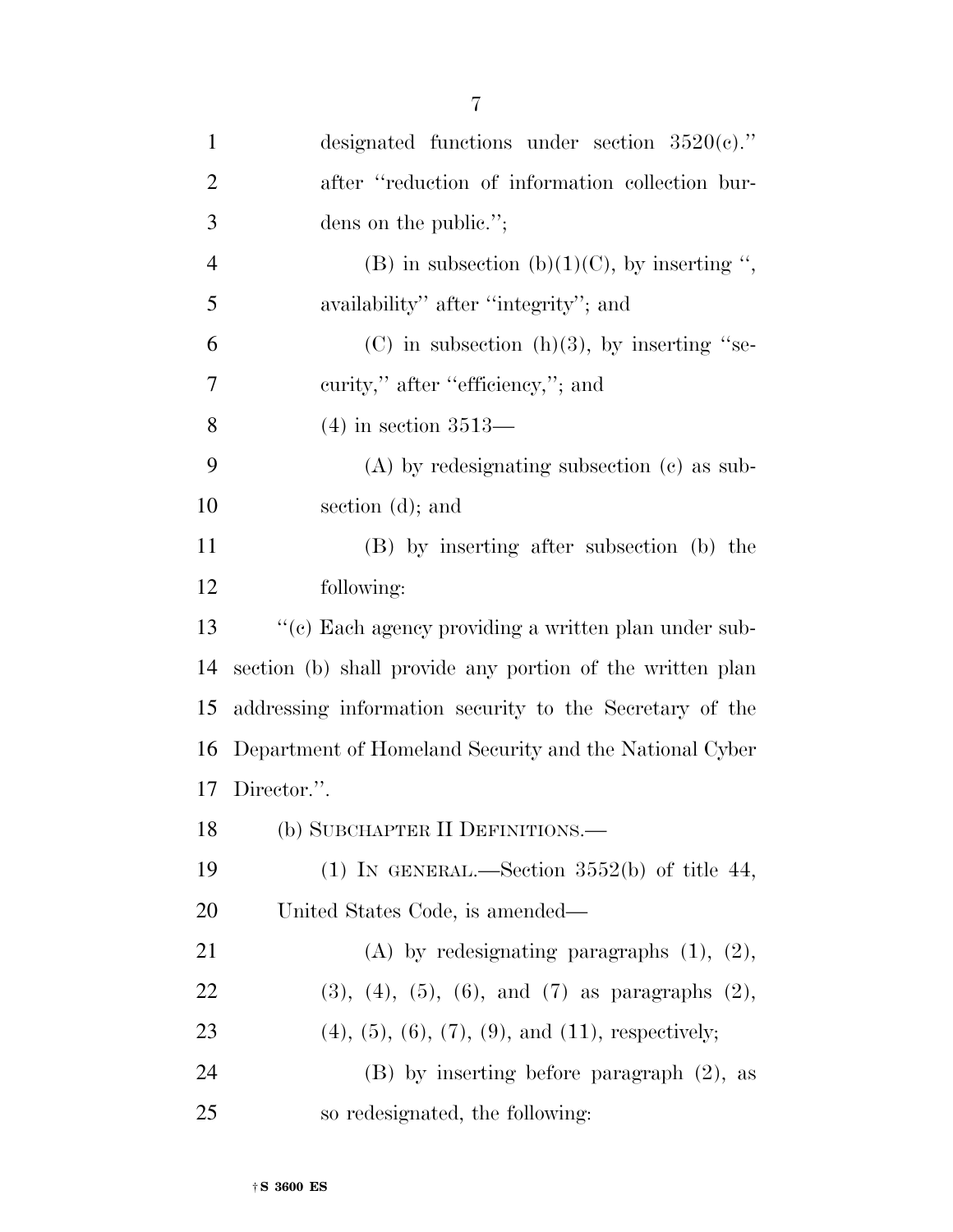| $\mathbf{1}$   | designated functions under section $3520(e)$ ."                    |
|----------------|--------------------------------------------------------------------|
| $\overline{2}$ | after "reduction of information collection bur-                    |
| 3              | dens on the public.";                                              |
| $\overline{4}$ | (B) in subsection (b)(1)(C), by inserting ",                       |
| 5              | availability" after "integrity"; and                               |
| 6              | $(C)$ in subsection $(h)(3)$ , by inserting "se-                   |
| 7              | curity," after "efficiency,"; and                                  |
| 8              | $(4)$ in section 3513—                                             |
| 9              | $(A)$ by redesignating subsection $(c)$ as sub-                    |
| 10             | section (d); and                                                   |
| 11             | (B) by inserting after subsection (b) the                          |
| 12             | following:                                                         |
| 13             | "(c) Each agency providing a written plan under sub-               |
| 14             | section (b) shall provide any portion of the written plan          |
| 15             | addressing information security to the Secretary of the            |
| 16             | Department of Homeland Security and the National Cyber             |
| 17             | Director.".                                                        |
| 18             | (b) SUBCHAPTER II DEFINITIONS.—                                    |
| 19             | (1) IN GENERAL.—Section $3552(b)$ of title 44,                     |
| 20             | United States Code, is amended—                                    |
| 21             | (A) by redesignating paragraphs $(1)$ , $(2)$ ,                    |
| 22             | $(3)$ , $(4)$ , $(5)$ , $(6)$ , and $(7)$ as paragraphs $(2)$ ,    |
| 23             | $(4)$ , $(5)$ , $(6)$ , $(7)$ , $(9)$ , and $(11)$ , respectively; |
| 24             | $(B)$ by inserting before paragraph $(2)$ , as                     |
| 25             | so redesignated, the following:                                    |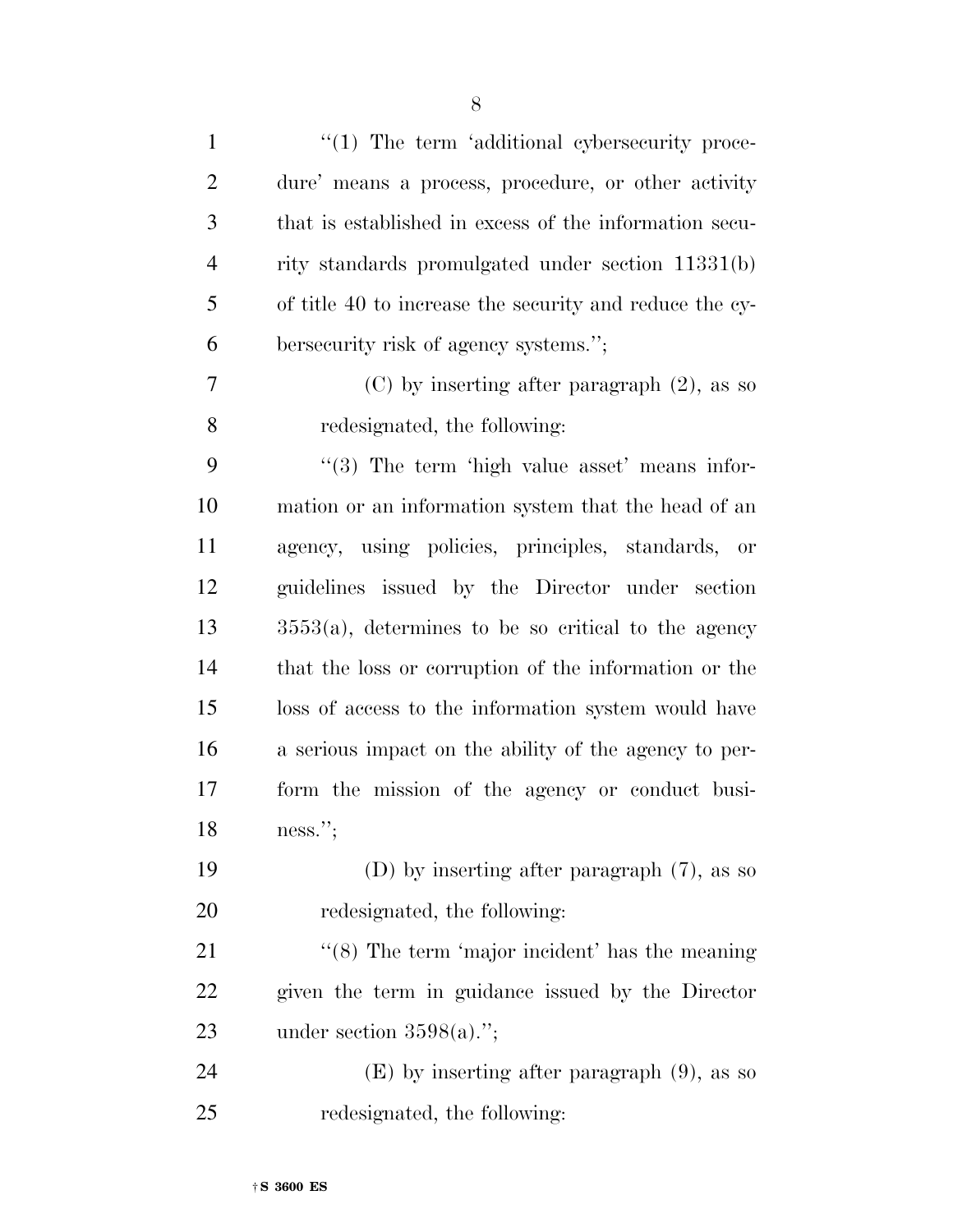| $\mathbf{1}$   | $\lq(1)$ The term 'additional cybersecurity proce-      |
|----------------|---------------------------------------------------------|
| $\overline{2}$ | dure' means a process, procedure, or other activity     |
| 3              | that is established in excess of the information secu-  |
| $\overline{4}$ | rity standards promulgated under section 11331(b)       |
| 5              | of title 40 to increase the security and reduce the cy- |
| 6              | bersecurity risk of agency systems.";                   |
| 7              | $(C)$ by inserting after paragraph $(2)$ , as so        |
| 8              | redesignated, the following:                            |
| 9              | $\lq(3)$ The term 'high value asset' means infor-       |
| 10             | mation or an information system that the head of an     |
| 11             | agency, using policies, principles, standards, or       |
| 12             | guidelines issued by the Director under section         |
| 13             | $3553(a)$ , determines to be so critical to the agency  |
| 14             | that the loss or corruption of the information or the   |
| 15             | loss of access to the information system would have     |
| 16             | a serious impact on the ability of the agency to per-   |
| 17             | form the mission of the agency or conduct busi-         |
| 18             | ness.";                                                 |
| 19             | (D) by inserting after paragraph $(7)$ , as so          |
| 20             | redesignated, the following:                            |
| 21             | " $(8)$ The term 'major incident' has the meaning       |
| 22             | given the term in guidance issued by the Director       |
| 23             | under section $3598(a)$ .";                             |
| 24             | $(E)$ by inserting after paragraph $(9)$ , as so        |
| 25             | redesignated, the following:                            |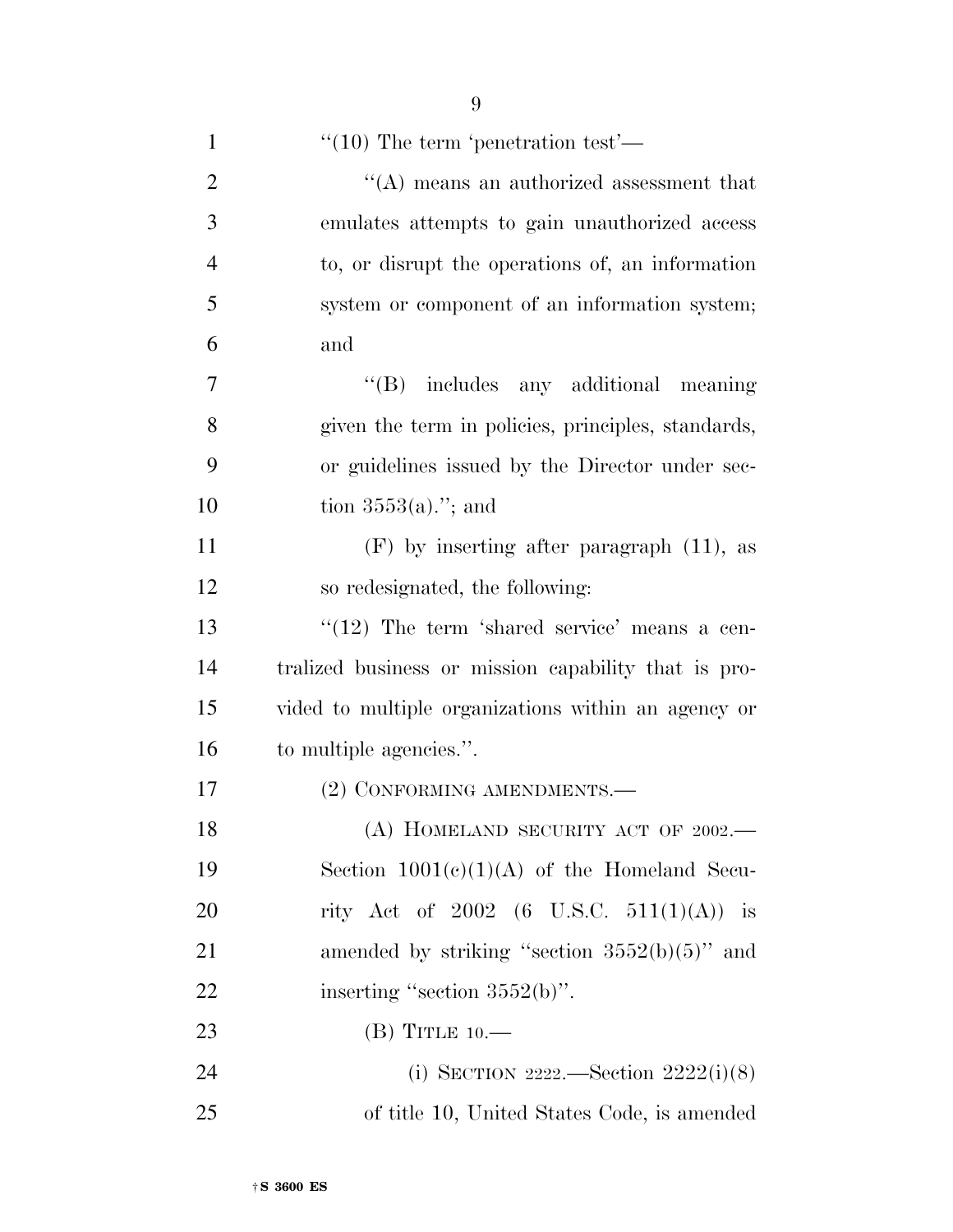| $\mathbf{1}$   | $\cdot\cdot(10)$ The term 'penetration test'—        |
|----------------|------------------------------------------------------|
| $\overline{2}$ | $\lq\lq (A)$ means an authorized assessment that     |
| 3              | emulates attempts to gain unauthorized access        |
| $\overline{4}$ | to, or disrupt the operations of, an information     |
| 5              | system or component of an information system;        |
| 6              | and                                                  |
| $\overline{7}$ | "(B) includes any additional meaning                 |
| 8              | given the term in policies, principles, standards,   |
| 9              | or guidelines issued by the Director under sec-      |
| 10             | tion $3553(a)$ ."; and                               |
| 11             | $(F)$ by inserting after paragraph $(11)$ , as       |
| 12             | so redesignated, the following:                      |
| 13             | $\lq(12)$ The term 'shared service' means a cen-     |
| 14             | tralized business or mission capability that is pro- |
| 15             | vided to multiple organizations within an agency or  |
| 16             | to multiple agencies.".                              |
| 17             | (2) CONFORMING AMENDMENTS.-                          |
| 18             | (A) HOMELAND SECURITY ACT OF 2002.                   |
| 19             | Section $1001(c)(1)(A)$ of the Homeland Secu-        |
| 20             | rity Act of 2002 (6 U.S.C. 511(1)(A)) is             |
| 21             | amended by striking "section $3552(b)(5)$ " and      |
| 22             | inserting "section $3552(b)$ ".                      |
| 23             | (B) TITLE $10$ .                                     |
| 24             | (i) SECTION 2222.—Section $2222(i)(8)$               |
| 25             | of title 10, United States Code, is amended          |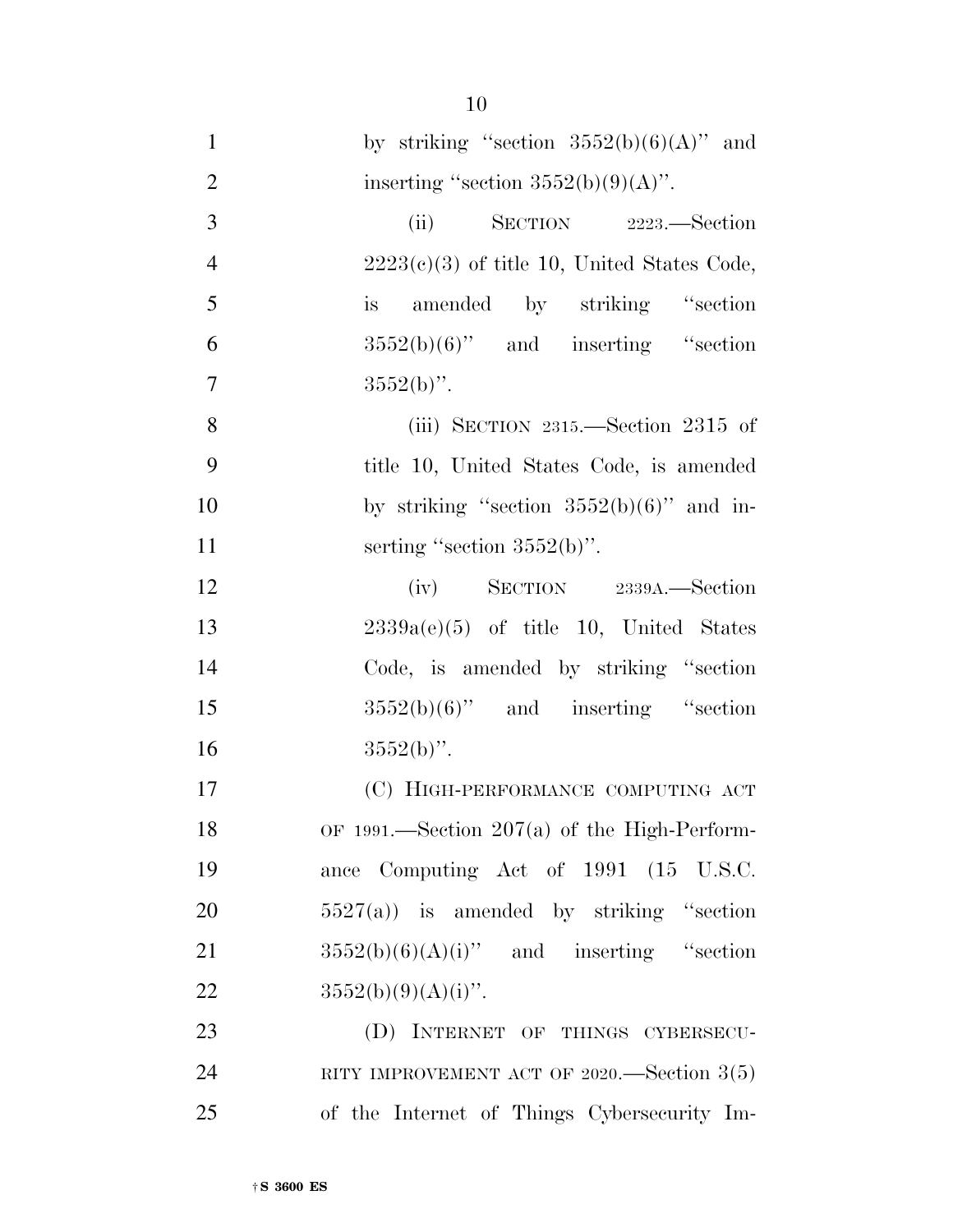| $\mathbf{1}$   | by striking "section $3552(b)(6)(A)$ " and     |
|----------------|------------------------------------------------|
| $\overline{2}$ | inserting "section $3552(b)(9)(A)$ ".          |
| 3              | (ii) SECTION 2223.—Section                     |
| $\overline{4}$ | $2223(c)(3)$ of title 10, United States Code,  |
| 5              | is amended by striking "section"               |
| 6              | $3552(b)(6)$ " and inserting "section          |
| $\overline{7}$ | $3552(b)$ ".                                   |
| 8              | (iii) SECTION $2315$ . Section $2315$ of       |
| 9              | title 10, United States Code, is amended       |
| 10             | by striking "section $3552(b)(6)$ " and in-    |
| 11             | serting "section $3552(b)$ ".                  |
| 12             | $(iv)$ SECTION 2339A.—Section                  |
| 13             | $2339a(e)(5)$ of title 10, United States       |
| 14             | Code, is amended by striking "section          |
| 15             | $3552(b)(6)$ " and inserting "section          |
| 16             | $3552(b)$ ".                                   |
| 17             | (C) HIGH-PERFORMANCE COMPUTING ACT             |
| 18             | OF 1991.—Section $207(a)$ of the High-Perform- |
| 19             | ance Computing Act of 1991 (15 U.S.C.          |
| 20             | $5527(a)$ is amended by striking "section"     |
| 21             | $3552(b)(6)(A)(i)$ " and inserting "section    |
| 22             | $3552(b)(9)(A)(i)$ ".                          |
| 23             | (D) INTERNET OF THINGS CYBERSECU-              |
| 24             | RITY IMPROVEMENT ACT OF 2020.—Section $3(5)$   |
| 25             | of the Internet of Things Cybersecurity Im-    |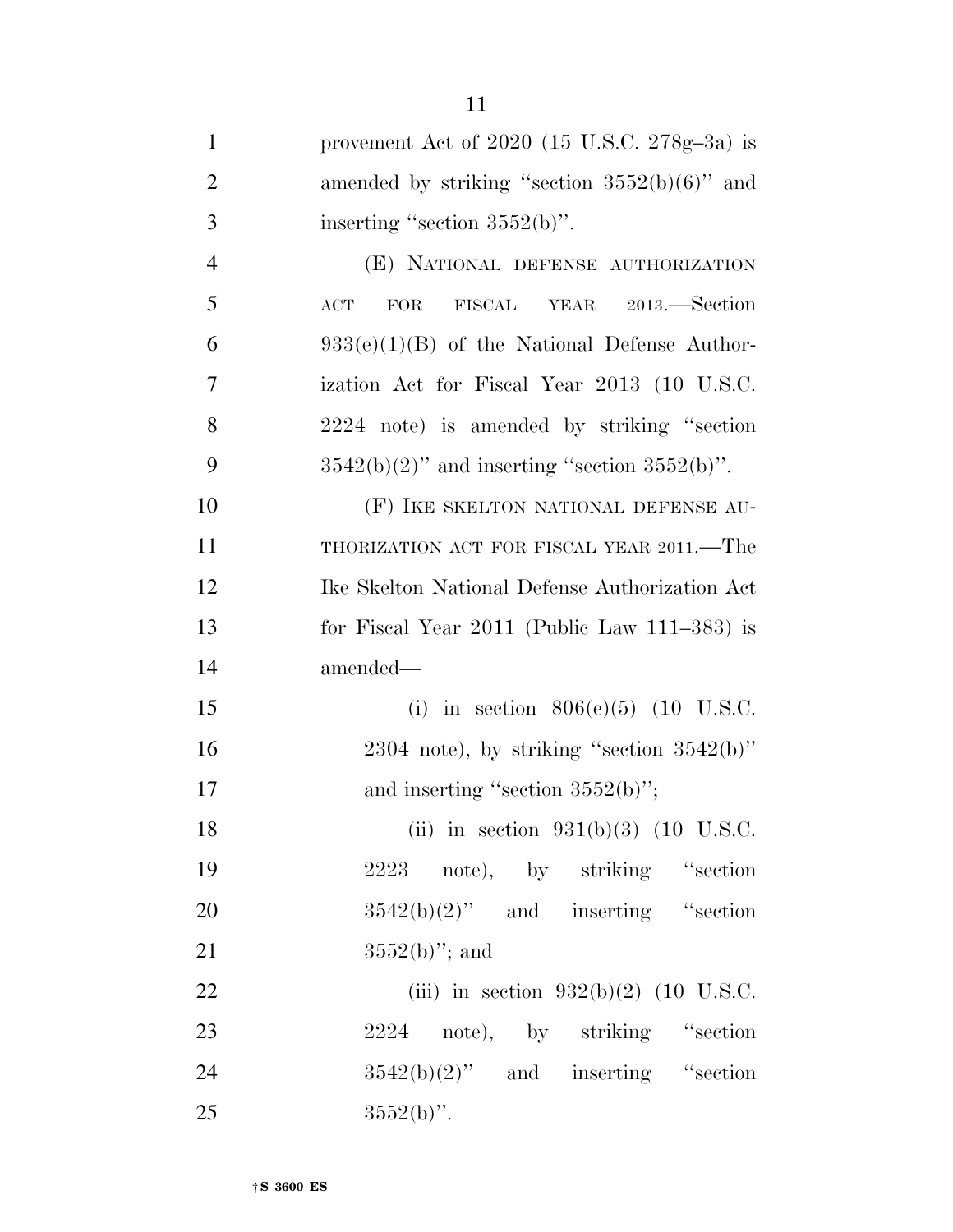| $\mathbf{1}$   | provement Act of $2020$ (15 U.S.C. $278g-3a$ ) is  |
|----------------|----------------------------------------------------|
| $\overline{2}$ | amended by striking "section $3552(b)(6)$ " and    |
| 3              | inserting "section $3552(b)$ ".                    |
| $\overline{4}$ | (E) NATIONAL DEFENSE AUTHORIZATION                 |
| 5              | FISCAL YEAR 2013.-Section<br>FOR<br>$\mathbf{ACT}$ |
| 6              | $933(e)(1)(B)$ of the National Defense Author-     |
| 7              | ization Act for Fiscal Year 2013 (10 U.S.C.        |
| 8              | 2224 note) is amended by striking "section         |
| 9              | $3542(b)(2)$ " and inserting "section $3552(b)$ ". |
| 10             | (F) IKE SKELTON NATIONAL DEFENSE AU-               |
| 11             | THORIZATION ACT FOR FISCAL YEAR 2011.—The          |
| 12             | Ike Skelton National Defense Authorization Act     |
| 13             | for Fiscal Year $2011$ (Public Law $111-383$ ) is  |
| 14             | amended—                                           |
| 15             | (i) in section $806(e)(5)$ (10 U.S.C.              |
| 16             | $2304$ note), by striking "section $3542(b)$ "     |
| 17             | and inserting "section $3552(b)$ ";                |
| 18             | (ii) in section $931(b)(3)$ (10 U.S.C.             |
| 19             | 2223 note), by striking "section                   |
| 20             | $3542(b)(2)$ " and inserting "section              |
| 21             | $3552(b)$ "; and                                   |
| 22             | (iii) in section $932(b)(2)$ (10 U.S.C.            |
| 23             | 2224 note), by striking "section                   |
| 24             | $3542(b)(2)$ " and inserting "section              |
| 25             | $3552(b)$ ".                                       |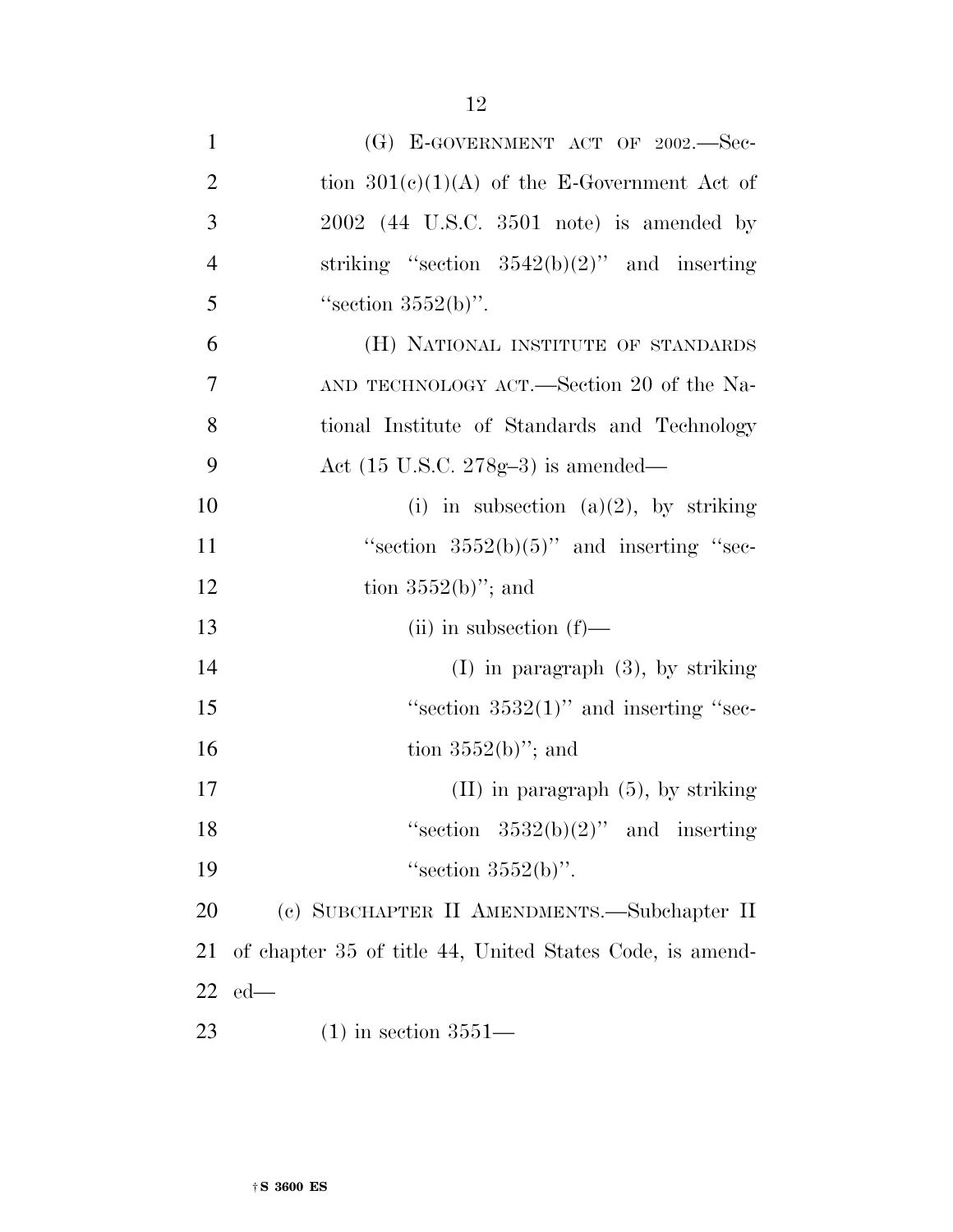| $\mathbf{1}$   | (G) E-GOVERNMENT ACT OF $2002$ . Sec-                    |
|----------------|----------------------------------------------------------|
| $\overline{2}$ | tion $301(c)(1)(A)$ of the E-Government Act of           |
| 3              | $2002$ (44 U.S.C. 3501 note) is amended by               |
| $\overline{4}$ | striking "section $3542(b)(2)$ " and inserting           |
| 5              | "section $3552(b)$ ".                                    |
| 6              | (H) NATIONAL INSTITUTE OF STANDARDS                      |
| 7              | AND TECHNOLOGY ACT.—Section 20 of the Na-                |
| 8              | tional Institute of Standards and Technology             |
| 9              | Act $(15 \text{ U.S.C. } 278 \text{g} - 3)$ is amended—  |
| 10             | (i) in subsection (a)(2), by striking                    |
| 11             | "section $3552(b)(5)$ " and inserting "sec-              |
| 12             | tion $3552(b)$ "; and                                    |
| 13             | $(ii)$ in subsection $(f)$ —                             |
| 14             | $(I)$ in paragraph $(3)$ , by striking                   |
| 15             | "section $3532(1)$ " and inserting "sec-                 |
| 16             | tion $3552(b)$ "; and                                    |
| 17             | $(II)$ in paragraph $(5)$ , by striking                  |
| 18             | "section $3532(b)(2)$ " and inserting                    |
| 19             | "section $3552(b)$ ".                                    |
| 20             | (c) SUBCHAPTER II AMENDMENTS.-Subchapter II              |
| 21             | of chapter 35 of title 44, United States Code, is amend- |
| 22             | $ed$ —                                                   |
| 23             | $(1)$ in section 3551—                                   |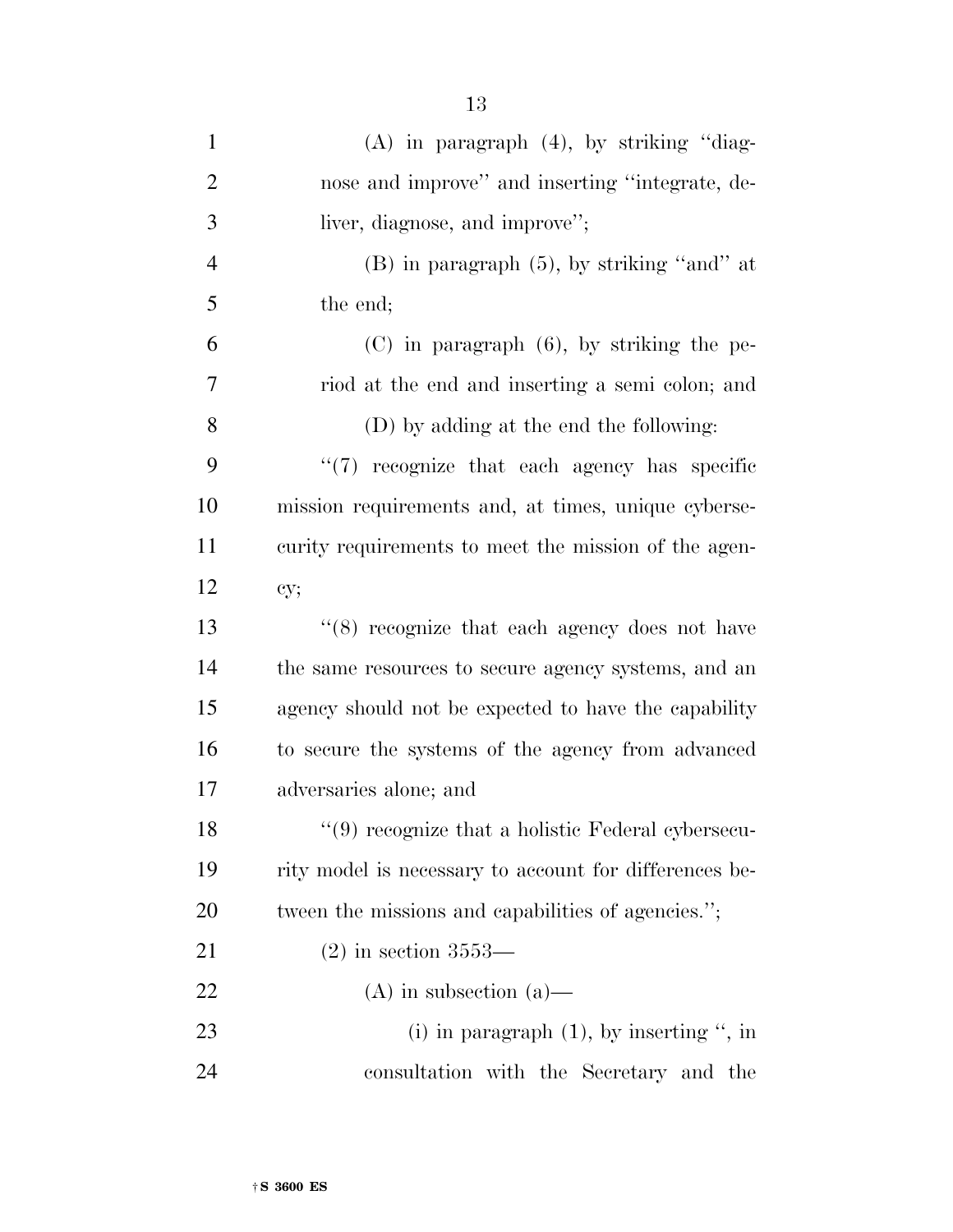| $\mathbf{1}$   | $(A)$ in paragraph $(4)$ , by striking "diag-          |
|----------------|--------------------------------------------------------|
| $\overline{2}$ | nose and improve" and inserting "integrate, de-        |
| 3              | liver, diagnose, and improve";                         |
| $\overline{4}$ | $(B)$ in paragraph $(5)$ , by striking "and" at        |
| 5              | the end;                                               |
| 6              | $(C)$ in paragraph $(6)$ , by striking the pe-         |
| 7              | riod at the end and inserting a semi colon; and        |
| 8              | (D) by adding at the end the following:                |
| 9              | $\lq(7)$ recognize that each agency has specific       |
| 10             | mission requirements and, at times, unique cyberse-    |
| 11             | curity requirements to meet the mission of the agen-   |
| 12             | cy;                                                    |
| 13             | $(8)$ recognize that each agency does not have         |
| 14             | the same resources to secure agency systems, and an    |
| 15             | agency should not be expected to have the capability   |
| 16             | to secure the systems of the agency from advanced      |
| 17             | adversaries alone; and                                 |
| 18             | $\lq(9)$ recognize that a holistic Federal cybersecu-  |
| 19             | rity model is necessary to account for differences be- |
| 20             | tween the missions and capabilities of agencies.";     |
| 21             | $(2)$ in section 3553—                                 |
| 22             | $(A)$ in subsection $(a)$ —                            |
| 23             | (i) in paragraph $(1)$ , by inserting ", in            |
| 24             | consultation with the Secretary and the                |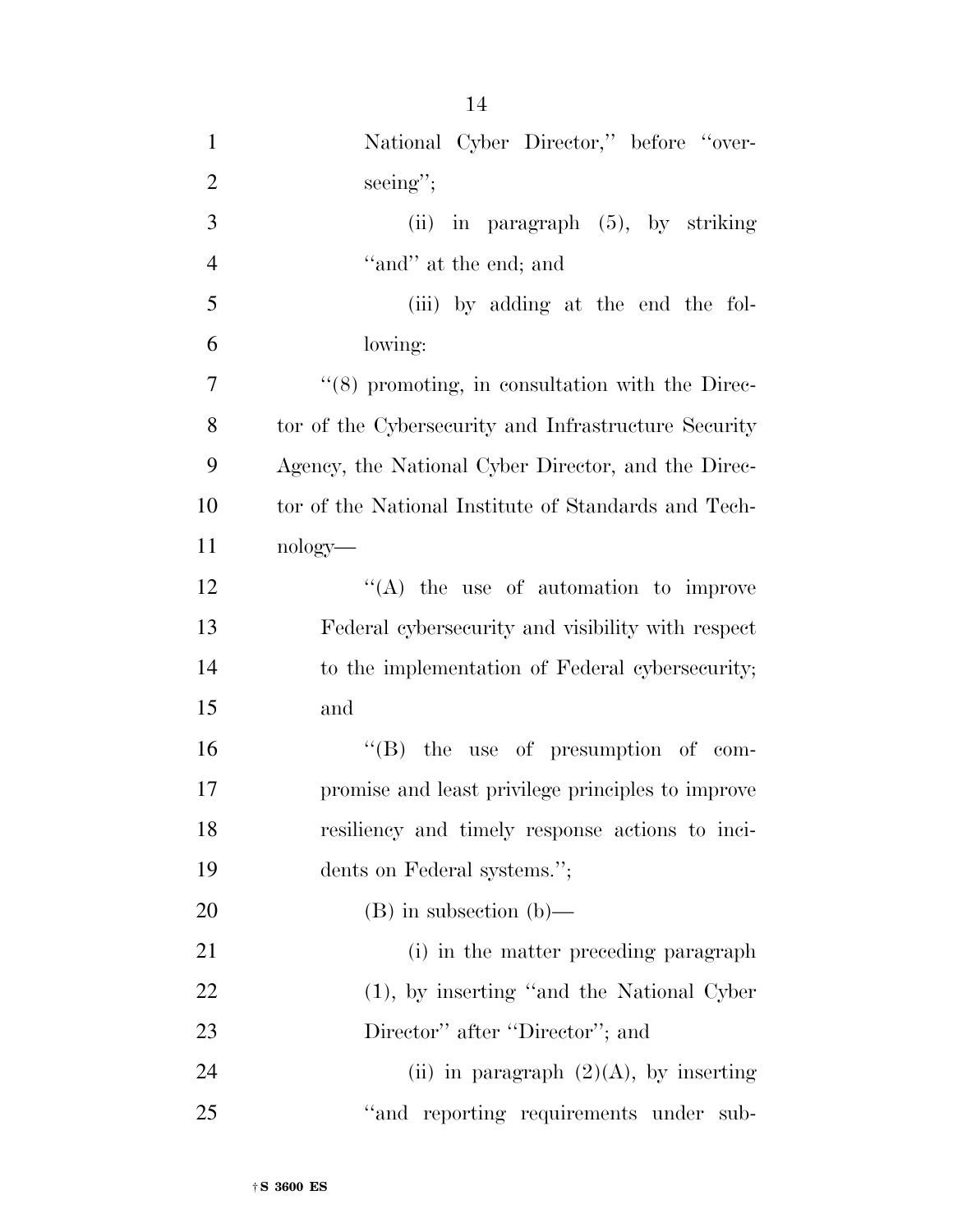| $\mathbf{1}$   | National Cyber Director," before "over-              |
|----------------|------------------------------------------------------|
| $\overline{2}$ | $\seeing$ ";                                         |
| 3              | in paragraph $(5)$ , by striking<br>(ii)             |
| $\overline{4}$ | "and" at the end; and                                |
| 5              | (iii) by adding at the end the fol-                  |
| 6              | lowing:                                              |
| $\overline{7}$ | $\lq(8)$ promoting, in consultation with the Direc-  |
| 8              | tor of the Cybersecurity and Infrastructure Security |
| 9              | Agency, the National Cyber Director, and the Direc-  |
| 10             | tor of the National Institute of Standards and Tech- |
| 11             | $nology$ —                                           |
| 12             | $\lq\lq$ the use of automation to improve            |
| 13             | Federal cybersecurity and visibility with respect    |
| 14             | to the implementation of Federal cybersecurity;      |
| 15             | and                                                  |
| 16             | $\lq\lq$ (B) the use of presumption of com-          |
| 17             | promise and least privilege principles to improve    |
| 18             | resiliency and timely response actions to inci-      |
| 19             | dents on Federal systems.";                          |
| 20             | $(B)$ in subsection $(b)$ —                          |
| 21             | (i) in the matter preceding paragraph                |
| 22             | $(1)$ , by inserting "and the National Cyber"        |
| 23             | Director" after "Director"; and                      |
| 24             | (ii) in paragraph $(2)(A)$ , by inserting            |
| 25             | "and reporting requirements under sub-               |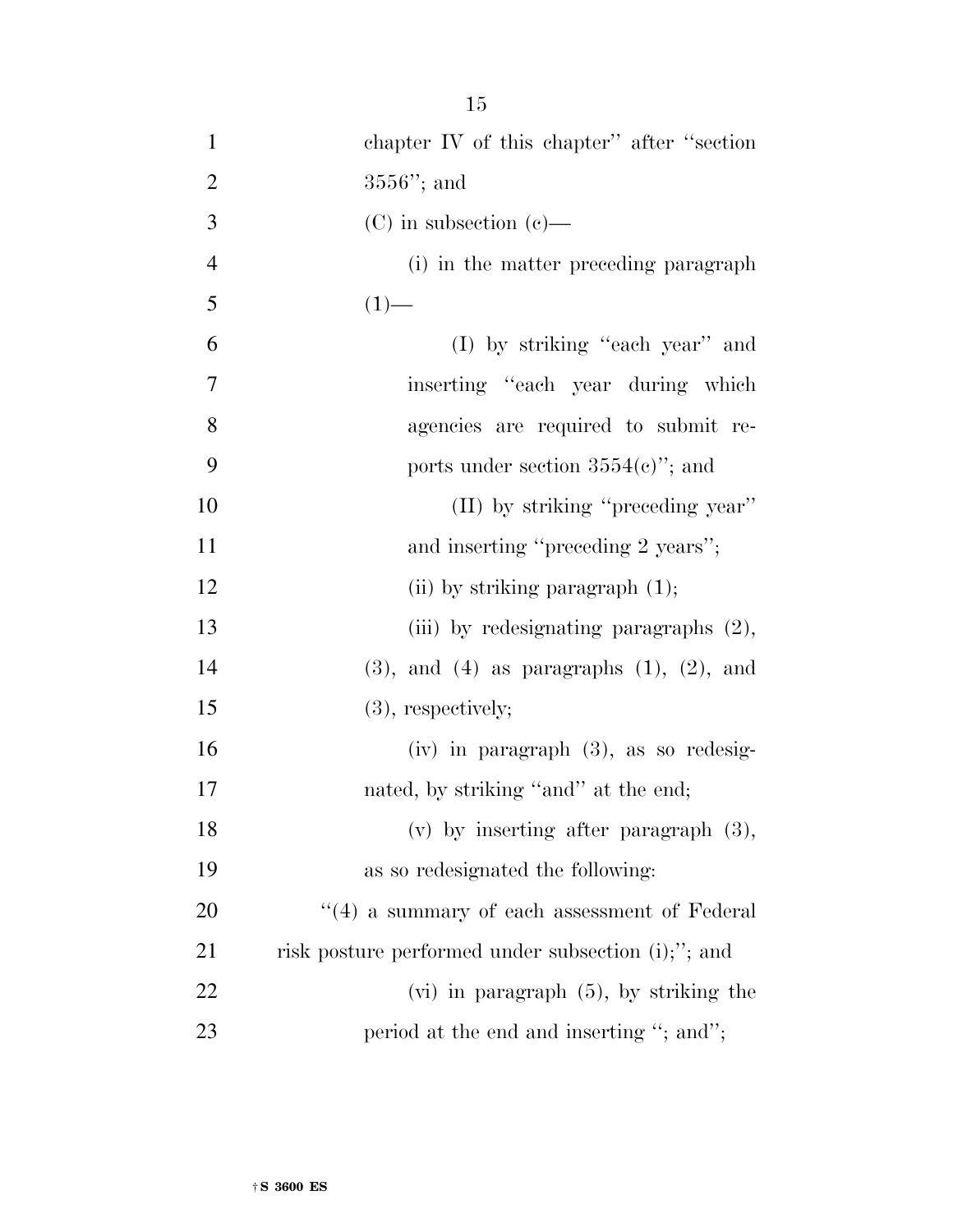| $\mathbf{1}$   | chapter IV of this chapter" after "section"         |
|----------------|-----------------------------------------------------|
| $\overline{2}$ | $3556$ "; and                                       |
| 3              | $(C)$ in subsection $(e)$ —                         |
| $\overline{4}$ | (i) in the matter preceding paragraph               |
| 5              | $(1)$ —                                             |
| 6              | (I) by striking "each year" and                     |
| 7              | inserting "each year during which                   |
| 8              | agencies are required to submit re-                 |
| 9              | ports under section $3554(e)$ "; and                |
| 10             | (II) by striking "preceding year"                   |
| 11             | and inserting "preceding 2 years";                  |
| 12             | (ii) by striking paragraph $(1)$ ;                  |
| 13             | (iii) by redesignating paragraphs $(2)$ ,           |
| 14             | $(3)$ , and $(4)$ as paragraphs $(1)$ , $(2)$ , and |
| 15             | $(3)$ , respectively;                               |
| 16             | $(iv)$ in paragraph $(3)$ , as so redesig-          |
| 17             | nated, by striking "and" at the end;                |
| 18             | $(v)$ by inserting after paragraph $(3)$ ,          |
| 19             | as so redesignated the following:                   |
| 20             | $``(4)$ a summary of each assessment of Federal     |
| 21             | risk posture performed under subsection (i);"; and  |
| 22             | $(vi)$ in paragraph $(5)$ , by striking the         |
| 23             | period at the end and inserting "; and";            |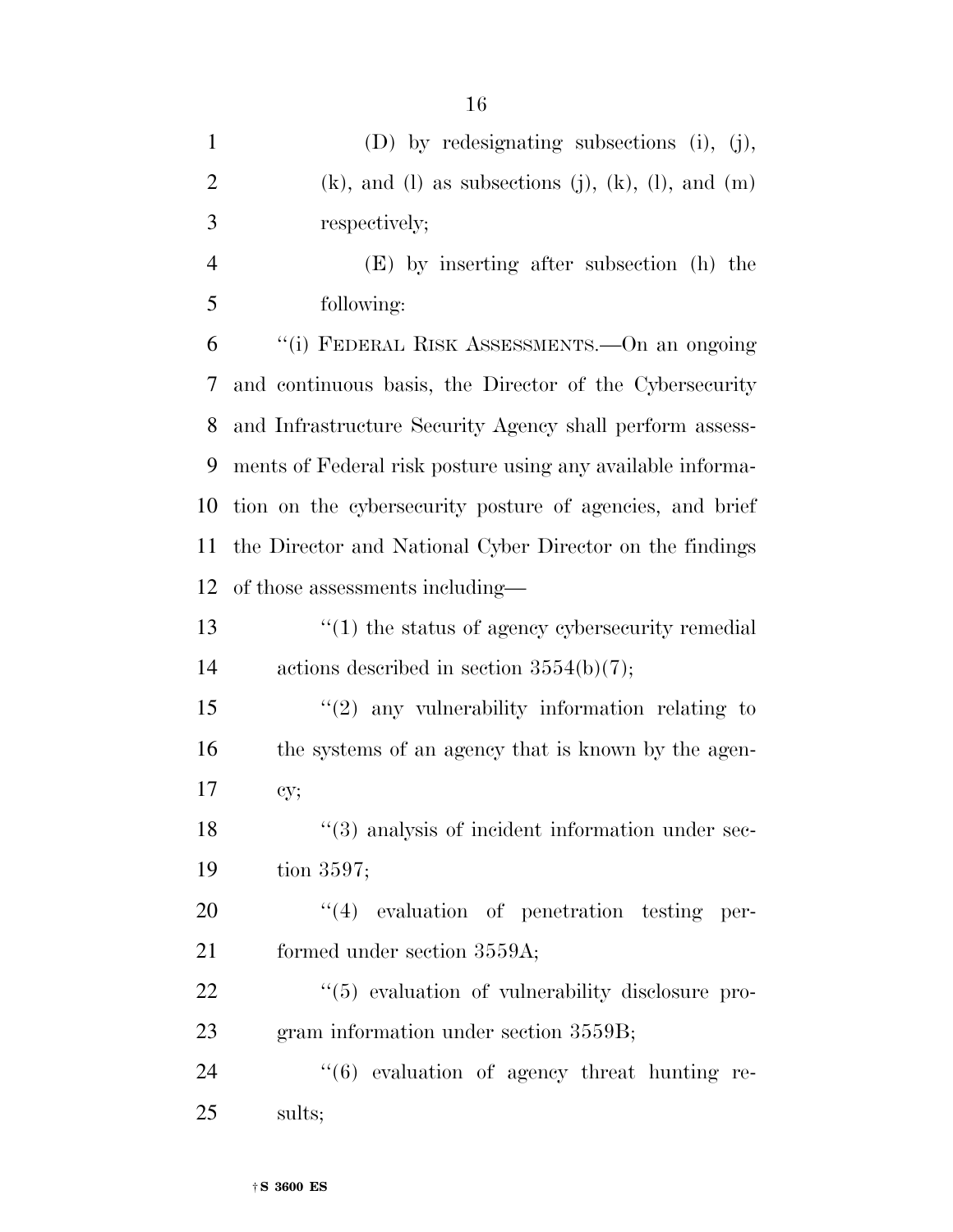| $\mathbf{1}$   | (D) by redesignating subsections (i), (j),                         |
|----------------|--------------------------------------------------------------------|
| $\overline{2}$ | $(k)$ , and $(l)$ as subsections $(j)$ , $(k)$ , $(l)$ , and $(m)$ |
| 3              | respectively;                                                      |
| $\overline{4}$ | (E) by inserting after subsection (h) the                          |
| 5              | following:                                                         |
| 6              | "(i) FEDERAL RISK ASSESSMENTS.—On an ongoing                       |
| 7              | and continuous basis, the Director of the Cybersecurity            |
| 8              | and Infrastructure Security Agency shall perform assess-           |
| 9              | ments of Federal risk posture using any available informa-         |
| 10             | tion on the cybersecurity posture of agencies, and brief           |
| 11             | the Director and National Cyber Director on the findings           |
| 12             | of those assessments including—                                    |
| 13             | $\cdot$ (1) the status of agency cybersecurity remedial            |
| 14             | actions described in section $3554(b)(7)$ ;                        |
| 15             | $\lq(2)$ any vulnerability information relating to                 |
| 16             | the systems of an agency that is known by the agen-                |
| 17             | cy;                                                                |
| 18             | "(3) analysis of incident information under sec-                   |
| 19             | tion $3597$ ;                                                      |
| 20             | $(4)$ evaluation of penetration testing per-                       |
| 21             | formed under section 3559A;                                        |
| 22             | $\lq(5)$ evaluation of vulnerability disclosure pro-               |
| 23             | gram information under section 3559B;                              |
| 24             | $``(6)$ evaluation of agency threat hunting re-                    |
| 25             | sults;                                                             |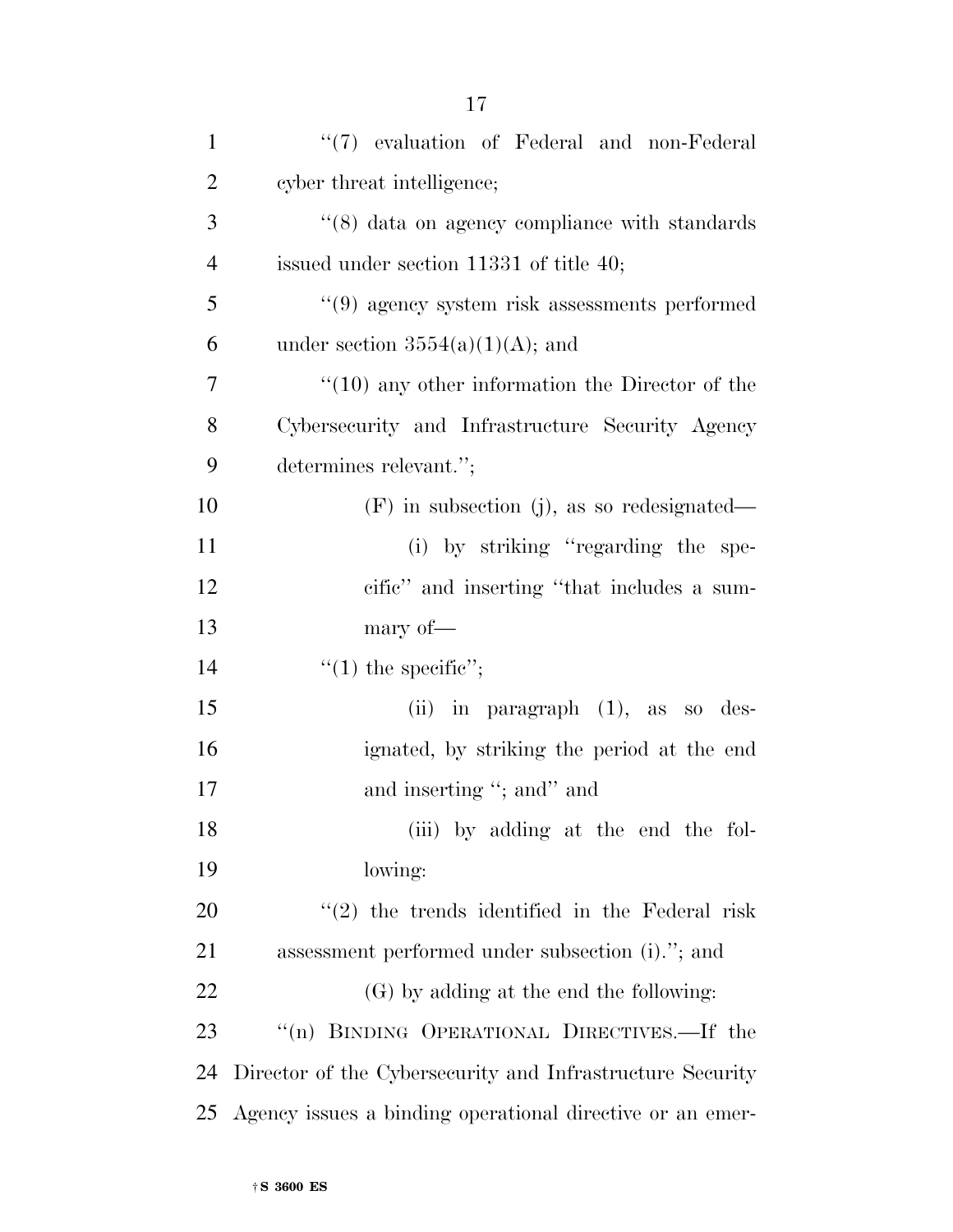| $\mathbf{1}$   | "(7) evaluation of Federal and non-Federal                |
|----------------|-----------------------------------------------------------|
| $\overline{2}$ | cyber threat intelligence;                                |
| 3              | $\lq(8)$ data on agency compliance with standards         |
| $\overline{4}$ | issued under section 11331 of title 40;                   |
| 5              | $"(9)$ agency system risk assessments performed           |
| 6              | under section $3554(a)(1)(A)$ ; and                       |
| 7              | $\cdot$ (10) any other information the Director of the    |
| 8              | Cybersecurity and Infrastructure Security Agency          |
| 9              | determines relevant.";                                    |
| 10             | $(F)$ in subsection (j), as so redesignated—              |
| 11             | (i) by striking "regarding the spe-                       |
| 12             | cific" and inserting "that includes a sum-                |
|                |                                                           |
| 13             | mary of-                                                  |
| 14             | $\lq(1)$ the specific";                                   |
| 15             | (ii) in paragraph $(1)$ , as so des-                      |
| 16             | ignated, by striking the period at the end                |
| 17             | and inserting "; and" and                                 |
| 18             | (iii) by adding at the end the fol-                       |
| 19             | lowing:                                                   |
| <b>20</b>      | $\lq(2)$ the trends identified in the Federal risk        |
| 21             | assessment performed under subsection (i)."; and          |
| 22             | (G) by adding at the end the following:                   |
| 23             | "(n) BINDING OPERATIONAL DIRECTIVES.—If the               |
| 24             | Director of the Cybersecurity and Infrastructure Security |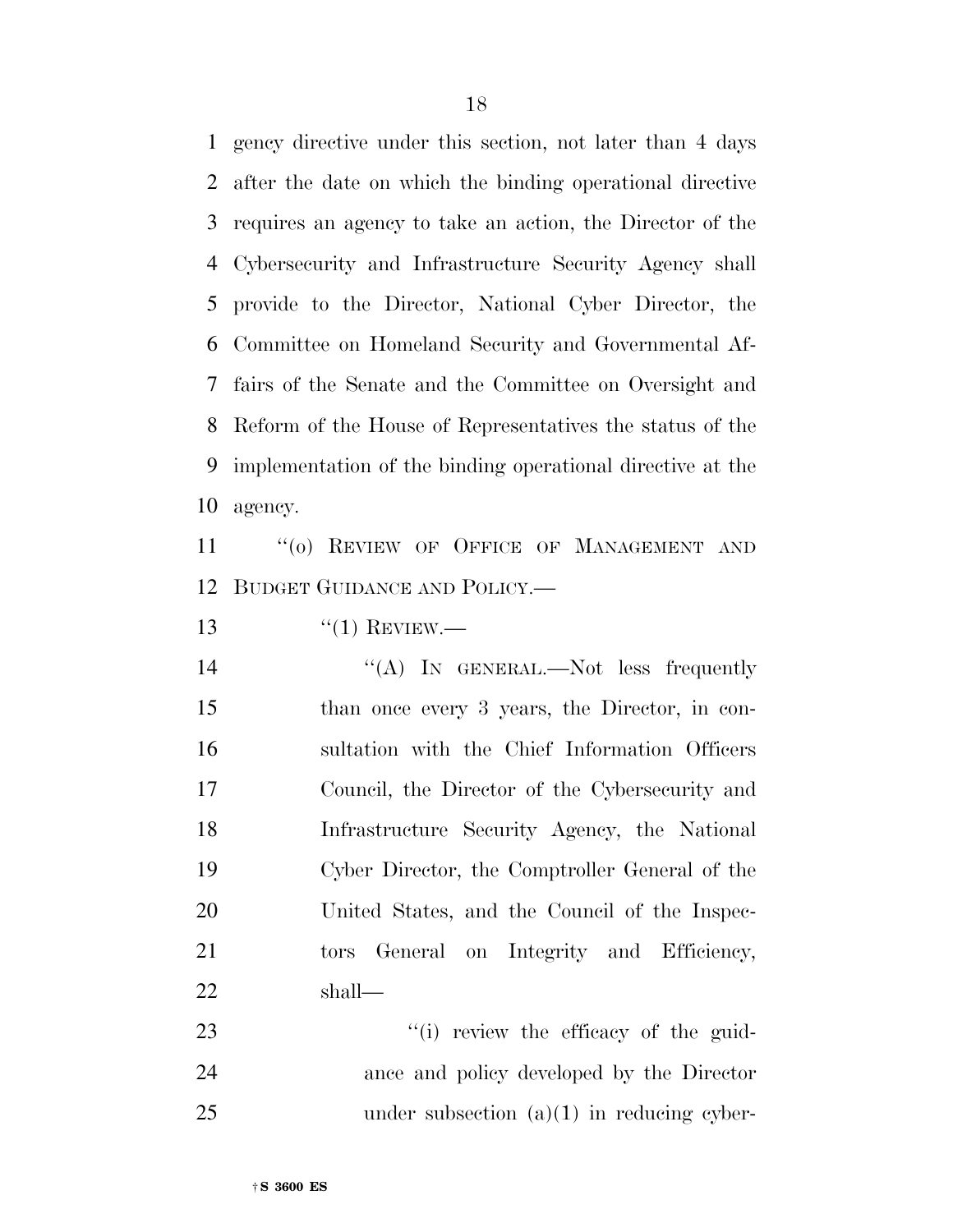gency directive under this section, not later than 4 days after the date on which the binding operational directive requires an agency to take an action, the Director of the Cybersecurity and Infrastructure Security Agency shall provide to the Director, National Cyber Director, the Committee on Homeland Security and Governmental Af- fairs of the Senate and the Committee on Oversight and Reform of the House of Representatives the status of the implementation of the binding operational directive at the agency.

11 "(0) REVIEW OF OFFICE OF MANAGEMENT AND BUDGET GUIDANCE AND POLICY.—

''(1) REVIEW.—

 ''(A) IN GENERAL.—Not less frequently than once every 3 years, the Director, in con- sultation with the Chief Information Officers Council, the Director of the Cybersecurity and Infrastructure Security Agency, the National Cyber Director, the Comptroller General of the United States, and the Council of the Inspec-21 tors General on Integrity and Efficiency, shall—

23  $\frac{1}{2}$  '(i) review the efficacy of the guid- ance and policy developed by the Director 25 under subsection (a)(1) in reducing cyber-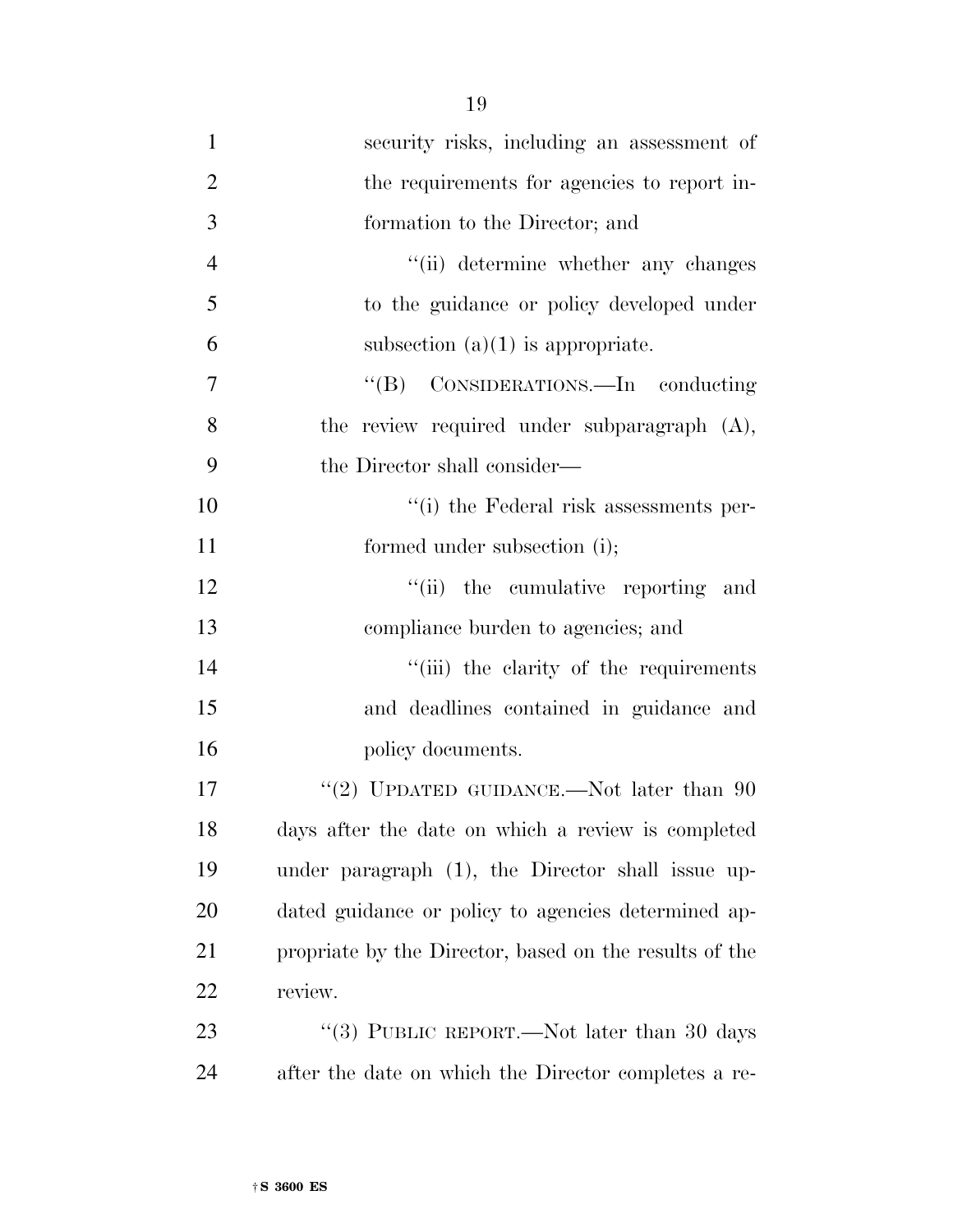| $\mathbf{1}$   | security risks, including an assessment of             |
|----------------|--------------------------------------------------------|
| $\overline{2}$ | the requirements for agencies to report in-            |
| 3              | formation to the Director; and                         |
| $\overline{4}$ | "(ii) determine whether any changes                    |
| 5              | to the guidance or policy developed under              |
| 6              | subsection $(a)(1)$ is appropriate.                    |
| 7              | "(B) CONSIDERATIONS.—In conducting                     |
| 8              | the review required under subparagraph (A),            |
| 9              | the Director shall consider—                           |
| 10             | "(i) the Federal risk assessments per-                 |
| 11             | formed under subsection (i);                           |
| 12             | "(ii) the cumulative reporting and                     |
| 13             | compliance burden to agencies; and                     |
| 14             | "(iii) the clarity of the requirements                 |
| 15             | and deadlines contained in guidance and                |
| 16             | policy documents.                                      |
| 17             | "(2) UPDATED GUIDANCE.—Not later than $90$             |
| 18             | days after the date on which a review is completed     |
| 19             | under paragraph (1), the Director shall issue up-      |
| 20             | dated guidance or policy to agencies determined ap-    |
| 21             | propriate by the Director, based on the results of the |
| 22             | review.                                                |
| 23             | "(3) PUBLIC REPORT.—Not later than 30 days             |
|                |                                                        |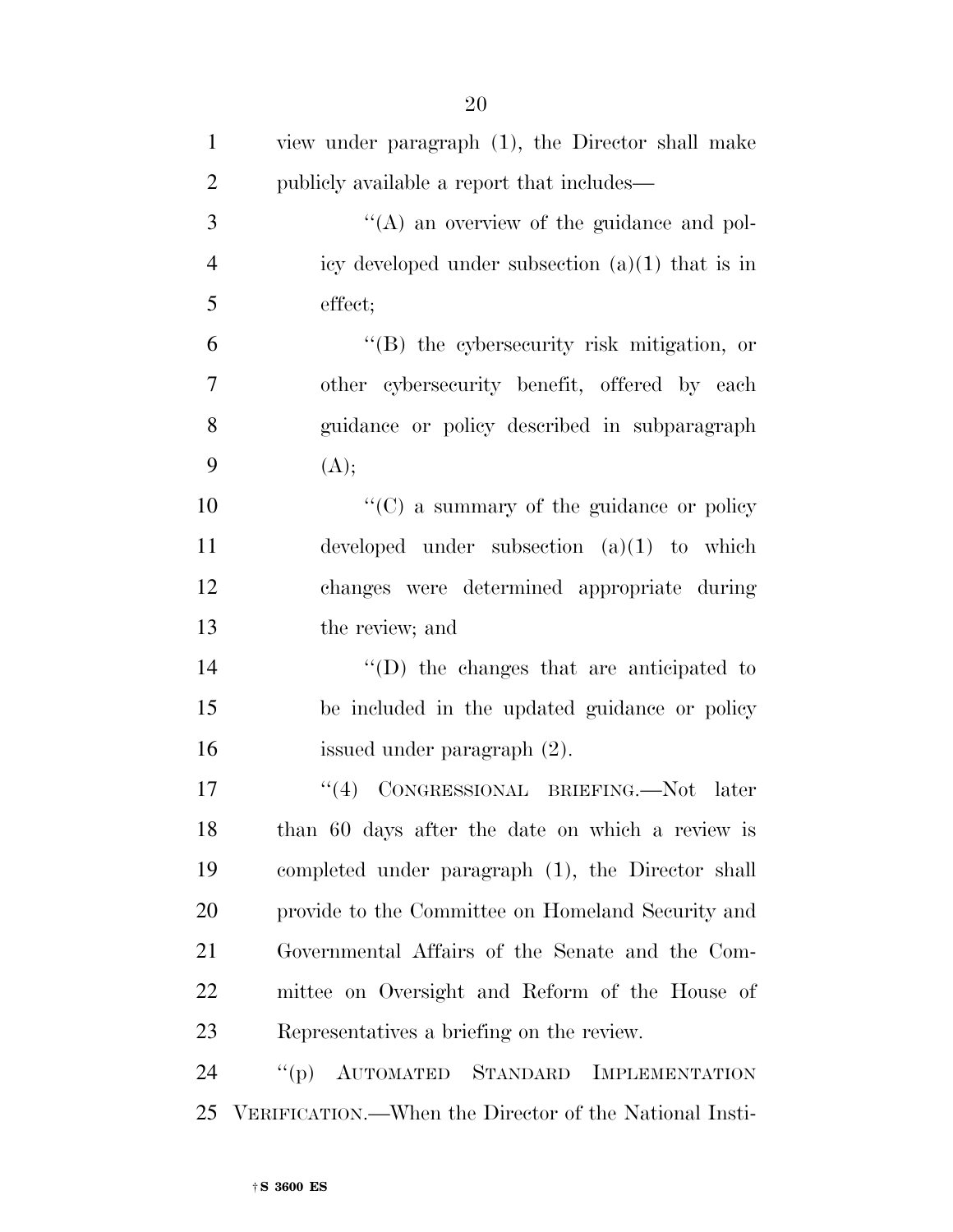| $\mathbf{1}$   | view under paragraph (1), the Director shall make         |
|----------------|-----------------------------------------------------------|
| $\overline{2}$ | publicly available a report that includes—                |
| 3              | $\lq\lq$ an overview of the guidance and pol-             |
| $\overline{4}$ | icy developed under subsection $(a)(1)$ that is in        |
| 5              | effect;                                                   |
| 6              | "(B) the cybersecurity risk mitigation, or                |
| $\tau$         | other cybersecurity benefit, offered by each              |
| 8              | guidance or policy described in subparagraph              |
| 9              | (A);                                                      |
| 10             | " $(C)$ a summary of the guidance or policy"              |
| 11             | developed under subsection $(a)(1)$ to which              |
| 12             | changes were determined appropriate during                |
| 13             | the review; and                                           |
| 14             | $\lq\lq$ ) the changes that are anticipated to            |
| 15             | be included in the updated guidance or policy             |
| 16             | issued under paragraph (2).                               |
| 17             | "(4) CONGRESSIONAL BRIEFING.—Not later                    |
| 18             | than 60 days after the date on which a review is          |
| 19             | completed under paragraph (1), the Director shall         |
| 20             | provide to the Committee on Homeland Security and         |
| 21             | Governmental Affairs of the Senate and the Com-           |
| 22             | mittee on Oversight and Reform of the House of            |
| 23             | Representatives a briefing on the review.                 |
| 24             | AUTOMATED STANDARD<br>$\lq( p )$<br><b>IMPLEMENTATION</b> |
| 25             | VERIFICATION.—When the Director of the National Insti-    |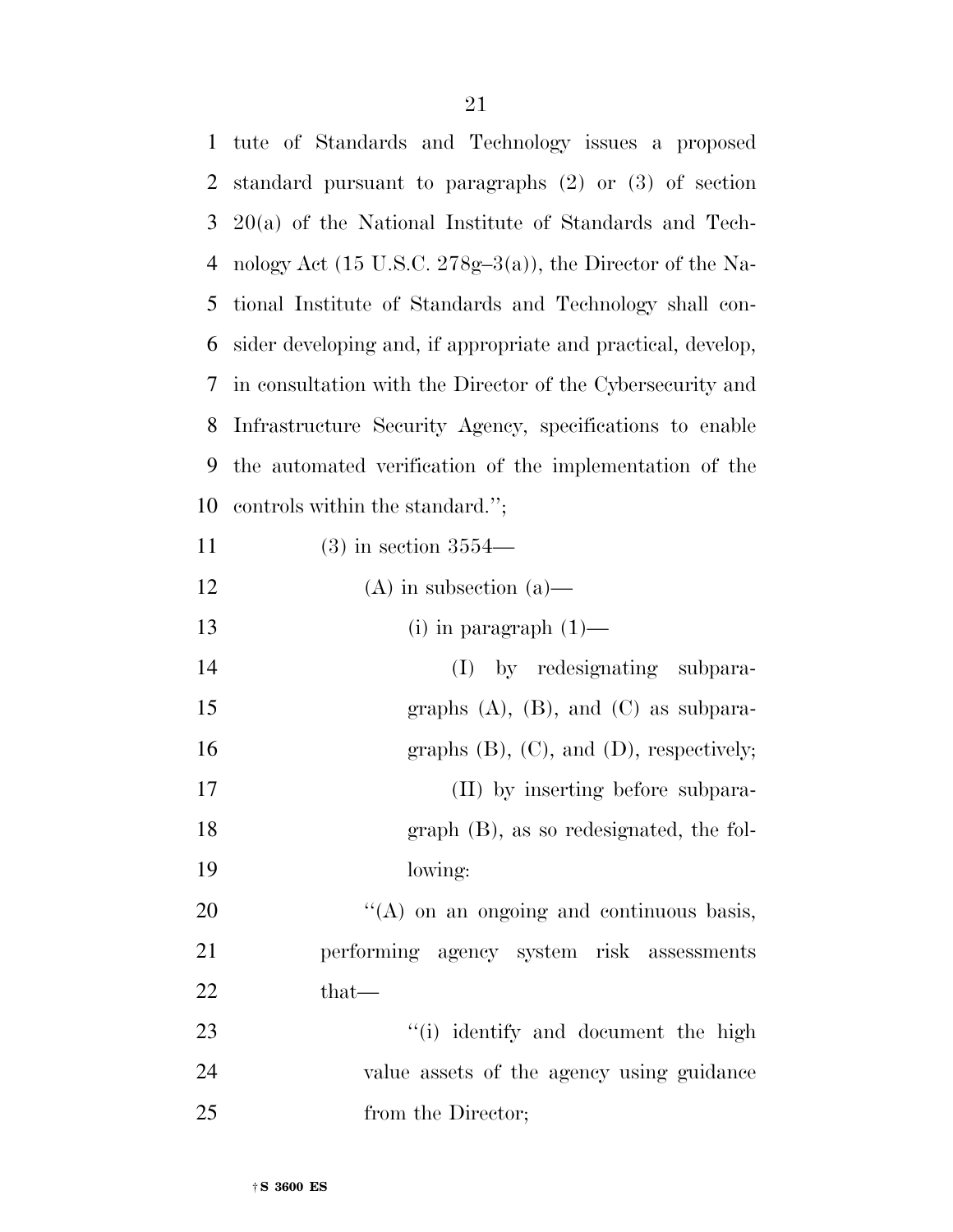| $\mathbf{1}$ | tute of Standards and Technology issues a proposed                    |
|--------------|-----------------------------------------------------------------------|
| 2            | standard pursuant to paragraphs $(2)$ or $(3)$ of section             |
| 3            | $20(a)$ of the National Institute of Standards and Tech-              |
| 4            | nology Act $(15 \text{ U.S.C. } 278g-3(a))$ , the Director of the Na- |
| 5            | tional Institute of Standards and Technology shall con-               |
| 6            | sider developing and, if appropriate and practical, develop,          |
| 7            | in consultation with the Director of the Cybersecurity and            |
| 8            | Infrastructure Security Agency, specifications to enable              |
| 9            | the automated verification of the implementation of the               |
| 10           | controls within the standard.";                                       |
| 11           | $(3)$ in section $3554-$                                              |
| 12           | $(A)$ in subsection $(a)$ —                                           |
| 13           | (i) in paragraph $(1)$ —                                              |
| 14           | (I) by redesignating subpara-                                         |
| 15           | graphs $(A)$ , $(B)$ , and $(C)$ as subpara-                          |
| 16           | graphs $(B)$ , $(C)$ , and $(D)$ , respectively;                      |
| 17           | (II) by inserting before subpara-                                     |
| 18           | $graph$ (B), as so redesignated, the fol-                             |
| 19           | lowing:                                                               |
| 20           | "(A) on an ongoing and continuous basis,                              |
| 21           | performing agency system risk assessments                             |
| 22           | $that-$                                                               |
| 23           | "(i) identify and document the high                                   |
| 24           | value assets of the agency using guidance                             |
| 25           | from the Director;                                                    |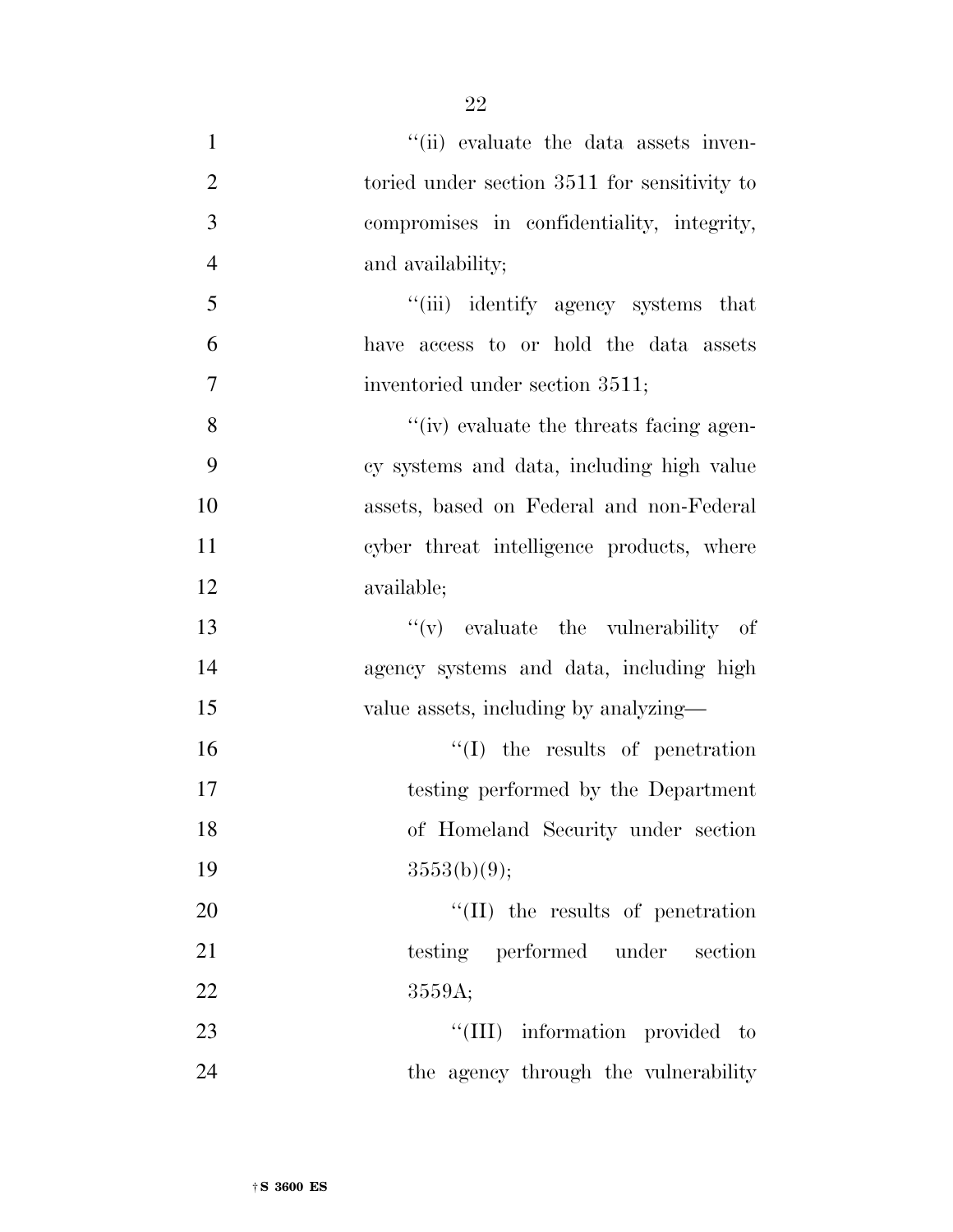| $\mathbf{1}$   | "(ii) evaluate the data assets inven-           |
|----------------|-------------------------------------------------|
| $\overline{2}$ | toried under section 3511 for sensitivity to    |
| 3              | compromises in confidentiality, integrity,      |
| $\overline{4}$ | and availability;                               |
| 5              | "(iii) identify agency systems that             |
| 6              | have access to or hold the data assets          |
| 7              | inventoried under section 3511;                 |
| 8              | $\lq\lq$ (iv) evaluate the threats facing agen- |
| 9              | cy systems and data, including high value       |
| 10             | assets, based on Federal and non-Federal        |
| 11             | cyber threat intelligence products, where       |
| 12             | available;                                      |
| 13             | $f'(v)$ evaluate the vulnerability of           |
| 14             | agency systems and data, including high         |
| 15             | value assets, including by analyzing—           |
| 16             | $\lq\lq$ the results of penetration             |
| 17             | testing performed by the Department             |
| 18             | of Homeland Security under section              |
| 19             | 3553(b)(9);                                     |
| 20             | $\lq\lq$ (II) the results of penetration        |
| 21             | testing performed under section                 |
| 22             | 3559A;                                          |
| 23             | "(III) information provided to                  |
| 24             | the agency through the vulnerability            |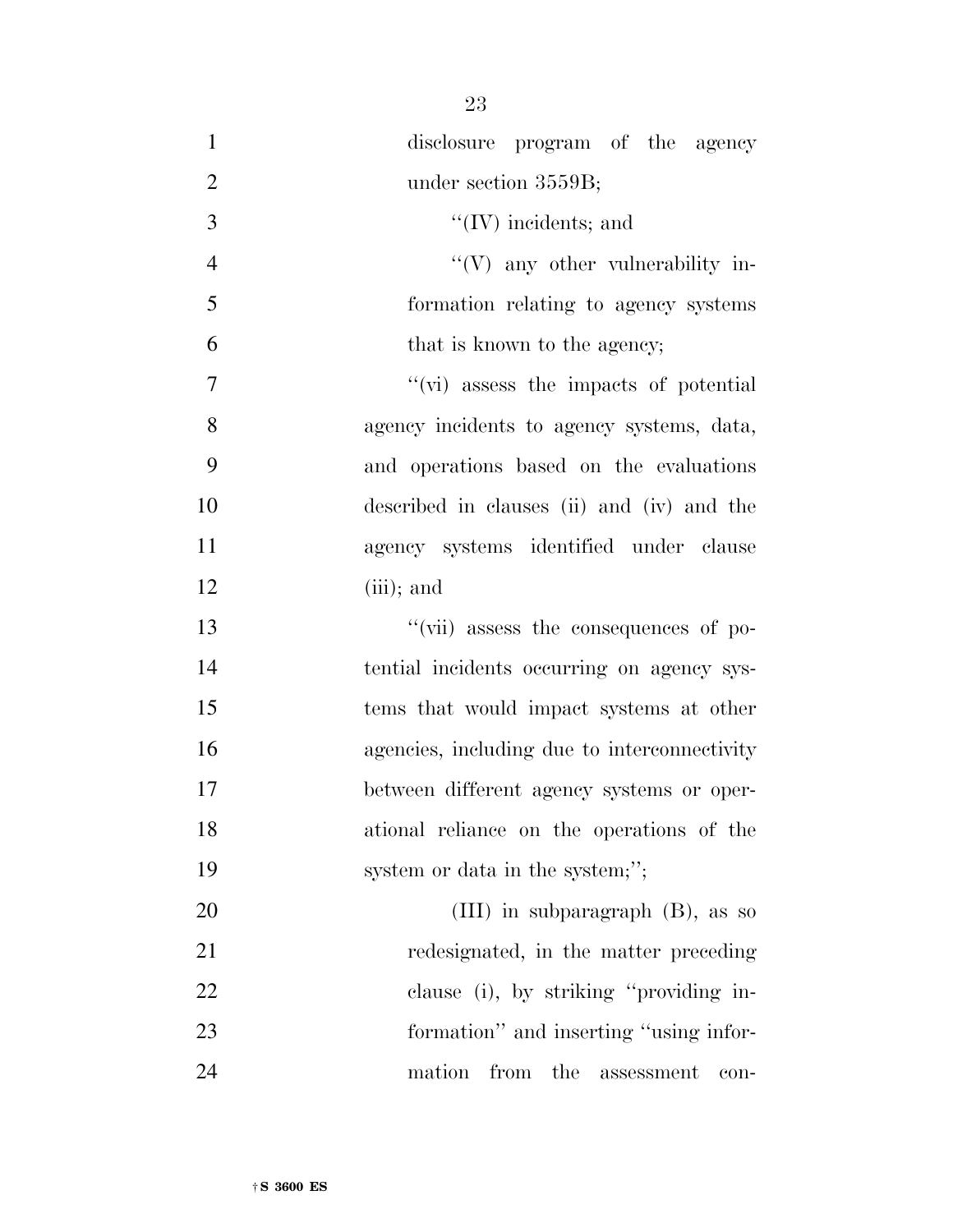- disclosure program of the agency 2 under section 3559B; ''(IV) incidents; and 4 ''(V) any other vulnerability in- formation relating to agency systems that is known to the agency; 7  $''(\vec{v})$  assess the impacts of potential agency incidents to agency systems, data, and operations based on the evaluations described in clauses (ii) and (iv) and the agency systems identified under clause 12 (iii); and 13  $''(\vec{v})$  assess the consequences of po- tential incidents occurring on agency sys- tems that would impact systems at other agencies, including due to interconnectivity between different agency systems or oper- ational reliance on the operations of the 19 system or data in the system;";
- (III) in subparagraph (B), as so redesignated, in the matter preceding clause (i), by striking ''providing in- formation'' and inserting ''using infor-mation from the assessment con-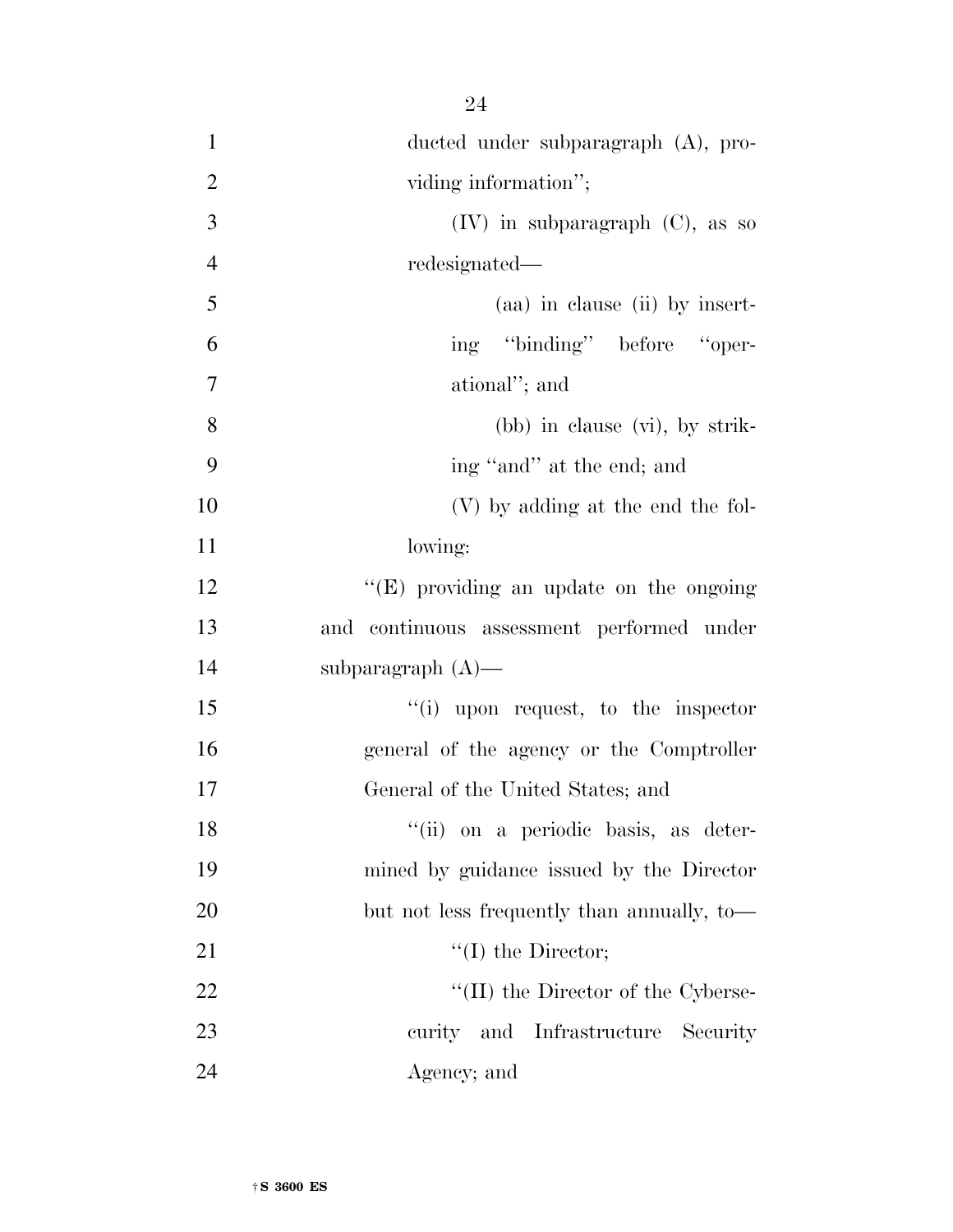| $\mathbf{1}$   | ducted under subparagraph (A), pro-         |
|----------------|---------------------------------------------|
| $\overline{2}$ | viding information";                        |
| 3              | $(IV)$ in subparagraph $(C)$ , as so        |
| $\overline{4}$ | redesignated—                               |
| 5              | (aa) in clause (ii) by insert-              |
| 6              | ing "binding" before "oper-                 |
| 7              | ational"; and                               |
| 8              | $(bb)$ in clause $(vi)$ , by strik-         |
| 9              | ing "and" at the end; and                   |
| 10             | (V) by adding at the end the fol-           |
| 11             | lowing:                                     |
| 12             | "(E) providing an update on the ongoing     |
| 13             | and continuous assessment performed under   |
| 14             | subparagraph $(A)$ —                        |
| 15             | $\lq\lq$ (i) upon request, to the inspector |
| 16             | general of the agency or the Comptroller    |
| 17             | General of the United States; and           |
| 18             | "(ii) on a periodic basis, as deter-        |
| 19             | mined by guidance issued by the Director    |
| 20             | but not less frequently than annually, to-  |
| 21             | $\lq\lq$ (I) the Director;                  |
| 22             | $\lq\lq$ (II) the Director of the Cyberse-  |
| 23             | curity and Infrastructure Security          |
| 24             | Agency; and                                 |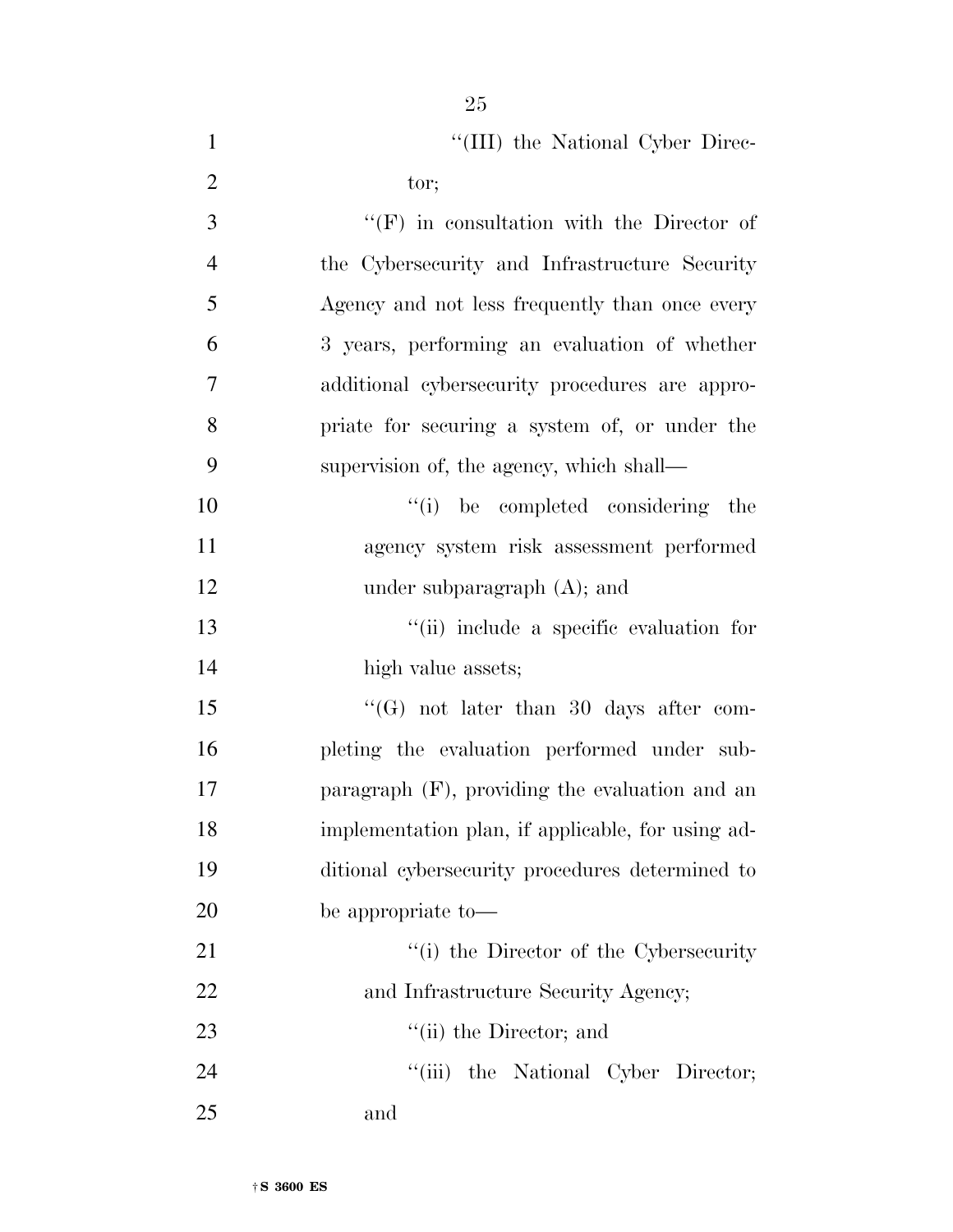| $\mathbf{1}$   | "(III) the National Cyber Direc-                  |
|----------------|---------------------------------------------------|
| $\overline{2}$ | tor;                                              |
| 3              | $\lq\lq(F)$ in consultation with the Director of  |
| $\overline{4}$ | the Cybersecurity and Infrastructure Security     |
| 5              | Agency and not less frequently than once every    |
| 6              | 3 years, performing an evaluation of whether      |
| $\overline{7}$ | additional cybersecurity procedures are appro-    |
| 8              | priate for securing a system of, or under the     |
| 9              | supervision of, the agency, which shall—          |
| 10             | "(i) be completed considering the                 |
| 11             | agency system risk assessment performed           |
| 12             | under subparagraph $(A)$ ; and                    |
| 13             | "(ii) include a specific evaluation for           |
| 14             | high value assets;                                |
| 15             | $\lq\lq(G)$ not later than 30 days after com-     |
| 16             | pleting the evaluation performed under sub-       |
| 17             | paragraph $(F)$ , providing the evaluation and an |
| 18             | implementation plan, if applicable, for using ad- |
| 19             | ditional cybersecurity procedures determined to   |
| 20             | be appropriate to-                                |
| 21             | "(i) the Director of the Cybersecurity            |
| 22             | and Infrastructure Security Agency;               |
| 23             | $\lq\lq$ (ii) the Director; and                   |
| 24             | "(iii) the National Cyber Director;               |
| 25             | and                                               |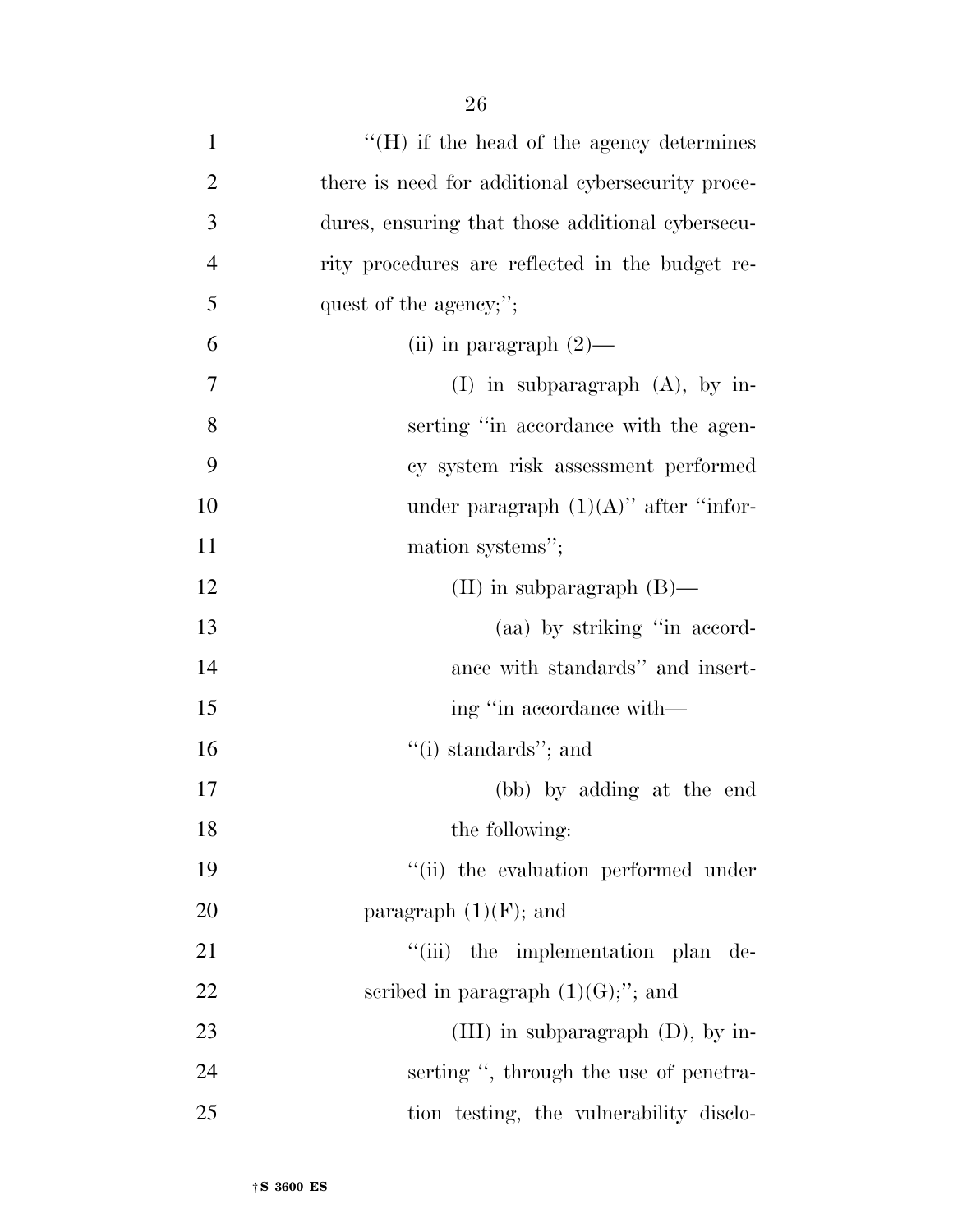| $\mathbf{1}$   | $\lq\lq(H)$ if the head of the agency determines  |
|----------------|---------------------------------------------------|
| $\overline{2}$ | there is need for additional cybersecurity proce- |
| 3              | dures, ensuring that those additional cybersecu-  |
| $\overline{4}$ | rity procedures are reflected in the budget re-   |
| 5              | quest of the agency;";                            |
| 6              | (ii) in paragraph $(2)$ —                         |
| 7              | (I) in subparagraph $(A)$ , by in-                |
| 8              | serting "in accordance with the agen-             |
| 9              | cy system risk assessment performed               |
| 10             | under paragraph $(1)(A)$ " after "infor-          |
| 11             | mation systems";                                  |
| 12             | (II) in subparagraph $(B)$ —                      |
| 13             | (aa) by striking "in accord-                      |
| 14             | ance with standards" and insert-                  |
| 15             | ing "in accordance with—                          |
| 16             | "(i) standards"; and                              |
| 17             | (bb) by adding at the end                         |
| 18             | the following:                                    |
| 19             | "(ii) the evaluation performed under              |
| 20             | paragraph $(1)(F)$ ; and                          |
| 21             | "(iii) the implementation plan de-                |
| 22             | scribed in paragraph $(1)(G);$ "; and             |
| 23             | (III) in subparagraph $(D)$ , by in-              |
| 24             | serting ", through the use of penetra-            |
| 25             | tion testing, the vulnerability disclo-           |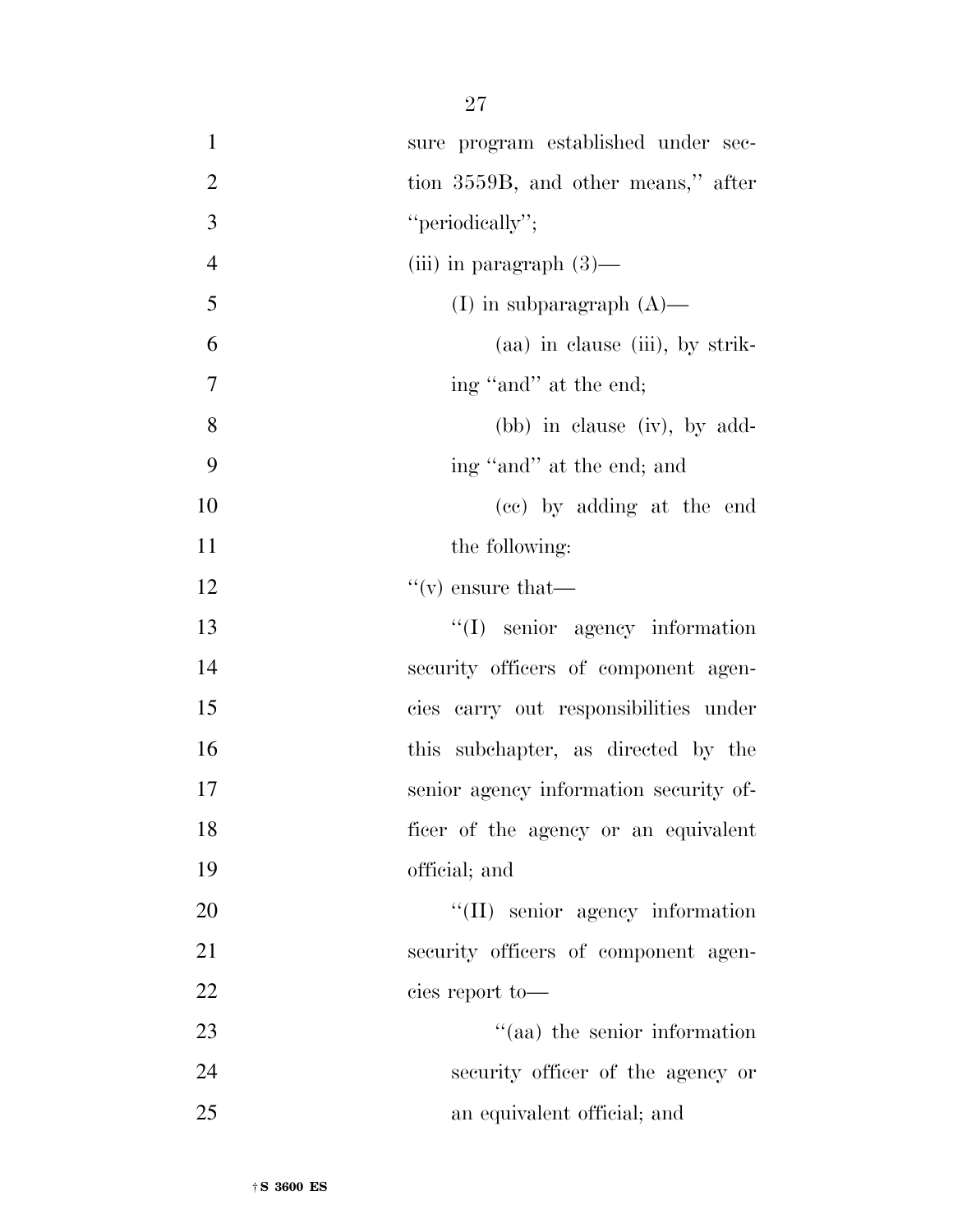| $\mathbf{1}$   | sure program established under sec-     |
|----------------|-----------------------------------------|
| $\overline{2}$ | tion 3559B, and other means," after     |
| 3              | "periodically";                         |
| $\overline{4}$ | (iii) in paragraph $(3)$ —              |
| 5              | (I) in subparagraph $(A)$ —             |
| 6              | (aa) in clause (iii), by strik-         |
| 7              | ing "and" at the end;                   |
| 8              | (bb) in clause (iv), by add-            |
| 9              | ing "and" at the end; and               |
| 10             | (cc) by adding at the end               |
| 11             | the following:                          |
| 12             | $\mathfrak{t}(\mathbf{v})$ ensure that— |
| 13             | $\lq\lq$ senior agency information      |
| 14             | security officers of component agen-    |
| 15             | cies carry out responsibilities under   |
| 16             | this subchapter, as directed by the     |
| 17             | senior agency information security of-  |
| 18             | ficer of the agency or an equivalent    |
| 19             | official; and                           |
| 20             | "(II) senior agency information         |
| 21             | security officers of component agen-    |
| 22             | cies report to-                         |
| 23             | "(aa) the senior information            |
| 24             | security officer of the agency or       |
| 25             | an equivalent official; and             |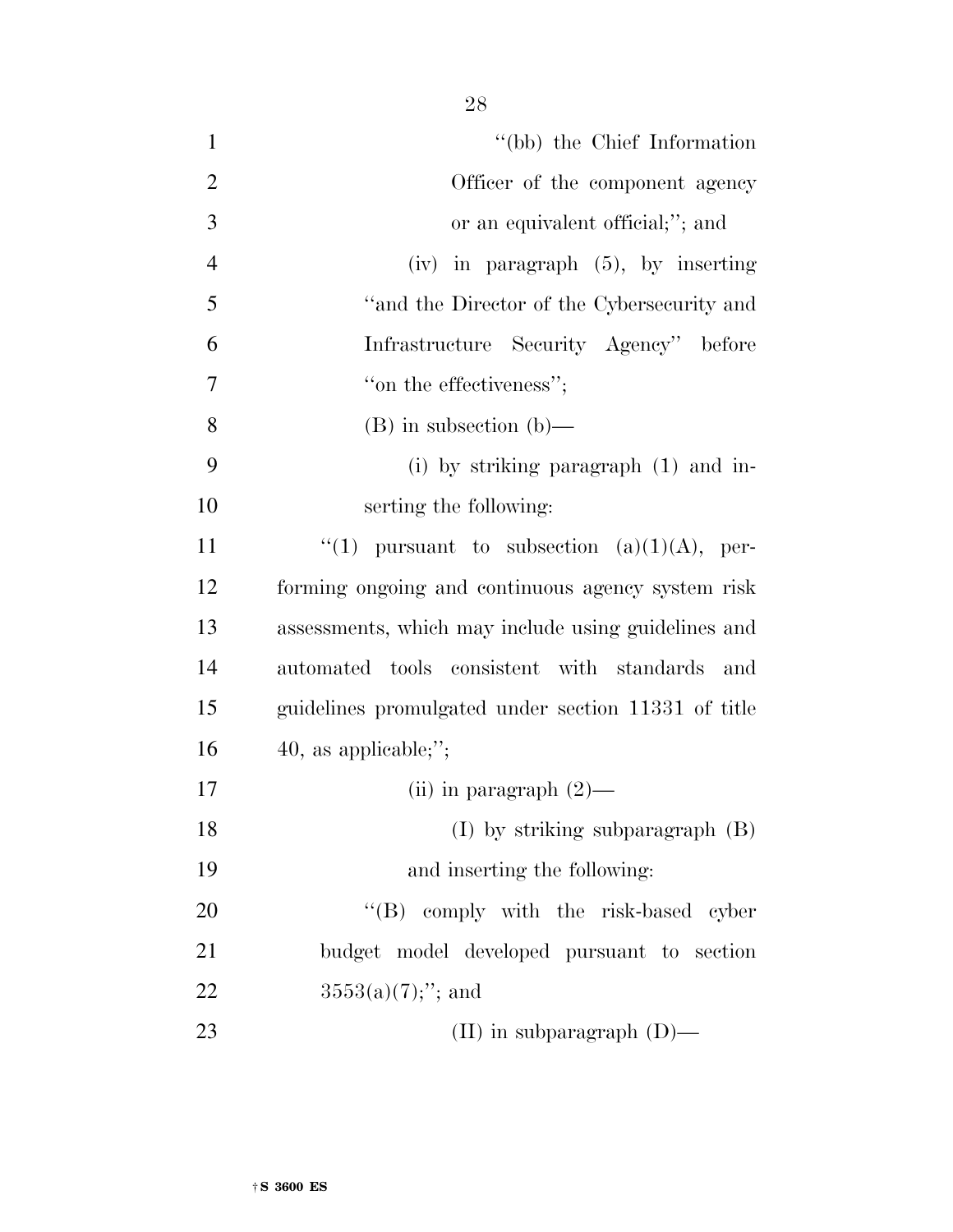| $\mathbf{1}$   | "(bb) the Chief Information                         |
|----------------|-----------------------------------------------------|
| $\overline{2}$ | Officer of the component agency                     |
| 3              | or an equivalent official;"; and                    |
| $\overline{4}$ | $(iv)$ in paragraph $(5)$ , by inserting            |
| 5              | "and the Director of the Cybersecurity and          |
| 6              | Infrastructure Security Agency" before              |
| 7              | "on the effectiveness";                             |
| 8              | $(B)$ in subsection $(b)$ —                         |
| 9              | (i) by striking paragraph $(1)$ and in-             |
| 10             | serting the following:                              |
| 11             | "(1) pursuant to subsection $(a)(1)(A)$ , per-      |
| 12             | forming ongoing and continuous agency system risk   |
| 13             | assessments, which may include using guidelines and |
| 14             | automated tools consistent with standards<br>and    |
| 15             | guidelines promulgated under section 11331 of title |
| 16             | 40, as applicable;";                                |
| 17             | (ii) in paragraph $(2)$ —                           |
| 18             | $(I)$ by striking subparagraph $(B)$                |
| 19             | and inserting the following:                        |
| 20             | "(B) comply with the risk-based cyber               |
| 21             | budget model developed pursuant to section          |
| 22             | $3553(a)(7);$ "; and                                |
| 23             | (II) in subparagraph $(D)$ —                        |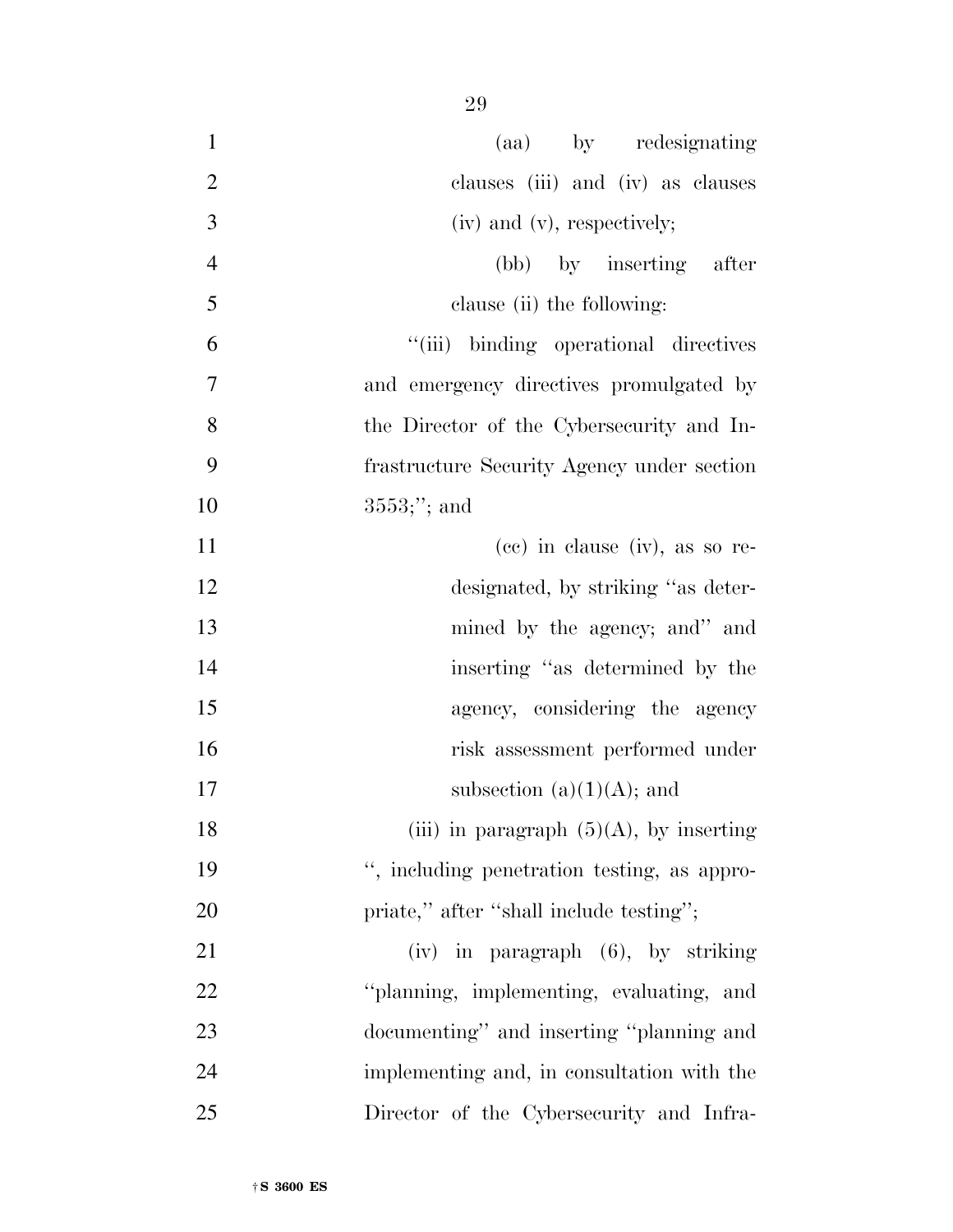| $\mathbf{1}$<br>(aa) by redesignating               |  |
|-----------------------------------------------------|--|
| $\overline{2}$<br>clauses (iii) and (iv) as clauses |  |
| 3<br>$(iv)$ and $(v)$ , respectively;               |  |
| $\overline{4}$<br>(bb) by inserting after           |  |
| 5<br>clause (ii) the following:                     |  |
| 6<br>"(iii) binding operational directives          |  |
| $\tau$<br>and emergency directives promulgated by   |  |
| 8<br>the Director of the Cybersecurity and In-      |  |
| 9<br>frastructure Security Agency under section     |  |
| 10<br>$3553;$ "; and                                |  |
| 11<br>$(ce)$ in clause $(iv)$ , as so re-           |  |
| 12<br>designated, by striking "as deter-            |  |
| 13<br>mined by the agency; and" and                 |  |
| 14<br>inserting "as determined by the               |  |
| 15<br>agency, considering the agency                |  |
| 16<br>risk assessment performed under               |  |
| 17<br>subsection $(a)(1)(A)$ ; and                  |  |
| (iii) in paragraph $(5)(A)$ , by inserting<br>18    |  |
| 19<br>", including penetration testing, as appro-   |  |
| 20<br>priate," after "shall include testing";       |  |
| 21<br>$(iv)$ in paragraph $(6)$ , by striking       |  |
| 22<br>"planning, implementing, evaluating, and      |  |
| 23<br>documenting" and inserting "planning and      |  |
| 24<br>implementing and, in consultation with the    |  |
| 25<br>Director of the Cybersecurity and Infra-      |  |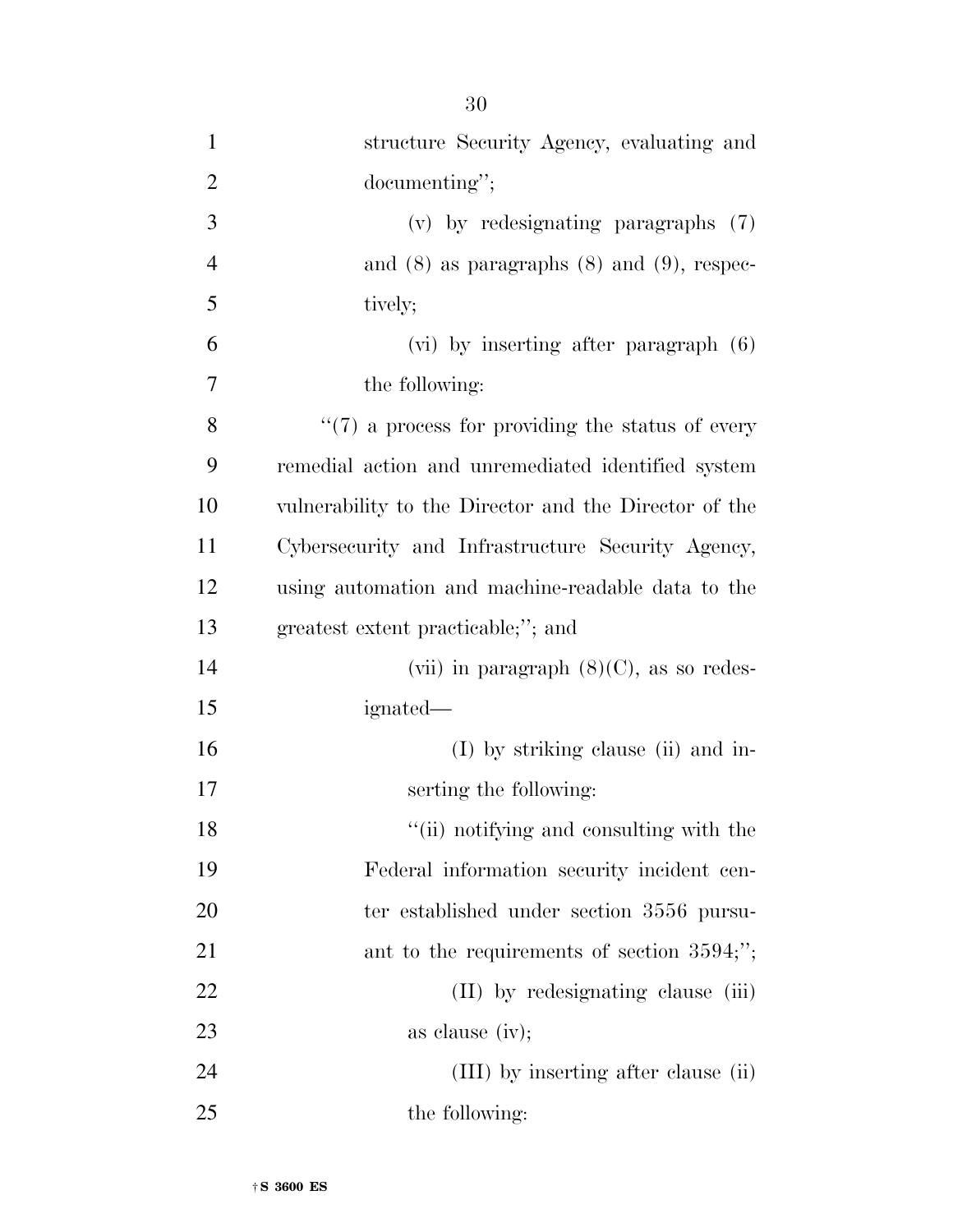| $\mathbf{1}$   | structure Security Agency, evaluating and             |
|----------------|-------------------------------------------------------|
| $\overline{2}$ | documenting";                                         |
| 3              | $(v)$ by redesignating paragraphs $(7)$               |
| $\overline{4}$ | and $(8)$ as paragraphs $(8)$ and $(9)$ , respec-     |
| 5              | tively;                                               |
| 6              | $(vi)$ by inserting after paragraph $(6)$             |
| 7              | the following:                                        |
| 8              | $\lq(7)$ a process for providing the status of every  |
| 9              | remedial action and unremediated identified system    |
| 10             | vulnerability to the Director and the Director of the |
| 11             | Cybersecurity and Infrastructure Security Agency,     |
| 12             | using automation and machine-readable data to the     |
| 13             | greatest extent practicable;"; and                    |
| 14             | (vii) in paragraph $(8)(C)$ , as so redes-            |
| 15             | ignated—                                              |
| 16             | (I) by striking clause (ii) and in-                   |
| 17             | serting the following:                                |
| 18             | "(ii) notifying and consulting with the               |
| 19             | Federal information security incident cen-            |
| 20             | ter established under section 3556 pursu-             |
| 21             | ant to the requirements of section $3594;$ ";         |
| <u>22</u>      | (II) by redesignating clause (iii)                    |
| 23             | as clause $(iv);$                                     |
| 24             | (III) by inserting after clause (ii)                  |
| 25             | the following:                                        |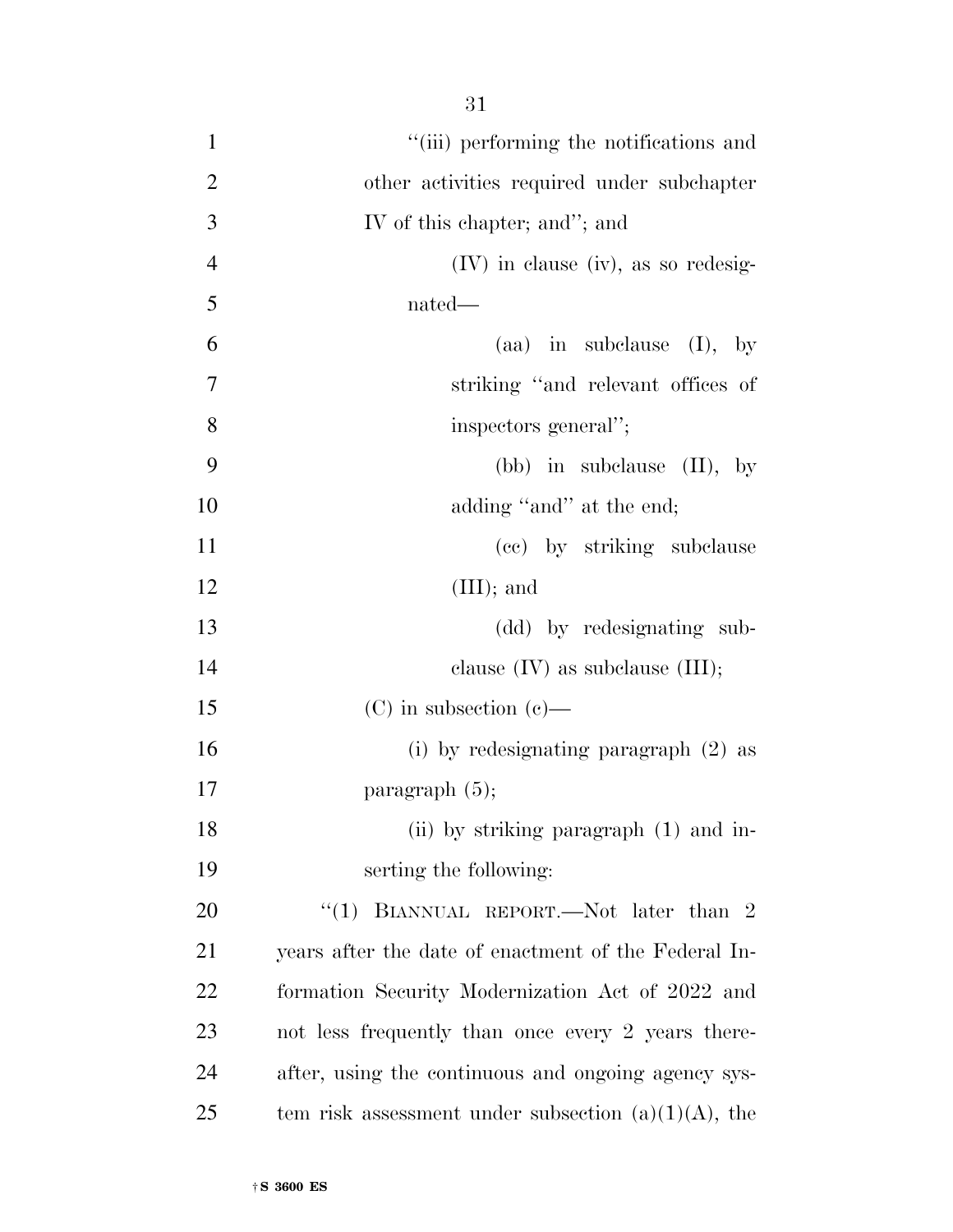| $\mathbf{1}$   | "(iii) performing the notifications and                |
|----------------|--------------------------------------------------------|
| $\overline{2}$ | other activities required under subchapter             |
| 3              | IV of this chapter; and"; and                          |
| $\overline{4}$ | $(IV)$ in clause (iv), as so redesig-                  |
| 5              | nated—                                                 |
| 6              | (aa) in subclause $(I)$ , by                           |
| 7              | striking "and relevant offices of                      |
| 8              | inspectors general";                                   |
| 9              | (bb) in subclause $(II)$ , by                          |
| 10             | adding "and" at the end;                               |
| 11             | (cc) by striking subclause                             |
| 12             | $(III);$ and                                           |
| 13             | (dd) by redesignating sub-                             |
| 14             | clause $(IV)$ as subclause $(III);$                    |
| 15             | $(C)$ in subsection $(e)$ —                            |
| 16             | (i) by redesignating paragraph $(2)$ as                |
| 17             | paragraph $(5)$ ;                                      |
| 18             | (ii) by striking paragraph (1) and in-                 |
| 19             | serting the following:                                 |
| 20             | "(1) BIANNUAL REPORT.—Not later than 2                 |
| 21             | years after the date of enactment of the Federal In-   |
| 22             | formation Security Modernization Act of 2022 and       |
| 23             | not less frequently than once every 2 years there-     |
| 24             | after, using the continuous and ongoing agency sys-    |
| 25             | tem risk assessment under subsection $(a)(1)(A)$ , the |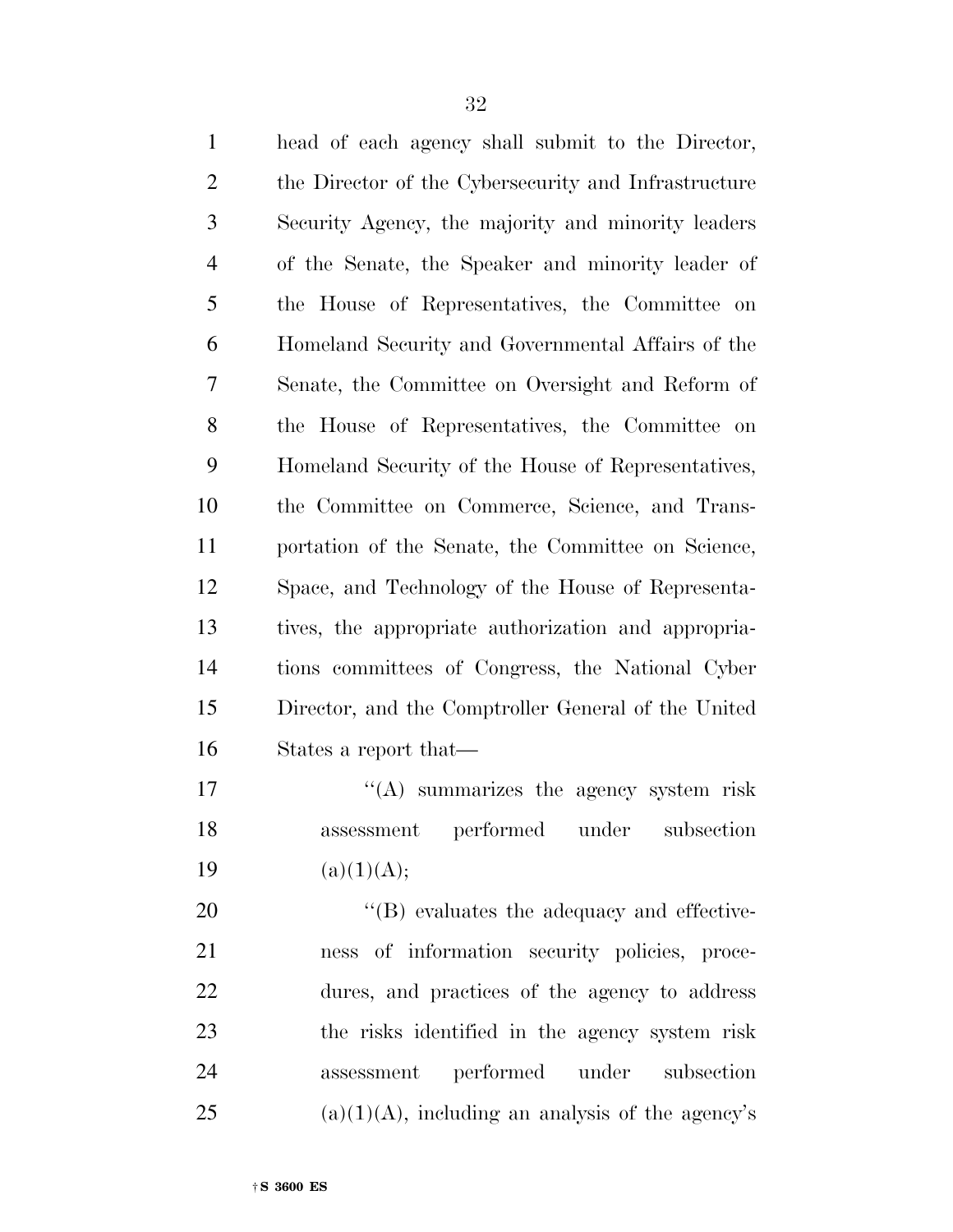| $\mathbf{1}$   | head of each agency shall submit to the Director,    |
|----------------|------------------------------------------------------|
| $\overline{2}$ | the Director of the Cybersecurity and Infrastructure |
| 3              | Security Agency, the majority and minority leaders   |
| $\overline{4}$ | of the Senate, the Speaker and minority leader of    |
| 5              | the House of Representatives, the Committee on       |
| 6              | Homeland Security and Governmental Affairs of the    |
| 7              | Senate, the Committee on Oversight and Reform of     |
| 8              | the House of Representatives, the Committee on       |
| 9              | Homeland Security of the House of Representatives,   |
| 10             | the Committee on Commerce, Science, and Trans-       |
| 11             | portation of the Senate, the Committee on Science,   |
| 12             | Space, and Technology of the House of Representa-    |
| 13             | tives, the appropriate authorization and appropria-  |
| 14             | tions committees of Congress, the National Cyber     |
| 15             | Director, and the Comptroller General of the United  |
| 16             | States a report that—                                |
| 17             | $\lq\lq$ summarizes the agency system risk           |
| 18             | assessment performed under subsection                |
| 19             | (a)(1)(A);                                           |
| 20             | $\lq\lq$ evaluates the adequacy and effective-       |
| 21             | ness of information security policies, proce-        |
| 22             | dures, and practices of the agency to address        |
|                |                                                      |

 the risks identified in the agency system risk assessment performed under subsection

25 (a)(1)(A), including an analysis of the agency's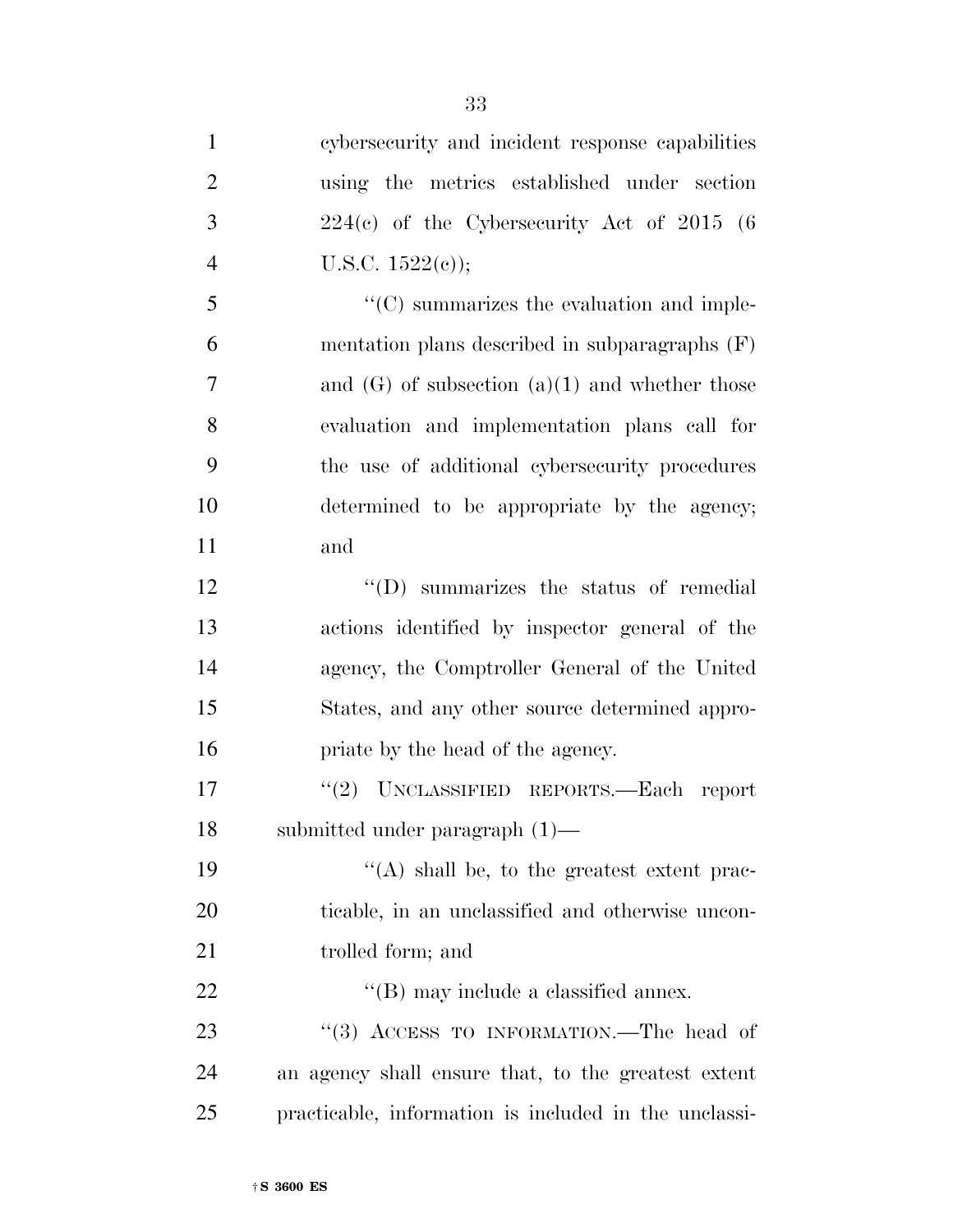cybersecurity and incident response capabilities using the metrics established under section  $3 \qquad 224(c)$  of the Cybersecurity Act of 2015 (6) 4 U.S.C.  $1522(e)$ ; ''(C) summarizes the evaluation and imple- mentation plans described in subparagraphs (F) 7 and (G) of subsection (a)(1) and whether those evaluation and implementation plans call for the use of additional cybersecurity procedures determined to be appropriate by the agency; and 12 ''(D) summarizes the status of remedial actions identified by inspector general of the agency, the Comptroller General of the United States, and any other source determined appro-**priate by the head of the agency.**  ''(2) UNCLASSIFIED REPORTS.—Each report submitted under paragraph (1)—  $\langle (A) \rangle$  shall be, to the greatest extent prac- ticable, in an unclassified and otherwise uncon-21 trolled form; and  $\text{``(B)}$  may include a classified annex. 23 "(3) ACCESS TO INFORMATION.—The head of an agency shall ensure that, to the greatest extent practicable, information is included in the unclassi-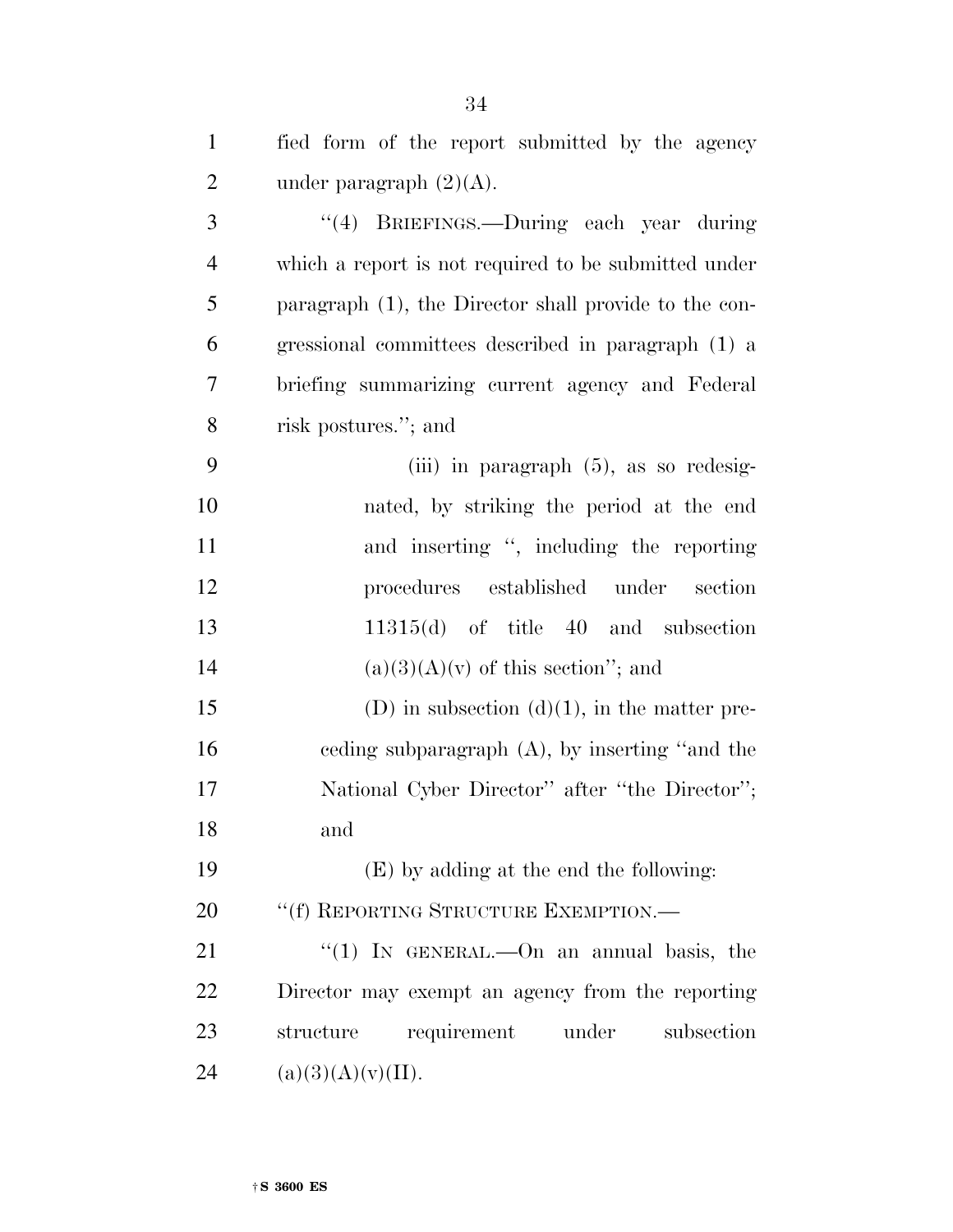| $\mathbf{1}$   | fied form of the report submitted by the agency       |
|----------------|-------------------------------------------------------|
| $\overline{2}$ | under paragraph $(2)(A)$ .                            |
| 3              | "(4) BRIEFINGS.—During each year during               |
| $\overline{4}$ | which a report is not required to be submitted under  |
| 5              | paragraph (1), the Director shall provide to the con- |
| 6              | gressional committees described in paragraph (1) a    |
| 7              | briefing summarizing current agency and Federal       |
| 8              | risk postures."; and                                  |
| 9              | (iii) in paragraph $(5)$ , as so redesig-             |
| 10             | nated, by striking the period at the end              |
| 11             | and inserting ", including the reporting              |
| 12             | procedures established under<br>section               |
| 13             | $11315(d)$ of title 40 and subsection                 |
| 14             | $(a)(3)(A)(v)$ of this section"; and                  |
| 15             | (D) in subsection (d)(1), in the matter pre-          |
| 16             | ceding subparagraph $(A)$ , by inserting "and the     |
| 17             | National Cyber Director" after "the Director";        |
| 18             | and                                                   |
| 19             | (E) by adding at the end the following:               |
| 20             | "(f) REPORTING STRUCTURE EXEMPTION.—                  |
| 21             | "(1) IN GENERAL.—On an annual basis, the              |
| 22             | Director may exempt an agency from the reporting      |
| 23             | requirement<br>under<br>subsection<br>structure       |
| 24             | (a)(3)(A)(v)(II).                                     |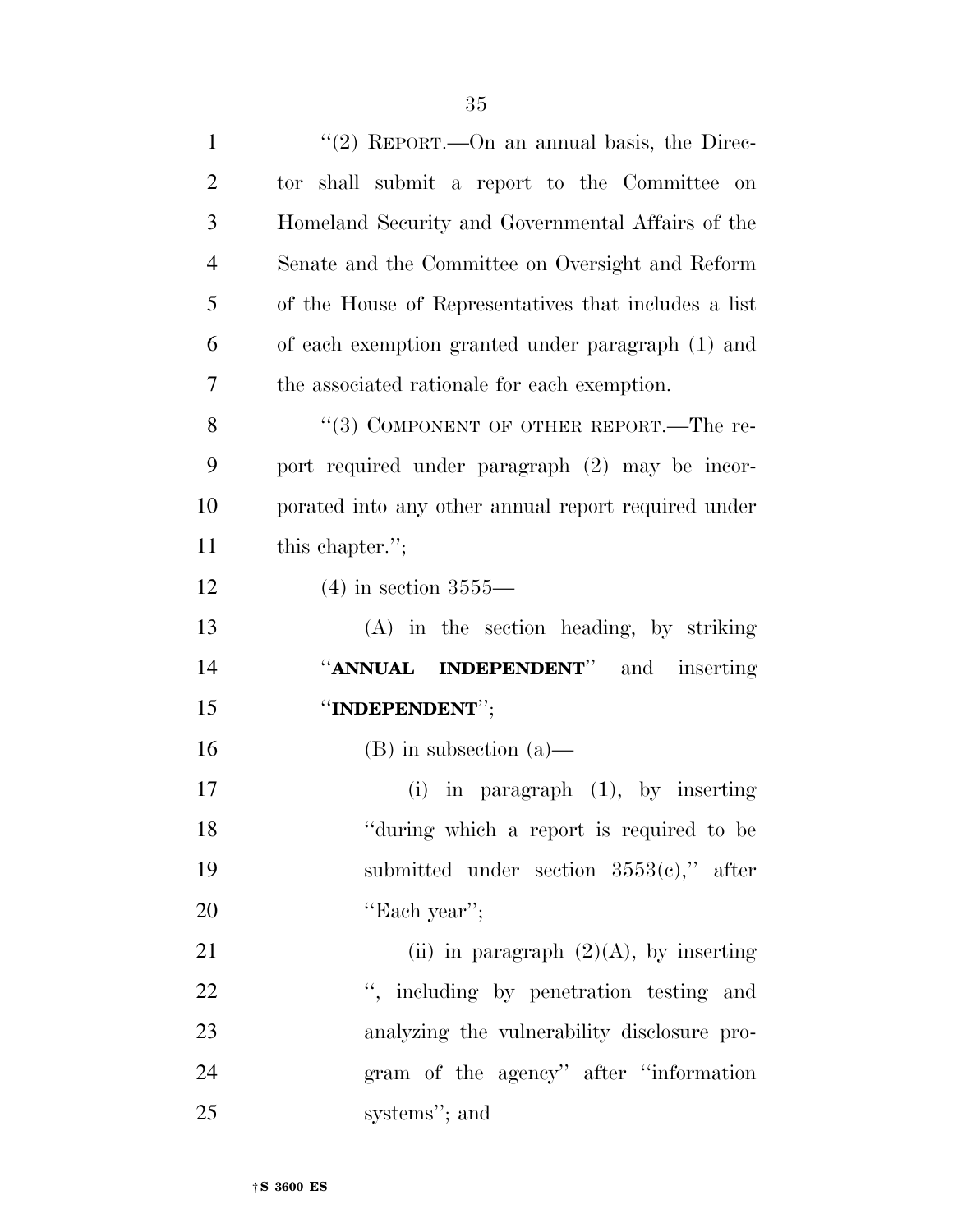| $\mathbf{1}$   | "(2) REPORT.—On an annual basis, the Direc-          |
|----------------|------------------------------------------------------|
| $\overline{2}$ | tor shall submit a report to the Committee<br>on     |
| 3              | Homeland Security and Governmental Affairs of the    |
| $\overline{4}$ | Senate and the Committee on Oversight and Reform     |
| 5              | of the House of Representatives that includes a list |
| 6              | of each exemption granted under paragraph (1) and    |
| 7              | the associated rationale for each exemption.         |
| 8              | "(3) COMPONENT OF OTHER REPORT.—The re-              |
| 9              | port required under paragraph (2) may be incor-      |
| 10             | porated into any other annual report required under  |
| 11             | this chapter.";                                      |
| 12             | $(4)$ in section 3555—                               |
| 13             | (A) in the section heading, by striking              |
| 14             | "ANNUAL INDEPENDENT" and inserting                   |
| 15             | "INDEPENDENT";                                       |
| 16             | $(B)$ in subsection $(a)$ —                          |
| 17             | $(i)$ in paragraph $(1)$ , by inserting              |
| 18             | "during which a report is required to be             |
| 19             | submitted under section $3553(e)$ ," after           |
| 20             | "Each year";                                         |
| 21             | (ii) in paragraph $(2)(A)$ , by inserting            |
| 22             | ", including by penetration testing and              |
| 23             | analyzing the vulnerability disclosure pro-          |
| 24             | gram of the agency" after "information               |
| 25             | systems"; and                                        |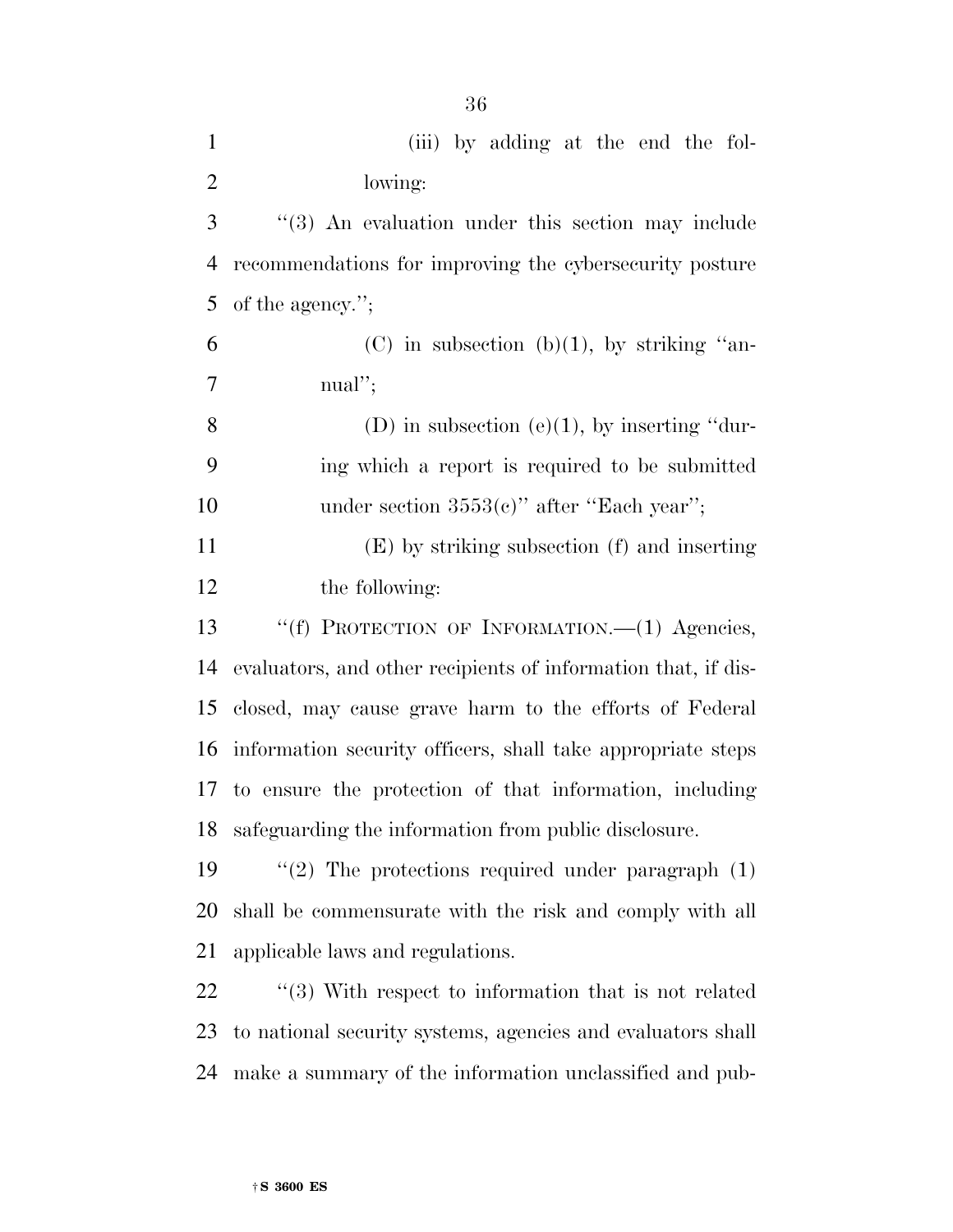| $\mathbf{1}$   | (iii) by adding at the end the fol-                           |
|----------------|---------------------------------------------------------------|
| $\mathbf{2}$   | lowing:                                                       |
| 3              | "(3) An evaluation under this section may include             |
| $\overline{4}$ | recommendations for improving the cybersecurity posture       |
| 5              | of the agency.";                                              |
| 6              | (C) in subsection (b)(1), by striking "an-                    |
| 7              | $\text{m}\text{a}$ !";                                        |
| $8\,$          | (D) in subsection (e)(1), by inserting "dur-                  |
| 9              | ing which a report is required to be submitted                |
| 10             | under section $3553(c)$ " after "Each year";                  |
| 11             | (E) by striking subsection (f) and inserting                  |
| 12             | the following:                                                |
| 13             | "(f) PROTECTION OF INFORMATION.—(1) Agencies,                 |
| 14             | evaluators, and other recipients of information that, if dis- |
| 15             | closed, may cause grave harm to the efforts of Federal        |
| 16             | information security officers, shall take appropriate steps   |
| 17             | to ensure the protection of that information, including       |
|                | 18 safeguarding the information from public disclosure.       |
| 19             | " $(2)$ The protections required under paragraph $(1)$        |
| 20             | shall be commensurate with the risk and comply with all       |
| 21             | applicable laws and regulations.                              |
| 22             | $\cdot$ (3) With respect to information that is not related   |
|                |                                                               |

 to national security systems, agencies and evaluators shall make a summary of the information unclassified and pub-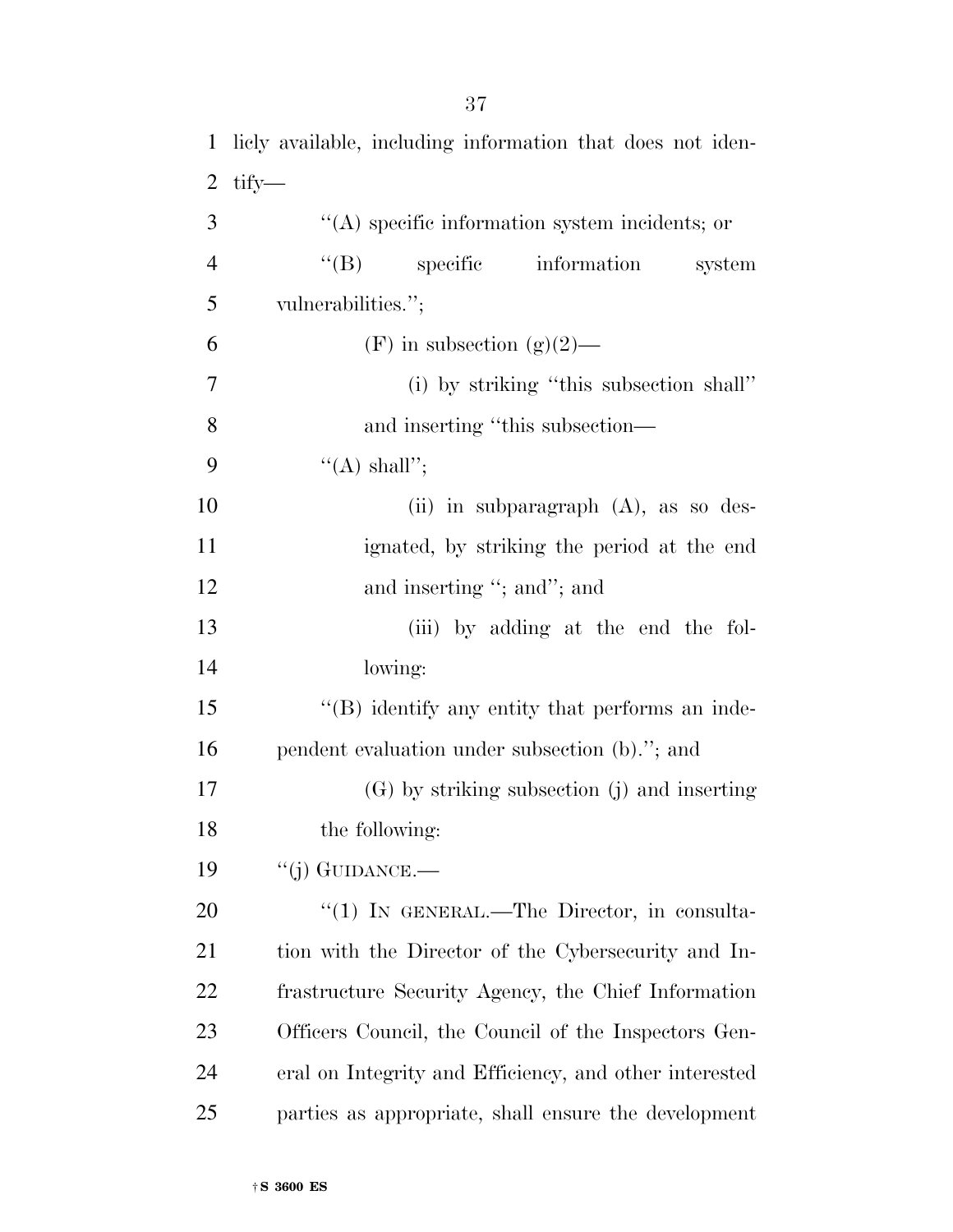| $\mathbf{1}$   | licly available, including information that does not iden- |
|----------------|------------------------------------------------------------|
| $\overline{2}$ | tify—                                                      |
| 3              | $\lq\lq$ specific information system incidents; or         |
| $\overline{4}$ | $\lq\lq (B)$<br>specific information<br>system             |
| 5              | vulnerabilities.";                                         |
| 6              | (F) in subsection (g)(2)—                                  |
| 7              | (i) by striking "this subsection shall"                    |
| 8              | and inserting "this subsection—                            |
| 9              | $\lq\lq$ shall";                                           |
| 10             | (ii) in subparagraph $(A)$ , as so des-                    |
| 11             | ignated, by striking the period at the end                 |
| 12             | and inserting "; and"; and                                 |
| 13             | (iii) by adding at the end the fol-                        |
| 14             | lowing:                                                    |
| 15             | $\lq\lq$ identify any entity that performs an inde-        |
| 16             | pendent evaluation under subsection (b)."; and             |
| 17             | $(G)$ by striking subsection (j) and inserting             |
| 18             | the following:                                             |
| 19             | $``(j)$ GUIDANCE.—                                         |
| 20             | "(1) IN GENERAL.—The Director, in consulta-                |
| 21             | tion with the Director of the Cybersecurity and In-        |
| <u>22</u>      | frastructure Security Agency, the Chief Information        |
| 23             | Officers Council, the Council of the Inspectors Gen-       |
| 24             | eral on Integrity and Efficiency, and other interested     |
| 25             | parties as appropriate, shall ensure the development       |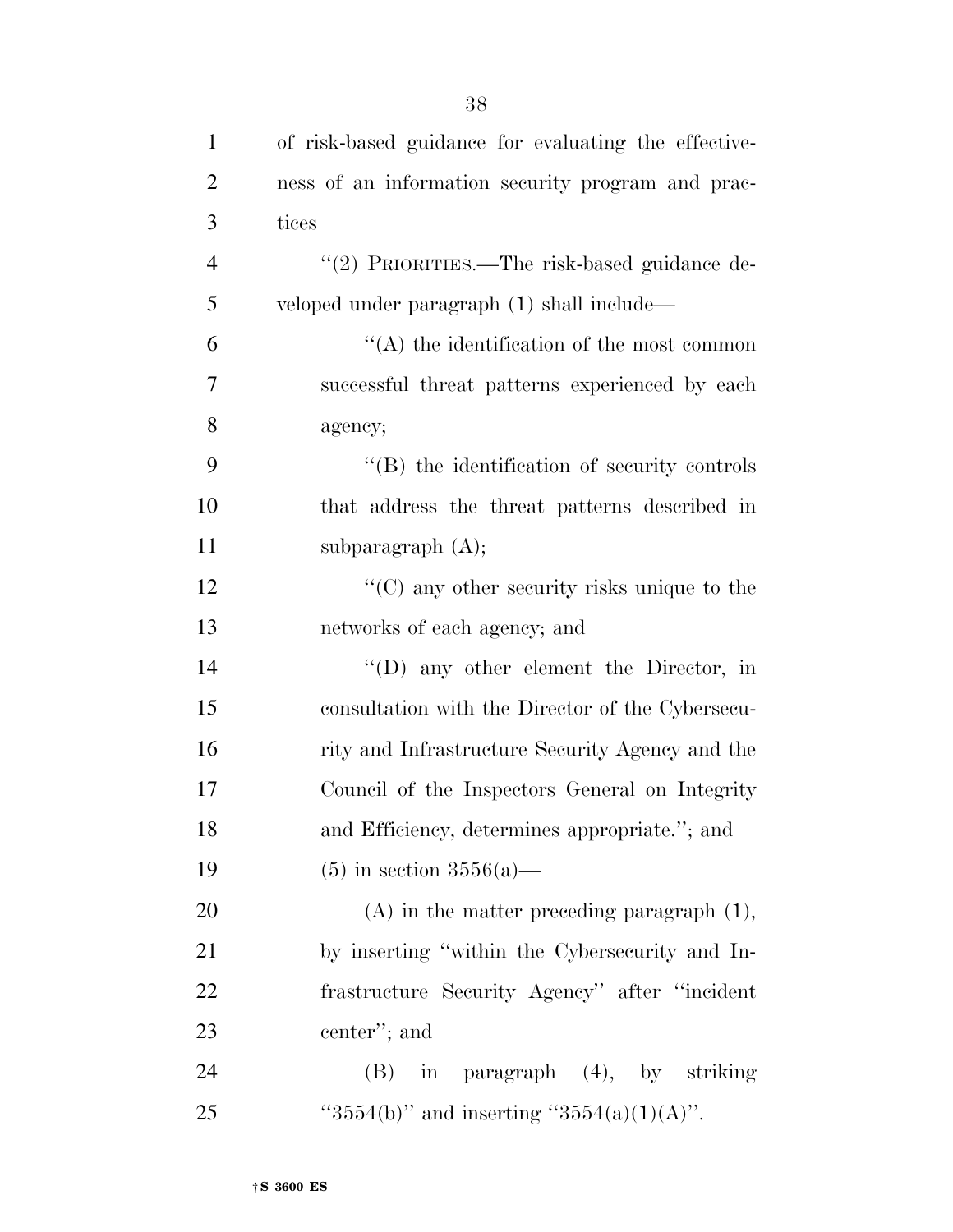| $\mathbf{1}$   | of risk-based guidance for evaluating the effective- |
|----------------|------------------------------------------------------|
| $\overline{2}$ | ness of an information security program and prac-    |
| 3              | tices                                                |
| $\overline{4}$ | "(2) PRIORITIES.—The risk-based guidance de-         |
| 5              | veloped under paragraph (1) shall include—           |
| 6              | $\cdot$ (A) the identification of the most common    |
| 7              | successful threat patterns experienced by each       |
| 8              | agency;                                              |
| 9              | $\lq\lq$ the identification of security controls     |
| 10             | that address the threat patterns described in        |
| 11             | subparagraph $(A)$ ;                                 |
| 12             | $\cdot$ (C) any other security risks unique to the   |
| 13             | networks of each agency; and                         |
| 14             | "(D) any other element the Director, in              |
| 15             | consultation with the Director of the Cybersecu-     |
| 16             | rity and Infrastructure Security Agency and the      |
| 17             | Council of the Inspectors General on Integrity       |
| 18             | and Efficiency, determines appropriate."; and        |
| 19             | $(5)$ in section 3556(a)—                            |
| 20             | $(A)$ in the matter preceding paragraph $(1)$ ,      |
| 21             | by inserting "within the Cybersecurity and In-       |
| 22             | frastructure Security Agency" after "incident"       |
| 23             | center"; and                                         |
| 24             | in paragraph (4), by striking<br>(B)                 |
| 25             | "3554(b)" and inserting "3554(a)(1)(A)".             |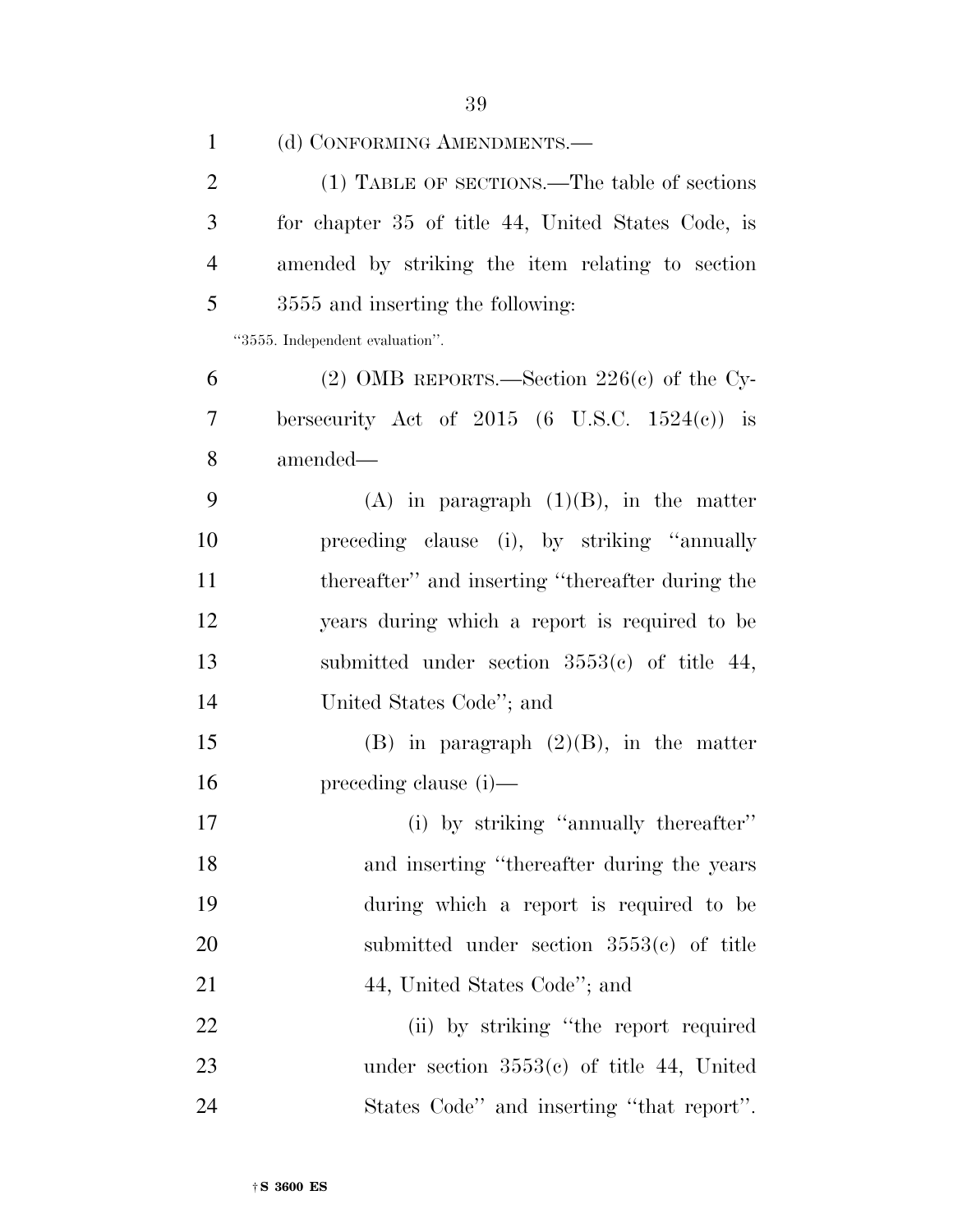| $\mathbf{1}$   | (d) CONFORMING AMENDMENTS.-                        |
|----------------|----------------------------------------------------|
| $\overline{2}$ | (1) TABLE OF SECTIONS.—The table of sections       |
| 3              | for chapter 35 of title 44, United States Code, is |
| $\overline{4}$ | amended by striking the item relating to section   |
| 5              | 3555 and inserting the following:                  |
|                | "3555. Independent evaluation".                    |
| 6              | (2) OMB REPORTS.—Section $226(c)$ of the Cy-       |
| 7              | bersecurity Act of $2015$ (6 U.S.C. $1524(c)$ ) is |
| 8              | amended—                                           |
| 9              | $(A)$ in paragraph $(1)(B)$ , in the matter        |
| 10             | preceding clause (i), by striking "annually        |
| 11             | thereafter" and inserting "thereafter during the   |
| 12             | years during which a report is required to be      |
| 13             | submitted under section $3553(c)$ of title 44,     |
| 14             | United States Code"; and                           |
| 15             | $(B)$ in paragraph $(2)(B)$ , in the matter        |
| 16             | $preceding clause (i)$ —                           |
| 17             | (i) by striking "annually thereafter"              |
| 18             | and inserting "thereafter during the years"        |
| 19             | during which a report is required to be            |
| 20             | submitted under section $3553(c)$ of title         |
| 21             | 44, United States Code"; and                       |
| 22             | (ii) by striking "the report required              |
| 23             | under section $3553(c)$ of title 44, United        |
| 24             | States Code" and inserting "that report".          |
|                |                                                    |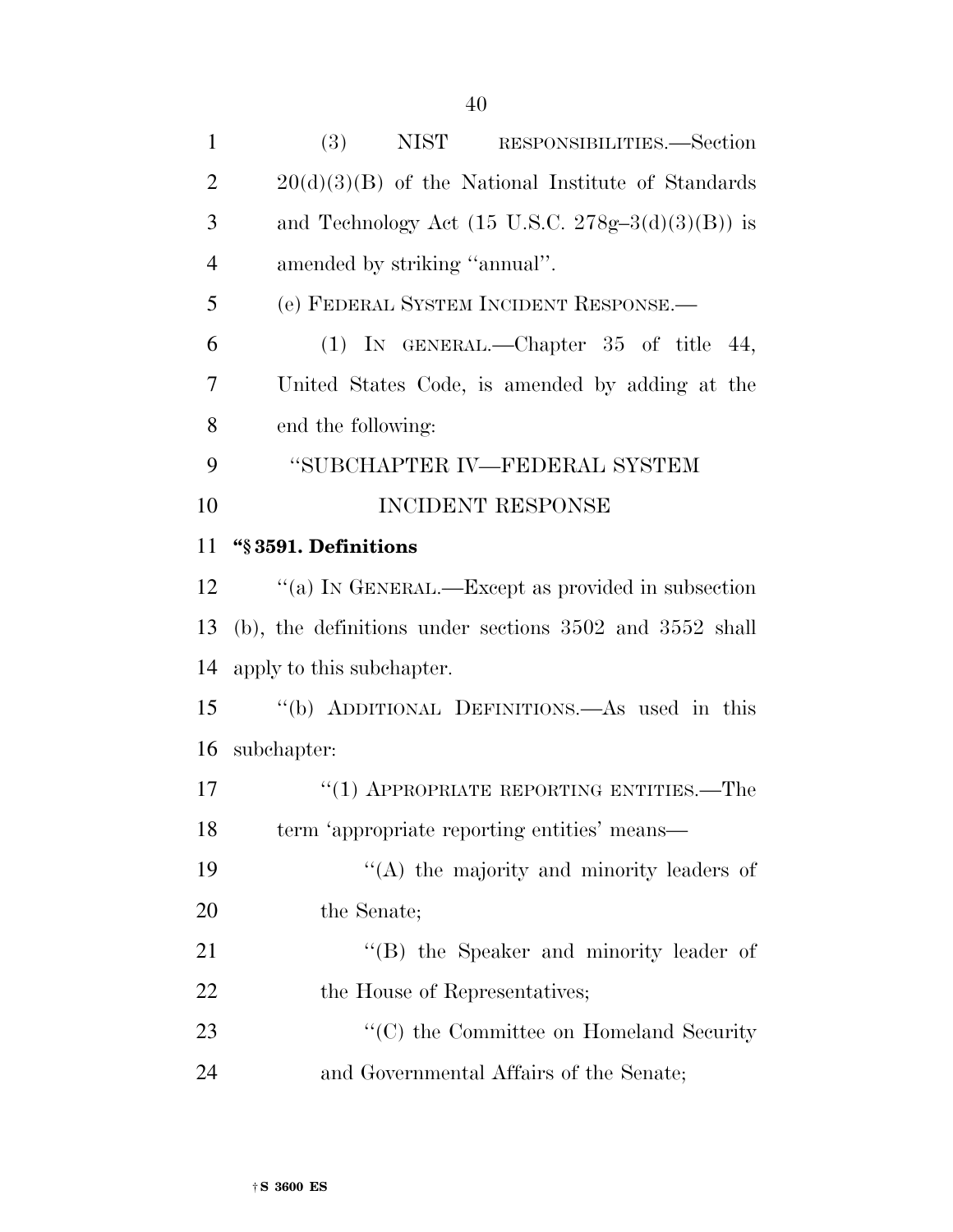| $\mathbf{1}$   | (3)<br>NIST RESPONSIBILITIES.—Section                        |
|----------------|--------------------------------------------------------------|
| $\overline{2}$ | $20(d)(3)(B)$ of the National Institute of Standards         |
| 3              | and Technology Act $(15 \text{ U.S.C. } 278g-3(d)(3)(B))$ is |
| $\overline{4}$ | amended by striking "annual".                                |
| 5              | (e) FEDERAL SYSTEM INCIDENT RESPONSE.                        |
| 6              | (1) IN GENERAL.—Chapter $35$ of title 44,                    |
| 7              | United States Code, is amended by adding at the              |
| 8              | end the following:                                           |
| 9              | "SUBCHAPTER IV—FEDERAL SYSTEM                                |
| 10             | INCIDENT RESPONSE                                            |
| 11             | "§3591. Definitions                                          |
| 12             | "(a) IN GENERAL.—Except as provided in subsection            |
| 13             | $(b)$ , the definitions under sections 3502 and 3552 shall   |
| 14             | apply to this subchapter.                                    |
| 15             | "(b) ADDITIONAL DEFINITIONS.—As used in this                 |
| 16             | subchapter:                                                  |
| 17             | $\cdot$ (1) APPROPRIATE REPORTING ENTITIES.—The              |
| 18             | term 'appropriate reporting entities' means—                 |
| 19             | "(A) the majority and minority leaders of                    |
| 20             | the Senate;                                                  |
| 21             | "(B) the Speaker and minority leader of                      |
| 22             | the House of Representatives;                                |
| 23             | "(C) the Committee on Homeland Security                      |
| 24             | and Governmental Affairs of the Senate;                      |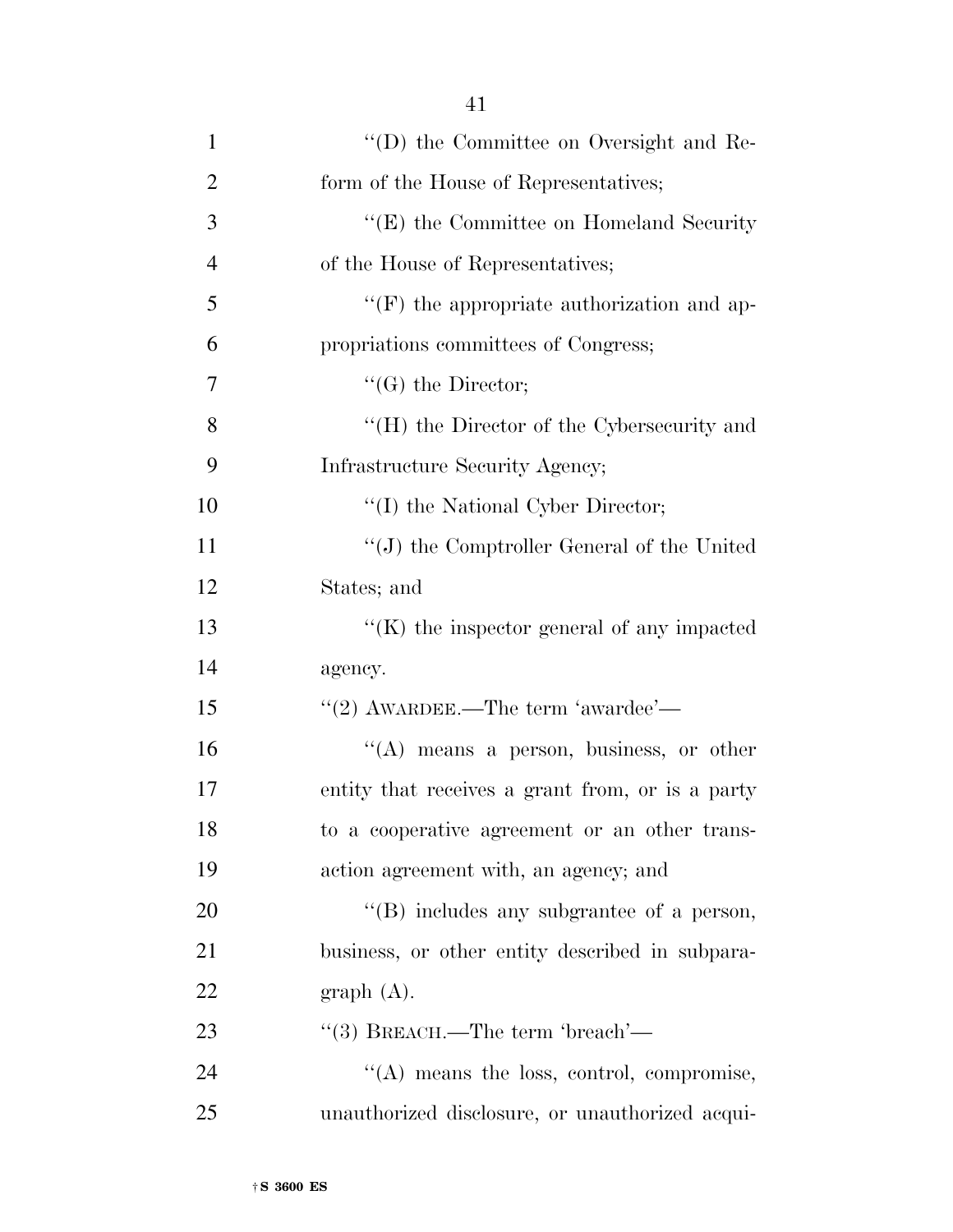| $\mathbf{1}$   | "(D) the Committee on Oversight and Re-            |
|----------------|----------------------------------------------------|
| $\overline{2}$ | form of the House of Representatives;              |
| 3              | "(E) the Committee on Homeland Security            |
| $\overline{4}$ | of the House of Representatives;                   |
| 5              | $\lq\lq(F)$ the appropriate authorization and ap-  |
| 6              | propriations committees of Congress;               |
| 7              | $\lq\lq(G)$ the Director;                          |
| 8              | "(H) the Director of the Cybersecurity and         |
| 9              | Infrastructure Security Agency;                    |
| 10             | "(I) the National Cyber Director;                  |
| 11             | $``(J)$ the Comptroller General of the United      |
| 12             | States; and                                        |
| 13             | $\lq\lq$ (K) the inspector general of any impacted |
| 14             | agency.                                            |
| 15             | $"$ (2) AWARDEE.—The term 'awardee'—               |
| 16             | "(A) means a person, business, or other            |
| 17             | entity that receives a grant from, or is a party   |
| 18             | to a cooperative agreement or an other trans-      |
| 19             | action agreement with, an agency; and              |
| 20             | "(B) includes any subgrantee of a person,          |
| 21             | business, or other entity described in subpara-    |
| 22             | graph(A).                                          |
| 23             | "(3) BREACH.—The term 'breach'—                    |
| 24             | $\lq\lq$ means the loss, control, compromise,      |
| 25             | unauthorized disclosure, or unauthorized acqui-    |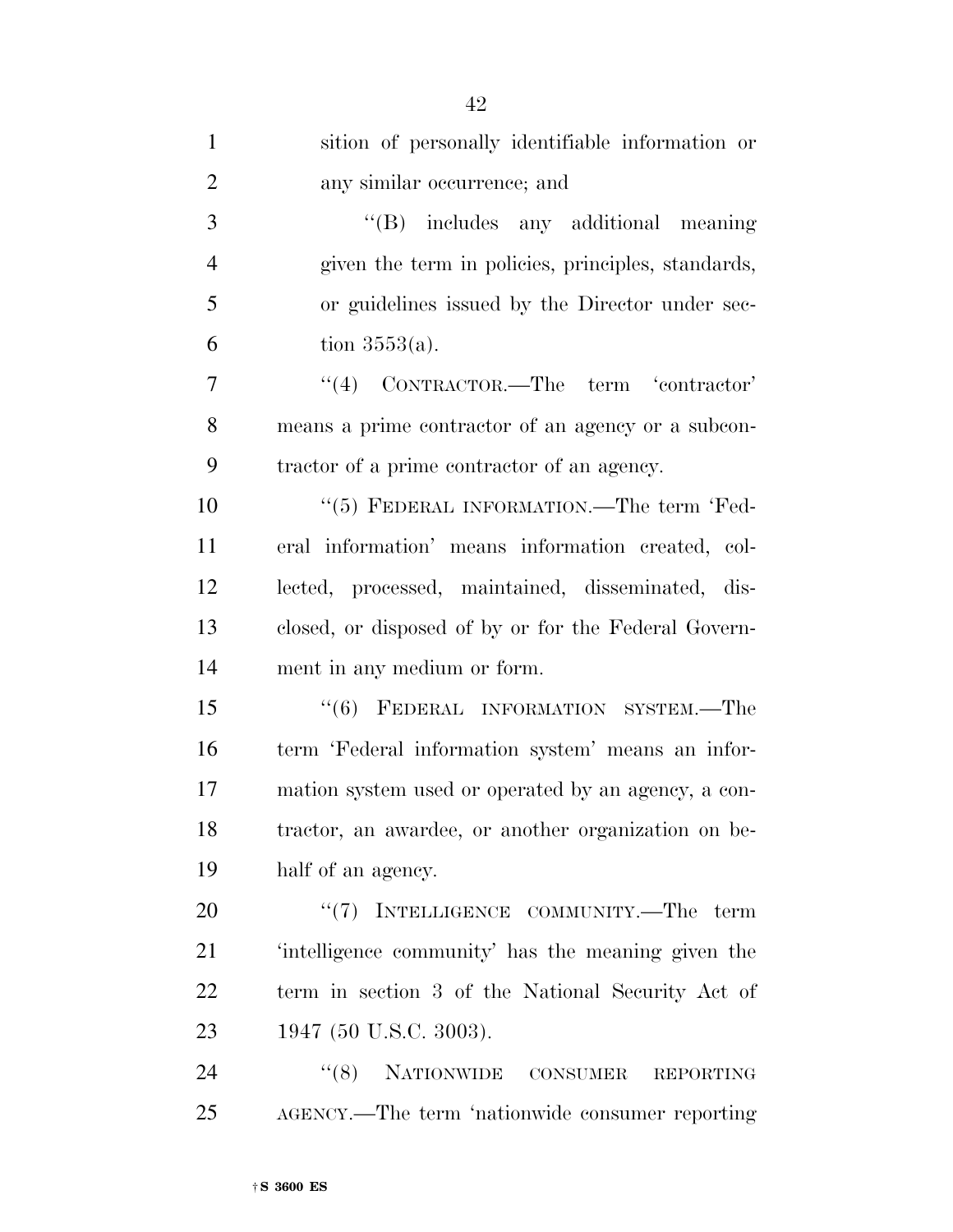| $\mathbf{1}$   | sition of personally identifiable information or     |
|----------------|------------------------------------------------------|
| $\overline{2}$ | any similar occurrence; and                          |
| 3              | $\lq\lq (B)$ includes any additional meaning         |
| $\overline{4}$ | given the term in policies, principles, standards,   |
| 5              | or guidelines issued by the Director under sec-      |
| 6              | tion $3553(a)$ .                                     |
| 7              | $``(4)$ CONTRACTOR.—The term 'contractor'            |
| 8              | means a prime contractor of an agency or a subcon-   |
| 9              | tractor of a prime contractor of an agency.          |
| 10             | "(5) FEDERAL INFORMATION.—The term 'Fed-             |
| 11             | eral information' means information created, col-    |
| 12             | lected, processed, maintained, disseminated, dis-    |
| 13             | closed, or disposed of by or for the Federal Govern- |
| 14             | ment in any medium or form.                          |
| 15             | "(6) FEDERAL INFORMATION SYSTEM.—The                 |
| 16             | term 'Federal information system' means an infor-    |
| 17             | mation system used or operated by an agency, a con-  |
| 18             | tractor, an awardee, or another organization on be-  |
| 19             | half of an agency.                                   |
| 20             | "(7) INTELLIGENCE COMMUNITY.—The term                |
| 21             | 'intelligence community' has the meaning given the   |
| 22             | term in section 3 of the National Security Act of    |
| 23             | 1947 (50 U.S.C. 3003).                               |
| 24             | "(8) NATIONWIDE CONSUMER<br><b>REPORTING</b>         |
| 25             | AGENCY.—The term 'nationwide consumer reporting      |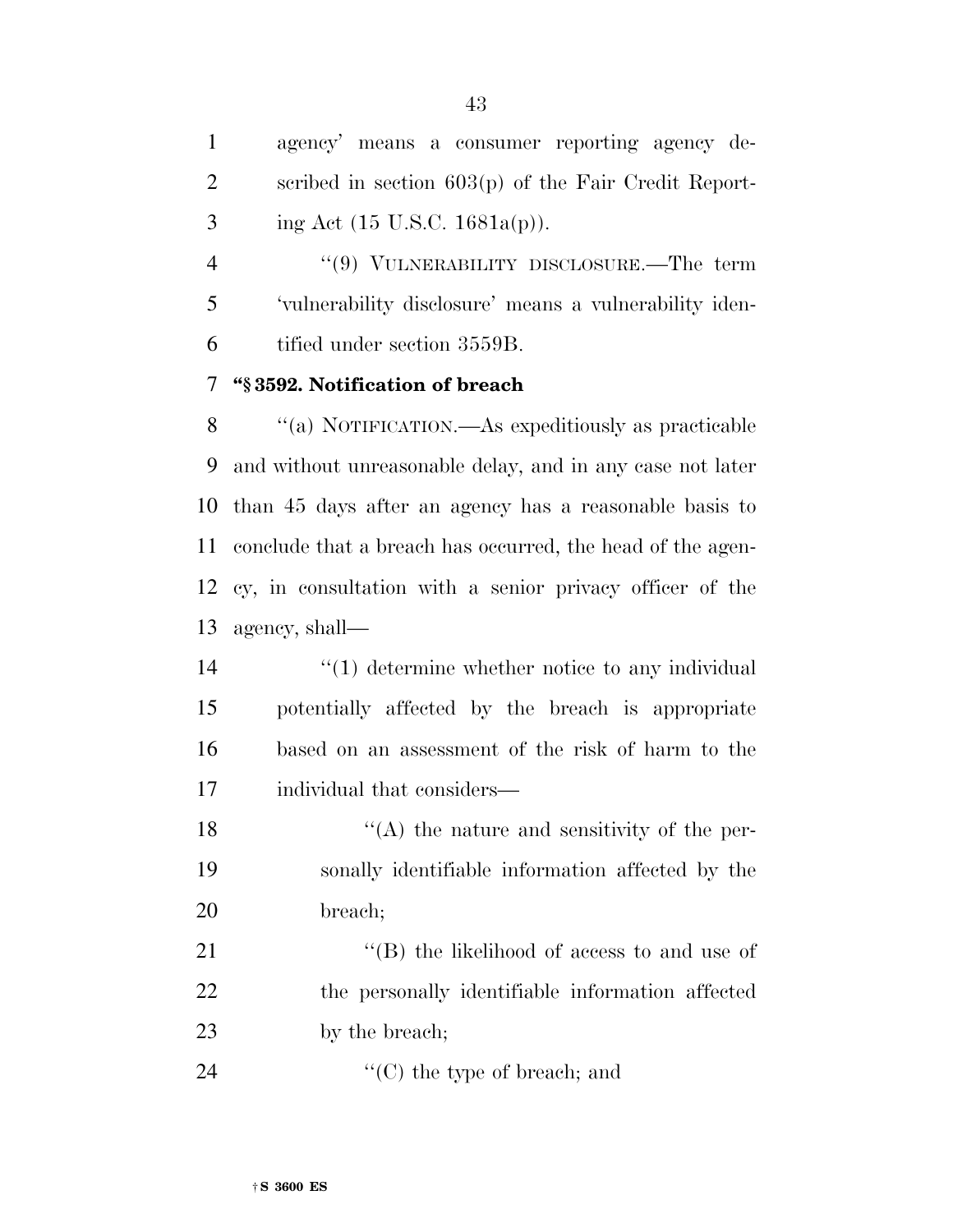agency' means a consumer reporting agency de- scribed in section 603(p) of the Fair Credit Report-3 ing Act (15 U.S.C. 1681a(p)).

 ''(9) VULNERABILITY DISCLOSURE.—The term 'vulnerability disclosure' means a vulnerability iden-tified under section 3559B.

## **''§ 3592. Notification of breach**

 ''(a) NOTIFICATION.—As expeditiously as practicable and without unreasonable delay, and in any case not later than 45 days after an agency has a reasonable basis to conclude that a breach has occurred, the head of the agen- cy, in consultation with a senior privacy officer of the agency, shall—

 $\frac{1}{2}$  (1) determine whether notice to any individual potentially affected by the breach is appropriate based on an assessment of the risk of harm to the individual that considers—

18 ''(A) the nature and sensitivity of the per- sonally identifiable information affected by the breach;

21 ''(B) the likelihood of access to and use of 22 the personally identifiable information affected 23 by the breach;

24  $\text{``(C)}$  the type of breach; and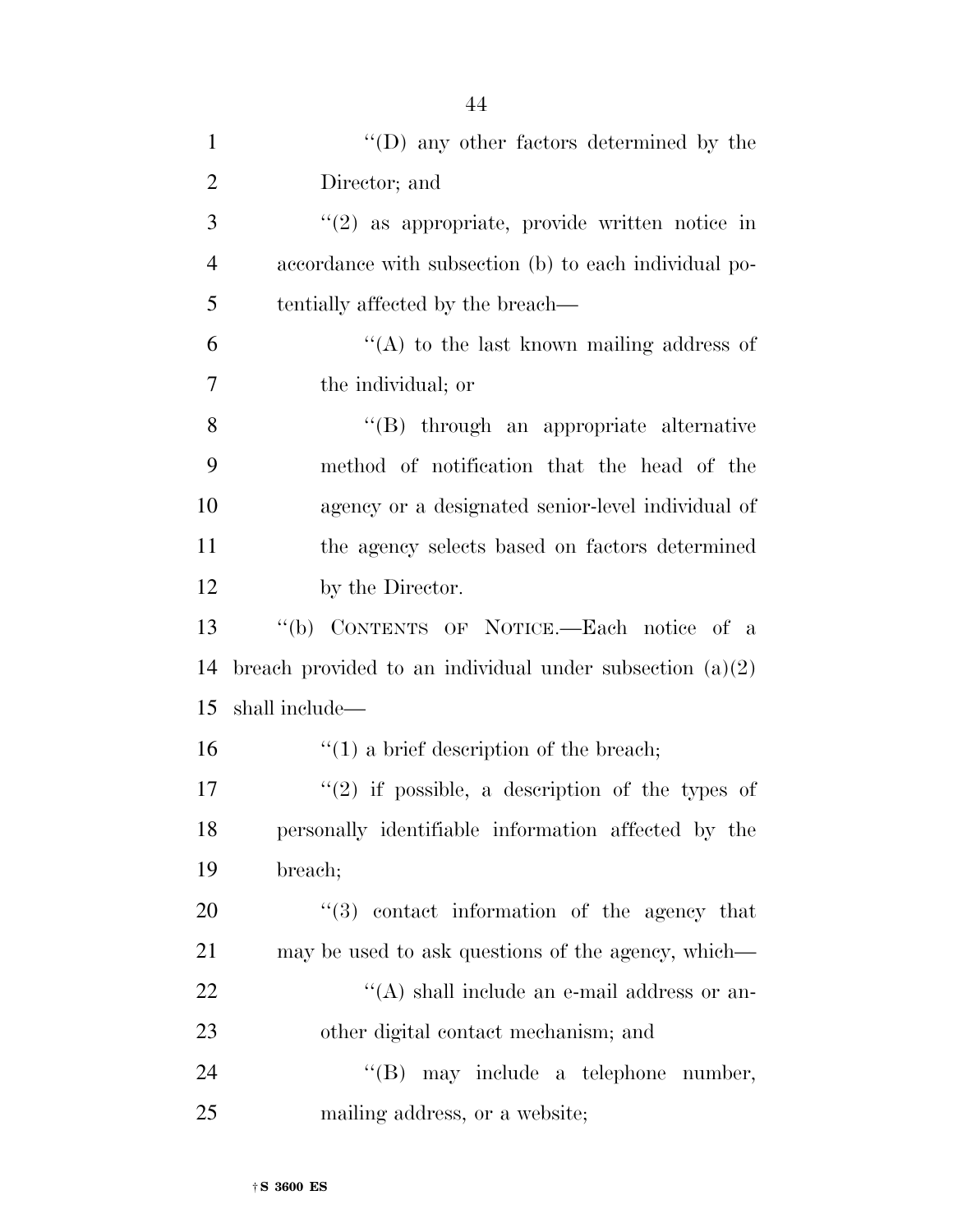| $\mathbf{1}$   | $\lq\lq$ (D) any other factors determined by the           |
|----------------|------------------------------------------------------------|
| $\overline{2}$ | Director; and                                              |
| 3              | $\lq(2)$ as appropriate, provide written notice in         |
| $\overline{4}$ | accordance with subsection (b) to each individual po-      |
| 5              | tentially affected by the breach—                          |
| 6              | "(A) to the last known mailing address of                  |
| $\overline{7}$ | the individual; or                                         |
| 8              | "(B) through an appropriate alternative                    |
| 9              | method of notification that the head of the                |
| 10             | agency or a designated senior-level individual of          |
| 11             | the agency selects based on factors determined             |
| 12             | by the Director.                                           |
| 13             | "(b) CONTENTS OF NOTICE.—Each notice of a                  |
| 14             | breach provided to an individual under subsection $(a)(2)$ |
| 15             | shall include—                                             |
| 16             | $f''(1)$ a brief description of the breach;                |
| 17             | $f'(2)$ if possible, a description of the types of         |
| 18             | personally identifiable information affected by the        |
| 19             | breach;                                                    |
| 20             | "(3) contact information of the agency that                |
| 21             | may be used to ask questions of the agency, which—         |
| 22             | "(A) shall include an e-mail address or an-                |
| 23             | other digital contact mechanism; and                       |
| 24             | $\lq\lq(B)$ may include a telephone number,                |
| 25             | mailing address, or a website;                             |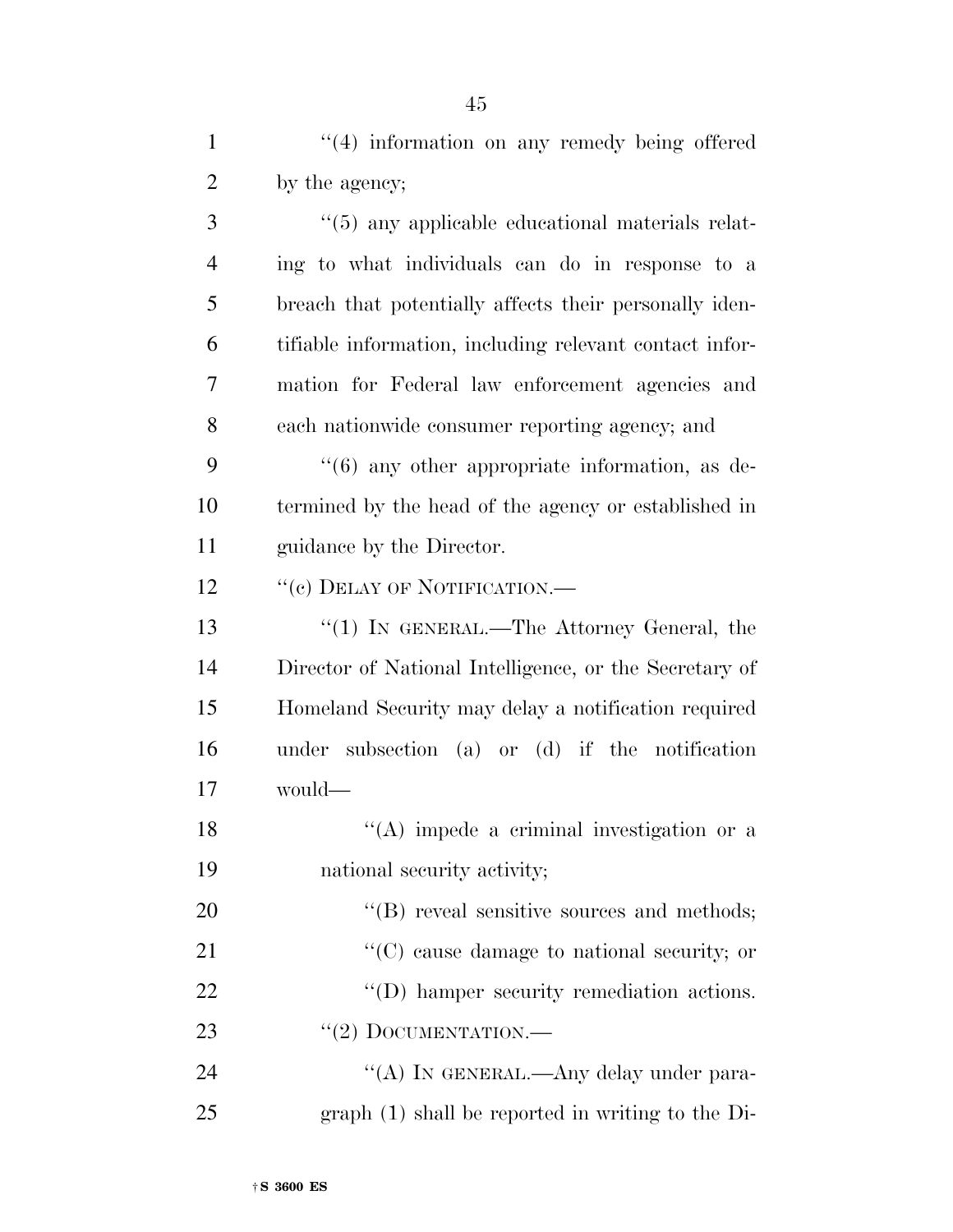1 ''(4) information on any remedy being offered 2 by the agency; 3 (5) any applicable educational materials relat-

 ing to what individuals can do in response to a breach that potentially affects their personally iden- tifiable information, including relevant contact infor- mation for Federal law enforcement agencies and each nationwide consumer reporting agency; and

9 ''(6) any other appropriate information, as de-10 termined by the head of the agency or established in 11 guidance by the Director.

12 "(c) DELAY OF NOTIFICATION.—

13 ''(1) IN GENERAL.—The Attorney General, the 14 Director of National Intelligence, or the Secretary of 15 Homeland Security may delay a notification required 16 under subsection (a) or (d) if the notification 17 would—

18 ''(A) impede a criminal investigation or a 19 national security activity;

20  $"$ (B) reveal sensitive sources and methods; 21  $\cdot$  (C) cause damage to national security; or 22 ''(D) hamper security remediation actions. 23 "(2) DOCUMENTATION.—

24 "(A) In GENERAL.—Any delay under para-25 graph (1) shall be reported in writing to the Di-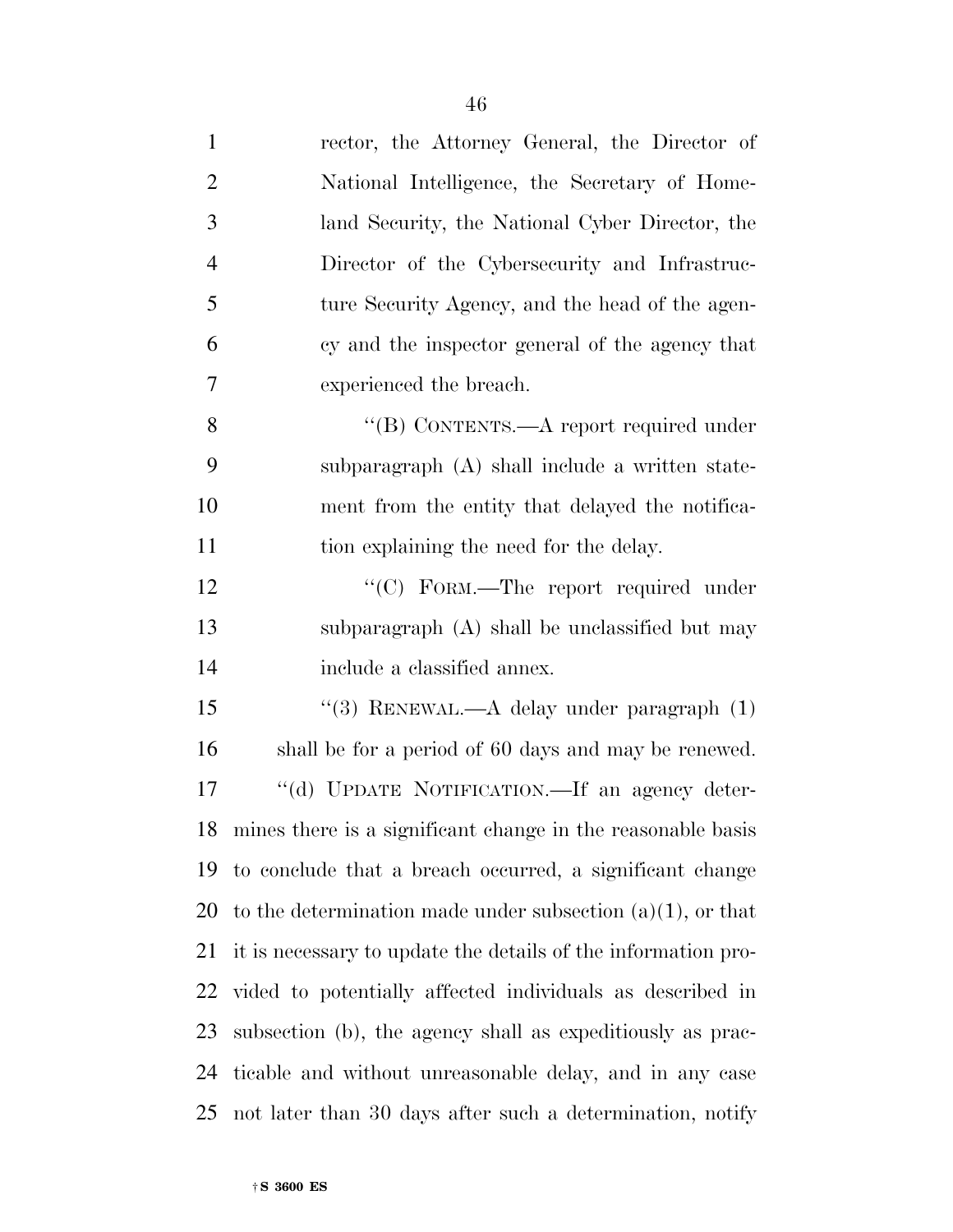| $\mathbf{1}$   | rector, the Attorney General, the Director of                  |
|----------------|----------------------------------------------------------------|
| $\overline{2}$ | National Intelligence, the Secretary of Home-                  |
| 3              | land Security, the National Cyber Director, the                |
| $\overline{4}$ | Director of the Cybersecurity and Infrastruc-                  |
| 5              | ture Security Agency, and the head of the agen-                |
| 6              | cy and the inspector general of the agency that                |
| 7              | experienced the breach.                                        |
| 8              | "(B) CONTENTS.—A report required under                         |
| 9              | subparagraph (A) shall include a written state-                |
| 10             | ment from the entity that delayed the notifica-                |
| 11             | tion explaining the need for the delay.                        |
| 12             | "(C) FORM.—The report required under                           |
| 13             | subparagraph (A) shall be unclassified but may                 |
| 14             | include a classified annex.                                    |
| 15             | "(3) RENEWAL.—A delay under paragraph $(1)$                    |
| 16             | shall be for a period of 60 days and may be renewed.           |
| 17             | "(d) UPDATE NOTIFICATION.—If an agency deter-                  |
|                | 18 mines there is a significant change in the reasonable basis |
|                | 19 to conclude that a breach occurred, a significant change    |
| 20             | to the determination made under subsection $(a)(1)$ , or that  |
| 21             | it is necessary to update the details of the information pro-  |
| 22             | vided to potentially affected individuals as described in      |
| 23             | subsection (b), the agency shall as expeditiously as prac-     |
| 24             | ticable and without unreasonable delay, and in any case        |
| 25             | not later than 30 days after such a determination, notify      |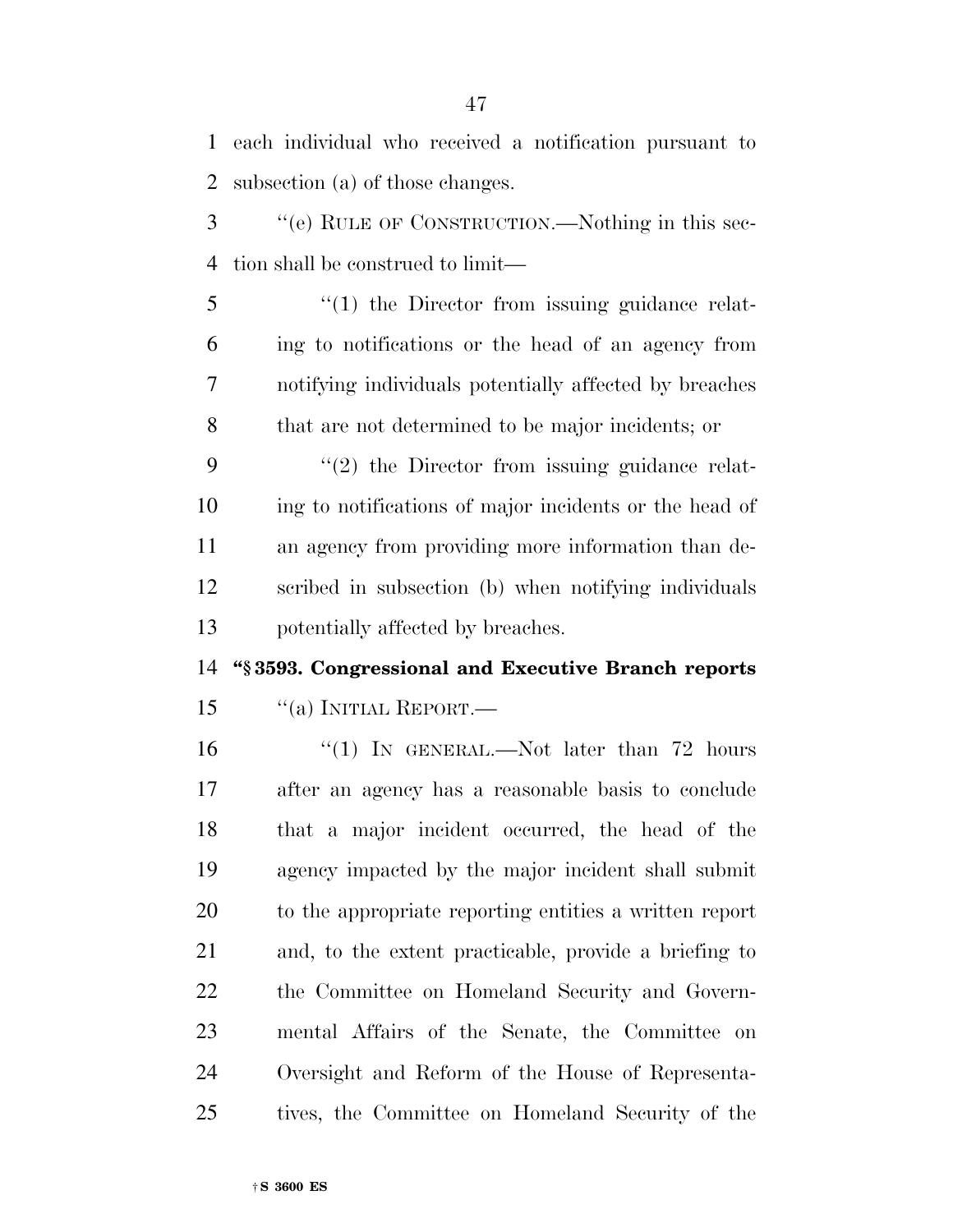| $\mathbf{1}$   | each individual who received a notification pursuant to |
|----------------|---------------------------------------------------------|
| $\overline{2}$ | subsection (a) of those changes.                        |
| 3              | "(e) RULE OF CONSTRUCTION.—Nothing in this sec-         |
| 4              | tion shall be construed to limit—                       |
| 5              | $\lq(1)$ the Director from issuing guidance relat-      |
| 6              | ing to notifications or the head of an agency from      |
| 7              | notifying individuals potentially affected by breaches  |
| 8              | that are not determined to be major incidents; or       |
| 9              | $\lq(2)$ the Director from issuing guidance relat-      |
| 10             | ing to notifications of major incidents or the head of  |
| 11             | an agency from providing more information than de-      |
| 12             | scribed in subsection (b) when notifying individuals    |
| 13             | potentially affected by breaches.                       |
| 14             | "§3593. Congressional and Executive Branch reports      |
| 15             | "(a) INITIAL REPORT.—                                   |
| 16             | "(1) IN GENERAL.—Not later than $72$ hours              |
| 17             | after an agency has a reasonable basis to conclude      |
| 18             | that a major incident occurred, the head of the         |
| 19             | agency impacted by the major incident shall submit      |
| 20             | to the appropriate reporting entities a written report  |
| 21             | and, to the extent practicable, provide a briefing to   |
| 22             | the Committee on Homeland Security and Govern-          |
| 23             | mental Affairs of the Senate, the Committee on          |
| 24             | Oversight and Reform of the House of Representa-        |
|                |                                                         |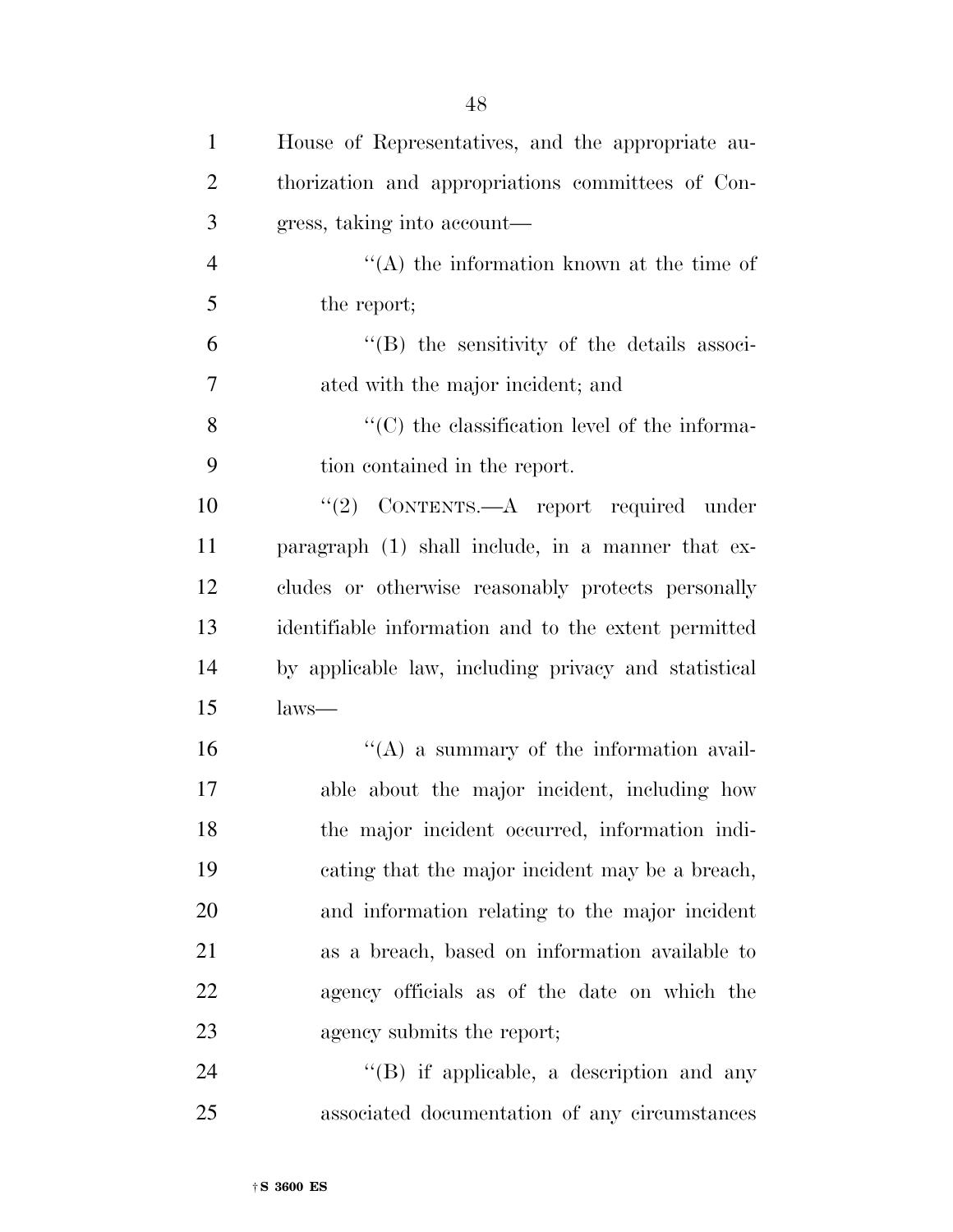| $\mathbf{1}$   | House of Representatives, and the appropriate au-         |
|----------------|-----------------------------------------------------------|
| $\overline{2}$ | thorization and appropriations committees of Con-         |
| 3              | gress, taking into account—                               |
| $\overline{4}$ | $\lq\lq$ the information known at the time of             |
| 5              | the report;                                               |
| 6              | "(B) the sensitivity of the details associ-               |
| 7              | ated with the major incident; and                         |
| 8              | $\cdot\cdot$ (C) the classification level of the informa- |
| 9              | tion contained in the report.                             |
| 10             | "(2) CONTENTS.—A report required under                    |
| 11             | paragraph (1) shall include, in a manner that ex-         |
| 12             | cludes or otherwise reasonably protects personally        |
| 13             | identifiable information and to the extent permitted      |
| 14             | by applicable law, including privacy and statistical      |
| 15             | $_{\text{laws} \rightarrow}$                              |
| 16             | $\lq\lq$ a summary of the information avail-              |
| 17             | able about the major incident, including how              |
| 18             | the major incident occurred, information indi-            |
| 19             | cating that the major incident may be a breach,           |
| 20             | and information relating to the major incident            |
| 21             | as a breach, based on information available to            |
| 22             | agency officials as of the date on which the              |
| 23             | agency submits the report;                                |
| 24             | "(B) if applicable, a description and any                 |
| 25             | associated documentation of any circumstances             |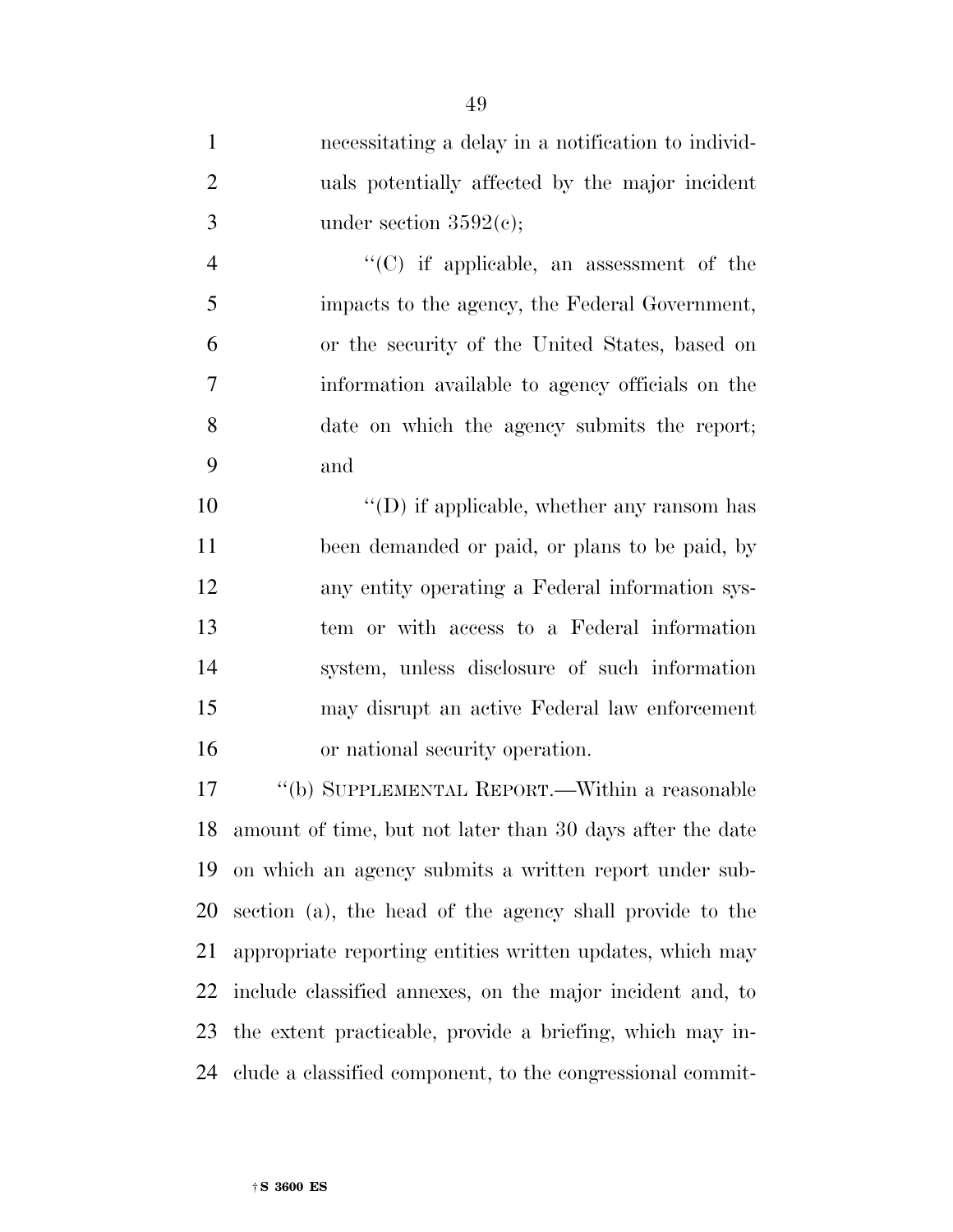necessitating a delay in a notification to individ- uals potentially affected by the major incident 3 under section  $3592(c)$ ;

 ''(C) if applicable, an assessment of the impacts to the agency, the Federal Government, or the security of the United States, based on information available to agency officials on the date on which the agency submits the report; and

 $\langle \text{`}(D) \text{ if applicable, whether any ransom has} \rangle$  been demanded or paid, or plans to be paid, by any entity operating a Federal information sys- tem or with access to a Federal information system, unless disclosure of such information may disrupt an active Federal law enforcement or national security operation.

 ''(b) SUPPLEMENTAL REPORT.—Within a reasonable amount of time, but not later than 30 days after the date on which an agency submits a written report under sub- section (a), the head of the agency shall provide to the appropriate reporting entities written updates, which may include classified annexes, on the major incident and, to the extent practicable, provide a briefing, which may in-clude a classified component, to the congressional commit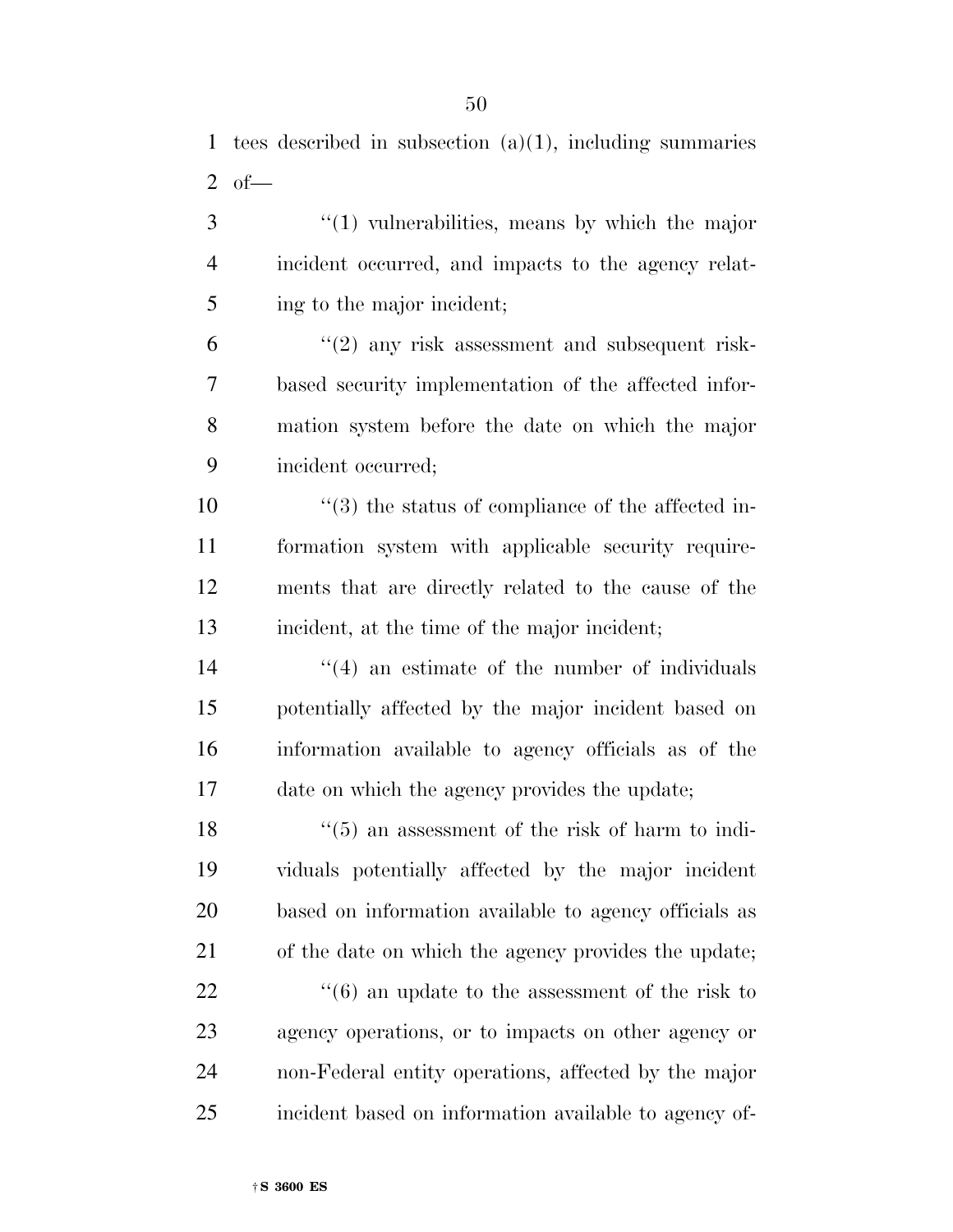tees described in subsection (a)(1), including summaries 2 of  $-$ 

 ''(1) vulnerabilities, means by which the major incident occurred, and impacts to the agency relat-ing to the major incident;

 $^{\prime\prime}(2)$  any risk assessment and subsequent risk- based security implementation of the affected infor- mation system before the date on which the major incident occurred;

 $\frac{10}{2}$  the status of compliance of the affected in- formation system with applicable security require- ments that are directly related to the cause of the incident, at the time of the major incident;

14 ''(4) an estimate of the number of individuals potentially affected by the major incident based on information available to agency officials as of the date on which the agency provides the update;

18 ''(5) an assessment of the risk of harm to indi- viduals potentially affected by the major incident based on information available to agency officials as of the date on which the agency provides the update; 22 ''(6) an update to the assessment of the risk to agency operations, or to impacts on other agency or non-Federal entity operations, affected by the major incident based on information available to agency of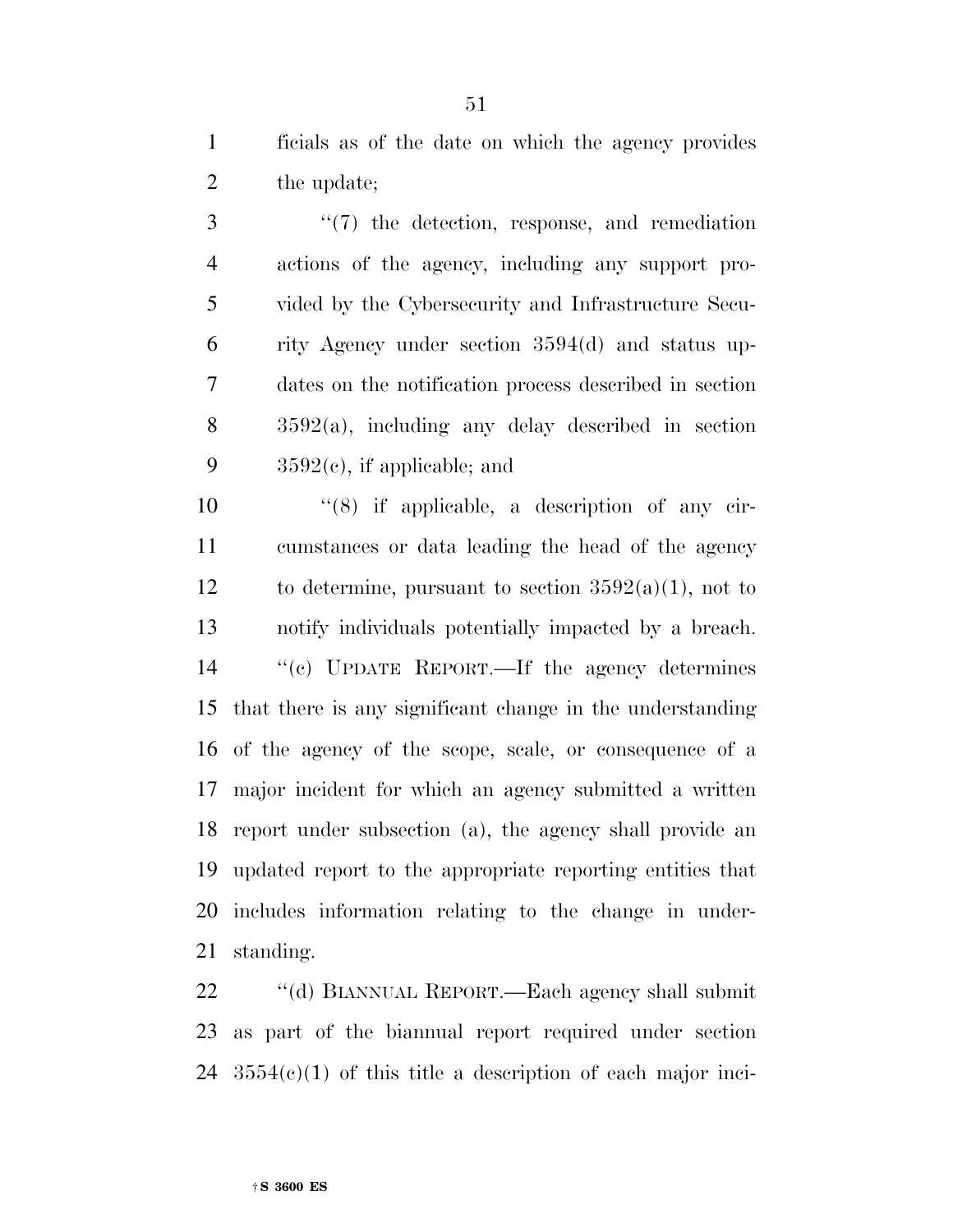ficials as of the date on which the agency provides 2 the update;

 ''(7) the detection, response, and remediation actions of the agency, including any support pro- vided by the Cybersecurity and Infrastructure Secu- rity Agency under section 3594(d) and status up- dates on the notification process described in section 3592(a), including any delay described in section  $3592(e)$ , if applicable; and

 ''(8) if applicable, a description of any cir- cumstances or data leading the head of the agency 12 to determine, pursuant to section  $3592(a)(1)$ , not to notify individuals potentially impacted by a breach. ''(c) UPDATE REPORT.—If the agency determines that there is any significant change in the understanding of the agency of the scope, scale, or consequence of a major incident for which an agency submitted a written report under subsection (a), the agency shall provide an updated report to the appropriate reporting entities that includes information relating to the change in under-standing.

 ''(d) BIANNUAL REPORT.—Each agency shall submit as part of the biannual report required under section  $24 \quad 3554(c)(1)$  of this title a description of each major inci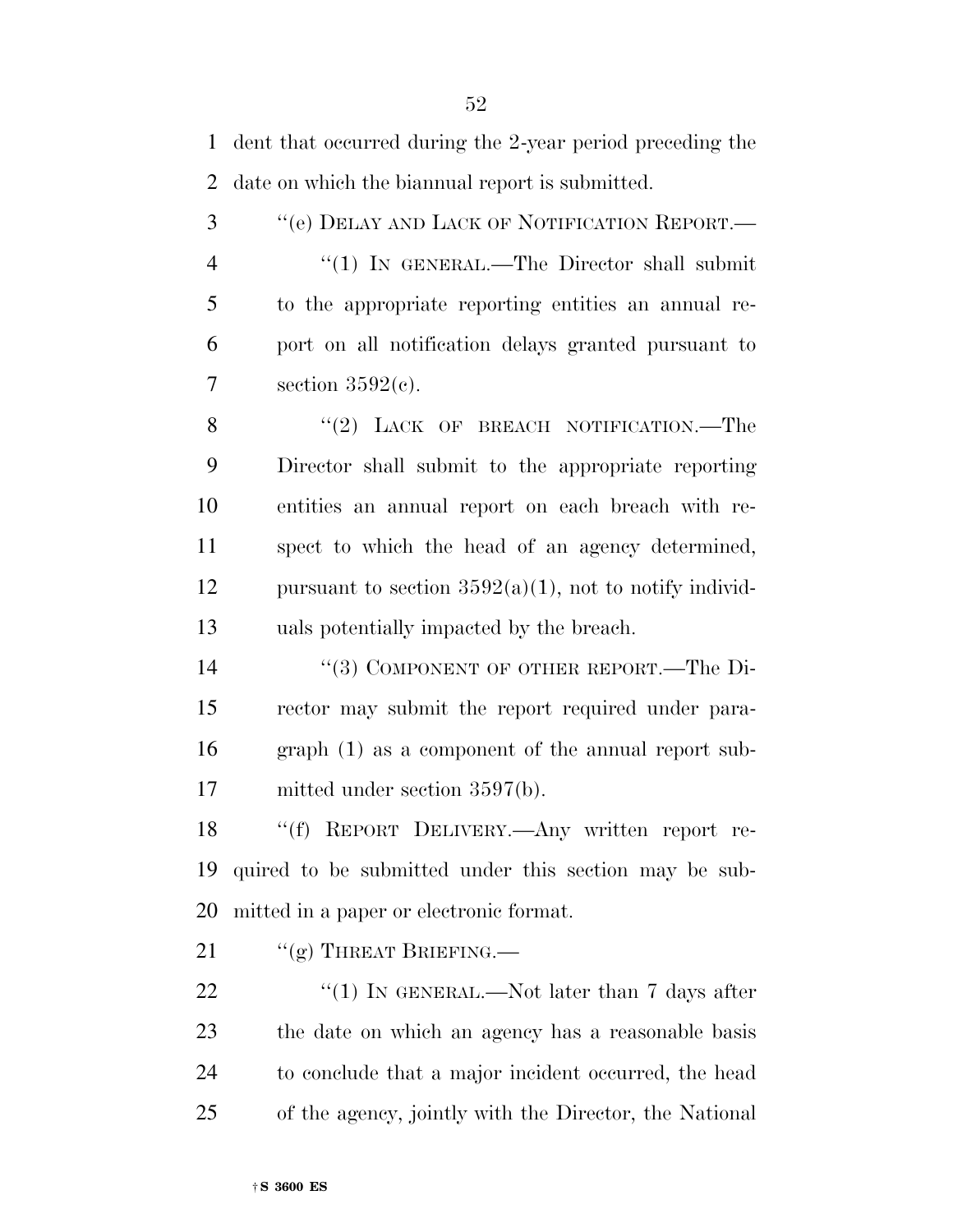dent that occurred during the 2-year period preceding the date on which the biannual report is submitted.

 ''(e) DELAY AND LACK OF NOTIFICATION REPORT.— 4 "(1) IN GENERAL.—The Director shall submit to the appropriate reporting entities an annual re- port on all notification delays granted pursuant to 7 section  $3592(e)$ .

8 "(2) LACK OF BREACH NOTIFICATION.—The Director shall submit to the appropriate reporting entities an annual report on each breach with re- spect to which the head of an agency determined, 12 pursuant to section  $3592(a)(1)$ , not to notify individ-uals potentially impacted by the breach.

 ''(3) COMPONENT OF OTHER REPORT.—The Di- rector may submit the report required under para- graph (1) as a component of the annual report sub-mitted under section 3597(b).

 ''(f) REPORT DELIVERY.—Any written report re- quired to be submitted under this section may be sub-mitted in a paper or electronic format.

21 "(g) THREAT BRIEFING.—

 $\frac{1}{2}$  (1) IN GENERAL.—Not later than 7 days after the date on which an agency has a reasonable basis to conclude that a major incident occurred, the head of the agency, jointly with the Director, the National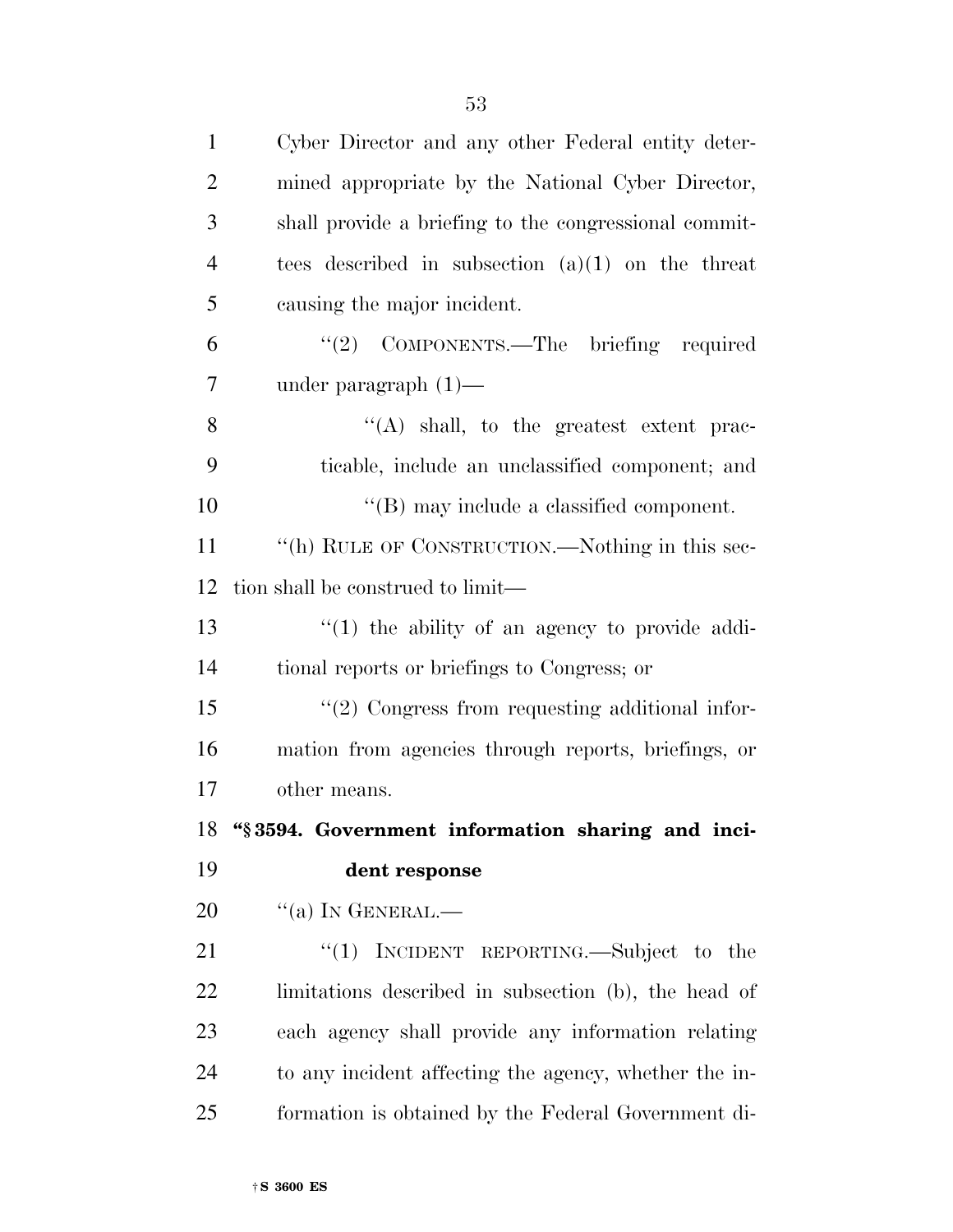| $\mathbf{1}$   | Cyber Director and any other Federal entity deter-    |
|----------------|-------------------------------------------------------|
| $\overline{2}$ | mined appropriate by the National Cyber Director,     |
| 3              | shall provide a briefing to the congressional commit- |
| $\overline{4}$ | tees described in subsection $(a)(1)$ on the threat   |
| 5              | causing the major incident.                           |
| 6              | "(2) COMPONENTS.—The briefing required                |
| 7              | under paragraph $(1)$ —                               |
| 8              | $\lq\lq$ shall, to the greatest extent prac-          |
| 9              | ticable, include an unclassified component; and       |
| 10             | $\lq\lq$ (B) may include a classified component.      |
| 11             | "(h) RULE OF CONSTRUCTION.—Nothing in this sec-       |
| 12             | tion shall be construed to limit—                     |
| 13             | $\lq(1)$ the ability of an agency to provide addi-    |
| 14             | tional reports or briefings to Congress; or           |
| 15             | $\lq(2)$ Congress from requesting additional infor-   |
| 16             | mation from agencies through reports, briefings, or   |
| 17             | other means.                                          |
| 18             | "§3594. Government information sharing and inci-      |
| 19             | dent response                                         |
| 20             | $``(a)$ In GENERAL.—                                  |
| 21             | "(1) INCIDENT REPORTING.—Subject to the               |
| 22             | limitations described in subsection (b), the head of  |
| 23             | each agency shall provide any information relating    |
| 24             | to any incident affecting the agency, whether the in- |
| 25             | formation is obtained by the Federal Government di-   |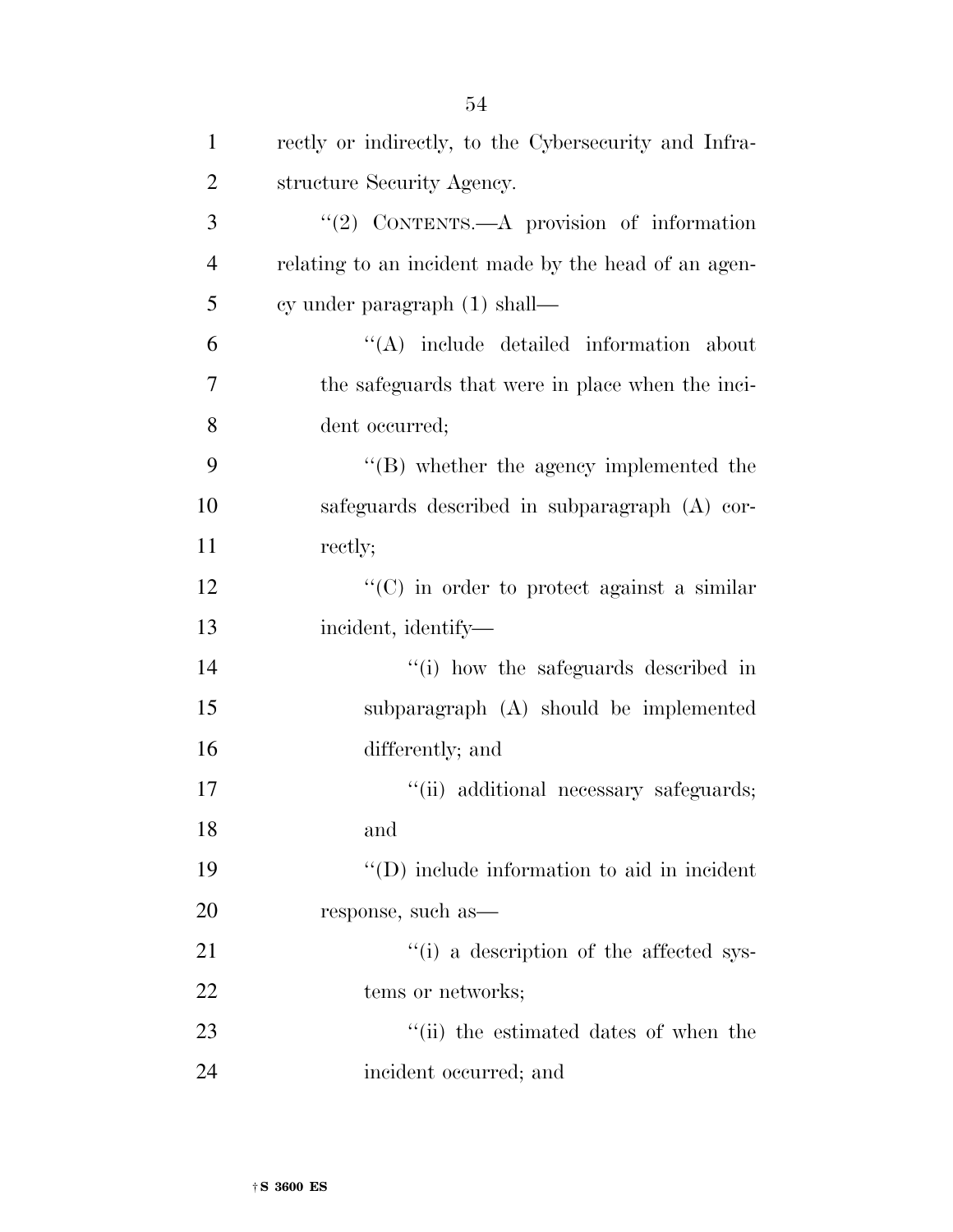| $\mathbf{1}$   | rectly or indirectly, to the Cybersecurity and Infra- |
|----------------|-------------------------------------------------------|
| $\overline{2}$ | structure Security Agency.                            |
| 3              | "(2) CONTENTS.—A provision of information             |
| $\overline{4}$ | relating to an incident made by the head of an agen-  |
| 5              | cy under paragraph $(1)$ shall—                       |
| 6              | "(A) include detailed information about               |
| 7              | the safeguards that were in place when the inci-      |
| 8              | dent occurred;                                        |
| 9              | "(B) whether the agency implemented the               |
| 10             | safeguards described in subparagraph (A) cor-         |
| 11             | rectly;                                               |
| 12             | $\lq\lq$ (C) in order to protect against a similar    |
| 13             | incident, identify-                                   |
| 14             | "(i) how the safeguards described in                  |
| 15             | subparagraph (A) should be implemented                |
| 16             | differently; and                                      |
| 17             | "(ii) additional necessary safeguards;                |
| 18             | and                                                   |
| 19             | $\lq\lq$ (D) include information to aid in incident   |
| 20             | response, such as—                                    |
| 21             | "(i) a description of the affected sys-               |
| 22             | tems or networks;                                     |
| 23             | "(ii) the estimated dates of when the                 |
| 24             | incident occurred; and                                |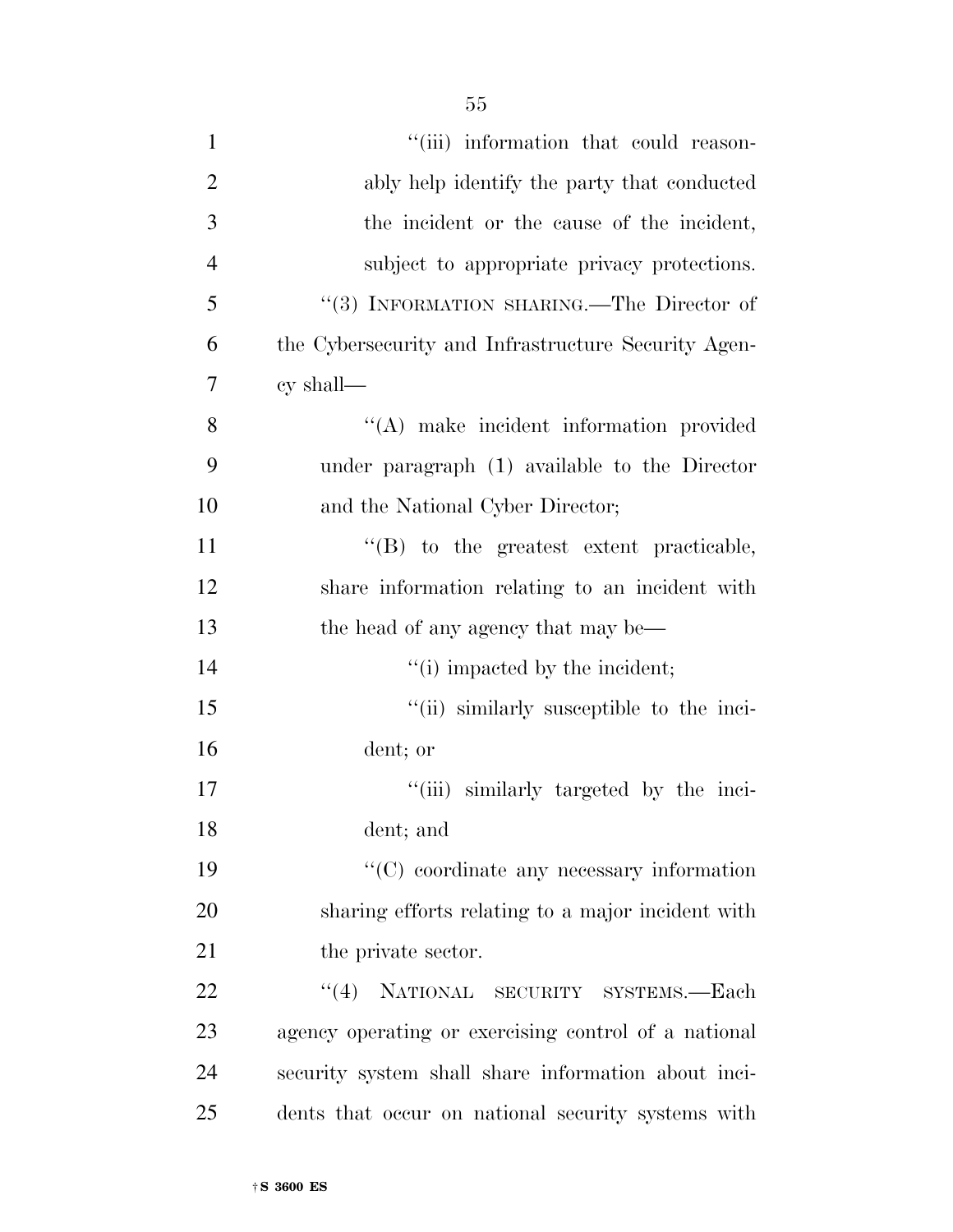| $\mathbf{1}$   | "(iii) information that could reason-                |
|----------------|------------------------------------------------------|
| $\overline{2}$ | ably help identify the party that conducted          |
| 3              | the incident or the cause of the incident,           |
| $\overline{4}$ | subject to appropriate privacy protections.          |
| 5              | "(3) INFORMATION SHARING.—The Director of            |
| 6              | the Cybersecurity and Infrastructure Security Agen-  |
| 7              | $cy$ shall—                                          |
| 8              | "(A) make incident information provided              |
| 9              | under paragraph (1) available to the Director        |
| 10             | and the National Cyber Director;                     |
| 11             | $\lq\lq (B)$ to the greatest extent practicable,     |
| 12             | share information relating to an incident with       |
| 13             | the head of any agency that may be—                  |
| 14             | "(i) impacted by the incident;                       |
| 15             | "(ii) similarly susceptible to the inci-             |
| 16             | dent; or                                             |
| 17             | "(iii) similarly targeted by the inci-               |
| 18             | dent; and                                            |
| 19             | $\lq\lq$ coordinate any necessary information        |
| 20             | sharing efforts relating to a major incident with    |
| 21             | the private sector.                                  |
| 22             | "(4) NATIONAL SECURITY SYSTEMS.—Each                 |
| 23             | agency operating or exercising control of a national |
| 24             | security system shall share information about inci-  |
| 25             | dents that occur on national security systems with   |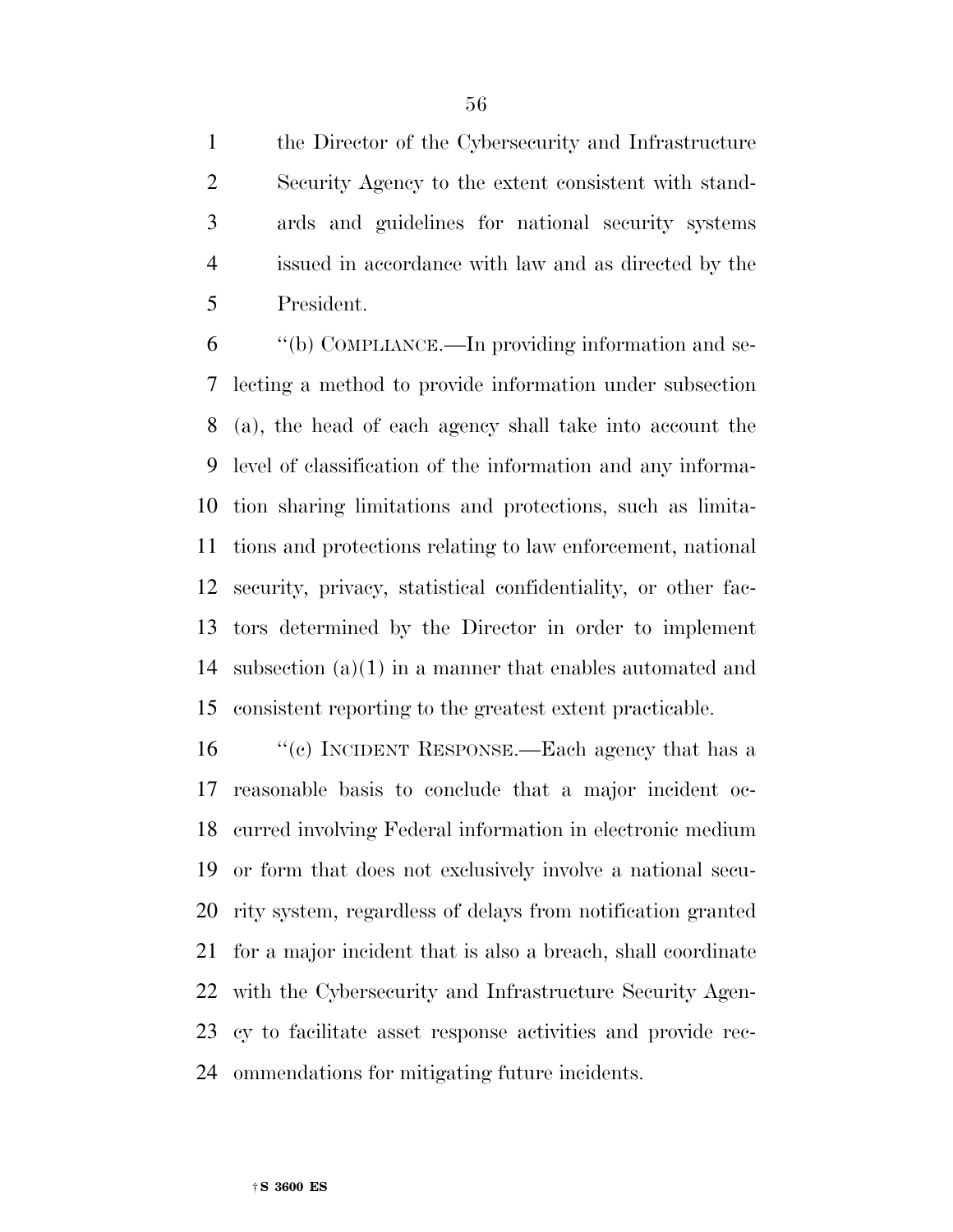the Director of the Cybersecurity and Infrastructure Security Agency to the extent consistent with stand- ards and guidelines for national security systems issued in accordance with law and as directed by the President.

 ''(b) COMPLIANCE.—In providing information and se- lecting a method to provide information under subsection (a), the head of each agency shall take into account the level of classification of the information and any informa- tion sharing limitations and protections, such as limita- tions and protections relating to law enforcement, national security, privacy, statistical confidentiality, or other fac- tors determined by the Director in order to implement subsection (a)(1) in a manner that enables automated and consistent reporting to the greatest extent practicable.

16 "(c) INCIDENT RESPONSE.—Each agency that has a reasonable basis to conclude that a major incident oc- curred involving Federal information in electronic medium or form that does not exclusively involve a national secu- rity system, regardless of delays from notification granted for a major incident that is also a breach, shall coordinate with the Cybersecurity and Infrastructure Security Agen- cy to facilitate asset response activities and provide rec-ommendations for mitigating future incidents.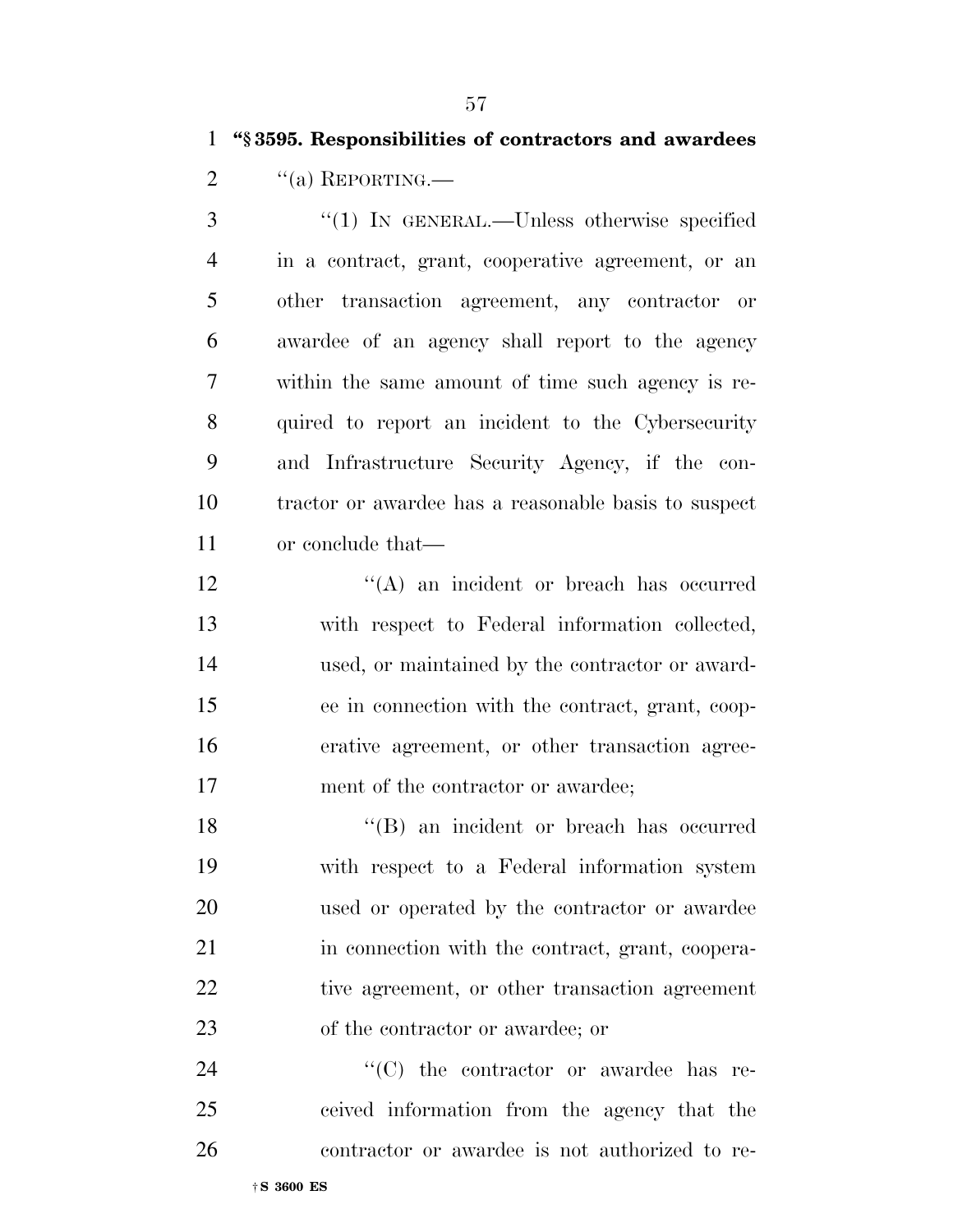## **''§ 3595. Responsibilities of contractors and awardees**

2  $"$ (a) REPORTING.

 ''(1) IN GENERAL.—Unless otherwise specified in a contract, grant, cooperative agreement, or an other transaction agreement, any contractor or awardee of an agency shall report to the agency within the same amount of time such agency is re- quired to report an incident to the Cybersecurity and Infrastructure Security Agency, if the con- tractor or awardee has a reasonable basis to suspect or conclude that—

12 ''(A) an incident or breach has occurred with respect to Federal information collected, used, or maintained by the contractor or award- ee in connection with the contract, grant, coop- erative agreement, or other transaction agree-17 ment of the contractor or awardee;

18 ''(B) an incident or breach has occurred with respect to a Federal information system used or operated by the contractor or awardee in connection with the contract, grant, coopera- tive agreement, or other transaction agreement of the contractor or awardee; or

24  $\cdot$  (C) the contractor or awardee has re- ceived information from the agency that the contractor or awardee is not authorized to re-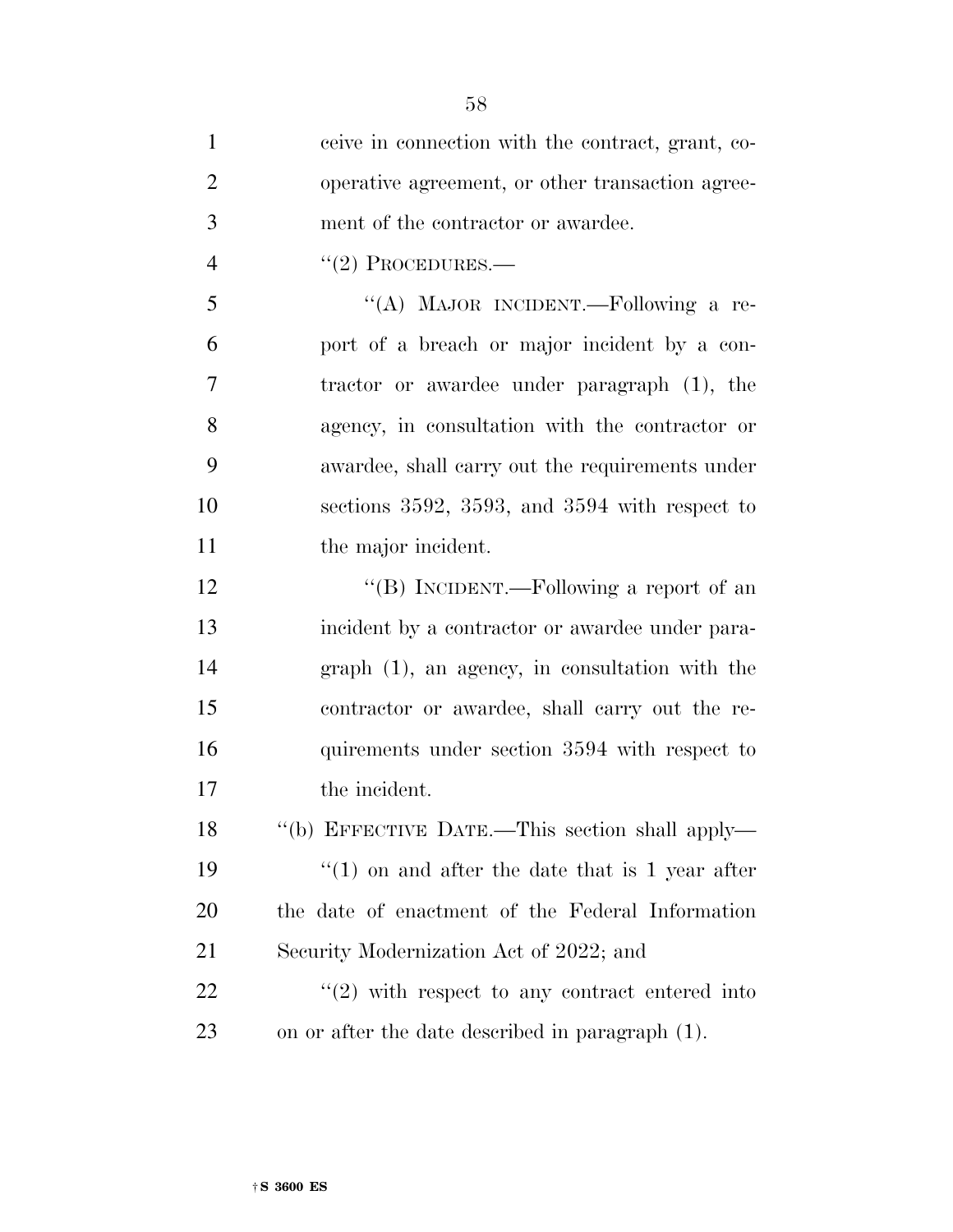| $\mathbf{1}$   | ceive in connection with the contract, grant, co-              |
|----------------|----------------------------------------------------------------|
| $\overline{2}$ | operative agreement, or other transaction agree-               |
| 3              | ment of the contractor or awardee.                             |
| $\overline{4}$ | $"(2)$ PROCEDURES.—                                            |
| 5              | "(A) MAJOR INCIDENT.—Following a re-                           |
| 6              | port of a breach or major incident by a con-                   |
| 7              | tractor or awardee under paragraph (1), the                    |
| 8              | agency, in consultation with the contractor or                 |
| 9              | awardee, shall carry out the requirements under                |
| 10             | sections 3592, 3593, and 3594 with respect to                  |
| 11             | the major incident.                                            |
| 12             | "(B) INCIDENT.—Following a report of an                        |
| 13             | incident by a contractor or awardee under para-                |
| 14             | $graph (1)$ , an agency, in consultation with the              |
| 15             | contractor or awardee, shall carry out the re-                 |
| 16             | quirements under section 3594 with respect to                  |
| 17             | the incident.                                                  |
| 18             | "(b) EFFECTIVE DATE.—This section shall apply—                 |
| 19             | $f''(1)$ on and after the date that is 1 year after            |
| 20             | the date of enactment of the Federal Information               |
| 21             | Security Modernization Act of 2022; and                        |
| <u>22</u>      | $\cdot\cdot\cdot(2)$ with respect to any contract entered into |
| 23             | on or after the date described in paragraph (1).               |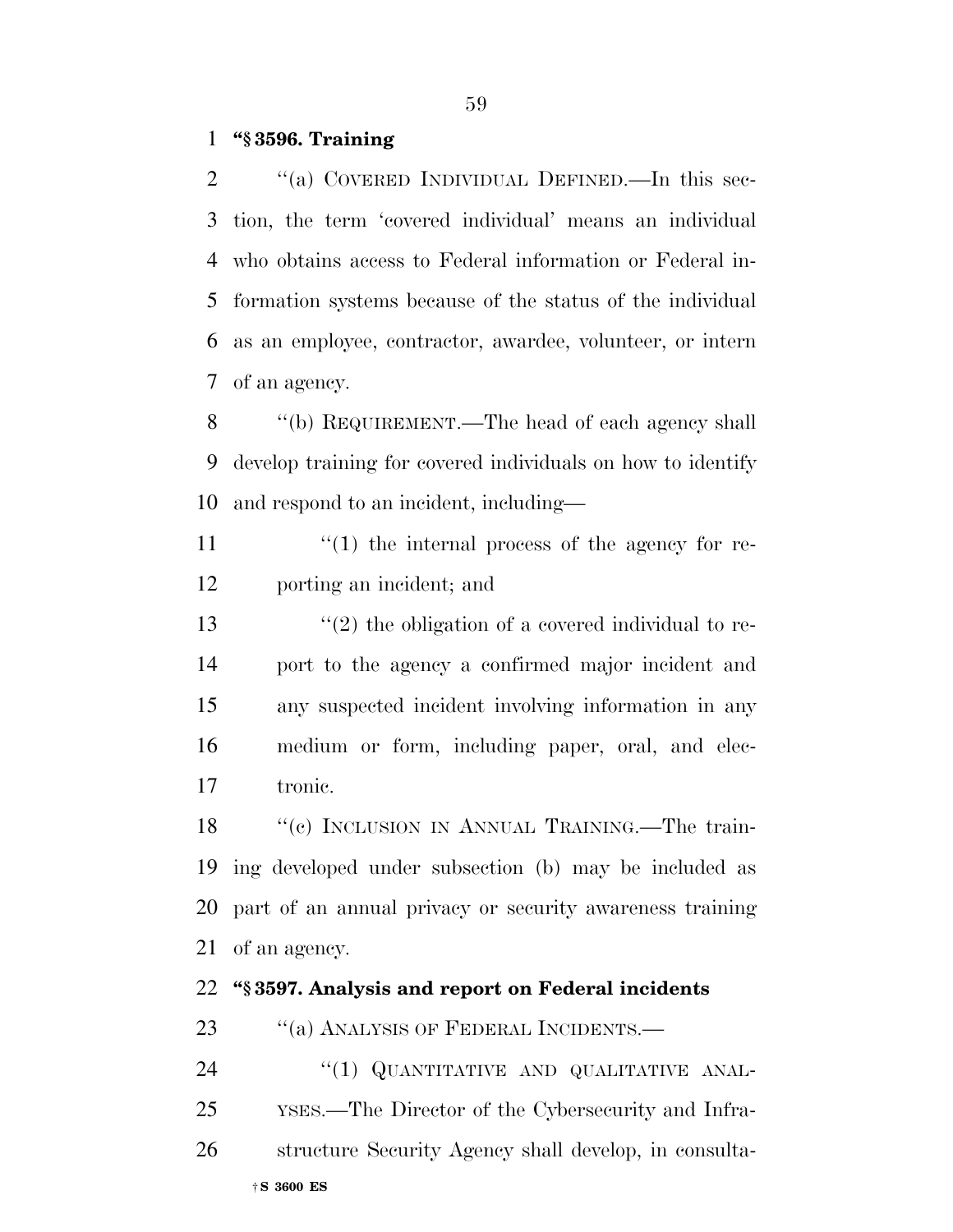## **''§ 3596. Training**

2 "(a) COVERED INDIVIDUAL DEFINED.—In this sec- tion, the term 'covered individual' means an individual who obtains access to Federal information or Federal in- formation systems because of the status of the individual as an employee, contractor, awardee, volunteer, or intern of an agency.

 ''(b) REQUIREMENT.—The head of each agency shall develop training for covered individuals on how to identify and respond to an incident, including—

11  $\frac{1}{2}$  (1) the internal process of the agency for re-porting an incident; and

 $\frac{13}{2}$  the obligation of a covered individual to re- port to the agency a confirmed major incident and any suspected incident involving information in any medium or form, including paper, oral, and elec-tronic.

18 "(c) INCLUSION IN ANNUAL TRAINING.—The train- ing developed under subsection (b) may be included as part of an annual privacy or security awareness training of an agency.

#### **''§ 3597. Analysis and report on Federal incidents**

23 ""(a) ANALYSIS OF FEDERAL INCIDENTS.—

†**S 3600 ES** 24 "(1) QUANTITATIVE AND QUALITATIVE ANAL- YSES.—The Director of the Cybersecurity and Infra-structure Security Agency shall develop, in consulta-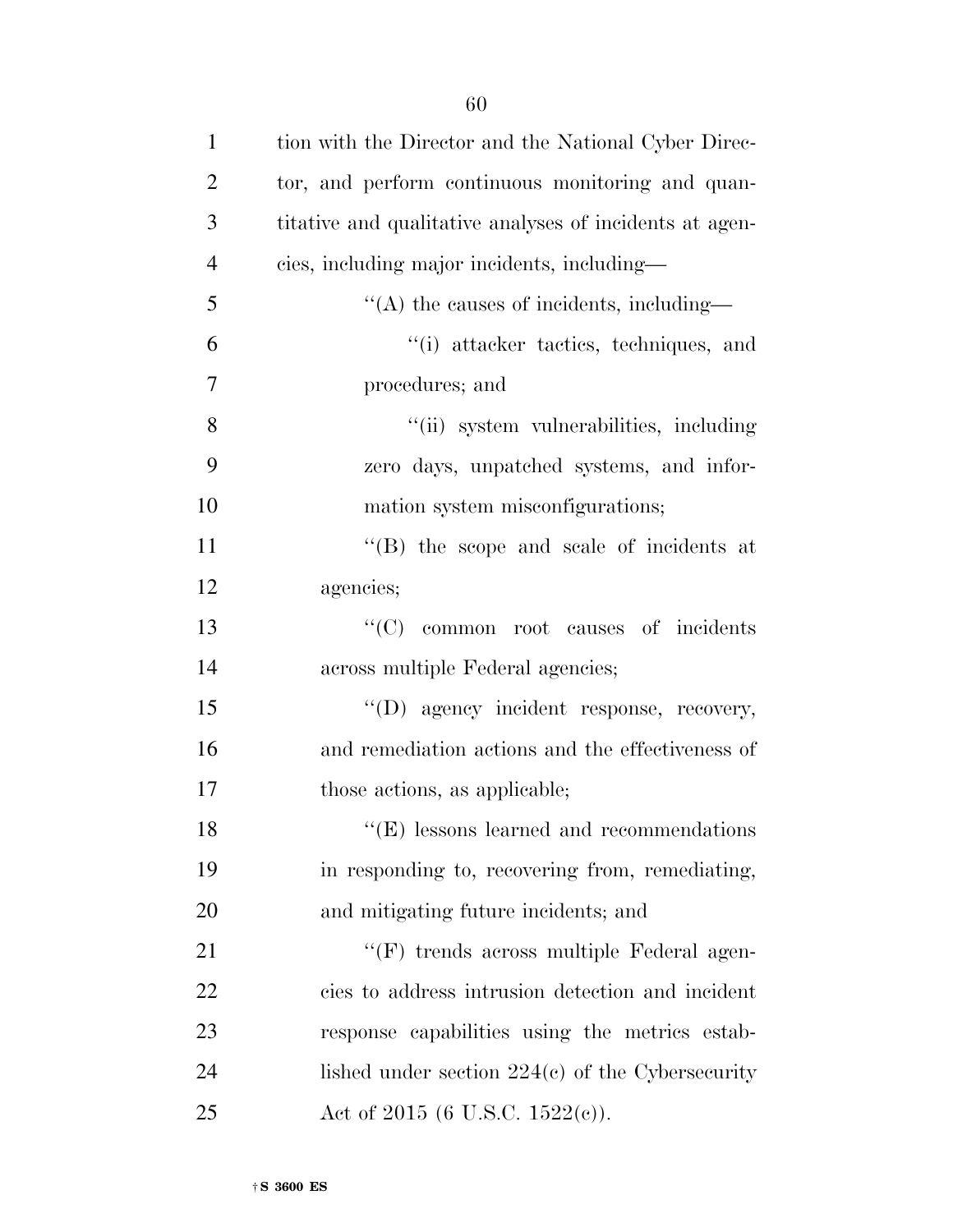| $\mathbf{1}$   | tion with the Director and the National Cyber Direc-          |
|----------------|---------------------------------------------------------------|
| $\overline{2}$ | tor, and perform continuous monitoring and quan-              |
| 3              | titative and qualitative analyses of incidents at agen-       |
| $\overline{4}$ | cies, including major incidents, including—                   |
| 5              | $\lq\lq$ the causes of incidents, including—                  |
| 6              | "(i) attacker tactics, techniques, and                        |
| 7              | procedures; and                                               |
| 8              | "(ii) system vulnerabilities, including                       |
| 9              | zero days, unpatched systems, and infor-                      |
| 10             | mation system misconfigurations;                              |
| 11             | $\lq\lq$ the scope and scale of incidents at                  |
| 12             | agencies;                                                     |
| 13             | "(C) common root causes of incidents                          |
| 14             | across multiple Federal agencies;                             |
| 15             | "(D) agency incident response, recovery,                      |
| 16             | and remediation actions and the effectiveness of              |
| 17             | those actions, as applicable;                                 |
| 18             | $\lq\lq$ <sup>"</sup> (E) lessons learned and recommendations |
| 19             | in responding to, recovering from, remediating,               |
| 20             | and mitigating future incidents; and                          |
| 21             | "(F) trends across multiple Federal agen-                     |
| 22             | cies to address intrusion detection and incident              |
| 23             | response capabilities using the metrics estab-                |
| 24             | lished under section $224(c)$ of the Cybersecurity            |
| 25             | Act of 2015 (6 U.S.C. 1522(c)).                               |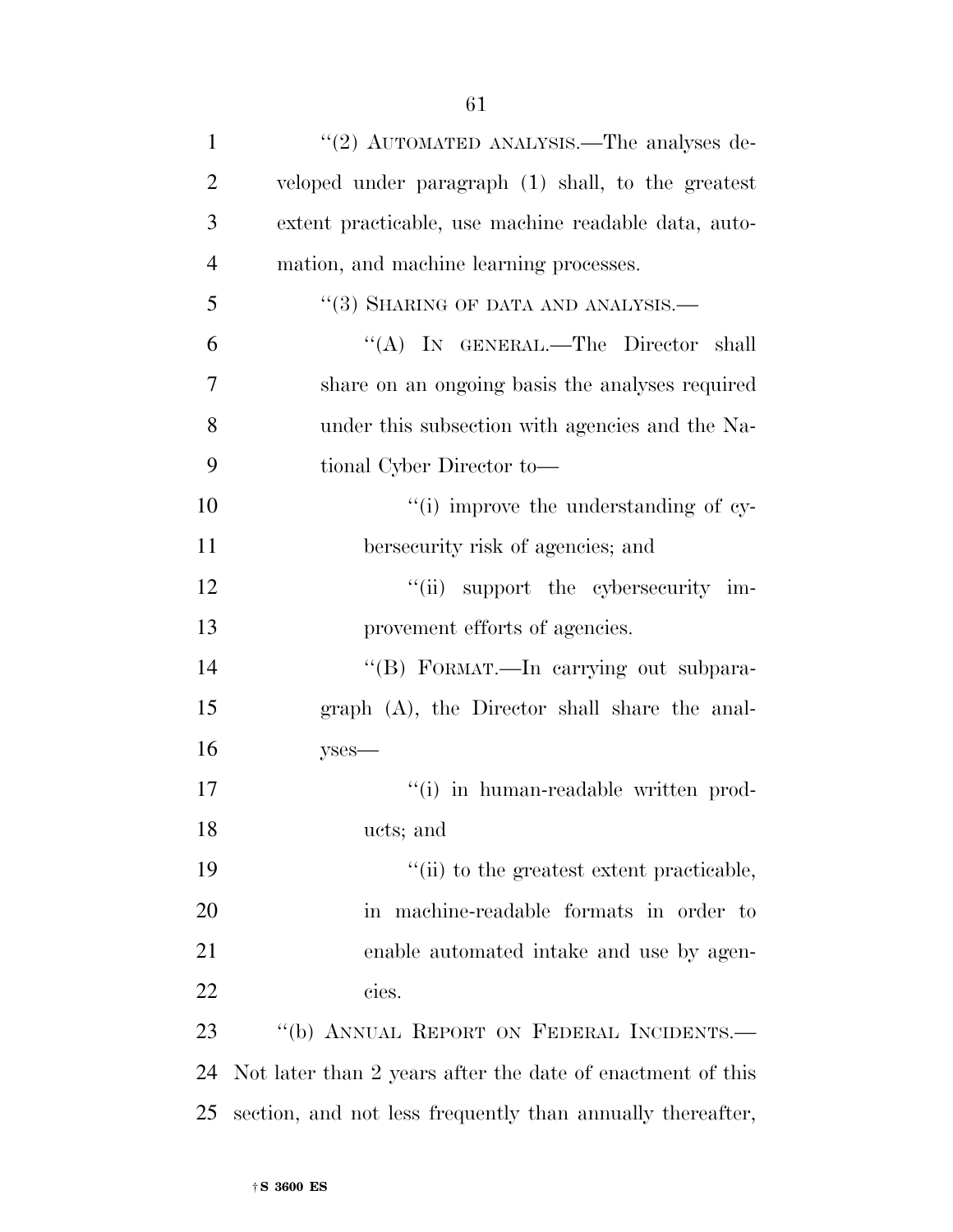| $\mathbf{1}$   | "(2) AUTOMATED ANALYSIS.—The analyses de-                  |
|----------------|------------------------------------------------------------|
| $\overline{2}$ | veloped under paragraph (1) shall, to the greatest         |
| 3              | extent practicable, use machine readable data, auto-       |
| $\overline{4}$ | mation, and machine learning processes.                    |
| 5              | $``(3)$ SHARING OF DATA AND ANALYSIS.—                     |
| 6              | "(A) IN GENERAL.—The Director shall                        |
| 7              | share on an ongoing basis the analyses required            |
| 8              | under this subsection with agencies and the Na-            |
| 9              | tional Cyber Director to-                                  |
| 10             | "(i) improve the understanding of cy-                      |
| 11             | bersecurity risk of agencies; and                          |
| 12             | "(ii) support the cybersecurity im-                        |
| 13             | provement efforts of agencies.                             |
| 14             | "(B) FORMAT.—In carrying out subpara-                      |
| 15             | graph (A), the Director shall share the anal-              |
| 16             | $y$ ses—                                                   |
| 17             | "(i) in human-readable written prod-                       |
| 18             | ucts; and                                                  |
| 19             | "(ii) to the greatest extent practicable,                  |
| 20             | in machine-readable formats in order to                    |
| 21             | enable automated intake and use by agen-                   |
| 22             | cies.                                                      |
| 23             | "(b) ANNUAL REPORT ON FEDERAL INCIDENTS.-                  |
| 24             | Not later than 2 years after the date of enactment of this |
| 25             | section, and not less frequently than annually thereafter, |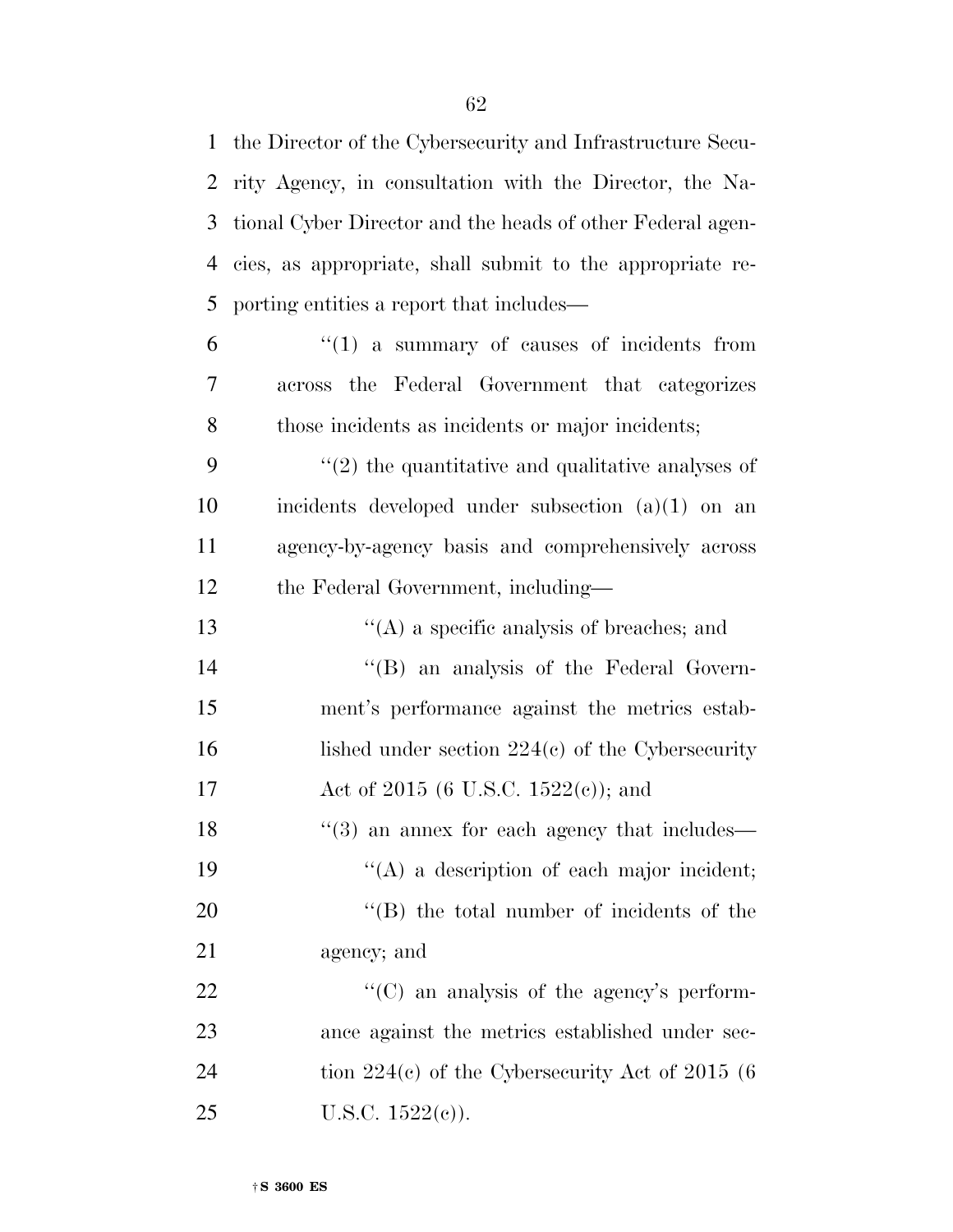the Director of the Cybersecurity and Infrastructure Secu- rity Agency, in consultation with the Director, the Na- tional Cyber Director and the heads of other Federal agen- cies, as appropriate, shall submit to the appropriate re-porting entities a report that includes—

 $6 \t\t\t\t\t\t''(1)$  a summary of causes of incidents from across the Federal Government that categorizes those incidents as incidents or major incidents;

 ''(2) the quantitative and qualitative analyses of incidents developed under subsection (a)(1) on an agency-by-agency basis and comprehensively across the Federal Government, including—

 ''(A) a specific analysis of breaches; and ''(B) an analysis of the Federal Govern- ment's performance against the metrics estab-16 lished under section 224(c) of the Cybersecurity 17 Act of 2015 (6 U.S.C. 1522(c)); and 18 ''(3) an annex for each agency that includes—  $((A)$  a description of each major incident;  $"$ (B) the total number of incidents of the

agency; and

22  $\cdot$  (C) an analysis of the agency's perform- ance against the metrics established under sec-24 tion 224(c) of the Cybersecurity Act of 2015 (6 25 U.S.C.  $1522(e)$ ).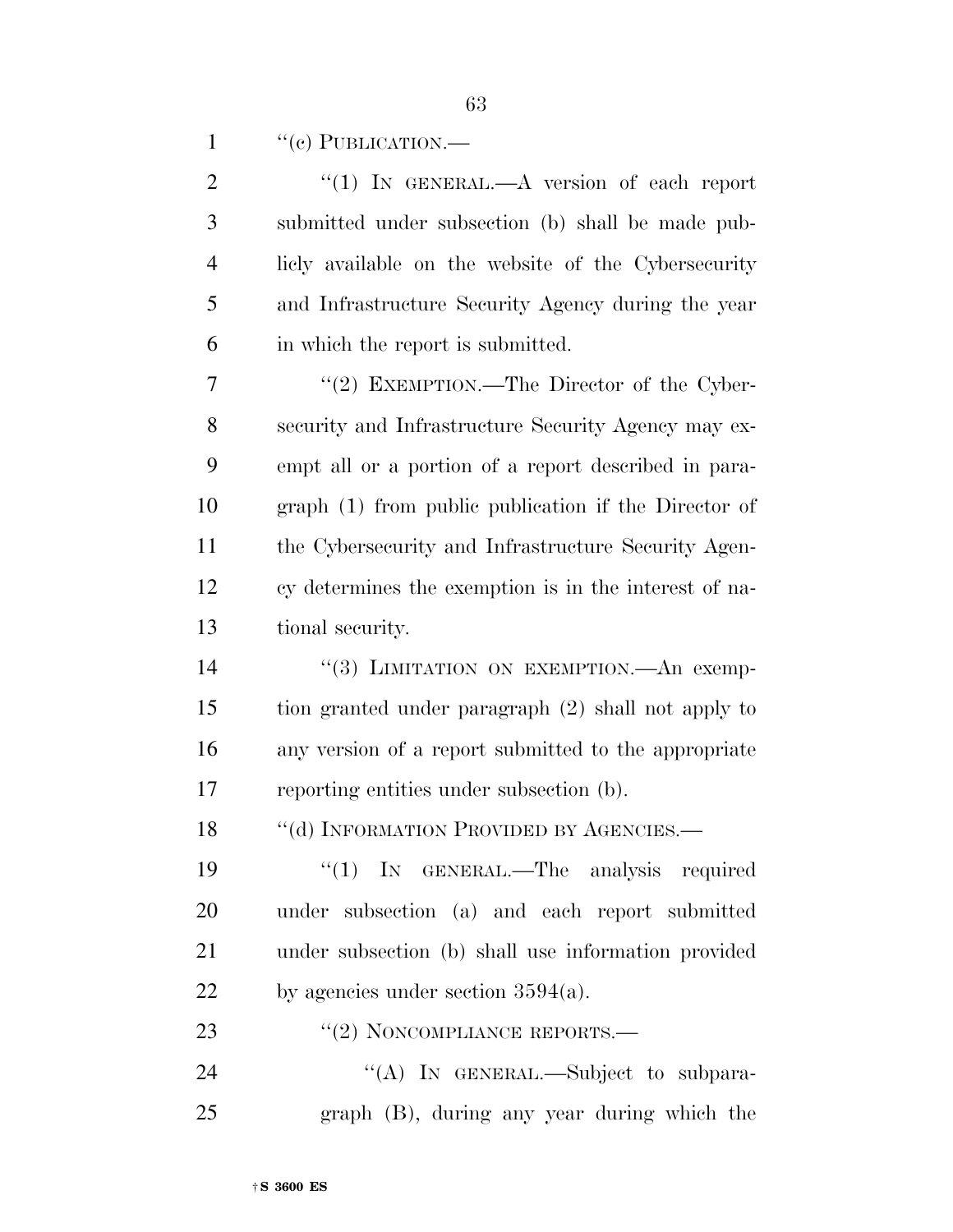1  $"$ (c) PUBLICATION.—

| $\mathbf{2}$ | "(1) IN GENERAL.— $A$ version of each report          |
|--------------|-------------------------------------------------------|
| 3            | submitted under subsection (b) shall be made pub-     |
| 4            | licly available on the website of the Cybersecurity   |
| 5            | and Infrastructure Security Agency during the year    |
| 6            | in which the report is submitted.                     |
| 7            | "(2) EXEMPTION.—The Director of the Cyber-            |
| 8            | security and Infrastructure Security Agency may ex-   |
| 9            | empt all or a portion of a report described in para-  |
| 10           | graph (1) from public publication if the Director of  |
| 11           | the Cybersecurity and Infrastructure Security Agen-   |
| 12           | cy determines the exemption is in the interest of na- |
| 13           | tional security.                                      |
| 14           | "(3) LIMITATION ON EXEMPTION.—An exemp-               |
| 15           | tion granted under paragraph (2) shall not apply to   |
| 16           | any version of a report submitted to the appropriate  |
| 17           | reporting entities under subsection (b).              |
| 18           | "(d) INFORMATION PROVIDED BY AGENCIES.-               |
| 19           | "(1) IN GENERAL.—The analysis required                |
| 20           | under subsection (a) and each report submitted        |
| 21           | under subsection (b) shall use information provided   |
| 22           | by agencies under section $3594(a)$ .                 |
| 23           | $``(2)$ NONCOMPLIANCE REPORTS.—                       |
| 24           | "(A) IN GENERAL.—Subject to subpara-                  |
| 25           | graph (B), during any year during which the           |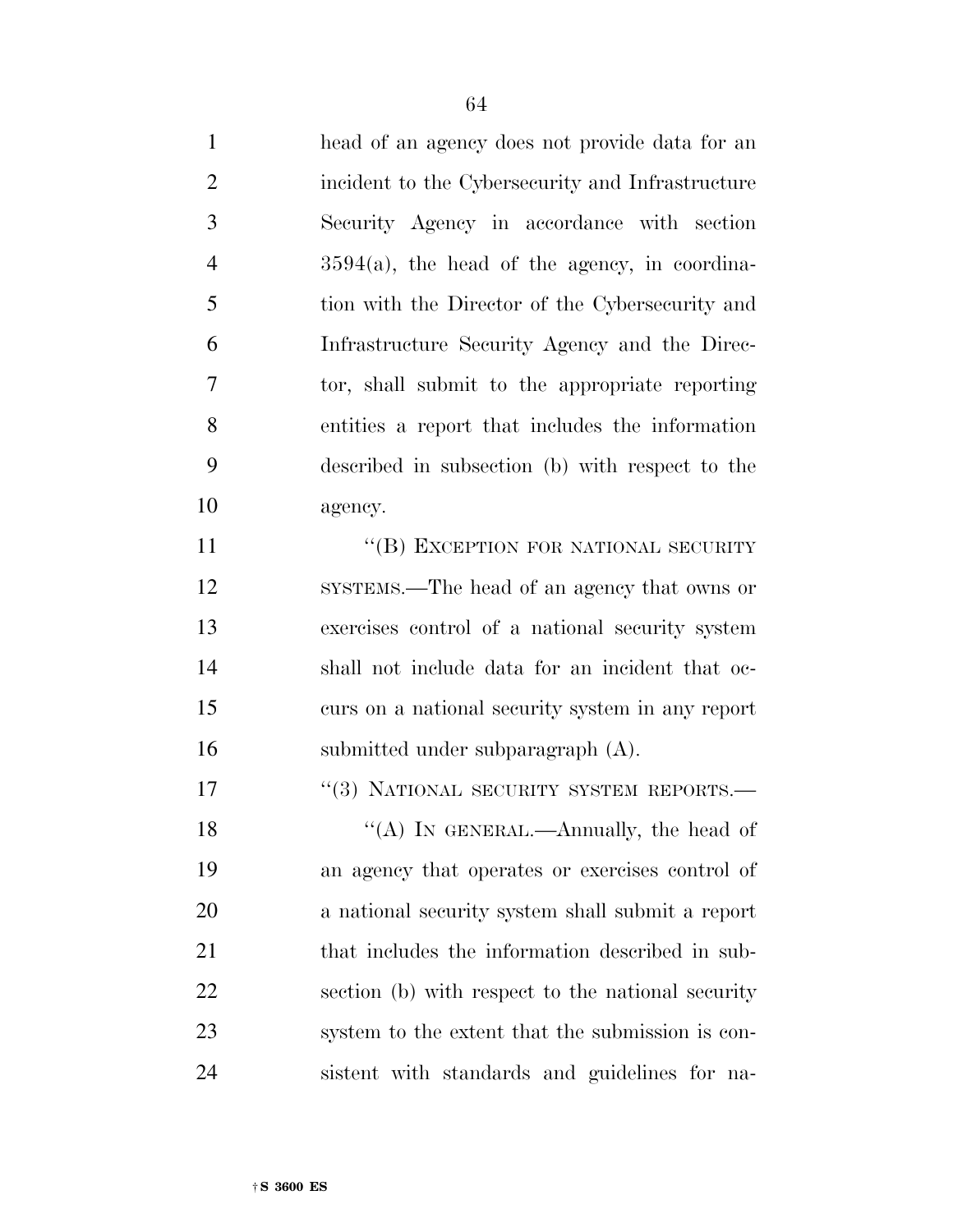| $\mathbf{1}$   | head of an agency does not provide data for an    |
|----------------|---------------------------------------------------|
| $\overline{2}$ | incident to the Cybersecurity and Infrastructure  |
| 3              | Security Agency in accordance with section        |
| $\overline{4}$ | $3594(a)$ , the head of the agency, in coordina-  |
| 5              | tion with the Director of the Cybersecurity and   |
| 6              | Infrastructure Security Agency and the Direc-     |
| 7              | tor, shall submit to the appropriate reporting    |
| 8              | entities a report that includes the information   |
| 9              | described in subsection (b) with respect to the   |
| 10             | agency.                                           |
| 11             | "(B) EXCEPTION FOR NATIONAL SECURITY              |
| 12             | SYSTEMS.—The head of an agency that owns or       |
| 13             | exercises control of a national security system   |
| 14             | shall not include data for an incident that oc-   |
| 15             | curs on a national security system in any report  |
| 16             | submitted under subparagraph (A).                 |
| 17             | "(3) NATIONAL SECURITY SYSTEM REPORTS.-           |
| 18             | "(A) IN GENERAL.—Annually, the head of            |
| 19             | an agency that operates or exercises control of   |
| 20             | a national security system shall submit a report  |
| 21             | that includes the information described in sub-   |
| 22             | section (b) with respect to the national security |
| 23             | system to the extent that the submission is con-  |
| 24             | sistent with standards and guidelines for na-     |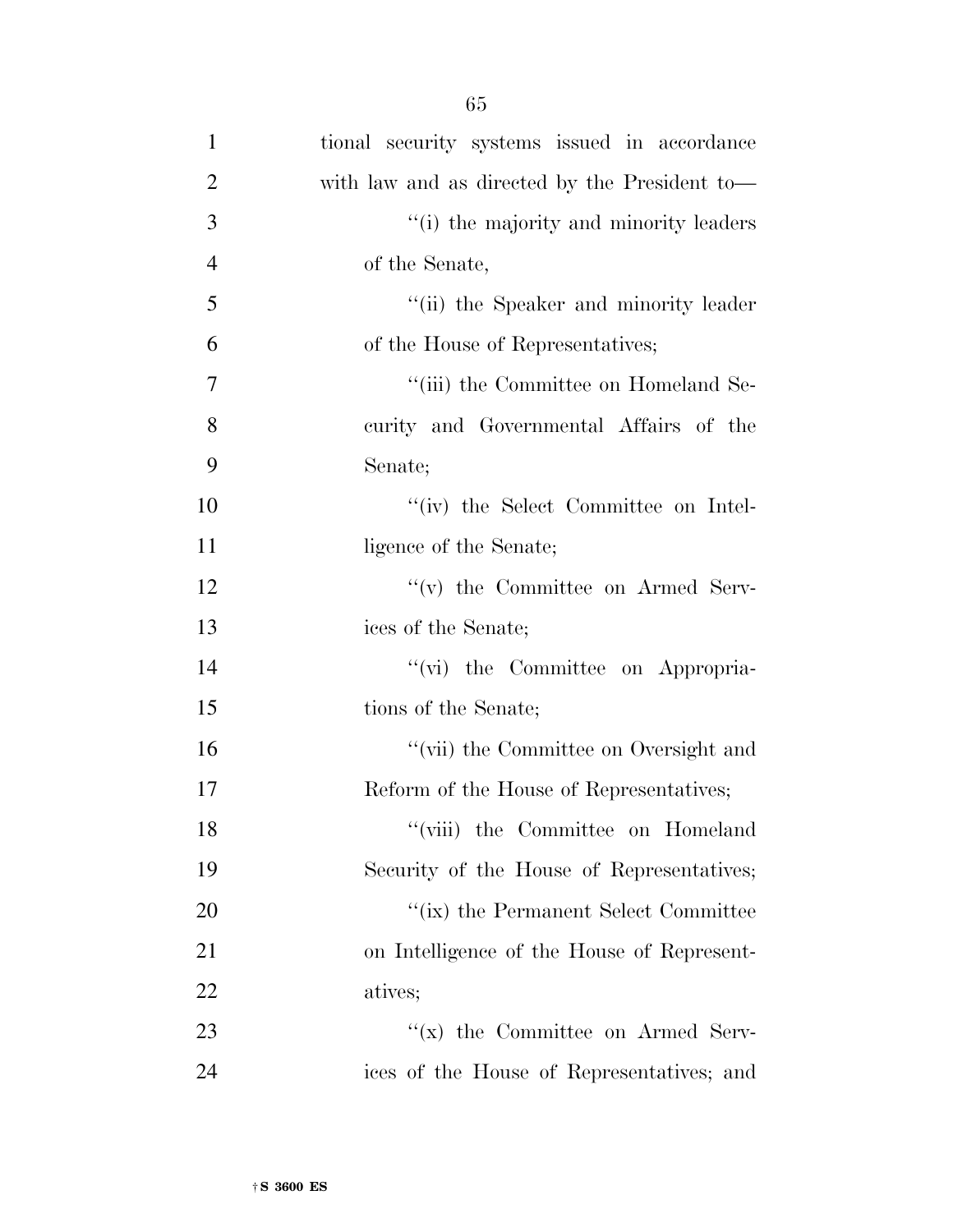| $\mathbf{1}$   | tional security systems issued in accordance  |
|----------------|-----------------------------------------------|
| $\overline{2}$ | with law and as directed by the President to— |
| 3              | "(i) the majority and minority leaders        |
| $\overline{4}$ | of the Senate,                                |
| 5              | "(ii) the Speaker and minority leader         |
| 6              | of the House of Representatives;              |
| 7              | "(iii) the Committee on Homeland Se-          |
| 8              | curity and Governmental Affairs of the        |
| 9              | Senate;                                       |
| 10             | "(iv) the Select Committee on Intel-          |
| 11             | ligence of the Senate;                        |
| 12             | $f'(v)$ the Committee on Armed Serv-          |
| 13             | ices of the Senate;                           |
| 14             | "(vi) the Committee on Appropria-             |
| 15             | tions of the Senate;                          |
| 16             | "(vii) the Committee on Oversight and         |
| 17             | Reform of the House of Representatives;       |
| 18             | "(viii) the Committee on Homeland             |
| 19             | Security of the House of Representatives;     |
| 20             | "(ix) the Permanent Select Committee          |
| 21             | on Intelligence of the House of Represent-    |
| 22             | atives;                                       |
| 23             | $f(x)$ the Committee on Armed Serv-           |
| 24             | ices of the House of Representatives; and     |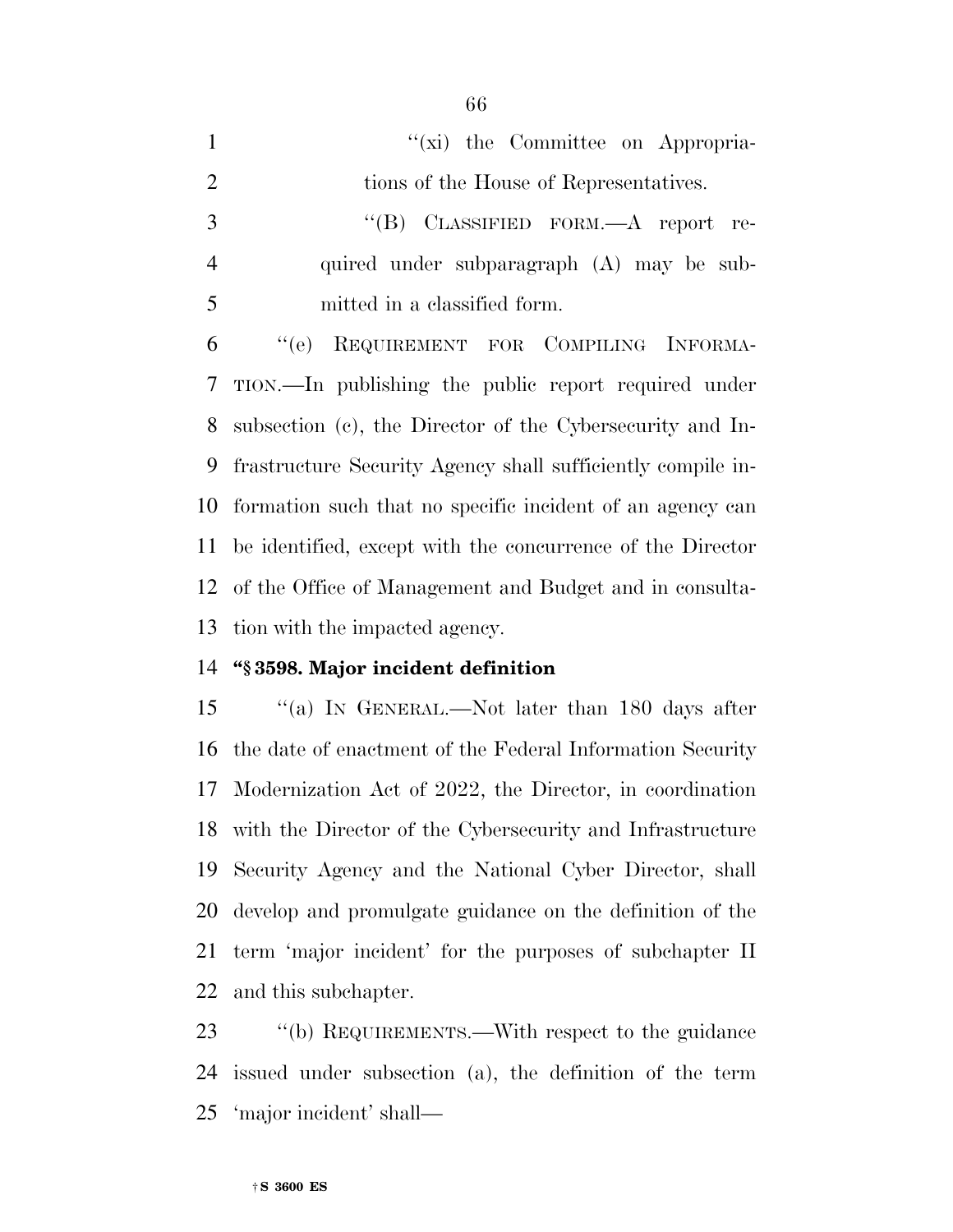| $\mathbf{1}$   | "(xi) the Committee on Appropria-                             |
|----------------|---------------------------------------------------------------|
| 2              | tions of the House of Representatives.                        |
| 3              | "(B) CLASSIFIED FORM.— $A$ report re-                         |
| $\overline{4}$ | quired under subparagraph (A) may be sub-                     |
| 5              | mitted in a classified form.                                  |
| 6              | REQUIREMENT FOR COMPILING INFORMA-<br>``(e)                   |
| 7 <sup>7</sup> | TION.—In publishing the public report required under          |
| 8              | subsection (c), the Director of the Cybersecurity and In-     |
| 9              | frastructure Security Agency shall sufficiently compile in-   |
|                | 10 formation such that no specific incident of an agency can  |
|                | 11 be identified, except with the concurrence of the Director |
|                |                                                               |

 of the Office of Management and Budget and in consulta-tion with the impacted agency.

## **''§ 3598. Major incident definition**

15 "(a) IN GENERAL.—Not later than 180 days after the date of enactment of the Federal Information Security Modernization Act of 2022, the Director, in coordination with the Director of the Cybersecurity and Infrastructure Security Agency and the National Cyber Director, shall develop and promulgate guidance on the definition of the term 'major incident' for the purposes of subchapter II and this subchapter.

 ''(b) REQUIREMENTS.—With respect to the guidance issued under subsection (a), the definition of the term 'major incident' shall—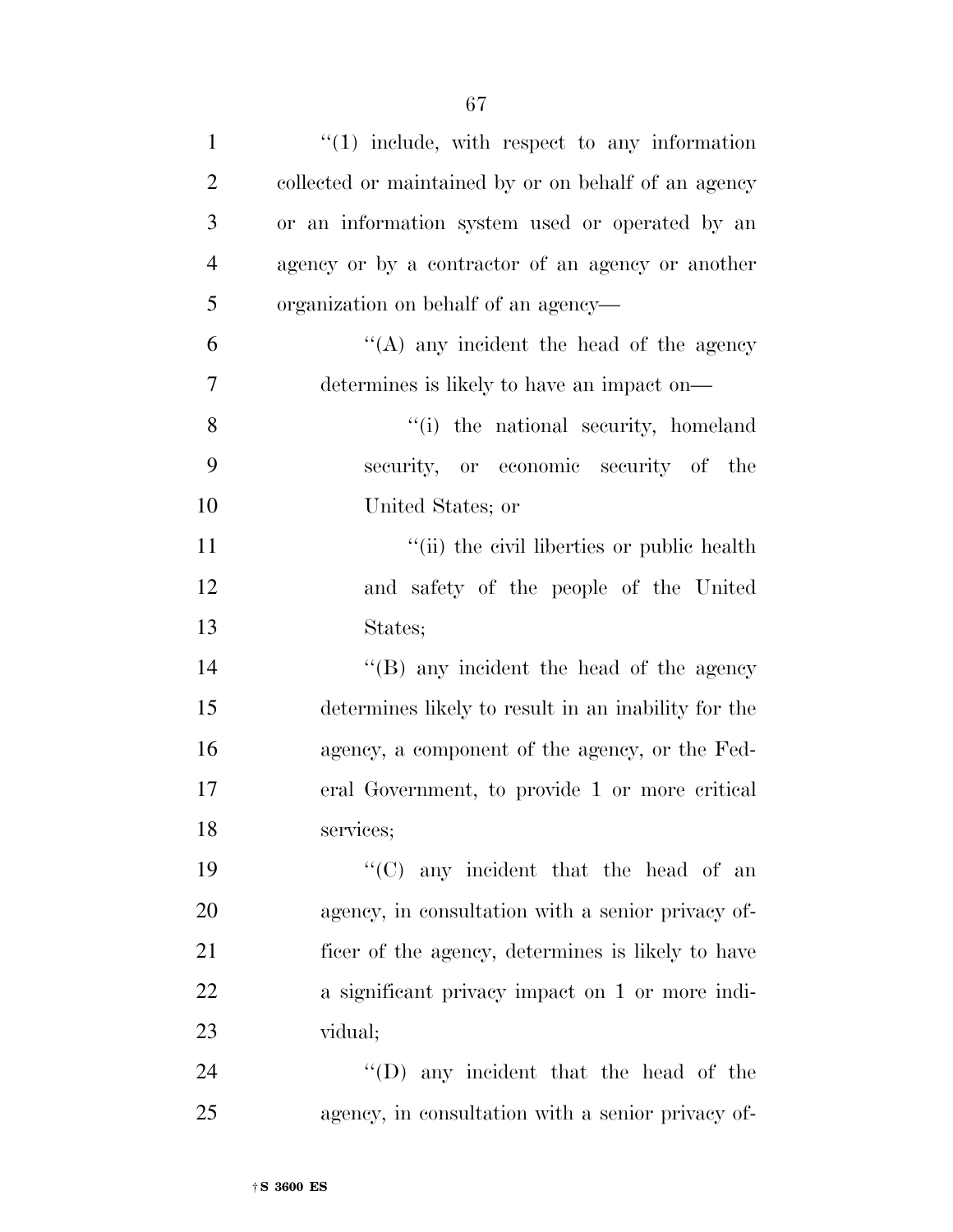| $\mathbf{1}$   | $\lq(1)$ include, with respect to any information    |
|----------------|------------------------------------------------------|
| $\overline{2}$ | collected or maintained by or on behalf of an agency |
| 3              | or an information system used or operated by an      |
| $\overline{4}$ | agency or by a contractor of an agency or another    |
| 5              | organization on behalf of an agency—                 |
| 6              | $\lq\lq$ any incident the head of the agency         |
| 7              | determines is likely to have an impact on—           |
| 8              | "(i) the national security, homeland                 |
| 9              | security, or economic security of the                |
| 10             | United States; or                                    |
| 11             | "(ii) the civil liberties or public health           |
| 12             | and safety of the people of the United               |
| 13             | States;                                              |
| 14             | $\lq\lq$ (B) any incident the head of the agency     |
| 15             | determines likely to result in an inability for the  |
| 16             | agency, a component of the agency, or the Fed-       |
| 17             | eral Government, to provide 1 or more critical       |
| 18             | services;                                            |
| 19             | " $(C)$ any incident that the head of an             |
| 20             | agency, in consultation with a senior privacy of-    |
| 21             | ficer of the agency, determines is likely to have    |
| 22             | a significant privacy impact on 1 or more indi-      |
| 23             | vidual;                                              |
| 24             | "(D) any incident that the head of the               |
| 25             | agency, in consultation with a senior privacy of-    |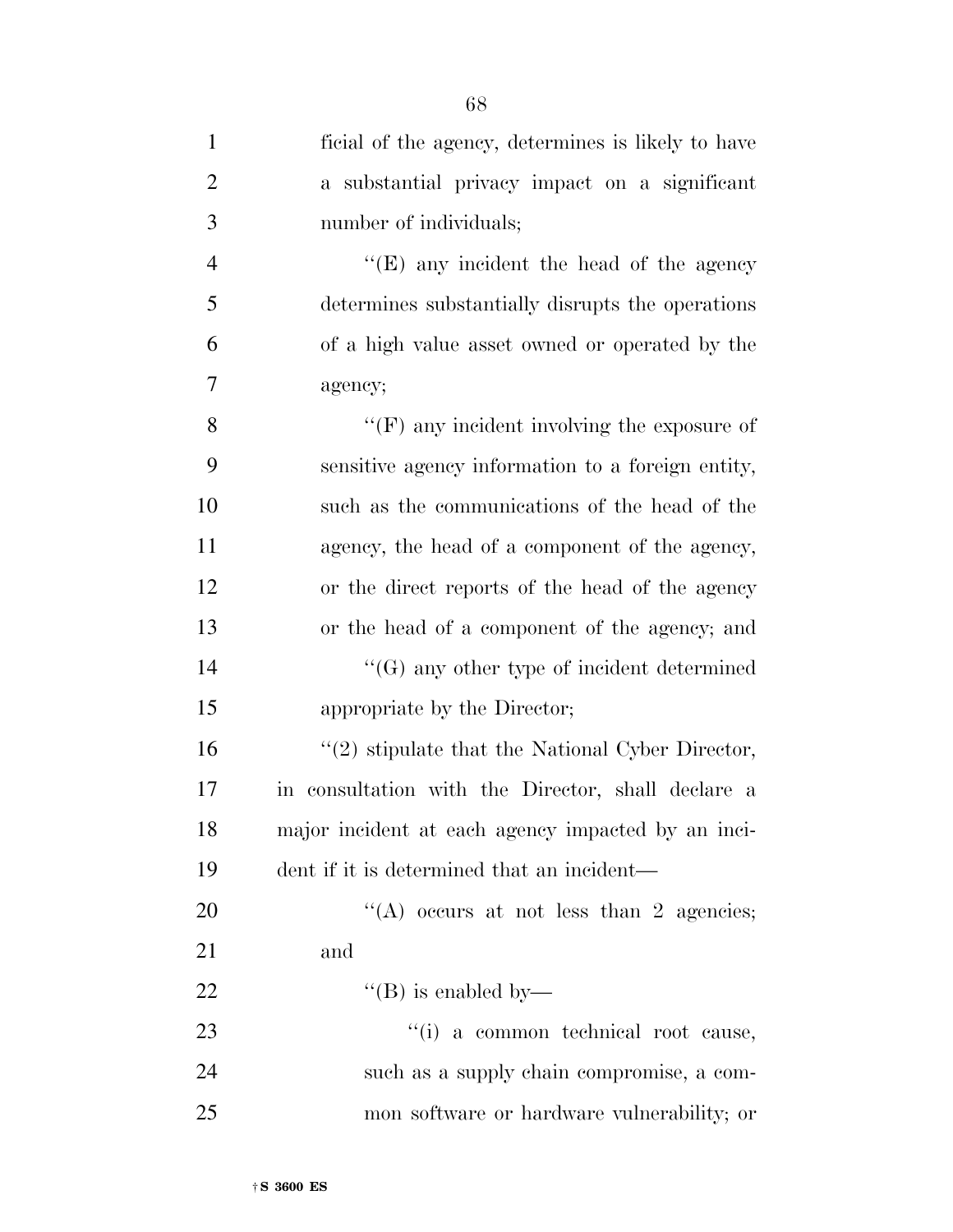| $\mathbf{1}$   | ficial of the agency, determines is likely to have   |
|----------------|------------------------------------------------------|
| $\overline{2}$ | a substantial privacy impact on a significant        |
| 3              | number of individuals;                               |
| $\overline{4}$ | " $(E)$ any incident the head of the agency"         |
| 5              | determines substantially disrupts the operations     |
| 6              | of a high value asset owned or operated by the       |
| $\overline{7}$ | agency;                                              |
| 8              | $\lq\lq(F)$ any incident involving the exposure of   |
| 9              | sensitive agency information to a foreign entity,    |
| 10             | such as the communications of the head of the        |
| 11             | agency, the head of a component of the agency,       |
| 12             | or the direct reports of the head of the agency      |
| 13             | or the head of a component of the agency; and        |
| 14             | $\lq\lq(G)$ any other type of incident determined    |
| 15             | appropriate by the Director;                         |
| 16             | $\lq(2)$ stipulate that the National Cyber Director, |
| 17             | in consultation with the Director, shall declare a   |
| 18             | major incident at each agency impacted by an inci-   |
| 19             | dent if it is determined that an incident—           |
| 20             | "(A) occurs at not less than 2 agencies;             |
| 21             | and                                                  |
| 22             | "(B) is enabled by—                                  |
| 23             | "(i) a common technical root cause,                  |
| 24             | such as a supply chain compromise, a com-            |
| 25             | mon software or hardware vulnerability; or           |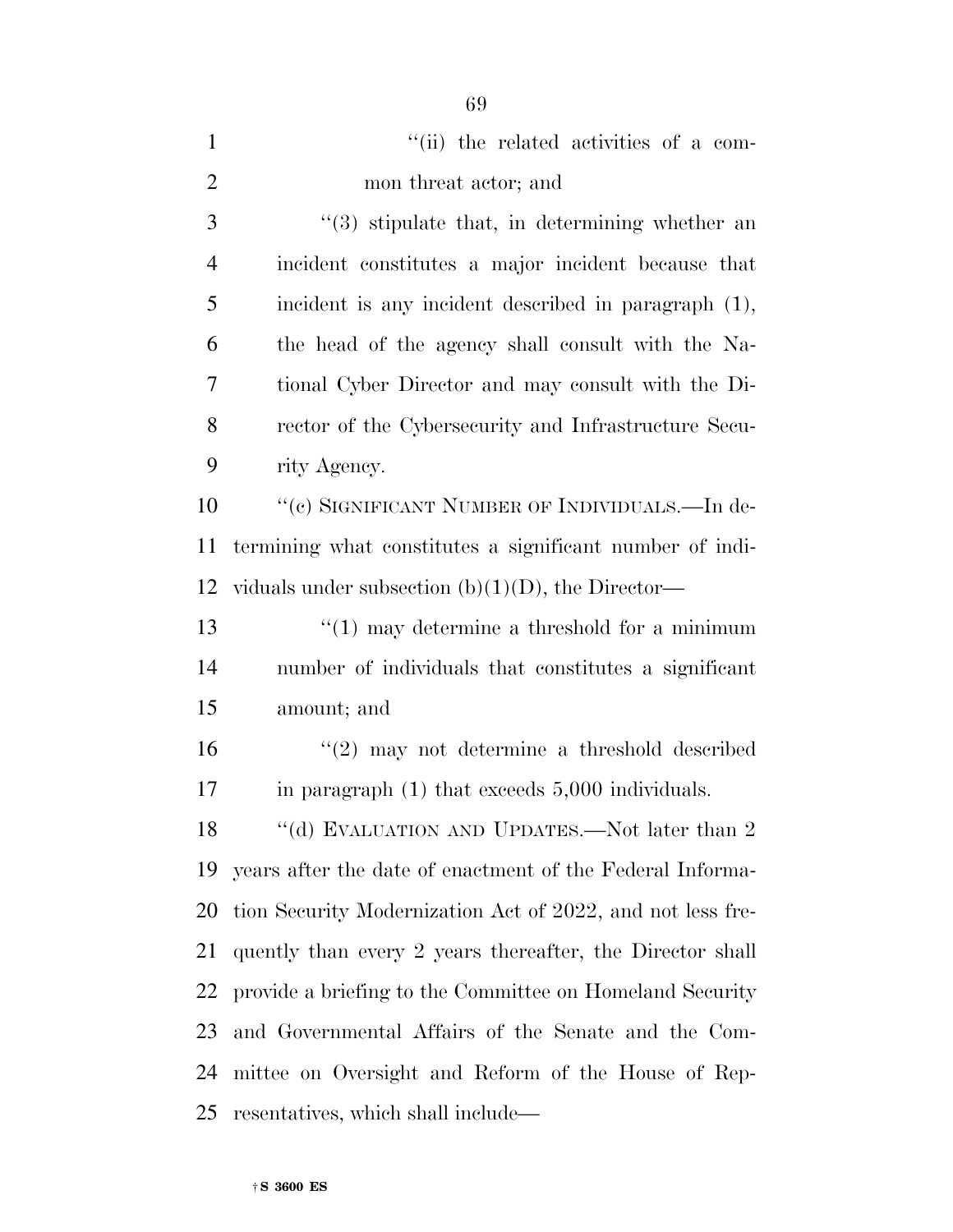| $\mathbf{1}$   | "(ii) the related activities of a com-                     |
|----------------|------------------------------------------------------------|
| $\overline{2}$ | mon threat actor; and                                      |
| 3              | $\lq(3)$ stipulate that, in determining whether an         |
| $\overline{4}$ | incident constitutes a major incident because that         |
| 5              | incident is any incident described in paragraph (1),       |
| 6              | the head of the agency shall consult with the Na-          |
| 7              | tional Cyber Director and may consult with the Di-         |
| 8              | rector of the Cybersecurity and Infrastructure Secu-       |
| 9              | rity Agency.                                               |
| 10             | "(c) SIGNIFICANT NUMBER OF INDIVIDUALS.—In de-             |
| 11             | termining what constitutes a significant number of indi-   |
| 12             | viduals under subsection $(b)(1)(D)$ , the Director—       |
| 13             | $\lq(1)$ may determine a threshold for a minimum           |
| 14             | number of individuals that constitutes a significant       |
| 15             | amount; and                                                |
| 16             | $\lq(2)$ may not determine a threshold described           |
| 17             | in paragraph $(1)$ that exceeds $5,000$ individuals.       |
|                | 18 "(d) EVALUATION AND UPDATES.—Not later than 2           |
| 19             | years after the date of enactment of the Federal Informa-  |
| 20             | tion Security Modernization Act of 2022, and not less fre- |
| 21             | quently than every 2 years thereafter, the Director shall  |
| 22             | provide a briefing to the Committee on Homeland Security   |
| 23             | and Governmental Affairs of the Senate and the Com-        |
| 24             | mittee on Oversight and Reform of the House of Rep-        |
| 25             | resentatives, which shall include—                         |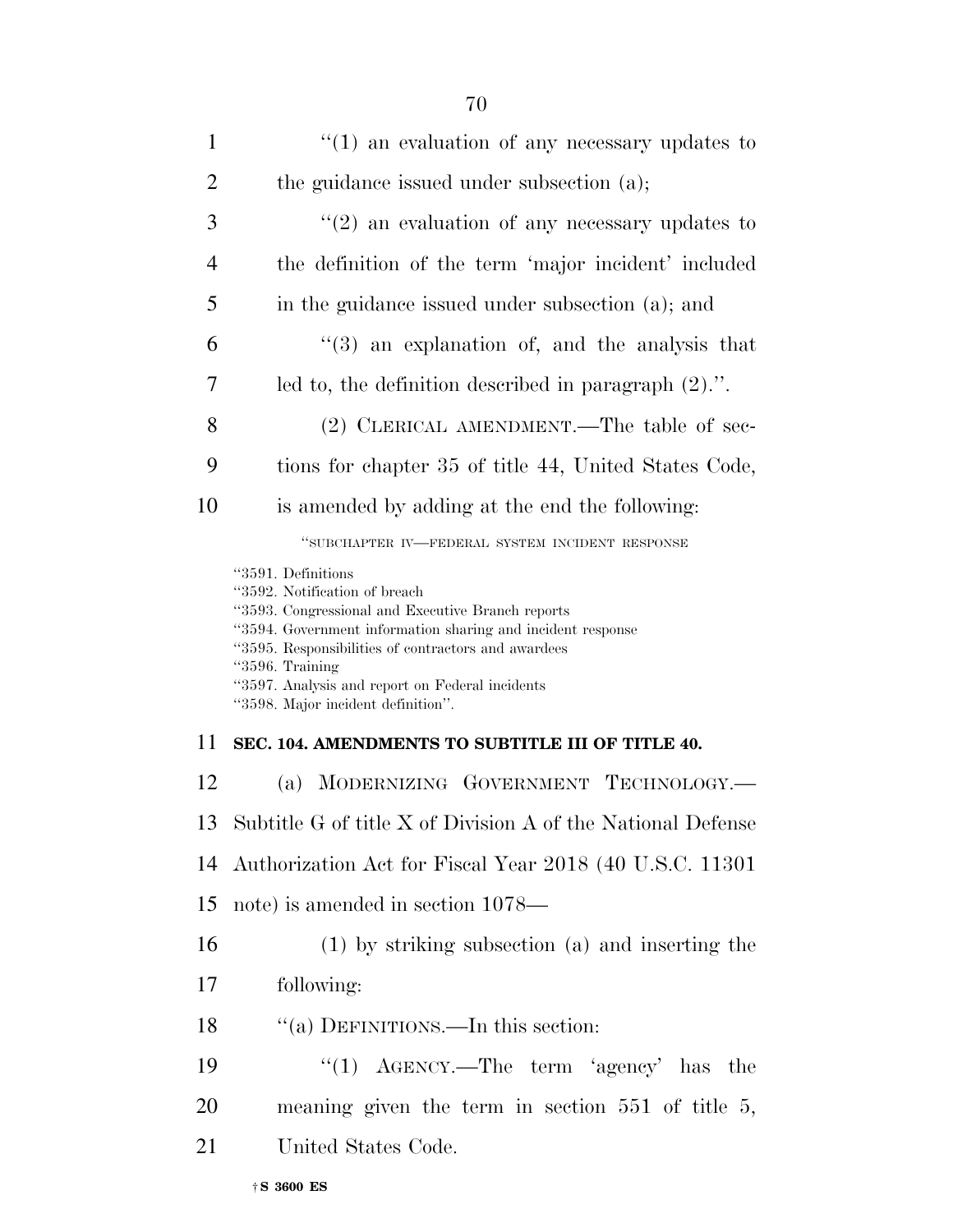| $\mathbf{1}$   | $\lq(1)$ an evaluation of any necessary updates to      |
|----------------|---------------------------------------------------------|
| $\overline{2}$ | the guidance issued under subsection (a);               |
| 3              | $\lq(2)$ an evaluation of any necessary updates to      |
| $\overline{4}$ | the definition of the term 'major incident' included    |
| 5              | in the guidance issued under subsection (a); and        |
| 6              | $\lq(3)$ an explanation of, and the analysis that       |
| 7              | led to, the definition described in paragraph $(2)$ .". |
|                |                                                         |

- 8 (2) CLERICAL AMENDMENT.—The table of sec-
- 9 tions for chapter 35 of title 44, United States Code,
- 10 is amended by adding at the end the following:

''SUBCHAPTER IV—FEDERAL SYSTEM INCIDENT RESPONSE

''3591. Definitions

''3592. Notification of breach

''3593. Congressional and Executive Branch reports

''3594. Government information sharing and incident response

''3595. Responsibilities of contractors and awardees

''3596. Training

''3597. Analysis and report on Federal incidents

''3598. Major incident definition''.

# 11 **SEC. 104. AMENDMENTS TO SUBTITLE III OF TITLE 40.**

12 (a) MODERNIZING GOVERNMENT TECHNOLOGY.—

13 Subtitle G of title X of Division A of the National Defense

14 Authorization Act for Fiscal Year 2018 (40 U.S.C. 11301

15 note) is amended in section 1078—

16 (1) by striking subsection (a) and inserting the

17 following:

18 "(a) DEFINITIONS.—In this section:

19 "(1) AGENCY.—The term 'agency' has the 20 meaning given the term in section 551 of title 5,

21 United States Code.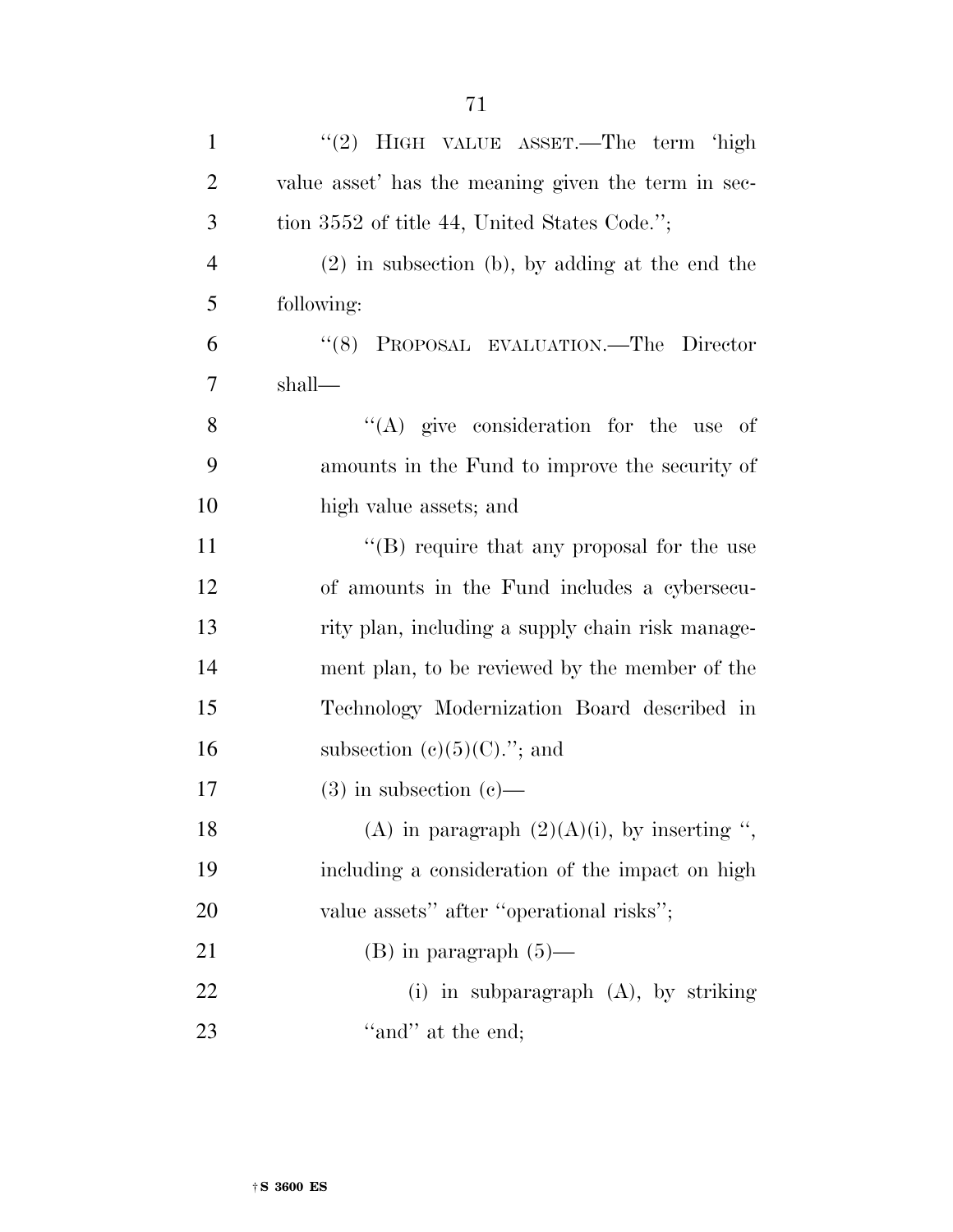| $\mathbf{1}$   | "(2) HIGH VALUE ASSET.—The term 'high               |
|----------------|-----------------------------------------------------|
| $\overline{2}$ | value asset' has the meaning given the term in sec- |
| 3              | tion 3552 of title 44, United States Code.";        |
| $\overline{4}$ | $(2)$ in subsection (b), by adding at the end the   |
| 5              | following:                                          |
| 6              | PROPOSAL EVALUATION.—The Director<br>(8)            |
| $\overline{7}$ | shall—                                              |
| 8              | "(A) give consideration for the use of              |
| 9              | amounts in the Fund to improve the security of      |
| 10             | high value assets; and                              |
| 11             | "(B) require that any proposal for the use          |
| 12             | of amounts in the Fund includes a cybersecu-        |
| 13             | rity plan, including a supply chain risk manage-    |
| 14             | ment plan, to be reviewed by the member of the      |
| 15             | Technology Modernization Board described in         |
| 16             | subsection $(c)(5)(C)$ ."; and                      |
| 17             | $(3)$ in subsection $(e)$ —                         |
| 18             | (A) in paragraph $(2)(A)(i)$ , by inserting ",      |
| 19             | including a consideration of the impact on high     |
| 20             | value assets" after "operational risks";            |
| 21             | $(B)$ in paragraph $(5)$ —                          |
| 22             | (i) in subparagraph $(A)$ , by striking             |
| 23             | "and" at the end;                                   |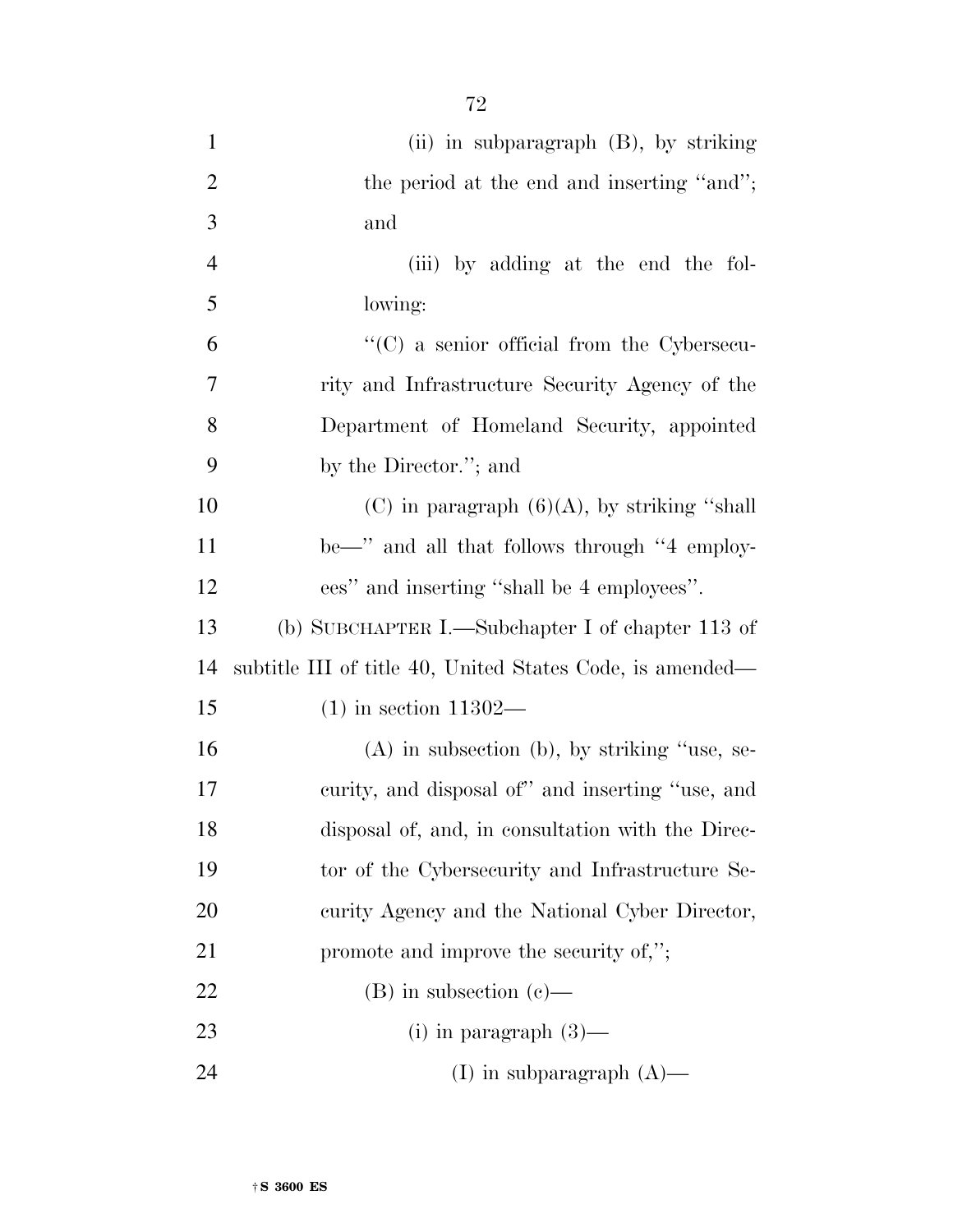| $\mathbf{1}$   | (ii) in subparagraph (B), by striking                     |
|----------------|-----------------------------------------------------------|
| $\overline{2}$ | the period at the end and inserting "and";                |
| 3              | and                                                       |
| $\overline{4}$ | (iii) by adding at the end the fol-                       |
| 5              | lowing:                                                   |
| 6              | $\lq\lq$ (C) a senior official from the Cybersecu-        |
| 7              | rity and Infrastructure Security Agency of the            |
| 8              | Department of Homeland Security, appointed                |
| 9              | by the Director."; and                                    |
| 10             | (C) in paragraph $(6)(A)$ , by striking "shall            |
| 11             | be—" and all that follows through "4 employ-              |
| 12             | ees" and inserting "shall be 4 employees".                |
| 13             | (b) SUBCHAPTER I.—Subchapter I of chapter 113 of          |
| 14             | subtitle III of title 40, United States Code, is amended— |
| 15             | $(1)$ in section 11302—                                   |
| 16             | $(A)$ in subsection (b), by striking "use, se-            |
| 17             | curity, and disposal of" and inserting "use, and          |
| 18             | disposal of, and, in consultation with the Direc-         |
| 19             | tor of the Cybersecurity and Infrastructure Se-           |
| 20             | curity Agency and the National Cyber Director,            |
| 21             | promote and improve the security of,";                    |
| 22             | $(B)$ in subsection $(c)$ —                               |
|                |                                                           |
| 23             | (i) in paragraph $(3)$ —                                  |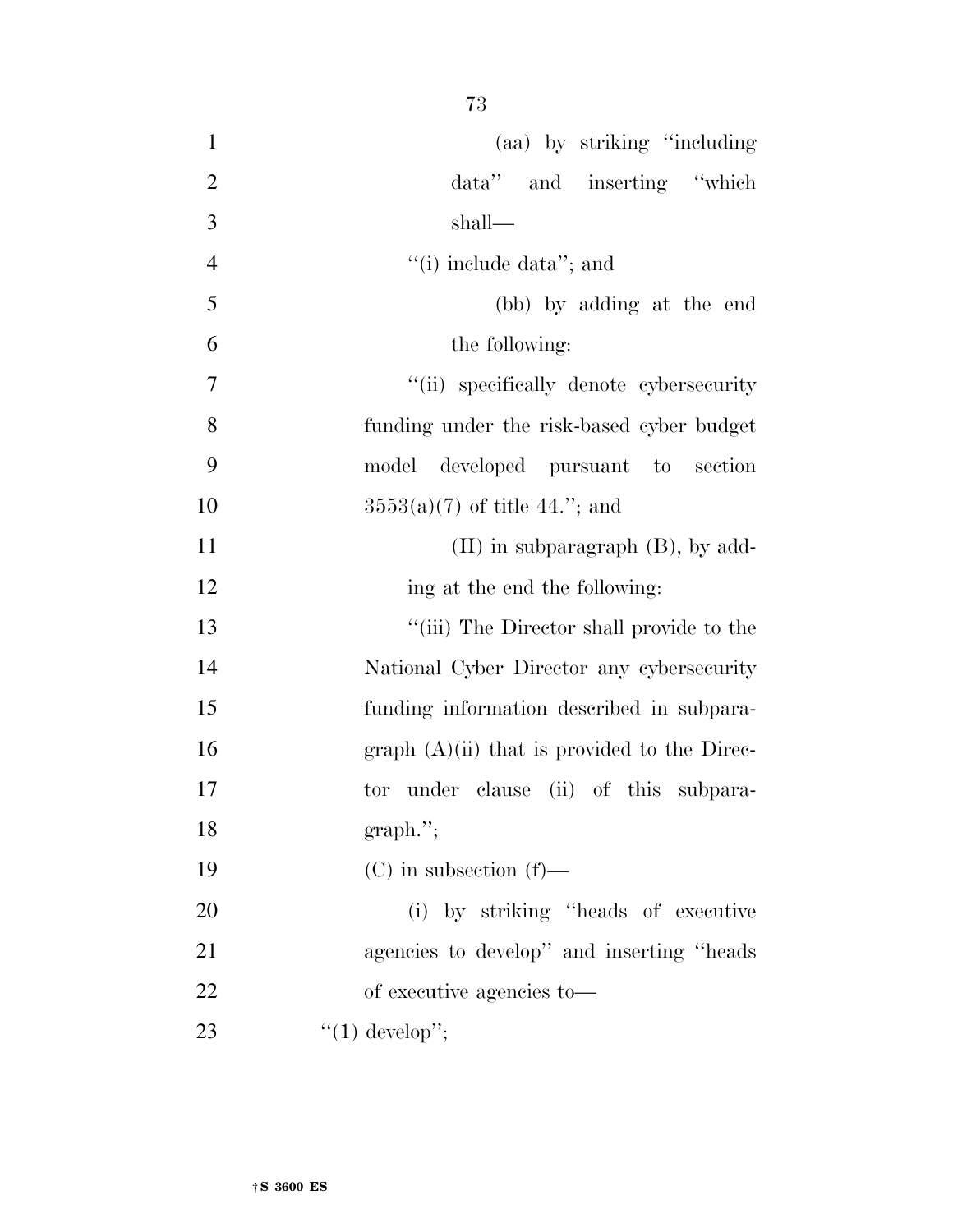| in the | ۰.<br>v |
|--------|---------|
|        |         |

| $\mathbf{1}$   | (aa) by striking "including"                   |
|----------------|------------------------------------------------|
| $\overline{2}$ | data" and inserting "which                     |
| 3              | shall—                                         |
| $\overline{4}$ | "(i) include data"; and                        |
| 5              | (bb) by adding at the end                      |
| 6              | the following:                                 |
| 7              | "(ii) specifically denote cybersecurity        |
| 8              | funding under the risk-based cyber budget      |
| 9              | model<br>developed pursuant to section         |
| 10             | $3553(a)(7)$ of title 44."; and                |
| 11             | $(II)$ in subparagraph $(B)$ , by add-         |
| 12             | ing at the end the following:                  |
| 13             | "(iii) The Director shall provide to the       |
| 14             | National Cyber Director any cybersecurity      |
| 15             | funding information described in subpara-      |
| 16             | graph $(A)(ii)$ that is provided to the Direc- |
| 17             | tor under clause (ii) of this subpara-         |
| 18             | graph.";                                       |
| 19             | $(C)$ in subsection $(f)$ —                    |
| 20             | (i) by striking "heads of executive            |
| 21             | agencies to develop" and inserting "heads"     |
| 22             | of executive agencies to—                      |
| 23             | $"(1)$ develop";                               |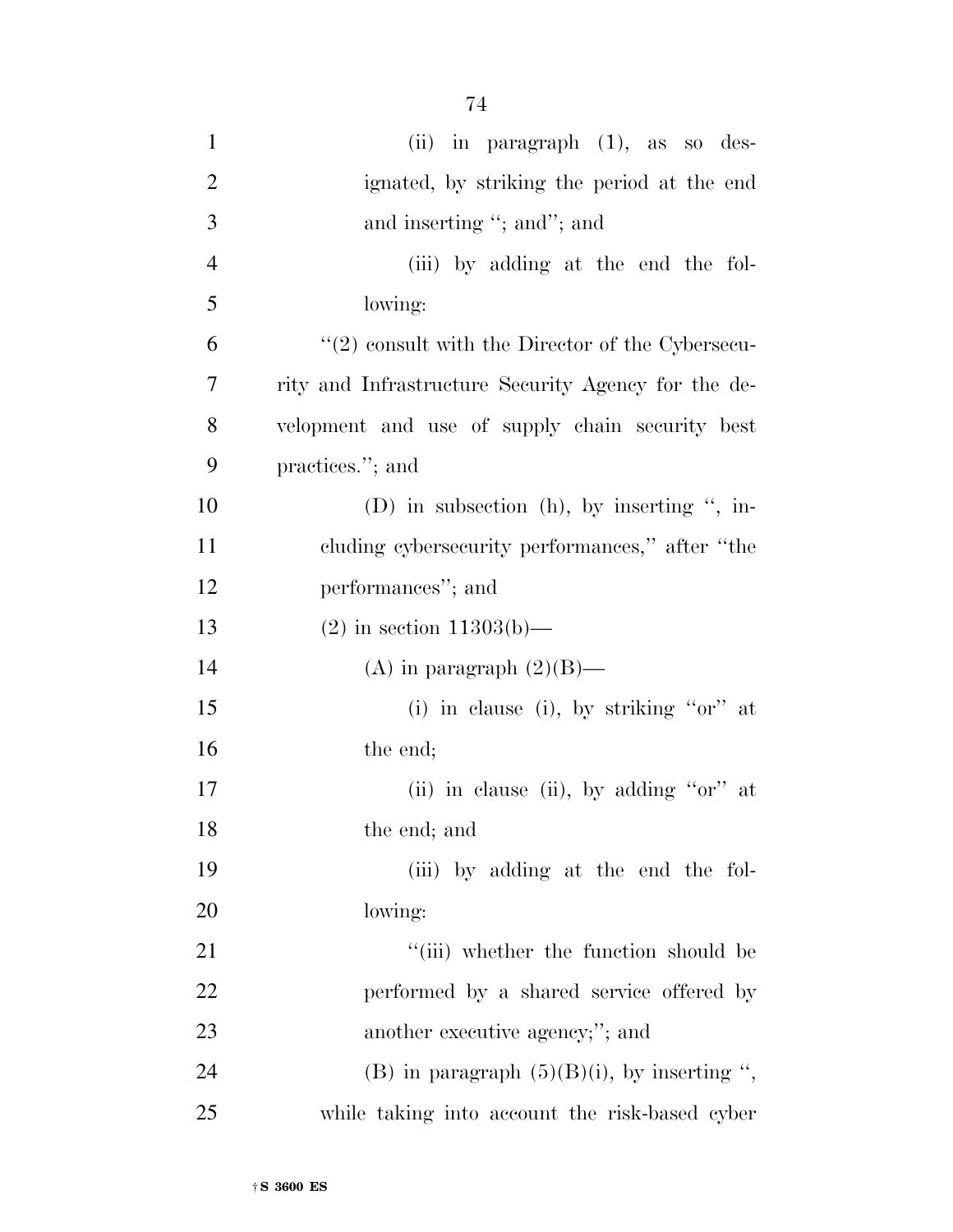| $\mathbf{1}$   | (ii) in paragraph $(1)$ , as so des-                |
|----------------|-----------------------------------------------------|
| $\mathbf{2}$   | ignated, by striking the period at the end          |
| $\overline{3}$ | and inserting "; and"; and                          |
| $\overline{4}$ | (iii) by adding at the end the fol-                 |
| 5              | lowing:                                             |
| 6              | $"(2)$ consult with the Director of the Cybersecu-  |
| 7              | rity and Infrastructure Security Agency for the de- |
| 8              | velopment and use of supply chain security best     |
| 9              | practices."; and                                    |
| 10             | (D) in subsection (h), by inserting ", in-          |
| 11             | cluding cybersecurity performances," after "the     |
| 12             | performances"; and                                  |
| 13             | $(2)$ in section 11303(b)—                          |
| 14             | (A) in paragraph $(2)(B)$ —                         |
| 15             | (i) in clause (i), by striking " $or$ " at          |
| 16             | the end;                                            |
| 17             | (ii) in clause (ii), by adding " $or$ " at          |
| 18             | the end; and                                        |
| 19             | (iii) by adding at the end the fol-                 |
| 20             | lowing:                                             |
| 21             | "(iii) whether the function should be               |
| 22             | performed by a shared service offered by            |
| 23             | another executive agency;"; and                     |
| 24             | (B) in paragraph $(5)(B)(i)$ , by inserting ",      |
| 25             | while taking into account the risk-based cyber      |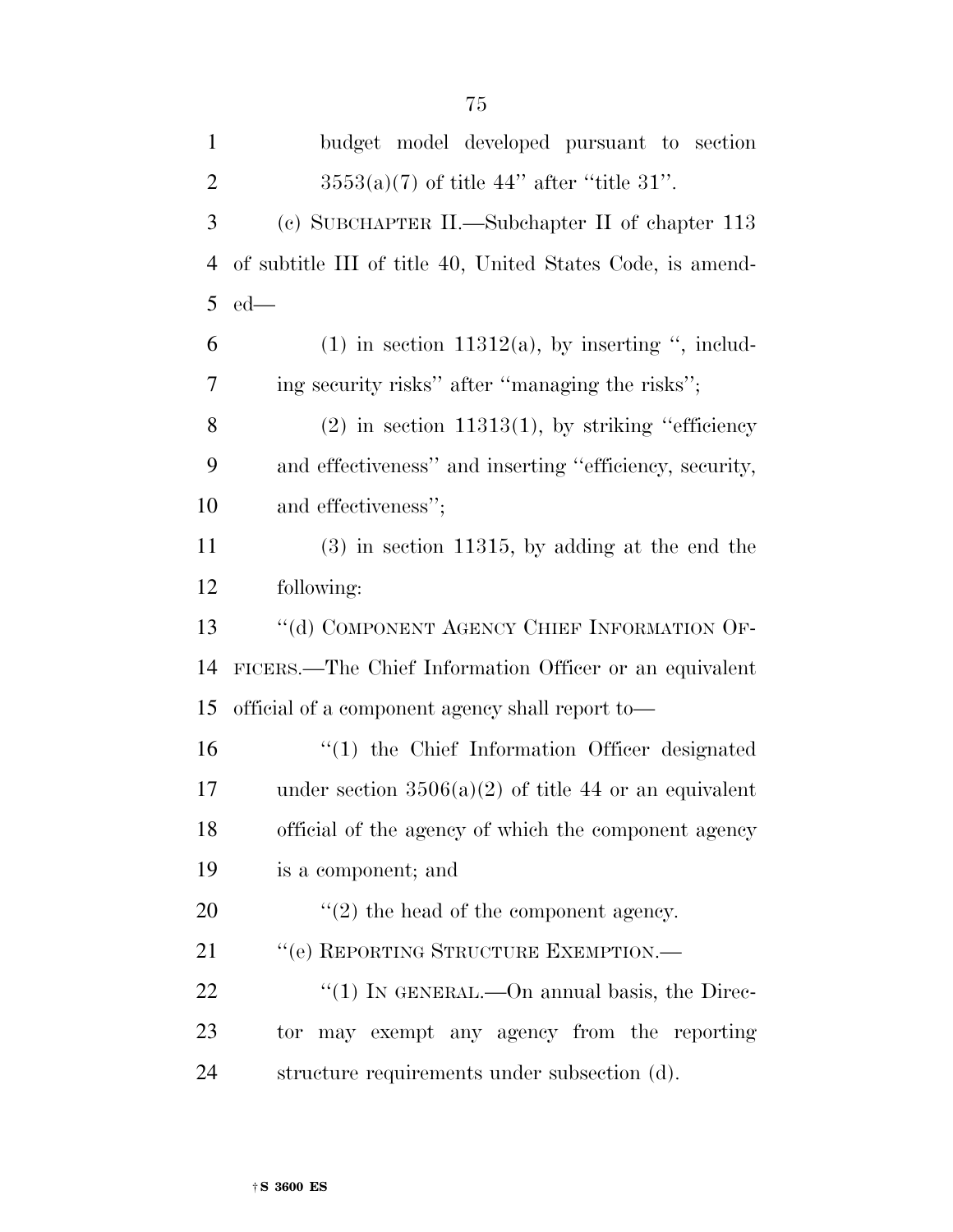| $\mathbf{1}$   | budget model developed pursuant to section                 |
|----------------|------------------------------------------------------------|
| $\overline{2}$ | $3553(a)(7)$ of title 44" after "title 31".                |
| 3              | (c) SUBCHAPTER II.—Subchapter II of chapter 113            |
| 4              | of subtitle III of title 40, United States Code, is amend- |
| 5              | $ed$ —                                                     |
| 6              | $(1)$ in section 11312(a), by inserting ", includ-         |
| 7              | ing security risks" after "managing the risks";            |
| 8              | $(2)$ in section 11313(1), by striking "efficiency"        |
| 9              | and effectiveness" and inserting "efficiency, security,    |
| 10             | and effectiveness";                                        |
| 11             | $(3)$ in section 11315, by adding at the end the           |
| 12             | following:                                                 |
| 13             | "(d) COMPONENT AGENCY CHIEF INFORMATION OF-                |
| 14             | FICERS.—The Chief Information Officer or an equivalent     |
| 15             | official of a component agency shall report to—            |
| 16             | "(1) the Chief Information Officer designated              |
| 17             | under section $3506(a)(2)$ of title 44 or an equivalent    |
| 18             | official of the agency of which the component agency       |
| 19             | is a component; and                                        |
| 20             | $\lq(2)$ the head of the component agency.                 |
| 21             | "(e) REPORTING STRUCTURE EXEMPTION.-                       |
| 22             | "(1) IN GENERAL.—On annual basis, the Direc-               |
| 23             | tor may exempt any agency from the reporting               |
| 24             | structure requirements under subsection (d).               |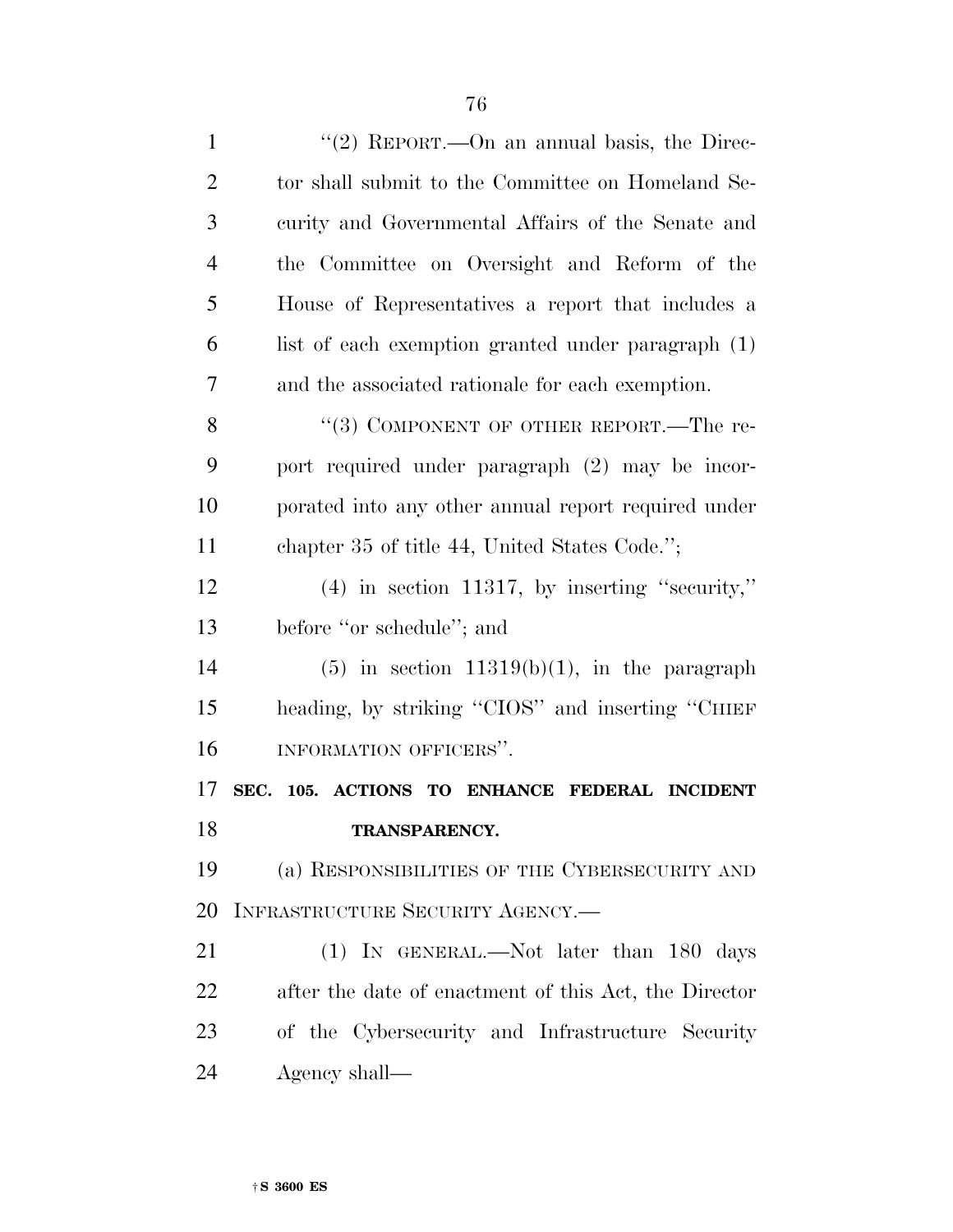| $\mathbf{1}$   | "(2) REPORT.—On an annual basis, the Direc-           |
|----------------|-------------------------------------------------------|
| $\overline{2}$ | tor shall submit to the Committee on Homeland Se-     |
| 3              | curity and Governmental Affairs of the Senate and     |
| $\overline{4}$ | the Committee on Oversight and Reform of the          |
| 5              | House of Representatives a report that includes a     |
| 6              | list of each exemption granted under paragraph (1)    |
| 7              | and the associated rationale for each exemption.      |
| 8              | "(3) COMPONENT OF OTHER REPORT.—The re-               |
| 9              | port required under paragraph (2) may be incor-       |
| 10             | porated into any other annual report required under   |
| 11             | chapter 35 of title 44, United States Code.";         |
| 12             | $(4)$ in section 11317, by inserting "security,"      |
| 13             | before "or schedule"; and                             |
| 14             | $(5)$ in section 11319(b)(1), in the paragraph        |
|                |                                                       |
| 15             | heading, by striking "CIOS" and inserting "CHIEF      |
| 16             | INFORMATION OFFICERS".                                |
|                | SEC. 105. ACTIONS TO ENHANCE FEDERAL INCIDENT         |
| 17<br>18       | <b>TRANSPARENCY.</b>                                  |
| 19             | (a) RESPONSIBILITIES OF THE CYBERSECURITY AND         |
| 20             | INFRASTRUCTURE SECURITY AGENCY.                       |
| 21             | (1) IN GENERAL.—Not later than 180 days               |
| 22             | after the date of enactment of this Act, the Director |
| 23             | of the Cybersecurity and Infrastructure Security      |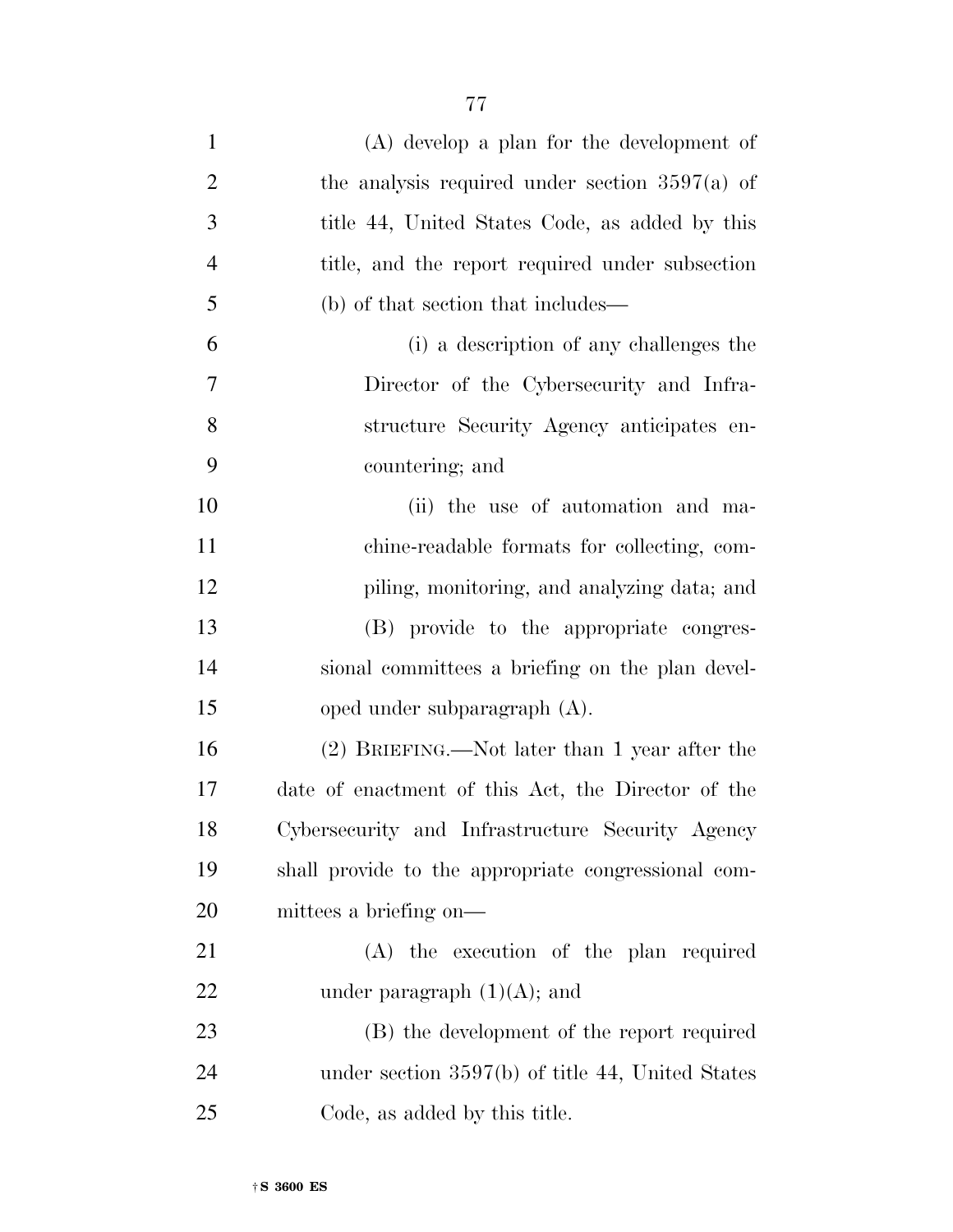| $\mathbf{1}$   | $(A)$ develop a plan for the development of         |
|----------------|-----------------------------------------------------|
| $\overline{2}$ | the analysis required under section $3597(a)$ of    |
| 3              | title 44, United States Code, as added by this      |
| $\overline{4}$ | title, and the report required under subsection     |
| 5              | (b) of that section that includes—                  |
| 6              | (i) a description of any challenges the             |
| $\overline{7}$ | Director of the Cybersecurity and Infra-            |
| 8              | structure Security Agency anticipates en-           |
| 9              | countering; and                                     |
| 10             | (ii) the use of automation and ma-                  |
| 11             | chine-readable formats for collecting, com-         |
| 12             | piling, monitoring, and analyzing data; and         |
| 13             | (B) provide to the appropriate congres-             |
| 14             | sional committees a briefing on the plan devel-     |
| 15             | oped under subparagraph (A).                        |
| 16             | (2) BRIEFING.—Not later than 1 year after the       |
| 17             | date of enactment of this Act, the Director of the  |
| 18             | Cybersecurity and Infrastructure Security Agency    |
| 19             | shall provide to the appropriate congressional com- |
| 20             | mittees a briefing on—                              |
| 21             | (A) the execution of the plan required              |
| 22             | under paragraph $(1)(A)$ ; and                      |
| 23             | (B) the development of the report required          |
| 24             | under section $3597(b)$ of title 44, United States  |

Code, as added by this title.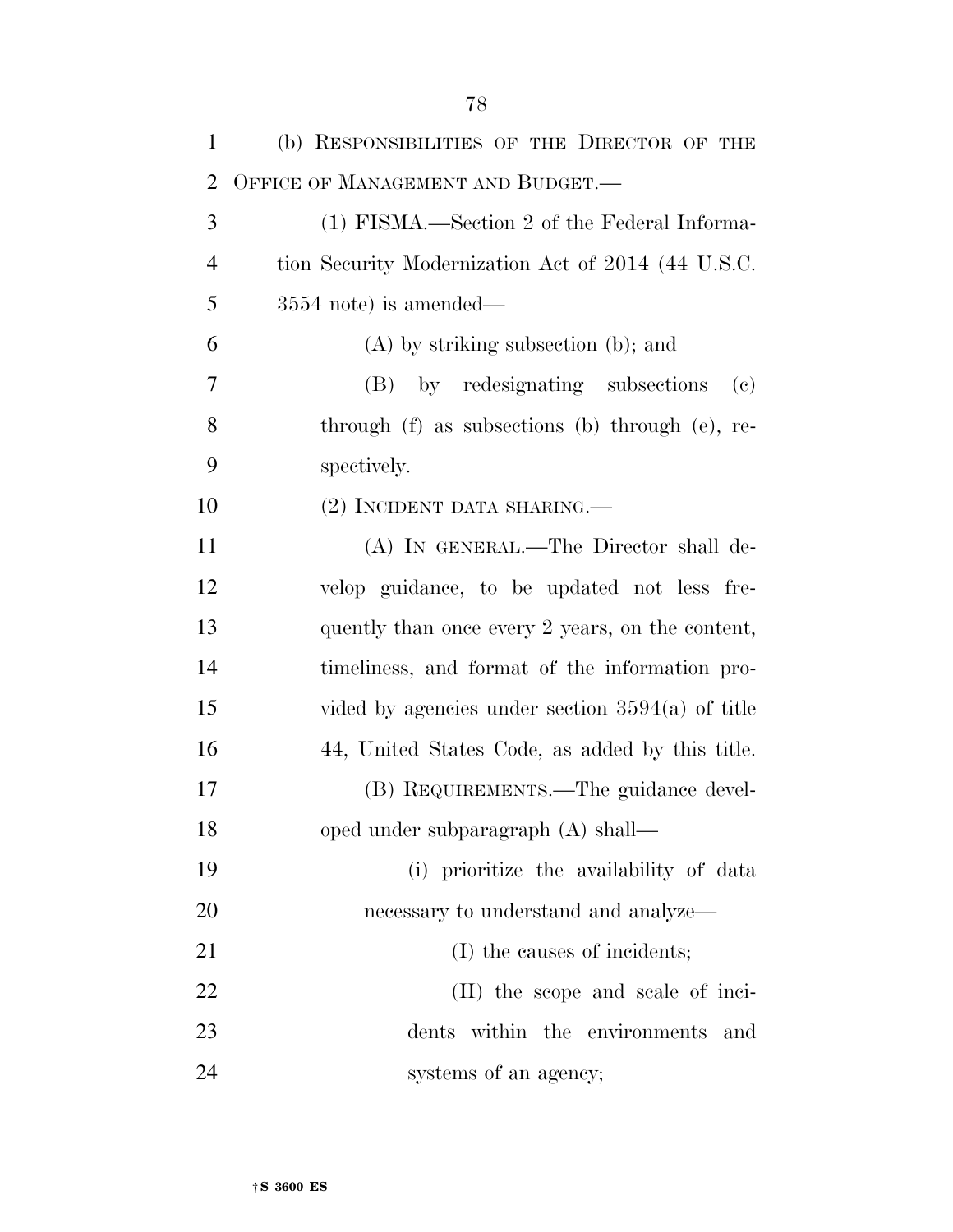| $\mathbf{1}$   | (b) RESPONSIBILITIES OF THE DIRECTOR OF THE                    |
|----------------|----------------------------------------------------------------|
| $\overline{2}$ | OFFICE OF MANAGEMENT AND BUDGET.—                              |
| 3              | (1) FISMA.—Section 2 of the Federal Informa-                   |
| $\overline{4}$ | tion Security Modernization Act of 2014 (44 U.S.C.             |
| 5              | $3554$ note) is amended—                                       |
| 6              | $(A)$ by striking subsection $(b)$ ; and                       |
| 7              | (B) by redesignating subsections<br>$\left( \mathrm{e}\right)$ |
| 8              | through (f) as subsections (b) through (e), re-                |
| 9              | spectively.                                                    |
| 10             | (2) INCIDENT DATA SHARING.—                                    |
| 11             | (A) IN GENERAL.—The Director shall de-                         |
| 12             | velop guidance, to be updated not less fre-                    |
| 13             | quently than once every 2 years, on the content,               |
| 14             | timeliness, and format of the information pro-                 |
| 15             | vided by agencies under section $3594(a)$ of title             |
| 16             | 44, United States Code, as added by this title.                |
| 17             | (B) REQUIREMENTS.—The guidance devel-                          |
| 18             | oped under subparagraph (A) shall—                             |
| 19             | (i) prioritize the availability of data                        |
| 20             | necessary to understand and analyze—                           |
| 21             | (I) the causes of incidents;                                   |
| 22             | (II) the scope and scale of inci-                              |
| 23             | dents within the environments and                              |
| 24             | systems of an agency;                                          |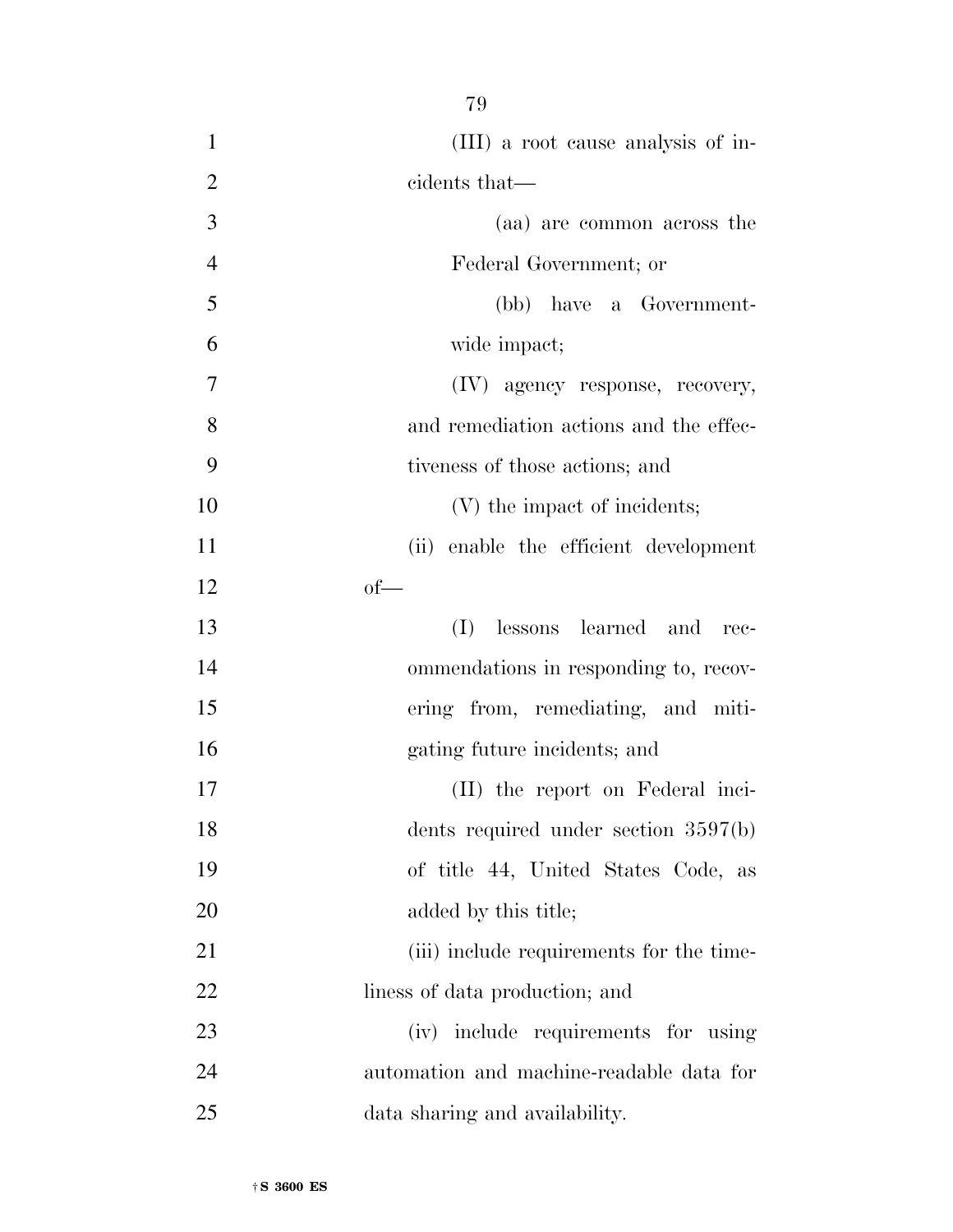- (III) a root cause analysis of in-2 cidents that— (aa) are common across the Federal Government; or (bb) have a Government- wide impact; (IV) agency response, recovery, and remediation actions and the effec- tiveness of those actions; and 10 (V) the impact of incidents; (ii) enable the efficient development  $12 \qquad \qquad \text{of}$  (I) lessons learned and rec- ommendations in responding to, recov- ering from, remediating, and miti- gating future incidents; and (II) the report on Federal inci- dents required under section 3597(b) of title 44, United States Code, as 20 added by this title; 21 (iii) include requirements for the time- liness of data production; and (iv) include requirements for using automation and machine-readable data for
- data sharing and availability.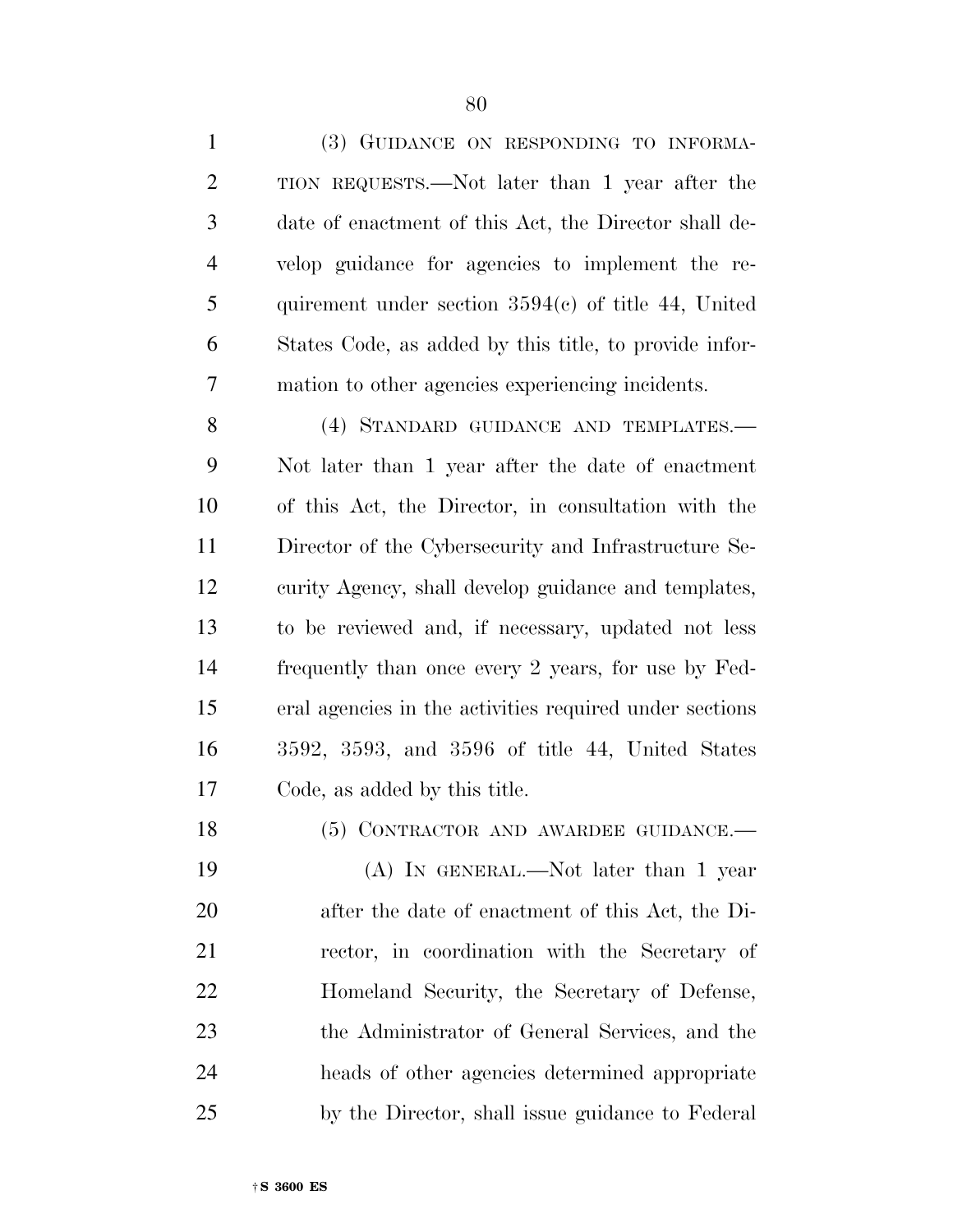(3) GUIDANCE ON RESPONDING TO INFORMA- TION REQUESTS.—Not later than 1 year after the date of enactment of this Act, the Director shall de- velop guidance for agencies to implement the re- quirement under section 3594(c) of title 44, United States Code, as added by this title, to provide infor-mation to other agencies experiencing incidents.

 (4) STANDARD GUIDANCE AND TEMPLATES.— Not later than 1 year after the date of enactment of this Act, the Director, in consultation with the Director of the Cybersecurity and Infrastructure Se- curity Agency, shall develop guidance and templates, to be reviewed and, if necessary, updated not less frequently than once every 2 years, for use by Fed- eral agencies in the activities required under sections 3592, 3593, and 3596 of title 44, United States Code, as added by this title.

 (A) IN GENERAL.—Not later than 1 year after the date of enactment of this Act, the Di- rector, in coordination with the Secretary of Homeland Security, the Secretary of Defense, the Administrator of General Services, and the heads of other agencies determined appropriate by the Director, shall issue guidance to Federal

18 (5) CONTRACTOR AND AWARDEE GUIDANCE.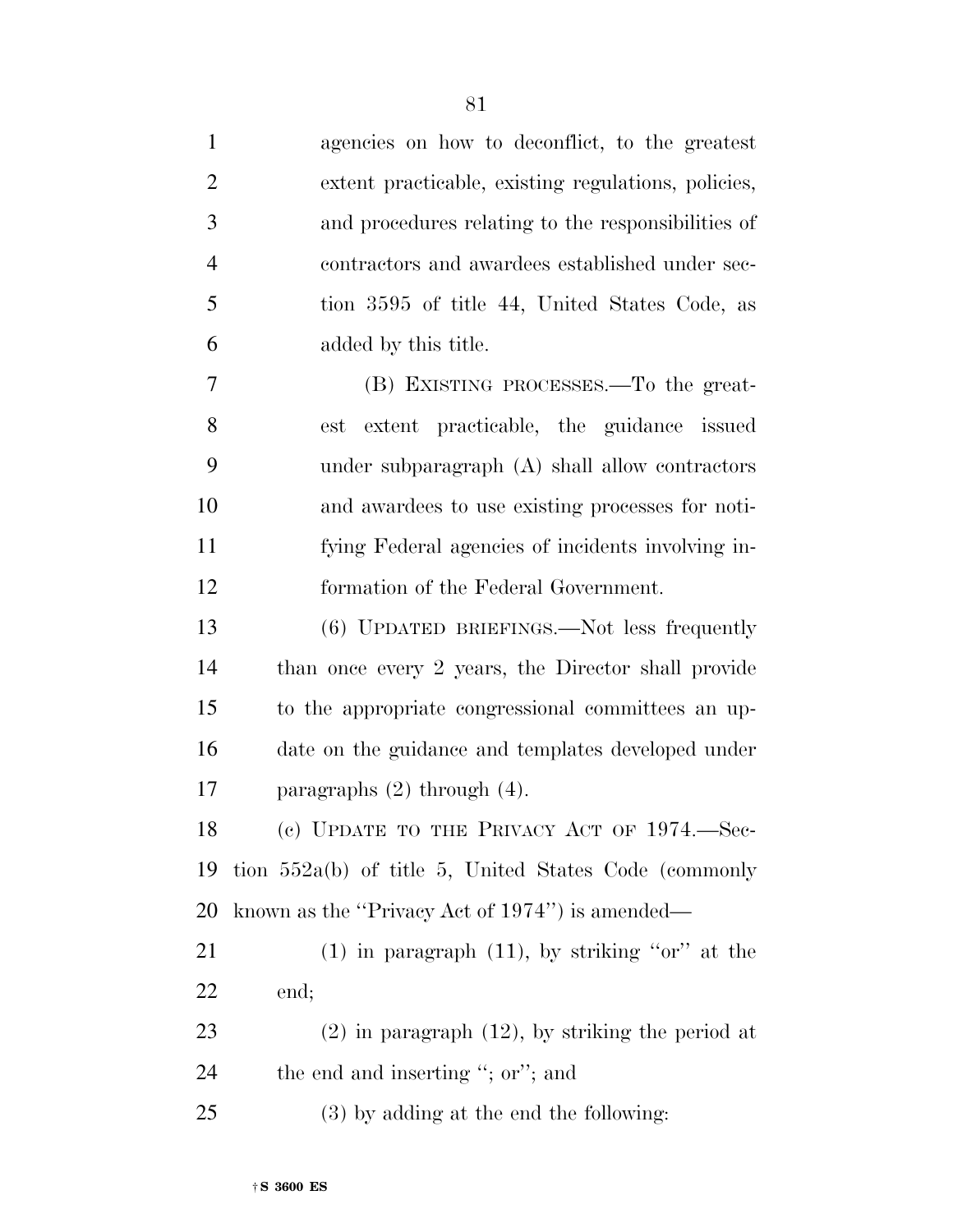| $\mathbf{1}$   | agencies on how to deconflict, to the greatest          |
|----------------|---------------------------------------------------------|
| $\overline{2}$ | extent practicable, existing regulations, policies,     |
| 3              | and procedures relating to the responsibilities of      |
| $\overline{4}$ | contractors and awardees established under sec-         |
| 5              | tion 3595 of title 44, United States Code, as           |
| 6              | added by this title.                                    |
| 7              | (B) EXISTING PROCESSES.—To the great-                   |
| 8              | extent practicable, the guidance issued<br>est          |
| 9              | under subparagraph (A) shall allow contractors          |
| 10             | and awardees to use existing processes for noti-        |
| 11             | fying Federal agencies of incidents involving in-       |
| 12             | formation of the Federal Government.                    |
| 13             | (6) UPDATED BRIEFINGS.—Not less frequently              |
| 14             | than once every 2 years, the Director shall provide     |
| 15             | to the appropriate congressional committees an up-      |
| 16             | date on the guidance and templates developed under      |
| 17             | paragraphs $(2)$ through $(4)$ .                        |
| 18             | (c) UPDATE TO THE PRIVACY ACT OF 1974.—Sec-             |
| 19             | tion $552a(b)$ of title 5, United States Code (commonly |
| 20             | known as the "Privacy Act of 1974") is amended—         |
| 21             | $(1)$ in paragraph $(11)$ , by striking "or" at the     |
| 22             | end;                                                    |
| 23             | $(2)$ in paragraph $(12)$ , by striking the period at   |
| 24             | the end and inserting "; or"; and                       |
| 25             | (3) by adding at the end the following:                 |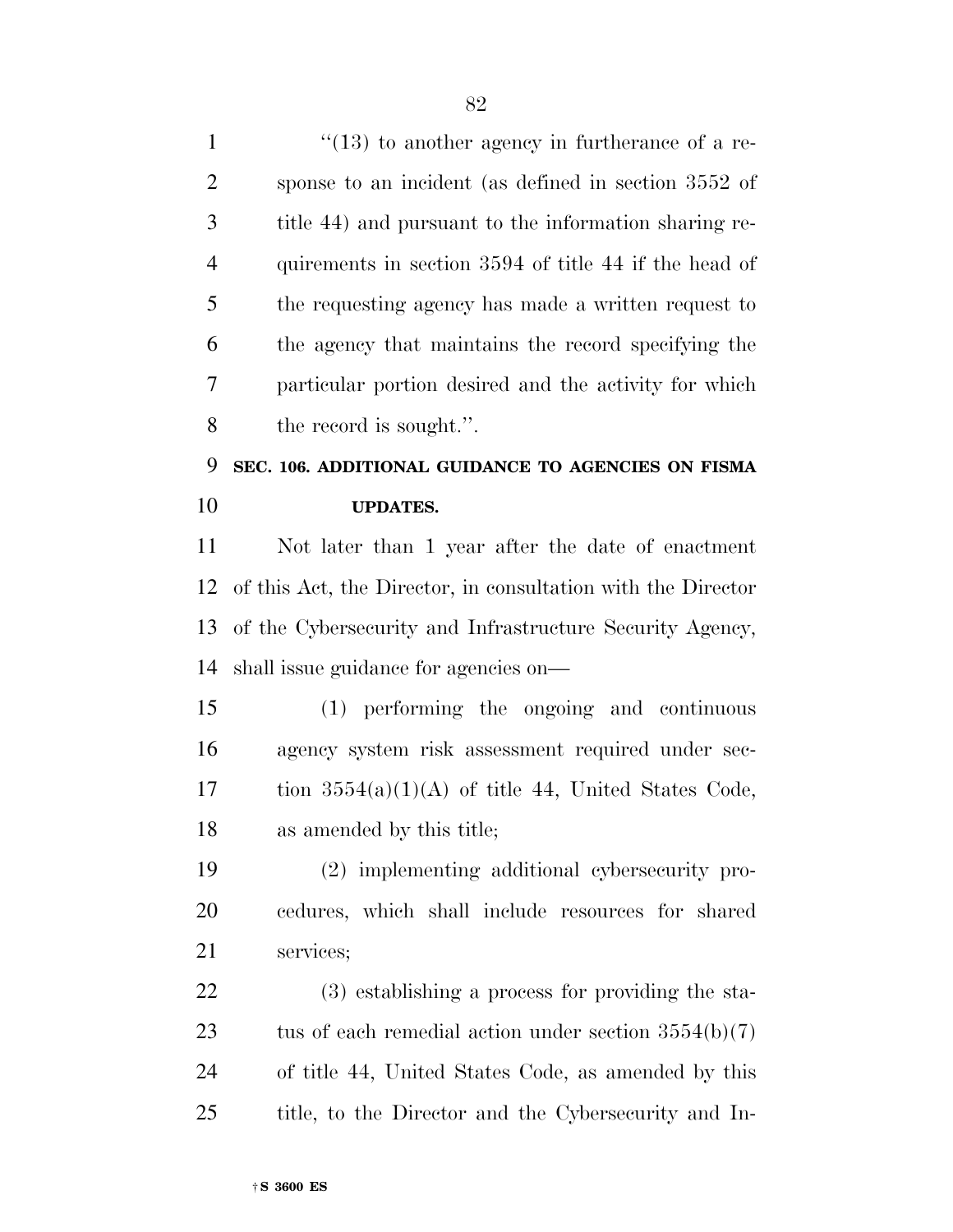$\frac{1}{2}$  (13) to another agency in furtherance of a re- sponse to an incident (as defined in section 3552 of title 44) and pursuant to the information sharing re- quirements in section 3594 of title 44 if the head of the requesting agency has made a written request to the agency that maintains the record specifying the particular portion desired and the activity for which the record is sought.''. **SEC. 106. ADDITIONAL GUIDANCE TO AGENCIES ON FISMA UPDATES.**  Not later than 1 year after the date of enactment of this Act, the Director, in consultation with the Director of the Cybersecurity and Infrastructure Security Agency, shall issue guidance for agencies on— (1) performing the ongoing and continuous agency system risk assessment required under sec-17 tion  $3554(a)(1)(A)$  of title 44, United States Code, as amended by this title; (2) implementing additional cybersecurity pro- cedures, which shall include resources for shared services; (3) establishing a process for providing the sta-23 tus of each remedial action under section  $3554(b)(7)$  of title 44, United States Code, as amended by this title, to the Director and the Cybersecurity and In-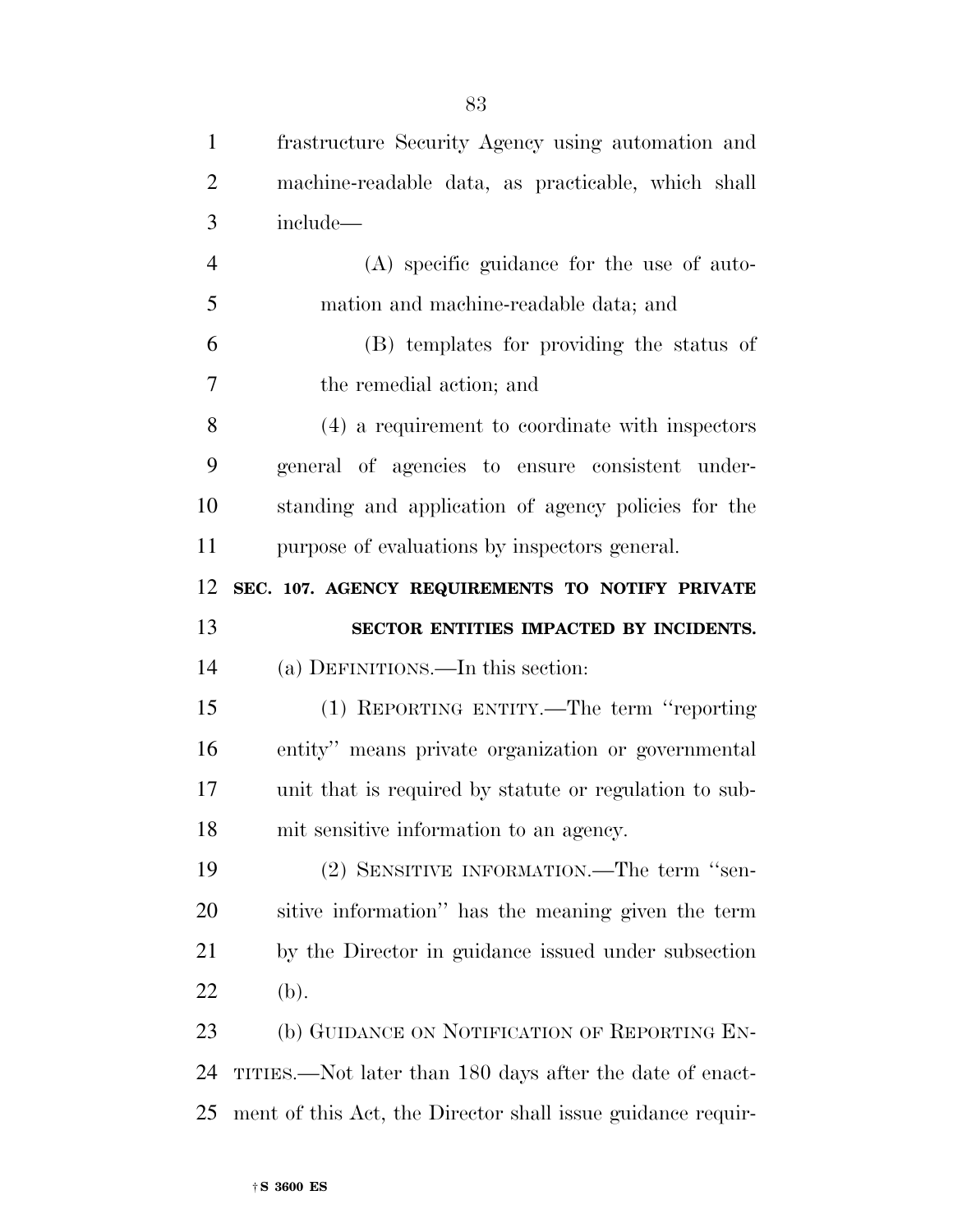| $\mathbf{1}$   | frastructure Security Agency using automation and        |
|----------------|----------------------------------------------------------|
| $\overline{2}$ | machine-readable data, as practicable, which shall       |
| 3              | include-                                                 |
| $\overline{4}$ | (A) specific guidance for the use of auto-               |
| 5              | mation and machine-readable data; and                    |
| 6              | (B) templates for providing the status of                |
| 7              | the remedial action; and                                 |
| 8              | (4) a requirement to coordinate with inspectors          |
| 9              | general of agencies to ensure consistent under-          |
| 10             | standing and application of agency policies for the      |
| 11             | purpose of evaluations by inspectors general.            |
| 12             | SEC. 107. AGENCY REQUIREMENTS TO NOTIFY PRIVATE          |
|                |                                                          |
| 13             | SECTOR ENTITIES IMPACTED BY INCIDENTS.                   |
| 14             | (a) DEFINITIONS.—In this section:                        |
| 15             | (1) REPORTING ENTITY.—The term "reporting                |
| 16             | entity" means private organization or governmental       |
| 17             | unit that is required by statute or regulation to sub-   |
| 18             | mit sensitive information to an agency.                  |
| 19             | (2) SENSITIVE INFORMATION.—The term "sen-                |
| 20             | sitive information" has the meaning given the term       |
| 21             | by the Director in guidance issued under subsection      |
| 22             | (b).                                                     |
| 23             | (b) GUIDANCE ON NOTIFICATION OF REPORTING EN-            |
| 24             | TITIES.—Not later than 180 days after the date of enact- |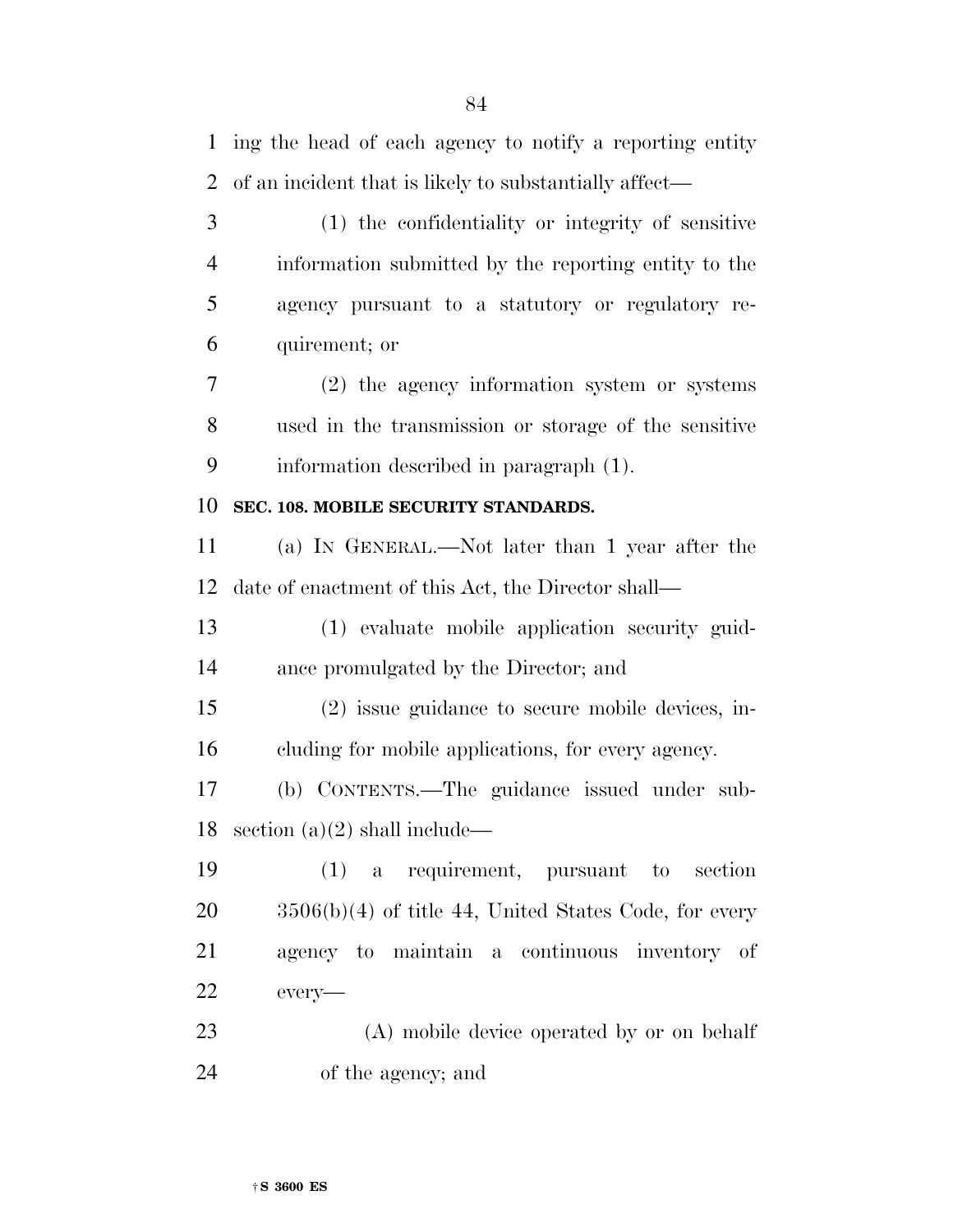of an incident that is likely to substantially affect— (1) the confidentiality or integrity of sensitive information submitted by the reporting entity to the agency pursuant to a statutory or regulatory re- quirement; or (2) the agency information system or systems used in the transmission or storage of the sensitive information described in paragraph (1). **SEC. 108. MOBILE SECURITY STANDARDS.**  (a) IN GENERAL.—Not later than 1 year after the date of enactment of this Act, the Director shall— (1) evaluate mobile application security guid- ance promulgated by the Director; and (2) issue guidance to secure mobile devices, in- cluding for mobile applications, for every agency. (b) CONTENTS.—The guidance issued under sub-18 section  $(a)(2)$  shall include— (1) a requirement, pursuant to section 3506(b)(4) of title 44, United States Code, for every agency to maintain a continuous inventory of every— (A) mobile device operated by or on behalf

of the agency; and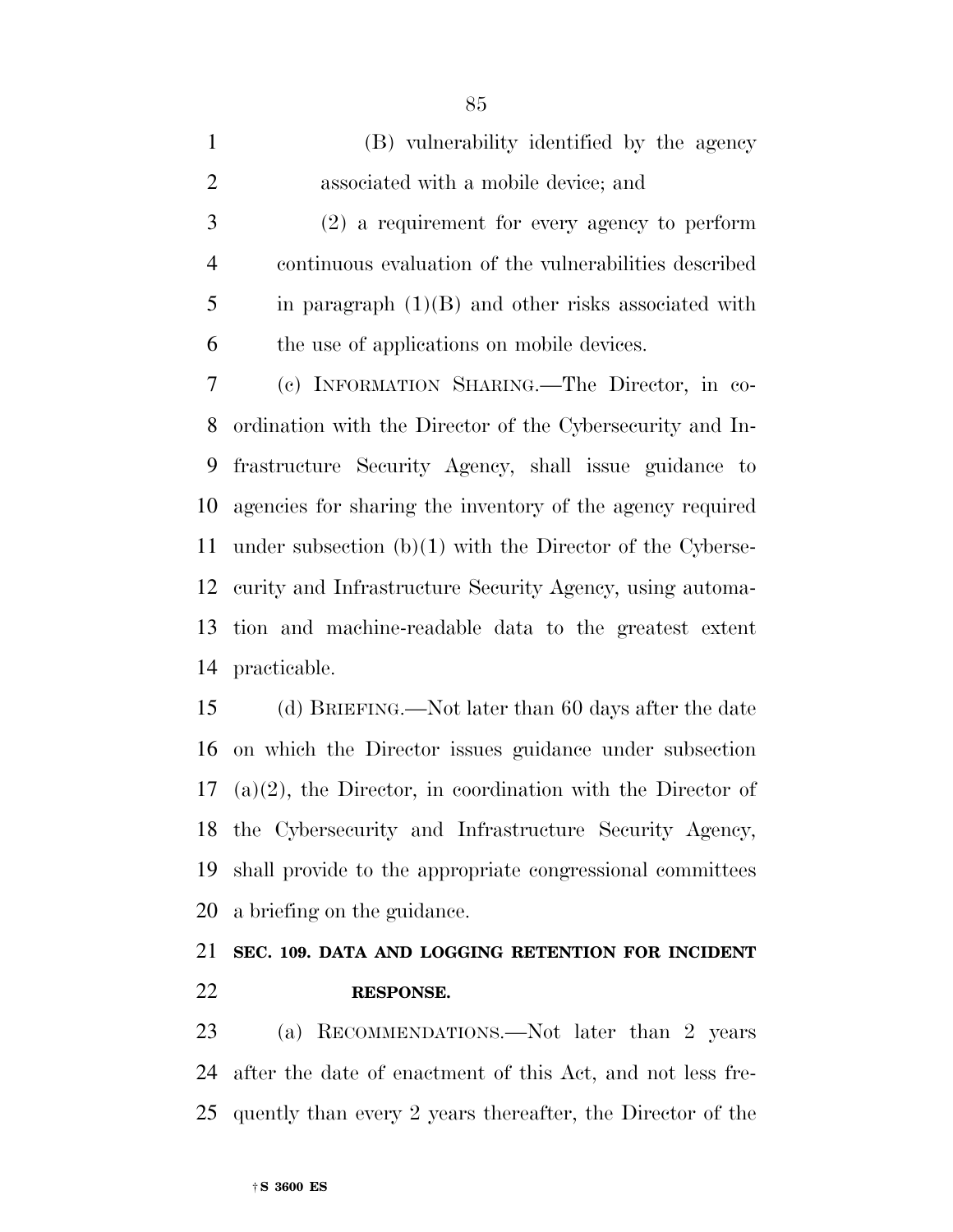| $\mathbf{1}$   | (B) vulnerability identified by the agency                  |
|----------------|-------------------------------------------------------------|
| $\overline{2}$ | associated with a mobile device; and                        |
| 3              | $(2)$ a requirement for every agency to perform             |
| $\overline{4}$ | continuous evaluation of the vulnerabilities described      |
| 5              | in paragraph $(1)(B)$ and other risks associated with       |
| 6              | the use of applications on mobile devices.                  |
| 7              | (c) INFORMATION SHARING. The Director, in co-               |
| 8              | ordination with the Director of the Cybersecurity and In-   |
| 9              | frastructure Security Agency, shall issue guidance to       |
| 10             | agencies for sharing the inventory of the agency required   |
| 11             | under subsection $(b)(1)$ with the Director of the Cyberse- |
|                | 12 curity and Infrastructure Security Agency, using automa- |
|                | 12 tion and maghing madable data to the greatest extent     |

 tion and machine-readable data to the greatest extent practicable.

 (d) BRIEFING.—Not later than 60 days after the date on which the Director issues guidance under subsection (a)(2), the Director, in coordination with the Director of the Cybersecurity and Infrastructure Security Agency, shall provide to the appropriate congressional committees a briefing on the guidance.

# **SEC. 109. DATA AND LOGGING RETENTION FOR INCIDENT RESPONSE.**

 (a) RECOMMENDATIONS.—Not later than 2 years after the date of enactment of this Act, and not less fre-quently than every 2 years thereafter, the Director of the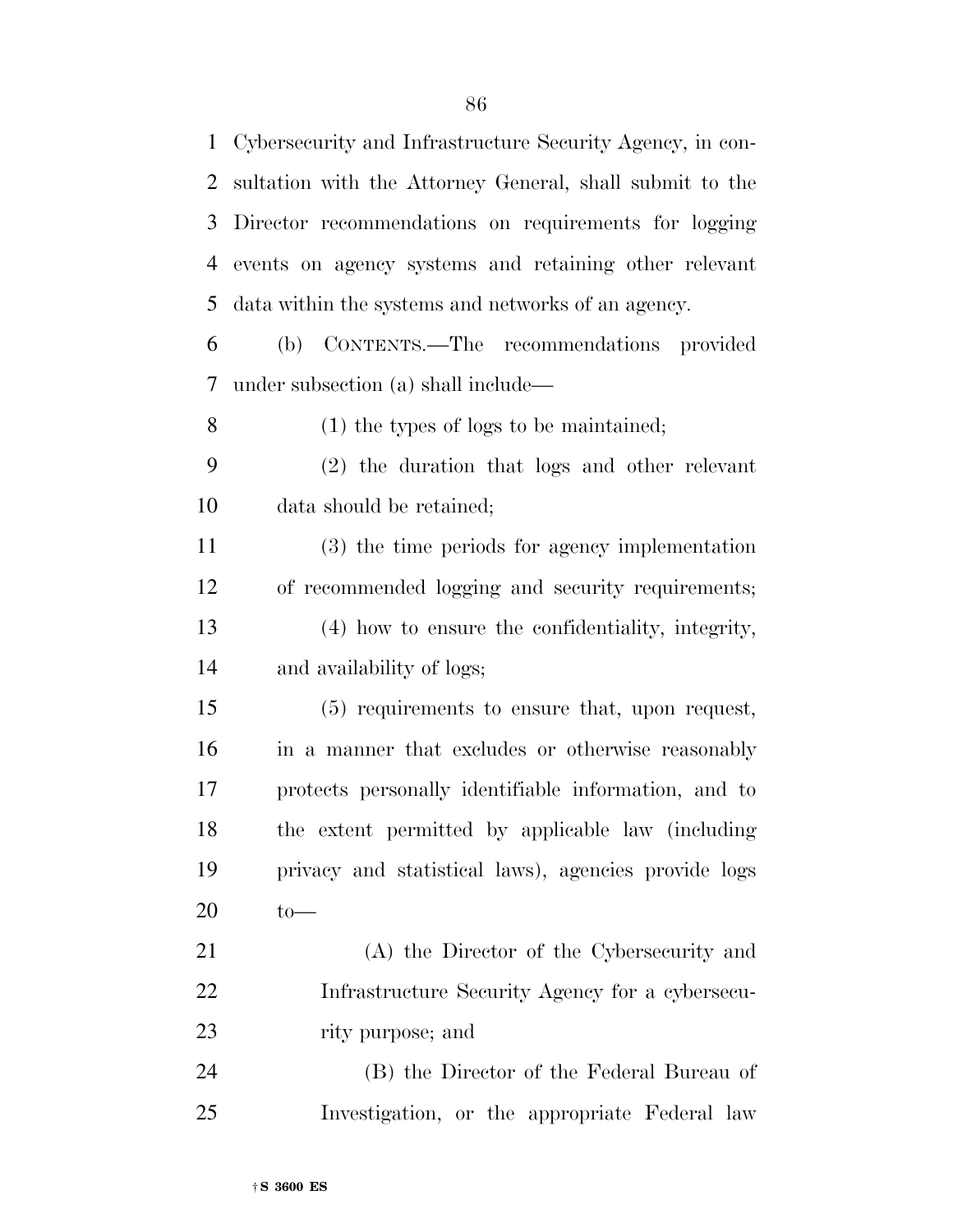| $\mathbf{1}$ | Cybersecurity and Infrastructure Security Agency, in con- |
|--------------|-----------------------------------------------------------|
| 2            | sultation with the Attorney General, shall submit to the  |
| 3            | Director recommendations on requirements for logging      |
| 4            | events on agency systems and retaining other relevant     |
| 5            | data within the systems and networks of an agency.        |
| 6            | (b) CONTENTS.—The recommendations provided                |
| 7            | under subsection (a) shall include—                       |
| 8            | $(1)$ the types of logs to be maintained;                 |
| 9            | (2) the duration that logs and other relevant             |
| 10           | data should be retained;                                  |
| 11           | (3) the time periods for agency implementation            |
| 12           | of recommended logging and security requirements;         |
| 13           | (4) how to ensure the confidentiality, integrity,         |
| 14           | and availability of logs;                                 |
| 15           | (5) requirements to ensure that, upon request,            |
| 16           | in a manner that excludes or otherwise reasonably         |
| $17\,$       | protects personally identifiable information, and to      |
| 18           | the extent permitted by applicable law (including         |
| 19           | privacy and statistical laws), agencies provide logs      |
| 20           | $to-$                                                     |
| 21           | (A) the Director of the Cybersecurity and                 |
| 22           | Infrastructure Security Agency for a cybersecu-           |
| 23           | rity purpose; and                                         |
| 24           | (B) the Director of the Federal Bureau of                 |
| 25           | Investigation, or the appropriate Federal law             |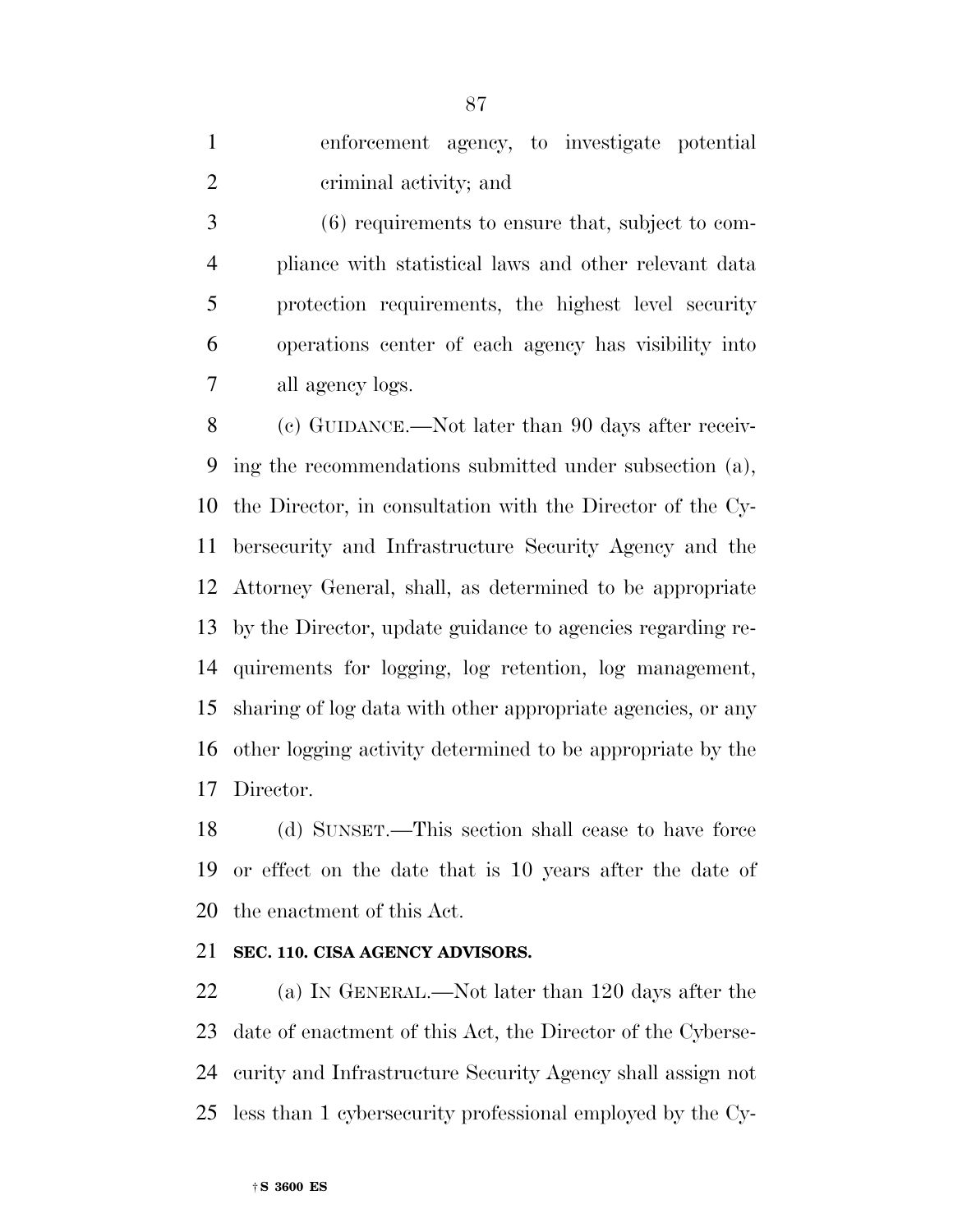enforcement agency, to investigate potential criminal activity; and

 (6) requirements to ensure that, subject to com- pliance with statistical laws and other relevant data protection requirements, the highest level security operations center of each agency has visibility into all agency logs.

 (c) GUIDANCE.—Not later than 90 days after receiv- ing the recommendations submitted under subsection (a), the Director, in consultation with the Director of the Cy- bersecurity and Infrastructure Security Agency and the Attorney General, shall, as determined to be appropriate by the Director, update guidance to agencies regarding re- quirements for logging, log retention, log management, sharing of log data with other appropriate agencies, or any other logging activity determined to be appropriate by the Director.

 (d) SUNSET.—This section shall cease to have force or effect on the date that is 10 years after the date of the enactment of this Act.

# **SEC. 110. CISA AGENCY ADVISORS.**

 (a) IN GENERAL.—Not later than 120 days after the date of enactment of this Act, the Director of the Cyberse- curity and Infrastructure Security Agency shall assign not less than 1 cybersecurity professional employed by the Cy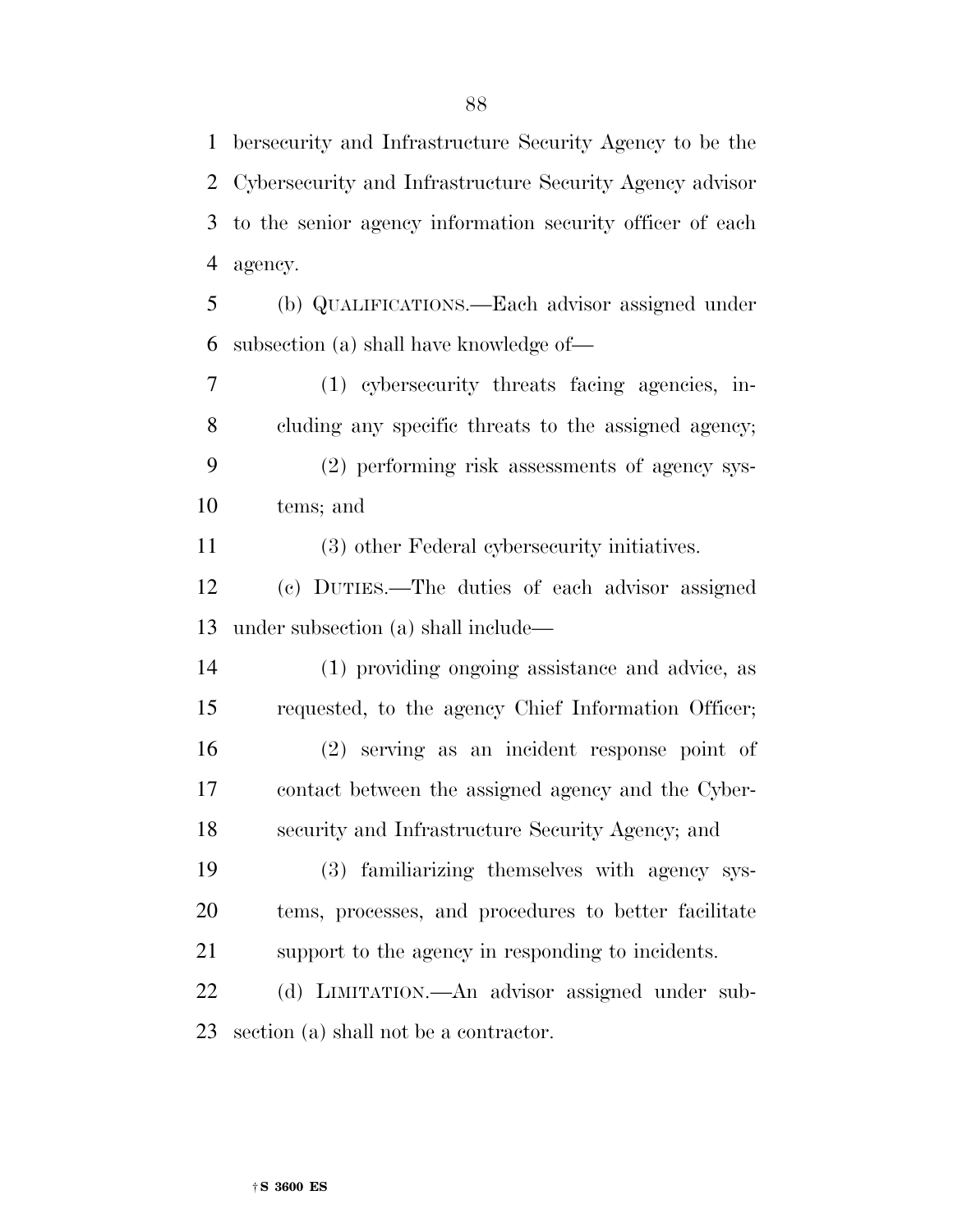bersecurity and Infrastructure Security Agency to be the Cybersecurity and Infrastructure Security Agency advisor to the senior agency information security officer of each agency.

 (b) QUALIFICATIONS.—Each advisor assigned under subsection (a) shall have knowledge of—

 (1) cybersecurity threats facing agencies, in- cluding any specific threats to the assigned agency; (2) performing risk assessments of agency sys-

tems; and

(3) other Federal cybersecurity initiatives.

 (c) DUTIES.—The duties of each advisor assigned under subsection (a) shall include—

 (1) providing ongoing assistance and advice, as requested, to the agency Chief Information Officer; (2) serving as an incident response point of contact between the assigned agency and the Cyber-security and Infrastructure Security Agency; and

 (3) familiarizing themselves with agency sys- tems, processes, and procedures to better facilitate support to the agency in responding to incidents.

 (d) LIMITATION.—An advisor assigned under sub-section (a) shall not be a contractor.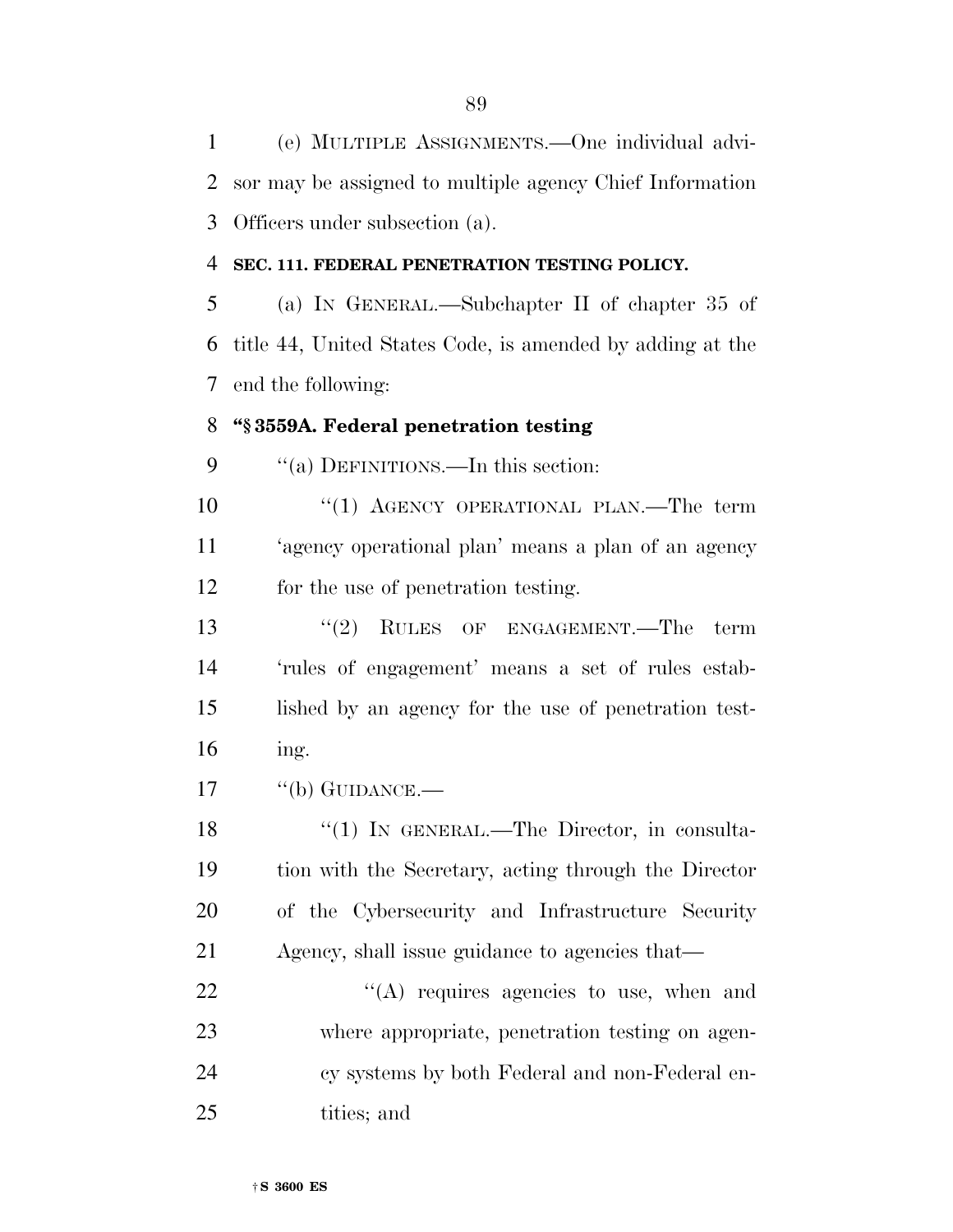(e) MULTIPLE ASSIGNMENTS.—One individual advi- sor may be assigned to multiple agency Chief Information Officers under subsection (a).

#### **SEC. 111. FEDERAL PENETRATION TESTING POLICY.**

 (a) IN GENERAL.—Subchapter II of chapter 35 of title 44, United States Code, is amended by adding at the end the following:

### **''§ 3559A. Federal penetration testing**

9 "(a) DEFINITIONS.—In this section:

10 "(1) AGENCY OPERATIONAL PLAN.—The term 'agency operational plan' means a plan of an agency for the use of penetration testing.

13 ''(2) RULES OF ENGAGEMENT.—The term 'rules of engagement' means a set of rules estab- lished by an agency for the use of penetration test-ing.

17 "(b) GUIDANCE.—

18 "(1) IN GENERAL.—The Director, in consulta- tion with the Secretary, acting through the Director of the Cybersecurity and Infrastructure Security Agency, shall issue guidance to agencies that—

22 "(A) requires agencies to use, when and where appropriate, penetration testing on agen- cy systems by both Federal and non-Federal en-tities; and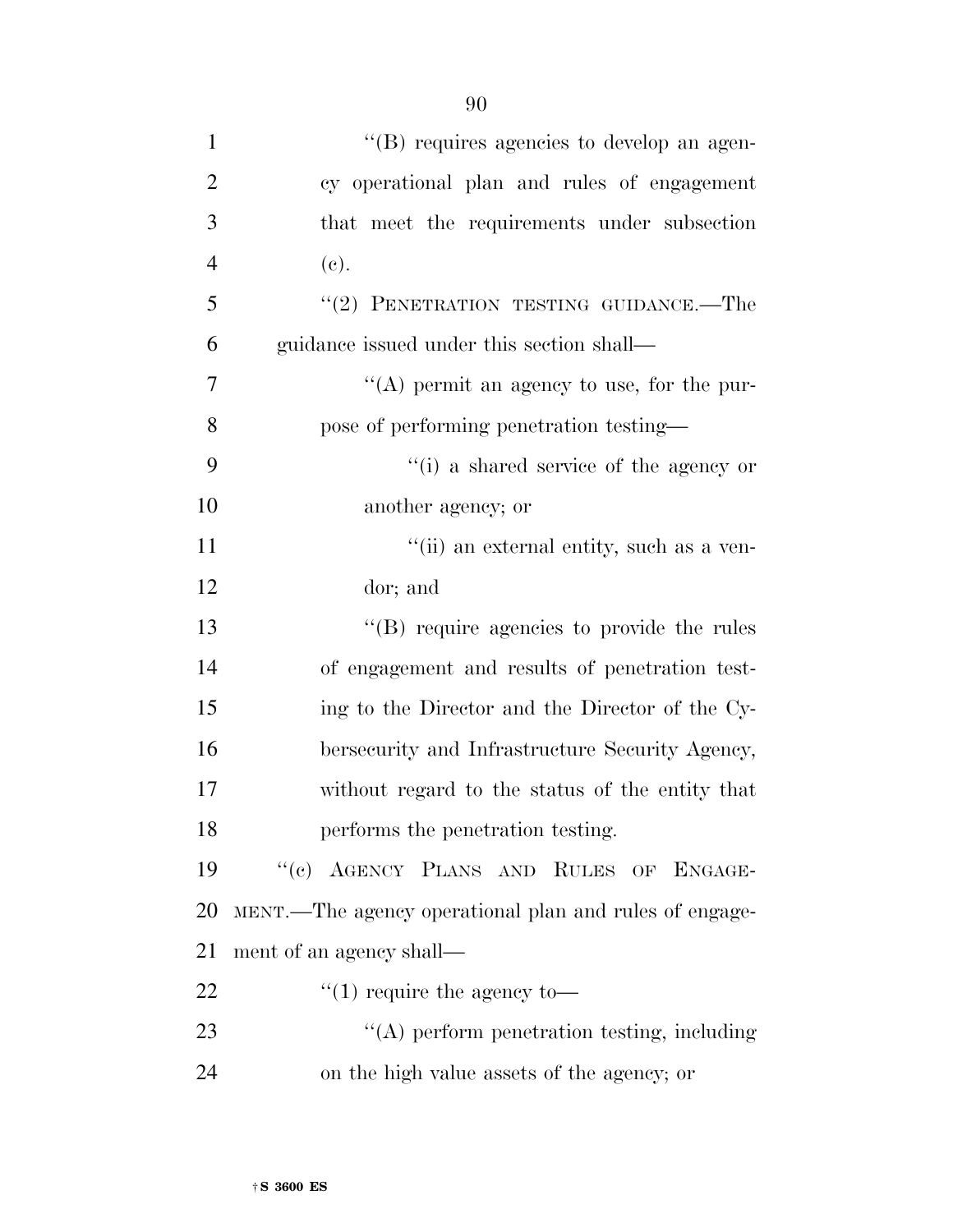| $\mathbf{1}$   | "(B) requires agencies to develop an agen-             |
|----------------|--------------------------------------------------------|
| $\overline{2}$ | cy operational plan and rules of engagement            |
| 3              | that meet the requirements under subsection            |
| $\overline{4}$ | (e).                                                   |
| 5              | $``(2)$ PENETRATION TESTING GUIDANCE.—The              |
| 6              | guidance issued under this section shall—              |
| 7              | "(A) permit an agency to use, for the pur-             |
| 8              | pose of performing penetration testing—                |
| 9              | "(i) a shared service of the agency or                 |
| 10             | another agency; or                                     |
| 11             | "(ii) an external entity, such as a ven-               |
| 12             | dor; and                                               |
| 13             | "(B) require agencies to provide the rules             |
| 14             | of engagement and results of penetration test-         |
| 15             | ing to the Director and the Director of the Cy-        |
| 16             | bersecurity and Infrastructure Security Agency,        |
| 17             | without regard to the status of the entity that        |
| 18             | performs the penetration testing.                      |
| 19             | "(c) AGENCY PLANS AND RULES OF ENGAGE-                 |
| 20             | MENT.—The agency operational plan and rules of engage- |
| 21             | ment of an agency shall—                               |
| 22             | $\lq(1)$ require the agency to-                        |
| 23             | "(A) perform penetration testing, including            |
| 24             | on the high value assets of the agency; or             |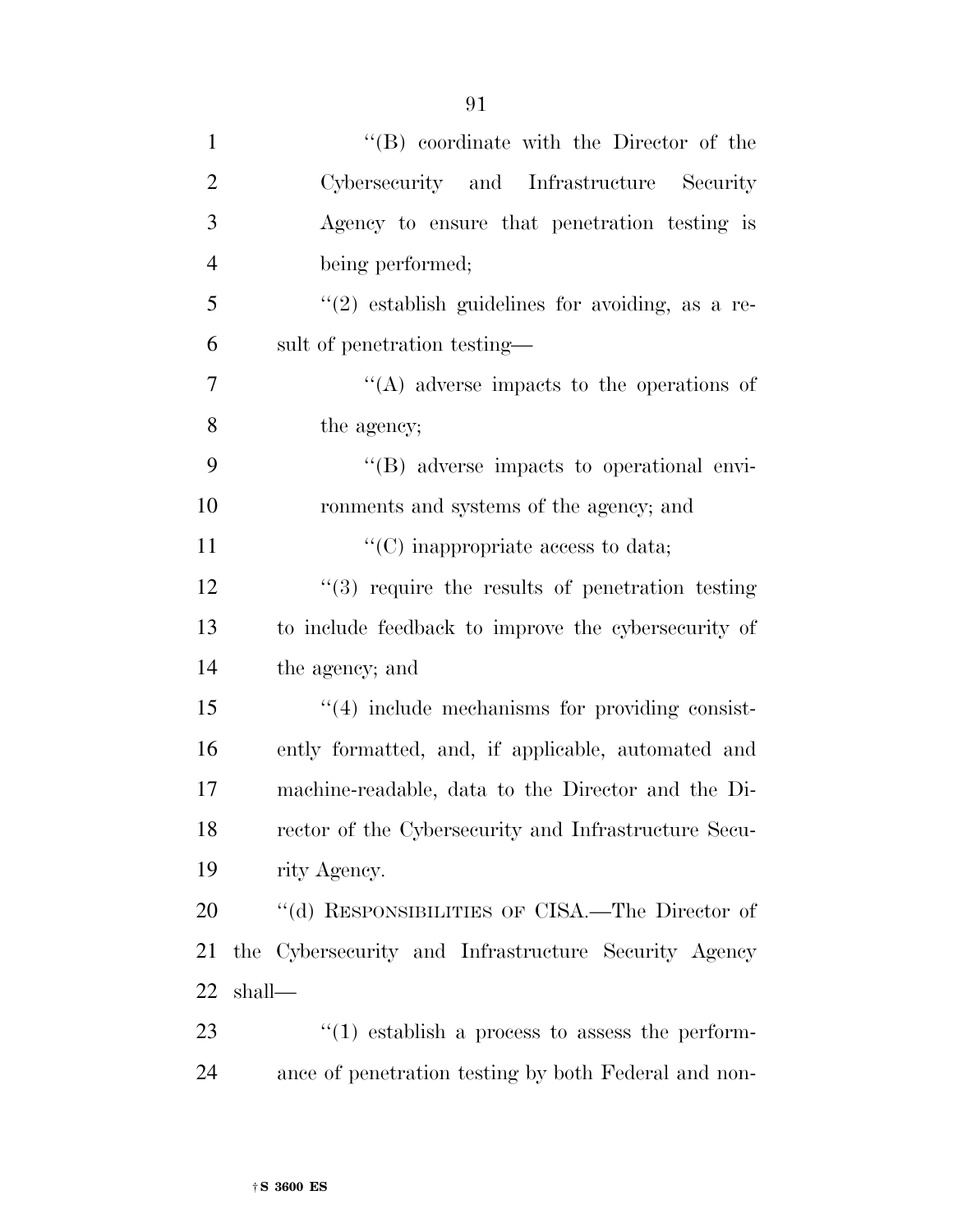| $\mathbf{1}$   | "(B) coordinate with the Director of the               |
|----------------|--------------------------------------------------------|
| $\overline{2}$ | Cybersecurity and Infrastructure Security              |
| $\mathfrak{Z}$ | Agency to ensure that penetration testing is           |
| $\overline{4}$ | being performed;                                       |
| 5              | $(2)$ establish guidelines for avoiding, as a re-      |
| 6              | sult of penetration testing—                           |
| $\overline{7}$ | $\lq\lq$ adverse impacts to the operations of          |
| 8              | the agency;                                            |
| 9              | "(B) adverse impacts to operational envi-              |
| 10             | ronments and systems of the agency; and                |
| 11             | $\lq\lq$ (C) inappropriate access to data;             |
| 12             | $(3)$ require the results of penetration testing       |
| 13             | to include feedback to improve the cybersecurity of    |
| 14             | the agency; and                                        |
| 15             | $\lq(4)$ include mechanisms for providing consist-     |
| 16             | ently formatted, and, if applicable, automated and     |
| 17             | machine-readable, data to the Director and the Di-     |
| 18             | rector of the Cybersecurity and Infrastructure Secu-   |
| 19             | rity Agency.                                           |
| 20             | "(d) RESPONSIBILITIES OF CISA.—The Director of         |
| 21             | the Cybersecurity and Infrastructure Security Agency   |
| 22             | shall-                                                 |
| 23             | $\cdot$ (1) establish a process to assess the perform- |
| 24             | ance of penetration testing by both Federal and non-   |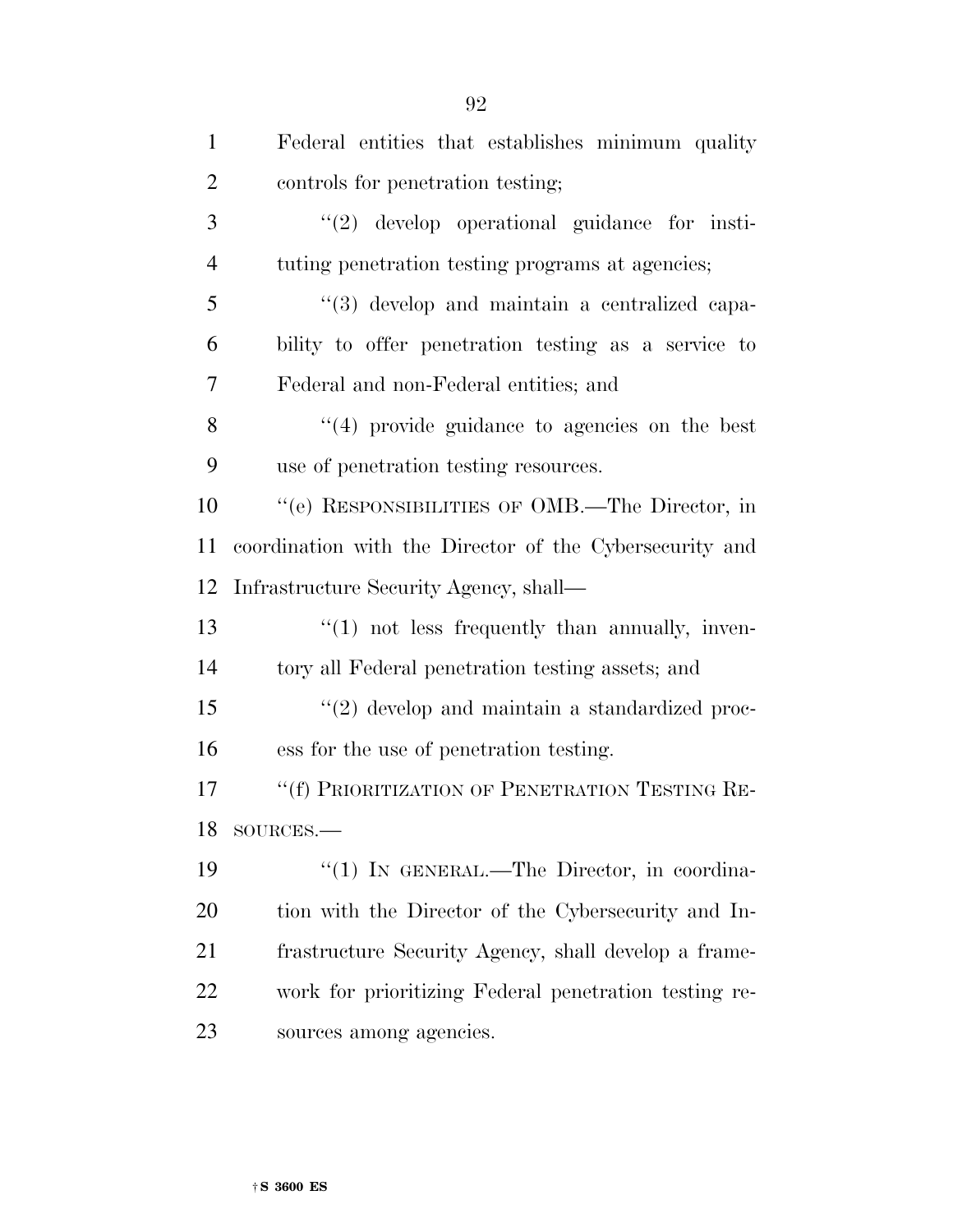| $\mathbf{1}$   | Federal entities that establishes minimum quality       |
|----------------|---------------------------------------------------------|
| $\overline{2}$ | controls for penetration testing;                       |
| 3              | $"(2)$ develop operational guidance for insti-          |
| $\overline{4}$ | tuting penetration testing programs at agencies;        |
| 5              | $\lq(3)$ develop and maintain a centralized capa-       |
| 6              | bility to offer penetration testing as a service to     |
| 7              | Federal and non-Federal entities; and                   |
| 8              | $(4)$ provide guidance to agencies on the best          |
| 9              | use of penetration testing resources.                   |
| 10             | "(e) RESPONSIBILITIES OF OMB.—The Director, in          |
| 11             | coordination with the Director of the Cybersecurity and |
| 12             | Infrastructure Security Agency, shall—                  |
| 13             | $\lq(1)$ not less frequently than annually, inven-      |
| 14             | tory all Federal penetration testing assets; and        |
| 15             | $\lq(2)$ develop and maintain a standardized proc-      |
| 16             | ess for the use of penetration testing.                 |
| 17             | "(f) PRIORITIZATION OF PENETRATION TESTING RE-          |
| 18             | SOURCES.                                                |
| 19             | "(1) IN GENERAL.—The Director, in coordina-             |
| 20             | tion with the Director of the Cybersecurity and In-     |
| 21             | frastructure Security Agency, shall develop a frame-    |
| 22             | work for prioritizing Federal penetration testing re-   |
| 23             | sources among agencies.                                 |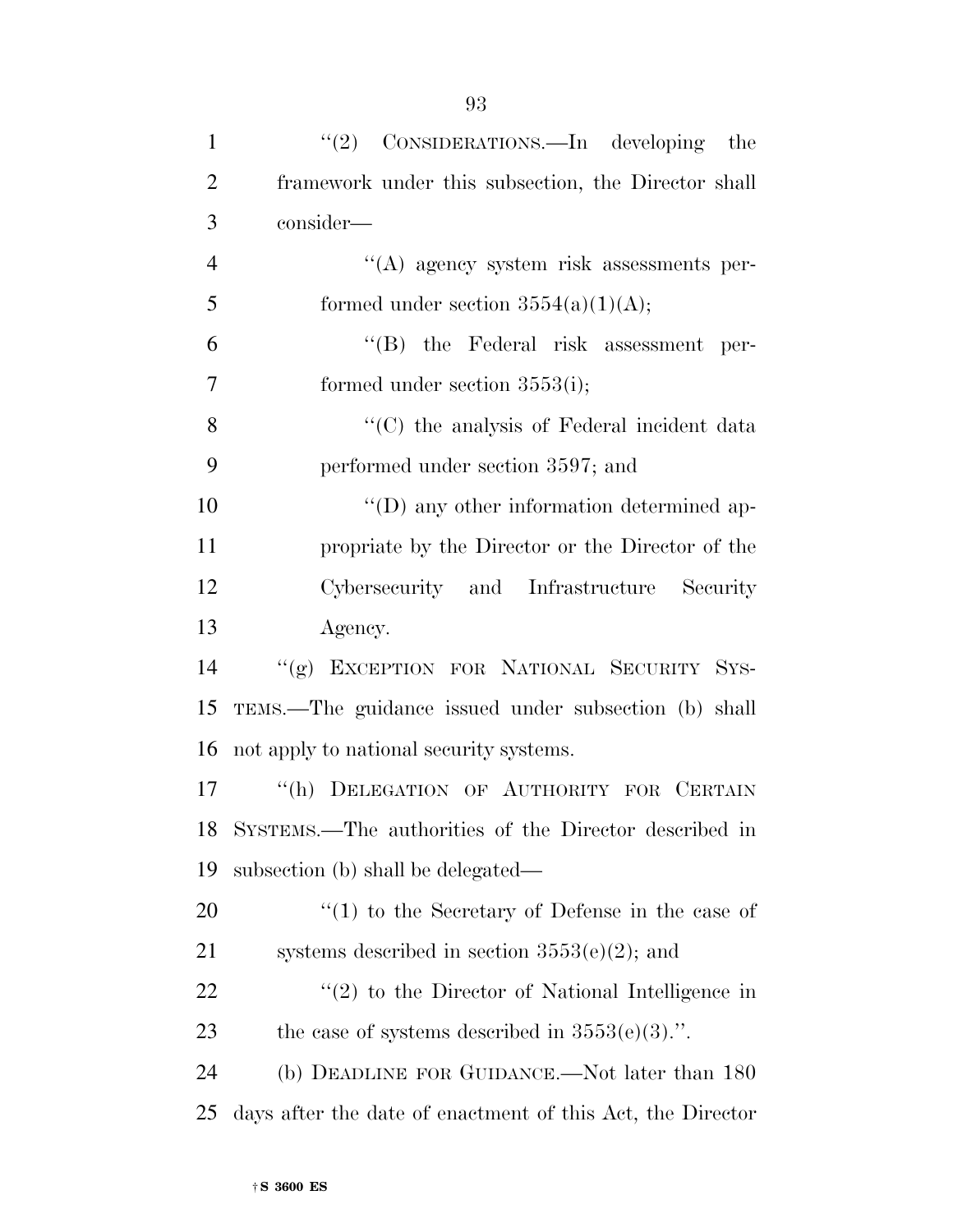| $\mathbf{1}$   | "(2) CONSIDERATIONS.—In developing the                     |
|----------------|------------------------------------------------------------|
| $\overline{2}$ | framework under this subsection, the Director shall        |
| 3              | consider—                                                  |
| $\overline{4}$ | "(A) agency system risk assessments per-                   |
| 5              | formed under section $3554(a)(1)(A);$                      |
| 6              | $\lq\lq$ the Federal risk assessment<br>per-               |
| 7              | formed under section $3553(i)$ ;                           |
| 8              | "(C) the analysis of Federal incident data                 |
| 9              | performed under section 3597; and                          |
| 10             | $\lq\lq$ (D) any other information determined ap-          |
| 11             | propriate by the Director or the Director of the           |
| 12             | Cybersecurity and Infrastructure<br>Security               |
| 13             | Agency.                                                    |
| 14             | "(g) EXCEPTION FOR NATIONAL SECURITY SYS-                  |
| 15             | TEMS.—The guidance issued under subsection (b) shall       |
| 16             | not apply to national security systems.                    |
| 17             | "(h) DELEGATION OF AUTHORITY FOR CERTAIN                   |
|                | 18 SYSTEMS.—The authorities of the Director described in   |
| 19             | subsection (b) shall be delegated—                         |
| 20             | $f''(1)$ to the Secretary of Defense in the case of        |
| 21             | systems described in section $3553(e)(2)$ ; and            |
| 22             | $f'(2)$ to the Director of National Intelligence in        |
| 23             | the case of systems described in $3553(e)(3)$ .".          |
| 24             | (b) DEADLINE FOR GUIDANCE.—Not later than 180              |
| 25             | days after the date of enactment of this Act, the Director |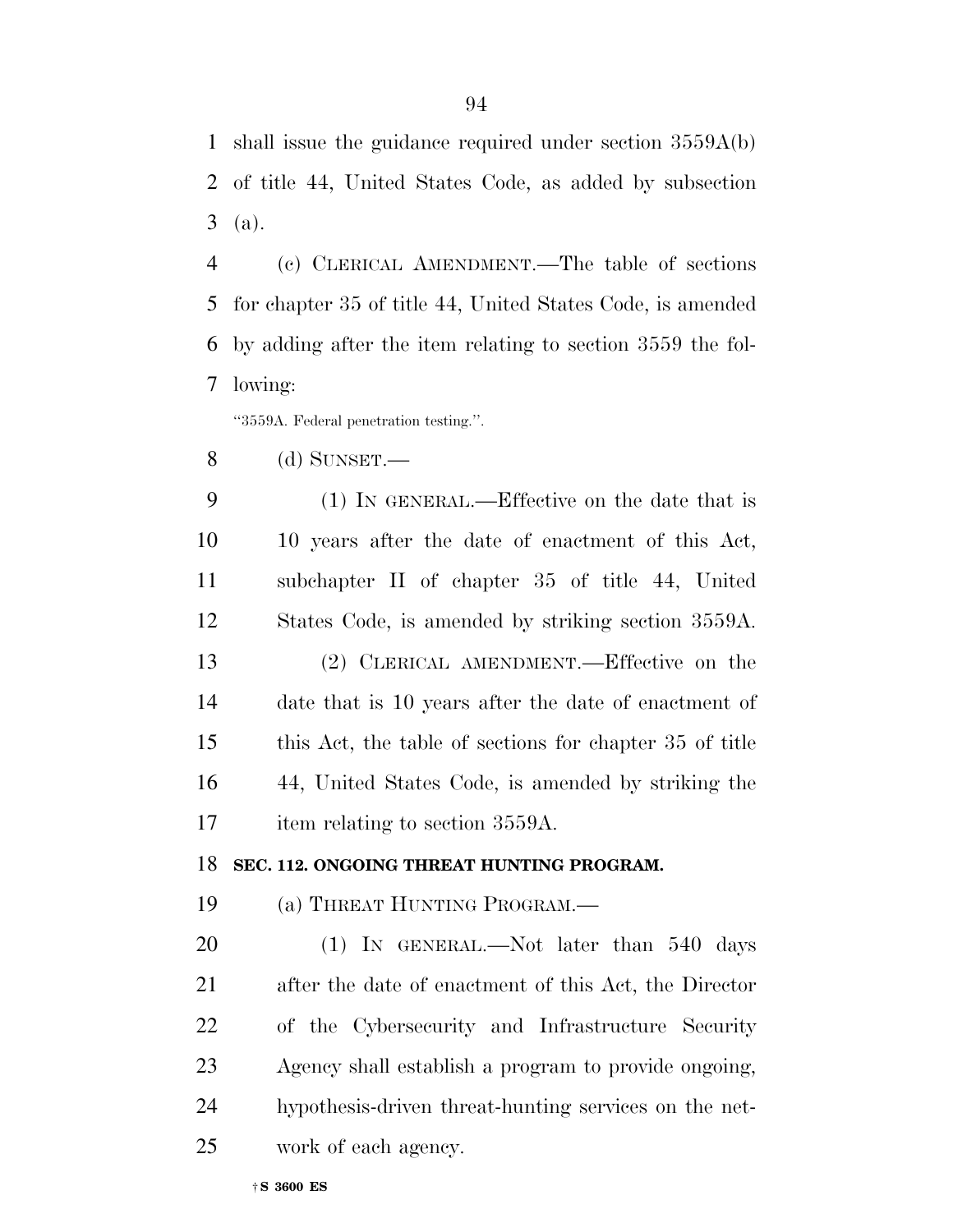shall issue the guidance required under section 3559A(b) of title 44, United States Code, as added by subsection (a).

 (c) CLERICAL AMENDMENT.—The table of sections for chapter 35 of title 44, United States Code, is amended by adding after the item relating to section 3559 the fol-lowing:

''3559A. Federal penetration testing.''.

(d) SUNSET.—

 (1) IN GENERAL.—Effective on the date that is 10 years after the date of enactment of this Act, subchapter II of chapter 35 of title 44, United States Code, is amended by striking section 3559A. (2) CLERICAL AMENDMENT.—Effective on the date that is 10 years after the date of enactment of this Act, the table of sections for chapter 35 of title 44, United States Code, is amended by striking the 17 item relating to section 3559A.

**SEC. 112. ONGOING THREAT HUNTING PROGRAM.** 

(a) THREAT HUNTING PROGRAM.—

20 (1) IN GENERAL.—Not later than 540 days after the date of enactment of this Act, the Director of the Cybersecurity and Infrastructure Security Agency shall establish a program to provide ongoing, hypothesis-driven threat-hunting services on the net-work of each agency.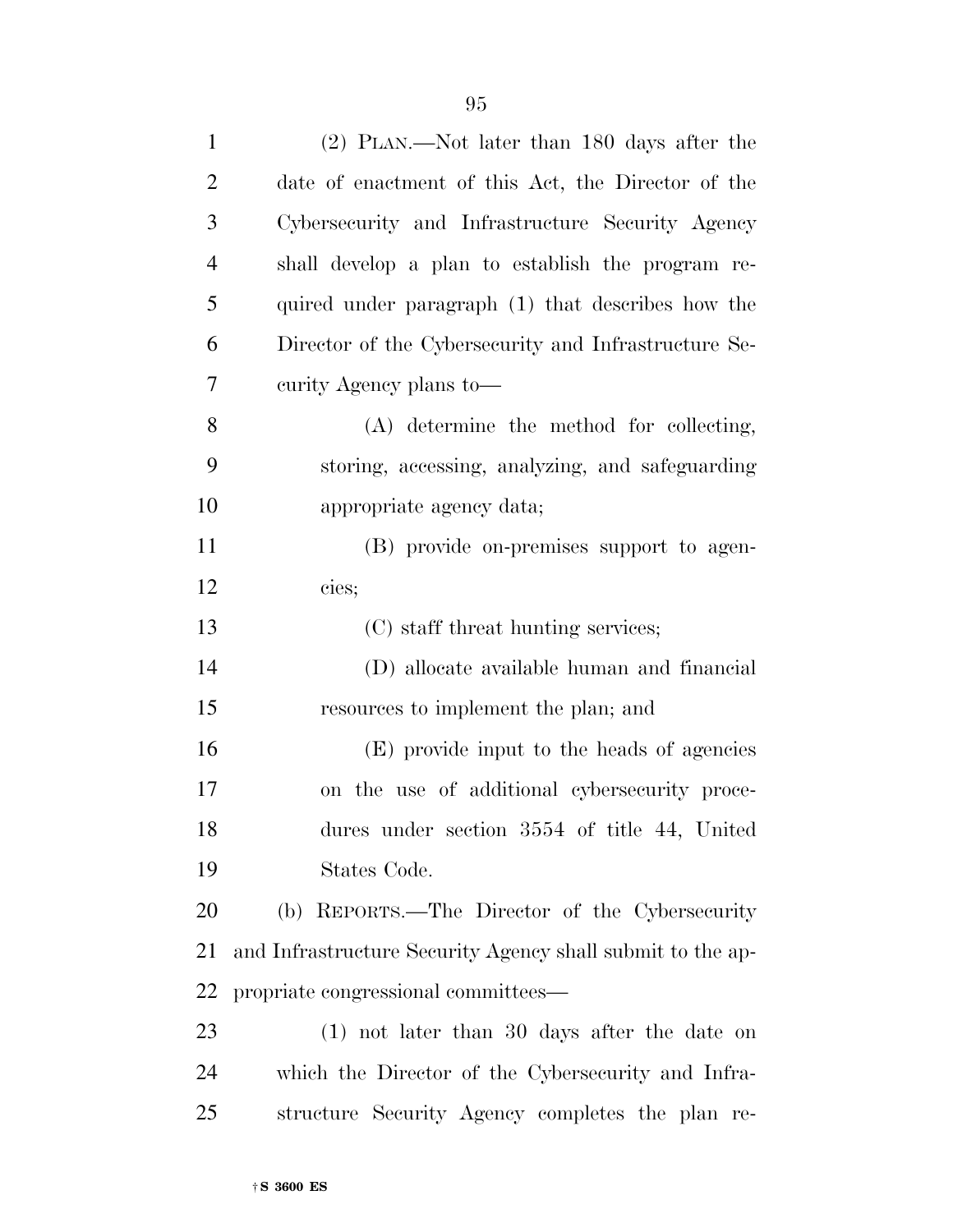| $\mathbf{1}$   | $(2)$ PLAN.—Not later than 180 days after the              |
|----------------|------------------------------------------------------------|
| $\overline{2}$ | date of enactment of this Act, the Director of the         |
| 3              | Cybersecurity and Infrastructure Security Agency           |
| 4              | shall develop a plan to establish the program re-          |
| 5              | quired under paragraph (1) that describes how the          |
| 6              | Director of the Cybersecurity and Infrastructure Se-       |
| 7              | curity Agency plans to—                                    |
| 8              | (A) determine the method for collecting,                   |
| 9              | storing, accessing, analyzing, and safeguarding            |
| 10             | appropriate agency data;                                   |
| 11             | (B) provide on-premises support to agen-                   |
| 12             | cies;                                                      |
| 13             | (C) staff threat hunting services;                         |
| 14             | (D) allocate available human and financial                 |
| 15             | resources to implement the plan; and                       |
| 16             | (E) provide input to the heads of agencies                 |
| 17             | on the use of additional cybersecurity proce-              |
| 18             | dures under section 3554 of title 44, United               |
| 19             | States Code.                                               |
| 20             | (b) REPORTS.—The Director of the Cybersecurity             |
| 21             | and Infrastructure Security Agency shall submit to the ap- |
| 22             | propriate congressional committees—                        |
| 23             | $(1)$ not later than 30 days after the date on             |
| 24             | which the Director of the Cybersecurity and Infra-         |
| 25             | structure Security Agency completes the plan re-           |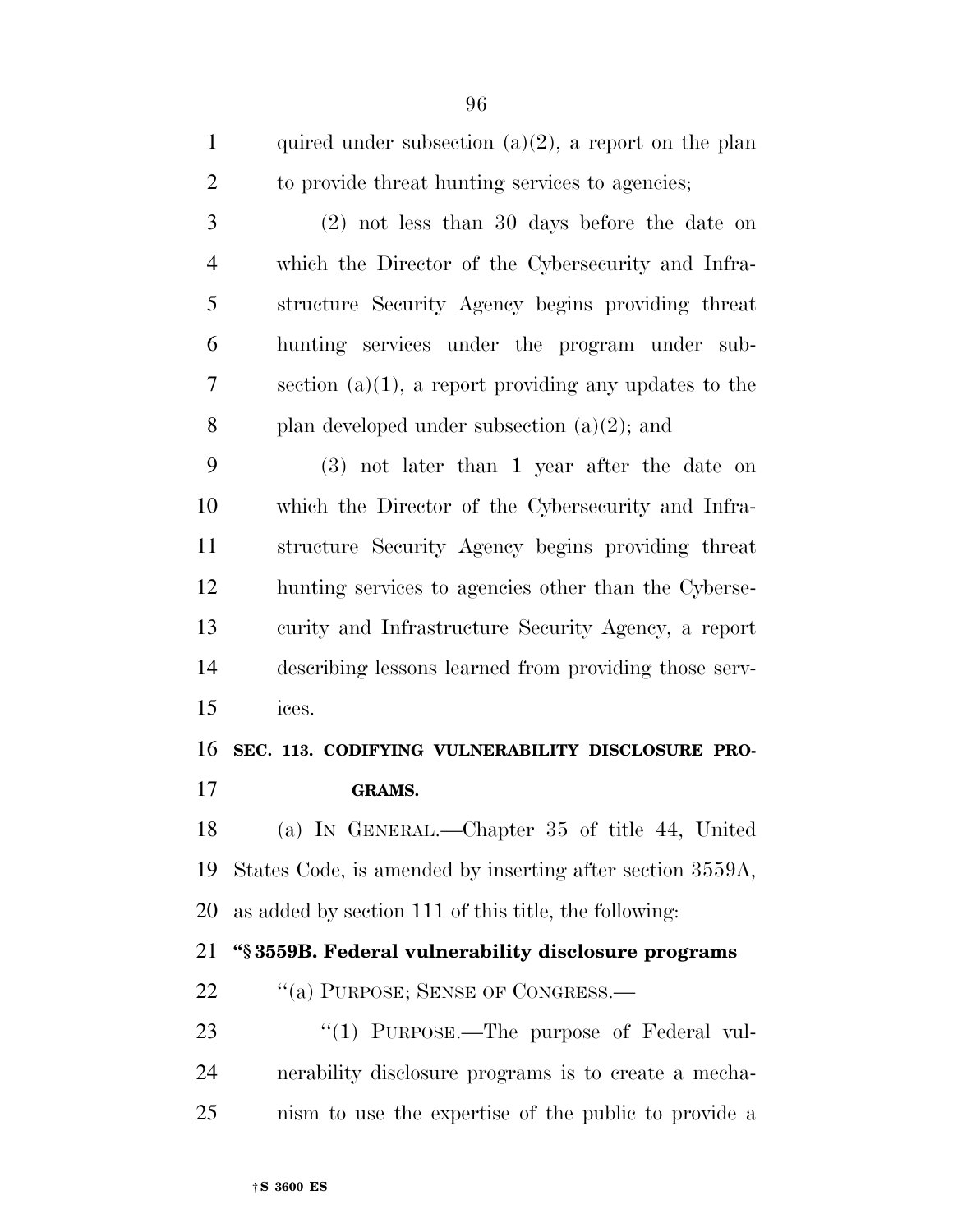| $\mathbf{1}$   | quired under subsection $(a)(2)$ , a report on the plan   |
|----------------|-----------------------------------------------------------|
| $\overline{2}$ | to provide threat hunting services to agencies;           |
| 3              | $(2)$ not less than 30 days before the date on            |
| $\overline{4}$ | which the Director of the Cybersecurity and Infra-        |
| 5              | structure Security Agency begins providing threat         |
| 6              | hunting services under the program under sub-             |
| 7              | section $(a)(1)$ , a report providing any updates to the  |
| 8              | plan developed under subsection $(a)(2)$ ; and            |
| 9              | $(3)$ not later than 1 year after the date on             |
| 10             | which the Director of the Cybersecurity and Infra-        |
| 11             | structure Security Agency begins providing threat         |
| 12             | hunting services to agencies other than the Cyberse-      |
| 13             | curity and Infrastructure Security Agency, a report       |
| 14             | describing lessons learned from providing those serv-     |
| 15             | ices.                                                     |
| 16             | SEC. 113. CODIFYING VULNERABILITY DISCLOSURE PRO-         |
| 17             | GRAMS.                                                    |
| 18             | (a) IN GENERAL.—Chapter 35 of title 44, United            |
| 19             | States Code, is amended by inserting after section 3559A, |
| 20             | as added by section 111 of this title, the following:     |
| 21             | "§3559B. Federal vulnerability disclosure programs        |
| 22             | "(a) PURPOSE; SENSE OF CONGRESS.-                         |
| 23             | "(1) PURPOSE.—The purpose of Federal vul-                 |
| 24             | nerability disclosure programs is to create a mecha-      |
| 25             | nism to use the expertise of the public to provide a      |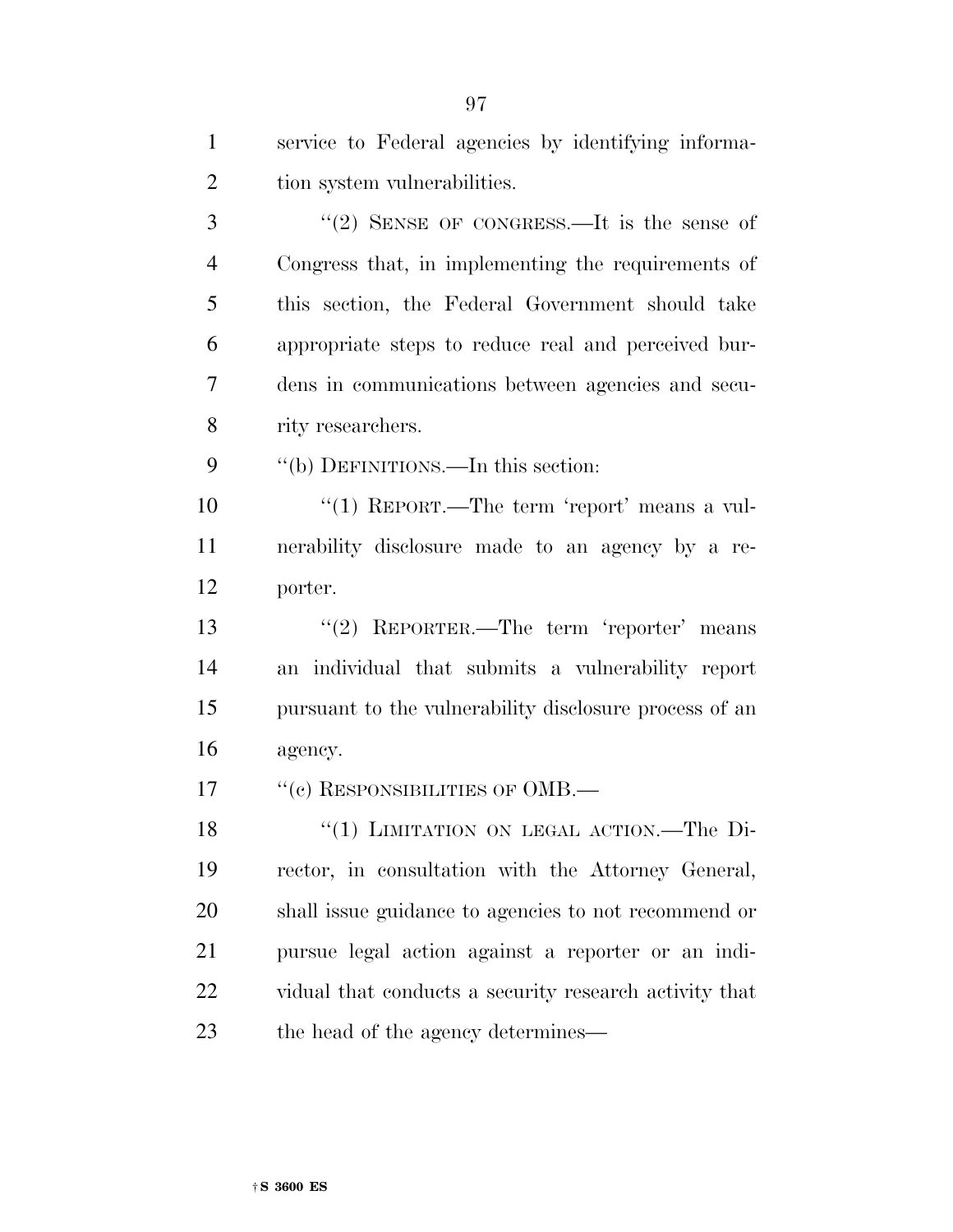| $\mathbf{1}$   | service to Federal agencies by identifying informa-    |
|----------------|--------------------------------------------------------|
| $\overline{2}$ | tion system vulnerabilities.                           |
| 3              | "(2) SENSE OF CONGRESS.—It is the sense of             |
| $\overline{4}$ | Congress that, in implementing the requirements of     |
| 5              | this section, the Federal Government should take       |
| 6              | appropriate steps to reduce real and perceived bur-    |
| 7              | dens in communications between agencies and secu-      |
| 8              | rity researchers.                                      |
| 9              | "(b) DEFINITIONS.—In this section:                     |
| 10             | "(1) REPORT.—The term 'report' means a vul-            |
| 11             | nerability disclosure made to an agency by a re-       |
| 12             | porter.                                                |
| 13             | "(2) REPORTER.—The term 'reporter' means               |
| 14             | an individual that submits a vulnerability report      |
| 15             | pursuant to the vulnerability disclosure process of an |
| 16             | agency.                                                |
| 17             | "(c) RESPONSIBILITIES OF OMB.—                         |
| 18             | "(1) LIMITATION ON LEGAL ACTION.—The Di-               |
| 19             | rector, in consultation with the Attorney General,     |
| 20             | shall issue guidance to agencies to not recommend or   |
| 21             | pursue legal action against a reporter or an indi-     |
| 22             | vidual that conducts a security research activity that |
| 23             | the head of the agency determines—                     |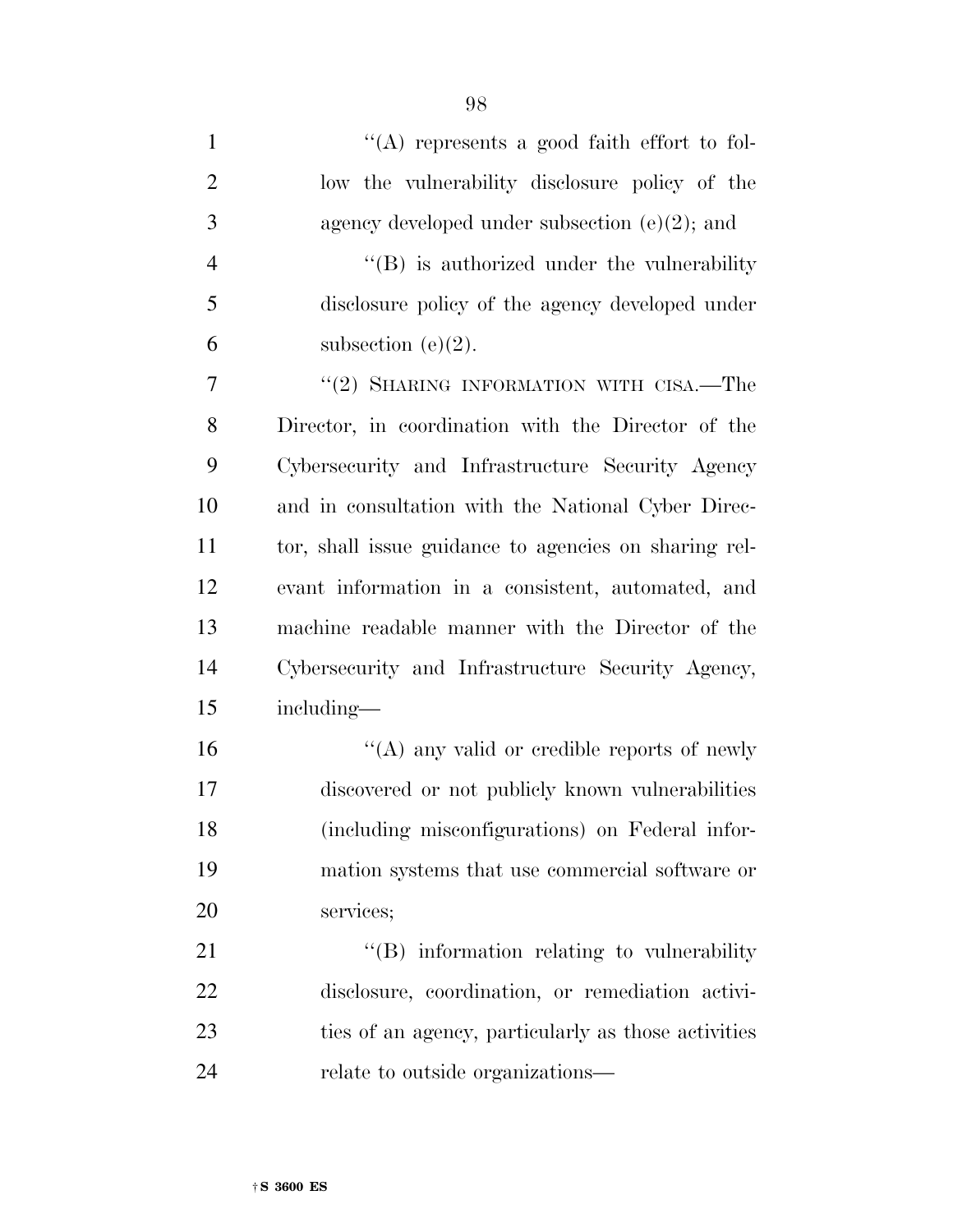| $\mathbf{1}$   | "(A) represents a good faith effort to fol-           |
|----------------|-------------------------------------------------------|
| $\overline{2}$ | low the vulnerability disclosure policy of the        |
| 3              | agency developed under subsection $(e)(2)$ ; and      |
| $\overline{4}$ | "(B) is authorized under the vulnerability            |
| 5              | disclosure policy of the agency developed under       |
| 6              | subsection $(e)(2)$ .                                 |
| 7              | "(2) SHARING INFORMATION WITH CISA.—The               |
| 8              | Director, in coordination with the Director of the    |
| 9              | Cybersecurity and Infrastructure Security Agency      |
| 10             | and in consultation with the National Cyber Direc-    |
| 11             | tor, shall issue guidance to agencies on sharing rel- |
| 12             | evant information in a consistent, automated, and     |
| 13             | machine readable manner with the Director of the      |
| 14             | Cybersecurity and Infrastructure Security Agency,     |
| 15             | including—                                            |
| 16             | "(A) any valid or credible reports of newly           |
| 17             | discovered or not publicly known vulnerabilities      |
| 18             | (including misconfigurations) on Federal infor-       |
| 19             | mation systems that use commercial software or        |
| 20             | services;                                             |
| 21             | "(B) information relating to vulnerability            |
| 22             | disclosure, coordination, or remediation activi-      |
| 23             | ties of an agency, particularly as those activities   |
| 24             | relate to outside organizations—                      |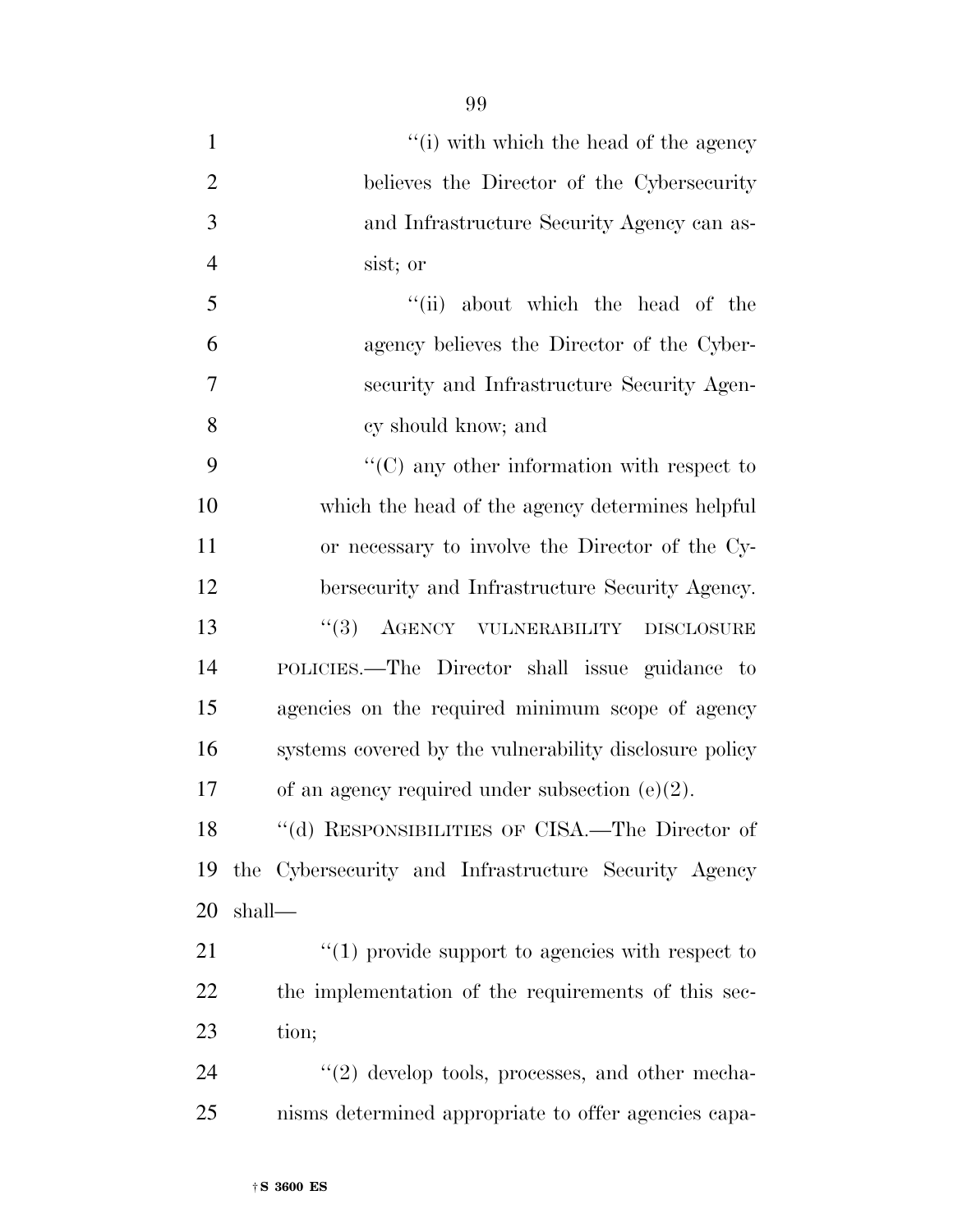| $\mathbf{1}$   | "(i) with which the head of the agency                 |
|----------------|--------------------------------------------------------|
| $\overline{2}$ | believes the Director of the Cybersecurity             |
| 3              | and Infrastructure Security Agency can as-             |
| $\overline{4}$ | sist; or                                               |
| 5              | "(ii) about which the head of the                      |
| 6              | agency believes the Director of the Cyber-             |
| $\overline{7}$ | security and Infrastructure Security Agen-             |
| 8              | cy should know; and                                    |
| 9              | $\lq\lq$ (C) any other information with respect to     |
| 10             | which the head of the agency determines helpful        |
| 11             | or necessary to involve the Director of the Cy-        |
| 12             | bersecurity and Infrastructure Security Agency.        |
| 13             | (3)<br>AGENCY VULNERABILITY<br><b>DISCLOSURE</b>       |
| 14             | POLICIES.—The Director shall issue guidance to         |
| 15             | agencies on the required minimum scope of agency       |
| 16             | systems covered by the vulnerability disclosure policy |
| 17             | of an agency required under subsection $(e)(2)$ .      |
| 18             | "(d) RESPONSIBILITIES OF CISA.—The Director of         |
| 19             | the Cybersecurity and Infrastructure Security Agency   |
| 20             | shall—                                                 |
| 21             | $\lq(1)$ provide support to agencies with respect to   |
| 22             | the implementation of the requirements of this sec-    |
| 23             | tion;                                                  |

24 ''(2) develop tools, processes, and other mecha-nisms determined appropriate to offer agencies capa-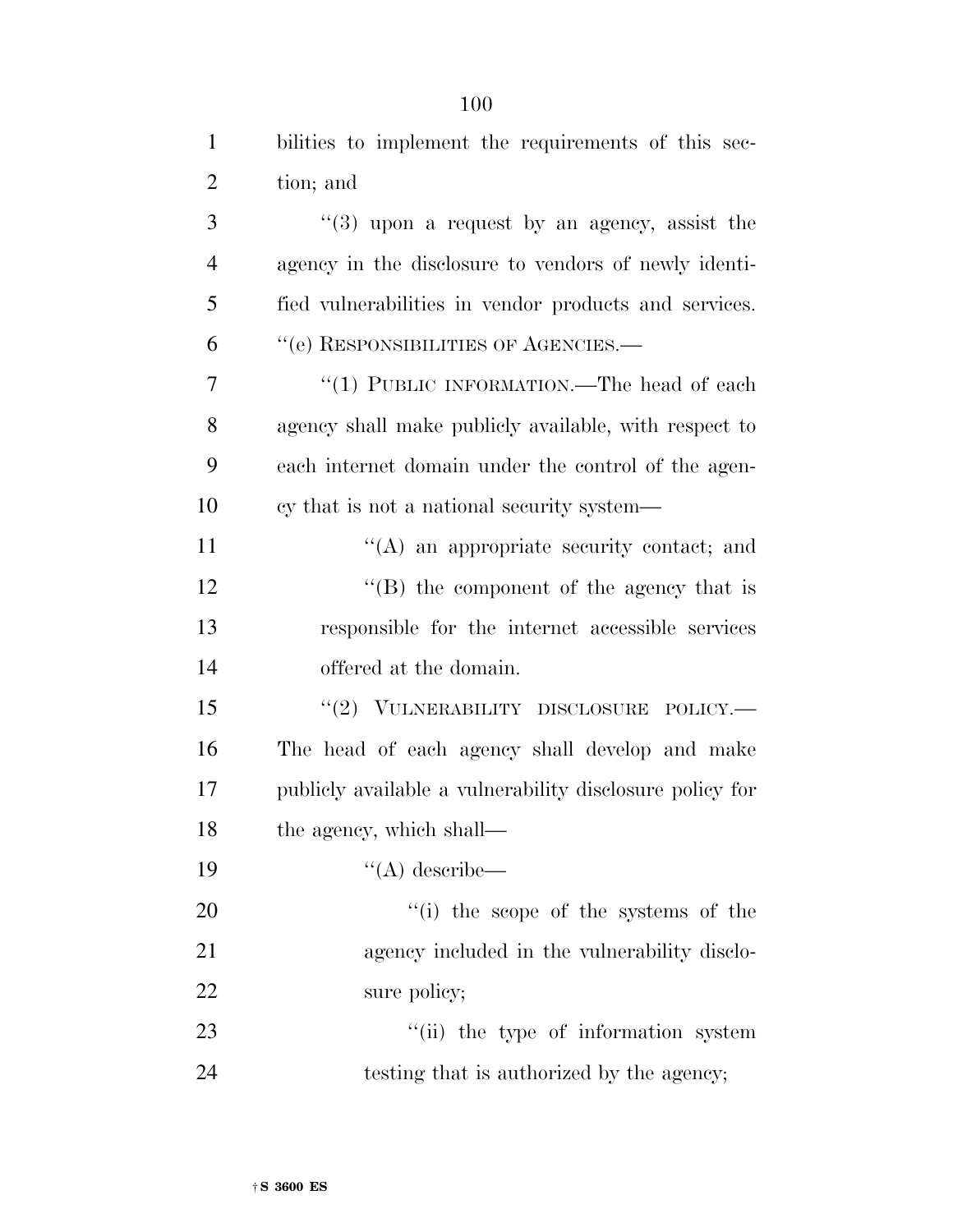| $\mathbf{1}$   | bilities to implement the requirements of this sec-      |
|----------------|----------------------------------------------------------|
| $\overline{2}$ | tion; and                                                |
| 3              | $(3)$ upon a request by an agency, assist the            |
| $\overline{4}$ | agency in the disclosure to vendors of newly identi-     |
| 5              | fied vulnerabilities in vendor products and services.    |
| 6              | "(e) RESPONSIBILITIES OF AGENCIES.-                      |
| 7              | "(1) PUBLIC INFORMATION.—The head of each                |
| 8              | agency shall make publicly available, with respect to    |
| 9              | each internet domain under the control of the agen-      |
| 10             | cy that is not a national security system—               |
| 11             | "(A) an appropriate security contact; and                |
| 12             | $\lq\lq (B)$ the component of the agency that is         |
| 13             | responsible for the internet accessible services         |
| 14             | offered at the domain.                                   |
| 15             | "(2) VULNERABILITY DISCLOSURE POLICY.                    |
| 16             | The head of each agency shall develop and make           |
| 17             | publicly available a vulnerability disclosure policy for |
| 18             | the agency, which shall—                                 |
| 19             | $\lq\lq$ describe—                                       |
| 20             | "(i) the scope of the systems of the                     |
| 21             | agency included in the vulnerability disclo-             |
| 22             | sure policy;                                             |
| 23             | "(ii) the type of information system                     |
| 24             | testing that is authorized by the agency;                |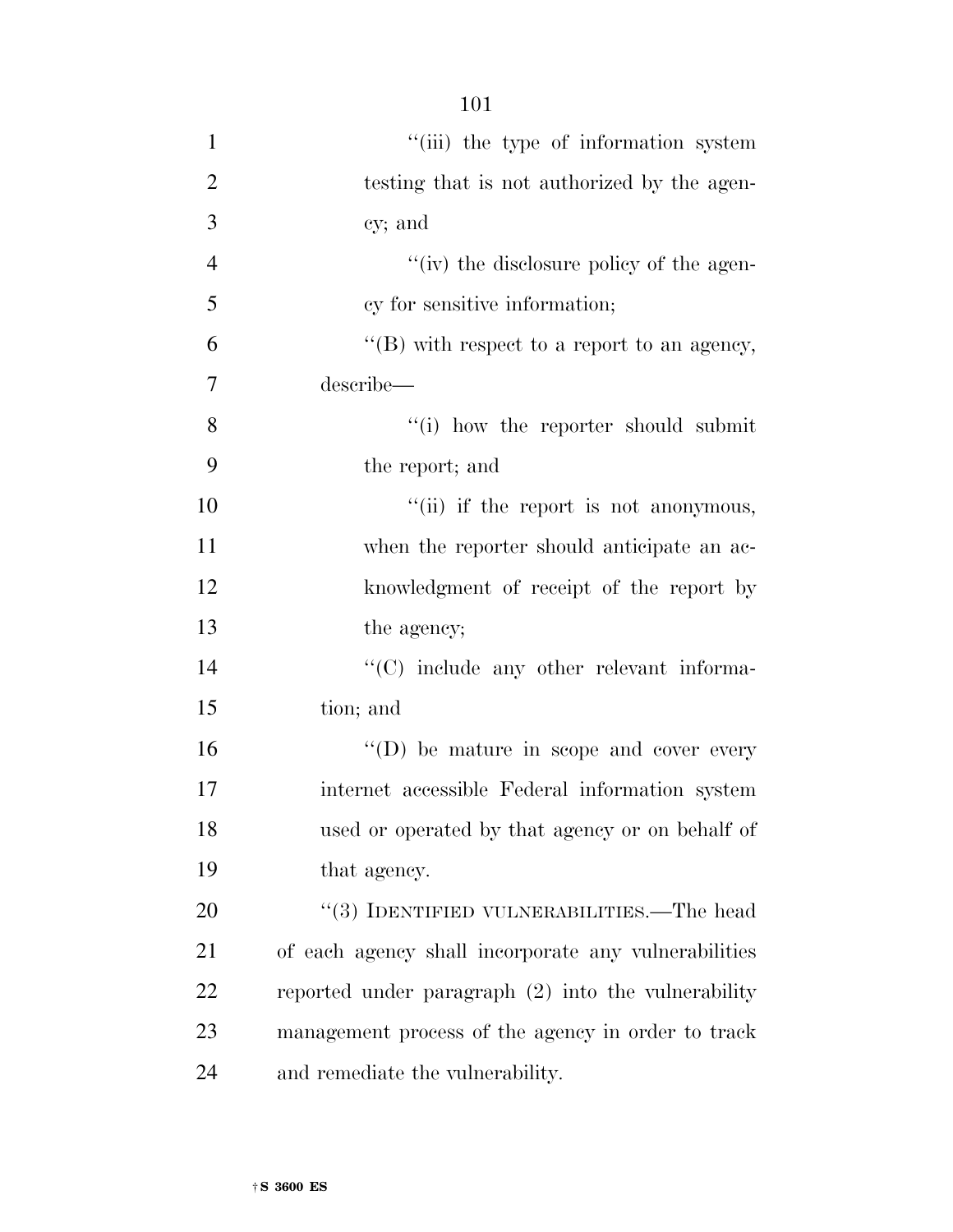| $\mathbf{1}$   | "(iii) the type of information system                |
|----------------|------------------------------------------------------|
| $\overline{2}$ | testing that is not authorized by the agen-          |
| 3              | cy; and                                              |
| $\overline{4}$ | "(iv) the disclosure policy of the agen-             |
| 5              | cy for sensitive information;                        |
| 6              | " $(B)$ with respect to a report to an agency,       |
| 7              | describe-                                            |
| 8              | "(i) how the reporter should submit                  |
| 9              | the report; and                                      |
| 10             | "(ii) if the report is not anonymous,                |
| 11             | when the reporter should anticipate an ac-           |
| 12             | knowledgment of receipt of the report by             |
| 13             | the agency;                                          |
| 14             | "(C) include any other relevant informa-             |
| 15             | tion; and                                            |
| 16             | $\lq\lq$ (D) be mature in scope and cover every      |
| 17             | internet accessible Federal information system       |
| 18             | used or operated by that agency or on behalf of      |
| 19             | that agency.                                         |
| 20             | "(3) IDENTIFIED VULNERABILITIES.—The head            |
| 21             | of each agency shall incorporate any vulnerabilities |
| 22             | reported under paragraph (2) into the vulnerability  |
| 23             | management process of the agency in order to track   |
| 24             | and remediate the vulnerability.                     |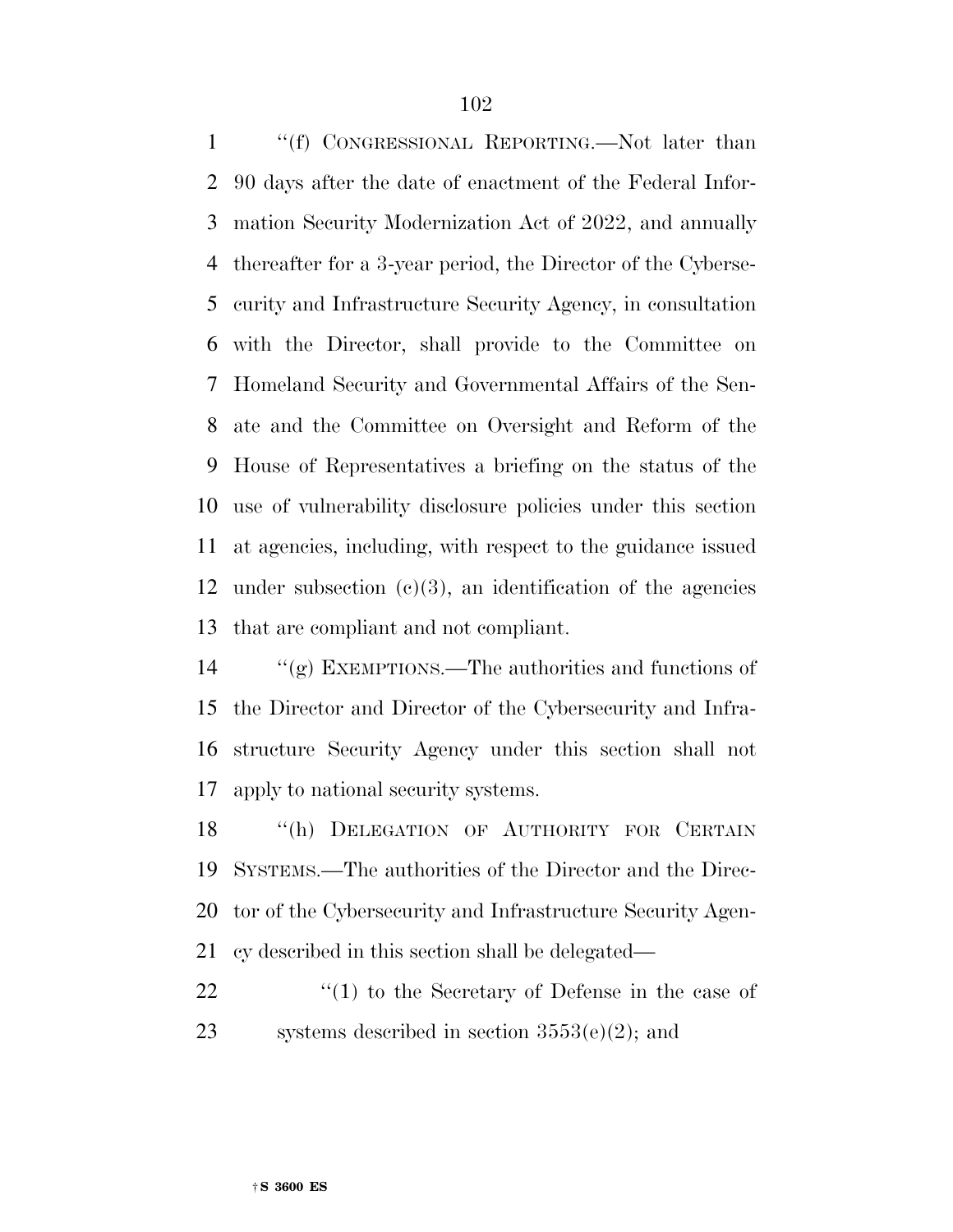''(f) CONGRESSIONAL REPORTING.—Not later than 90 days after the date of enactment of the Federal Infor- mation Security Modernization Act of 2022, and annually thereafter for a 3-year period, the Director of the Cyberse- curity and Infrastructure Security Agency, in consultation with the Director, shall provide to the Committee on Homeland Security and Governmental Affairs of the Sen- ate and the Committee on Oversight and Reform of the House of Representatives a briefing on the status of the use of vulnerability disclosure policies under this section at agencies, including, with respect to the guidance issued 12 under subsection  $(c)(3)$ , an identification of the agencies that are compliant and not compliant.

 ''(g) EXEMPTIONS.—The authorities and functions of the Director and Director of the Cybersecurity and Infra- structure Security Agency under this section shall not apply to national security systems.

18 "(h) DELEGATION OF AUTHORITY FOR CERTAIN SYSTEMS.—The authorities of the Director and the Direc- tor of the Cybersecurity and Infrastructure Security Agen-cy described in this section shall be delegated—

22 ''(1) to the Secretary of Defense in the case of 23 systems described in section  $3553(e)(2)$ ; and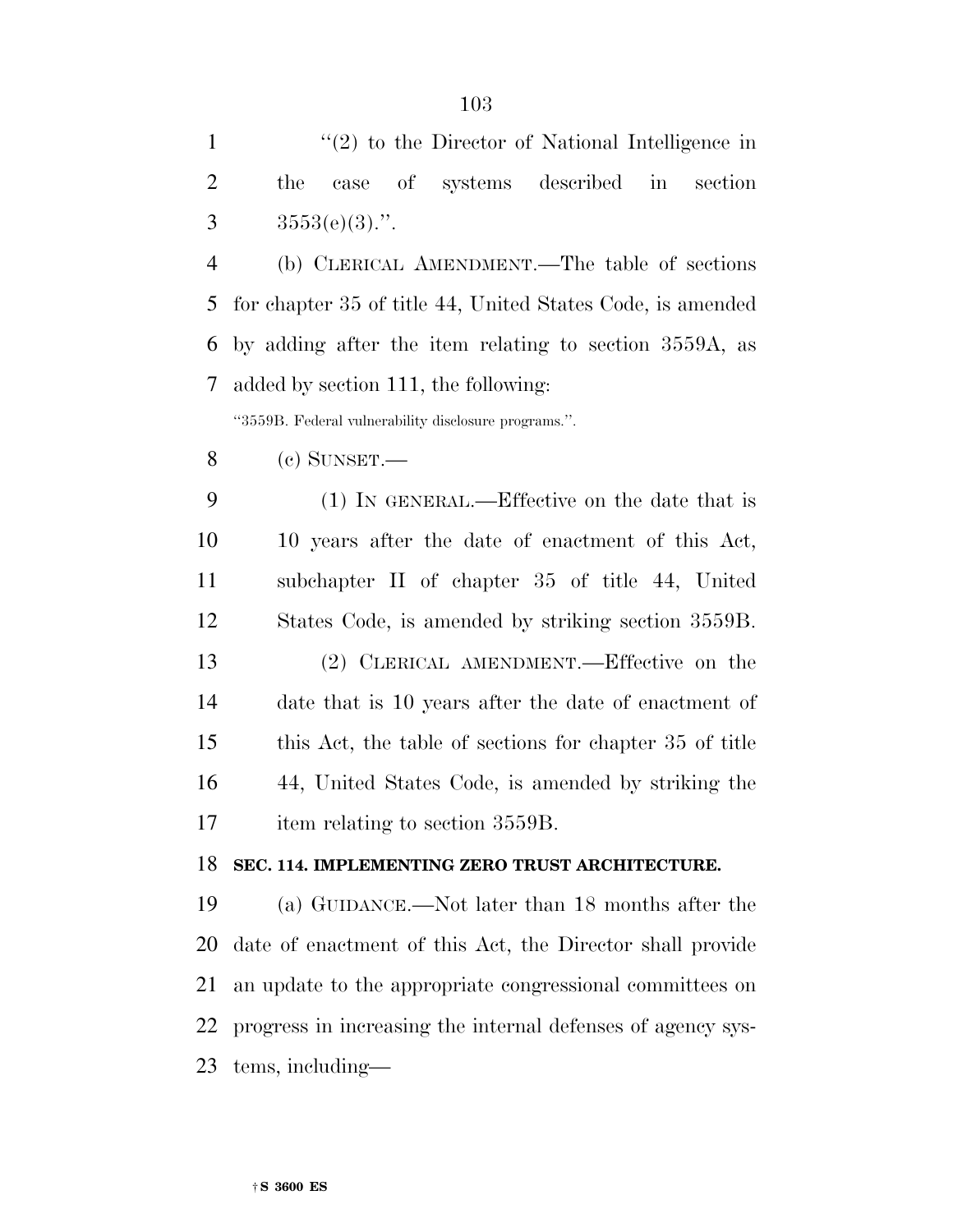1 ''(2) to the Director of National Intelligence in the case of systems described in section 3  $3553(e)(3)$ .".

 (b) CLERICAL AMENDMENT.—The table of sections for chapter 35 of title 44, United States Code, is amended by adding after the item relating to section 3559A, as added by section 111, the following:

''3559B. Federal vulnerability disclosure programs.''.

(c) SUNSET.—

 (1) IN GENERAL.—Effective on the date that is 10 years after the date of enactment of this Act, subchapter II of chapter 35 of title 44, United States Code, is amended by striking section 3559B. (2) CLERICAL AMENDMENT.—Effective on the date that is 10 years after the date of enactment of this Act, the table of sections for chapter 35 of title 44, United States Code, is amended by striking the 17 item relating to section 3559B.

## **SEC. 114. IMPLEMENTING ZERO TRUST ARCHITECTURE.**

 (a) GUIDANCE.—Not later than 18 months after the date of enactment of this Act, the Director shall provide an update to the appropriate congressional committees on progress in increasing the internal defenses of agency sys-tems, including—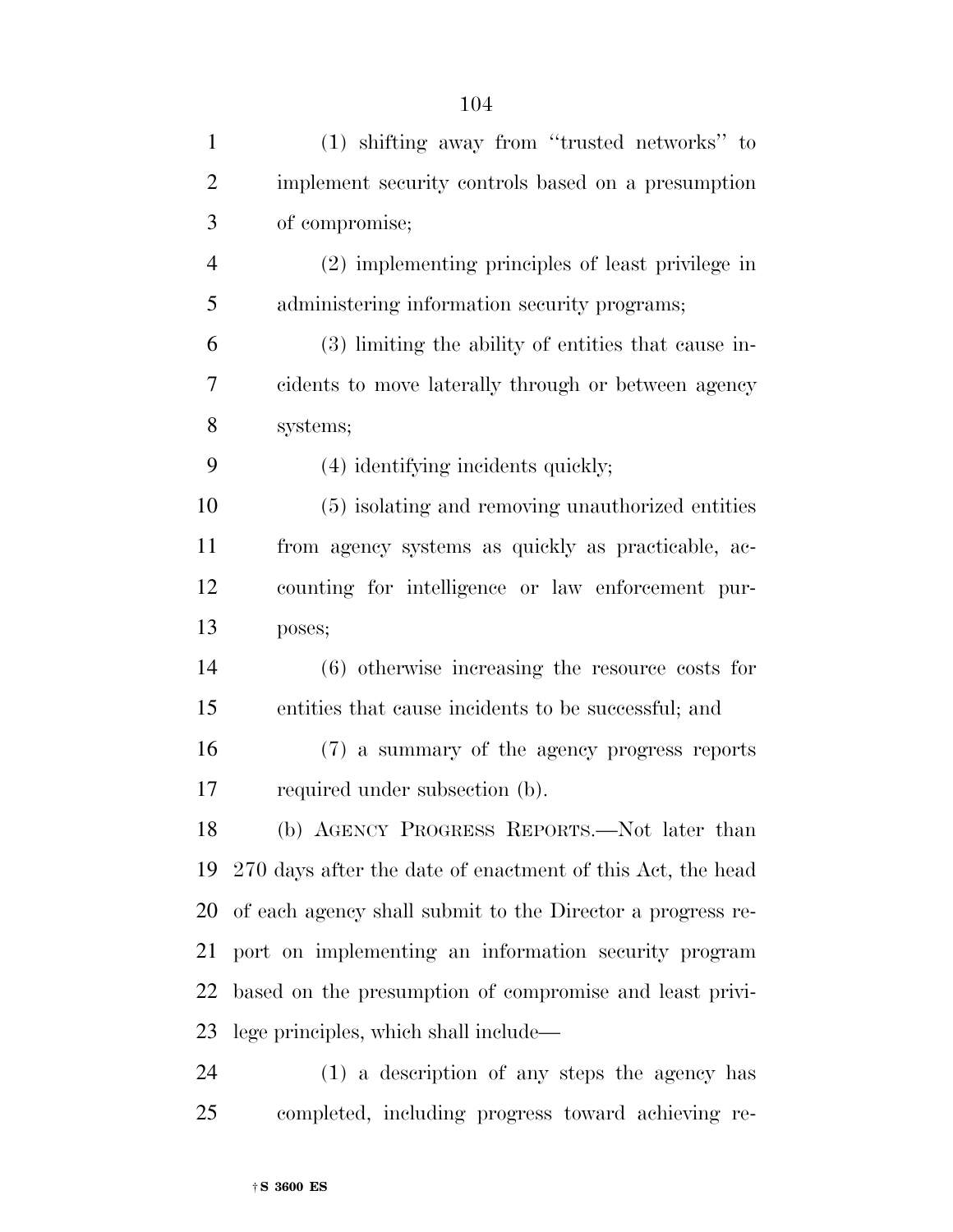| $\mathbf{1}$   | (1) shifting away from "trusted networks" to               |
|----------------|------------------------------------------------------------|
| $\overline{2}$ | implement security controls based on a presumption         |
| 3              | of compromise;                                             |
| $\overline{4}$ | (2) implementing principles of least privilege in          |
| 5              | administering information security programs;               |
| 6              | (3) limiting the ability of entities that cause in-        |
| 7              | cidents to move laterally through or between agency        |
| 8              | systems;                                                   |
| 9              | (4) identifying incidents quickly;                         |
| 10             | (5) isolating and removing unauthorized entities           |
| 11             | from agency systems as quickly as practicable, ac-         |
| 12             | counting for intelligence or law enforcement pur-          |
| 13             | poses;                                                     |
| 14             | $(6)$ otherwise increasing the resource costs for          |
| 15             | entities that cause incidents to be successful; and        |
| 16             | (7) a summary of the agency progress reports               |
| 17             | required under subsection (b).                             |
| 18             | (b) AGENCY PROGRESS REPORTS.—Not later than                |
| 19             | 270 days after the date of enactment of this Act, the head |
| 20             | of each agency shall submit to the Director a progress re- |
| 21             | port on implementing an information security program       |
| 22             | based on the presumption of compromise and least privi-    |
| 23             | lege principles, which shall include—                      |
| 24             | (1) a description of any steps the agency has              |
| 25             | completed, including progress toward achieving re-         |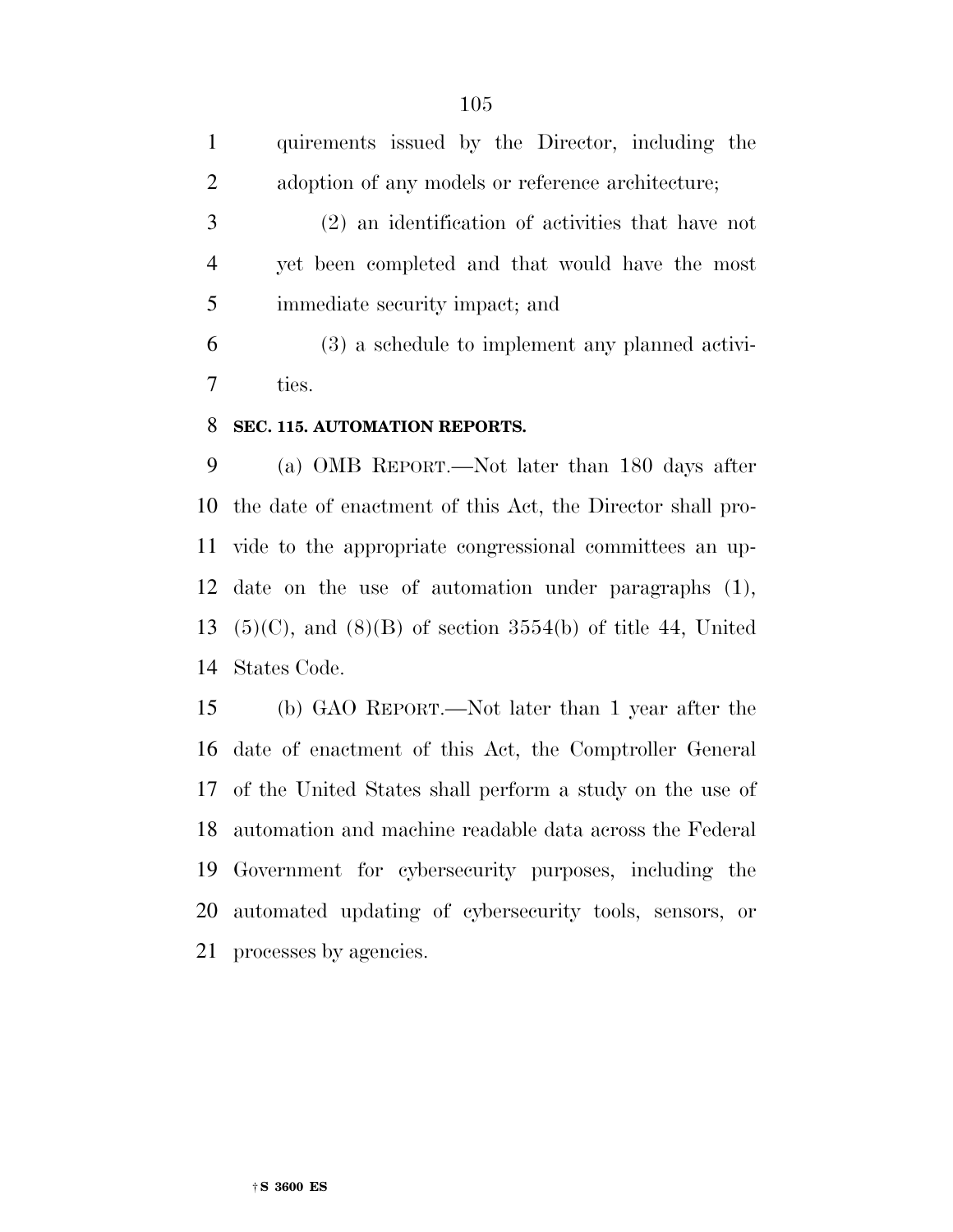|    | quirements issued by the Director, including the  |
|----|---------------------------------------------------|
| 2  | adoption of any models or reference architecture; |
| 3  | (2) an identification of activities that have not |
|    | yet been completed and that would have the most   |
| -5 | immediate security impact; and                    |
| 6  | $(3)$ a schedule to implement any planned activi- |
|    | ties.                                             |

#### **SEC. 115. AUTOMATION REPORTS.**

 (a) OMB REPORT.—Not later than 180 days after the date of enactment of this Act, the Director shall pro- vide to the appropriate congressional committees an up- date on the use of automation under paragraphs (1), 13 (5)(C), and (8)(B) of section  $3554(b)$  of title 44, United States Code.

 (b) GAO REPORT.—Not later than 1 year after the date of enactment of this Act, the Comptroller General of the United States shall perform a study on the use of automation and machine readable data across the Federal Government for cybersecurity purposes, including the automated updating of cybersecurity tools, sensors, or processes by agencies.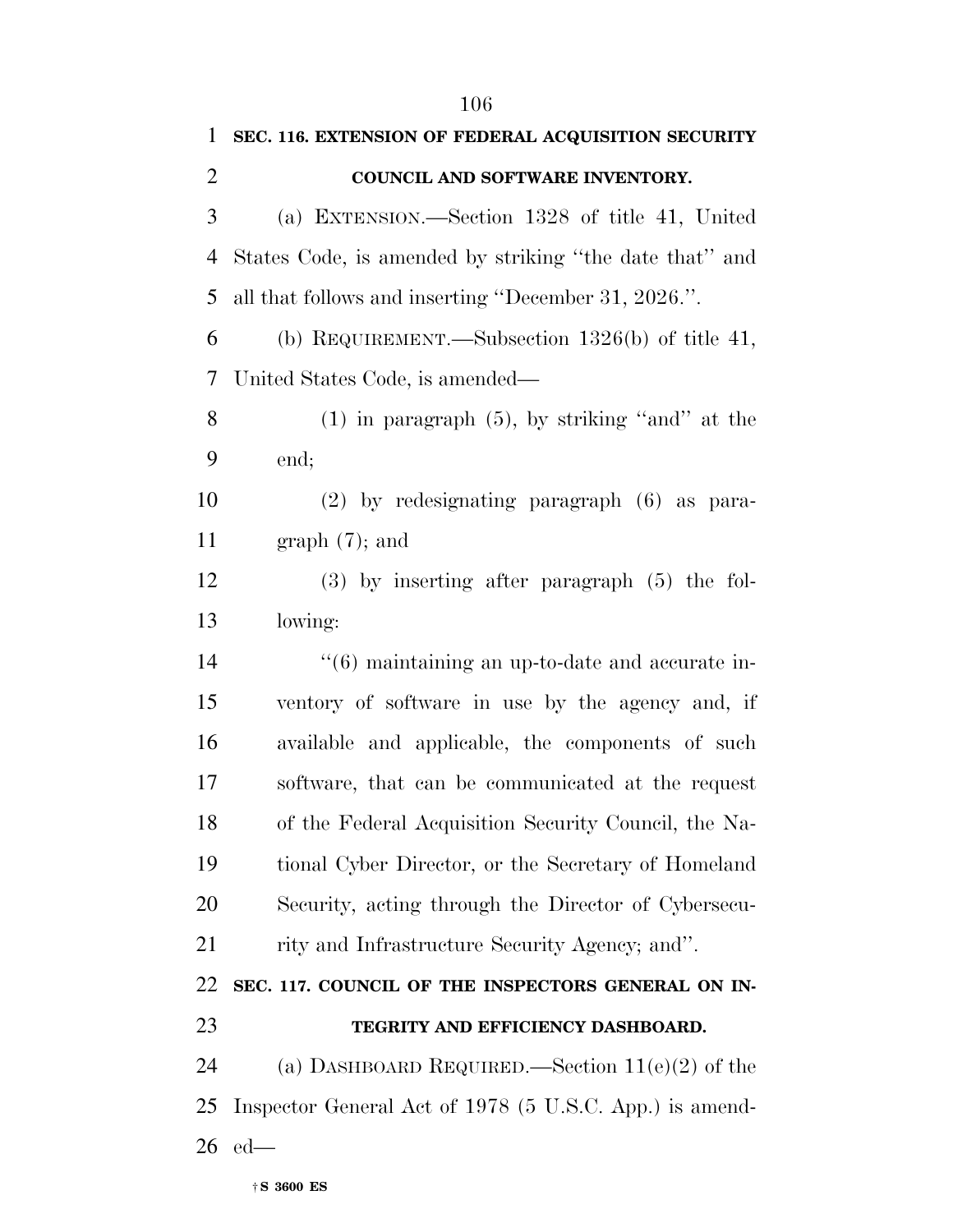|                | 106                                                             |
|----------------|-----------------------------------------------------------------|
| $\mathbf{1}$   | SEC. 116. EXTENSION OF FEDERAL ACQUISITION SECURITY             |
| $\overline{2}$ | COUNCIL AND SOFTWARE INVENTORY.                                 |
| 3              | (a) EXTENSION.—Section 1328 of title 41, United                 |
| 4              | States Code, is amended by striking "the date that" and         |
| 5              | all that follows and inserting "December 31, 2026.".            |
| 6              | (b) REQUIREMENT.—Subsection $1326(b)$ of title 41,              |
| 7              | United States Code, is amended—                                 |
| 8              | $(1)$ in paragraph $(5)$ , by striking "and" at the             |
| 9              | end;                                                            |
| 10             | $(2)$ by redesignating paragraph $(6)$ as para-                 |
| 11             | $graph(7)$ ; and                                                |
| 12             | $(3)$ by inserting after paragraph $(5)$ the fol-               |
| 13             | lowing:                                                         |
| 14             | $\cdot\cdot\cdot(6)$ maintaining an up-to-date and accurate in- |
| 15             | ventory of software in use by the agency and, if                |
| 16             | available and applicable, the components of such                |
| 17             | software, that can be communicated at the request               |
| 18             | of the Federal Acquisition Security Council, the Na-            |
| 19             | tional Cyber Director, or the Secretary of Homeland             |
| 20             | Security, acting through the Director of Cybersecu-             |
| 21             | rity and Infrastructure Security Agency; and".                  |
| 22             | SEC. 117. COUNCIL OF THE INSPECTORS GENERAL ON IN-              |
| 23             | TEGRITY AND EFFICIENCY DASHBOARD.                               |
| 24             | (a) DASHBOARD REQUIRED.—Section $11(e)(2)$ of the               |
| 25             | Inspector General Act of 1978 (5 U.S.C. App.) is amend-         |
| 26             | $ed$ —                                                          |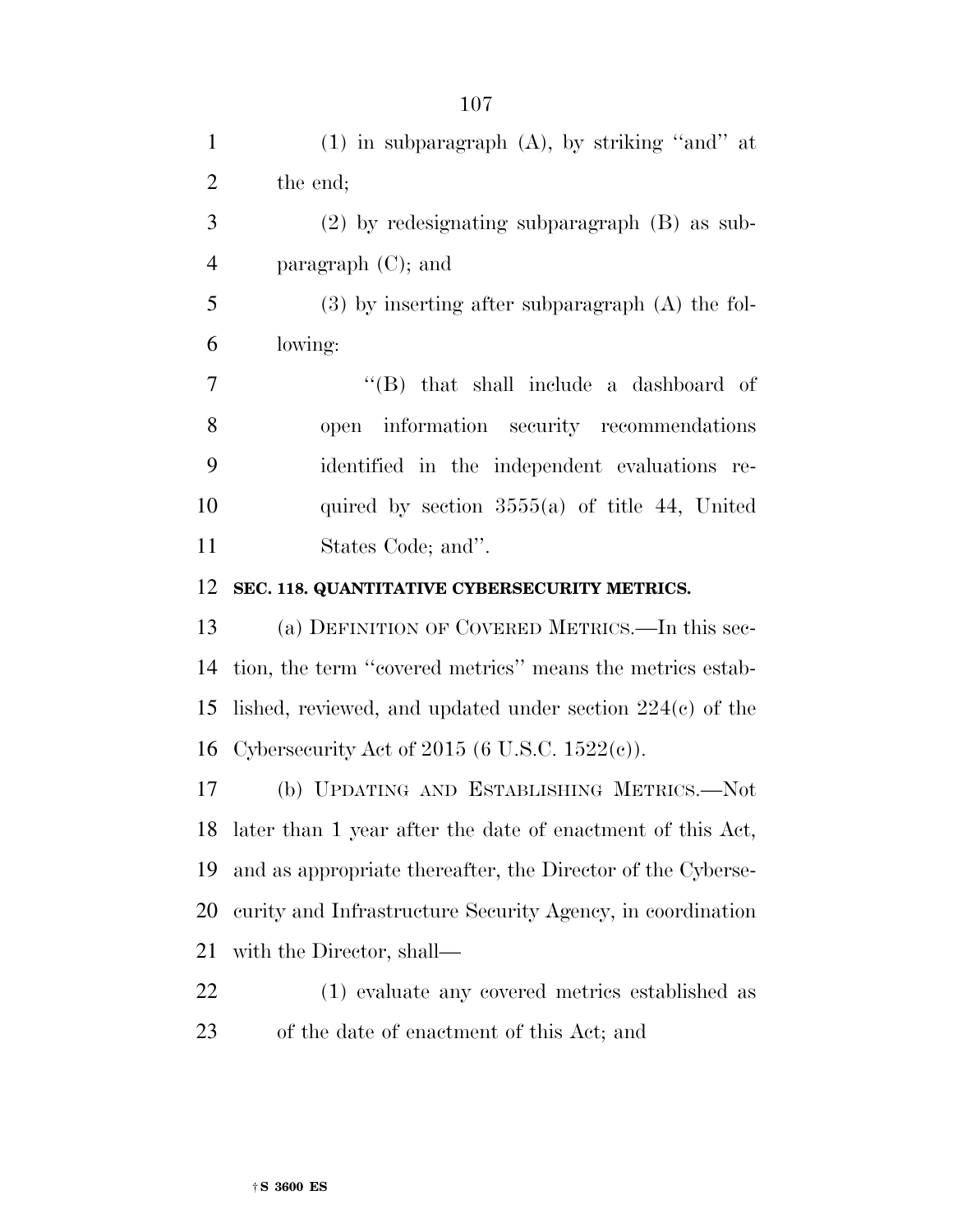| $\mathbf{1}$   | $(1)$ in subparagraph $(A)$ , by striking "and" at            |
|----------------|---------------------------------------------------------------|
| $\overline{2}$ | the end;                                                      |
| 3              | $(2)$ by redesignating subparagraph $(B)$ as sub-             |
| $\overline{4}$ | paragraph $(C)$ ; and                                         |
| 5              | $(3)$ by inserting after subparagraph $(A)$ the fol-          |
| 6              | lowing:                                                       |
| $\tau$         | $\lq\lq$ that shall include a dashboard of                    |
| 8              | open information security recommendations                     |
| 9              | identified in the independent evaluations re-                 |
| 10             | quired by section $3555(a)$ of title 44, United               |
| 11             | States Code; and".                                            |
| 12             | SEC. 118. QUANTITATIVE CYBERSECURITY METRICS.                 |
| 13             | (a) DEFINITION OF COVERED METRICS.—In this sec-               |
| 14             | tion, the term "covered metrics" means the metrics estab-     |
| 15             | lished, reviewed, and updated under section $224(c)$ of the   |
| 16             | Cybersecurity Act of 2015 (6 U.S.C. $1522(e)$ ).              |
| 17             | (b) UPDATING AND ESTABLISHING METRICS.-Not                    |
|                | 18 later than 1 year after the date of enactment of this Act, |
| 19             | and as appropriate thereafter, the Director of the Cyberse-   |
| 20             | curity and Infrastructure Security Agency, in coordination    |
| 21             | with the Director, shall—                                     |
| 22             | (1) evaluate any covered metrics established as               |
| 23             | of the date of enactment of this Act; and                     |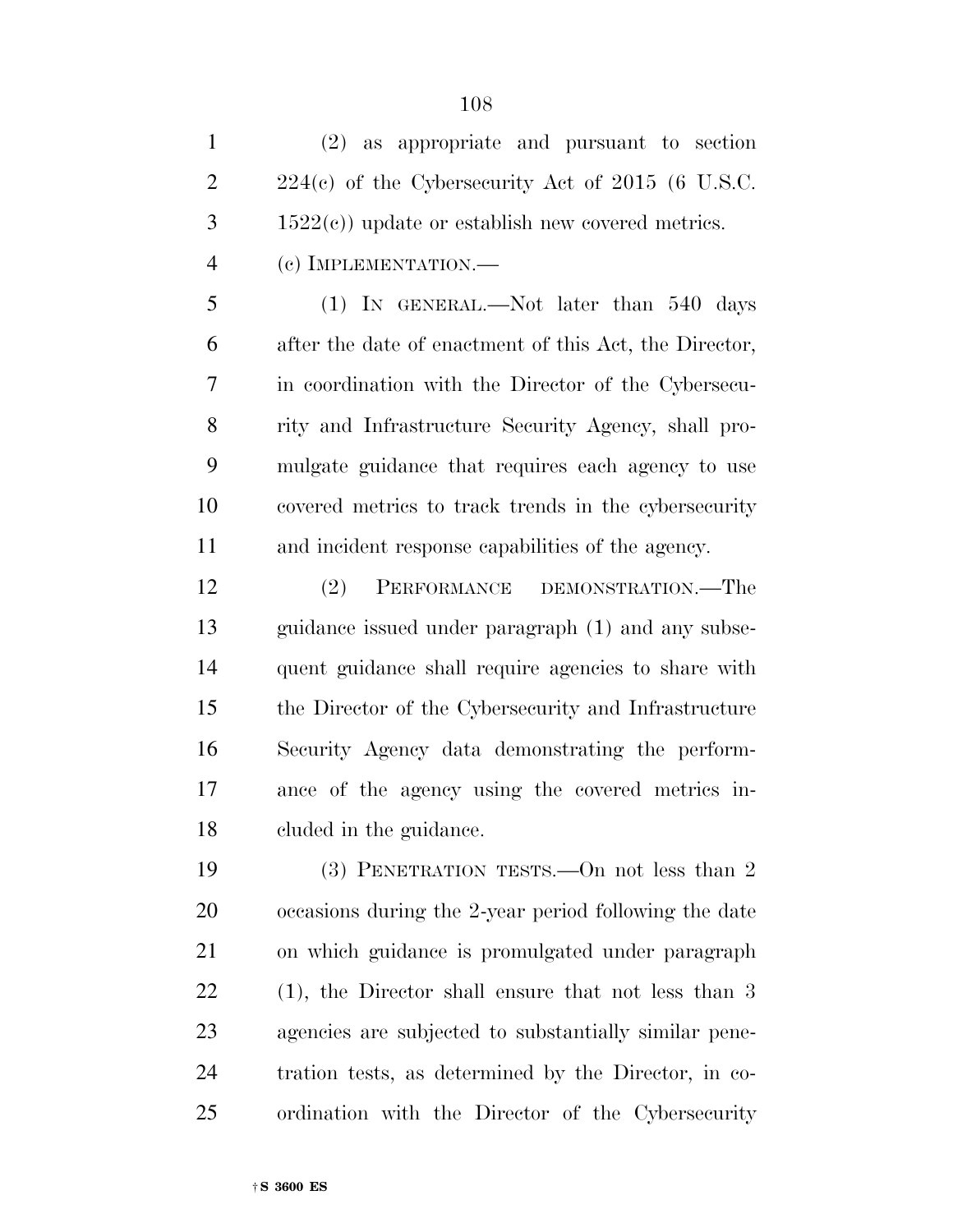| 1              | $(2)$ as appropriate and pursuant to section           |
|----------------|--------------------------------------------------------|
| $\overline{2}$ | $224(c)$ of the Cybersecurity Act of 2015 (6 U.S.C.    |
| 3              | $1522(c)$ ) update or establish new covered metrics.   |
| 4              | $(c)$ IMPLEMENTATION.—                                 |
| 5              | $(1)$ In GENERAL.—Not later than 540 days              |
| 6              | after the date of enactment of this Act, the Director, |
| 7              | in coordination with the Director of the Cybersecu-    |
|                |                                                        |

 rity and Infrastructure Security Agency, shall pro- mulgate guidance that requires each agency to use covered metrics to track trends in the cybersecurity and incident response capabilities of the agency.

 (2) PERFORMANCE DEMONSTRATION.—The guidance issued under paragraph (1) and any subse- quent guidance shall require agencies to share with the Director of the Cybersecurity and Infrastructure Security Agency data demonstrating the perform- ance of the agency using the covered metrics in-cluded in the guidance.

 (3) PENETRATION TESTS.—On not less than 2 occasions during the 2-year period following the date on which guidance is promulgated under paragraph (1), the Director shall ensure that not less than 3 agencies are subjected to substantially similar pene- tration tests, as determined by the Director, in co-ordination with the Director of the Cybersecurity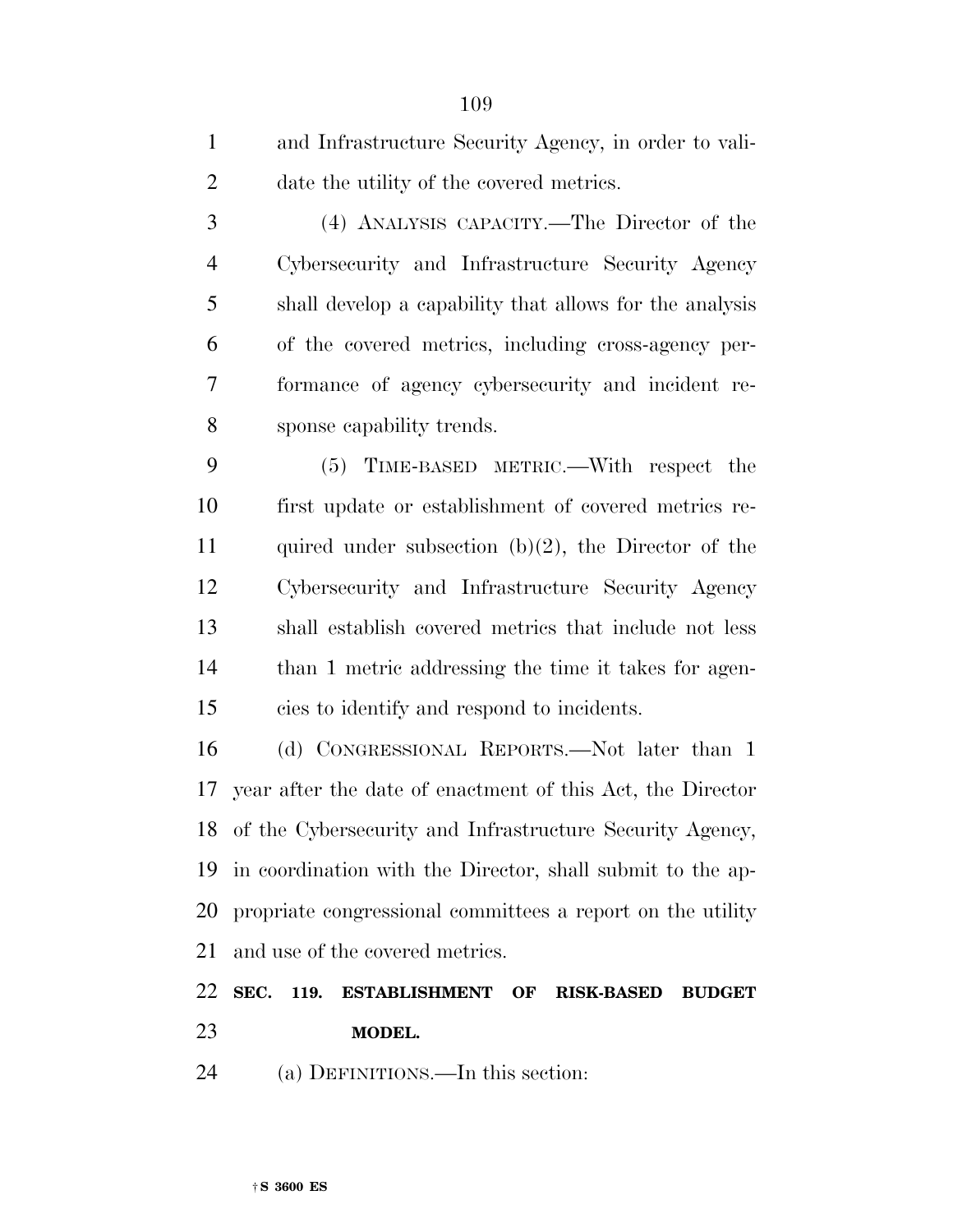| $\mathbf{1}$   | and Infrastructure Security Agency, in order to vali-      |
|----------------|------------------------------------------------------------|
| $\overline{2}$ | date the utility of the covered metrics.                   |
| 3              | (4) ANALYSIS CAPACITY.—The Director of the                 |
| $\overline{4}$ | Cybersecurity and Infrastructure Security Agency           |
| 5              | shall develop a capability that allows for the analysis    |
| 6              | of the covered metrics, including cross-agency per-        |
| 7              | formance of agency cybersecurity and incident re-          |
| 8              | sponse capability trends.                                  |
| 9              | (5) TIME-BASED METRIC.—With respect the                    |
| 10             | first update or establishment of covered metrics re-       |
| 11             | quired under subsection $(b)(2)$ , the Director of the     |
| 12             | Cybersecurity and Infrastructure Security Agency           |
| 13             | shall establish covered metrics that include not less      |
| 14             | than 1 metric addressing the time it takes for agen-       |
| 15             | cies to identify and respond to incidents.                 |
| 16             | (d) CONGRESSIONAL REPORTS.—Not later than 1                |
| 17             | year after the date of enactment of this Act, the Director |
| 18             | of the Cybersecurity and Infrastructure Security Agency,   |
| 19             | in coordination with the Director, shall submit to the ap- |
| 20             | propriate congressional committees a report on the utility |

and use of the covered metrics.

## **SEC. 119. ESTABLISHMENT OF RISK-BASED BUDGET MODEL.**

(a) DEFINITIONS.—In this section: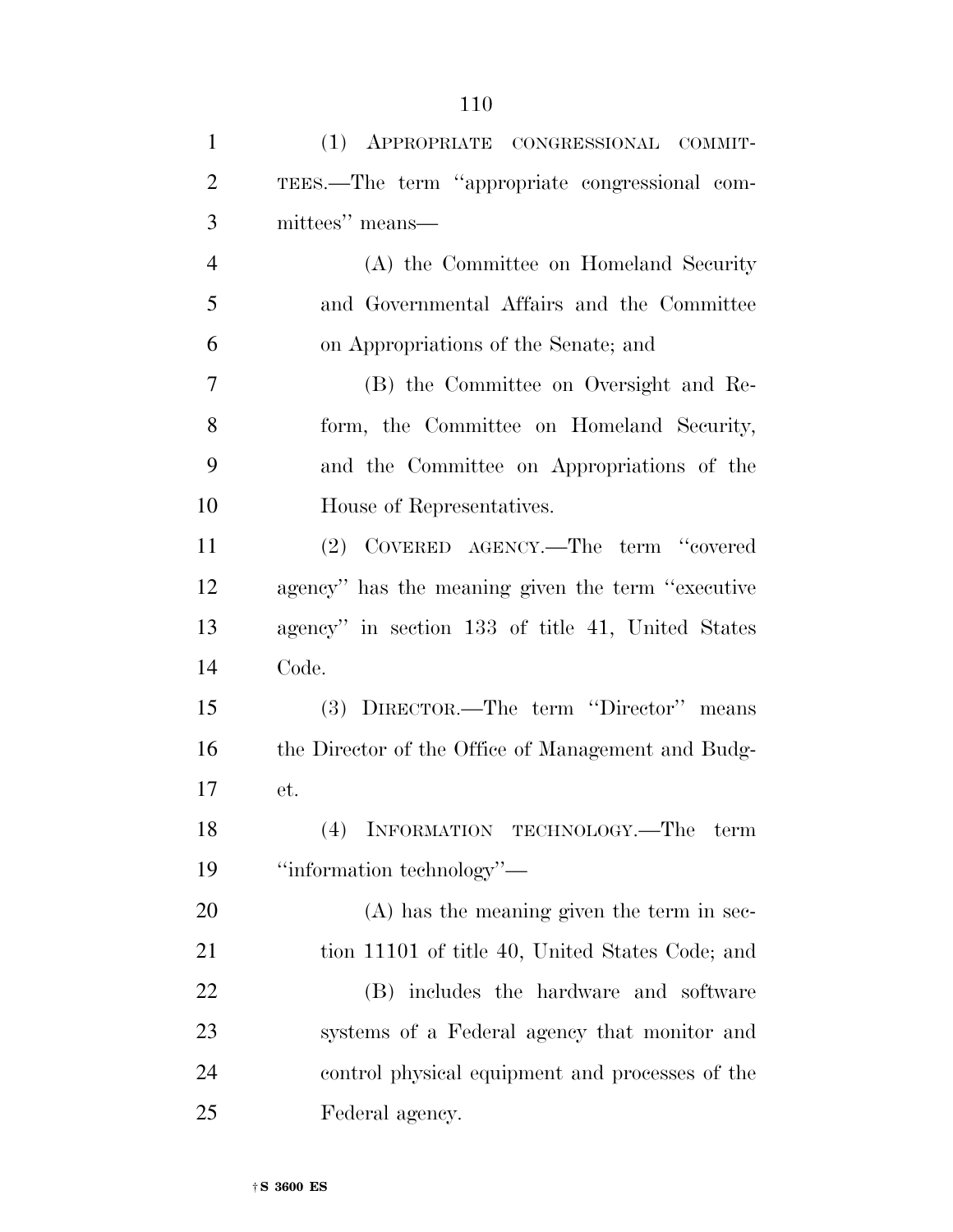| $\mathbf{1}$   | (1) APPROPRIATE CONGRESSIONAL COMMIT-              |
|----------------|----------------------------------------------------|
| $\overline{2}$ | TEES.—The term "appropriate congressional com-     |
| 3              | mittees" means—                                    |
| $\overline{4}$ | (A) the Committee on Homeland Security             |
| 5              | and Governmental Affairs and the Committee         |
| 6              | on Appropriations of the Senate; and               |
| $\overline{7}$ | (B) the Committee on Oversight and Re-             |
| 8              | form, the Committee on Homeland Security,          |
| 9              | and the Committee on Appropriations of the         |
| 10             | House of Representatives.                          |
| 11             | (2) COVERED AGENCY.—The term "covered              |
| 12             | agency" has the meaning given the term "executive" |
| 13             | agency" in section 133 of title 41, United States  |
| 14             | Code.                                              |
| 15             | (3) DIRECTOR.—The term "Director" means            |
| 16             | the Director of the Office of Management and Budg- |
| 17             | et.                                                |
| 18             | INFORMATION TECHNOLOGY.—The term                   |
| 19             | "information technology"—                          |
| 20             | $(A)$ has the meaning given the term in sec-       |
| 21             | tion 11101 of title 40, United States Code; and    |
| 22             | (B) includes the hardware and software             |
| 23             | systems of a Federal agency that monitor and       |
| 24             | control physical equipment and processes of the    |
| 25             | Federal agency.                                    |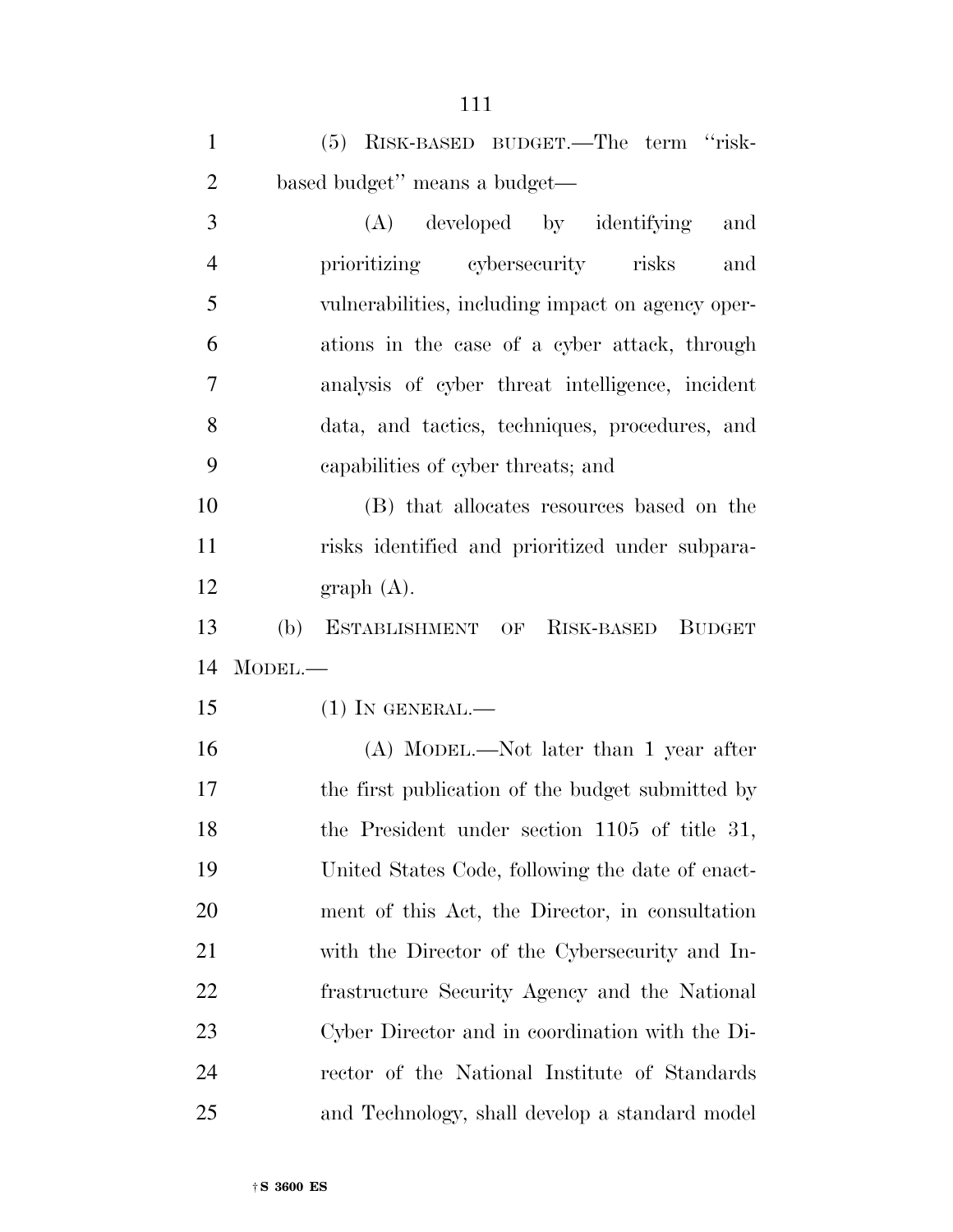| $\mathbf{1}$   | (5) RISK-BASED BUDGET.—The term "risk-              |
|----------------|-----------------------------------------------------|
| $\overline{2}$ | based budget" means a budget—                       |
| 3              | (A)<br>developed by identifying<br>and              |
| $\overline{4}$ | prioritizing cybersecurity risks<br>and             |
| 5              | vulnerabilities, including impact on agency oper-   |
| 6              | ations in the case of a cyber attack, through       |
| 7              | analysis of cyber threat intelligence, incident     |
| 8              | data, and tactics, techniques, procedures, and      |
| 9              | capabilities of cyber threats; and                  |
| 10             | (B) that allocates resources based on the           |
| 11             | risks identified and prioritized under subpara-     |
| 12             | graph(A).                                           |
| 13             | ESTABLISHMENT OF RISK-BASED<br>(b)<br><b>BUDGET</b> |
| 14             | $M$ ODEL.—                                          |
| 15             | $(1)$ In GENERAL.—                                  |
| 16             | (A) MODEL.—Not later than 1 year after              |
| 17             | the first publication of the budget submitted by    |
| 18             | the President under section 1105 of title 31,       |
| 19             | United States Code, following the date of enact-    |
| 20             | ment of this Act, the Director, in consultation     |
| 21             | with the Director of the Cybersecurity and In-      |
| 22             | frastructure Security Agency and the National       |
| 23             | Cyber Director and in coordination with the Di-     |
| 24             | rector of the National Institute of Standards       |
| 25             | and Technology, shall develop a standard model      |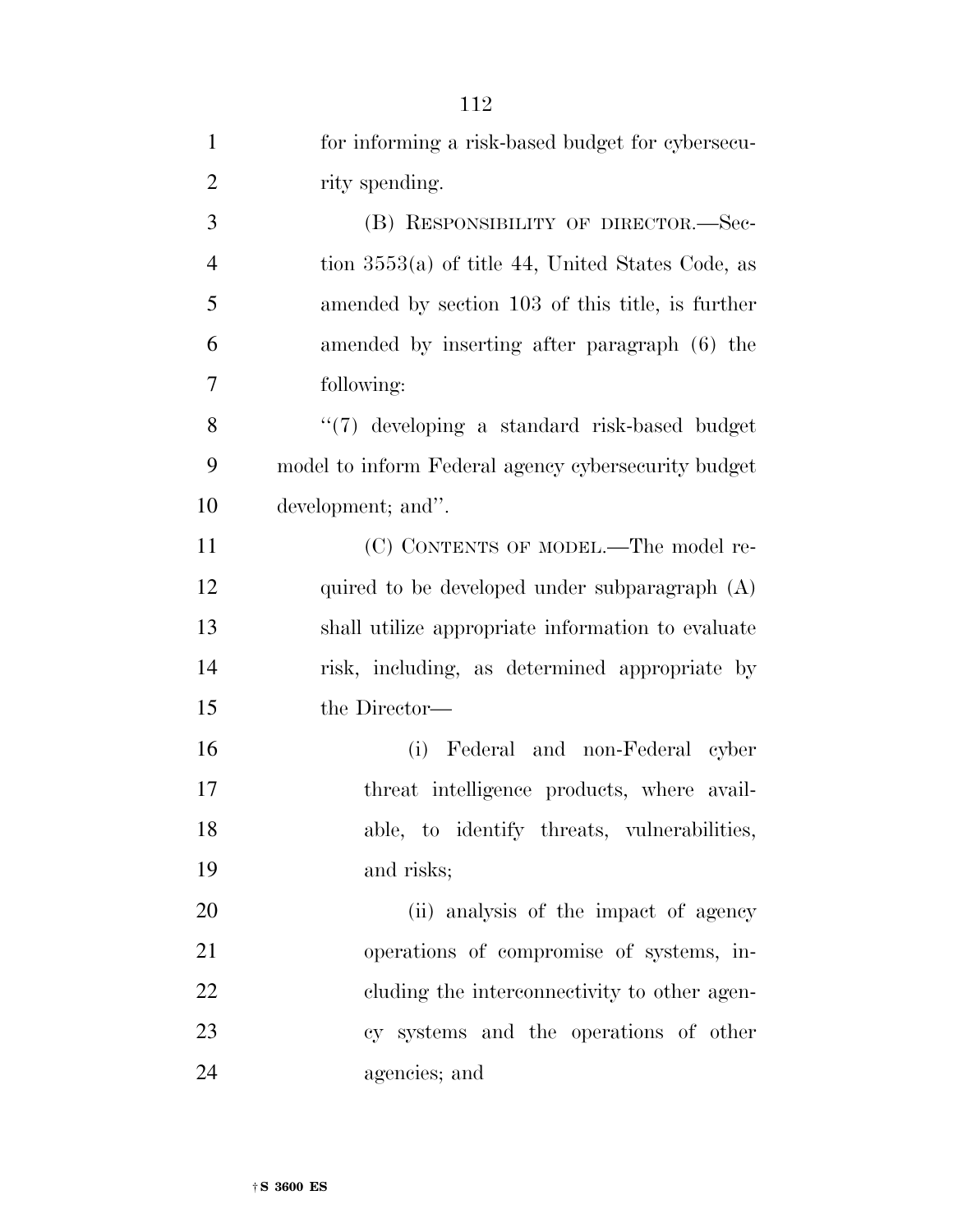|                | 114                                                 |
|----------------|-----------------------------------------------------|
| $\mathbf{1}$   | for informing a risk-based budget for cybersecu-    |
| $\overline{2}$ | rity spending.                                      |
| 3              | (B) RESPONSIBILITY OF DIRECTOR.-Sec-                |
| $\overline{4}$ | tion $3553(a)$ of title 44, United States Code, as  |
| 5              | amended by section 103 of this title, is further    |
| 6              | amended by inserting after paragraph (6) the        |
| 7              | following:                                          |
| 8              | "(7) developing a standard risk-based budget        |
| 9              | model to inform Federal agency cybersecurity budget |
| 10             | development; and".                                  |
| 11             | (C) CONTENTS OF MODEL.—The model re-                |
| 12             | quired to be developed under subparagraph $(A)$     |
| 13             | shall utilize appropriate information to evaluate   |
| 14             | risk, including, as determined appropriate by       |
| 15             | the Director—                                       |
| 16             | (i) Federal and non-Federal cyber                   |
| 17             | threat intelligence products, where avail-          |
| 18             | able, to identify threats, vulnerabilities,         |
| 19             | and risks;                                          |
| 20             | (ii) analysis of the impact of agency               |
| 21             | operations of compromise of systems, in-            |
| 22             | eluding the interconnectivity to other agen-        |
| 23             | cy systems and the operations of other              |
| 24             | agencies; and                                       |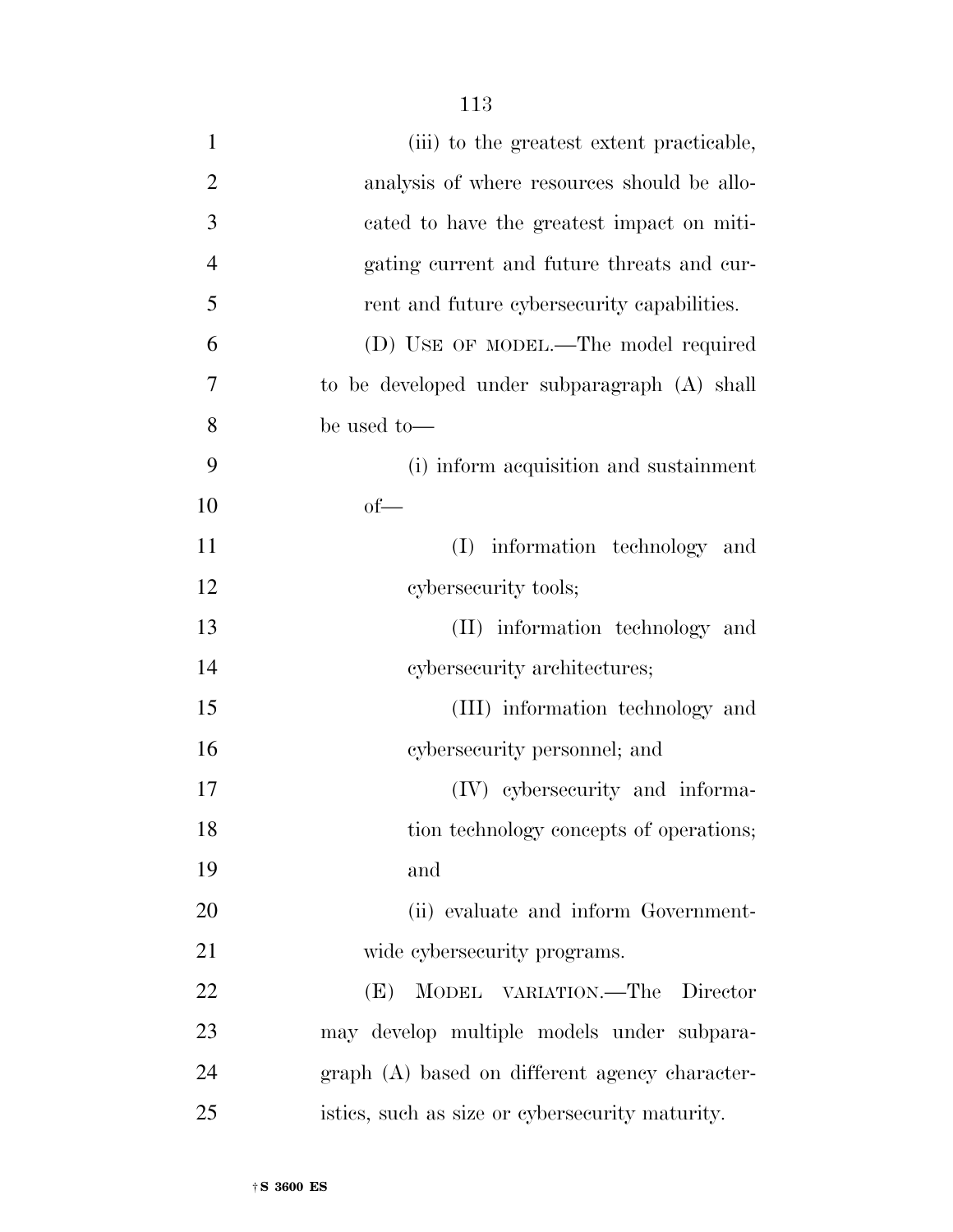| $\mathbf{1}$   | (iii) to the greatest extent practicable,       |
|----------------|-------------------------------------------------|
| $\overline{2}$ | analysis of where resources should be allo-     |
| 3              | cated to have the greatest impact on miti-      |
| $\overline{4}$ | gating current and future threats and cur-      |
| 5              | rent and future cybersecurity capabilities.     |
| 6              | (D) USE OF MODEL.—The model required            |
| 7              | to be developed under subparagraph (A) shall    |
| 8              | be used to-                                     |
| 9              | (i) inform acquisition and sustainment          |
| 10             | $of$ —                                          |
| 11             | (I) information technology and                  |
| 12             | cybersecurity tools;                            |
| 13             | (II) information technology and                 |
| 14             | cybersecurity architectures;                    |
| 15             | (III) information technology and                |
| 16             | cybersecurity personnel; and                    |
| 17             | (IV) cybersecurity and informa-                 |
| 18             | tion technology concepts of operations;         |
| 19             | and                                             |
| 20             | (ii) evaluate and inform Government-            |
| 21             | wide cybersecurity programs.                    |
| 22             | (E)<br>MODEL VARIATION.—The Director            |
| 23             | may develop multiple models under subpara-      |
| 24             | graph (A) based on different agency character-  |
| 25             | istics, such as size or cybersecurity maturity. |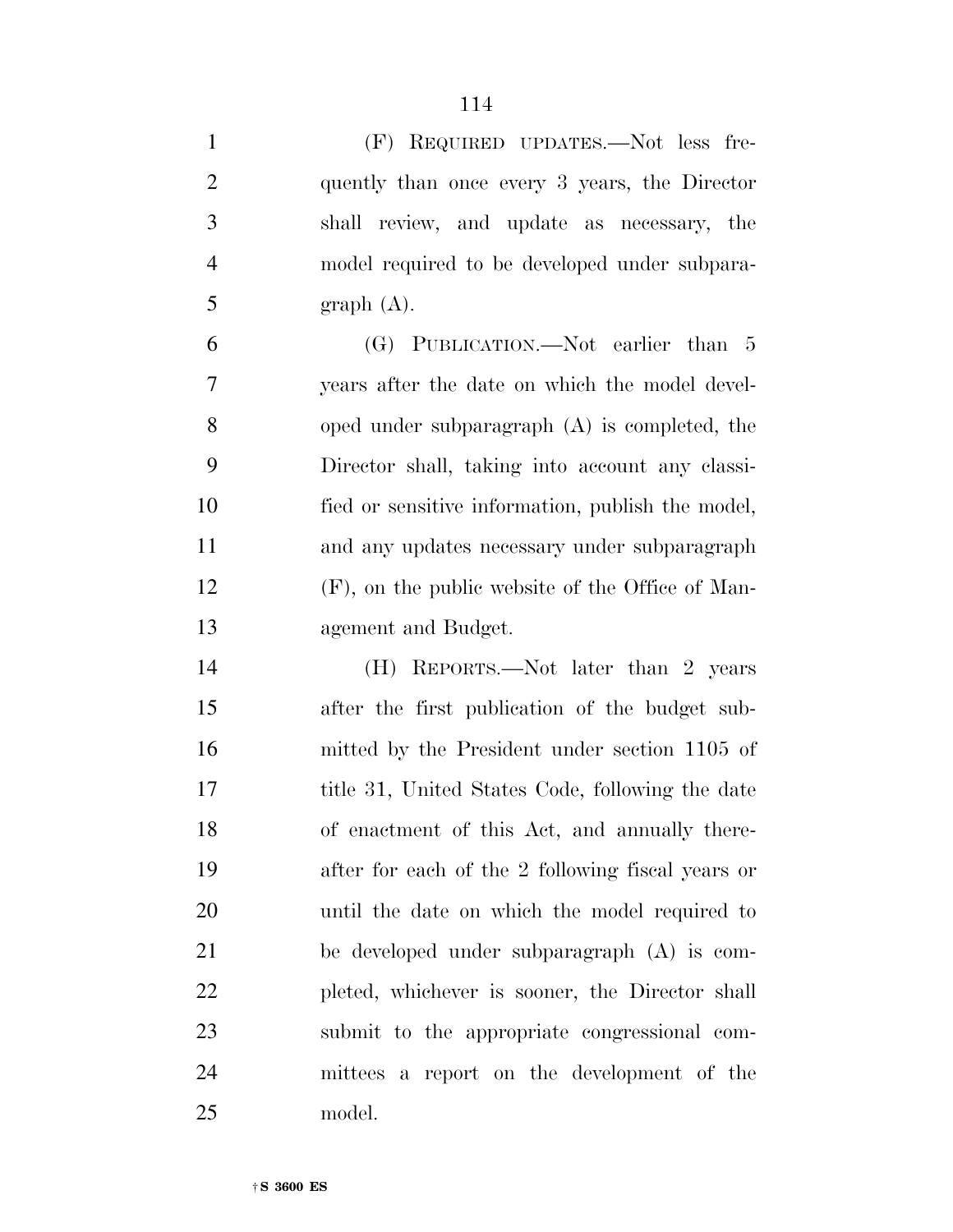| $\mathbf{1}$   | (F) REQUIRED UPDATES.—Not less fre-                 |
|----------------|-----------------------------------------------------|
| $\overline{2}$ | quently than once every 3 years, the Director       |
| 3              | shall review, and update as necessary, the          |
| $\overline{4}$ | model required to be developed under subpara-       |
| 5              | graph(A).                                           |
| 6              | (G) PUBLICATION.—Not earlier than 5                 |
| 7              | years after the date on which the model devel-      |
| 8              | oped under subparagraph $(A)$ is completed, the     |
| 9              | Director shall, taking into account any classi-     |
| 10             | fied or sensitive information, publish the model,   |
| 11             | and any updates necessary under subparagraph        |
| 12             | $(F)$ , on the public website of the Office of Man- |
| 13             | agement and Budget.                                 |
| 14             | (H) REPORTS.—Not later than 2 years                 |
| 15             | after the first publication of the budget sub-      |
| 16             | mitted by the President under section 1105 of       |
| 17             | title 31, United States Code, following the date    |
| 18             | of enactment of this Act, and annually there-       |
| 19             | after for each of the 2 following fiscal years or   |
| 20             | until the date on which the model required to       |
| 21             | be developed under subparagraph $(A)$ is com-       |
| 22             | pleted, whichever is sooner, the Director shall     |
| 23             | submit to the appropriate congressional com-        |
| 24             | mittees a report on the development of the          |
| 25             | model.                                              |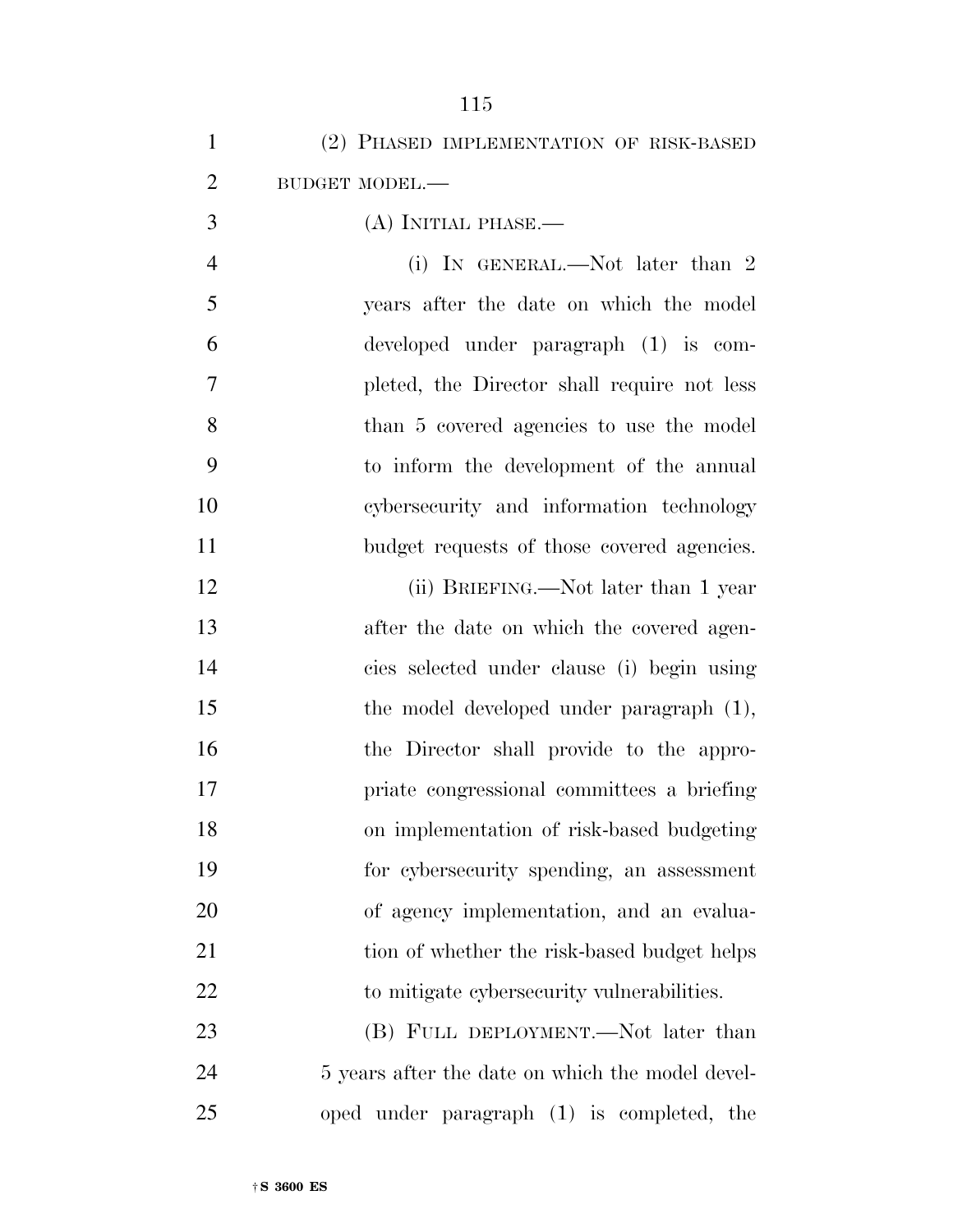| $\mathbf{1}$   | (2) PHASED IMPLEMENTATION OF RISK-BASED          |
|----------------|--------------------------------------------------|
| $\overline{2}$ | BUDGET MODEL.-                                   |
| 3              | $(A)$ INITIAL PHASE.—                            |
| $\overline{4}$ | (i) IN GENERAL.—Not later than 2                 |
| 5              | years after the date on which the model          |
| 6              | developed under paragraph (1) is com-            |
| 7              | pleted, the Director shall require not less      |
| 8              | than 5 covered agencies to use the model         |
| 9              | to inform the development of the annual          |
| 10             | cybersecurity and information technology         |
| 11             | budget requests of those covered agencies.       |
| 12             | (ii) BRIEFING.—Not later than 1 year             |
| 13             | after the date on which the covered agen-        |
| 14             | cies selected under clause (i) begin using       |
| 15             | the model developed under paragraph (1),         |
| 16             | the Director shall provide to the appro-         |
| 17             | priate congressional committees a briefing       |
| 18             | on implementation of risk-based budgeting        |
| 19             | for cybersecurity spending, an assessment        |
| 20             | of agency implementation, and an evalua-         |
| 21             | tion of whether the risk-based budget helps      |
| 22             | to mitigate cybers ecurity vulnerabilities.      |
| 23             | (B) FULL DEPLOYMENT.—Not later than              |
| 24             | 5 years after the date on which the model devel- |
| 25             | oped under paragraph (1) is completed, the       |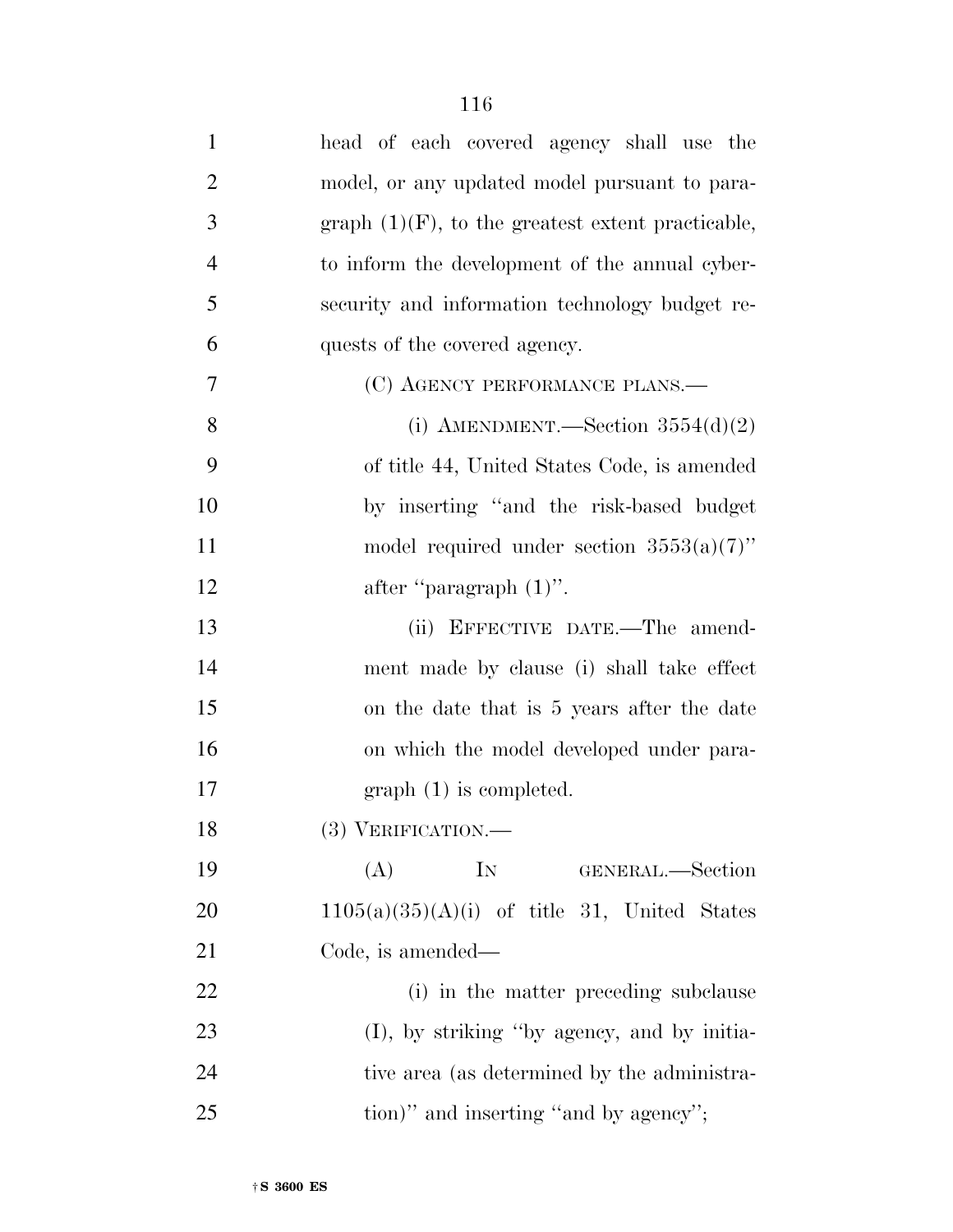| $\mathbf{1}$   | head of each covered agency shall use the            |
|----------------|------------------------------------------------------|
| $\overline{2}$ | model, or any updated model pursuant to para-        |
| 3              | graph $(1)(F)$ , to the greatest extent practicable, |
| $\overline{4}$ | to inform the development of the annual cyber-       |
| 5              | security and information technology budget re-       |
| 6              | quests of the covered agency.                        |
| 7              | (C) AGENCY PERFORMANCE PLANS.—                       |
| 8              | (i) AMENDMENT.—Section $3554(d)(2)$                  |
| 9              | of title 44, United States Code, is amended          |
| 10             | by inserting "and the risk-based budget              |
| 11             | model required under section $3553(a)(7)$ "          |
| 12             | after "paragraph $(1)$ ".                            |
| 13             | (ii) EFFECTIVE DATE.—The amend-                      |
| 14             | ment made by clause (i) shall take effect            |
| 15             | on the date that is 5 years after the date           |
| 16             | on which the model developed under para-             |
| 17             | $graph(1)$ is completed.                             |
| 18             | $(3)$ VERIFICATION.—                                 |
| 19             | $\rm{IN}$<br>(A)<br>GENERAL.—Section                 |
| 20             | $1105(a)(35)(A)(i)$ of title 31, United States       |
| 21             | Code, is amended—                                    |
| 22             | (i) in the matter preceding subclause                |
| 23             | (I), by striking "by agency, and by initia-          |
| 24             | tive area (as determined by the administra-          |
| 25             | tion)" and inserting "and by agency";                |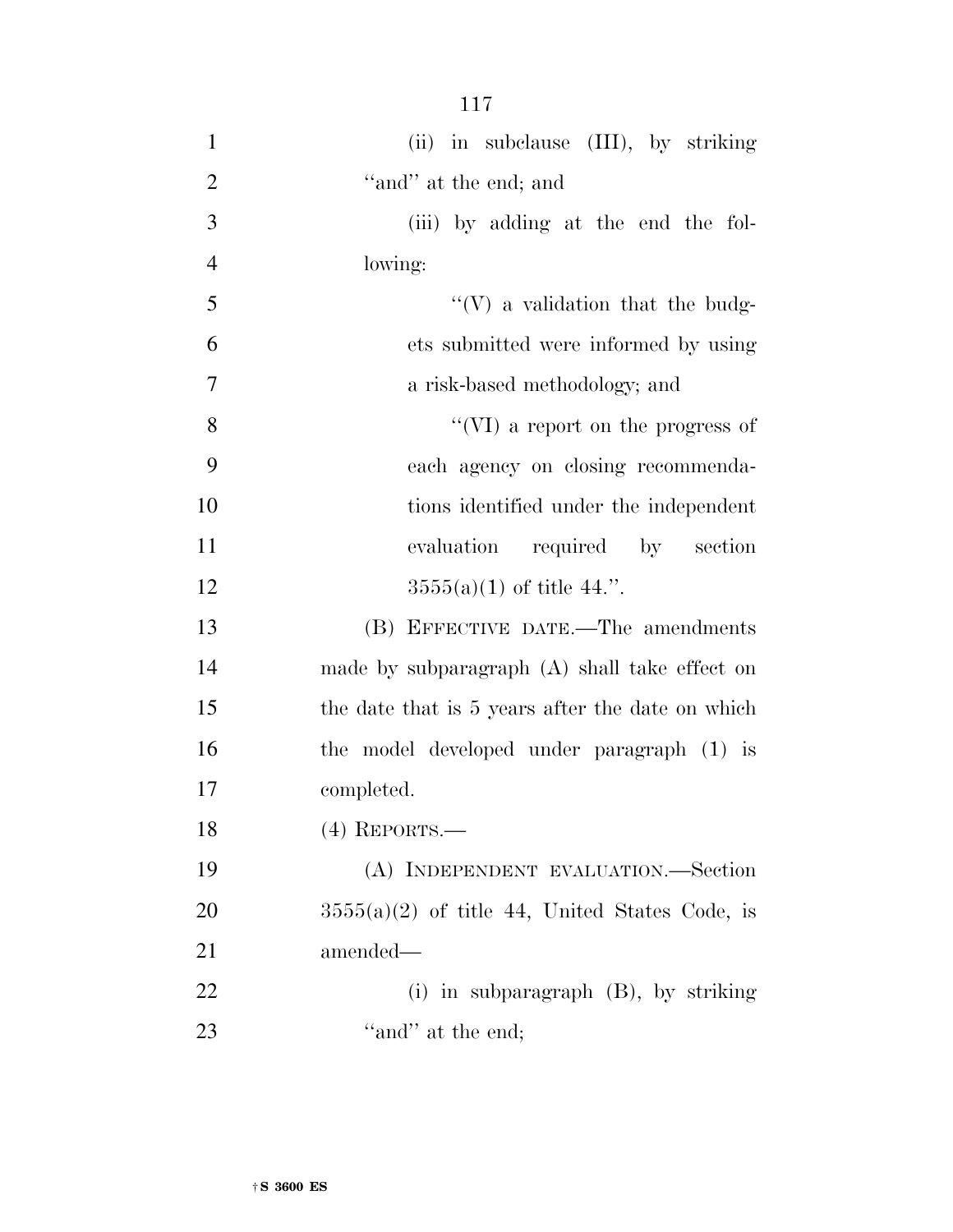| $\mathbf{1}$   | (ii) in subclause (III), by striking             |
|----------------|--------------------------------------------------|
| $\overline{2}$ | "and" at the end; and                            |
| $\overline{3}$ | (iii) by adding at the end the fol-              |
| $\overline{4}$ | lowing:                                          |
| 5              | $\lq\lq(V)$ a validation that the budg-          |
| 6              | ets submitted were informed by using             |
| 7              | a risk-based methodology; and                    |
| 8              | "(VI) a report on the progress of                |
| 9              | each agency on closing recommenda-               |
| 10             | tions identified under the independent           |
| 11             | evaluation<br>required by section                |
| 12             | $3555(a)(1)$ of title 44.".                      |
| 13             | (B) EFFECTIVE DATE.—The amendments               |
| 14             | made by subparagraph $(A)$ shall take effect on  |
| 15             | the date that is 5 years after the date on which |
| 16             | the model developed under paragraph (1) is       |
| 17             | completed.                                       |
| 18             | $(4)$ REPORTS.—                                  |
| 19             | (A) INDEPENDENT EVALUATION. Section              |
| 20             | $3555(a)(2)$ of title 44, United States Code, is |
| 21             | amended-                                         |
| <u>22</u>      | (i) in subparagraph $(B)$ , by striking          |
| 23             | "and" at the end;                                |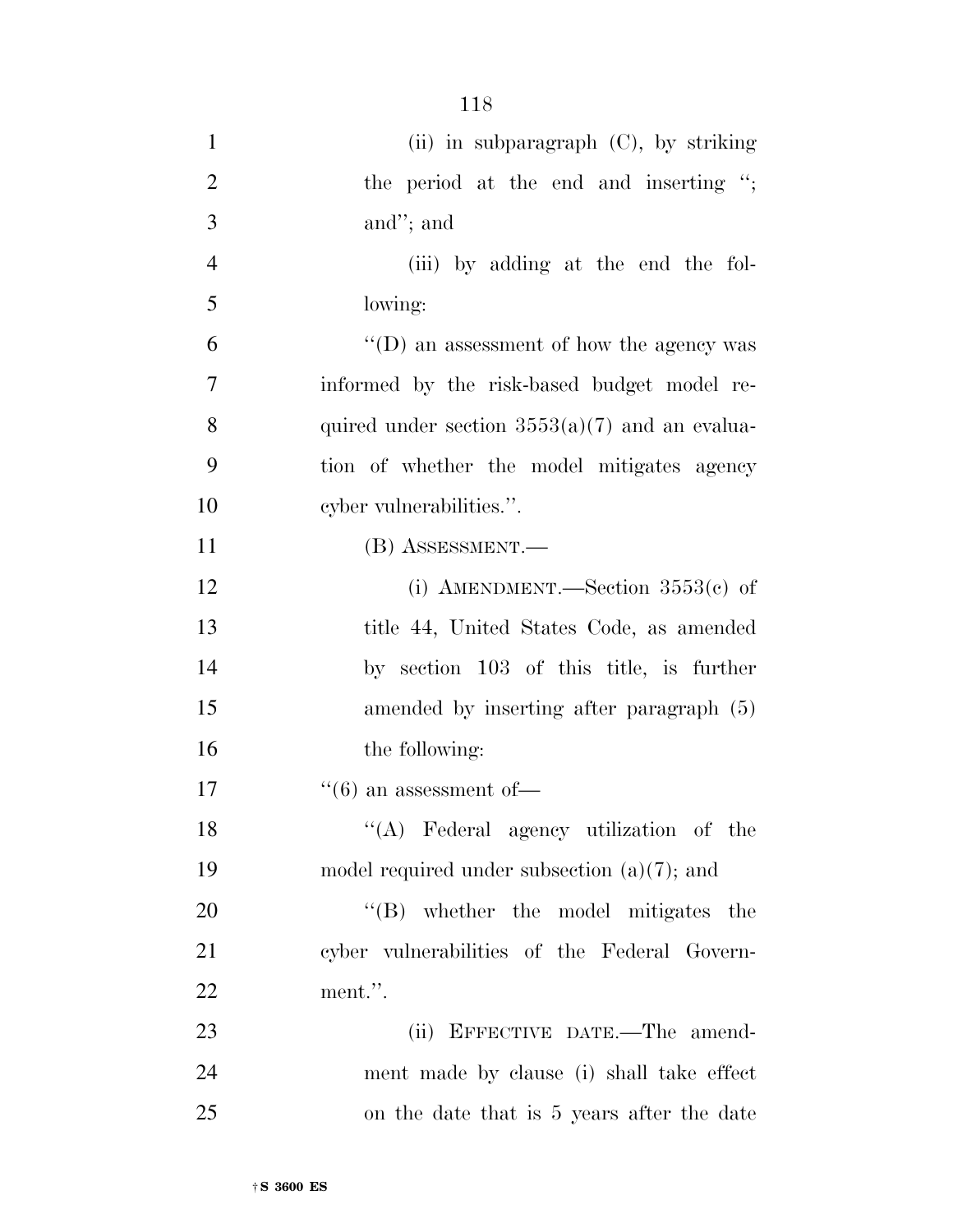| $\mathbf{1}$   | (ii) in subparagraph $(C)$ , by striking         |
|----------------|--------------------------------------------------|
| $\overline{2}$ | the period at the end and inserting ";           |
| 3              | and"; and                                        |
| $\overline{4}$ | (iii) by adding at the end the fol-              |
| 5              | lowing:                                          |
| 6              | $\lq\lq$ (D) an assessment of how the agency was |
| $\overline{7}$ | informed by the risk-based budget model re-      |
| 8              | quired under section $3553(a)(7)$ and an evalua- |
| 9              | tion of whether the model mitigates agency       |
| 10             | cyber vulnerabilities.".                         |
| 11             | (B) ASSESSMENT.—                                 |
| 12             | (i) AMENDMENT.—Section $3553(c)$ of              |
| 13             | title 44, United States Code, as amended         |
| 14             | by section 103 of this title, is further         |
| 15             | amended by inserting after paragraph (5)         |
| 16             | the following:                                   |
| 17             | $\cdot\cdot$ (6) an assessment of —              |
| 18             | "(A) Federal agency utilization of the           |
| 19             | model required under subsection $(a)(7)$ ; and   |
| 20             | $\lq\lq(B)$ whether the model mitigates the      |
| 21             | cyber vulnerabilities of the Federal Govern-     |
| 22             | ment.".                                          |
| 23             | (ii) EFFECTIVE DATE.—The amend-                  |
| 24             | ment made by clause (i) shall take effect        |

25 on the date that is 5 years after the date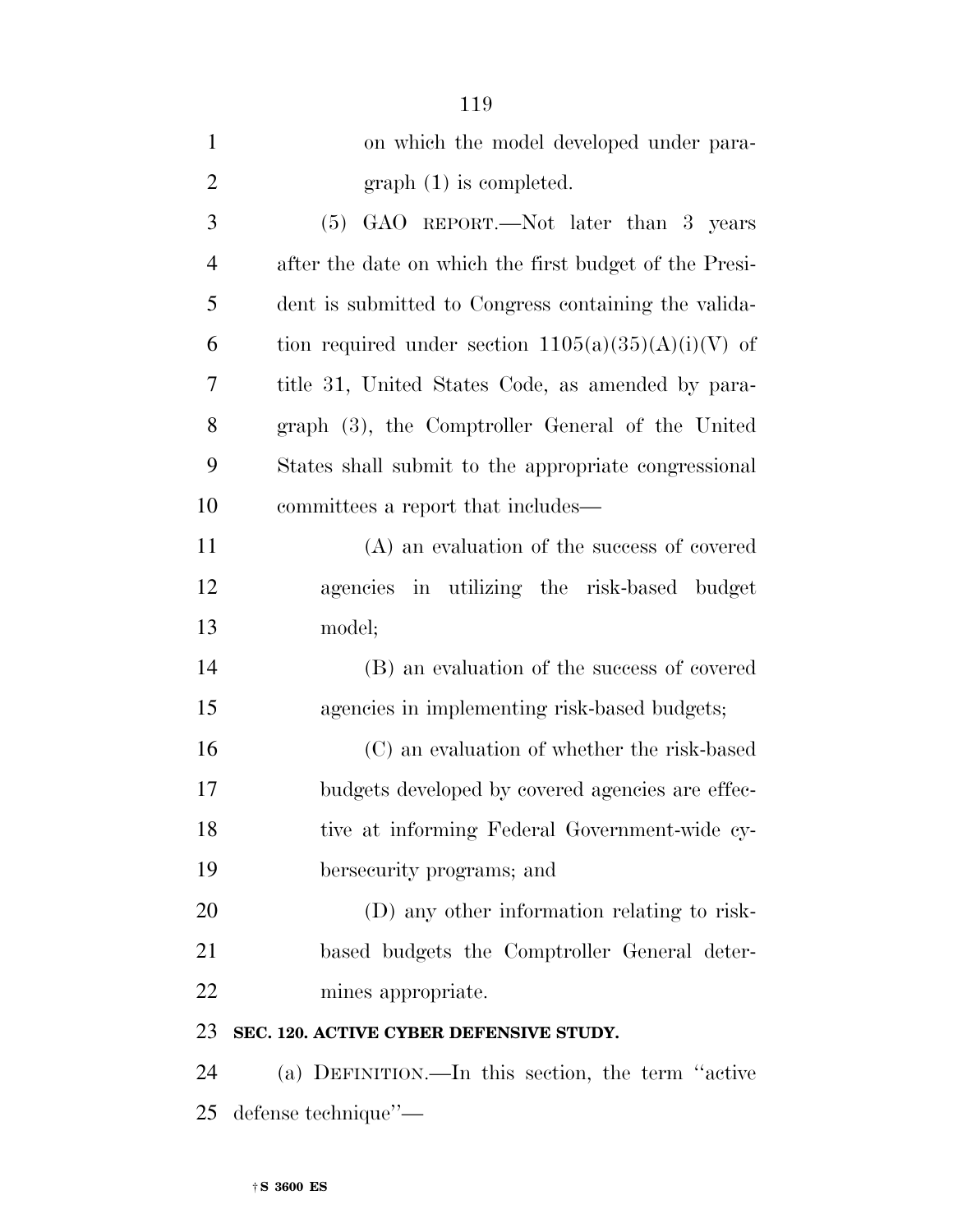| $\mathbf{1}$   | on which the model developed under para-               |
|----------------|--------------------------------------------------------|
| $\overline{2}$ | $graph(1)$ is completed.                               |
| 3              | (5) GAO REPORT.—Not later than 3 years                 |
| $\overline{4}$ | after the date on which the first budget of the Presi- |
| 5              | dent is submitted to Congress containing the valida-   |
| 6              | tion required under section $1105(a)(35)(A)(i)(V)$ of  |
| 7              | title 31, United States Code, as amended by para-      |
| 8              | graph (3), the Comptroller General of the United       |
| 9              | States shall submit to the appropriate congressional   |
| 10             | committees a report that includes—                     |
| 11             | (A) an evaluation of the success of covered            |
| 12             | agencies in utilizing the risk-based budget            |
| 13             | model;                                                 |
| 14             | (B) an evaluation of the success of covered            |
| 15             | agencies in implementing risk-based budgets;           |
| 16             | (C) an evaluation of whether the risk-based            |
| 17             | budgets developed by covered agencies are effec-       |
| 18             | tive at informing Federal Government-wide cy-          |
| 19             | bersecurity programs; and                              |
| 20             | (D) any other information relating to risk-            |
| 21             | based budgets the Comptroller General deter-           |
| 22             | mines appropriate.                                     |
| 23             | SEC. 120. ACTIVE CYBER DEFENSIVE STUDY.                |
| 24             | (a) DEFINITION.—In this section, the term "active"     |
|                |                                                        |

defense technique''—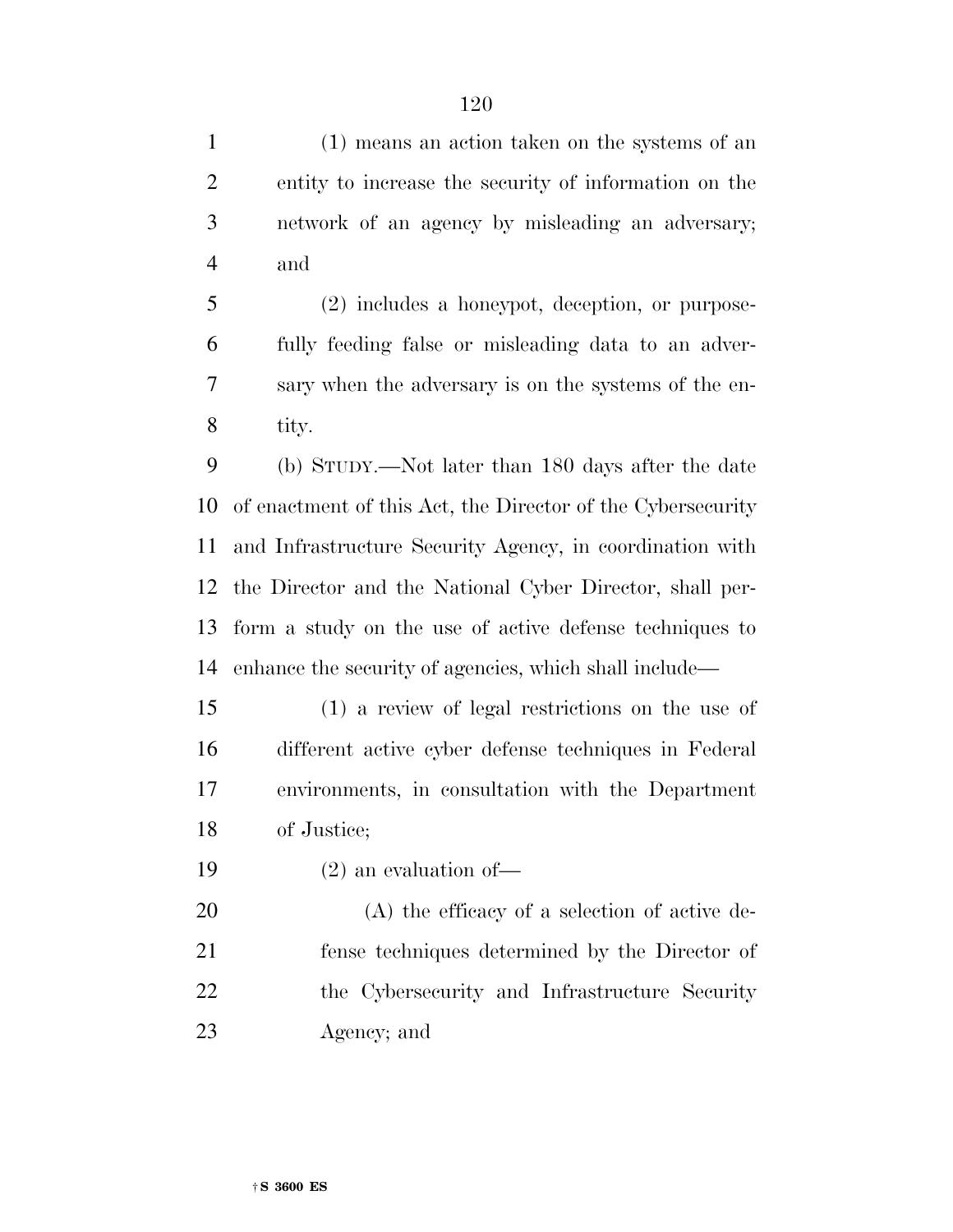(1) means an action taken on the systems of an entity to increase the security of information on the network of an agency by misleading an adversary; and

 (2) includes a honeypot, deception, or purpose- fully feeding false or misleading data to an adver- sary when the adversary is on the systems of the en-tity.

 (b) STUDY.—Not later than 180 days after the date of enactment of this Act, the Director of the Cybersecurity and Infrastructure Security Agency, in coordination with the Director and the National Cyber Director, shall per- form a study on the use of active defense techniques to enhance the security of agencies, which shall include—

 (1) a review of legal restrictions on the use of different active cyber defense techniques in Federal environments, in consultation with the Department of Justice;

(2) an evaluation of—

 (A) the efficacy of a selection of active de- fense techniques determined by the Director of the Cybersecurity and Infrastructure Security Agency; and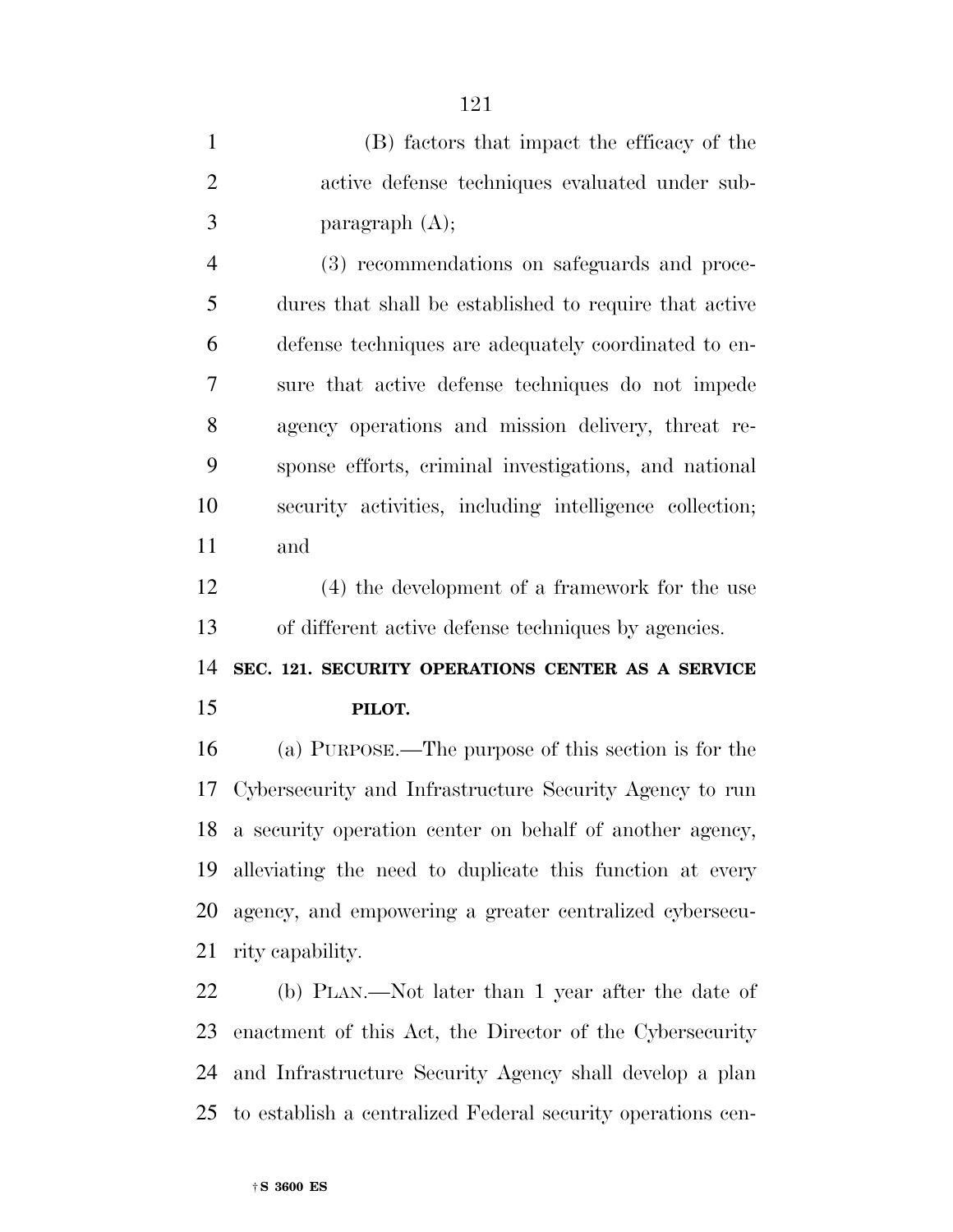| $\mathbf{1}$   | (B) factors that impact the efficacy of the             |
|----------------|---------------------------------------------------------|
| $\overline{2}$ | active defense techniques evaluated under sub-          |
| 3              | paragraph $(A)$ ;                                       |
| $\overline{4}$ | (3) recommendations on safeguards and proce-            |
| 5              | dures that shall be established to require that active  |
| 6              | defense techniques are adequately coordinated to en-    |
| 7              | sure that active defense techniques do not impede       |
| 8              | agency operations and mission delivery, threat re-      |
| 9              | sponse efforts, criminal investigations, and national   |
| 10             | security activities, including intelligence collection; |
| 11             | and                                                     |
| 12             | $(4)$ the development of a framework for the use        |
| 13             | of different active defense techniques by agencies.     |
| 14             | SEC. 121. SECURITY OPERATIONS CENTER AS A SERVICE       |

## **PILOT.**

 (a) PURPOSE.—The purpose of this section is for the Cybersecurity and Infrastructure Security Agency to run a security operation center on behalf of another agency, alleviating the need to duplicate this function at every agency, and empowering a greater centralized cybersecu-rity capability.

 (b) PLAN.—Not later than 1 year after the date of enactment of this Act, the Director of the Cybersecurity and Infrastructure Security Agency shall develop a plan to establish a centralized Federal security operations cen-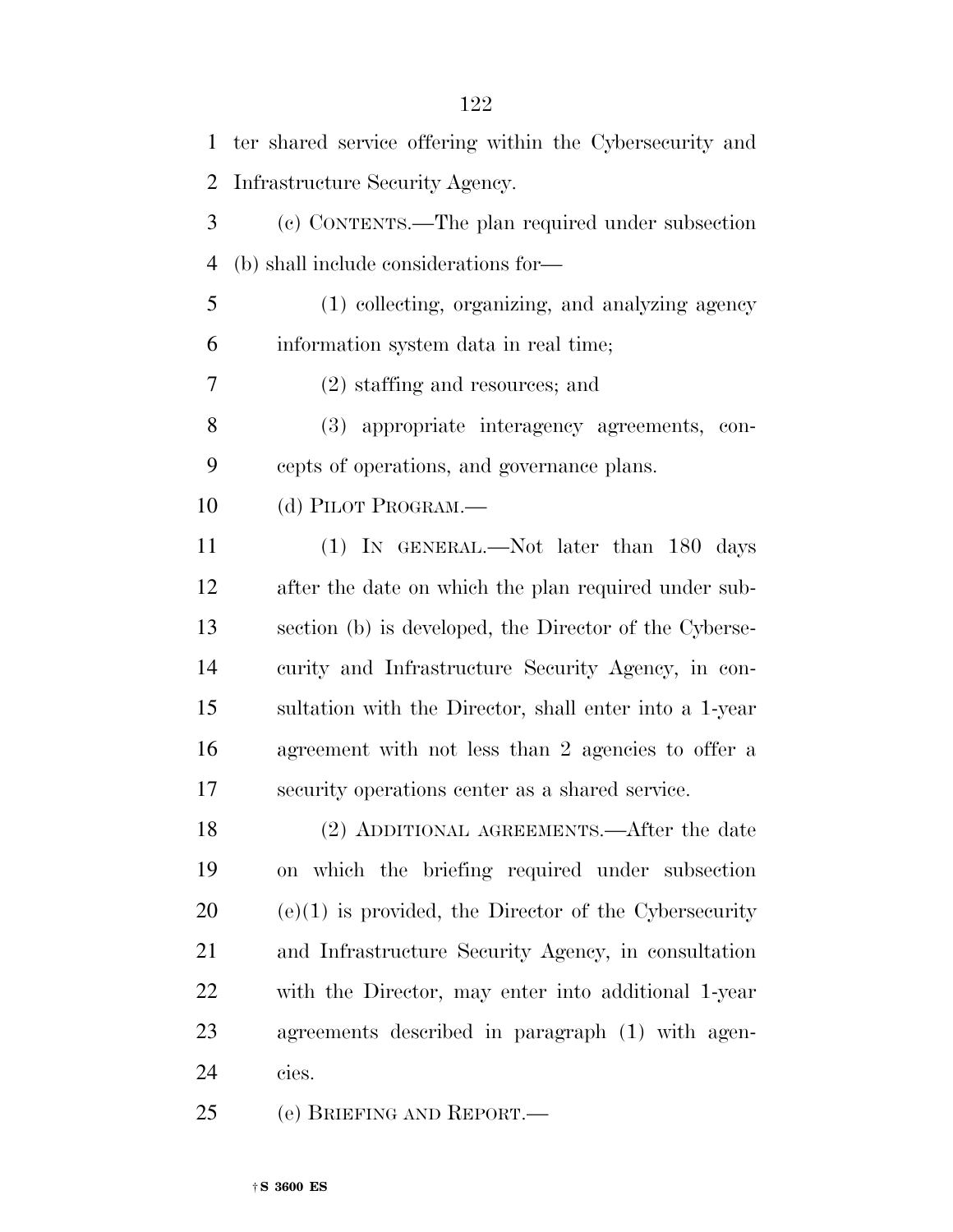| $\mathbf{1}$   | ter shared service offering within the Cybersecurity and |
|----------------|----------------------------------------------------------|
| $\overline{2}$ | Infrastructure Security Agency.                          |
| 3              | (c) CONTENTS.—The plan required under subsection         |
| 4              | (b) shall include considerations for—                    |
| 5              | (1) collecting, organizing, and analyzing agency         |
| 6              | information system data in real time;                    |
| 7              | $(2)$ staffing and resources; and                        |
| 8              | (3) appropriate interagency agreements, con-             |
| 9              | cepts of operations, and governance plans.               |
| 10             | (d) PILOT PROGRAM.—                                      |
| 11             | (1) IN GENERAL.—Not later than 180 days                  |
| 12             | after the date on which the plan required under sub-     |
| 13             | section (b) is developed, the Director of the Cyberse-   |
| 14             | curity and Infrastructure Security Agency, in con-       |
| 15             | sultation with the Director, shall enter into a 1-year   |
| 16             | agreement with not less than 2 agencies to offer a       |
| $17\,$         | security operations center as a shared service.          |
| 18             | (2) ADDITIONAL AGREEMENTS.—After the date                |
| 19             | on which the briefing required under subsection          |
| 20             | $(e)(1)$ is provided, the Director of the Cybersecurity  |
| 21             | and Infrastructure Security Agency, in consultation      |
| 22             | with the Director, may enter into additional 1-year      |
| 23             | agreements described in paragraph (1) with agen-         |
| 24             | cies.                                                    |
| 25             | (e) BRIEFING AND REPORT.—                                |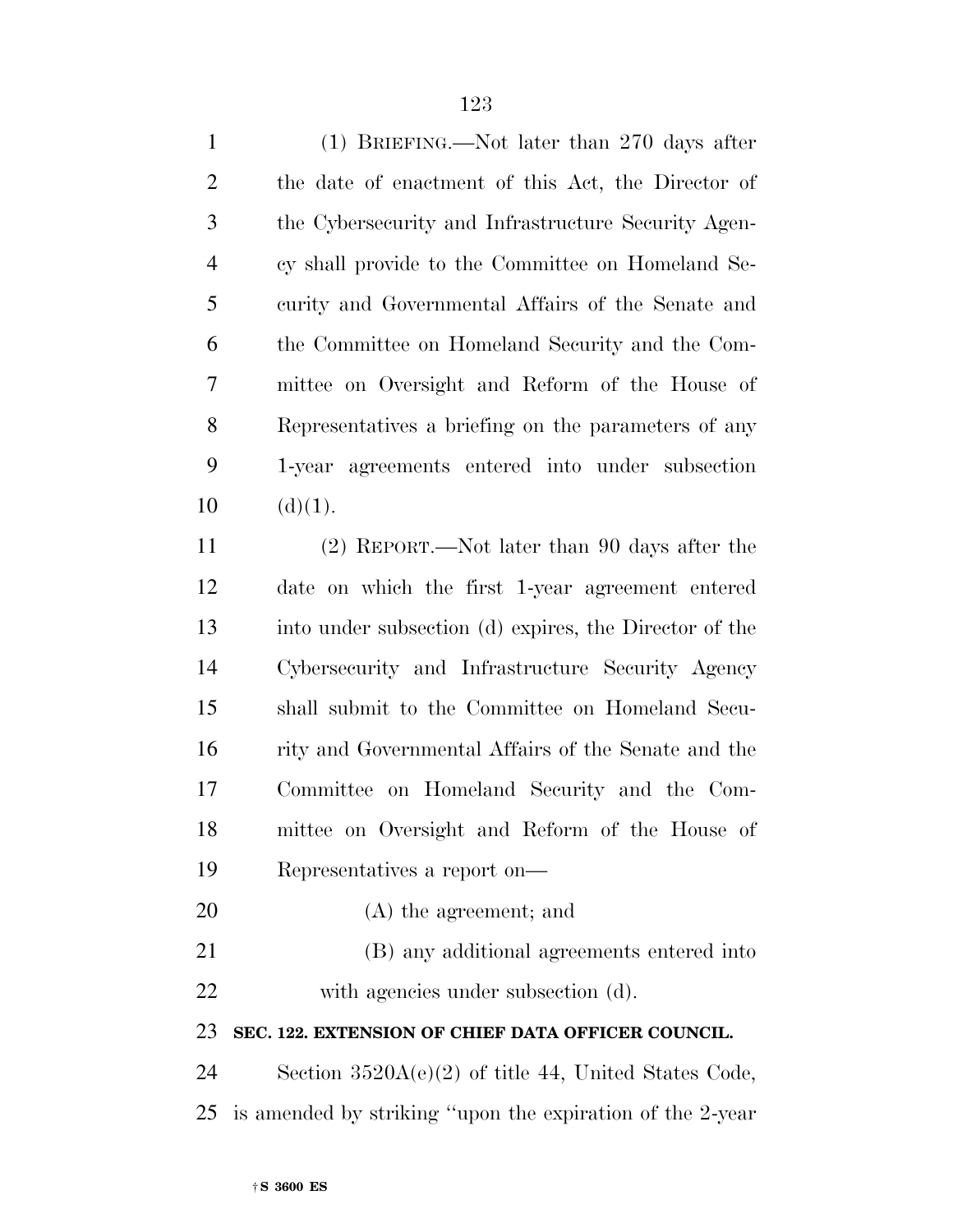| $\mathbf{1}$   | (1) BRIEFING.—Not later than 270 days after               |
|----------------|-----------------------------------------------------------|
| $\overline{2}$ | the date of enactment of this Act, the Director of        |
| 3              | the Cybersecurity and Infrastructure Security Agen-       |
| $\overline{4}$ | cy shall provide to the Committee on Homeland Se-         |
| 5              | curity and Governmental Affairs of the Senate and         |
| 6              | the Committee on Homeland Security and the Com-           |
| 7              | mittee on Oversight and Reform of the House of            |
| 8              | Representatives a briefing on the parameters of any       |
| 9              | 1-year agreements entered into under subsection           |
| 10             | (d)(1).                                                   |
| 11             | $(2)$ REPORT.—Not later than 90 days after the            |
| 12             | date on which the first 1-year agreement entered          |
| 13             | into under subsection (d) expires, the Director of the    |
| 14             | Cybersecurity and Infrastructure Security Agency          |
| 15             | shall submit to the Committee on Homeland Secu-           |
| 16             | rity and Governmental Affairs of the Senate and the       |
| 17             | Committee on Homeland Security and the Com-               |
| 18             | mittee on Oversight and Reform of the House of            |
| 19             | Representatives a report on—                              |
| 20             | $(A)$ the agreement; and                                  |
| 21             | (B) any additional agreements entered into                |
| 22             | with agencies under subsection (d).                       |
| 23             | SEC. 122. EXTENSION OF CHIEF DATA OFFICER COUNCIL.        |
| 24             | Section $3520A(e)(2)$ of title 44, United States Code,    |
| 25             | is amended by striking "upon the expiration of the 2-year |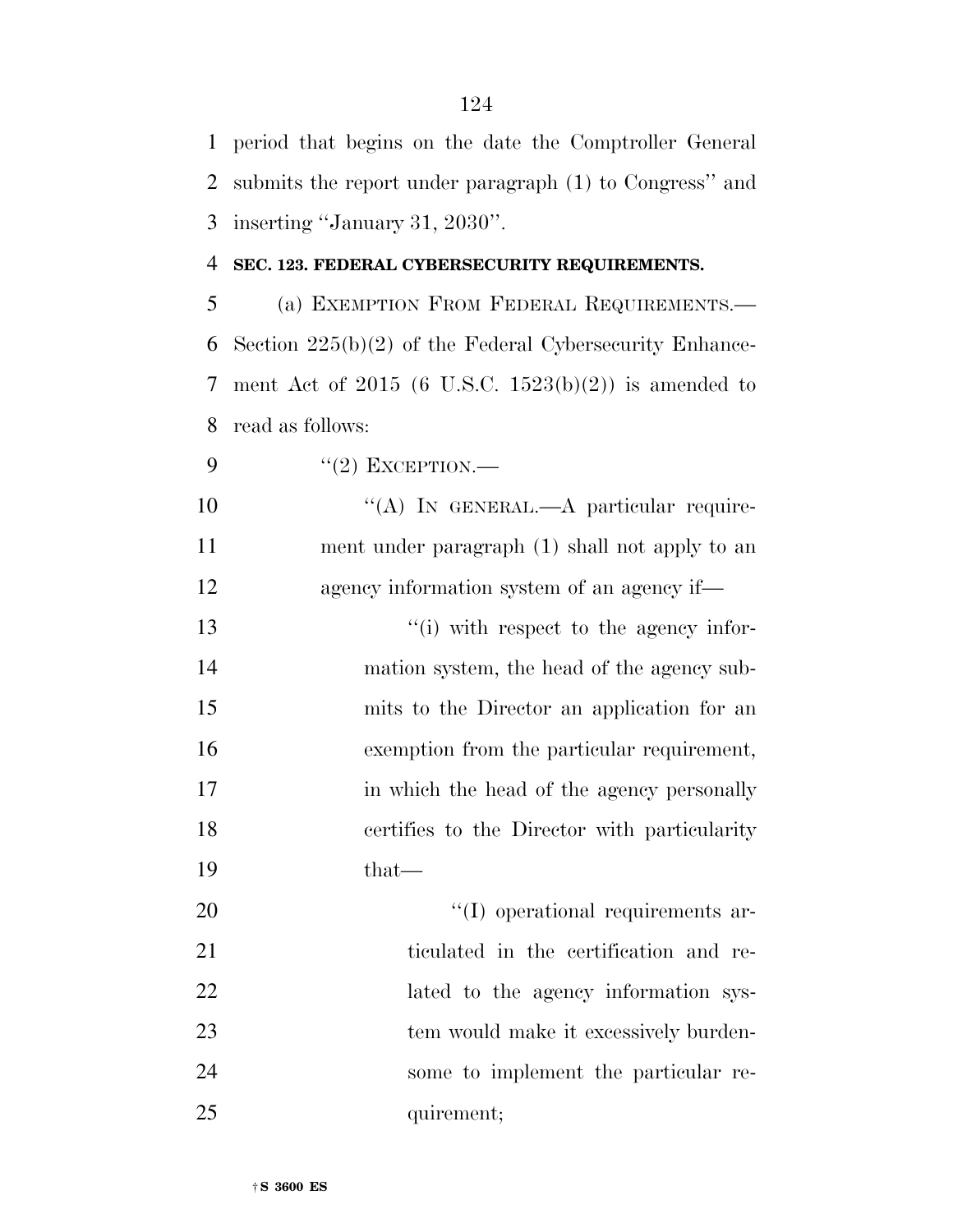period that begins on the date the Comptroller General submits the report under paragraph (1) to Congress'' and inserting ''January 31, 2030''.

## **SEC. 123. FEDERAL CYBERSECURITY REQUIREMENTS.**

 (a) EXEMPTION FROM FEDERAL REQUIREMENTS.— Section 225(b)(2) of the Federal Cybersecurity Enhance- ment Act of 2015 (6 U.S.C. 1523(b)(2)) is amended to read as follows:

9  $((2)$  EXCEPTION.—

10 "(A) IN GENERAL.—A particular require- ment under paragraph (1) shall not apply to an agency information system of an agency if—

 $\frac{1}{2}$  i) with respect to the agency infor- mation system, the head of the agency sub- mits to the Director an application for an exemption from the particular requirement, 17 in which the head of the agency personally certifies to the Director with particularity that—

20  $\text{``(I) operational requirements are}$ 21 ticulated in the certification and re-22 lated to the agency information sys- tem would make it excessively burden- some to implement the particular re-25 quirement;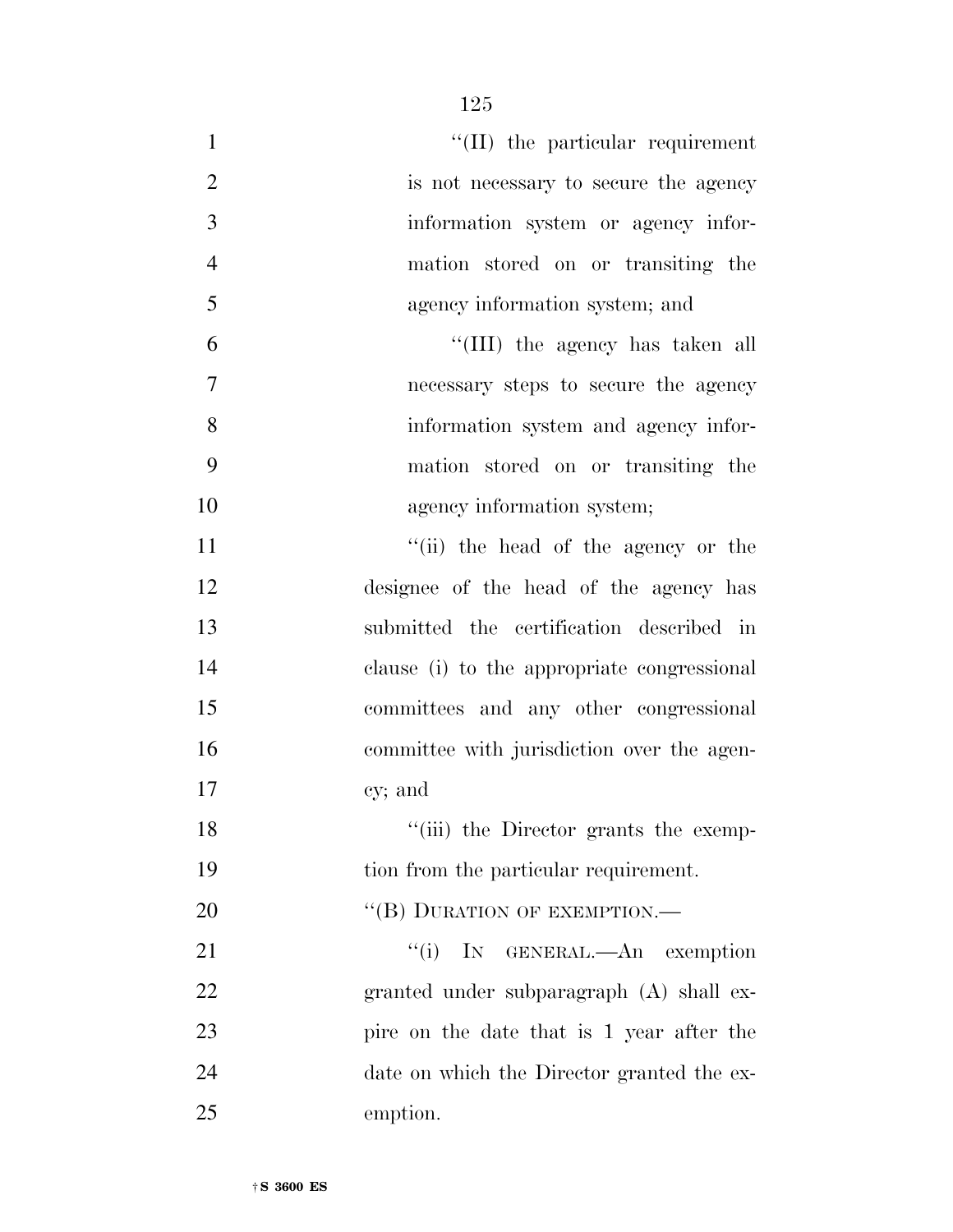| $\mathbf{1}$   | $\lq$ (II) the particular requirement       |
|----------------|---------------------------------------------|
| $\overline{2}$ | is not necessary to secure the agency       |
| 3              | information system or agency infor-         |
| $\overline{4}$ | mation stored on or transiting the          |
| 5              | agency information system; and              |
| 6              | "(III) the agency has taken all             |
| 7              | necessary steps to secure the agency        |
| 8              | information system and agency infor-        |
| 9              | mation stored on or transiting the          |
| 10             | agency information system;                  |
| 11             | "(ii) the head of the agency or the         |
| 12             | designee of the head of the agency has      |
| 13             | submitted the certification described in    |
| 14             | clause (i) to the appropriate congressional |
| 15             | committees and any other congressional      |
| 16             | committee with jurisdiction over the agen-  |
| 17             | cy; and                                     |
| 18             | "(iii) the Director grants the exemp-       |
| 19             | tion from the particular requirement.       |
| 20             | "(B) DURATION OF EXEMPTION.-                |
| 21             | "(i) IN GENERAL.—An exemption               |
| 22             | granted under subparagraph (A) shall ex-    |
| 23             | pire on the date that is 1 year after the   |
| 24             | date on which the Director granted the ex-  |
| 25             | emption.                                    |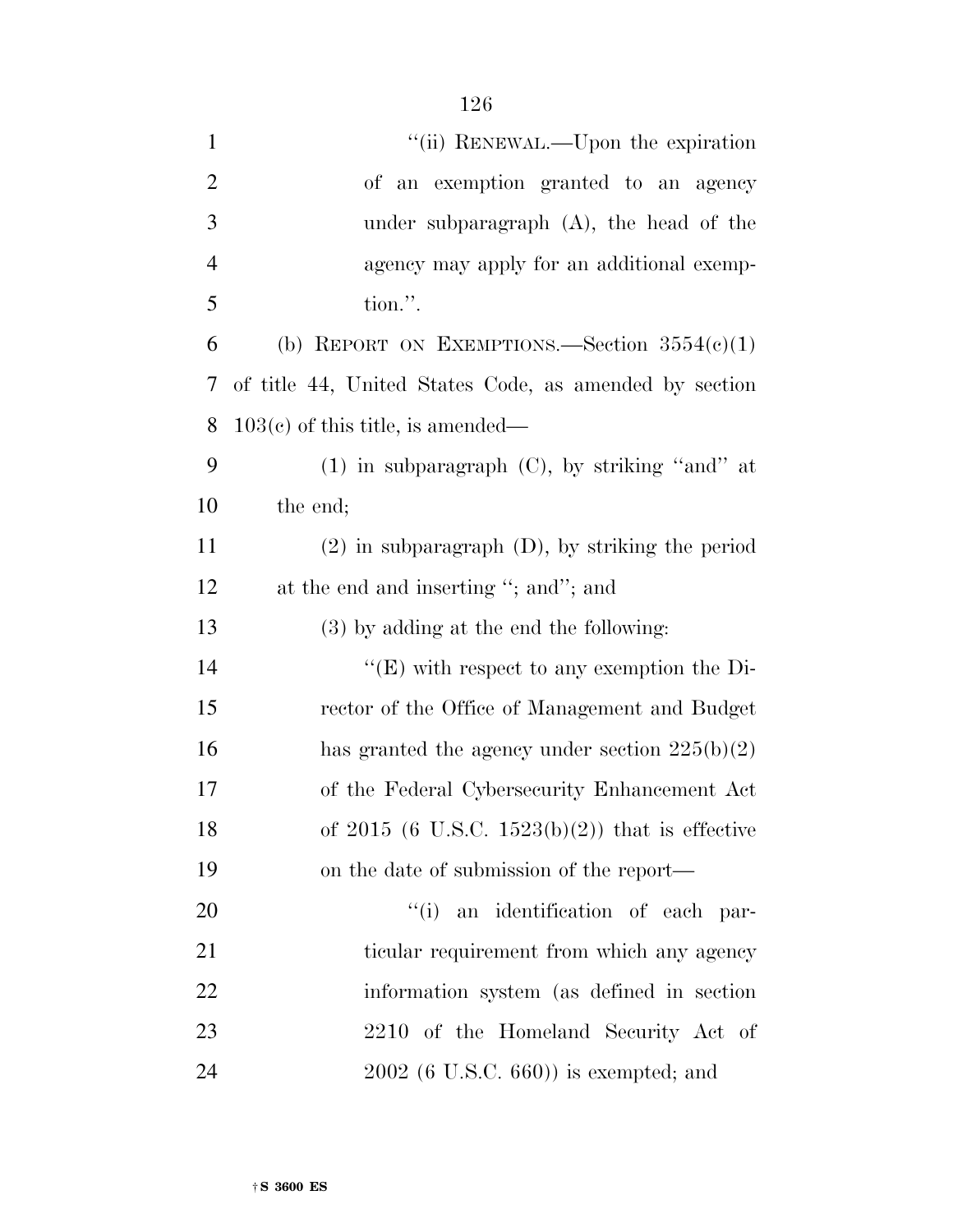| $\mathbf{1}$   | "(ii) RENEWAL.—Upon the expiration                     |
|----------------|--------------------------------------------------------|
| $\overline{2}$ | of an exemption granted to an agency                   |
| 3              | under subparagraph $(A)$ , the head of the             |
| $\overline{4}$ | agency may apply for an additional exemp-              |
| 5              | tion.".                                                |
| 6              | (b) REPORT ON EXEMPTIONS.—Section $3554(c)(1)$         |
| 7              | of title 44, United States Code, as amended by section |
| 8              | $103(c)$ of this title, is amended—                    |
| 9              | $(1)$ in subparagraph $(C)$ , by striking "and" at     |
| 10             | the end;                                               |
| 11             | $(2)$ in subparagraph $(D)$ , by striking the period   |
| 12             | at the end and inserting "; and"; and                  |
| 13             | $(3)$ by adding at the end the following:              |
| 14             | $\lq\lq(E)$ with respect to any exemption the Di-      |
| 15             | rector of the Office of Management and Budget          |
| 16             | has granted the agency under section $225(b)(2)$       |
| 17             | of the Federal Cybersecurity Enhancement Act           |
| 18             | of 2015 (6 U.S.C. 1523(b)(2)) that is effective        |
| 19             | on the date of submission of the report—               |
| 20             | "(i) an identification of each par-                    |
| 21             | ticular requirement from which any agency              |
| 22             | information system (as defined in section)             |
| 23             | 2210 of the Homeland Security Act of                   |
| 24             | $2002$ (6 U.S.C. 660)) is exempted; and                |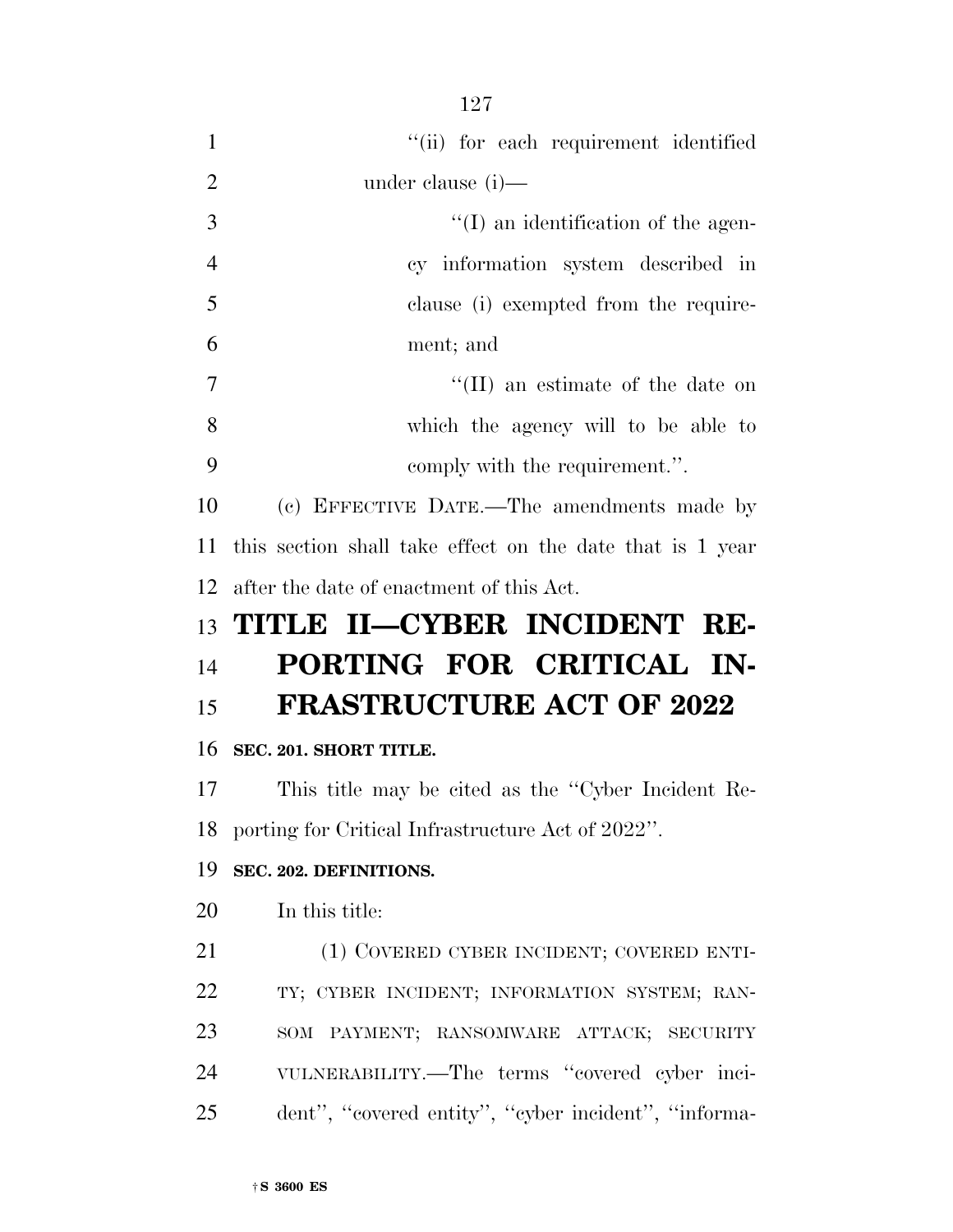|                | 127                                                       |
|----------------|-----------------------------------------------------------|
| $\mathbf{1}$   | "(ii) for each requirement identified                     |
| $\overline{2}$ | under clause (i)—                                         |
| 3              | $\lq\lq$ (I) an identification of the agen-               |
| $\overline{4}$ | cy information system described in                        |
| 5              | clause (i) exempted from the require-                     |
| 6              | ment; and                                                 |
| 7              | $\lq$ (II) an estimate of the date on                     |
| 8              | which the agency will to be able to                       |
| 9              | comply with the requirement.".                            |
| 10             | (c) EFFECTIVE DATE.—The amendments made by                |
| 11             | this section shall take effect on the date that is 1 year |
| 12             | after the date of enactment of this Act.                  |
|                |                                                           |
| 13             | TITLE II—CYBER INCIDENT RE-                               |
|                | PORTING FOR CRITICAL IN-                                  |
| 14<br>15       | <b>FRASTRUCTURE ACT OF 2022</b>                           |
| 16             | SEC. 201. SHORT TITLE.                                    |
|                | 17 This title may be cited as the "Cyber Incident Re-     |
|                | 18 porting for Critical Infrastructure Act of 2022".      |
| 19             | SEC. 202. DEFINITIONS.                                    |
| 20             | In this title:                                            |
| 21             | (1) COVERED CYBER INCIDENT; COVERED ENTI-                 |
| 22             | TY; CYBER INCIDENT; INFORMATION SYSTEM; RAN-              |
| 23             | SOM PAYMENT; RANSOMWARE ATTACK; SECURITY                  |
| 24             | VULNERABILITY.—The terms "covered cyber inci-             |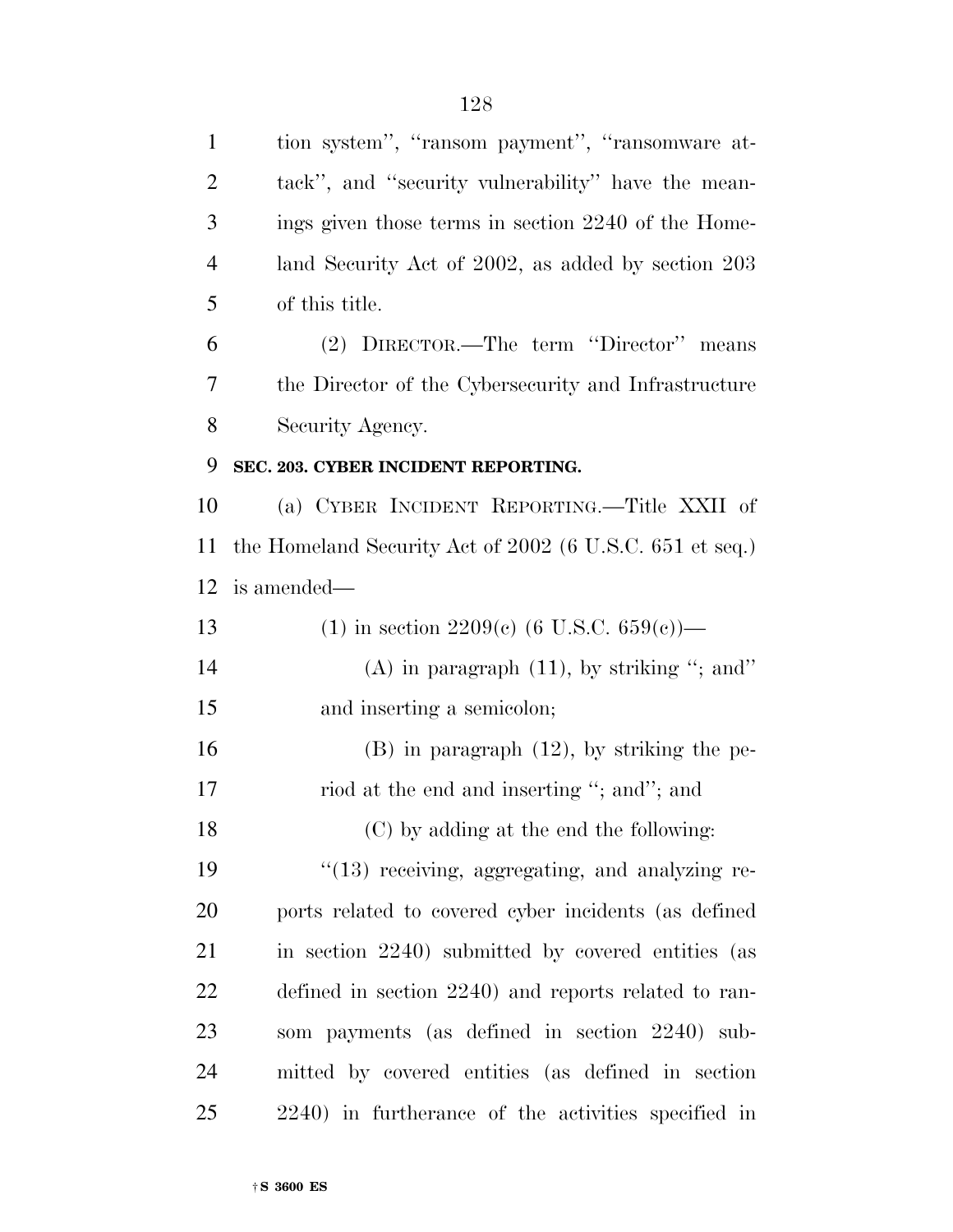| $\mathbf{1}$   | tion system", "ransom payment", "ransomware at-          |
|----------------|----------------------------------------------------------|
| $\overline{2}$ | tack", and "security vulnerability" have the mean-       |
| 3              | ings given those terms in section 2240 of the Home-      |
| $\overline{4}$ | land Security Act of 2002, as added by section 203       |
| 5              | of this title.                                           |
| 6              | (2) DIRECTOR.—The term "Director" means                  |
| 7              | the Director of the Cybersecurity and Infrastructure     |
| 8              | Security Agency.                                         |
| 9              | SEC. 203. CYBER INCIDENT REPORTING.                      |
| 10             | (a) CYBER INCIDENT REPORTING.—Title XXII of              |
| <sup>11</sup>  | the Homeland Security Act of 2002 (6 U.S.C. 651 et seq.) |
| 12             | is amended—                                              |
| 13             | (1) in section 2209(c) (6 U.S.C. 659(c))—                |
| 14             | $(A)$ in paragraph $(11)$ , by striking "; and"          |
| 15             | and inserting a semicolon;                               |
| 16             | $(B)$ in paragraph $(12)$ , by striking the pe-          |
| 17             | riod at the end and inserting "; and"; and               |
| 18             | (C) by adding at the end the following:                  |
| 19             | $"(13)$ receiving, aggregating, and analyzing re-        |
| 20             | ports related to covered cyber incidents (as defined     |
| 21             | in section 2240) submitted by covered entities (as       |
| 22             | defined in section 2240) and reports related to ran-     |
| 23             | som payments (as defined in section 2240) sub-           |
| 24             | mitted by covered entities (as defined in section        |
| 25             | 2240) in furtherance of the activities specified in      |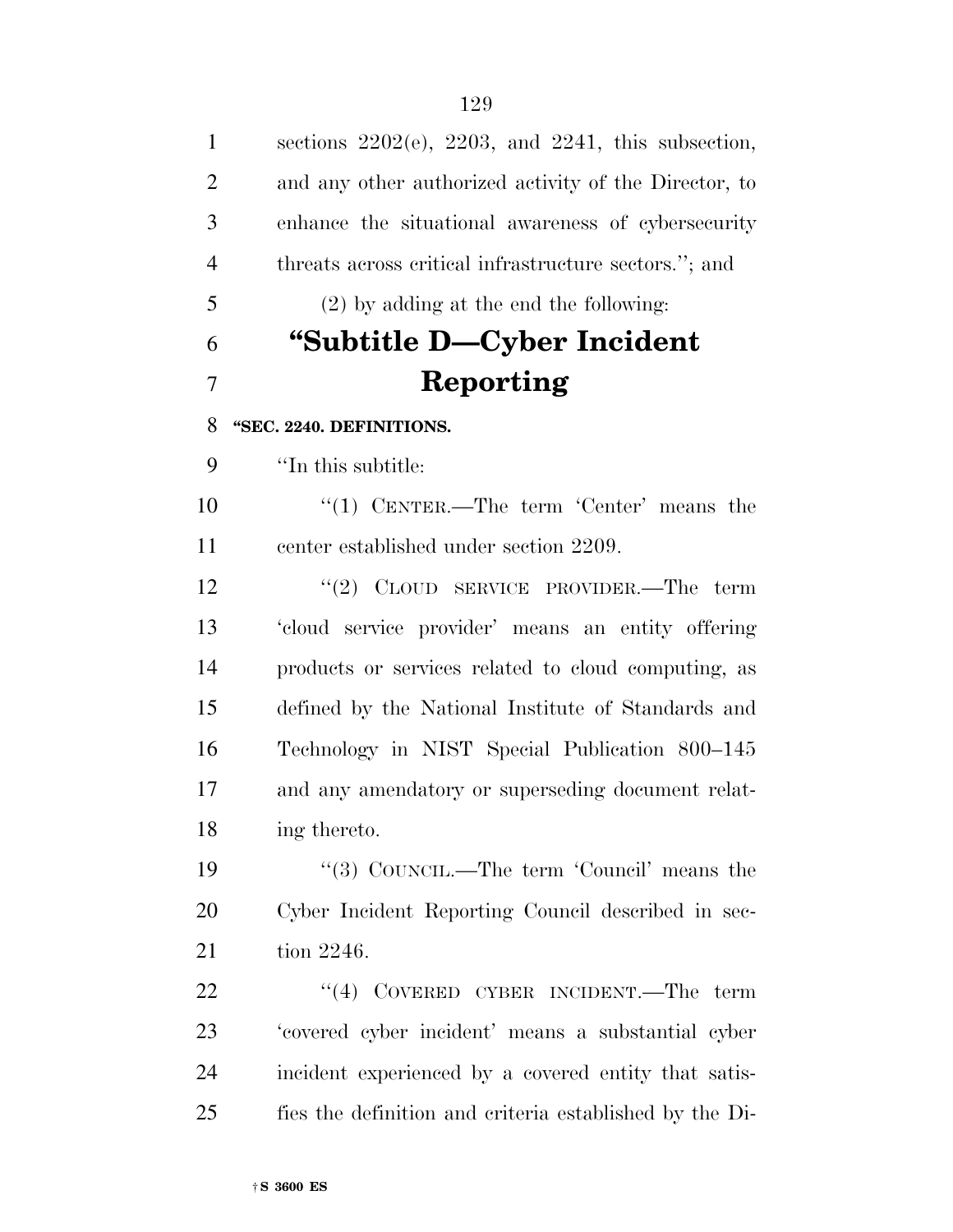| $\mathbf{1}$   | sections $2202(e)$ , $2203$ , and $2241$ , this subsection, |
|----------------|-------------------------------------------------------------|
| $\overline{2}$ | and any other authorized activity of the Director, to       |
| 3              | enhance the situational awareness of cybersecurity          |
| $\overline{4}$ | threats across critical infrastructure sectors."; and       |
| 5              | $(2)$ by adding at the end the following:                   |
| 6              | "Subtitle D—Cyber Incident"                                 |
| 7              | Reporting                                                   |
| 8              | "SEC. 2240. DEFINITIONS.                                    |
| 9              | "In this subtitle:                                          |
| 10             | "(1) CENTER.—The term 'Center' means the                    |
| 11             | center established under section 2209.                      |
| 12             | "(2) $C_{\text{LOUD}}$ SERVICE PROVIDER.—The term           |
| 13             | 'cloud service provider' means an entity offering           |
| 14             | products or services related to cloud computing, as         |
| 15             | defined by the National Institute of Standards and          |
| 16             | Technology in NIST Special Publication 800–145              |
| 17             | and any amendatory or superseding document relat-           |
| 18             | ing thereto.                                                |
| 19             | "(3) COUNCIL.—The term 'Council' means the                  |
| 20             | Cyber Incident Reporting Council described in sec-          |
| 21             | tion 2246.                                                  |
| 22             | $``(4)$ COVERED CYBER INCIDENT.—The term                    |
| 23             | 'covered cyber incident' means a substantial cyber          |
| 24             | incident experienced by a covered entity that satis-        |
| 25             | fies the definition and criteria established by the Di-     |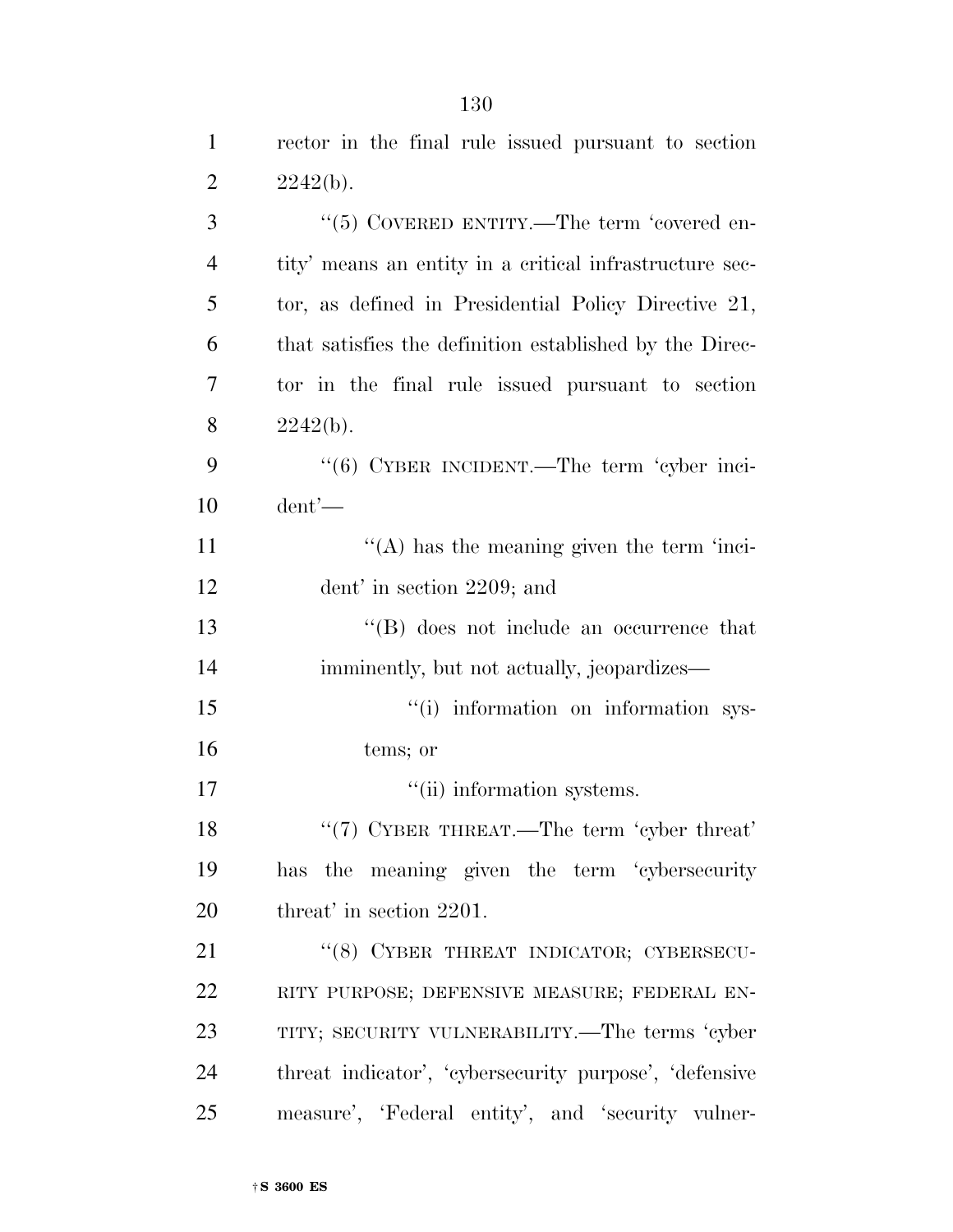| $\mathbf{1}$   | rector in the final rule issued pursuant to section     |
|----------------|---------------------------------------------------------|
| $\overline{2}$ | 2242(b).                                                |
| 3              | " $(5)$ COVERED ENTITY.—The term 'covered en-           |
| $\overline{4}$ | tity' means an entity in a critical infrastructure sec- |
| 5              | tor, as defined in Presidential Policy Directive 21,    |
| 6              | that satisfies the definition established by the Direc- |
| $\overline{7}$ | tor in the final rule issued pursuant to section        |
| 8              | 2242(b).                                                |
| 9              | "(6) CYBER INCIDENT.—The term 'cyber inci-              |
| 10             | $d$ ent'—                                               |
| 11             | $\lq\lq$ has the meaning given the term 'inci-          |
| 12             | dent' in section $2209$ ; and                           |
| 13             | $\lq\lq$ does not include an occurrence that            |
| 14             | imminently, but not actually, jeopardizes—              |
| 15             | "(i) information on information sys-                    |
| 16             | tems; or                                                |
| 17             | "(ii) information systems.                              |
| 18             | " $(7)$ CYBER THREAT.—The term 'cyber threat'           |
| 19             | has the meaning given the term 'cybersecurity           |
| 20             | threat' in section 2201.                                |
| 21             | "(8) CYBER THREAT INDICATOR; CYBERSECU-                 |
| 22             | RITY PURPOSE; DEFENSIVE MEASURE; FEDERAL EN-            |
| 23             | TITY; SECURITY VULNERABILITY.—The terms 'cyber          |
| 24             | threat indicator', 'cybersecurity purpose', 'defensive  |
| 25             | measure', 'Federal entity', and 'security vulner-       |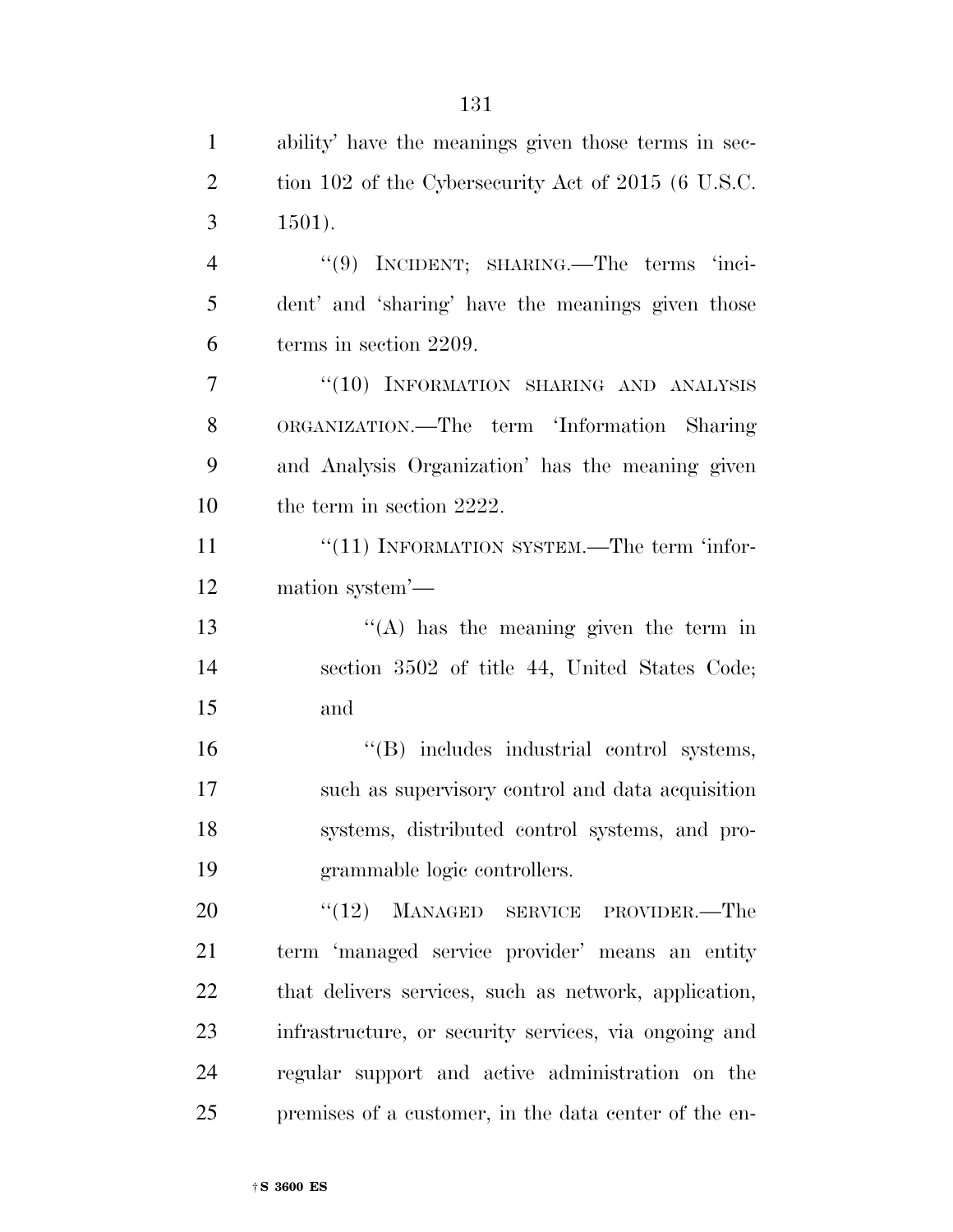| $\mathbf{1}$   | ability' have the meanings given those terms in sec-  |
|----------------|-------------------------------------------------------|
| $\overline{2}$ | tion 102 of the Cybersecurity Act of 2015 (6 U.S.C.   |
| 3              | $1501$ ).                                             |
| $\overline{4}$ | "(9) INCIDENT; SHARING.—The terms 'inci-              |
| 5              | dent' and 'sharing' have the meanings given those     |
| 6              | terms in section 2209.                                |
| 7              | $``(10)$ INFORMATION SHARING AND ANALYSIS             |
| 8              | ORGANIZATION.—The term 'Information Sharing           |
| 9              | and Analysis Organization' has the meaning given      |
| 10             | the term in section 2222.                             |
| 11             | $"$ (11) INFORMATION SYSTEM.—The term 'infor-         |
| 12             | mation system'—                                       |
| 13             | $\lq\lq$ has the meaning given the term in            |
| 14             | section 3502 of title 44, United States Code;         |
| 15             | and                                                   |
| 16             | "(B) includes industrial control systems,             |
| 17             | such as supervisory control and data acquisition      |
| 18             | systems, distributed control systems, and pro-        |
| 19             | grammable logic controllers.                          |
| 20             | (12)<br>MANAGED SERVICE PROVIDER.—The                 |
| 21             | term 'managed service provider' means an entity       |
| 22             | that delivers services, such as network, application, |
| 23             | infrastructure, or security services, via ongoing and |
| 24             | regular support and active administration on the      |
| 25             | premises of a customer, in the data center of the en- |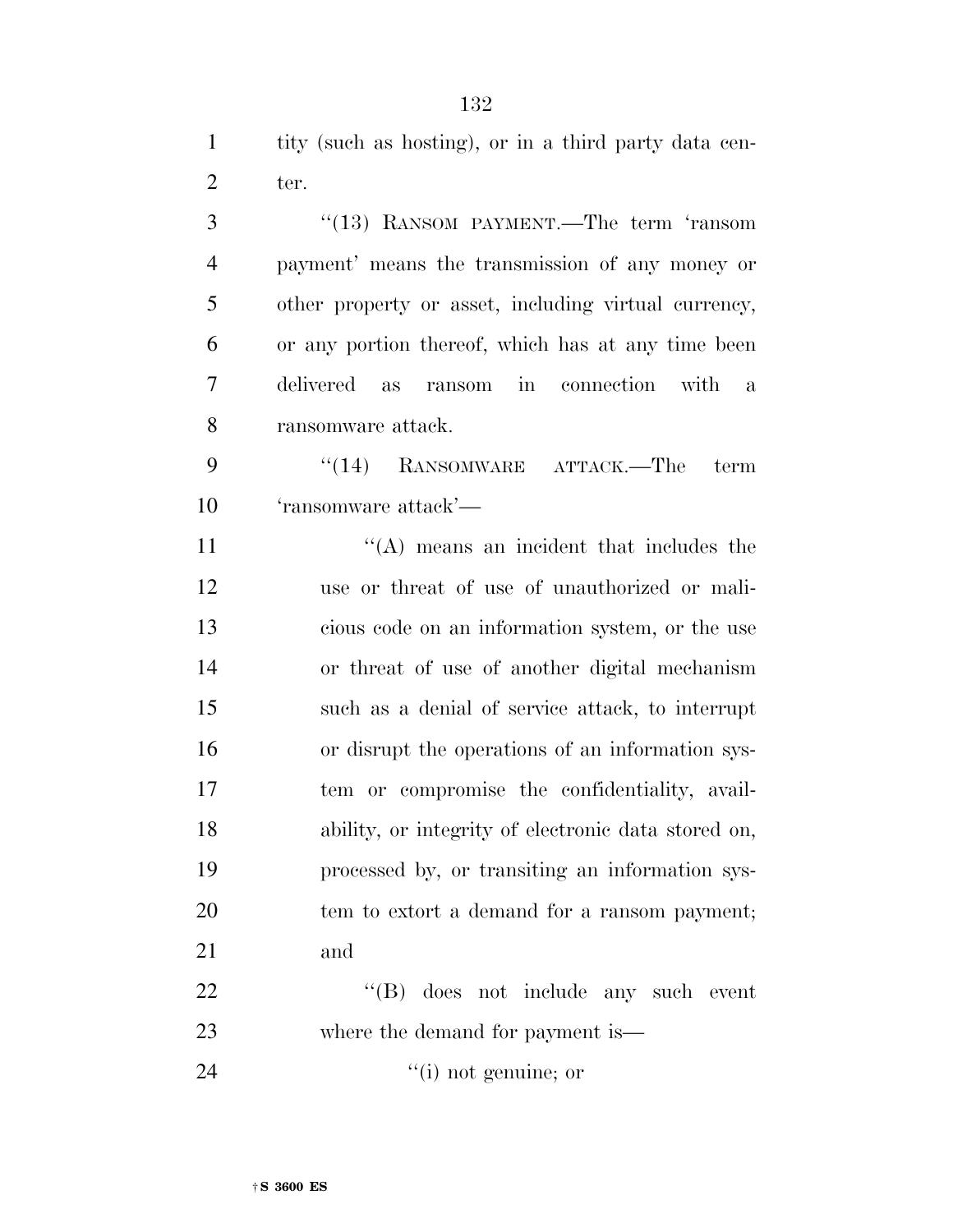tity (such as hosting), or in a third party data cen-2 ter.

 ''(13) RANSOM PAYMENT.—The term 'ransom payment' means the transmission of any money or other property or asset, including virtual currency, or any portion thereof, which has at any time been delivered as ransom in connection with a ransomware attack. 9 "(14) RANSOMWARE ATTACK.—The term 'ransomware attack'—  $"({\rm A})$  means an incident that includes the use or threat of use of unauthorized or mali- cious code on an information system, or the use or threat of use of another digital mechanism such as a denial of service attack, to interrupt or disrupt the operations of an information sys- tem or compromise the confidentiality, avail- ability, or integrity of electronic data stored on, processed by, or transiting an information sys- tem to extort a demand for a ransom payment; and 22 ''(B) does not include any such event

24  $(1)$  not genuine; or

where the demand for payment is—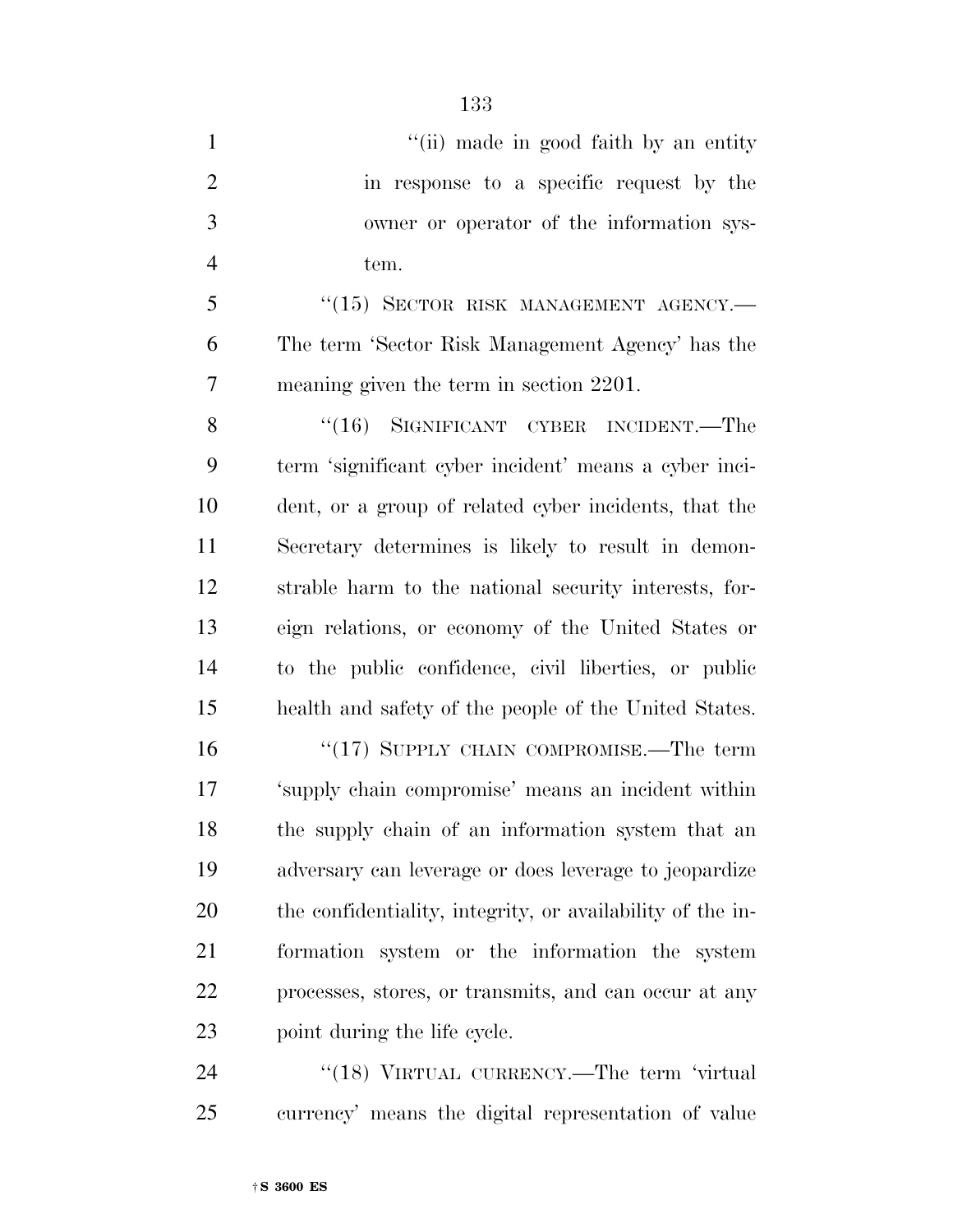1 ''(ii) made in good faith by an entity in response to a specific request by the owner or operator of the information sys- tem. 5 "(15) SECTOR RISK MANAGEMENT AGENCY.— The term 'Sector Risk Management Agency' has the meaning given the term in section 2201. 8 "(16) SIGNIFICANT CYBER INCIDENT.—The term 'significant cyber incident' means a cyber inci- dent, or a group of related cyber incidents, that the Secretary determines is likely to result in demon- strable harm to the national security interests, for- eign relations, or economy of the United States or to the public confidence, civil liberties, or public health and safety of the people of the United States. 16 "(17) SUPPLY CHAIN COMPROMISE.—The term 'supply chain compromise' means an incident within the supply chain of an information system that an adversary can leverage or does leverage to jeopardize the confidentiality, integrity, or availability of the in- formation system or the information the system processes, stores, or transmits, and can occur at any

24 "(18) VIRTUAL CURRENCY.—The term 'virtual currency' means the digital representation of value

point during the life cycle.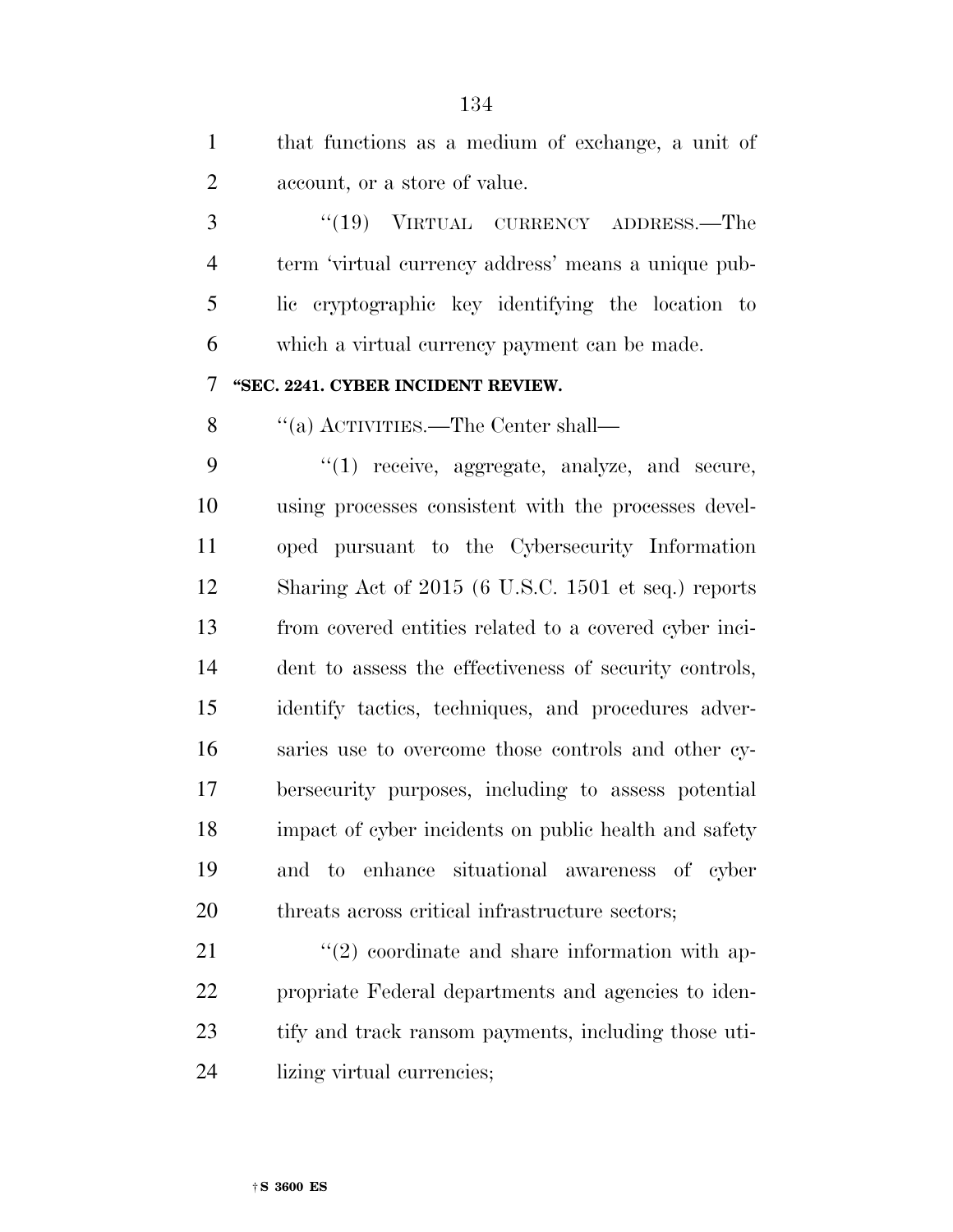that functions as a medium of exchange, a unit of account, or a store of value. 3 "(19) VIRTUAL CURRENCY ADDRESS.—The term 'virtual currency address' means a unique pub- lic cryptographic key identifying the location to which a virtual currency payment can be made. **''SEC. 2241. CYBER INCIDENT REVIEW.**  8 "(a) ACTIVITIES.—The Center shall— 9 "(1) receive, aggregate, analyze, and secure, using processes consistent with the processes devel- oped pursuant to the Cybersecurity Information Sharing Act of 2015 (6 U.S.C. 1501 et seq.) reports from covered entities related to a covered cyber inci- dent to assess the effectiveness of security controls, identify tactics, techniques, and procedures adver- saries use to overcome those controls and other cy- bersecurity purposes, including to assess potential impact of cyber incidents on public health and safety and to enhance situational awareness of cyber 20 threats across critical infrastructure sectors;

21 ''(2) coordinate and share information with ap- propriate Federal departments and agencies to iden- tify and track ransom payments, including those uti-lizing virtual currencies;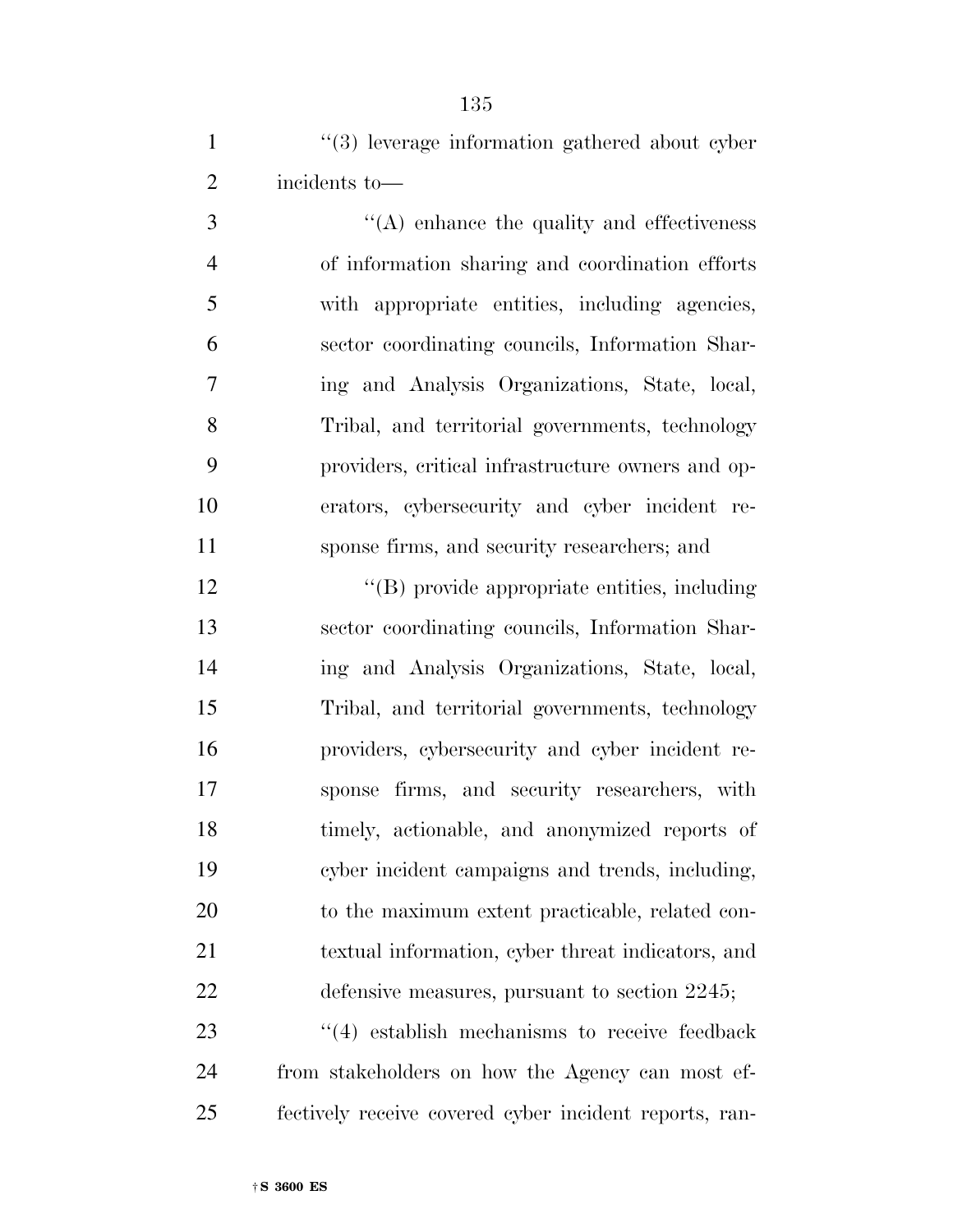1 ''(3) leverage information gathered about cyber incidents to—

 $\langle (A) \rangle$  enhance the quality and effectiveness of information sharing and coordination efforts with appropriate entities, including agencies, sector coordinating councils, Information Shar- ing and Analysis Organizations, State, local, Tribal, and territorial governments, technology providers, critical infrastructure owners and op- erators, cybersecurity and cyber incident re-sponse firms, and security researchers; and

 $\langle (B) \rangle$  provide appropriate entities, including sector coordinating councils, Information Shar- ing and Analysis Organizations, State, local, Tribal, and territorial governments, technology providers, cybersecurity and cyber incident re- sponse firms, and security researchers, with timely, actionable, and anonymized reports of cyber incident campaigns and trends, including, to the maximum extent practicable, related con- textual information, cyber threat indicators, and defensive measures, pursuant to section 2245;

23 ''(4) establish mechanisms to receive feedback from stakeholders on how the Agency can most ef-fectively receive covered cyber incident reports, ran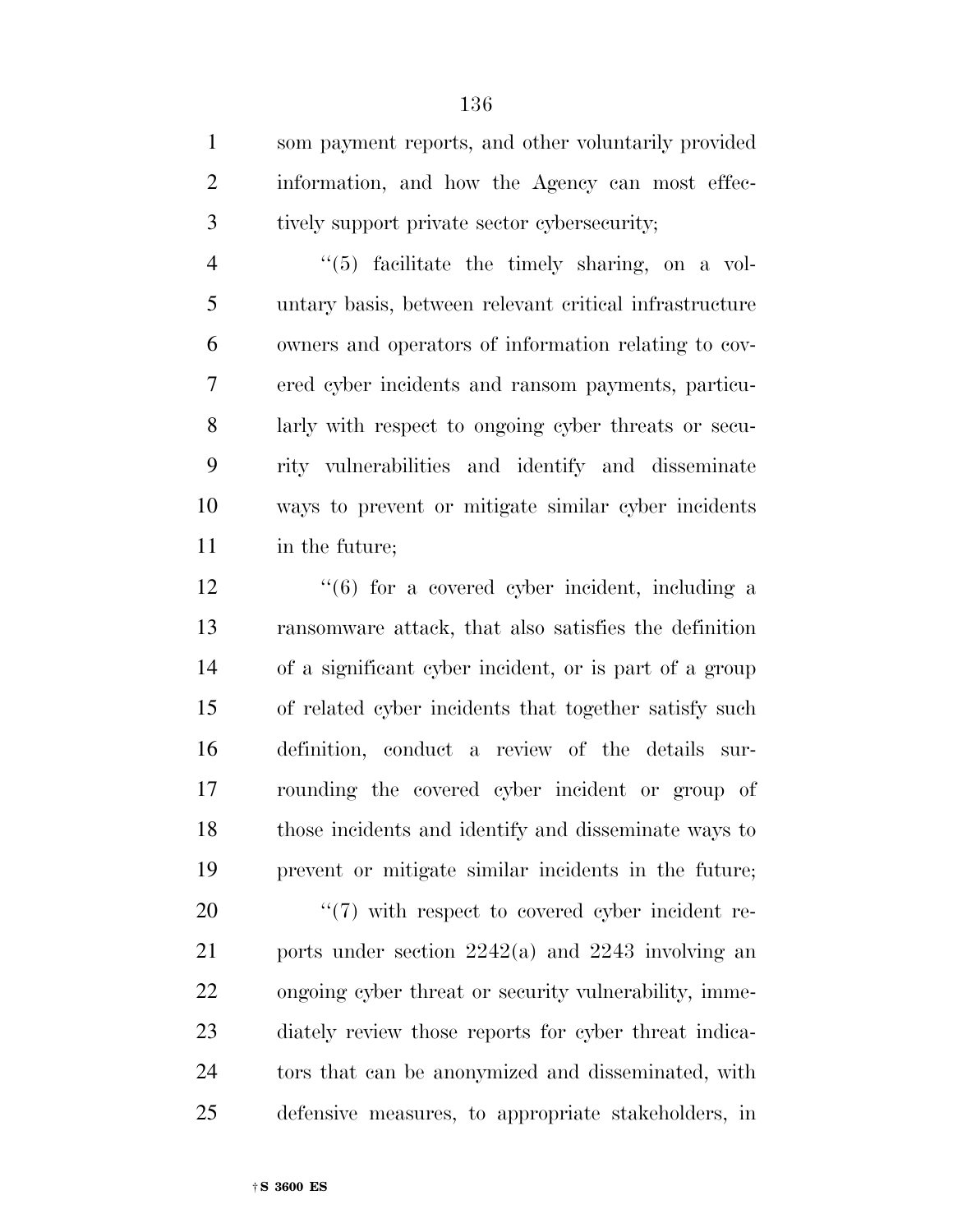som payment reports, and other voluntarily provided information, and how the Agency can most effec-tively support private sector cybersecurity;

 ''(5) facilitate the timely sharing, on a vol- untary basis, between relevant critical infrastructure owners and operators of information relating to cov- ered cyber incidents and ransom payments, particu- larly with respect to ongoing cyber threats or secu- rity vulnerabilities and identify and disseminate ways to prevent or mitigate similar cyber incidents in the future;

12 ''(6) for a covered cyber incident, including a ransomware attack, that also satisfies the definition of a significant cyber incident, or is part of a group of related cyber incidents that together satisfy such definition, conduct a review of the details sur- rounding the covered cyber incident or group of those incidents and identify and disseminate ways to prevent or mitigate similar incidents in the future;

 $\frac{1}{20}$   $\frac{1}{20}$  with respect to covered cyber incident re- ports under section 2242(a) and 2243 involving an ongoing cyber threat or security vulnerability, imme- diately review those reports for cyber threat indica- tors that can be anonymized and disseminated, with defensive measures, to appropriate stakeholders, in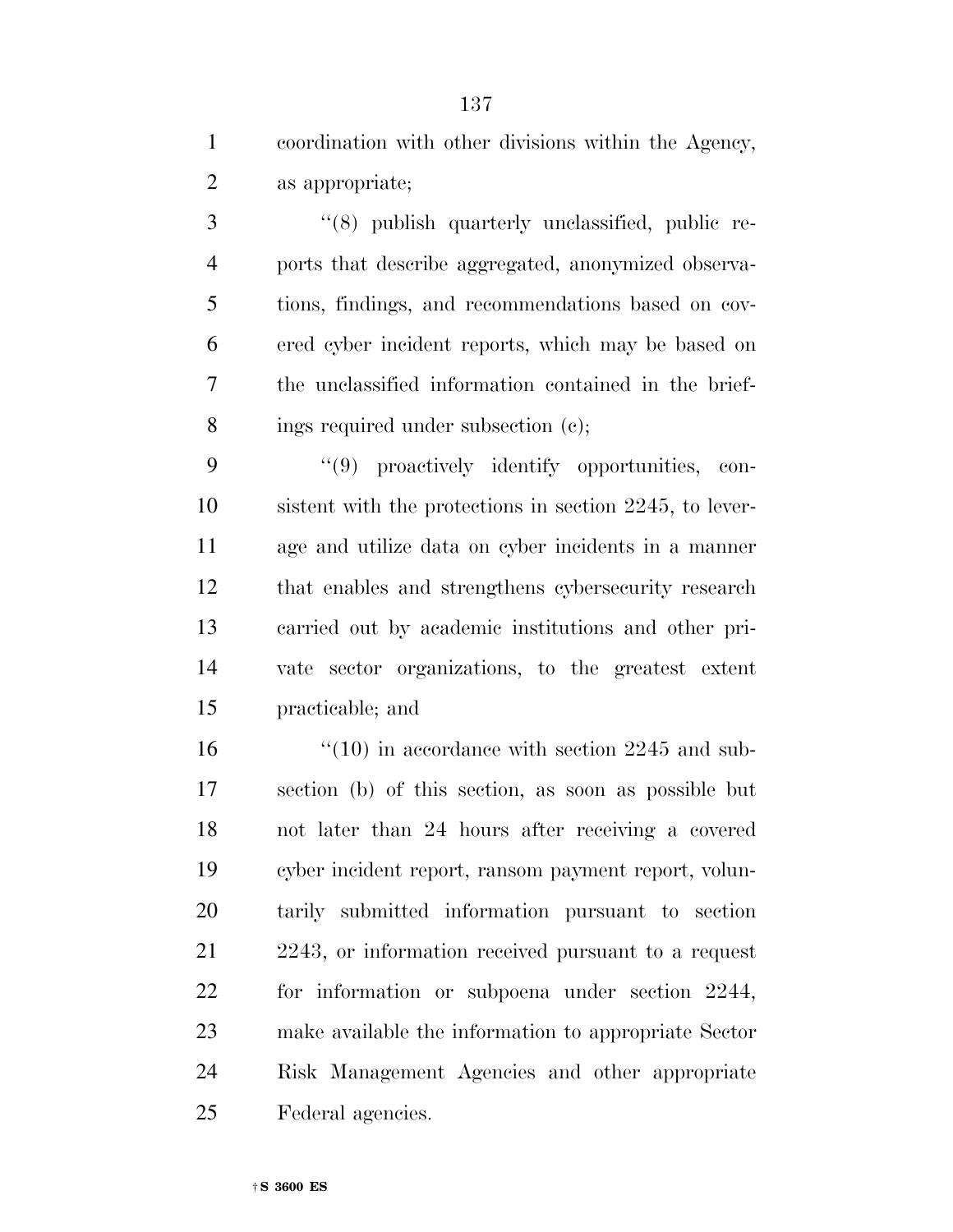| $\mathbf{1}$   | coordination with other divisions within the Agency,    |
|----------------|---------------------------------------------------------|
| $\overline{2}$ | as appropriate;                                         |
| 3              | "(8) publish quarterly unclassified, public re-         |
| $\overline{4}$ | ports that describe aggregated, anonymized observa-     |
| 5              | tions, findings, and recommendations based on cov-      |
| 6              | ered cyber incident reports, which may be based on      |
| 7              | the unclassified information contained in the brief-    |
| 8              | ings required under subsection (c);                     |
| 9              | "(9) proactively identify opportunities, con-           |
| 10             | sistent with the protections in section 2245, to lever- |
| 11             | age and utilize data on cyber incidents in a manner     |
| 12             | that enables and strengthens cybersecurity research     |
| 13             | carried out by academic institutions and other pri-     |
| 14             | vate sector organizations, to the greatest extent       |
| 15             | practicable; and                                        |
| 16             | $\degree$ (10) in accordance with section 2245 and sub- |
| 17             | section (b) of this section, as soon as possible but    |
| 18             | not later than 24 hours after receiving a covered       |
| 19             | cyber incident report, ransom payment report, volun-    |
| 20             | tarily submitted information pursuant to section        |
| 21             | 2243, or information received pursuant to a request     |
| 22             | for information or subpoena under section 2244,         |
| 23             | make available the information to appropriate Sector    |
| 24             | Risk Management Agencies and other appropriate          |
| 25             | Federal agencies.                                       |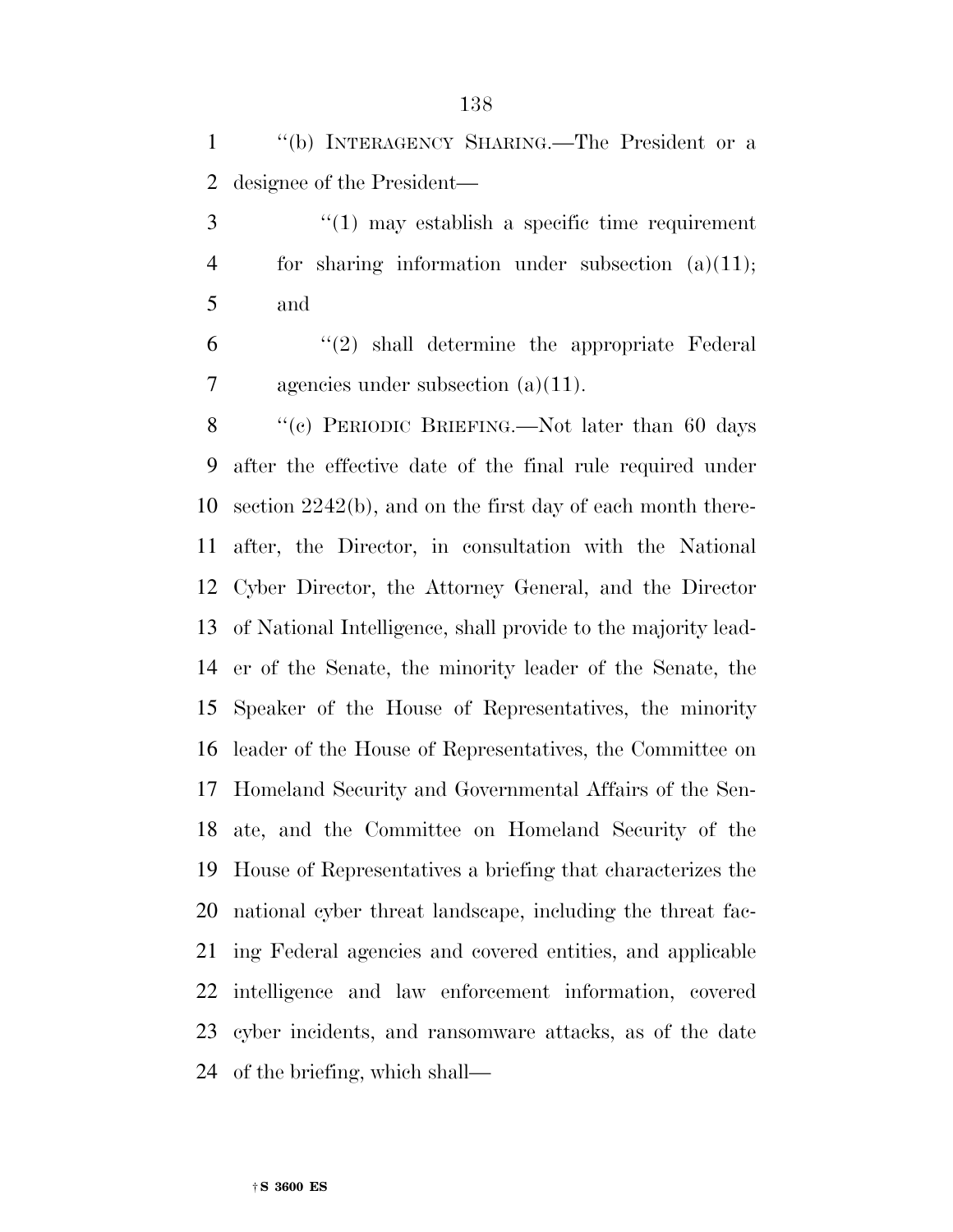''(b) INTERAGENCY SHARING.—The President or a designee of the President—

 ''(1) may establish a specific time requirement for sharing information under subsection (a)(11); and

 $(2)$  shall determine the appropriate Federal agencies under subsection (a)(11).

8 "(c) PERIODIC BRIEFING.—Not later than 60 days after the effective date of the final rule required under section 2242(b), and on the first day of each month there- after, the Director, in consultation with the National Cyber Director, the Attorney General, and the Director of National Intelligence, shall provide to the majority lead- er of the Senate, the minority leader of the Senate, the Speaker of the House of Representatives, the minority leader of the House of Representatives, the Committee on Homeland Security and Governmental Affairs of the Sen- ate, and the Committee on Homeland Security of the House of Representatives a briefing that characterizes the national cyber threat landscape, including the threat fac- ing Federal agencies and covered entities, and applicable intelligence and law enforcement information, covered cyber incidents, and ransomware attacks, as of the date of the briefing, which shall—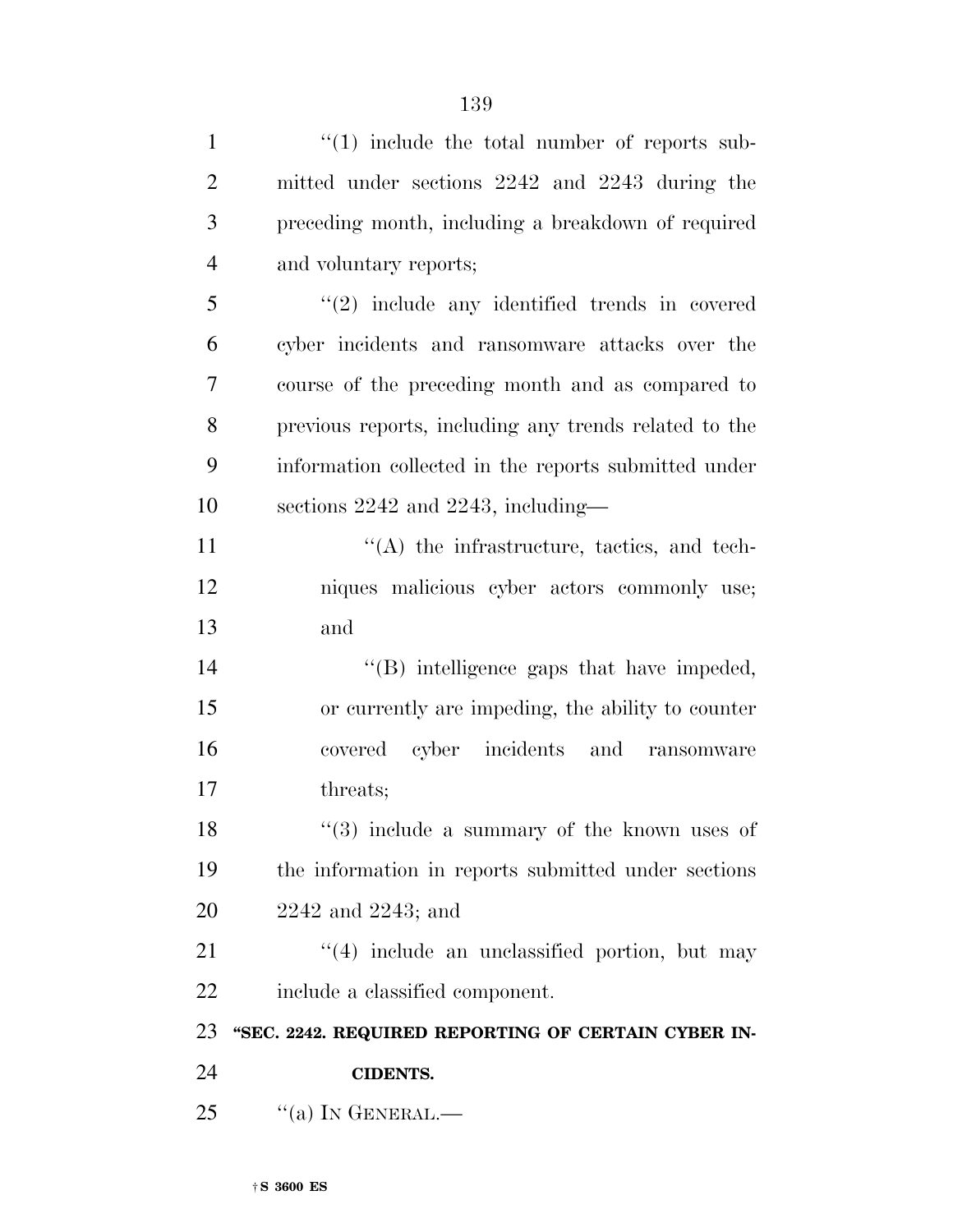| $\mathbf{1}$   | $\lq(1)$ include the total number of reports sub-     |
|----------------|-------------------------------------------------------|
| $\overline{2}$ | mitted under sections 2242 and 2243 during the        |
| 3              | preceding month, including a breakdown of required    |
| $\overline{4}$ | and voluntary reports;                                |
| 5              | $"(2)$ include any identified trends in covered       |
| 6              | cyber incidents and ransomware attacks over the       |
| 7              | course of the preceding month and as compared to      |
| 8              | previous reports, including any trends related to the |
| 9              | information collected in the reports submitted under  |
| 10             | sections 2242 and 2243, including—                    |
| 11             | $\lq\lq$ the infrastructure, tactics, and tech-       |
| 12             | niques malicious cyber actors commonly use;           |
| 13             | and                                                   |
| 14             | $\lq\lq$ . Intelligence gaps that have impeded,       |
| 15             | or currently are impeding, the ability to counter     |
| 16             | covered cyber incidents and ransomware                |
| 17             | threats;                                              |
| 18             | $(3)$ include a summary of the known uses of          |
| 19             | the information in reports submitted under sections   |
| 20             | $2242$ and $2243$ ; and                               |
| 21             | $(4)$ include an unclassified portion, but may        |
| 22             | include a classified component.                       |
| 23             | "SEC. 2242. REQUIRED REPORTING OF CERTAIN CYBER IN-   |
| 24             | <b>CIDENTS.</b>                                       |
| 25             | $``(a)$ In GENERAL.—                                  |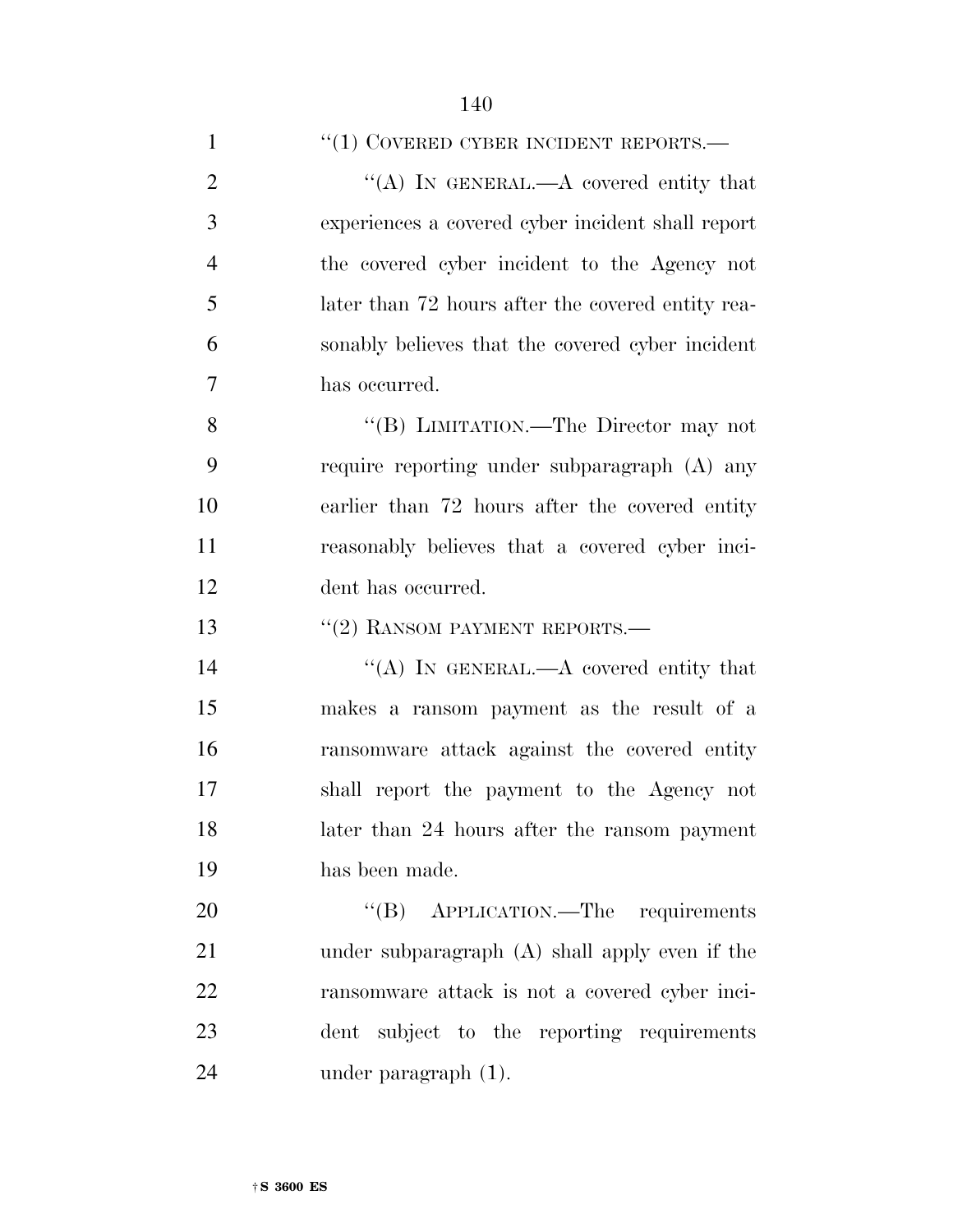1 ''(1) COVERED CYBER INCIDENT REPORTS.—

2 "(A) IN GENERAL.—A covered entity that experiences a covered cyber incident shall report the covered cyber incident to the Agency not later than 72 hours after the covered entity rea- sonably believes that the covered cyber incident has occurred.

 ''(B) LIMITATION.—The Director may not require reporting under subparagraph (A) any earlier than 72 hours after the covered entity reasonably believes that a covered cyber inci-dent has occurred.

''(2) RANSOM PAYMENT REPORTS.—

14 "(A) IN GENERAL.—A covered entity that makes a ransom payment as the result of a ransomware attack against the covered entity shall report the payment to the Agency not later than 24 hours after the ransom payment has been made.

20 "(B) APPLICATION.—The requirements under subparagraph (A) shall apply even if the ransomware attack is not a covered cyber inci- dent subject to the reporting requirements under paragraph (1).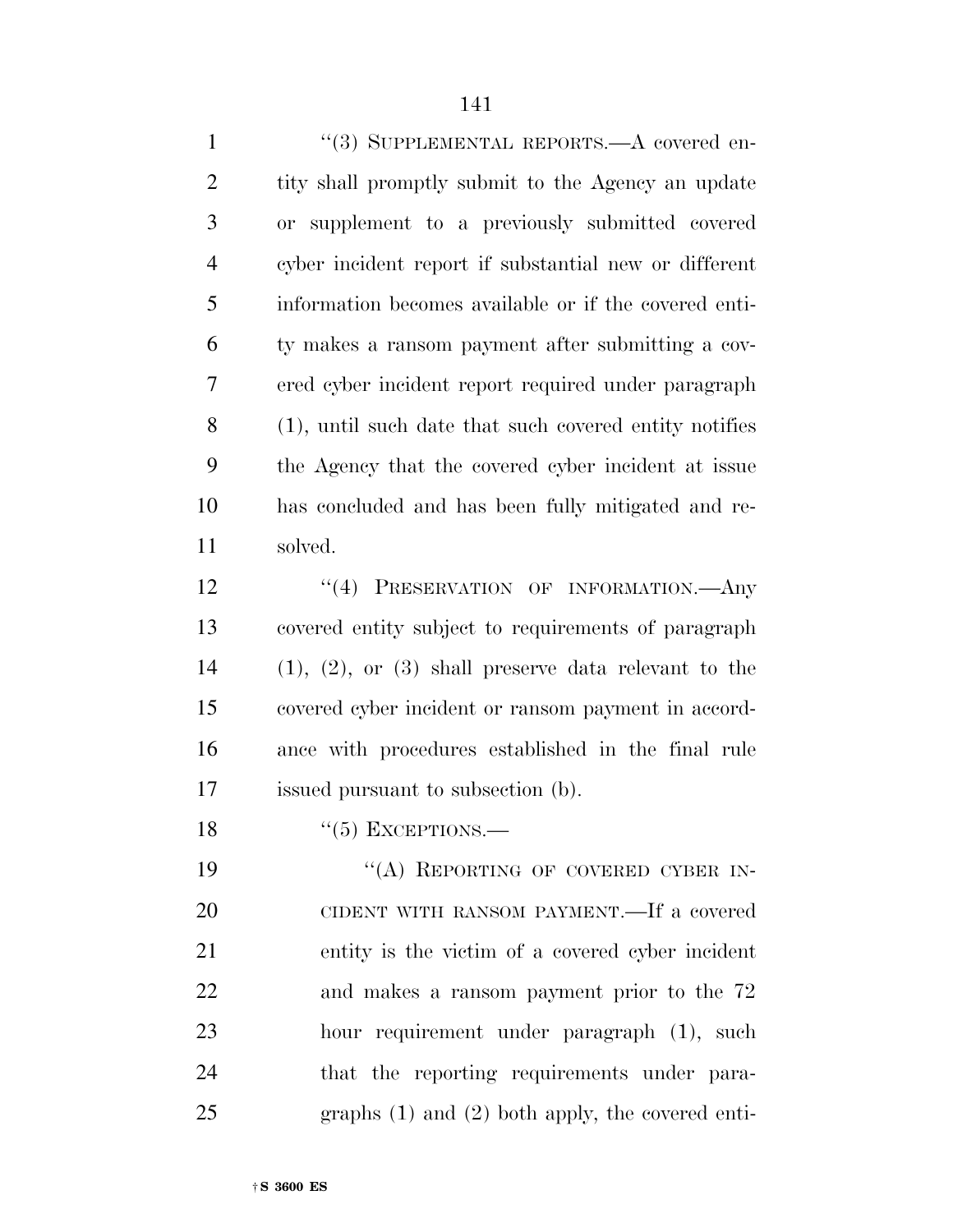| "(3) SUPPLEMENTAL REPORTS.—A covered en-                 |
|----------------------------------------------------------|
| tity shall promptly submit to the Agency an update       |
| or supplement to a previously submitted covered          |
| cyber incident report if substantial new or different    |
| information becomes available or if the covered enti-    |
| ty makes a ransom payment after submitting a cov-        |
| ered cyber incident report required under paragraph      |
| (1), until such date that such covered entity notifies   |
| the Agency that the covered cyber incident at issue      |
| has concluded and has been fully mitigated and re-       |
| solved.                                                  |
| "(4) PRESERVATION OF INFORMATION.—Any                    |
| covered entity subject to requirements of paragraph      |
| $(1), (2),$ or $(3)$ shall preserve data relevant to the |
| covered cyber incident or ransom payment in accord-      |
| ance with procedures established in the final rule       |
| issued pursuant to subsection (b).                       |
| $\lq(5)$ EXCEPTIONS.—                                    |
| "(A) REPORTING OF COVERED CYBER IN-                      |
| CIDENT WITH RANSOM PAYMENT.—If a covered                 |
| entity is the victim of a covered cyber incident         |
| and makes a ransom payment prior to the 72               |
| hour requirement under paragraph (1), such               |
|                                                          |

that the reporting requirements under para-

graphs (1) and (2) both apply, the covered enti-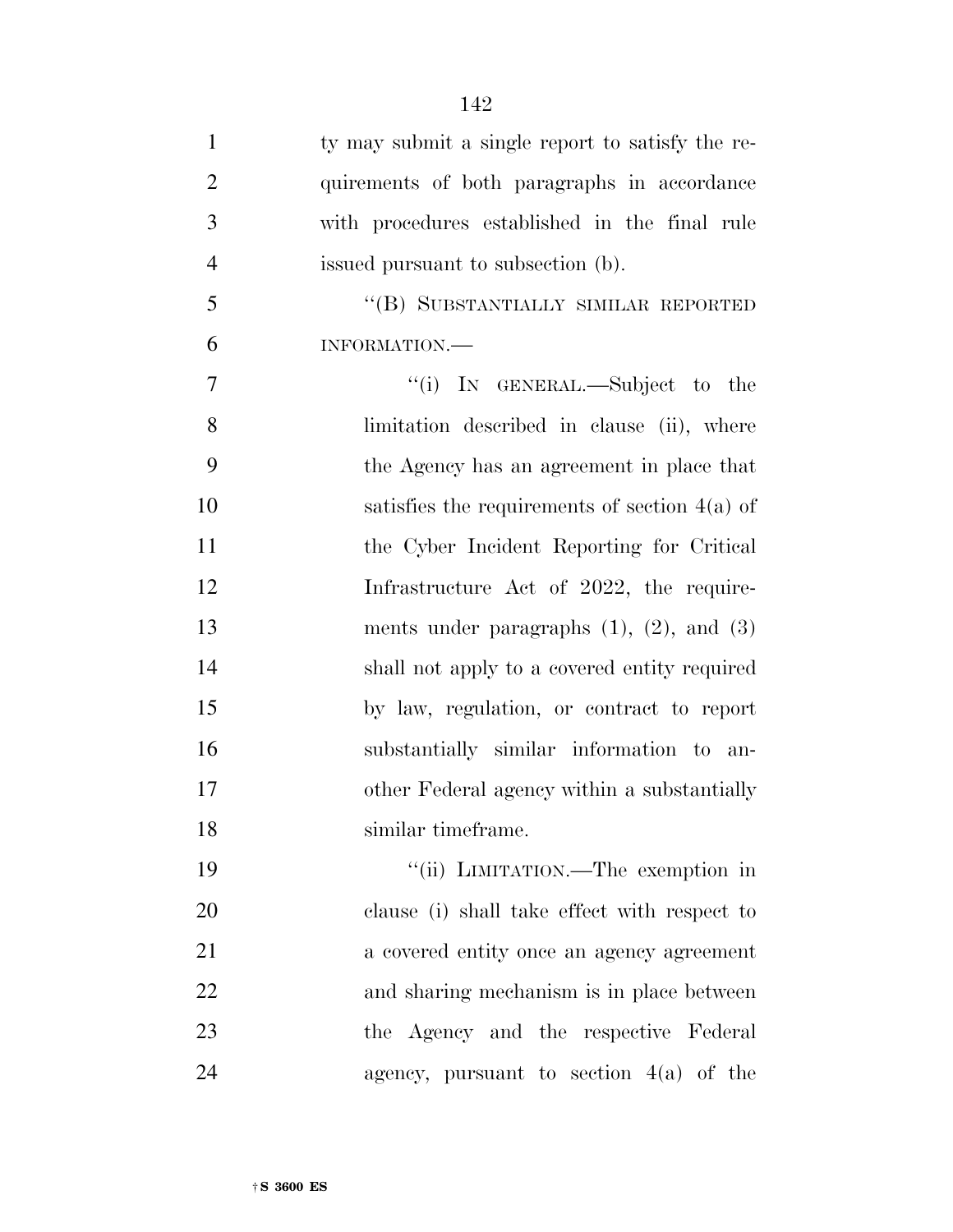| $\mathbf{1}$   | ty may submit a single report to satisfy the re- |
|----------------|--------------------------------------------------|
| $\overline{2}$ | quirements of both paragraphs in accordance      |
| 3              | with procedures established in the final rule    |
| $\overline{4}$ | issued pursuant to subsection (b).               |
| 5              | "(B) SUBSTANTIALLY SIMILAR REPORTED              |
| 6              | INFORMATION.                                     |
| 7              | "(i) IN GENERAL.—Subject to the                  |
| 8              | limitation described in clause (ii), where       |
| 9              | the Agency has an agreement in place that        |
| 10             | satisfies the requirements of section $4(a)$ of  |
| 11             | the Cyber Incident Reporting for Critical        |
| 12             | Infrastructure Act of 2022, the require-         |
| 13             | ments under paragraphs $(1)$ , $(2)$ , and $(3)$ |
| 14             | shall not apply to a covered entity required     |
| 15             | by law, regulation, or contract to report        |
| 16             | substantially similar information to an-         |
| 17             | other Federal agency within a substantially      |
| 18             | similar timeframe.                               |
| 19             | "(ii) LIMITATION.—The exemption in               |
| 20             | clause (i) shall take effect with respect to     |
| 21             | a covered entity once an agency agreement        |
| 22             | and sharing mechanism is in place between        |
| 23             | the Agency and the respective Federal            |
| 24             | agency, pursuant to section $4(a)$ of the        |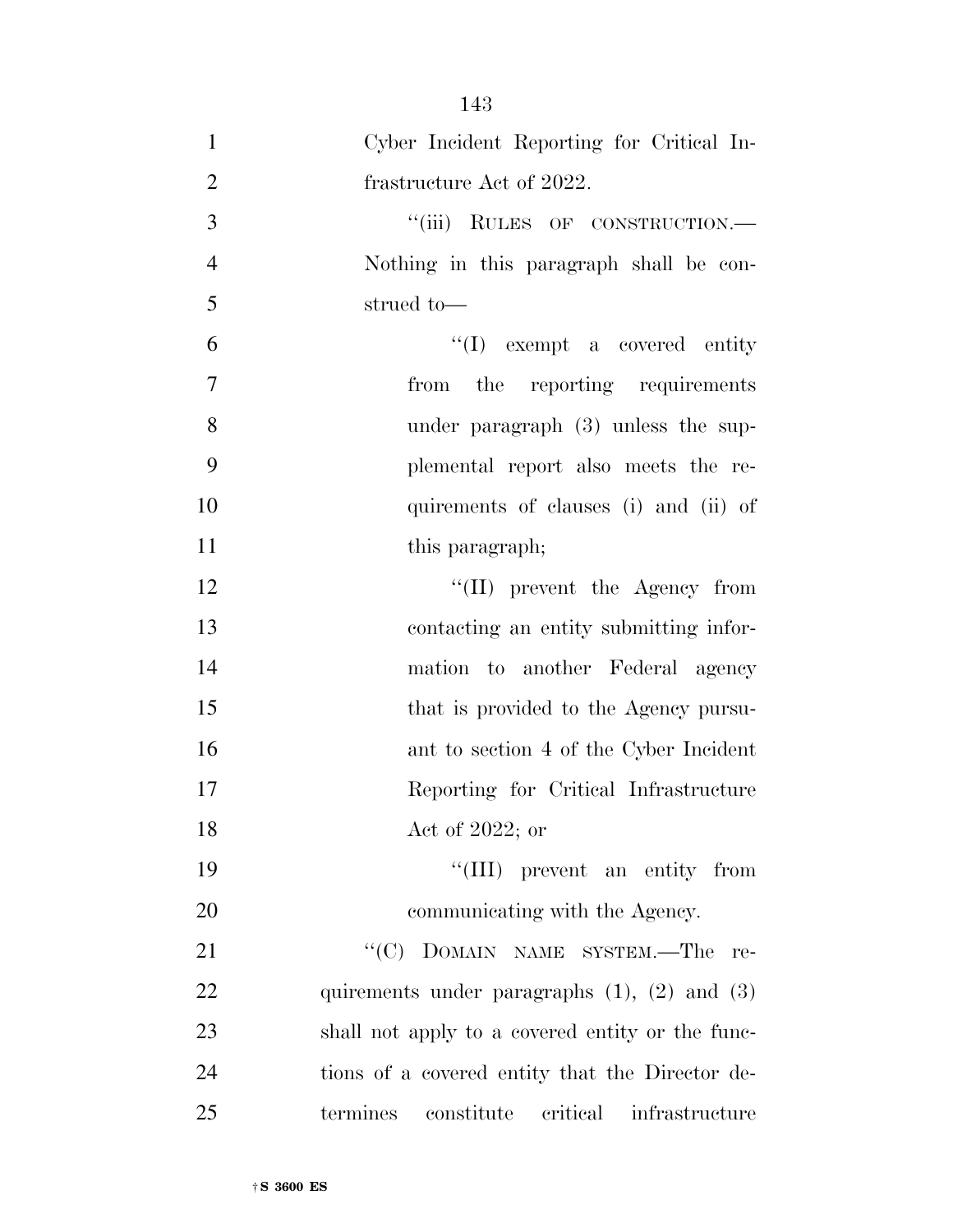| $\mathbf{1}$   | Cyber Incident Reporting for Critical In-            |
|----------------|------------------------------------------------------|
| $\overline{2}$ | frastructure Act of 2022.                            |
| 3              | "(iii) RULES OF CONSTRUCTION.-                       |
| $\overline{4}$ | Nothing in this paragraph shall be con-              |
| 5              | strued to-                                           |
| 6              | $\lq\lq$ (I) exempt a covered entity                 |
| 7              | from the reporting requirements                      |
| 8              | under paragraph $(3)$ unless the sup-                |
| 9              | plemental report also meets the re-                  |
| 10             | quirements of clauses (i) and (ii) of                |
| 11             | this paragraph;                                      |
| 12             | $\lq\lq$ (II) prevent the Agency from                |
| 13             | contacting an entity submitting infor-               |
| 14             | mation to another Federal agency                     |
| 15             | that is provided to the Agency pursu-                |
| 16             | ant to section 4 of the Cyber Incident               |
| 17             | Reporting for Critical Infrastructure                |
| 18             | Act of 2022; or                                      |
| 19             | "(III) prevent an entity from                        |
| 20             | communicating with the Agency.                       |
| 21             | $``(C)$ DOMAIN NAME SYSTEM.—The<br>re-               |
| 22             | quirements under paragraphs $(1)$ , $(2)$ and $(3)$  |
| 23             | shall not apply to a covered entity or the func-     |
| 24             | tions of a covered entity that the Director de-      |
| 25             | constitute<br>critical<br>termines<br>infrastructure |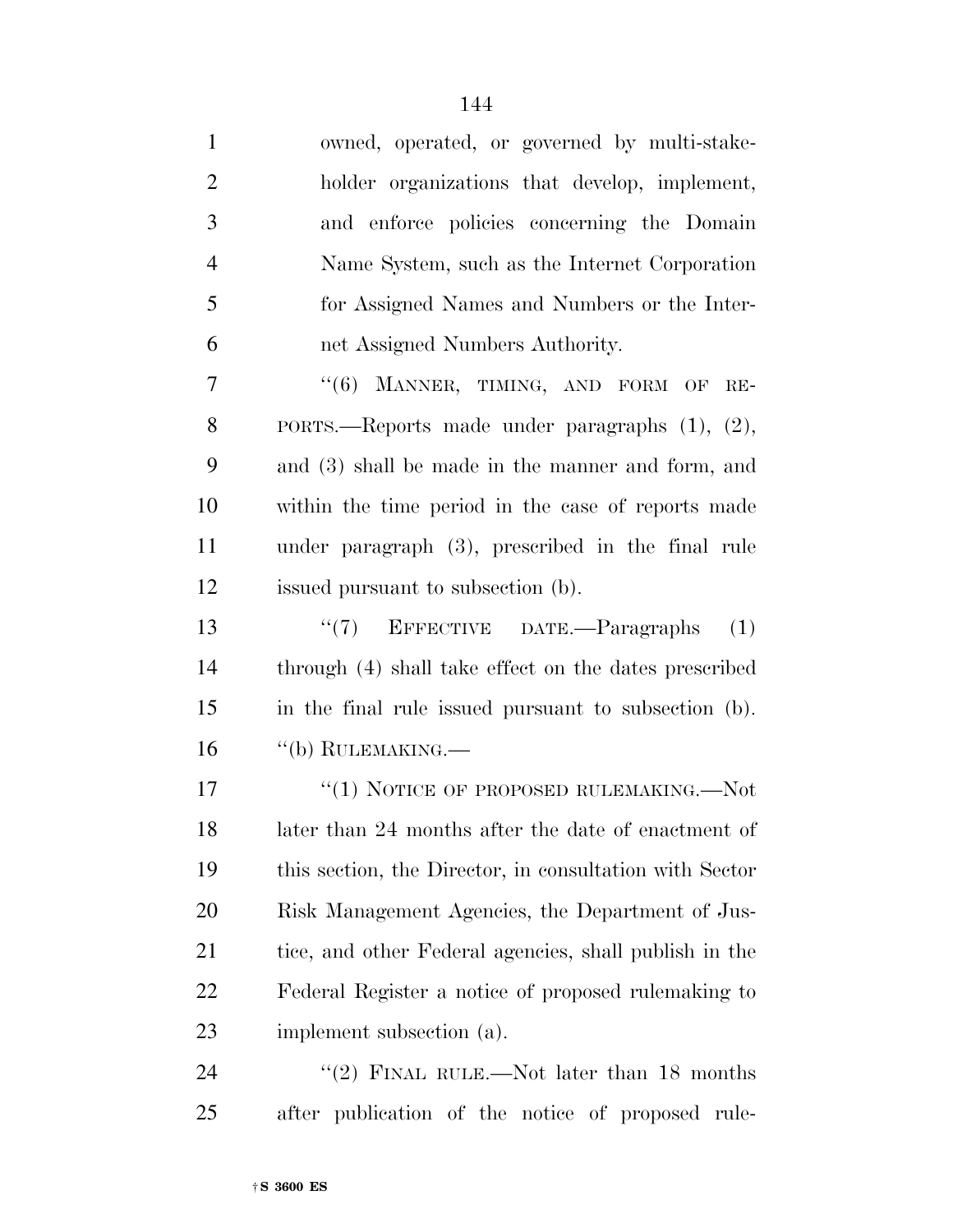| $\mathbf{1}$   | owned, operated, or governed by multi-stake-            |
|----------------|---------------------------------------------------------|
| $\overline{2}$ | holder organizations that develop, implement,           |
| 3              | and enforce policies concerning the Domain              |
| $\overline{4}$ | Name System, such as the Internet Corporation           |
| 5              | for Assigned Names and Numbers or the Inter-            |
| 6              | net Assigned Numbers Authority.                         |
| 7              | "(6) MANNER, TIMING, AND FORM OF RE-                    |
| 8              | PORTS.—Reports made under paragraphs (1), (2),          |
| 9              | and (3) shall be made in the manner and form, and       |
| 10             | within the time period in the case of reports made      |
| 11             | under paragraph $(3)$ , prescribed in the final rule    |
| 12             | issued pursuant to subsection (b).                      |
| 13             | " $(7)$ EFFECTIVE DATE.—Paragraphs $(1)$                |
| 14             | through (4) shall take effect on the dates prescribed   |
| 15             | in the final rule issued pursuant to subsection (b).    |
| 16             | $``$ (b) RULEMAKING.—                                   |
| 17             | "(1) NOTICE OF PROPOSED RULEMAKING.—Not                 |
| 18             | later than 24 months after the date of enactment of     |
| 19             | this section, the Director, in consultation with Sector |
| 20             | Risk Management Agencies, the Department of Jus-        |
| 21             | tice, and other Federal agencies, shall publish in the  |
| 22             | Federal Register a notice of proposed rulemaking to     |
| 23             | implement subsection (a).                               |
| 24             | FINAL RULE.—Not later than 18 months<br>(2)             |

after publication of the notice of proposed rule-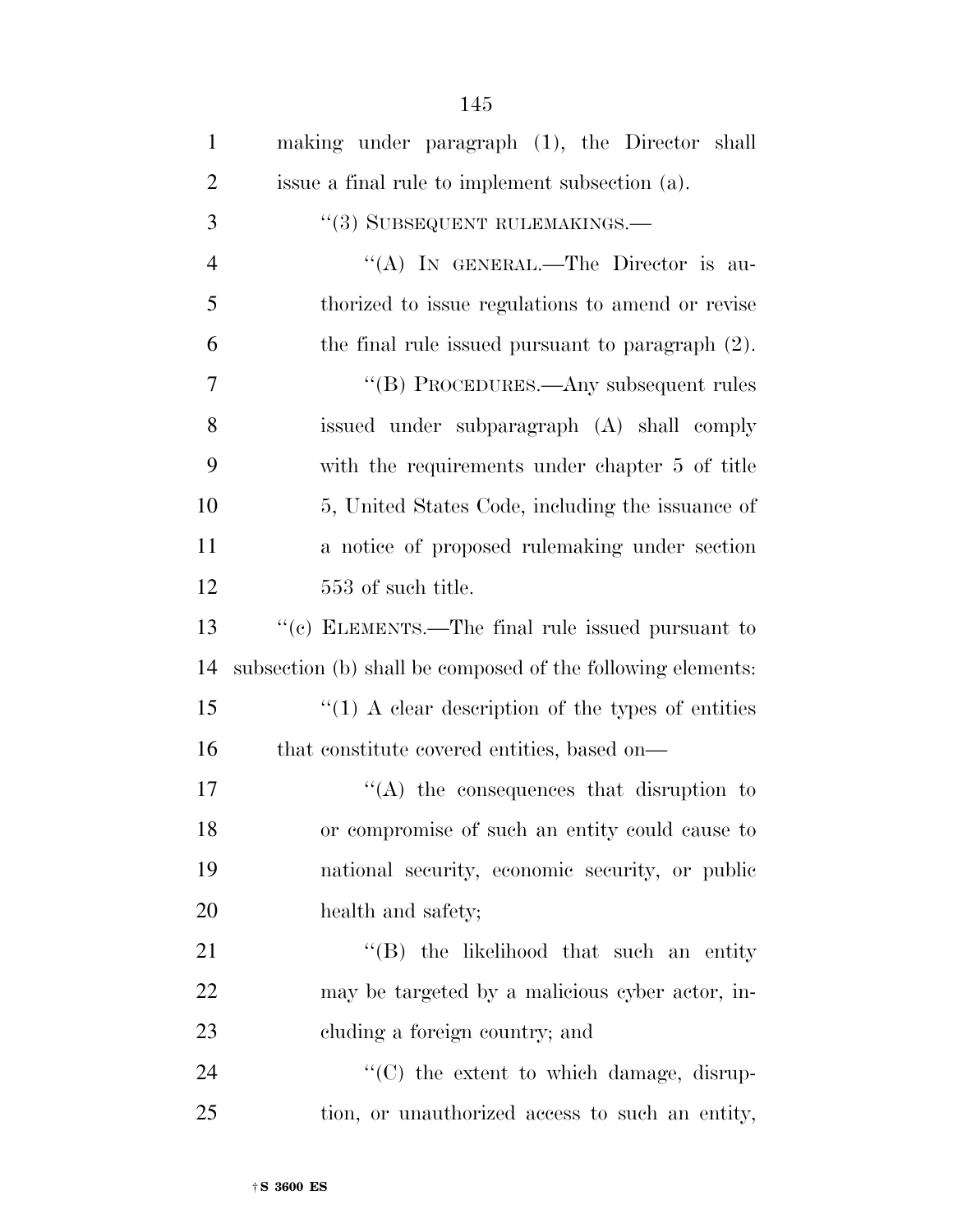| $\mathbf{1}$   | making under paragraph (1), the Director shall              |
|----------------|-------------------------------------------------------------|
| $\overline{2}$ | issue a final rule to implement subsection (a).             |
| 3              | "(3) SUBSEQUENT RULEMAKINGS.—                               |
| $\overline{4}$ | "(A) IN GENERAL.—The Director is au-                        |
| 5              | thorized to issue regulations to amend or revise            |
| 6              | the final rule issued pursuant to paragraph $(2)$ .         |
| 7              | "(B) PROCEDURES.—Any subsequent rules                       |
| 8              | issued under subparagraph (A) shall comply                  |
| 9              | with the requirements under chapter 5 of title              |
| 10             | 5, United States Code, including the issuance of            |
| 11             | a notice of proposed rulemaking under section               |
| 12             | 553 of such title.                                          |
| 13             | "(c) ELEMENTS.—The final rule issued pursuant to            |
| 14             | subsection (b) shall be composed of the following elements: |
| 15             | $\lq(1)$ A clear description of the types of entities       |
| 16             | that constitute covered entities, based on—                 |
| 17             | $\lq\lq$ the consequences that disruption to                |
| 18             | or compromise of such an entity could cause to              |
| 19             | national security, economic security, or public             |
| 20             | health and safety;                                          |
| 21             | "(B) the likelihood that such an entity                     |
| 22             | may be targeted by a malicious cyber actor, in-             |
| 23             | cluding a foreign country; and                              |
| 24             | "(C) the extent to which damage, disrup-                    |
| 25             | tion, or unauthorized access to such an entity,             |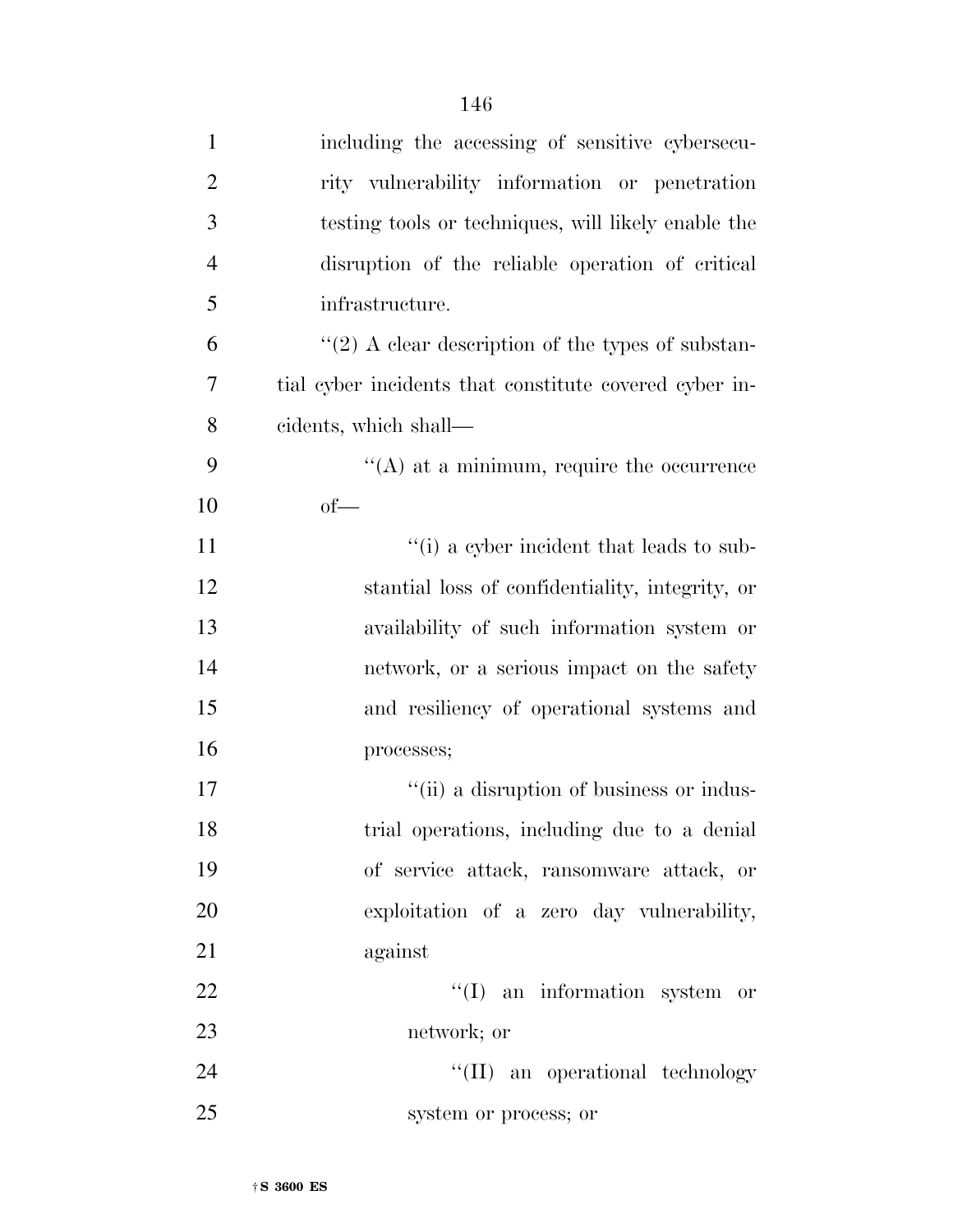| $\mathbf{1}$   | including the accessing of sensitive cybersecu-        |
|----------------|--------------------------------------------------------|
| $\overline{2}$ | rity vulnerability information or penetration          |
| 3              | testing tools or techniques, will likely enable the    |
| $\overline{4}$ | disruption of the reliable operation of critical       |
| 5              | infrastructure.                                        |
| 6              | $\lq(2)$ A clear description of the types of substan-  |
| 7              | tial cyber incidents that constitute covered cyber in- |
| 8              | cidents, which shall—                                  |
| 9              | $\cdot$ (A) at a minimum, require the occurrence       |
| 10             | $of$ —                                                 |
| 11             | "(i) a cyber incident that leads to sub-               |
| 12             | stantial loss of confidentiality, integrity, or        |
| 13             | availability of such information system or             |
| 14             | network, or a serious impact on the safety             |
| 15             | and resiliency of operational systems and              |
| 16             | processes;                                             |
| 17             | "(ii) a disruption of business or indus-               |
| 18             | trial operations, including due to a denial            |
| 19             | of service attack, ransomware attack, or               |
| 20             | exploitation of a zero day vulnerability,              |
| 21             | against                                                |
| 22             | $\lq(1)$ an information system or                      |
| 23             | network; or                                            |
| 24             | "(II) an operational technology                        |
| 25             | system or process; or                                  |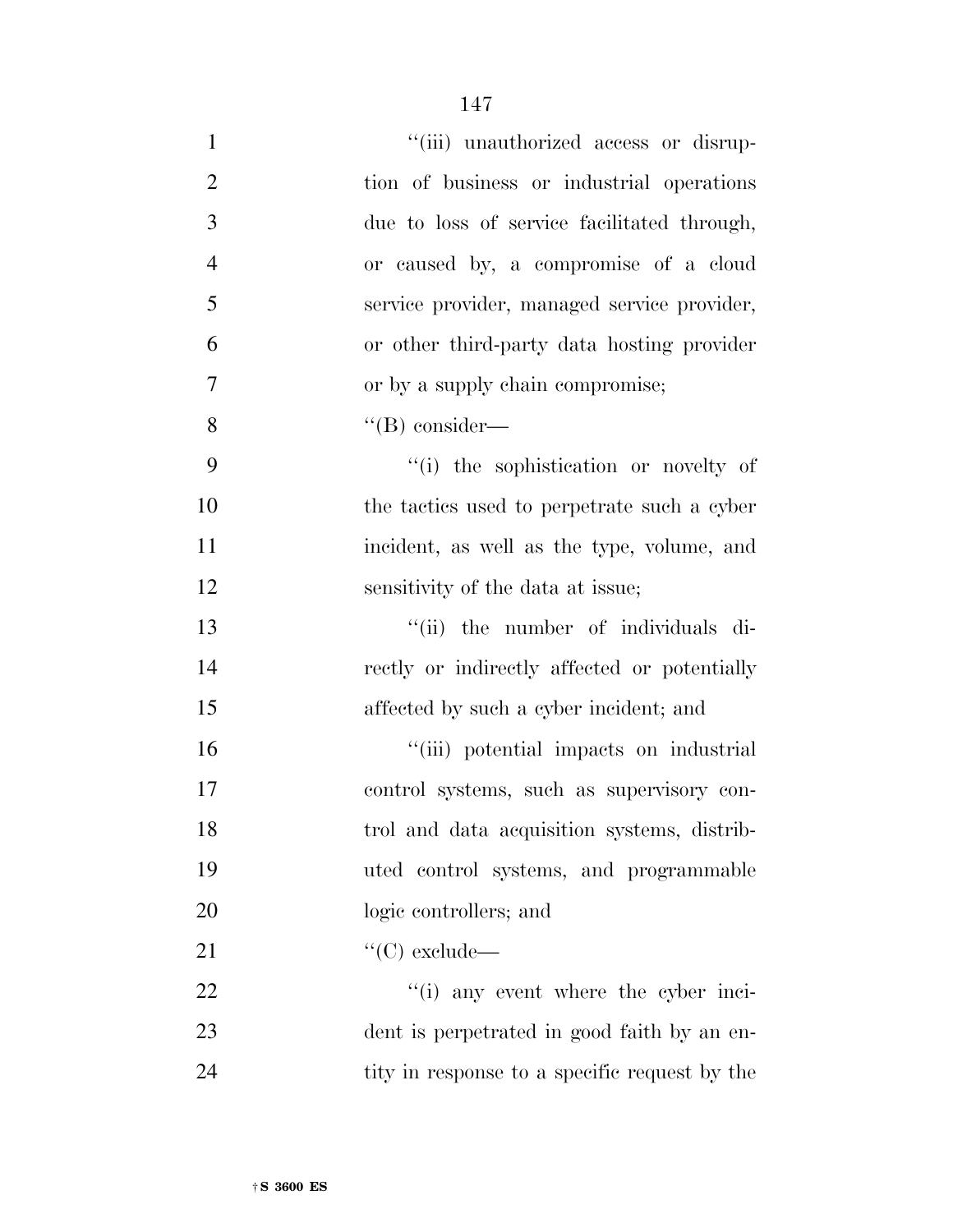| $\mathbf{1}$   | "(iii) unauthorized access or disrup-         |
|----------------|-----------------------------------------------|
| $\overline{2}$ | tion of business or industrial operations     |
| 3              | due to loss of service facilitated through,   |
| $\overline{4}$ | or caused by, a compromise of a cloud         |
| 5              | service provider, managed service provider,   |
| 6              | or other third-party data hosting provider    |
| 7              | or by a supply chain compromise;              |
| 8              | $\lq\lq(B)$ consider—                         |
| 9              | "(i) the sophistication or novelty of         |
| 10             | the tactics used to perpetrate such a cyber   |
| 11             | incident, as well as the type, volume, and    |
| 12             | sensitivity of the data at issue;             |
| 13             | "(ii) the number of individuals di-           |
| 14             | rectly or indirectly affected or potentially  |
| 15             | affected by such a cyber incident; and        |
| 16             | "(iii) potential impacts on industrial        |
| 17             | control systems, such as supervisory con-     |
| 18             | trol and data acquisition systems, distrib-   |
| 19             | uted control systems, and programmable        |
| 20             | logic controllers; and                        |
| 21             | $\lq\lq$ (C) exclude—                         |
| 22             | $f'(i)$ any event where the cyber inci-       |
| 23             | dent is perpetrated in good faith by an en-   |
| 24             | tity in response to a specific request by the |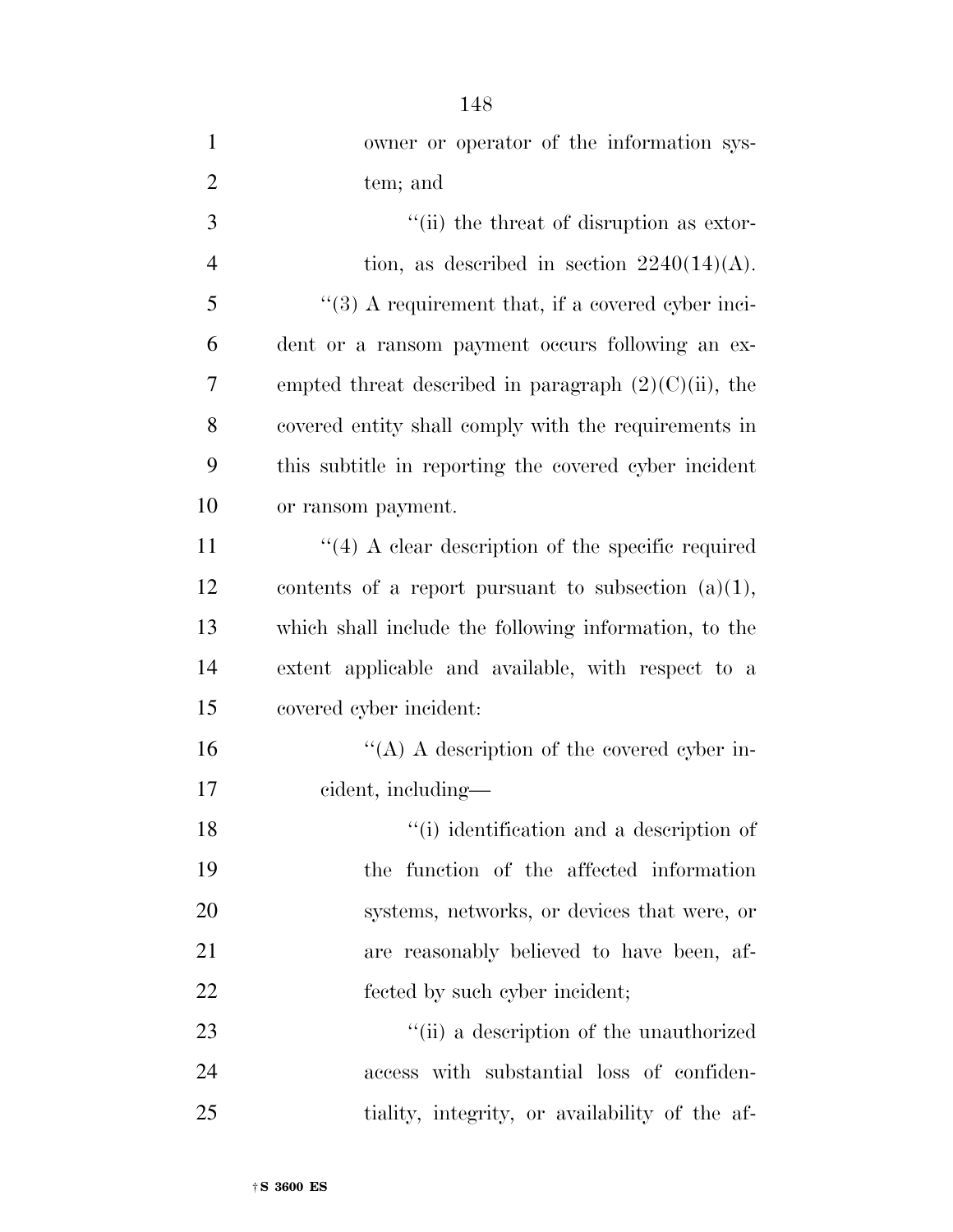| $\mathbf{1}$   | owner or operator of the information sys-                     |
|----------------|---------------------------------------------------------------|
| $\overline{2}$ | tem; and                                                      |
| 3              | "(ii) the threat of disruption as extor-                      |
| $\overline{4}$ | tion, as described in section $2240(14)(A)$ .                 |
| 5              | $\cdot\cdot$ (3) A requirement that, if a covered cyber inci- |
| 6              | dent or a ransom payment occurs following an ex-              |
| $\overline{7}$ | empted threat described in paragraph $(2)(C)(ii)$ , the       |
| 8              | covered entity shall comply with the requirements in          |
| 9              | this subtitle in reporting the covered cyber incident         |
| 10             | or ransom payment.                                            |
| 11             | $\cdot$ (4) A clear description of the specific required      |
| 12             | contents of a report pursuant to subsection $(a)(1)$ ,        |
| 13             | which shall include the following information, to the         |
| 14             | extent applicable and available, with respect to a            |
| 15             | covered cyber incident:                                       |
| 16             | "(A) A description of the covered cyber in-                   |
| 17             | cident, including—                                            |
| 18             | "(i) identification and a description of                      |
| 19             | the function of the affected information                      |
| <b>20</b>      | systems, networks, or devices that were, or                   |
| 21             | are reasonably believed to have been, af-                     |
| 22             | fected by such cyber incident;                                |
| 23             | "(ii) a description of the unauthorized                       |
| 24             | access with substantial loss of confiden-                     |
| 25             | tiality, integrity, or availability of the af-                |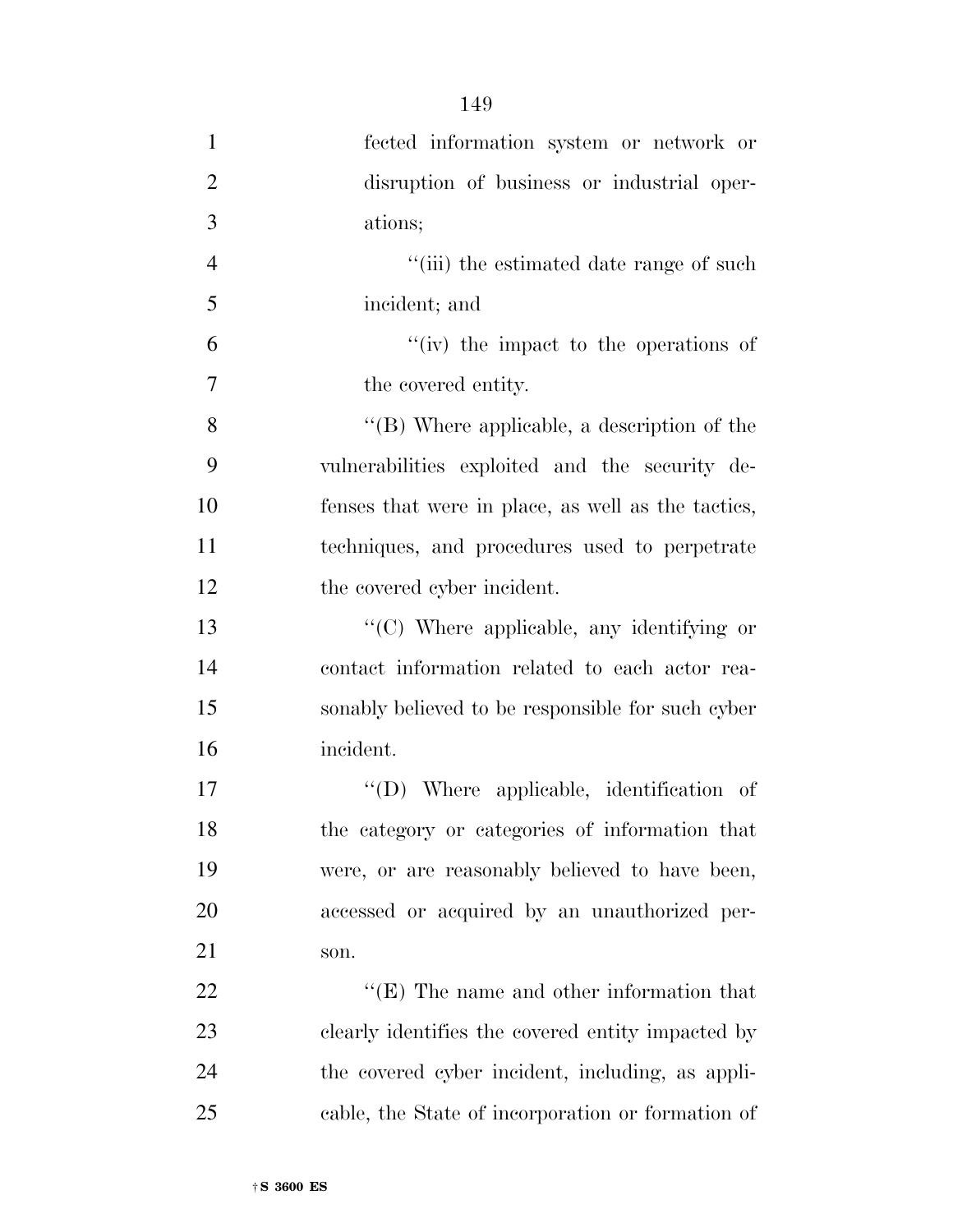| $\mathbf{1}$   | fected information system or network or             |
|----------------|-----------------------------------------------------|
| $\overline{2}$ | disruption of business or industrial oper-          |
| 3              | ations;                                             |
| $\overline{4}$ | "(iii) the estimated date range of such             |
| 5              | incident; and                                       |
| 6              | "(iv) the impact to the operations of               |
| 7              | the covered entity.                                 |
| 8              | $\lq\lq$ (B) Where applicable, a description of the |
| 9              | vulnerabilities exploited and the security de-      |
| 10             | fenses that were in place, as well as the tactics,  |
| 11             | techniques, and procedures used to perpetrate       |
| 12             | the covered cyber incident.                         |
| 13             | "(C) Where applicable, any identifying or           |
| 14             | contact information related to each actor rea-      |
| 15             | sonably believed to be responsible for such cyber   |
| 16             | incident.                                           |
| 17             | $\lq\lq$ . Where applicable, identification of      |
| 18             | the category or categories of information that      |
| 19             | were, or are reasonably believed to have been,      |
| 20             | accessed or acquired by an unauthorized per-        |
| 21             | son.                                                |
| 22             | $\lq\lq(E)$ The name and other information that     |
| 23             | clearly identifies the covered entity impacted by   |
| 24             | the covered cyber incident, including, as appli-    |
| 25             | cable, the State of incorporation or formation of   |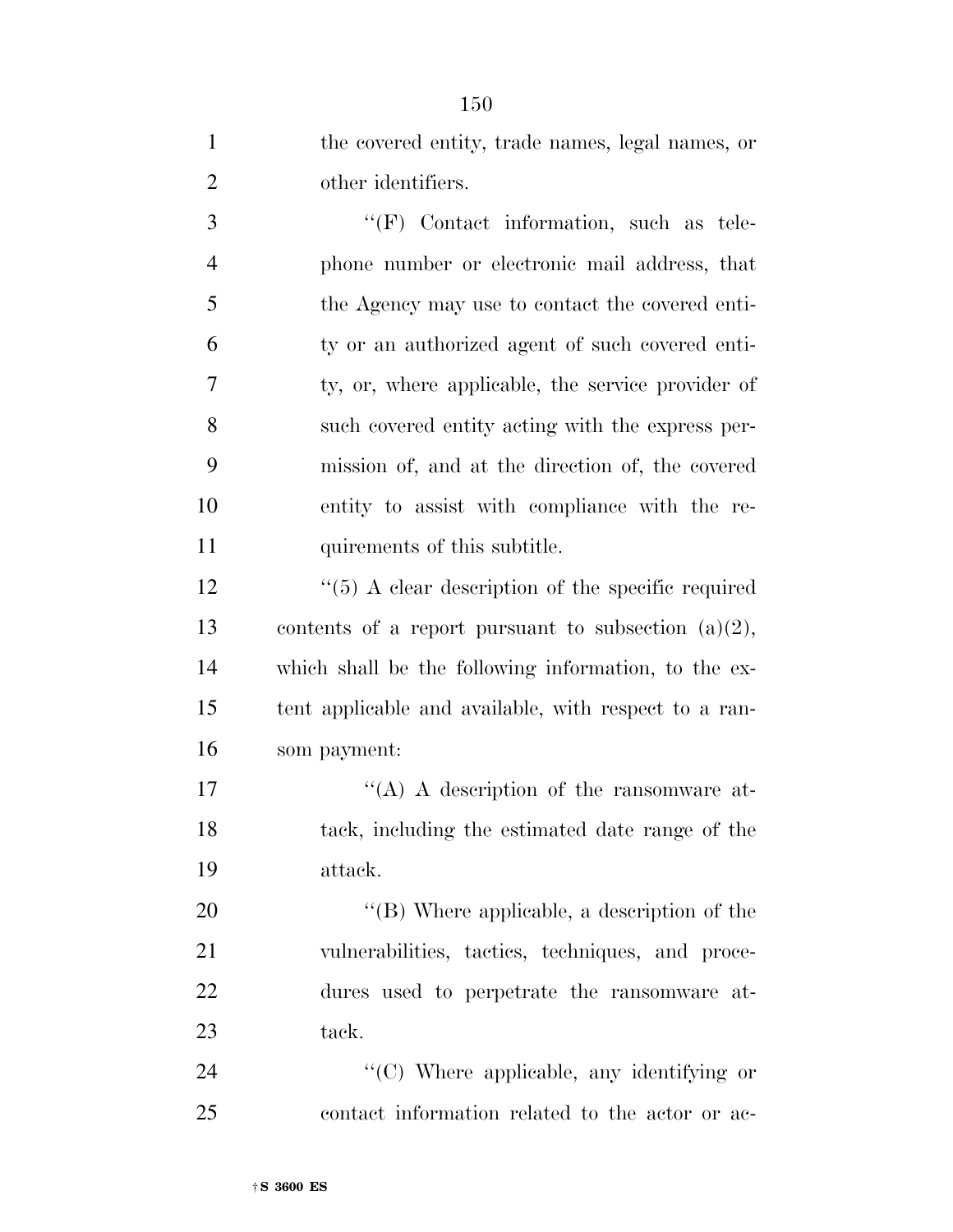| $\mathbf{1}$   | the covered entity, trade names, legal names, or         |
|----------------|----------------------------------------------------------|
| $\overline{2}$ | other identifiers.                                       |
| 3              | "(F) Contact information, such as tele-                  |
| $\overline{4}$ | phone number or electronic mail address, that            |
| 5              | the Agency may use to contact the covered enti-          |
| 6              | ty or an authorized agent of such covered enti-          |
| 7              | ty, or, where applicable, the service provider of        |
| 8              | such covered entity acting with the express per-         |
| 9              | mission of, and at the direction of, the covered         |
| 10             | entity to assist with compliance with the re-            |
| 11             | quirements of this subtitle.                             |
| 12             | $\cdot$ (5) A clear description of the specific required |
| 13             | contents of a report pursuant to subsection $(a)(2)$ ,   |
| 14             | which shall be the following information, to the ex-     |
| 15             | tent applicable and available, with respect to a ran-    |
| 16             | som payment:                                             |
| 17             | "(A) A description of the ransom ware at-                |
| 18             | tack, including the estimated date range of the          |
| 19             | attack.                                                  |
| 20             | $\lq\lq$ (B) Where applicable, a description of the      |
| 21             | vulnerabilities, tactics, techniques, and proce-         |
| 22             | dures used to perpetrate the ransomware at-              |
| 23             | tack.                                                    |
| 24             | "(C) Where applicable, any identifying or                |
| 25             | contact information related to the actor or ac-          |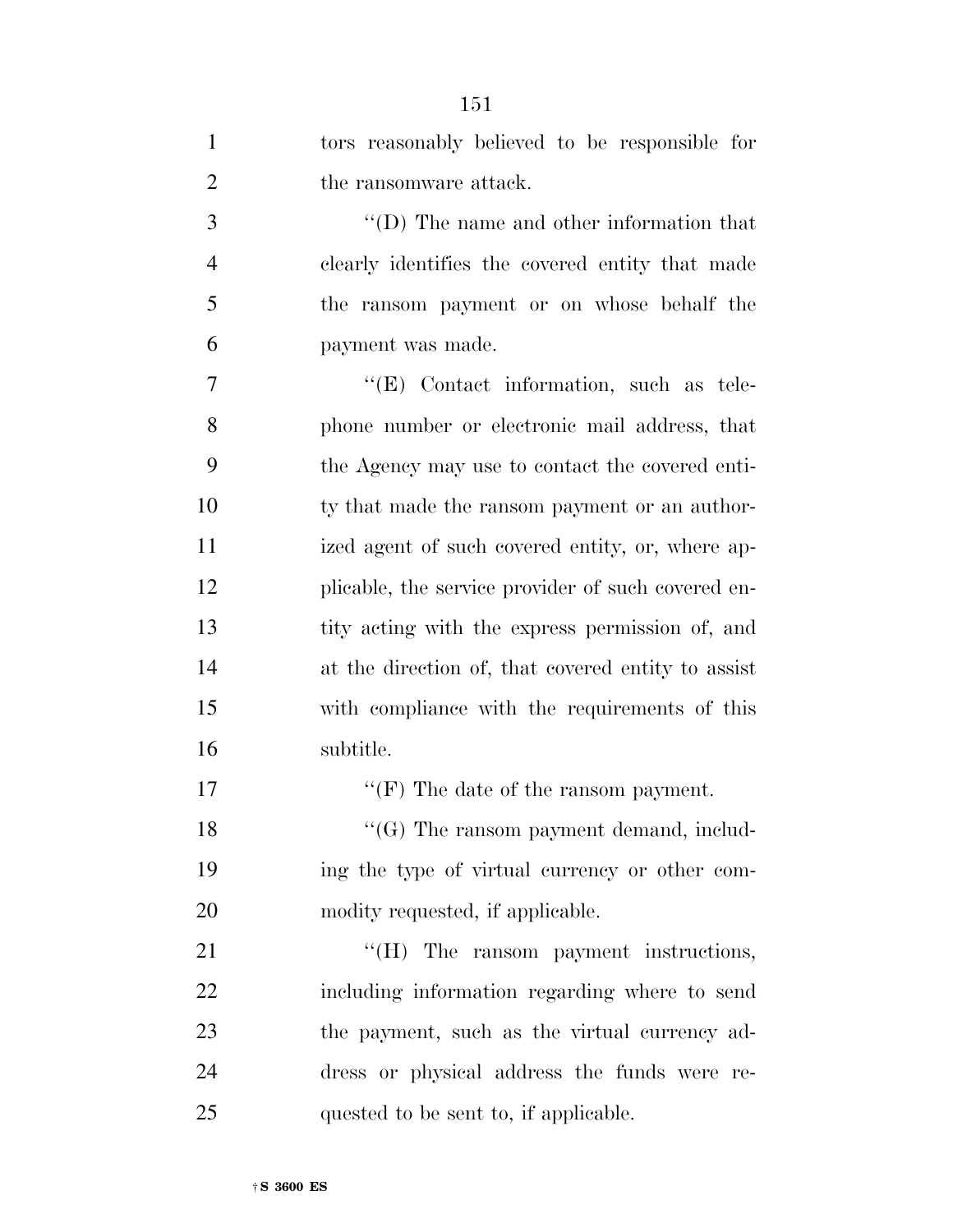| $\mathbf{1}$   | tors reasonably believed to be responsible for     |
|----------------|----------------------------------------------------|
| $\overline{2}$ | the ransomware attack.                             |
| 3              | $\lq\lq$ (D) The name and other information that   |
| $\overline{4}$ | clearly identifies the covered entity that made    |
| 5              | the ransom payment or on whose behalf the          |
| 6              | payment was made.                                  |
| 7              | $\lq\lq$ (E) Contact information, such as tele-    |
| 8              | phone number or electronic mail address, that      |
| 9              | the Agency may use to contact the covered enti-    |
| 10             | ty that made the ransom payment or an author-      |
| 11             | ized agent of such covered entity, or, where ap-   |
| 12             | plicable, the service provider of such covered en- |
| 13             | tity acting with the express permission of, and    |
| 14             | at the direction of, that covered entity to assist |
| 15             | with compliance with the requirements of this      |
| 16             | subtitle.                                          |
| 17             | "(F) The date of the ransom payment.               |
| 18             | $\lq\lq(G)$ The ransom payment demand, includ-     |
| 19             | ing the type of virtual currency or other com-     |
| 20             | modity requested, if applicable.                   |
| 21             | "(H) The ransom payment instructions,              |
| 22             | including information regarding where to send      |
| 23             | the payment, such as the virtual currency ad-      |
| 24             | dress or physical address the funds were re-       |
| 25             | quested to be sent to, if applicable.              |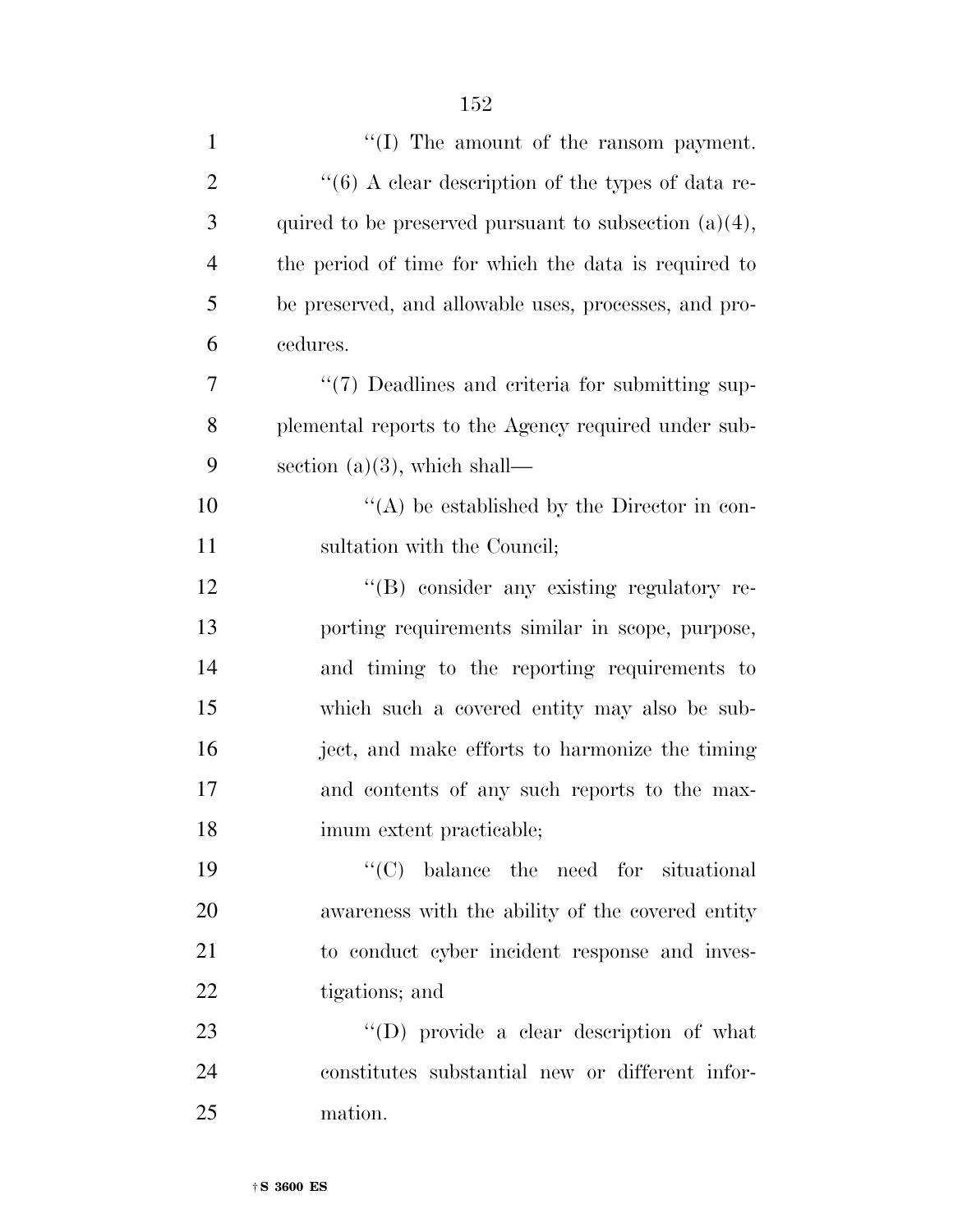| $\mathbf{1}$   | "(I) The amount of the ransom payment.                   |
|----------------|----------------------------------------------------------|
| $\overline{2}$ | " $(6)$ A clear description of the types of data re-     |
| 3              | quired to be preserved pursuant to subsection $(a)(4)$ , |
| $\overline{4}$ | the period of time for which the data is required to     |
| 5              | be preserved, and allowable uses, processes, and pro-    |
| 6              | cedures.                                                 |
| 7              | "(7) Deadlines and criteria for submitting sup-          |
| 8              | plemental reports to the Agency required under sub-      |
| 9              | section $(a)(3)$ , which shall—                          |
| 10             | $\lq\lq$ be established by the Director in con-          |
| 11             | sultation with the Council;                              |
| 12             | "(B) consider any existing regulatory re-                |
| 13             | porting requirements similar in scope, purpose,          |
| 14             | and timing to the reporting requirements to              |
| 15             | which such a covered entity may also be sub-             |
| 16             | ject, and make efforts to harmonize the timing           |
| 17             | and contents of any such reports to the max-             |
| 18             | imum extent practicable;                                 |
| 19             | $\lq\lq$ balance the need for situational                |
| 20             | awareness with the ability of the covered entity         |
| 21             | to conduct cyber incident response and inves-            |
| 22             | tigations; and                                           |
| 23             | $\lq\lq$ (D) provide a clear description of what         |
| 24             | constitutes substantial new or different infor-          |
| 25             | mation.                                                  |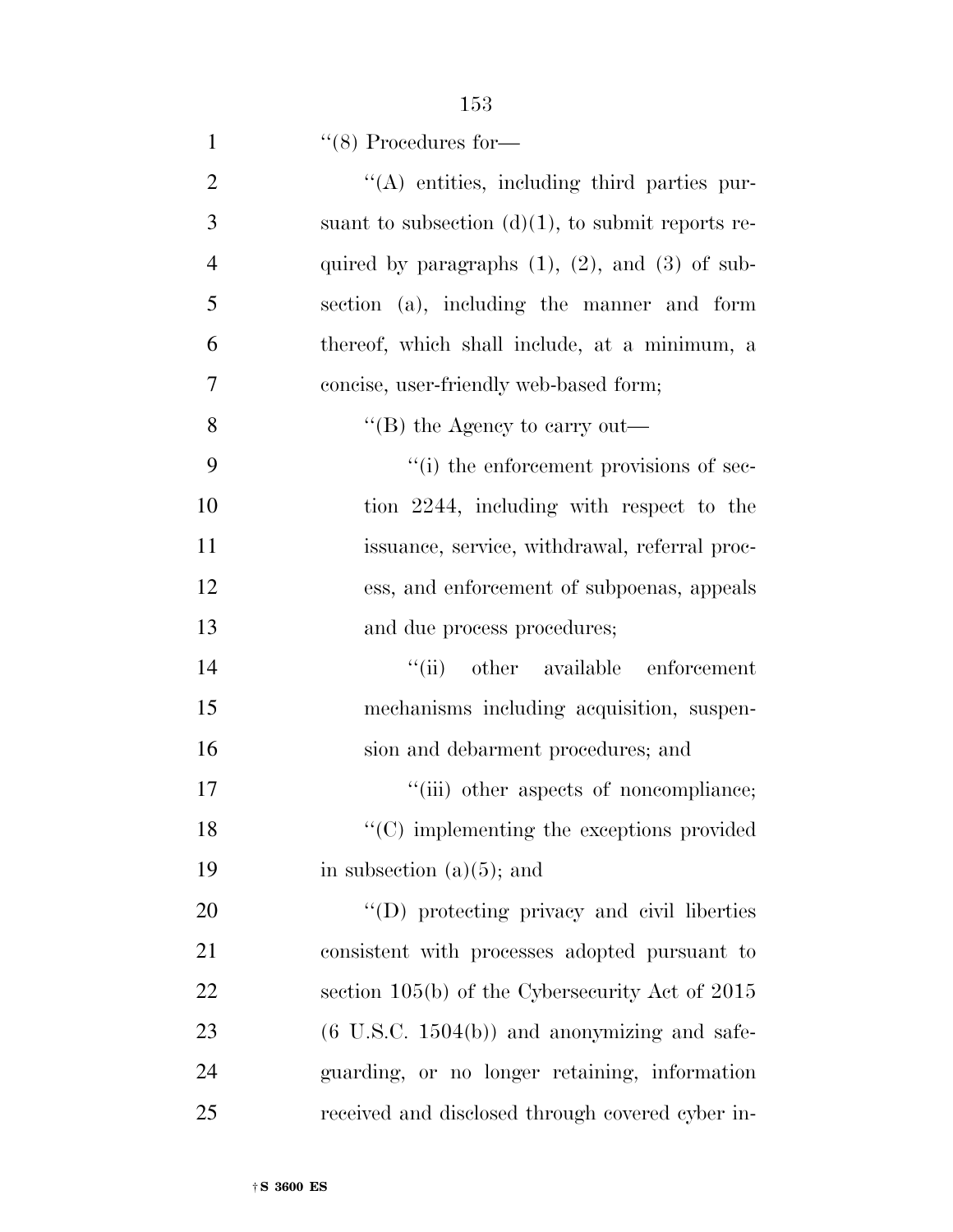| $\mathbf{1}$   | $\lq(8)$ Procedures for-                                |
|----------------|---------------------------------------------------------|
| $\overline{2}$ | "(A) entities, including third parties pur-             |
| 3              | suant to subsection $(d)(1)$ , to submit reports re-    |
| $\overline{4}$ | quired by paragraphs $(1)$ , $(2)$ , and $(3)$ of sub-  |
| 5              | section (a), including the manner and form              |
| 6              | thereof, which shall include, at a minimum, a           |
| 7              | concise, user-friendly web-based form;                  |
| 8              | "(B) the Agency to carry out—                           |
| 9              | "(i) the enforcement provisions of sec-                 |
| 10             | tion 2244, including with respect to the                |
| 11             | issuance, service, withdrawal, referral proc-           |
| 12             | ess, and enforcement of subpoenas, appeals              |
| 13             | and due process procedures;                             |
| 14             | "(ii) other available enforcement                       |
| 15             | mechanisms including acquisition, suspen-               |
| 16             | sion and debarment procedures; and                      |
| 17             | "(iii) other aspects of noncompliance;                  |
| 18             | $\cdot\cdot$ (C) implementing the exceptions provided   |
| 19             | in subsection $(a)(5)$ ; and                            |
| 20             | $\lq\lq$ (D) protecting privacy and civil liberties     |
| 21             | consistent with processes adopted pursuant to           |
| 22             | section $105(b)$ of the Cybersecurity Act of $2015$     |
| 23             | $(6 \text{ U.S.C. } 1504(b))$ and anonymizing and safe- |
| 24             | guarding, or no longer retaining, information           |
| 25             | received and disclosed through covered cyber in-        |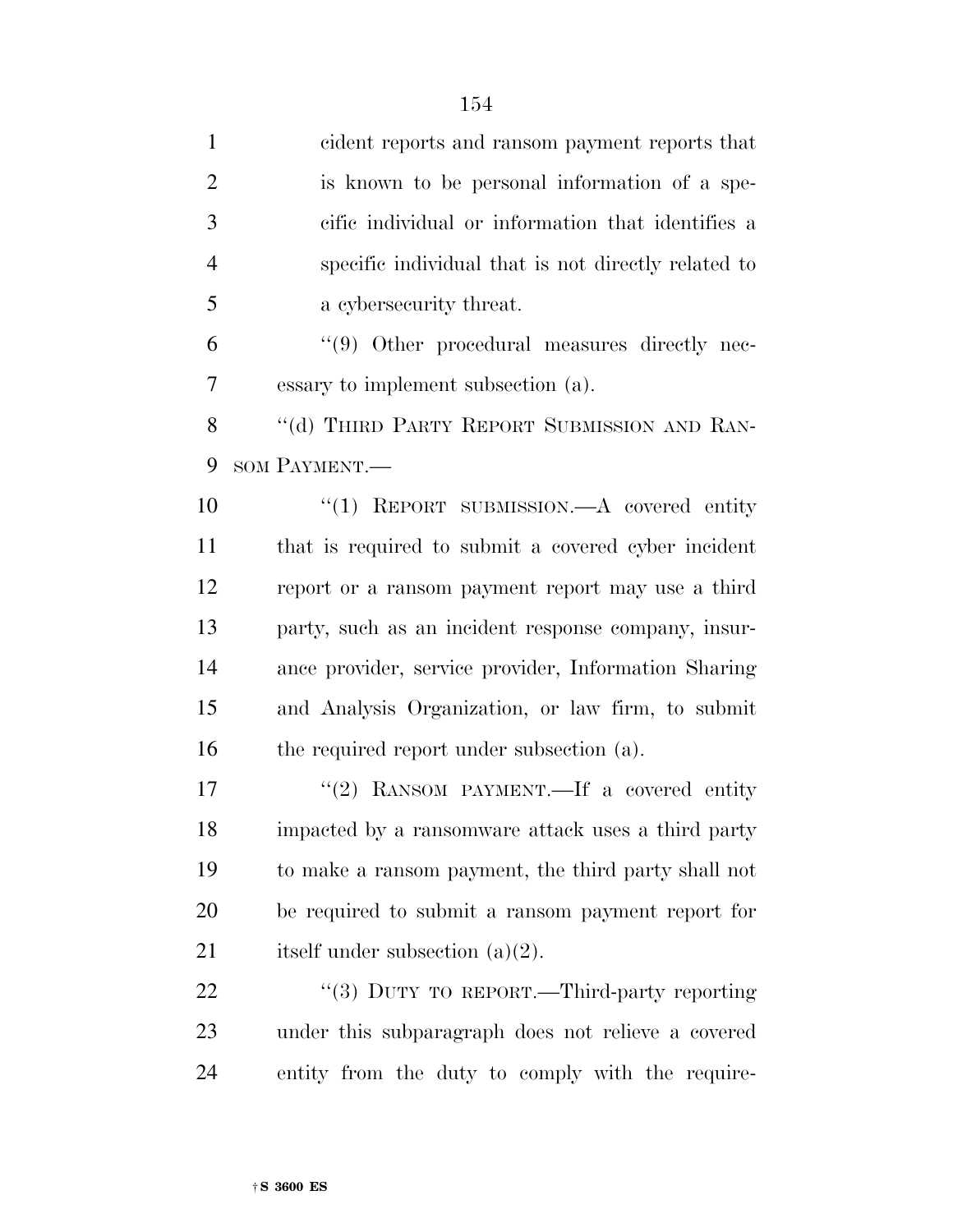| $\mathbf{1}$   | cident reports and ransom payment reports that       |
|----------------|------------------------------------------------------|
| $\overline{2}$ | is known to be personal information of a spe-        |
| 3              | cific individual or information that identifies a    |
| $\overline{4}$ | specific individual that is not directly related to  |
| 5              | a cybersecurity threat.                              |
| 6              | "(9) Other procedural measures directly nec-         |
| 7              | essary to implement subsection (a).                  |
| 8              | "(d) THIRD PARTY REPORT SUBMISSION AND RAN-          |
| 9              | SOM PAYMENT.                                         |
| 10             | "(1) REPORT SUBMISSION.—A covered entity             |
| 11             | that is required to submit a covered cyber incident  |
| 12             | report or a ransom payment report may use a third    |
| 13             | party, such as an incident response company, insur-  |
| 14             | ance provider, service provider, Information Sharing |
| 15             | and Analysis Organization, or law firm, to submit    |
| 16             | the required report under subsection (a).            |
| 17             | "(2) RANSOM PAYMENT.—If a covered entity             |
| 18             | impacted by a ransomware attack uses a third party   |
| 19             | to make a ransom payment, the third party shall not  |
| 20             | be required to submit a ransom payment report for    |
| 21             | itself under subsection $(a)(2)$ .                   |
| 22             | "(3) DUTY TO REPORT.—Third-party reporting           |
| 23             | under this subparagraph does not relieve a covered   |

entity from the duty to comply with the require-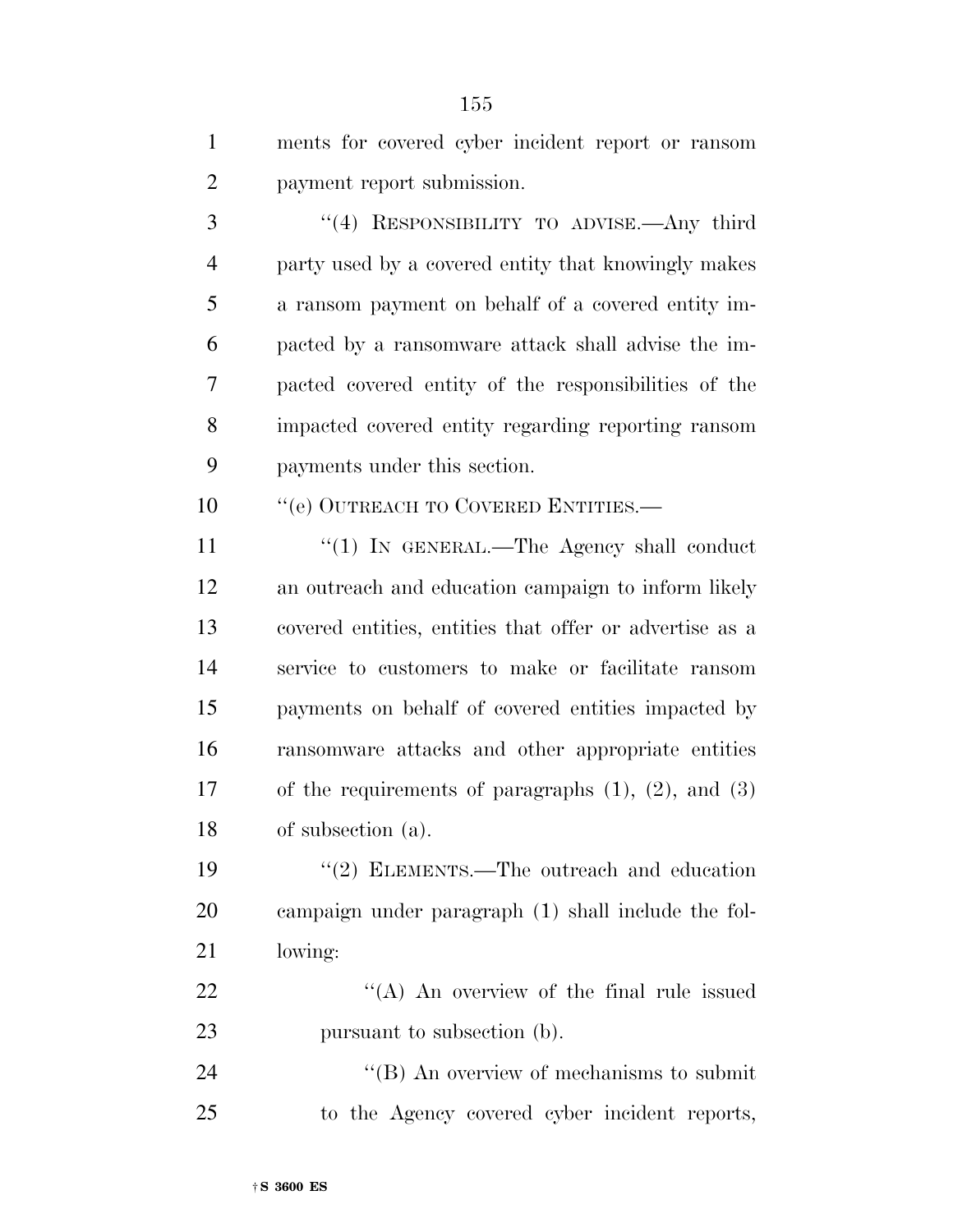| $\mathbf{1}$   | ments for covered cyber incident report or ransom           |
|----------------|-------------------------------------------------------------|
| $\overline{2}$ | payment report submission.                                  |
| 3              | "(4) RESPONSIBILITY TO ADVISE.—Any third                    |
| $\overline{4}$ | party used by a covered entity that knowingly makes         |
| 5              | a ransom payment on behalf of a covered entity im-          |
| 6              | pacted by a ransomware attack shall advise the im-          |
| 7              | pacted covered entity of the responsibilities of the        |
| 8              | impacted covered entity regarding reporting ransom          |
| 9              | payments under this section.                                |
| 10             | "(e) OUTREACH TO COVERED ENTITIES.-                         |
| 11             | "(1) IN GENERAL.—The Agency shall conduct                   |
| 12             | an outreach and education campaign to inform likely         |
| 13             | covered entities, entities that offer or advertise as a     |
| 14             | service to customers to make or facilitate ransom           |
| 15             | payments on behalf of covered entities impacted by          |
| 16             | ransomware attacks and other appropriate entities           |
| 17             | of the requirements of paragraphs $(1)$ , $(2)$ , and $(3)$ |
| 18             | of subsection (a).                                          |
| 19             | "(2) ELEMENTS.—The outreach and education                   |
| 20             | campaign under paragraph (1) shall include the fol-         |
| 21             | lowing:                                                     |
| 22             | $\lq\lq$ An overview of the final rule issued               |
| 23             | pursuant to subsection (b).                                 |
| 24             | $\lq\lq$ (B) An overview of mechanisms to submit            |
| 25             | to the Agency covered cyber incident reports,               |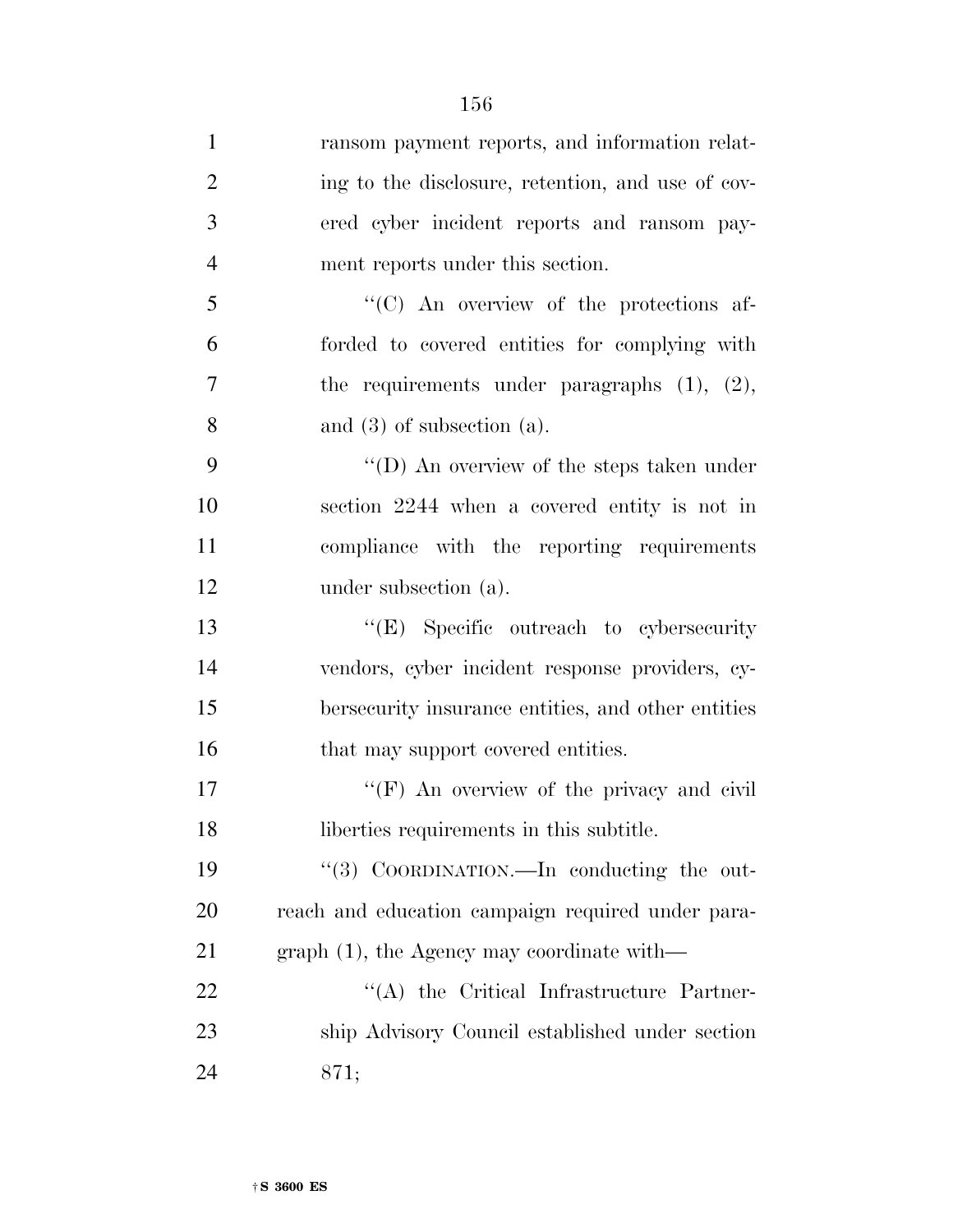| $\mathbf{1}$   | ransom payment reports, and information relat-     |
|----------------|----------------------------------------------------|
| $\overline{2}$ | ing to the disclosure, retention, and use of cov-  |
| 3              | ered cyber incident reports and ransom pay-        |
| $\overline{4}$ | ment reports under this section.                   |
| 5              | "(C) An overview of the protections af-            |
| 6              | forded to covered entities for complying with      |
| 7              | the requirements under paragraphs $(1)$ , $(2)$ ,  |
| 8              | and $(3)$ of subsection $(a)$ .                    |
| 9              | "(D) An overview of the steps taken under          |
| 10             | section 2244 when a covered entity is not in       |
| 11             | compliance with the reporting requirements         |
| 12             | under subsection (a).                              |
| 13             | "(E) Specific outreach to cybersecurity            |
| 14             | vendors, cyber incident response providers, cy-    |
| 15             | bersecurity insurance entities, and other entities |
| 16             | that may support covered entities.                 |
| 17             | "(F) An overview of the privacy and civil          |
| 18             | liberties requirements in this subtitle.           |
| 19             | "(3) COORDINATION.—In conducting the out-          |
| 20             | reach and education campaign required under para-  |
| 21             | $graph(1)$ , the Agency may coordinate with—       |
| 22             | "(A) the Critical Infrastructure Partner-          |
| 23             | ship Advisory Council established under section    |
| 24             | 871;                                               |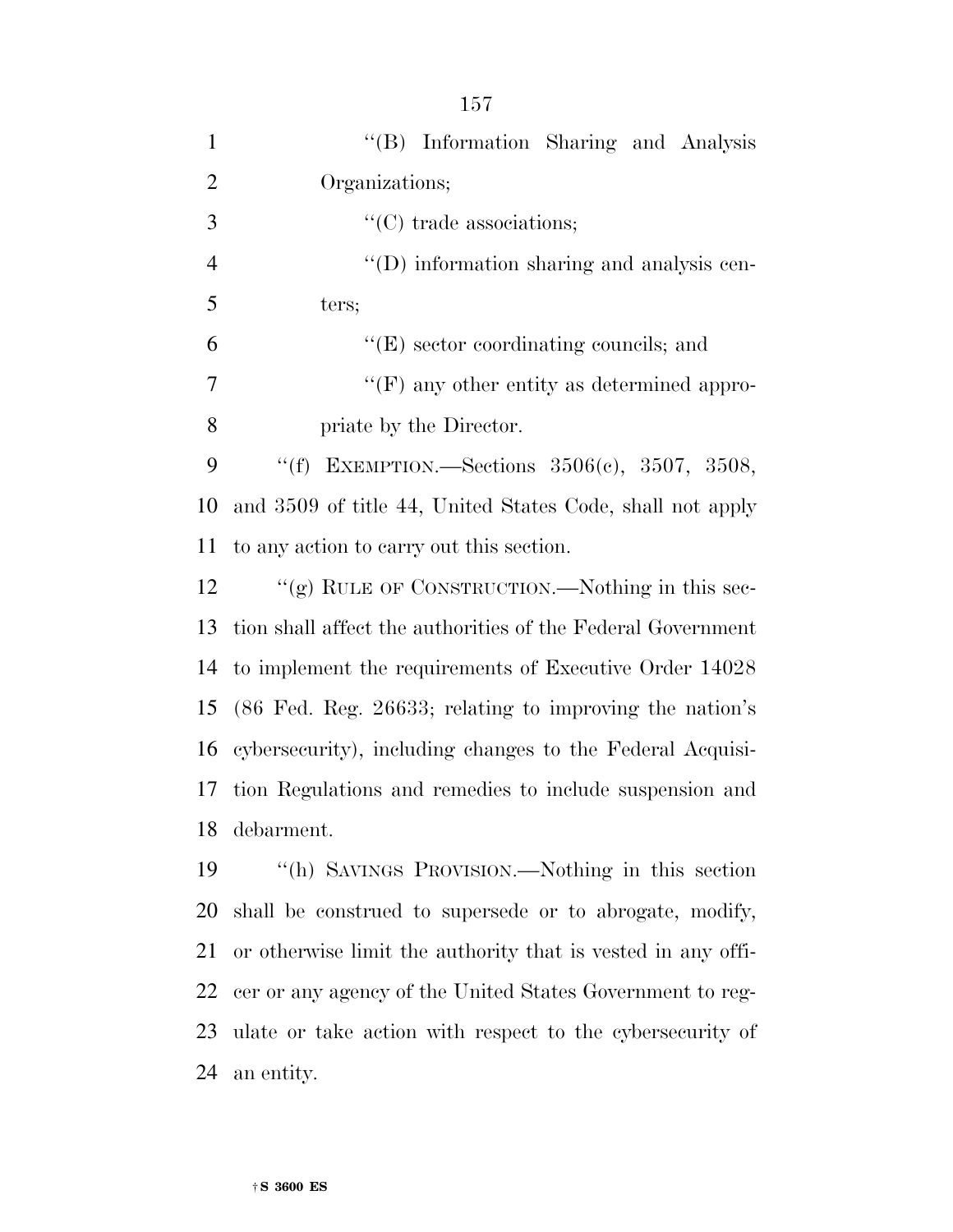| $\mathbf{1}$   | "(B) Information Sharing and Analysis                              |
|----------------|--------------------------------------------------------------------|
| $\overline{2}$ | Organizations;                                                     |
| 3              | $\lq\lq$ (C) trade associations;                                   |
| $\overline{4}$ | $\lq\lq$ (D) information sharing and analysis cen-                 |
| 5              | ters;                                                              |
| 6              | $\lq\lq(E)$ sector coordinating councils; and                      |
| 7              | $\lq\lq(F)$ any other entity as determined appro-                  |
| 8              | priate by the Director.                                            |
| 9              | "(f) EXEMPTION.—Sections $3506(c)$ , $3507$ , $3508$ ,             |
| 10             | and 3509 of title 44, United States Code, shall not apply          |
| 11             | to any action to carry out this section.                           |
| 12             | "(g) RULE OF CONSTRUCTION.—Nothing in this sec-                    |
| 13             | tion shall affect the authorities of the Federal Government        |
| 14             | to implement the requirements of Executive Order 14028             |
| 15             | $(86 \text{ Fed. Reg. } 26633;$ relating to improving the nation's |
| 16             | cybersecurity), including changes to the Federal Acquisi-          |
| 17             | tion Regulations and remedies to include suspension and            |
| 18             | debarment.                                                         |
| 19             | "(h) SAVINGS PROVISION.—Nothing in this section                    |
| 20             | shall be construed to supersede or to abrogate, modify,            |
|                |                                                                    |

 or otherwise limit the authority that is vested in any offi- cer or any agency of the United States Government to reg- ulate or take action with respect to the cybersecurity of an entity.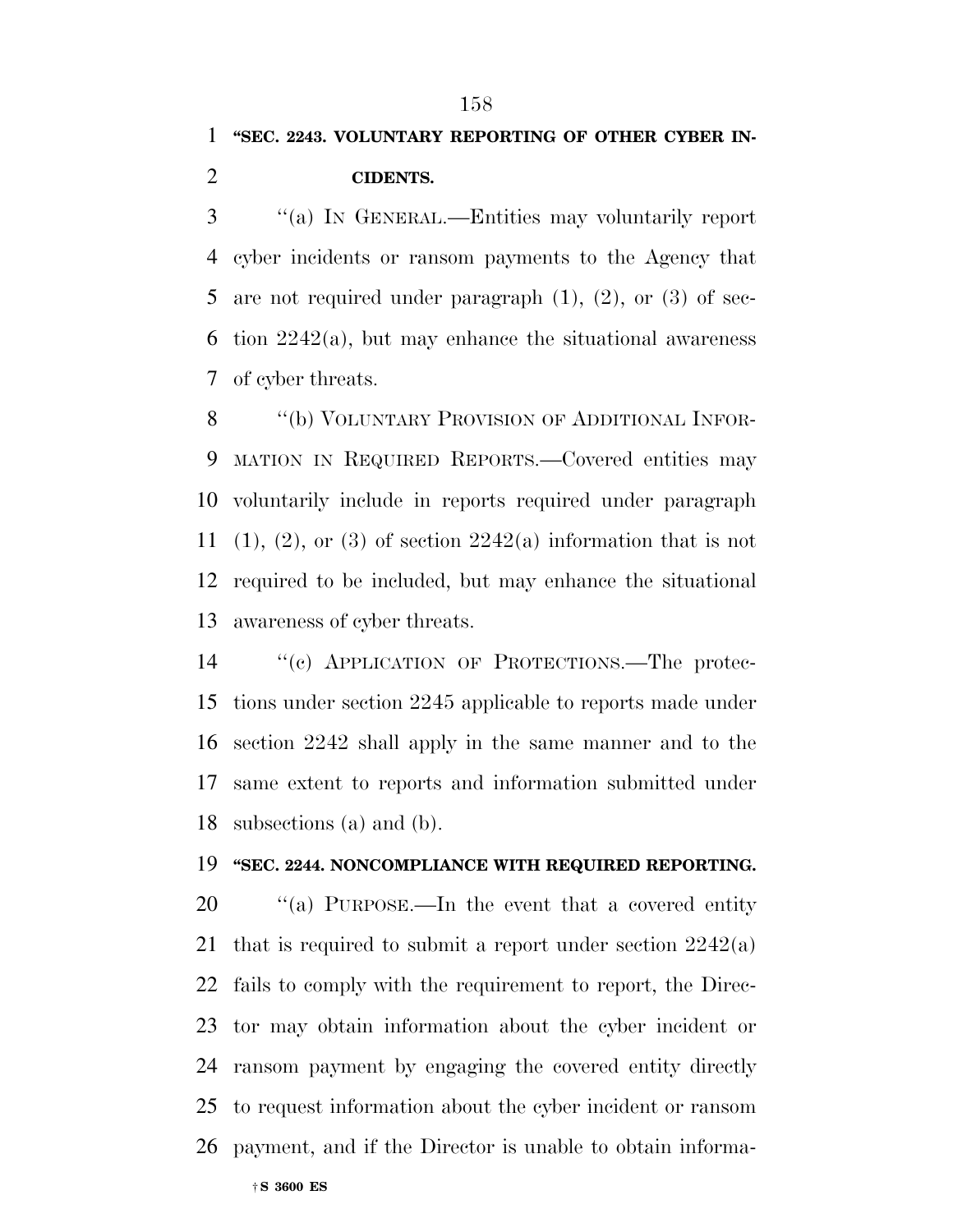## **''SEC. 2243. VOLUNTARY REPORTING OF OTHER CYBER IN-**

#### **CIDENTS.**

 ''(a) IN GENERAL.—Entities may voluntarily report cyber incidents or ransom payments to the Agency that 5 are not required under paragraph  $(1)$ ,  $(2)$ , or  $(3)$  of sec- tion 2242(a), but may enhance the situational awareness of cyber threats.

8 "(b) VOLUNTARY PROVISION OF ADDITIONAL INFOR- MATION IN REQUIRED REPORTS.—Covered entities may voluntarily include in reports required under paragraph 11 (1), (2), or (3) of section  $2242(a)$  information that is not required to be included, but may enhance the situational awareness of cyber threats.

 ''(c) APPLICATION OF PROTECTIONS.—The protec- tions under section 2245 applicable to reports made under section 2242 shall apply in the same manner and to the same extent to reports and information submitted under subsections (a) and (b).

### **''SEC. 2244. NONCOMPLIANCE WITH REQUIRED REPORTING.**

20 "(a) PURPOSE.—In the event that a covered entity that is required to submit a report under section 2242(a) fails to comply with the requirement to report, the Direc- tor may obtain information about the cyber incident or ransom payment by engaging the covered entity directly to request information about the cyber incident or ransom payment, and if the Director is unable to obtain informa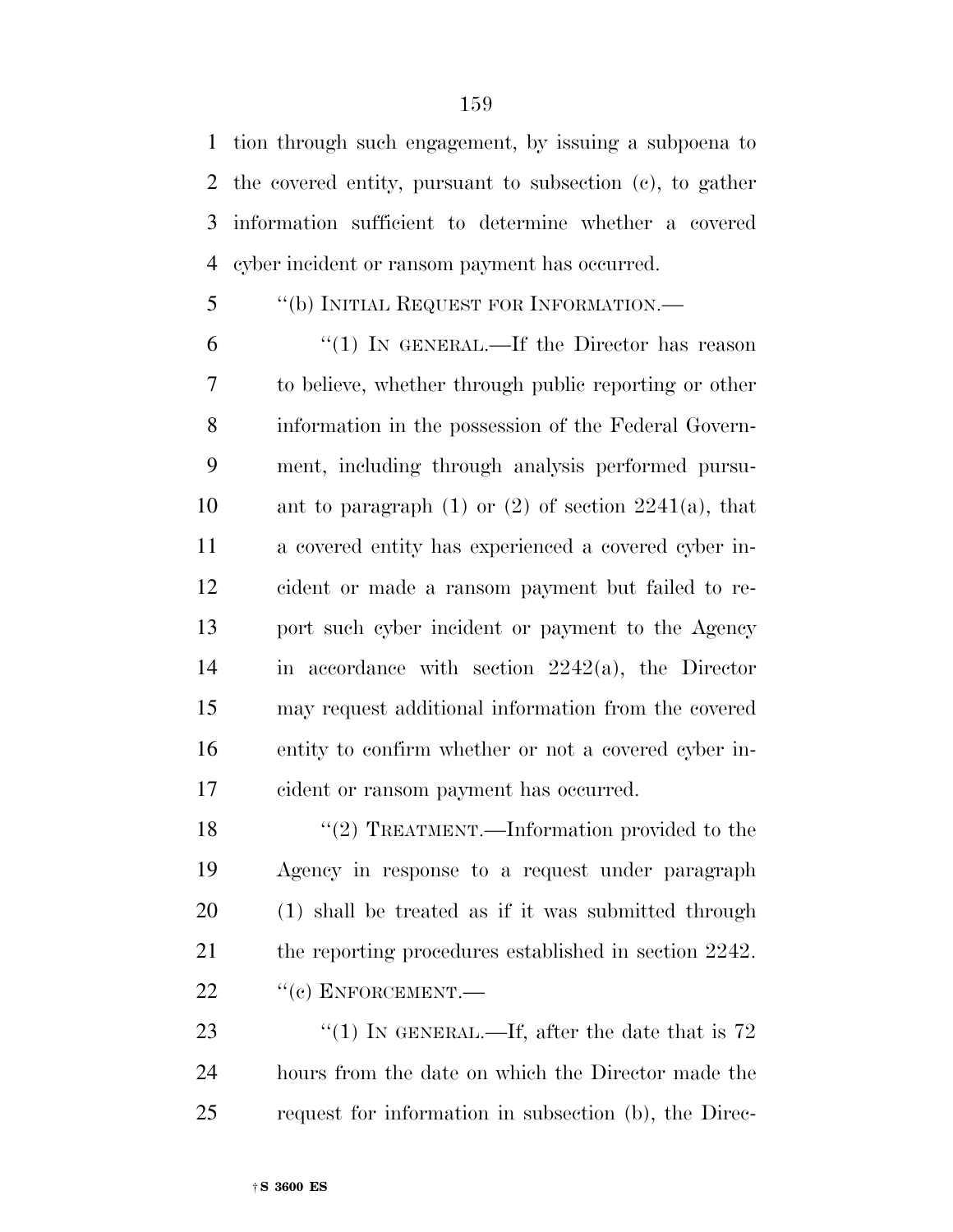tion through such engagement, by issuing a subpoena to the covered entity, pursuant to subsection (c), to gather information sufficient to determine whether a covered cyber incident or ransom payment has occurred.

# ''(b) INITIAL REQUEST FOR INFORMATION.—

 ''(1) IN GENERAL.—If the Director has reason to believe, whether through public reporting or other information in the possession of the Federal Govern- ment, including through analysis performed pursu-10 ant to paragraph (1) or (2) of section  $2241(a)$ , that a covered entity has experienced a covered cyber in- cident or made a ransom payment but failed to re- port such cyber incident or payment to the Agency in accordance with section 2242(a), the Director may request additional information from the covered entity to confirm whether or not a covered cyber in-cident or ransom payment has occurred.

18 "(2) TREATMENT.—Information provided to the Agency in response to a request under paragraph (1) shall be treated as if it was submitted through 21 the reporting procedures established in section 2242. 22 "(c) ENFORCEMENT.—

23  $\frac{4}{1}$  IN GENERAL.—If, after the date that is 72 hours from the date on which the Director made the request for information in subsection (b), the Direc-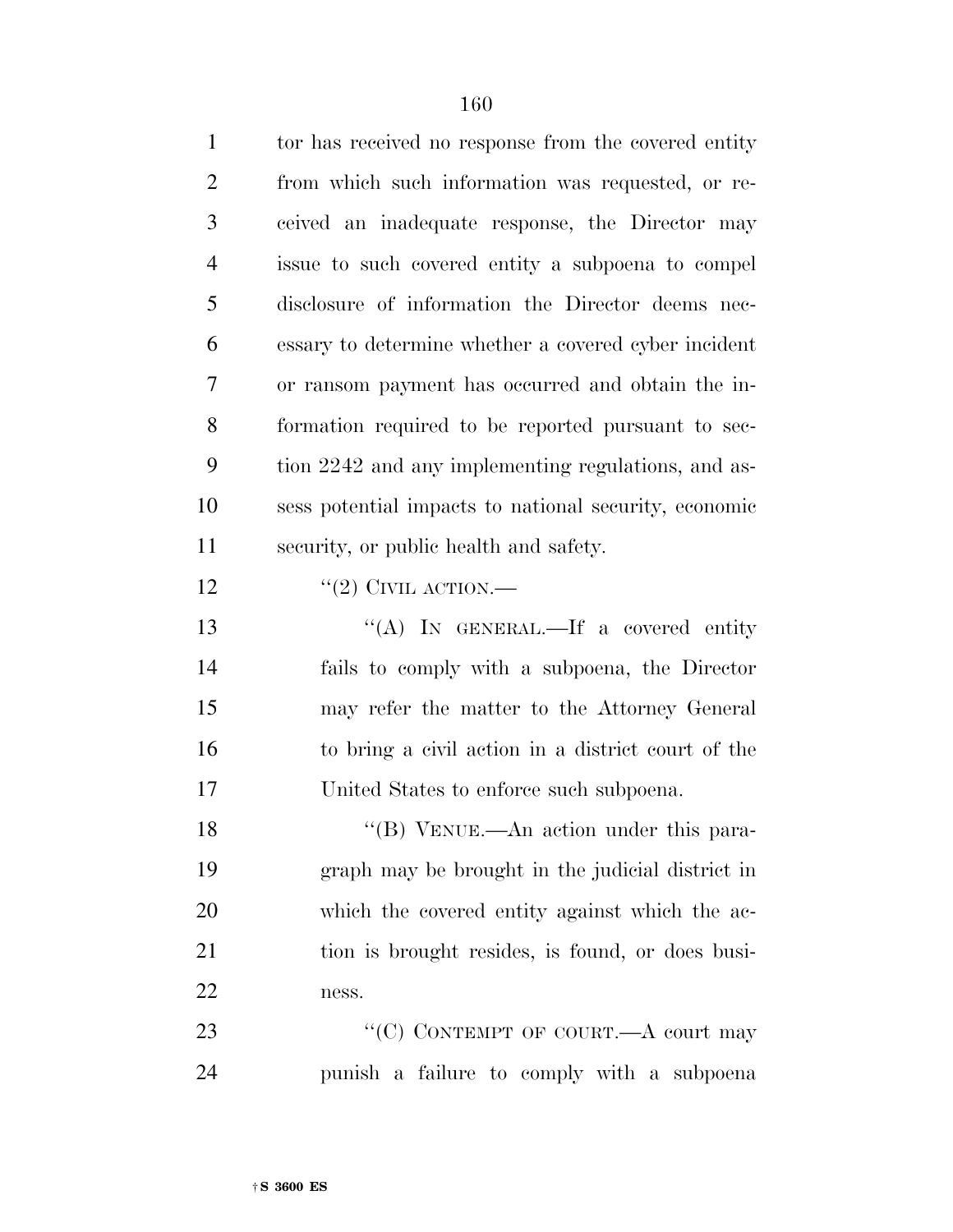| $\mathbf{1}$   | tor has received no response from the covered entity     |
|----------------|----------------------------------------------------------|
| $\overline{2}$ | from which such information was requested, or re-        |
| 3              | ceived an inadequate response, the Director may          |
| 4              | issue to such covered entity a subpoena to compel        |
| 5              | disclosure of information the Director deems nec-        |
| 6              | essary to determine whether a covered cyber incident     |
| 7              | or ransom payment has occurred and obtain the in-        |
| 8              | formation required to be reported pursuant to sec-       |
| 9              | tion 2242 and any implementing regulations, and as-      |
| 10             | sess potential impacts to national security, economic    |
| 11             | security, or public health and safety.                   |
| 12             | "(2) CIVIL ACTION.—                                      |
| 13             | "(A) IN GENERAL.—If a covered entity                     |
| 14             | fails to comply with a subpoena, the Director            |
| 15             | may refer the matter to the Attorney General             |
| 16             | to bring a civil action in a district court of the       |
| 17             | United States to enforce such subpoena.                  |
| 18             | $\lq$ <sup>"</sup> (B) VENUE.—An action under this para- |
| 19             | graph may be brought in the judicial district in         |
| 20             | which the covered entity against which the ac-           |
| 21             | tion is brought resides, is found, or does busi-         |
| 22             | ness.                                                    |
| 23             | "(C) CONTEMPT OF COURT.— $A$ court may                   |
| 24             | punish a failure to comply with a subpoena               |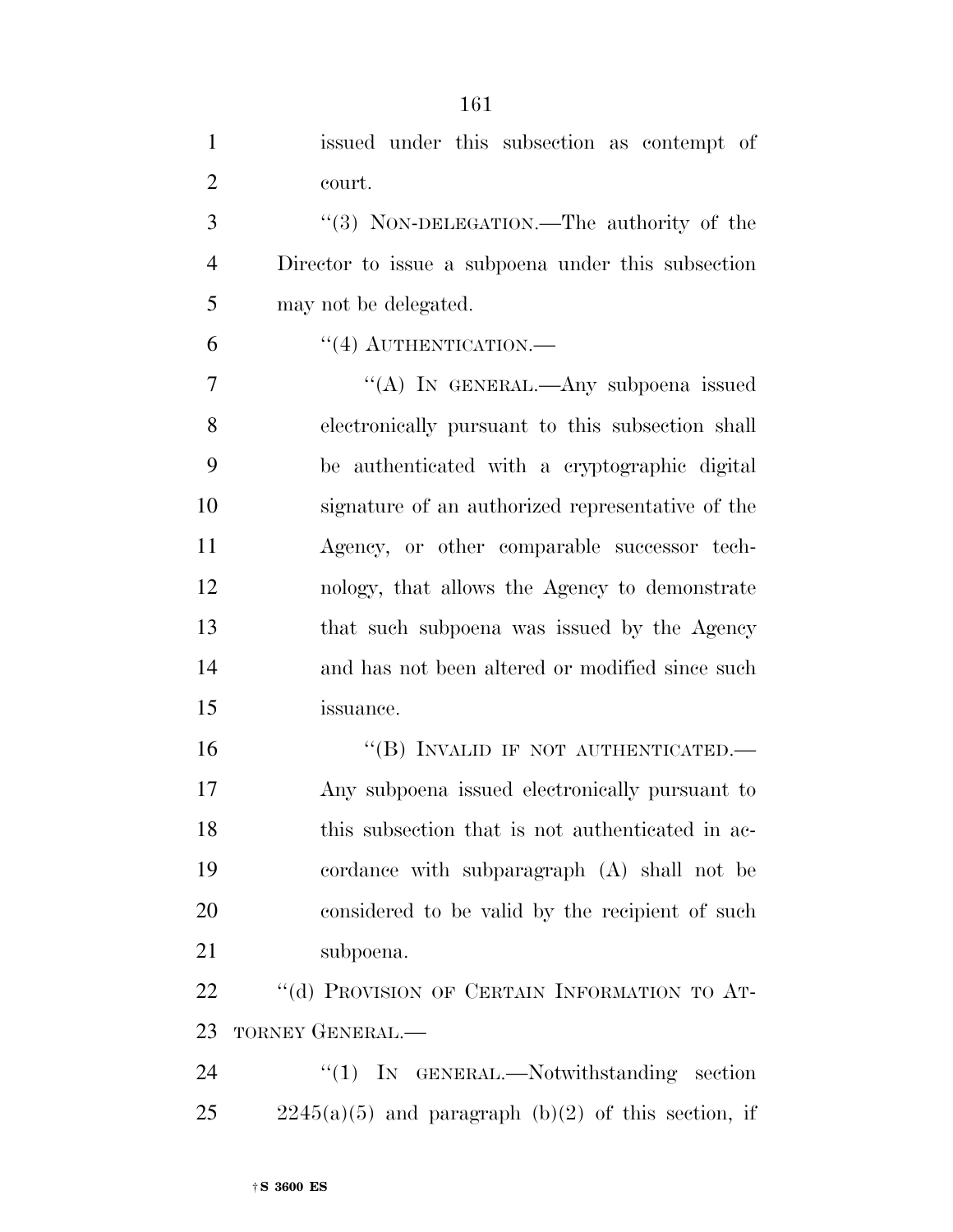| $\mathbf{1}$   | issued under this subsection as contempt of           |
|----------------|-------------------------------------------------------|
| $\overline{2}$ | court.                                                |
| 3              | "(3) NON-DELEGATION.—The authority of the             |
| $\overline{4}$ | Director to issue a subpoena under this subsection    |
| 5              | may not be delegated.                                 |
| 6              | $``(4)$ AUTHENTICATION.—                              |
| 7              | "(A) IN GENERAL.—Any subpoena issued                  |
| 8              | electronically pursuant to this subsection shall      |
| 9              | be authenticated with a cryptographic digital         |
| 10             | signature of an authorized representative of the      |
| 11             | Agency, or other comparable successor tech-           |
| 12             | nology, that allows the Agency to demonstrate         |
| 13             | that such subpoena was issued by the Agency           |
| 14             | and has not been altered or modified since such       |
| 15             | issuance.                                             |
| 16             | "(B) INVALID IF NOT AUTHENTICATED.-                   |
| 17             | Any subpoena issued electronically pursuant to        |
| 18             | this subsection that is not authenticated in ac-      |
| 19             | cordance with subparagraph (A) shall not be           |
| 20             | considered to be valid by the recipient of such       |
| 21             | subpoena.                                             |
| 22             | "(d) PROVISION OF CERTAIN INFORMATION TO AT-          |
| 23             | TORNEY GENERAL.-                                      |
| 24             | "(1) IN GENERAL.—Notwithstanding section              |
| 25             | $2245(a)(5)$ and paragraph (b)(2) of this section, if |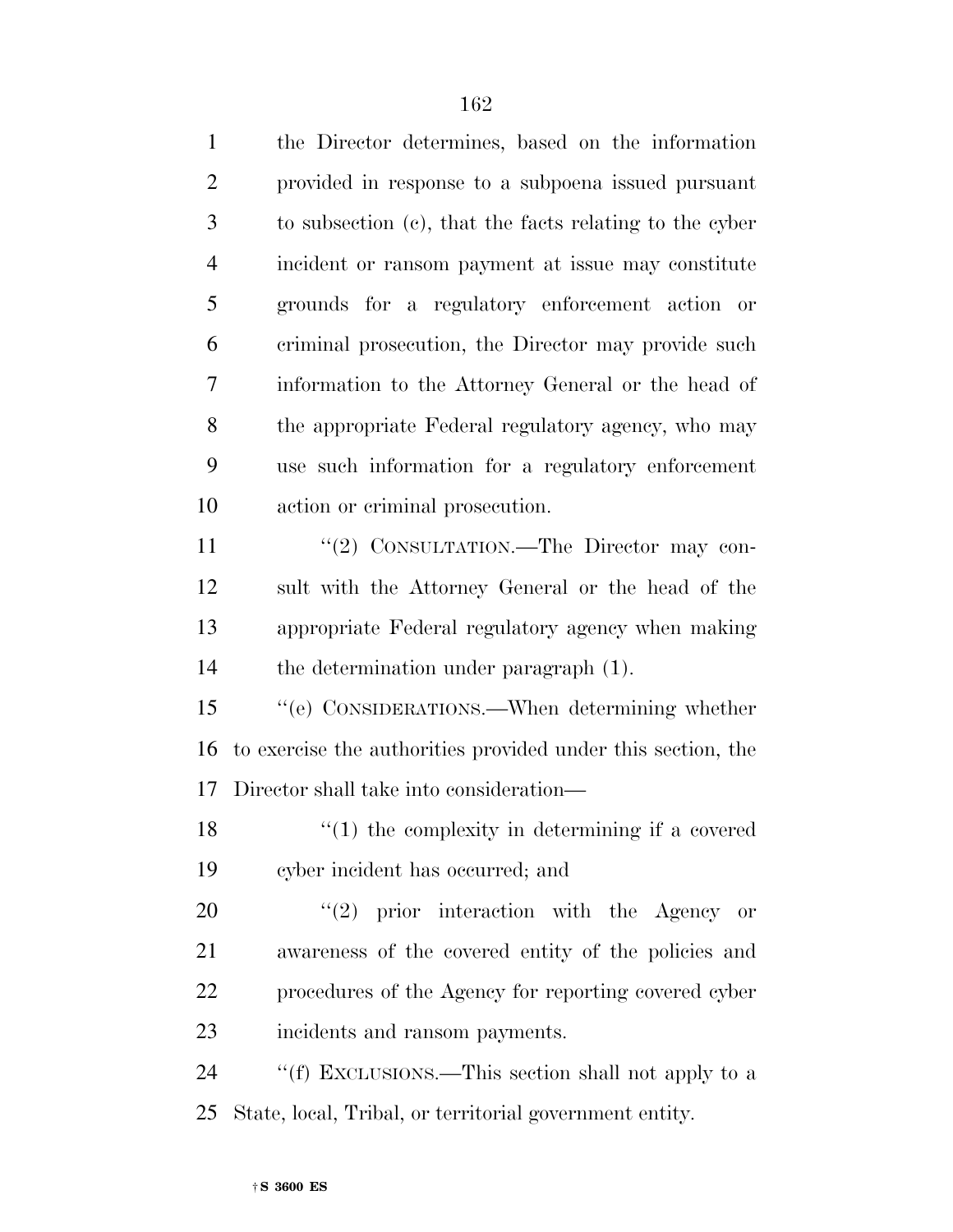| $\mathbf{1}$   | the Director determines, based on the information            |
|----------------|--------------------------------------------------------------|
| $\overline{2}$ | provided in response to a subpoena issued pursuant           |
| 3              | to subsection (c), that the facts relating to the cyber      |
| $\overline{4}$ | incident or ransom payment at issue may constitute           |
| 5              | grounds for a regulatory enforcement action or               |
| 6              | criminal prosecution, the Director may provide such          |
| 7              | information to the Attorney General or the head of           |
| 8              | the appropriate Federal regulatory agency, who may           |
| 9              | use such information for a regulatory enforcement            |
| 10             | action or criminal prosecution.                              |
| 11             | "(2) CONSULTATION.—The Director may con-                     |
| 12             | sult with the Attorney General or the head of the            |
| 13             | appropriate Federal regulatory agency when making            |
| 14             | the determination under paragraph (1).                       |
| 15             | "(e) CONSIDERATIONS.—When determining whether                |
| 16             | to exercise the authorities provided under this section, the |
| 17             | Director shall take into consideration—                      |
| 18             | $\lq(1)$ the complexity in determining if a covered          |
| 19             | cyber incident has occurred; and                             |
| 20             | (2)<br>prior interaction with the Agency or                  |
| 21             | awareness of the covered entity of the policies and          |
| 22             | procedures of the Agency for reporting covered cyber         |
| 23             | incidents and ransom payments.                               |
| 24             | "(f) EXCLUSIONS.—This section shall not apply to a           |
| 25             | State, local, Tribal, or territorial government entity.      |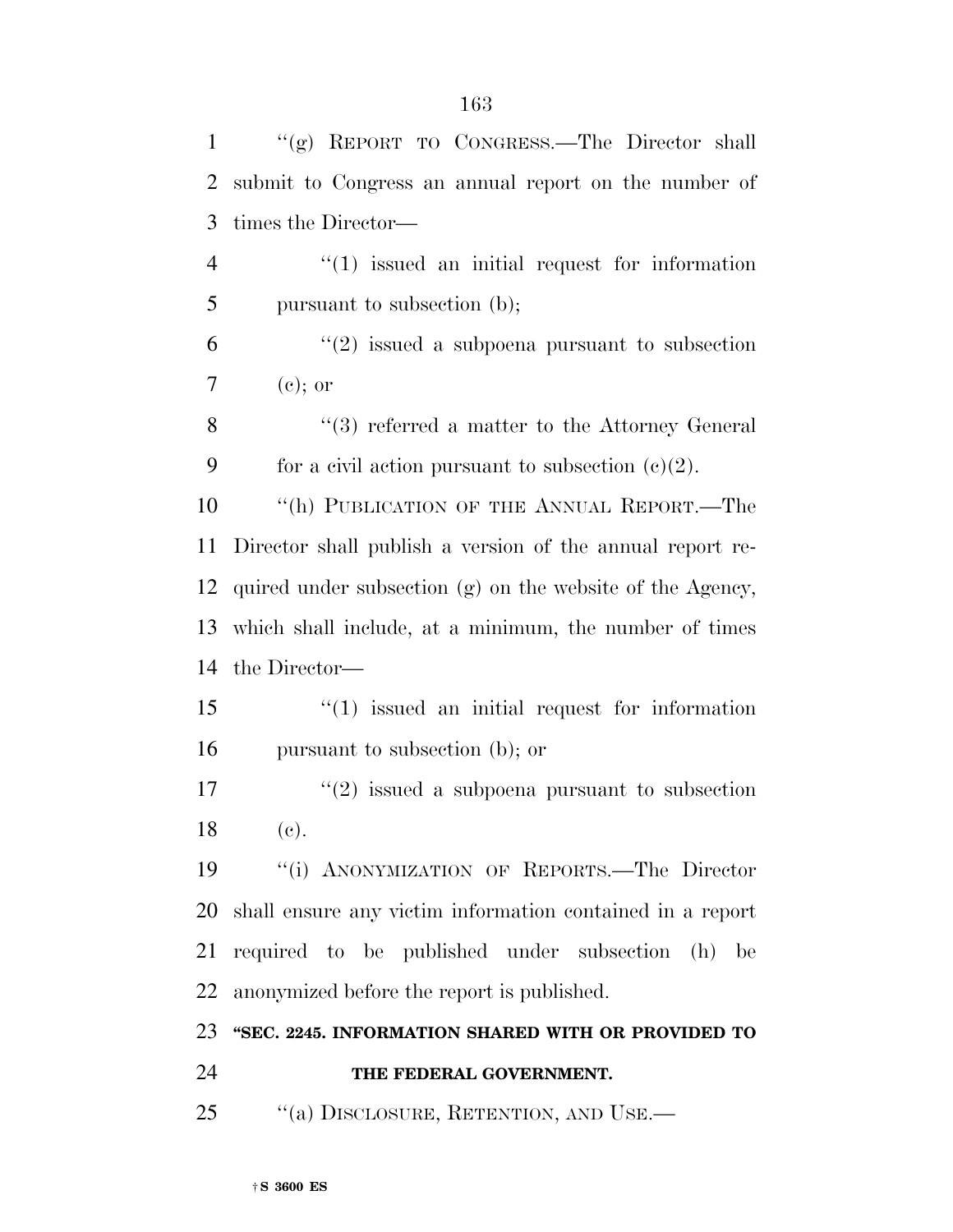|                | "(g) REPORT TO CONGRESS.—The Director shall            |
|----------------|--------------------------------------------------------|
|                | 2 submit to Congress an annual report on the number of |
|                | 3 times the Director—                                  |
| $\overline{4}$ | $\lq(1)$ issued an initial request for information     |
| -5             | pursuant to subsection (b);                            |
| 6              | $\lq(2)$ issued a subpoena pursuant to subsection      |
| $\tau$         | $(e)$ ; or                                             |
|                |                                                        |

8 ''(3) referred a matter to the Attorney General 9 for a civil action pursuant to subsection  $(c)(2)$ .

10 <sup>"</sup>(h) PUBLICATION OF THE ANNUAL REPORT.—The Director shall publish a version of the annual report re- quired under subsection (g) on the website of the Agency, which shall include, at a minimum, the number of times the Director—

 ''(1) issued an initial request for information pursuant to subsection (b); or

 $\binom{17}{2}$  issued a subpoena pursuant to subsection (c).

 ''(i) ANONYMIZATION OF REPORTS.—The Director shall ensure any victim information contained in a report required to be published under subsection (h) be anonymized before the report is published.

**''SEC. 2245. INFORMATION SHARED WITH OR PROVIDED TO** 

## **THE FEDERAL GOVERNMENT.**

25 "(a) DISCLOSURE, RETENTION, AND USE.—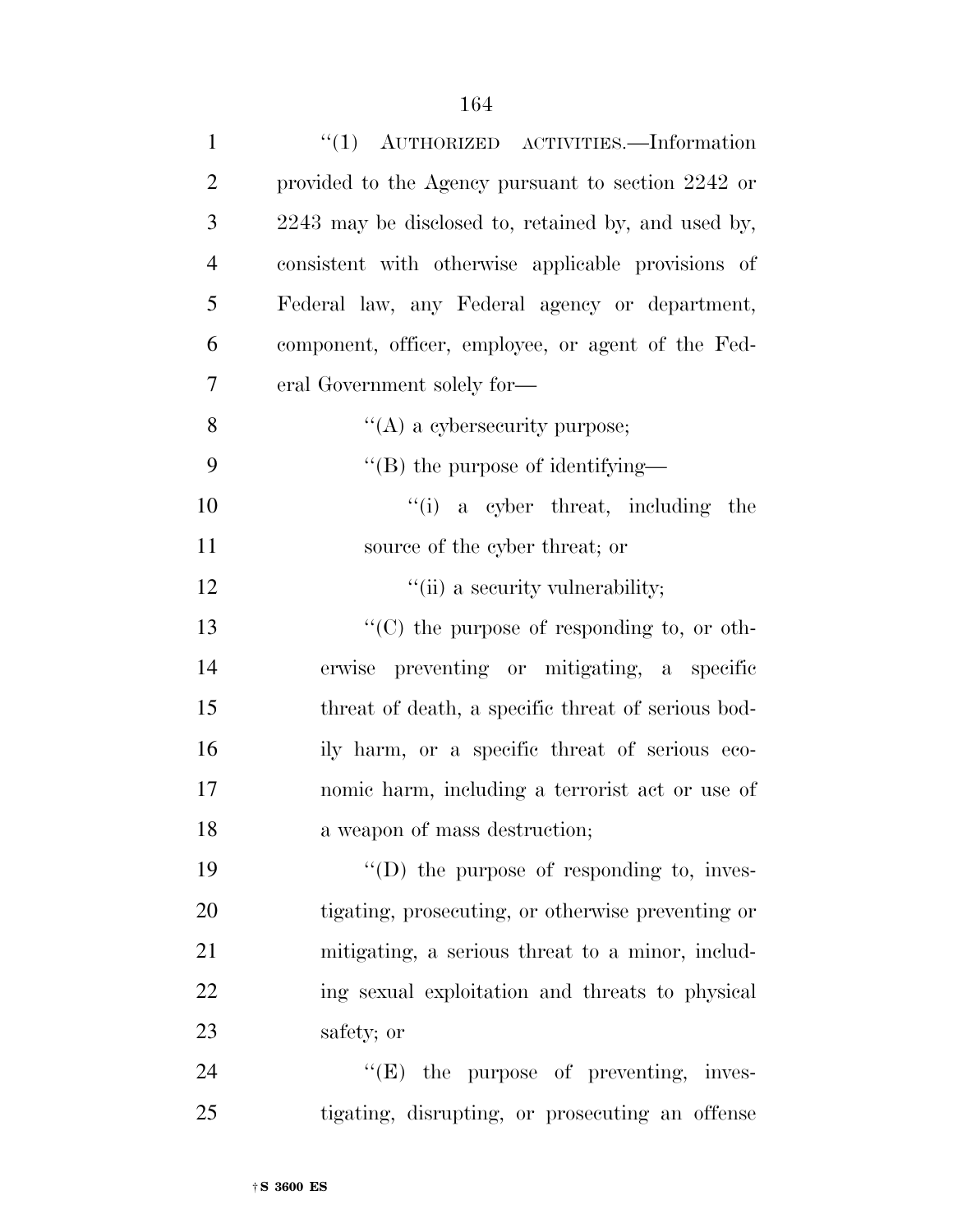| $\mathbf{1}$   | "(1) AUTHORIZED ACTIVITIES. - Information           |
|----------------|-----------------------------------------------------|
| $\overline{2}$ | provided to the Agency pursuant to section 2242 or  |
| 3              | 2243 may be disclosed to, retained by, and used by, |
| $\overline{4}$ | consistent with otherwise applicable provisions of  |
| 5              | Federal law, any Federal agency or department,      |
| 6              | component, officer, employee, or agent of the Fed-  |
| 7              | eral Government solely for-                         |
| 8              | $\lq\lq$ a cybersecurity purpose;                   |
| 9              | $\lq$ (B) the purpose of identifying—               |
| 10             | $f(i)$ a cyber threat, including<br>the             |
| 11             | source of the cyber threat; or                      |
| 12             | "(ii) a security vulnerability;                     |
| 13             | $\lq\lq$ (C) the purpose of responding to, or oth-  |
| 14             | erwise preventing or mitigating, a specific         |
| 15             | threat of death, a specific threat of serious bod-  |
| 16             | ily harm, or a specific threat of serious eco-      |
| 17             | nomic harm, including a terrorist act or use of     |
| 18             | a weapon of mass destruction;                       |
| 19             | $\lq\lq$ the purpose of responding to, inves-       |
| 20             | tigating, prosecuting, or otherwise preventing or   |
| 21             | mitigating, a serious threat to a minor, includ-    |
| 22             | ing sexual exploitation and threats to physical     |
| 23             | safety; or                                          |
| 24             | $\lq\lq(E)$ the purpose of preventing, inves-       |
| 25             | tigating, disrupting, or prosecuting an offense     |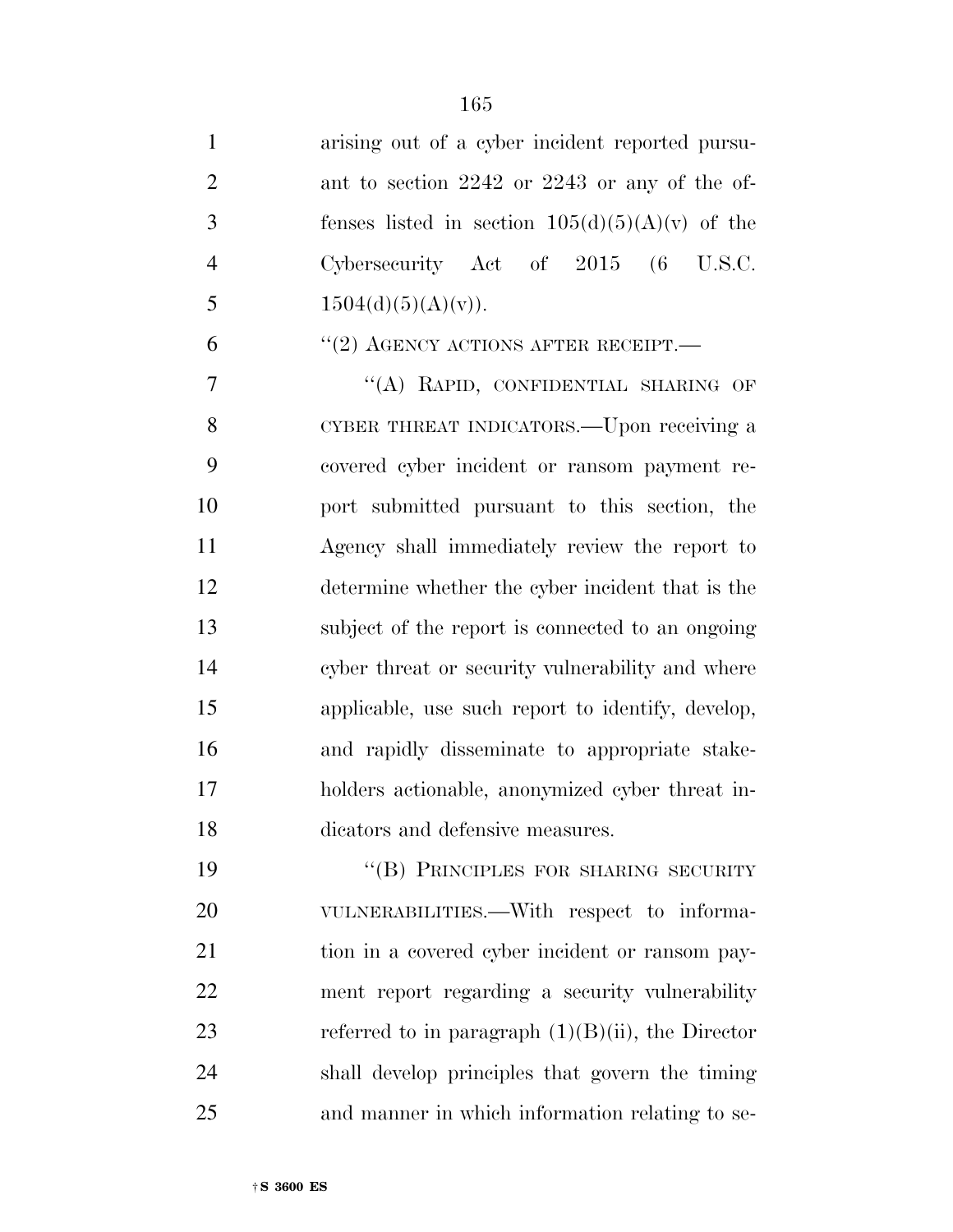| $\mathbf{1}$   | arising out of a cyber incident reported pursu-      |
|----------------|------------------------------------------------------|
| $\overline{2}$ | ant to section 2242 or 2243 or any of the of-        |
| 3              | fenses listed in section $105(d)(5)(A)(v)$ of the    |
| $\overline{4}$ | Cybersecurity Act of $2015$ (6 U.S.C.                |
| 5              | $1504(d)(5)(A)(v)$ .                                 |
| 6              | $``(2)$ AGENCY ACTIONS AFTER RECEIPT.                |
| $\tau$         | "(A) RAPID, CONFIDENTIAL SHARING OF                  |
| 8              | CYBER THREAT INDICATORS.—Upon receiving a            |
| 9              | covered cyber incident or ransom payment re-         |
| 10             | port submitted pursuant to this section, the         |
| 11             | Agency shall immediately review the report to        |
| 12             | determine whether the cyber incident that is the     |
| 13             | subject of the report is connected to an ongoing     |
| 14             | cyber threat or security vulnerability and where     |
| 15             | applicable, use such report to identify, develop,    |
| 16             | and rapidly disseminate to appropriate stake-        |
| 17             | holders actionable, anonymized cyber threat in-      |
| 18             | dicators and defensive measures.                     |
| 19             | "(B) PRINCIPLES FOR SHARING SECURITY                 |
| 20             | VULNERABILITIES.—With respect to informa-            |
| 21             | tion in a covered cyber incident or ransom pay-      |
| 22             | ment report regarding a security vulnerability       |
| 23             | referred to in paragraph $(1)(B)(ii)$ , the Director |
| 24             | shall develop principles that govern the timing      |
| 25             | and manner in which information relating to se-      |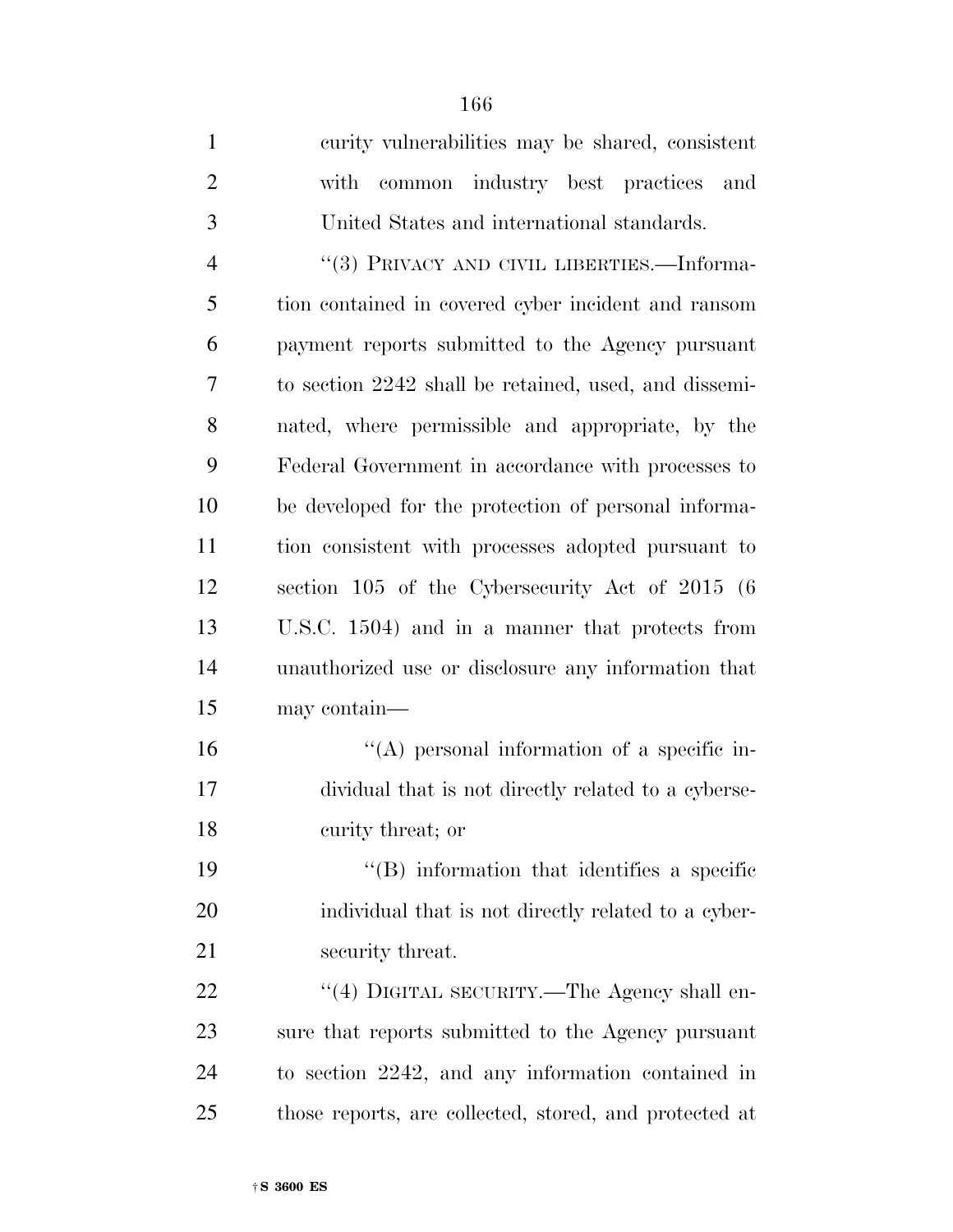curity vulnerabilities may be shared, consistent with common industry best practices and United States and international standards.

4 "(3) PRIVACY AND CIVIL LIBERTIES.—Informa- tion contained in covered cyber incident and ransom payment reports submitted to the Agency pursuant to section 2242 shall be retained, used, and dissemi- nated, where permissible and appropriate, by the Federal Government in accordance with processes to be developed for the protection of personal informa- tion consistent with processes adopted pursuant to section 105 of the Cybersecurity Act of 2015 (6 U.S.C. 1504) and in a manner that protects from unauthorized use or disclosure any information that may contain—

16  $\langle A \rangle$  personal information of a specific in- dividual that is not directly related to a cyberse-curity threat; or

19 ''(B) information that identifies a specific individual that is not directly related to a cyber-21 security threat.

22 "(4) DIGITAL SECURITY.—The Agency shall en- sure that reports submitted to the Agency pursuant to section 2242, and any information contained in those reports, are collected, stored, and protected at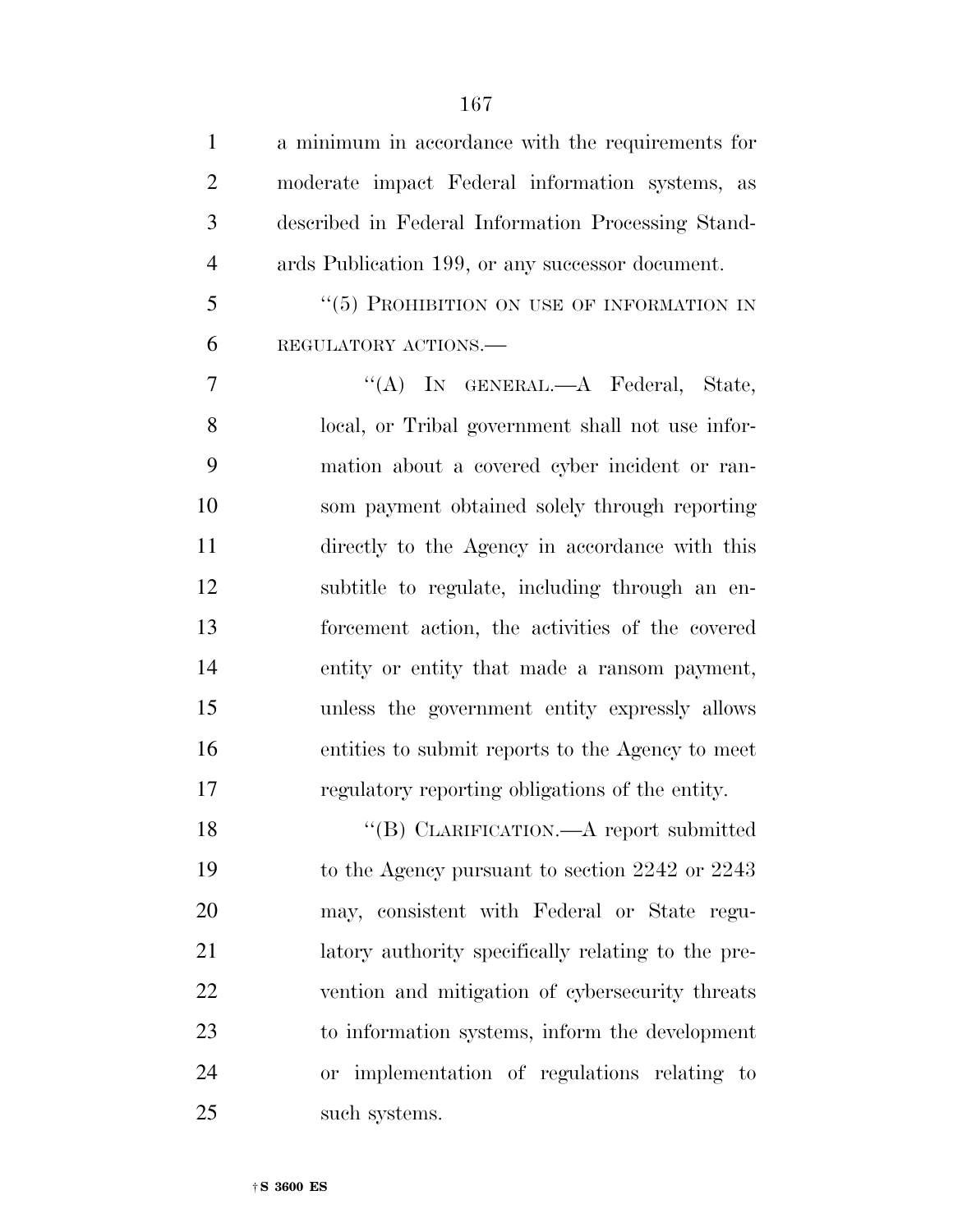| $\mathbf{1}$   | a minimum in accordance with the requirements for  |
|----------------|----------------------------------------------------|
| $\overline{2}$ | moderate impact Federal information systems, as    |
| 3              | described in Federal Information Processing Stand- |
| $\overline{4}$ | ards Publication 199, or any successor document.   |
| 5              | "(5) PROHIBITION ON USE OF INFORMATION IN          |
| 6              | REGULATORY ACTIONS.                                |
| 7              | "(A) IN GENERAL.—A Federal, State,                 |
| 8              | local, or Tribal government shall not use infor-   |
| 9              | mation about a covered cyber incident or ran-      |
| 10             | som payment obtained solely through reporting      |
| 11             | directly to the Agency in accordance with this     |
| 12             | subtitle to regulate, including through an en-     |
| 13             | forcement action, the activities of the covered    |
| 14             | entity or entity that made a ransom payment,       |
| 15             | unless the government entity expressly allows      |
| 16             | entities to submit reports to the Agency to meet   |
| 17             | regulatory reporting obligations of the entity.    |
| 18             | "(B) CLARIFICATION.—A report submitted             |
| 19             | to the Agency pursuant to section 2242 or 2243     |
| 20             | may, consistent with Federal or State regu-        |
| 21             | latory authority specifically relating to the pre- |
| 22             | vention and mitigation of cybersecurity threats    |
| 23             | to information systems, inform the development     |
| 24             | or implementation of regulations relating to       |
| 25             | such systems.                                      |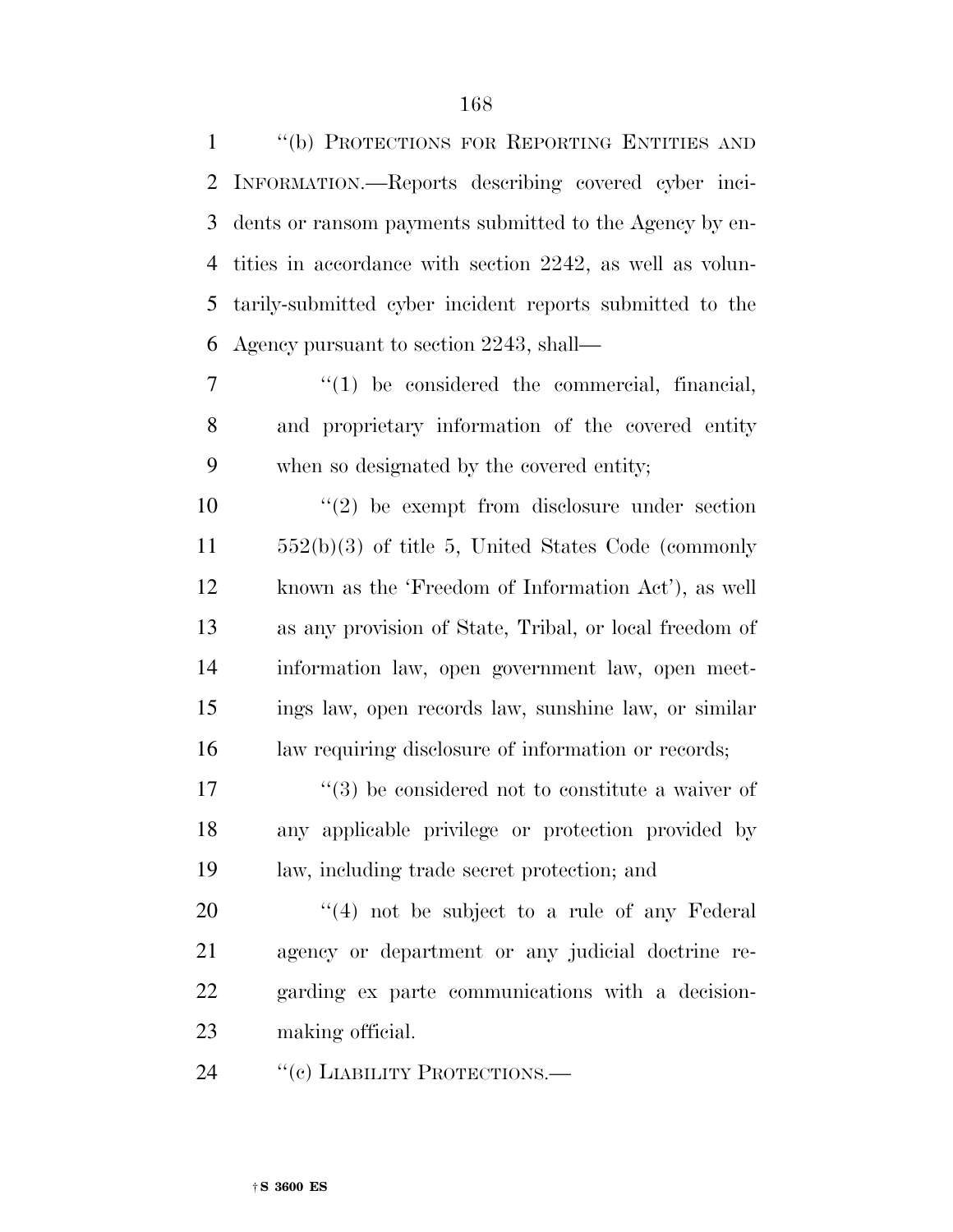''(b) PROTECTIONS FOR REPORTING ENTITIES AND INFORMATION.—Reports describing covered cyber inci- dents or ransom payments submitted to the Agency by en- tities in accordance with section 2242, as well as volun- tarily-submitted cyber incident reports submitted to the Agency pursuant to section 2243, shall—

7  $\frac{1}{1}$  be considered the commercial, financial, and proprietary information of the covered entity when so designated by the covered entity;

 $(2)$  be exempt from disclosure under section 552(b)(3) of title 5, United States Code (commonly known as the 'Freedom of Information Act'), as well as any provision of State, Tribal, or local freedom of information law, open government law, open meet- ings law, open records law, sunshine law, or similar law requiring disclosure of information or records;

 $\frac{17}{2}$  ''(3) be considered not to constitute a waiver of any applicable privilege or protection provided by law, including trade secret protection; and

 ''(4) not be subject to a rule of any Federal agency or department or any judicial doctrine re- garding ex parte communications with a decision-making official.

24 "(c) LIABILITY PROTECTIONS.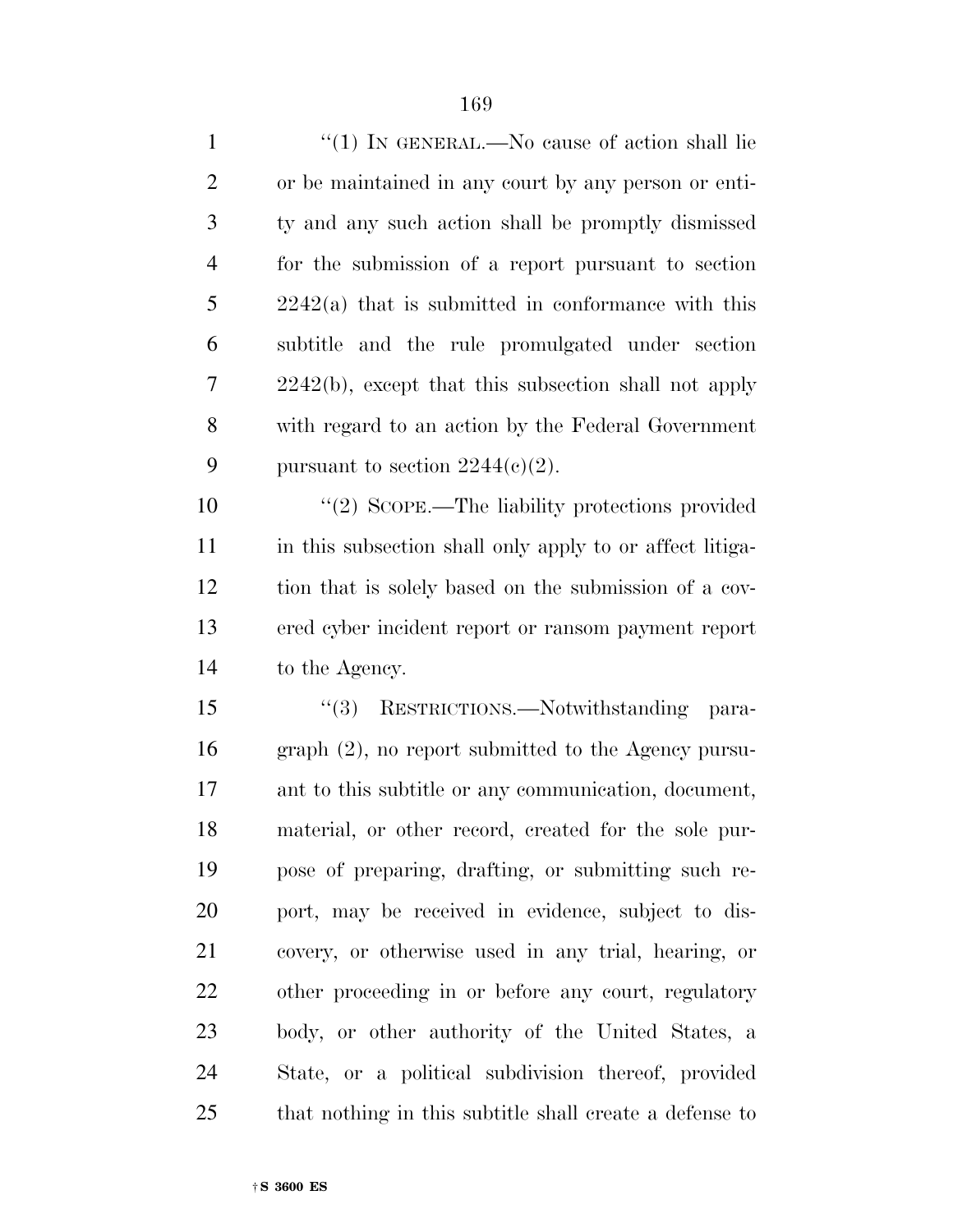| $\mathbf{1}$   | "(1) IN GENERAL.—No cause of action shall lie            |
|----------------|----------------------------------------------------------|
| $\overline{2}$ | or be maintained in any court by any person or enti-     |
| 3              | ty and any such action shall be promptly dismissed       |
| $\overline{4}$ | for the submission of a report pursuant to section       |
| 5              | $2242(a)$ that is submitted in conformance with this     |
| 6              | subtitle and the rule promulgated under section          |
| 7              | $2242(b)$ , except that this subsection shall not apply  |
| 8              | with regard to an action by the Federal Government       |
| 9              | pursuant to section $2244(c)(2)$ .                       |
| 10             | "(2) SCOPE.—The liability protections provided           |
| 11             | in this subsection shall only apply to or affect litiga- |
| 12             | tion that is solely based on the submission of a cov-    |

 tion that is solely based on the submission of a cov- ered cyber incident report or ransom payment report to the Agency.

 ''(3) RESTRICTIONS.—Notwithstanding para- graph (2), no report submitted to the Agency pursu- ant to this subtitle or any communication, document, material, or other record, created for the sole pur- pose of preparing, drafting, or submitting such re- port, may be received in evidence, subject to dis- covery, or otherwise used in any trial, hearing, or other proceeding in or before any court, regulatory body, or other authority of the United States, a State, or a political subdivision thereof, provided that nothing in this subtitle shall create a defense to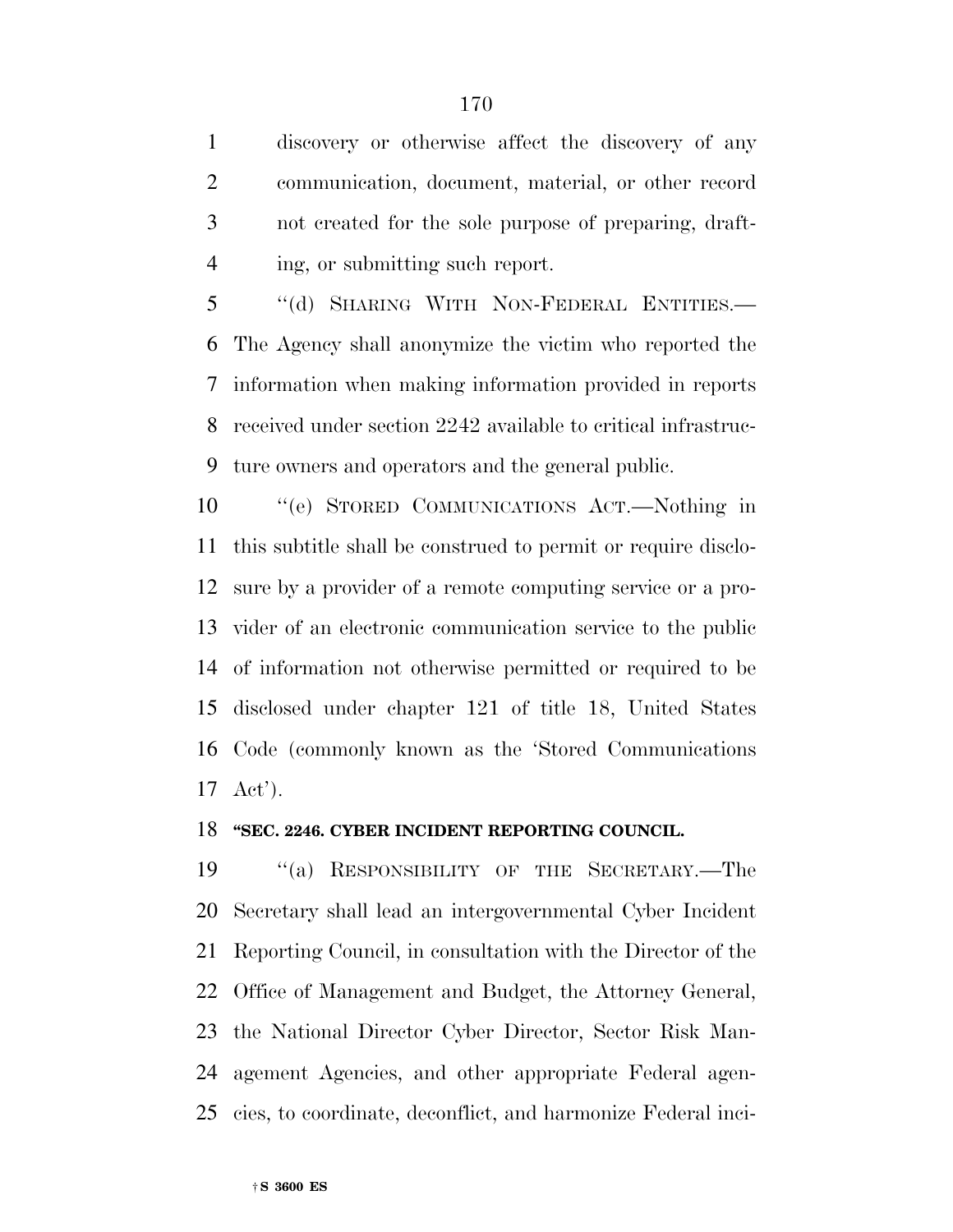discovery or otherwise affect the discovery of any communication, document, material, or other record not created for the sole purpose of preparing, draft-ing, or submitting such report.

 ''(d) SHARING WITH NON-FEDERAL ENTITIES.— The Agency shall anonymize the victim who reported the information when making information provided in reports received under section 2242 available to critical infrastruc-ture owners and operators and the general public.

 ''(e) STORED COMMUNICATIONS ACT.—Nothing in this subtitle shall be construed to permit or require disclo- sure by a provider of a remote computing service or a pro- vider of an electronic communication service to the public of information not otherwise permitted or required to be disclosed under chapter 121 of title 18, United States Code (commonly known as the 'Stored Communications Act').

#### **''SEC. 2246. CYBER INCIDENT REPORTING COUNCIL.**

 ''(a) RESPONSIBILITY OF THE SECRETARY.—The Secretary shall lead an intergovernmental Cyber Incident Reporting Council, in consultation with the Director of the Office of Management and Budget, the Attorney General, the National Director Cyber Director, Sector Risk Man- agement Agencies, and other appropriate Federal agen-cies, to coordinate, deconflict, and harmonize Federal inci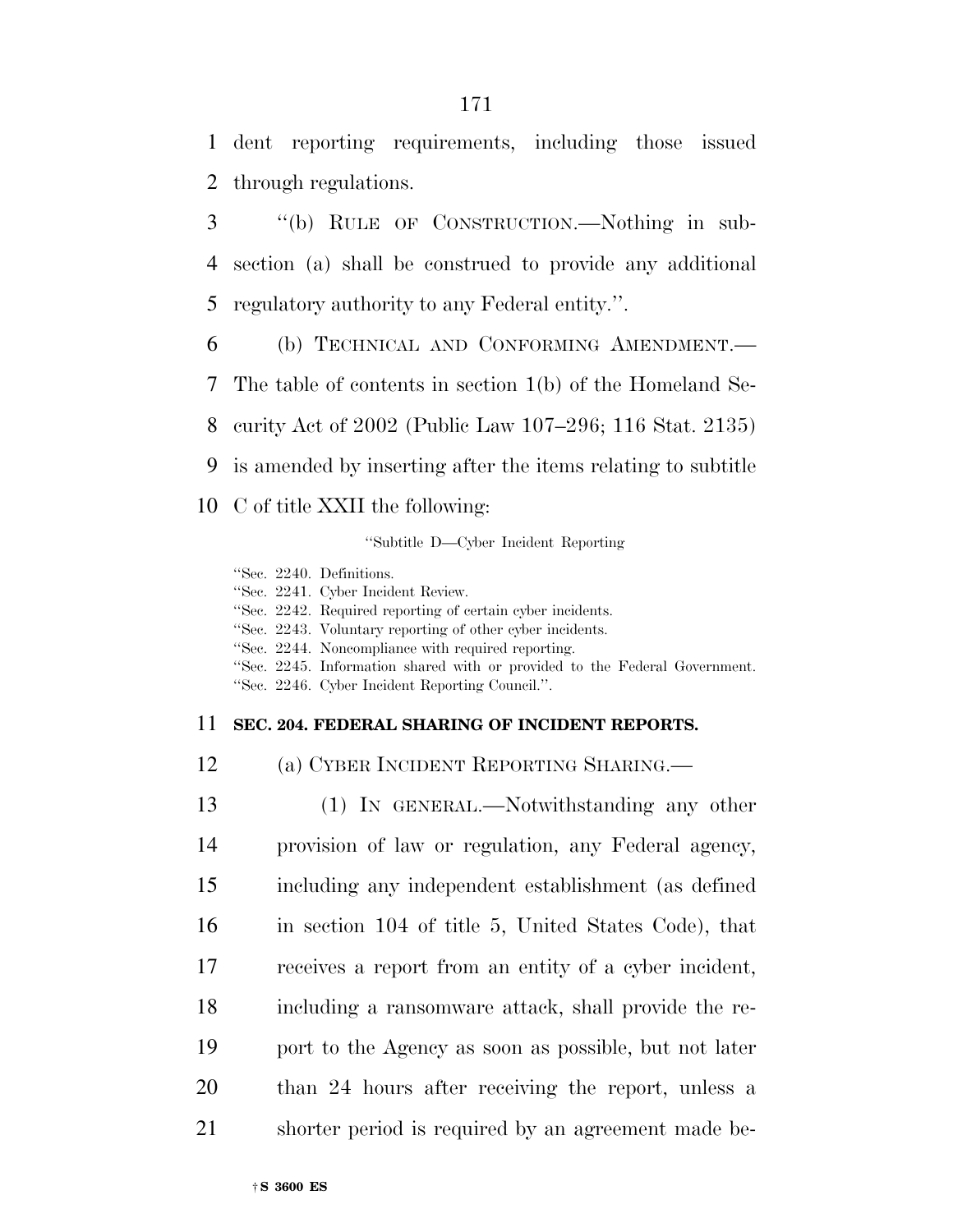dent reporting requirements, including those issued through regulations.

 ''(b) RULE OF CONSTRUCTION.—Nothing in sub- section (a) shall be construed to provide any additional regulatory authority to any Federal entity.''.

 (b) TECHNICAL AND CONFORMING AMENDMENT.— The table of contents in section 1(b) of the Homeland Se- curity Act of 2002 (Public Law 107–296; 116 Stat. 2135) is amended by inserting after the items relating to subtitle

C of title XXII the following:

''Subtitle D—Cyber Incident Reporting

''Sec. 2240. Definitions.

|  |  | "Sec. 2241. Cyber Incident Review. |  |
|--|--|------------------------------------|--|
|--|--|------------------------------------|--|

''Sec. 2242. Required reporting of certain cyber incidents.

''Sec. 2243. Voluntary reporting of other cyber incidents.

''Sec. 2244. Noncompliance with required reporting.

''Sec. 2245. Information shared with or provided to the Federal Government.

''Sec. 2246. Cyber Incident Reporting Council.''.

#### **SEC. 204. FEDERAL SHARING OF INCIDENT REPORTS.**

(a) CYBER INCIDENT REPORTING SHARING.—

 (1) IN GENERAL.—Notwithstanding any other provision of law or regulation, any Federal agency, including any independent establishment (as defined in section 104 of title 5, United States Code), that receives a report from an entity of a cyber incident, including a ransomware attack, shall provide the re- port to the Agency as soon as possible, but not later than 24 hours after receiving the report, unless a shorter period is required by an agreement made be-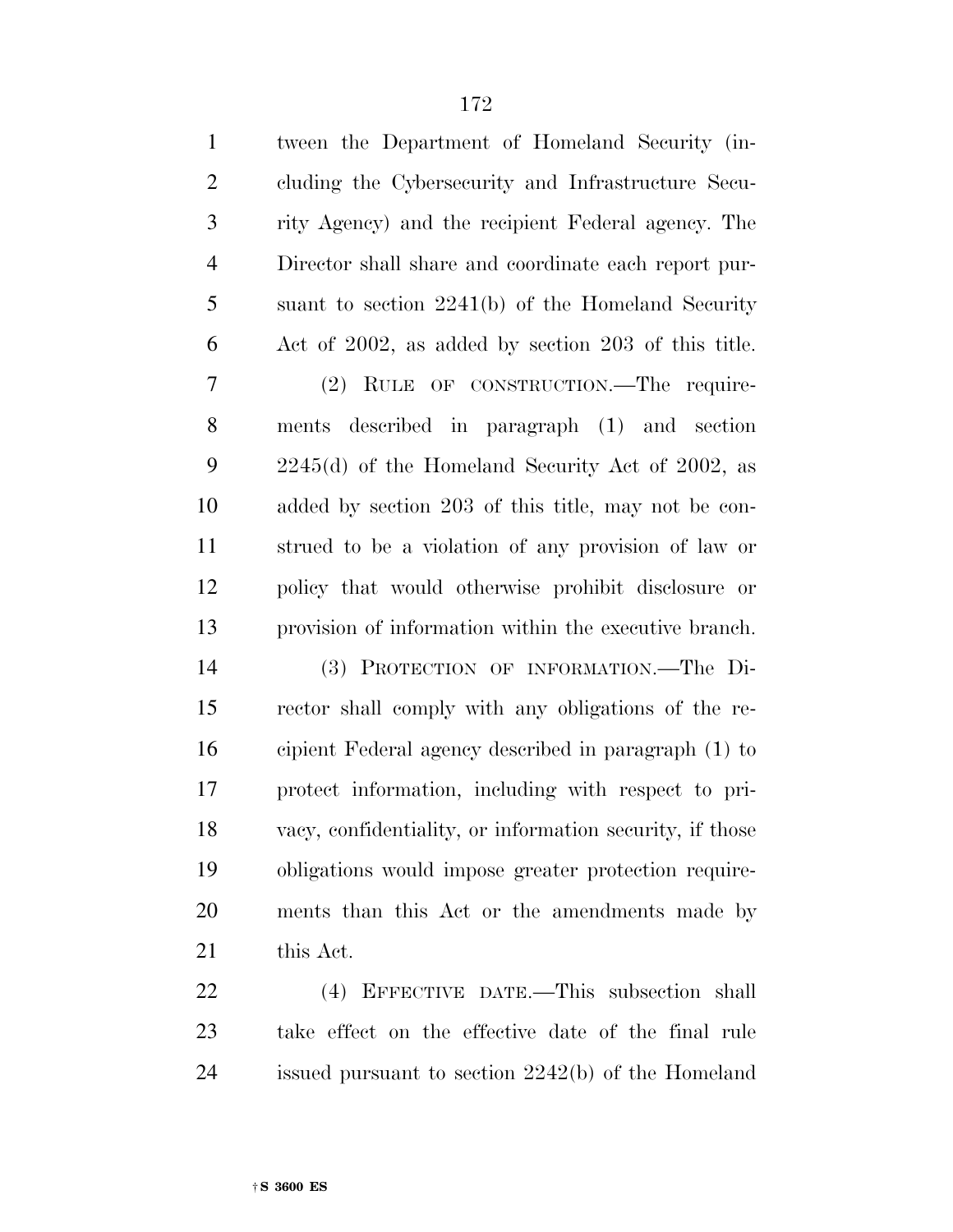| $\mathbf{1}$   | tween the Department of Homeland Security (in-           |
|----------------|----------------------------------------------------------|
| $\mathfrak{2}$ | cluding the Cybersecurity and Infrastructure Secu-       |
| 3              | rity Agency) and the recipient Federal agency. The       |
| $\overline{4}$ | Director shall share and coordinate each report pur-     |
| 5              | suant to section $2241(b)$ of the Homeland Security      |
| 6              | Act of 2002, as added by section 203 of this title.      |
| 7              | (2) RULE OF CONSTRUCTION.—The require-                   |
| 8              | ments described in paragraph (1) and section             |
| 9              | $2245(d)$ of the Homeland Security Act of 2002, as       |
| 10             | added by section 203 of this title, may not be con-      |
| 11             | strued to be a violation of any provision of law or      |
| 12             | policy that would otherwise prohibit disclosure or       |
| 13             | provision of information within the executive branch.    |
| 14             | (3) PROTECTION OF INFORMATION.-The Di-                   |
| 15             | rector shall comply with any obligations of the re-      |
| 16             | cipient Federal agency described in paragraph (1) to     |
| 17             | protect information, including with respect to pri-      |
| 18             | vacy, confidentiality, or information security, if those |
| 19             | obligations would impose greater protection require-     |
| 20             | ments than this Act or the amendments made by            |
| 21             | this Act.                                                |
|                |                                                          |

 (4) EFFECTIVE DATE.—This subsection shall take effect on the effective date of the final rule issued pursuant to section 2242(b) of the Homeland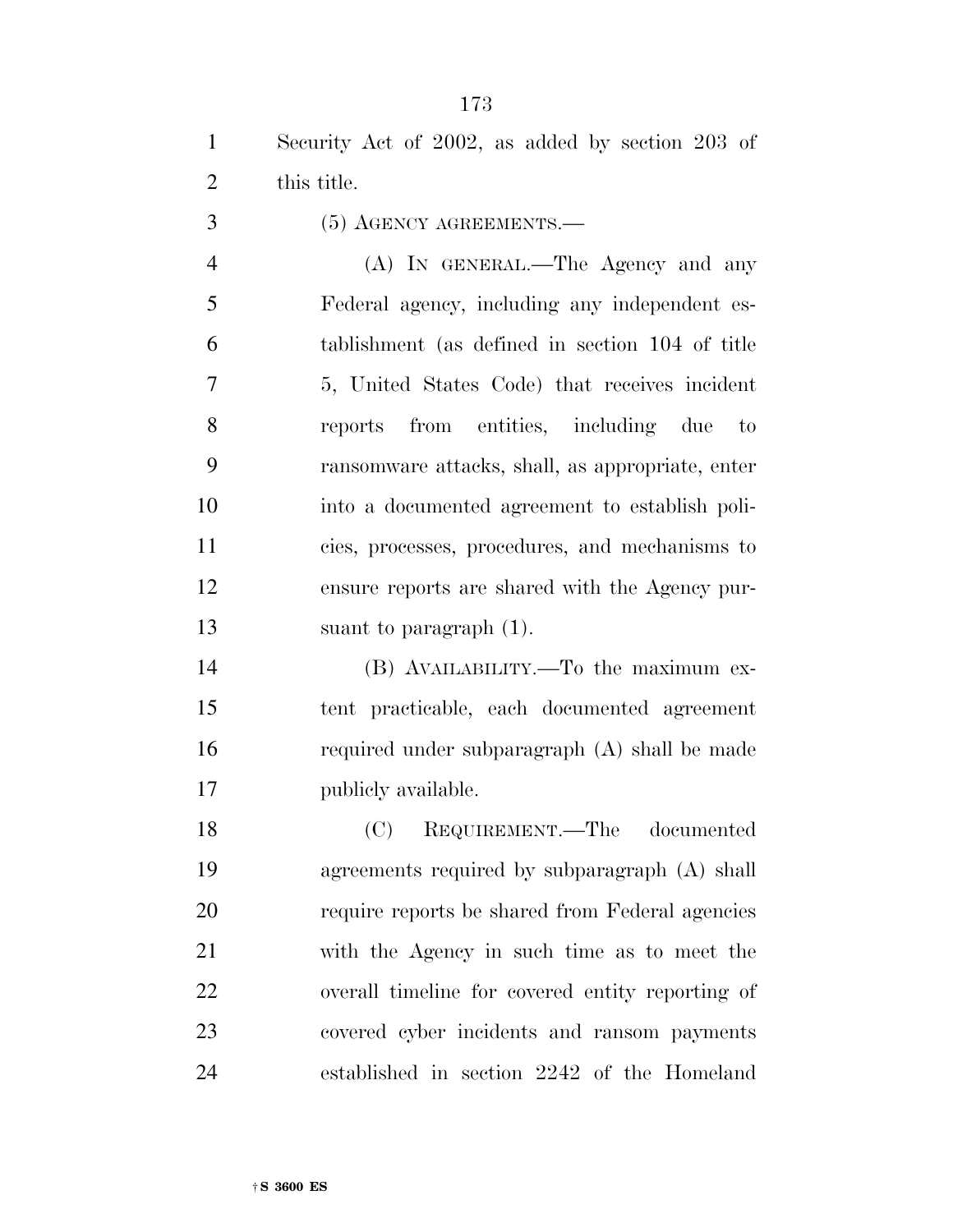(5) AGENCY AGREEMENTS.—

 (A) IN GENERAL.—The Agency and any Federal agency, including any independent es- tablishment (as defined in section 104 of title 5, United States Code) that receives incident reports from entities, including due to ransomware attacks, shall, as appropriate, enter into a documented agreement to establish poli- cies, processes, procedures, and mechanisms to ensure reports are shared with the Agency pur-suant to paragraph (1).

 (B) AVAILABILITY.—To the maximum ex- tent practicable, each documented agreement required under subparagraph (A) shall be made publicly available.

 (C) REQUIREMENT.—The documented agreements required by subparagraph (A) shall require reports be shared from Federal agencies with the Agency in such time as to meet the overall timeline for covered entity reporting of covered cyber incidents and ransom payments established in section 2242 of the Homeland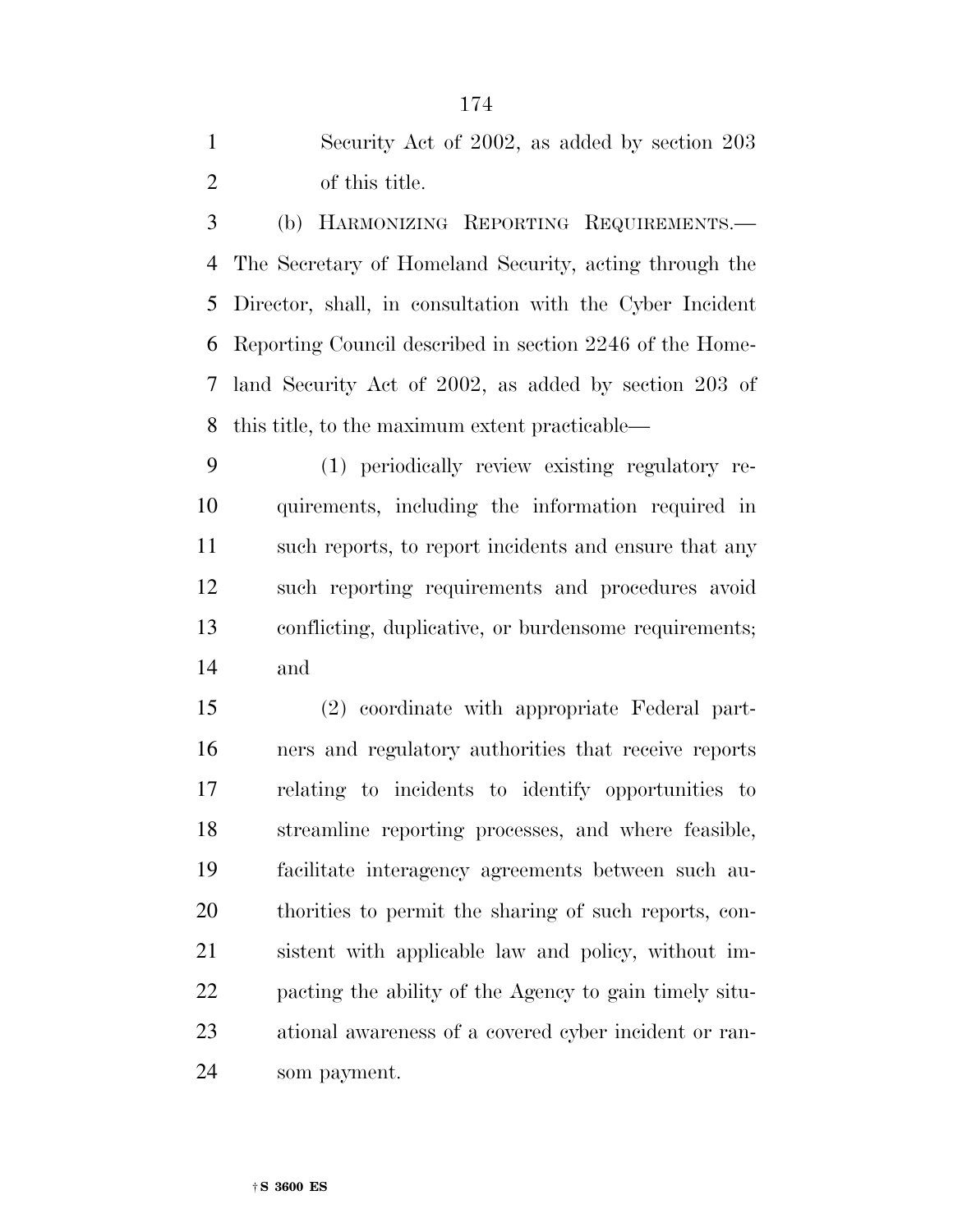| Security Act of 2002, as added by section 203 |
|-----------------------------------------------|
| of this title.                                |

 (b) HARMONIZING REPORTING REQUIREMENTS.— The Secretary of Homeland Security, acting through the Director, shall, in consultation with the Cyber Incident Reporting Council described in section 2246 of the Home- land Security Act of 2002, as added by section 203 of this title, to the maximum extent practicable—

 (1) periodically review existing regulatory re- quirements, including the information required in such reports, to report incidents and ensure that any such reporting requirements and procedures avoid conflicting, duplicative, or burdensome requirements; and

 (2) coordinate with appropriate Federal part- ners and regulatory authorities that receive reports relating to incidents to identify opportunities to streamline reporting processes, and where feasible, facilitate interagency agreements between such au- thorities to permit the sharing of such reports, con- sistent with applicable law and policy, without im- pacting the ability of the Agency to gain timely situ- ational awareness of a covered cyber incident or ran-som payment.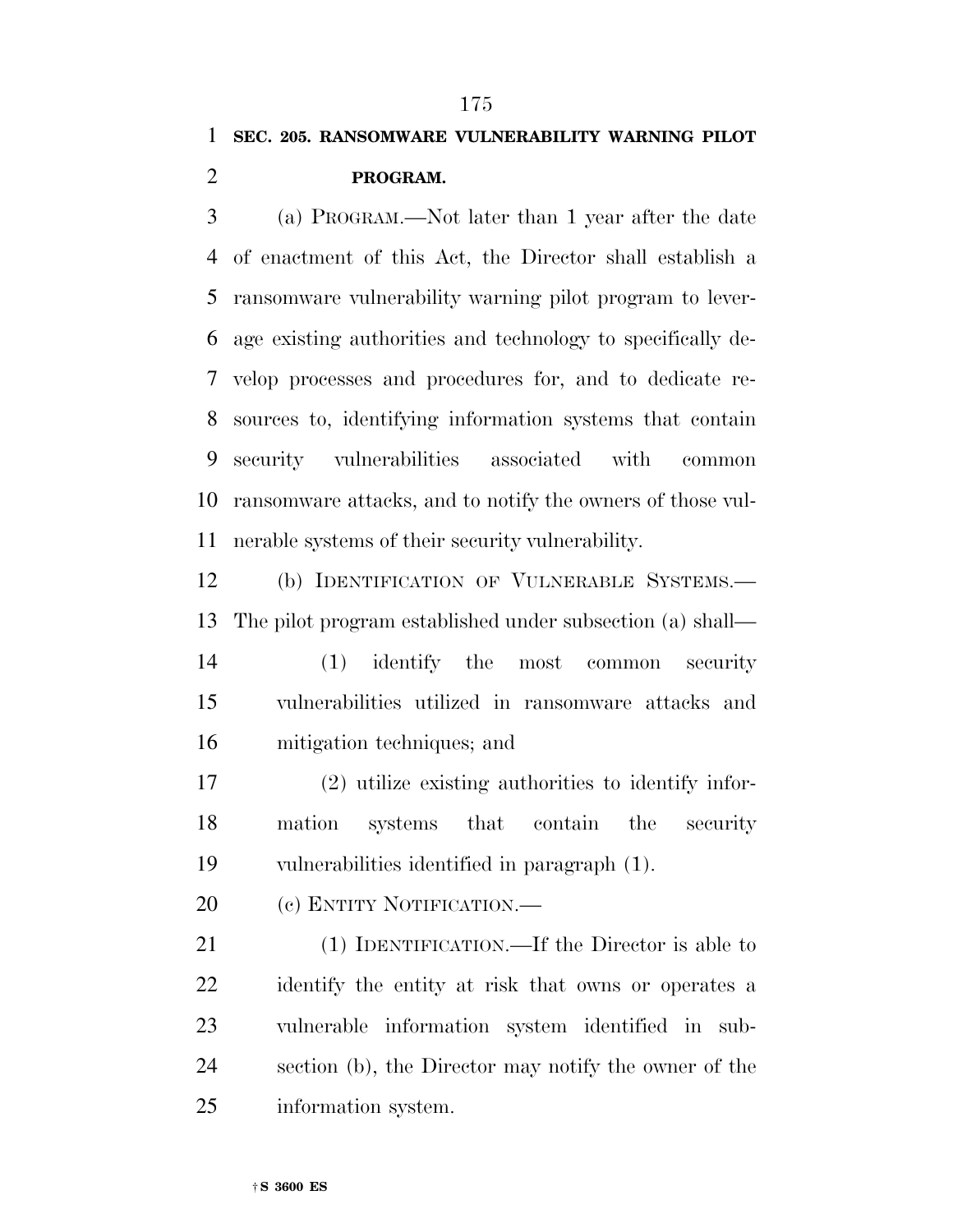## **SEC. 205. RANSOMWARE VULNERABILITY WARNING PILOT**

### **PROGRAM.**

 (a) PROGRAM.—Not later than 1 year after the date of enactment of this Act, the Director shall establish a ransomware vulnerability warning pilot program to lever- age existing authorities and technology to specifically de- velop processes and procedures for, and to dedicate re- sources to, identifying information systems that contain security vulnerabilities associated with common ransomware attacks, and to notify the owners of those vul-nerable systems of their security vulnerability.

 (b) IDENTIFICATION OF VULNERABLE SYSTEMS.— The pilot program established under subsection (a) shall—

 (1) identify the most common security vulnerabilities utilized in ransomware attacks and mitigation techniques; and

 (2) utilize existing authorities to identify infor- mation systems that contain the security vulnerabilities identified in paragraph (1).

20 (c) ENTITY NOTIFICATION.—

 (1) IDENTIFICATION.—If the Director is able to identify the entity at risk that owns or operates a vulnerable information system identified in sub- section (b), the Director may notify the owner of the information system.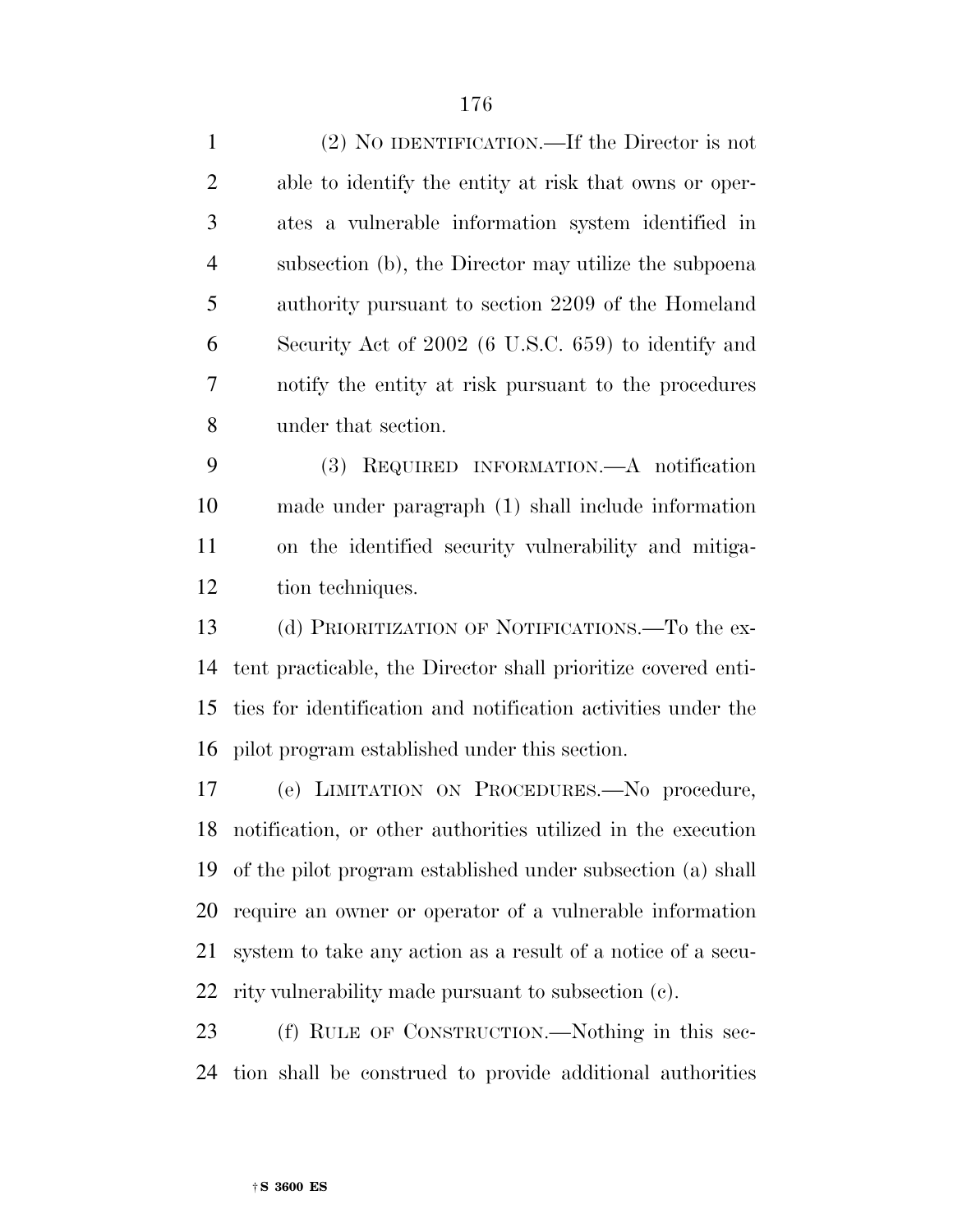| $\mathbf{1}$   | (2) NO IDENTIFICATION.—If the Director is not          |
|----------------|--------------------------------------------------------|
| 2              | able to identify the entity at risk that owns or oper- |
| $\overline{3}$ | ates a vulnerable information system identified in     |
| $\overline{4}$ | subsection (b), the Director may utilize the subpoena  |
| 5              | authority pursuant to section 2209 of the Homeland     |
| 6              | Security Act of 2002 (6 U.S.C. 659) to identify and    |
| 7              | notify the entity at risk pursuant to the procedures   |
| 8              | under that section.                                    |

 (3) REQUIRED INFORMATION.—A notification made under paragraph (1) shall include information on the identified security vulnerability and mitiga-tion techniques.

 (d) PRIORITIZATION OF NOTIFICATIONS.—To the ex- tent practicable, the Director shall prioritize covered enti- ties for identification and notification activities under the pilot program established under this section.

 (e) LIMITATION ON PROCEDURES.—No procedure, notification, or other authorities utilized in the execution of the pilot program established under subsection (a) shall require an owner or operator of a vulnerable information system to take any action as a result of a notice of a secu-rity vulnerability made pursuant to subsection (c).

 (f) RULE OF CONSTRUCTION.—Nothing in this sec-tion shall be construed to provide additional authorities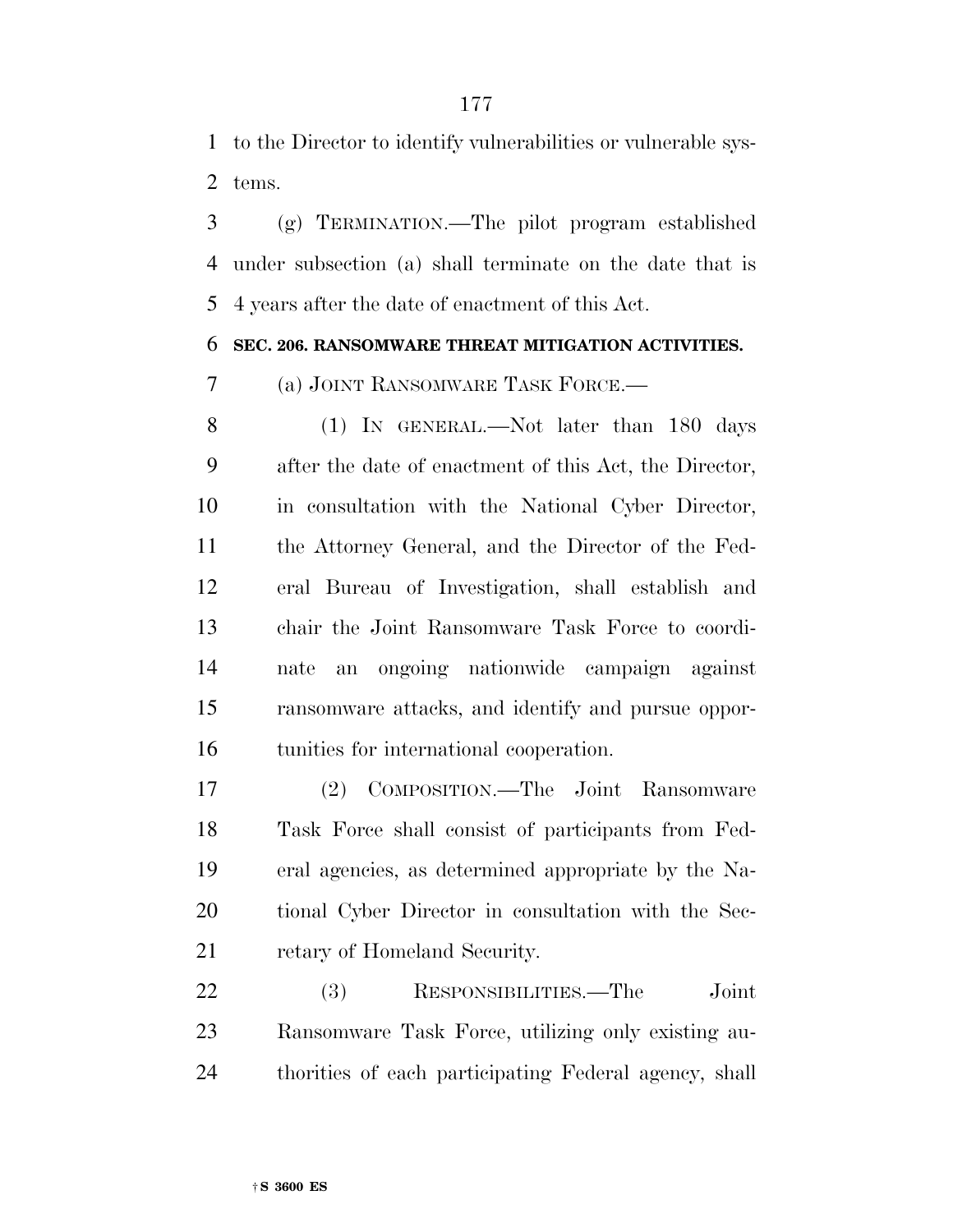to the Director to identify vulnerabilities or vulnerable sys-tems.

 (g) TERMINATION.—The pilot program established under subsection (a) shall terminate on the date that is 4 years after the date of enactment of this Act.

### **SEC. 206. RANSOMWARE THREAT MITIGATION ACTIVITIES.**

(a) JOINT RANSOMWARE TASK FORCE.—

 (1) IN GENERAL.—Not later than 180 days after the date of enactment of this Act, the Director, in consultation with the National Cyber Director, the Attorney General, and the Director of the Fed- eral Bureau of Investigation, shall establish and chair the Joint Ransomware Task Force to coordi- nate an ongoing nationwide campaign against ransomware attacks, and identify and pursue oppor-tunities for international cooperation.

 (2) COMPOSITION.—The Joint Ransomware Task Force shall consist of participants from Fed- eral agencies, as determined appropriate by the Na- tional Cyber Director in consultation with the Sec-21 retary of Homeland Security.

 (3) RESPONSIBILITIES.—The Joint Ransomware Task Force, utilizing only existing au-thorities of each participating Federal agency, shall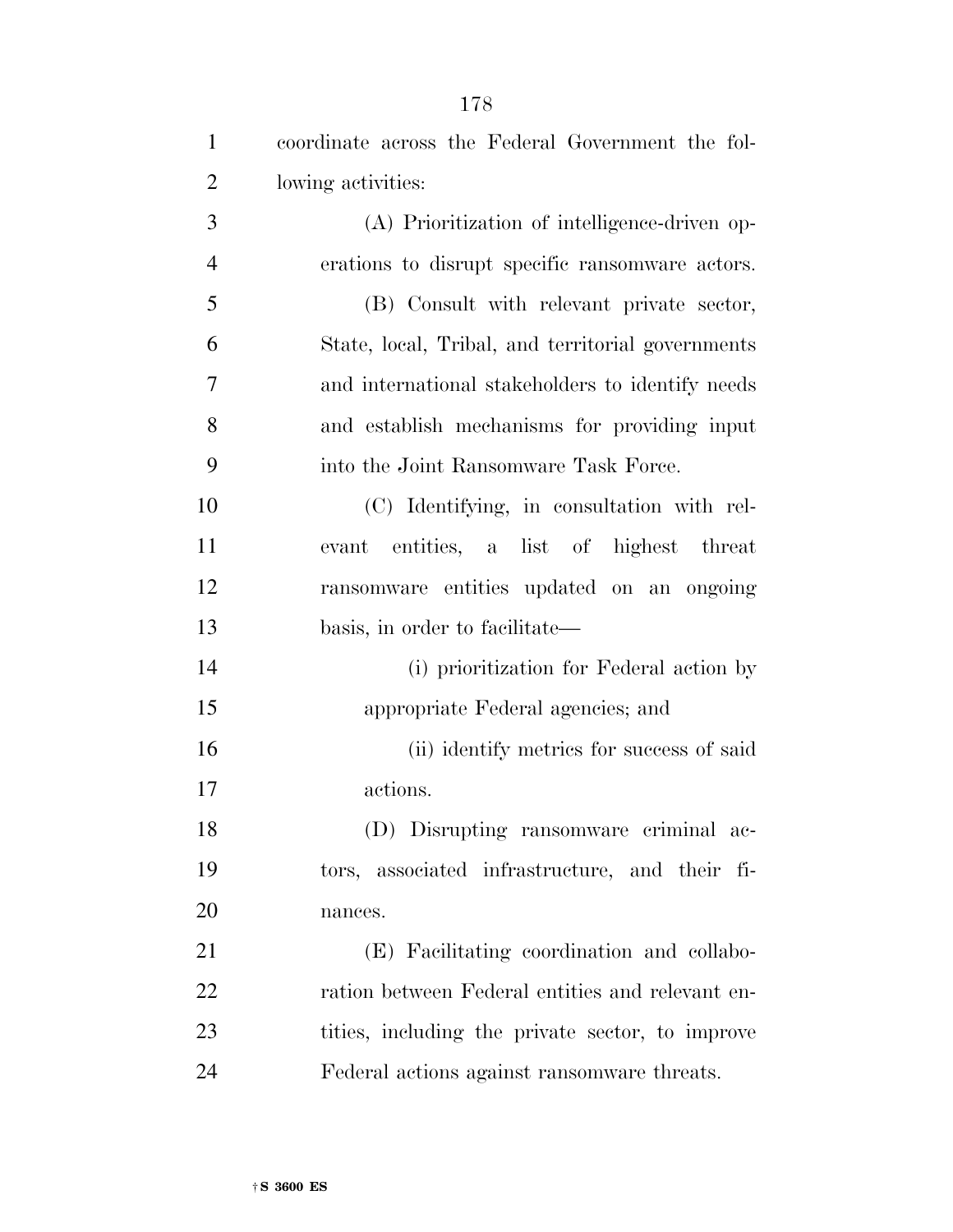| $\mathbf{1}$   | coordinate across the Federal Government the fol- |
|----------------|---------------------------------------------------|
| $\overline{2}$ | lowing activities:                                |
| 3              | (A) Prioritization of intelligence-driven op-     |
| $\overline{4}$ | erations to disrupt specific ransomware actors.   |
| 5              | (B) Consult with relevant private sector,         |
| 6              | State, local, Tribal, and territorial governments |
| 7              | and international stakeholders to identify needs  |
| 8              | and establish mechanisms for providing input      |
| 9              | into the Joint Ransomware Task Force.             |
| 10             | (C) Identifying, in consultation with rel-        |
| 11             | entities, a list of highest threat<br>evant       |
| 12             | ransomware entities updated on an ongoing         |
| 13             | basis, in order to facilitate—                    |
| 14             | (i) prioritization for Federal action by          |
| 15             | appropriate Federal agencies; and                 |
| 16             | (ii) identify metrics for success of said         |
| 17             | actions.                                          |
| 18             | (D) Disrupting ransomware criminal ac-            |
| 19             | tors, associated infrastructure, and their fi-    |
| 20             | nances.                                           |
| 21             | (E) Facilitating coordination and collabo-        |
| 22             | ration between Federal entities and relevant en-  |
| 23             | tities, including the private sector, to improve  |
| 24             | Federal actions against ransomware threats.       |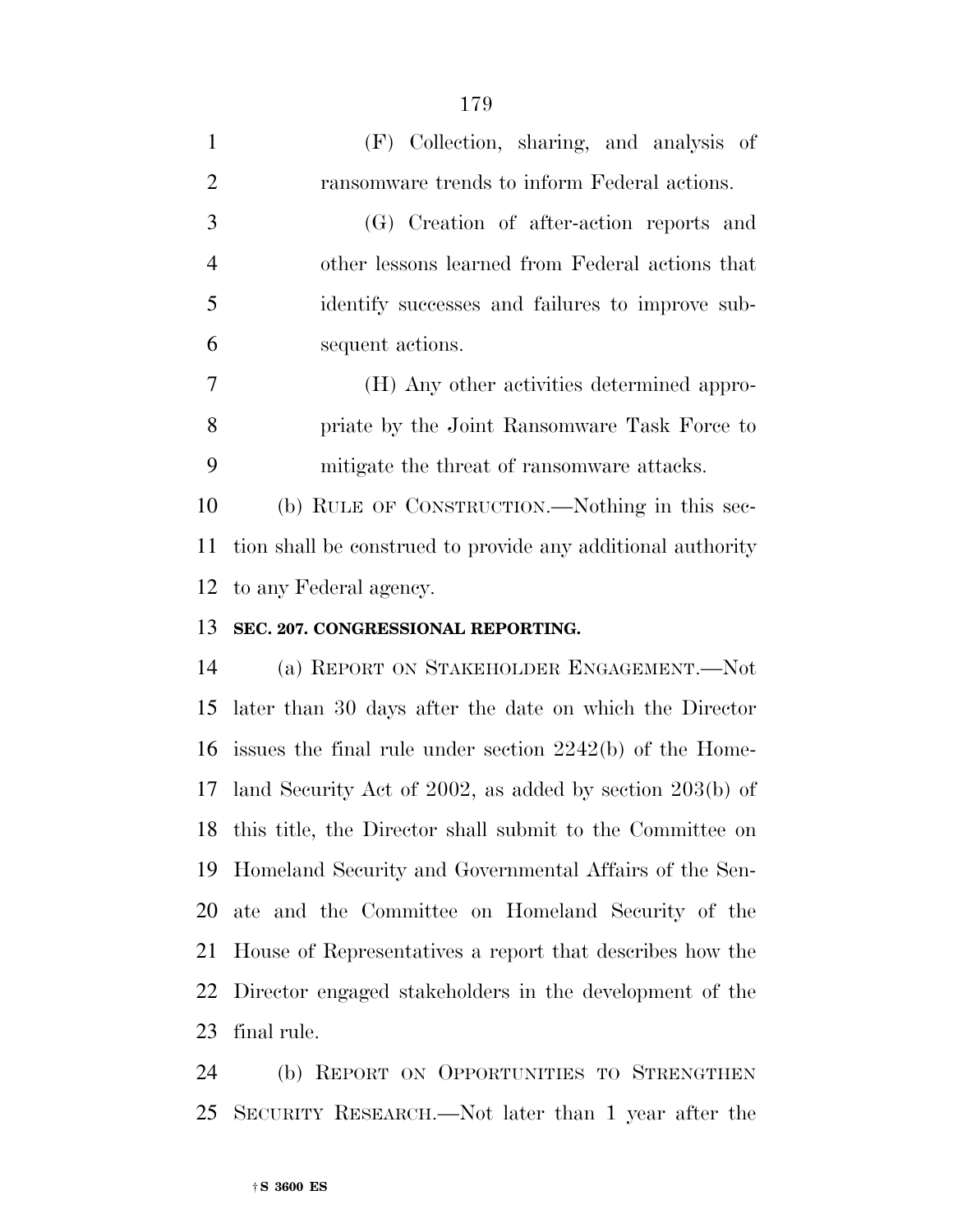| $\mathbf{1}$   | (F) Collection, sharing, and analysis of                    |
|----------------|-------------------------------------------------------------|
| $\overline{2}$ | ransomware trends to inform Federal actions.                |
| 3              | (G) Creation of after-action reports and                    |
| $\overline{4}$ | other lessons learned from Federal actions that             |
| 5              | identify successes and failures to improve sub-             |
| 6              | sequent actions.                                            |
| $\overline{7}$ | (H) Any other activities determined appro-                  |
| 8              | priate by the Joint Ransomware Task Force to                |
| 9              | mitigate the threat of ransom ware attacks.                 |
| 10             | (b) RULE OF CONSTRUCTION.—Nothing in this sec-              |
| 11             | tion shall be construed to provide any additional authority |
|                | 12 to any Federal agency.                                   |
|                | 13 SEC. 207. CONGRESSIONAL REPORTING.                       |
|                | $14 \cdot \sqrt{N}$                                         |

 (a) REPORT ON STAKEHOLDER ENGAGEMENT.—Not later than 30 days after the date on which the Director issues the final rule under section 2242(b) of the Home- land Security Act of 2002, as added by section 203(b) of this title, the Director shall submit to the Committee on Homeland Security and Governmental Affairs of the Sen- ate and the Committee on Homeland Security of the House of Representatives a report that describes how the Director engaged stakeholders in the development of the final rule.

 (b) REPORT ON OPPORTUNITIES TO STRENGTHEN SECURITY RESEARCH.—Not later than 1 year after the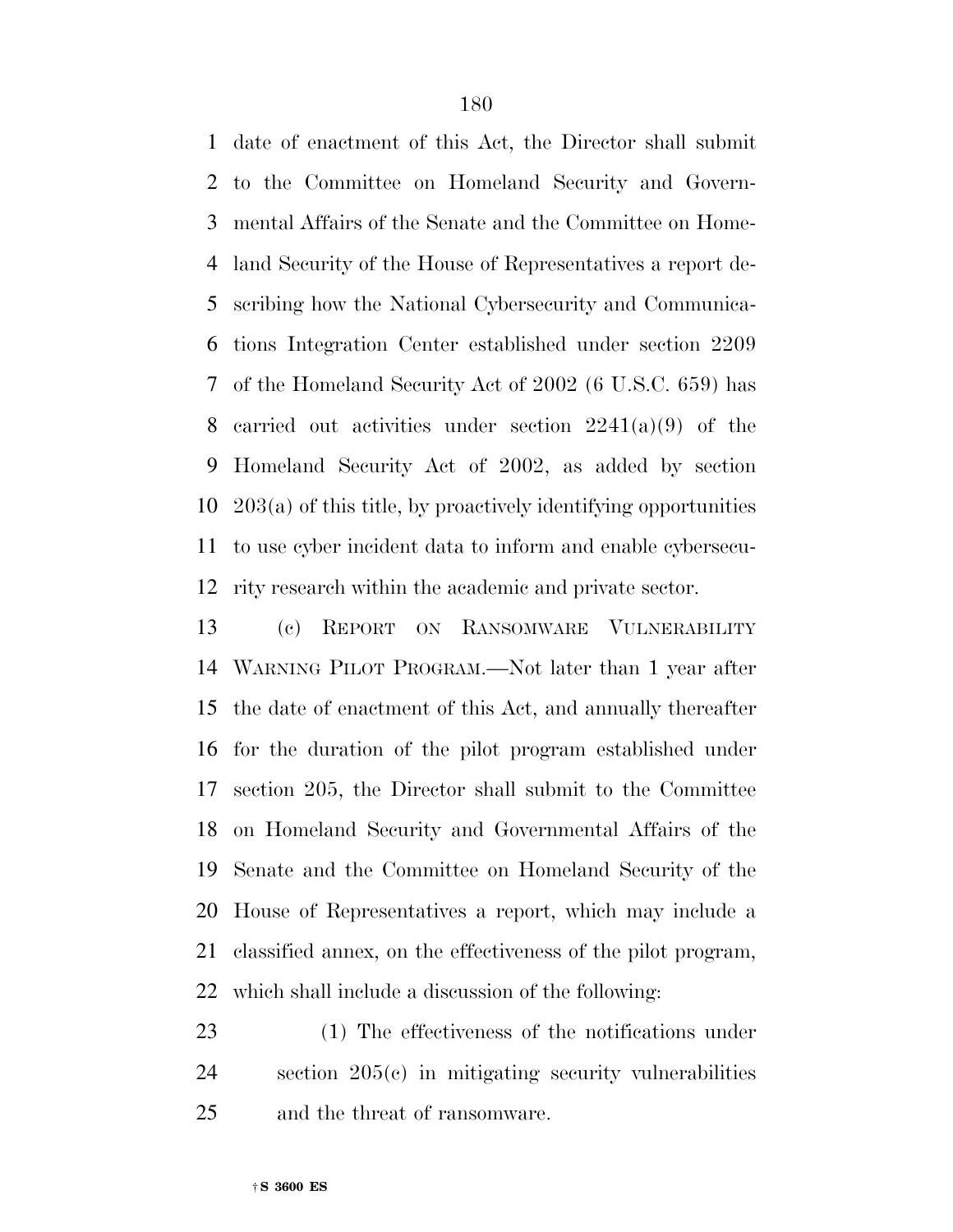date of enactment of this Act, the Director shall submit to the Committee on Homeland Security and Govern- mental Affairs of the Senate and the Committee on Home- land Security of the House of Representatives a report de- scribing how the National Cybersecurity and Communica- tions Integration Center established under section 2209 of the Homeland Security Act of 2002 (6 U.S.C. 659) has 8 carried out activities under section  $2241(a)(9)$  of the Homeland Security Act of 2002, as added by section 203(a) of this title, by proactively identifying opportunities to use cyber incident data to inform and enable cybersecu-rity research within the academic and private sector.

 (c) REPORT ON RANSOMWARE VULNERABILITY WARNING PILOT PROGRAM.—Not later than 1 year after the date of enactment of this Act, and annually thereafter for the duration of the pilot program established under section 205, the Director shall submit to the Committee on Homeland Security and Governmental Affairs of the Senate and the Committee on Homeland Security of the House of Representatives a report, which may include a classified annex, on the effectiveness of the pilot program, which shall include a discussion of the following:

 (1) The effectiveness of the notifications under section 205(c) in mitigating security vulnerabilities and the threat of ransomware.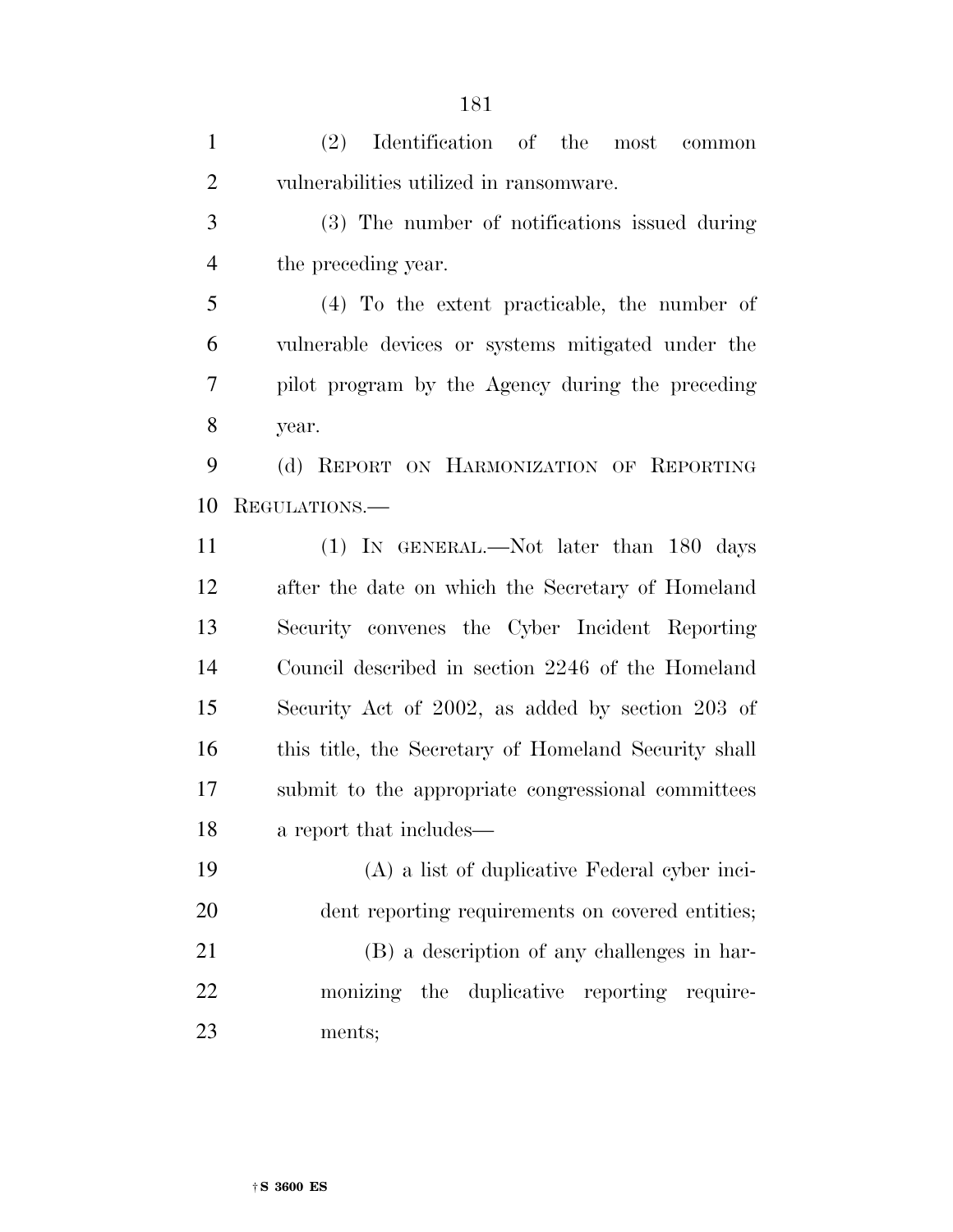(2) Identification of the most common vulnerabilities utilized in ransomware.

 (3) The number of notifications issued during the preceding year.

 (4) To the extent practicable, the number of vulnerable devices or systems mitigated under the pilot program by the Agency during the preceding year.

 (d) REPORT ON HARMONIZATION OF REPORTING REGULATIONS.—

 (1) IN GENERAL.—Not later than 180 days after the date on which the Secretary of Homeland Security convenes the Cyber Incident Reporting Council described in section 2246 of the Homeland Security Act of 2002, as added by section 203 of this title, the Secretary of Homeland Security shall submit to the appropriate congressional committees a report that includes—

 (A) a list of duplicative Federal cyber inci- dent reporting requirements on covered entities; (B) a description of any challenges in har- monizing the duplicative reporting require-ments;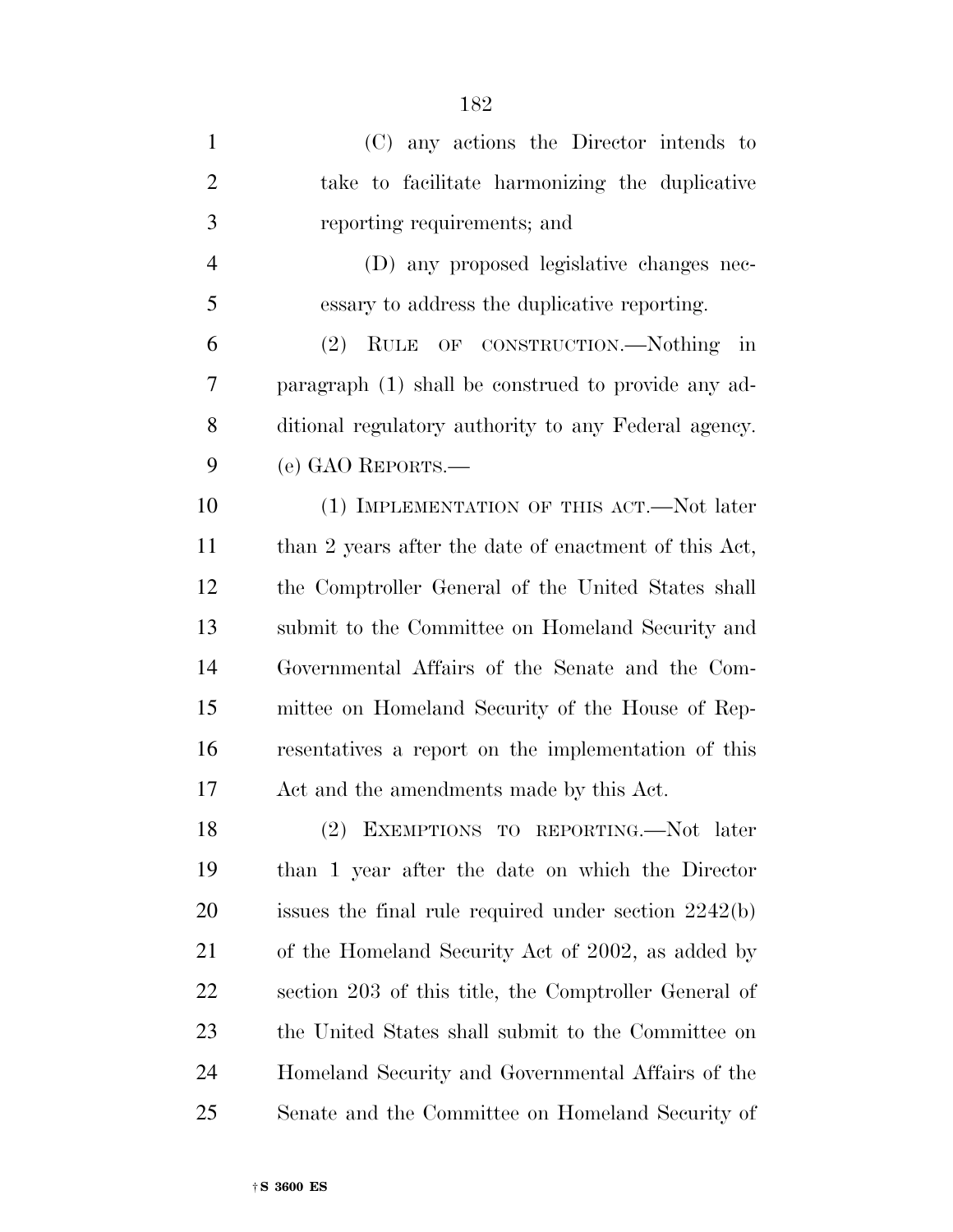(C) any actions the Director intends to take to facilitate harmonizing the duplicative reporting requirements; and (D) any proposed legislative changes nec- essary to address the duplicative reporting. (2) RULE OF CONSTRUCTION.—Nothing in paragraph (1) shall be construed to provide any ad- ditional regulatory authority to any Federal agency. (e) GAO REPORTS.— (1) IMPLEMENTATION OF THIS ACT.—Not later 11 than 2 years after the date of enactment of this Act, the Comptroller General of the United States shall submit to the Committee on Homeland Security and Governmental Affairs of the Senate and the Com- mittee on Homeland Security of the House of Rep- resentatives a report on the implementation of this Act and the amendments made by this Act. (2) EXEMPTIONS TO REPORTING.—Not later than 1 year after the date on which the Director issues the final rule required under section 2242(b) of the Homeland Security Act of 2002, as added by section 203 of this title, the Comptroller General of the United States shall submit to the Committee on Homeland Security and Governmental Affairs of the Senate and the Committee on Homeland Security of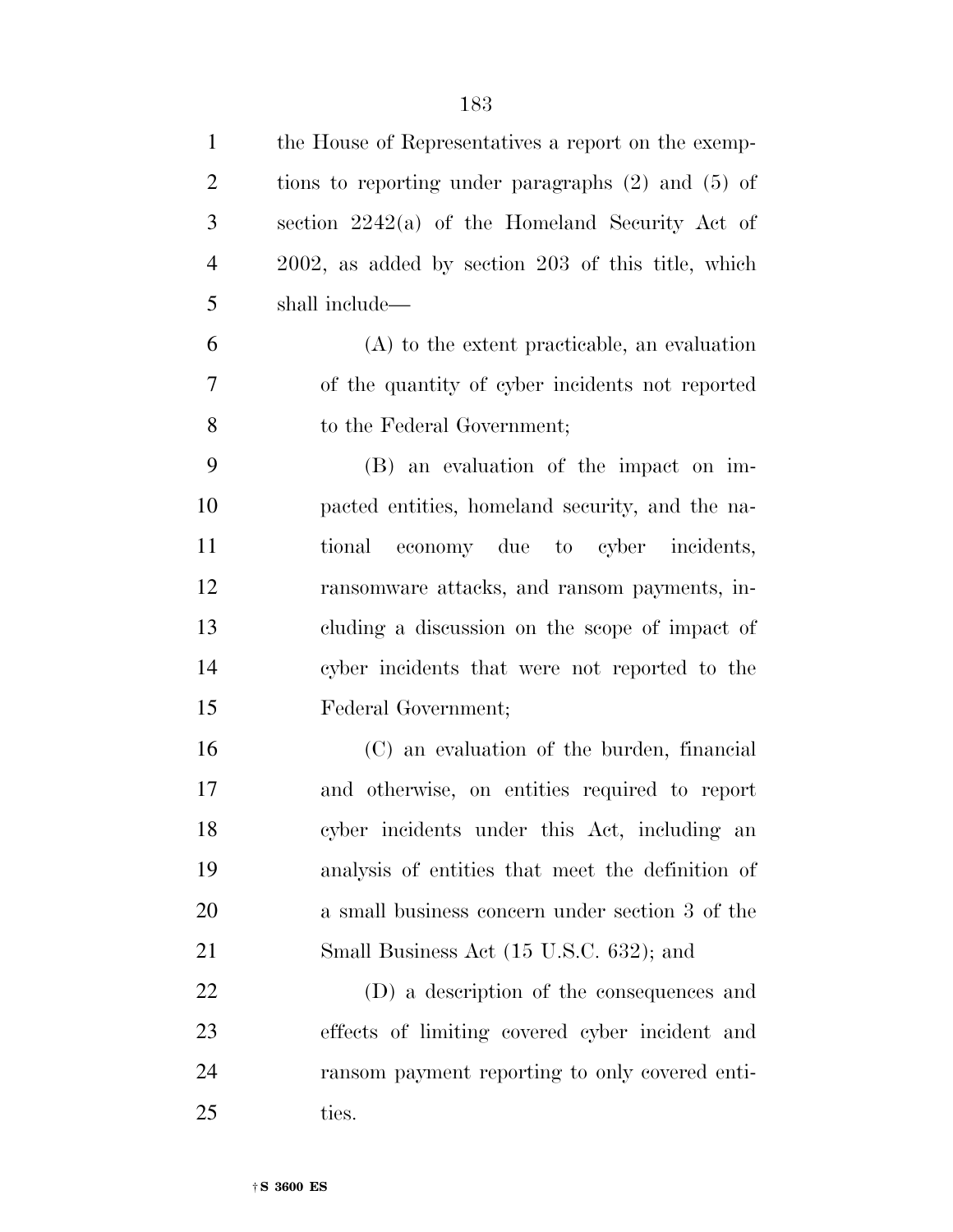| $\mathbf{1}$   | the House of Representatives a report on the exemp-     |
|----------------|---------------------------------------------------------|
| $\overline{2}$ | tions to reporting under paragraphs $(2)$ and $(5)$ of  |
| 3              | section $2242(a)$ of the Homeland Security Act of       |
| $\overline{4}$ | $2002$ , as added by section $203$ of this title, which |
| 5              | shall include—                                          |
| 6              | $(A)$ to the extent practicable, an evaluation          |
| 7              | of the quantity of cyber incidents not reported         |
| 8              | to the Federal Government;                              |
| 9              | (B) an evaluation of the impact on im-                  |
| 10             | pacted entities, homeland security, and the na-         |
| 11             | tional economy due to cyber incidents,                  |
| 12             | ransomware attacks, and ransom payments, in-            |
| 13             | cluding a discussion on the scope of impact of          |
| 14             | cyber incidents that were not reported to the           |
| 15             | Federal Government;                                     |
| 16             | (C) an evaluation of the burden, financial              |
| 17             | and otherwise, on entities required to report           |
| 18             | cyber incidents under this Act, including an            |
| 19             | analysis of entities that meet the definition of        |
| 20             | a small business concern under section 3 of the         |
| 21             | Small Business Act (15 U.S.C. 632); and                 |
| 22             | (D) a description of the consequences and               |
| 23             | effects of limiting covered cyber incident and          |
| 24             | ransom payment reporting to only covered enti-          |
| 25             | ties.                                                   |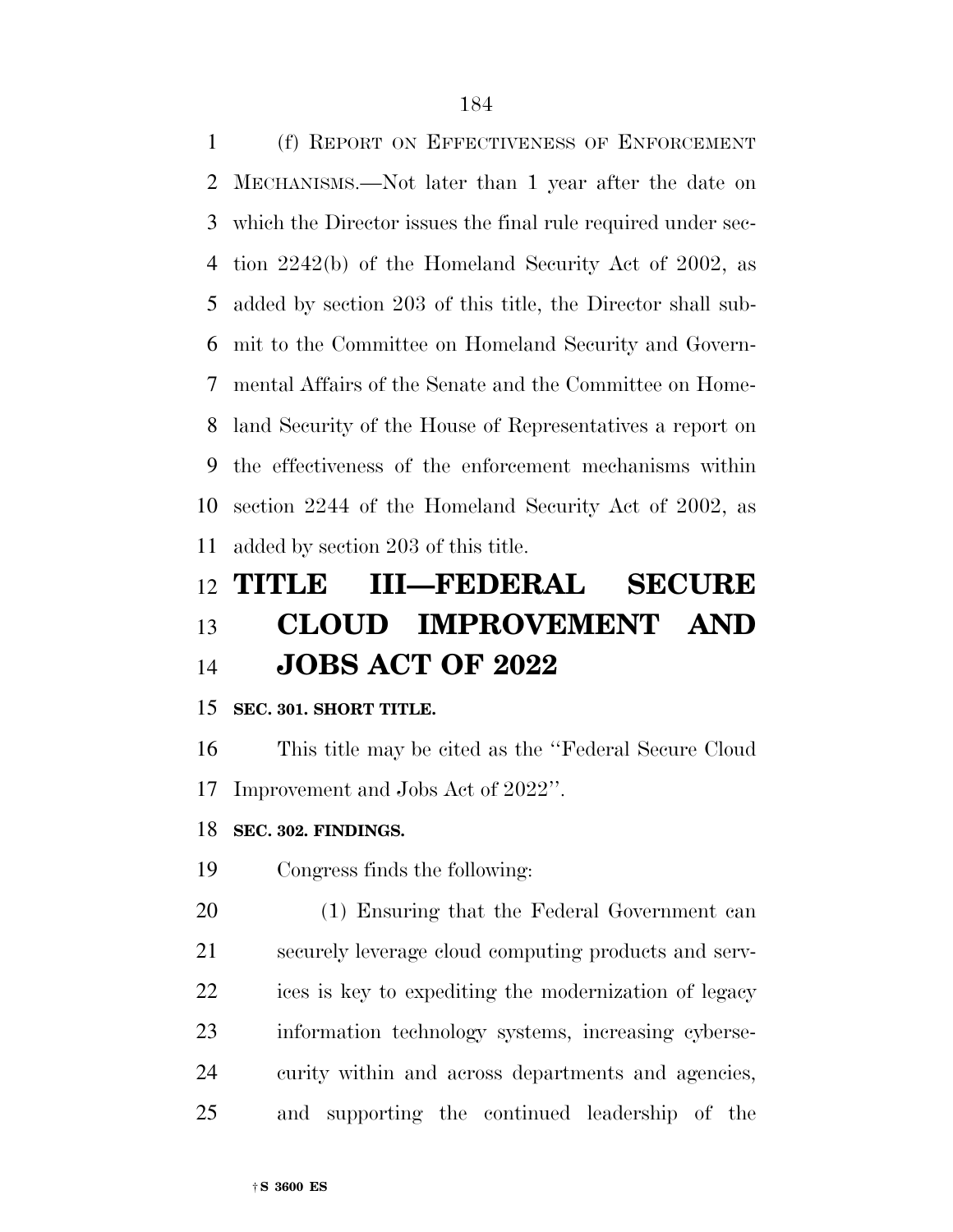(f) REPORT ON EFFECTIVENESS OF ENFORCEMENT MECHANISMS.—Not later than 1 year after the date on which the Director issues the final rule required under sec- tion 2242(b) of the Homeland Security Act of 2002, as added by section 203 of this title, the Director shall sub- mit to the Committee on Homeland Security and Govern- mental Affairs of the Senate and the Committee on Home- land Security of the House of Representatives a report on the effectiveness of the enforcement mechanisms within section 2244 of the Homeland Security Act of 2002, as added by section 203 of this title.

# **TITLE III—FEDERAL SECURE CLOUD IMPROVEMENT AND JOBS ACT OF 2022**

### **SEC. 301. SHORT TITLE.**

 This title may be cited as the ''Federal Secure Cloud Improvement and Jobs Act of 2022''.

### **SEC. 302. FINDINGS.**

Congress finds the following:

 (1) Ensuring that the Federal Government can securely leverage cloud computing products and serv- ices is key to expediting the modernization of legacy information technology systems, increasing cyberse- curity within and across departments and agencies, and supporting the continued leadership of the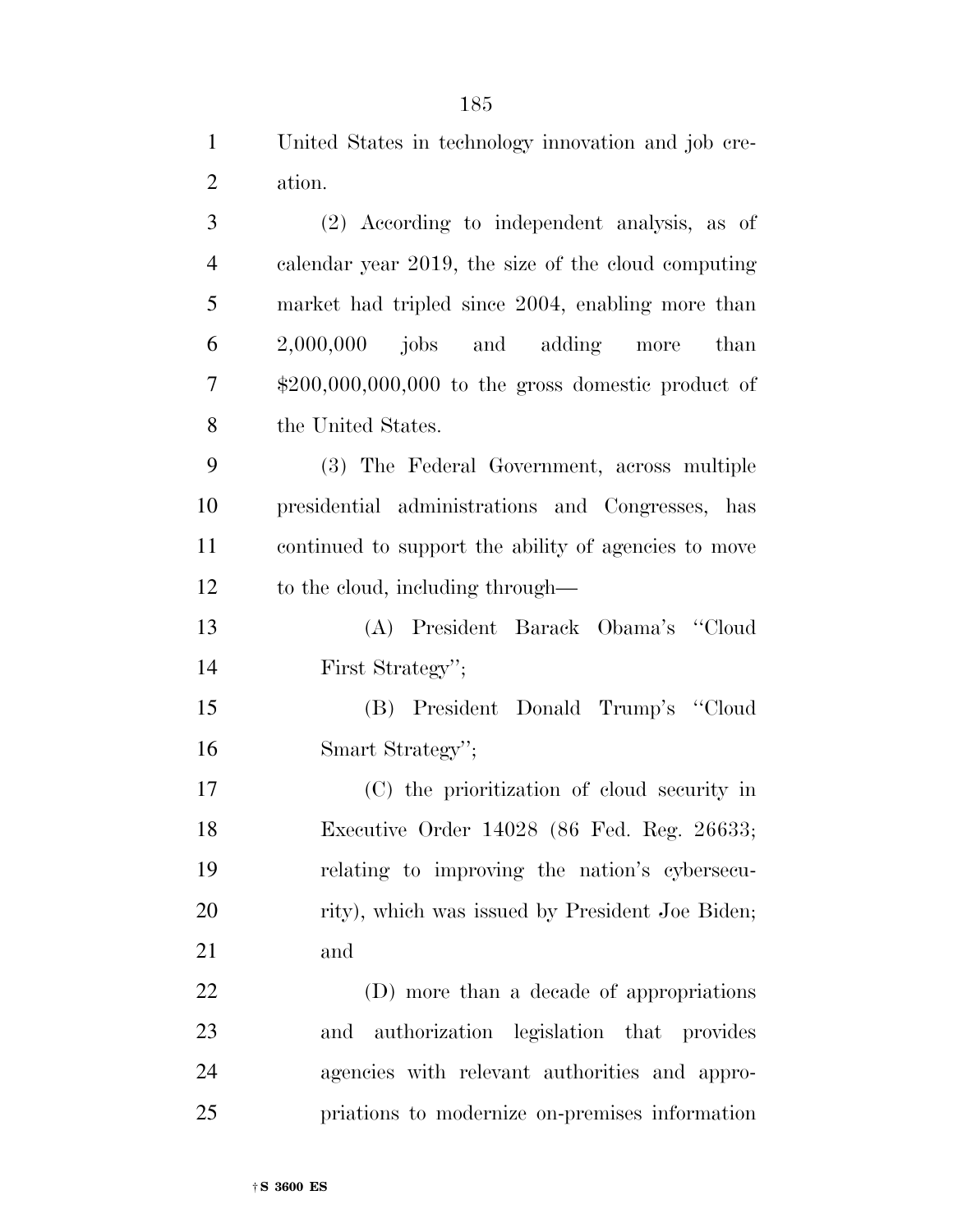|        |  | United States in technology innovation and job cre- |  |  |
|--------|--|-----------------------------------------------------|--|--|
| ation. |  |                                                     |  |  |

 (2) According to independent analysis, as of calendar year 2019, the size of the cloud computing market had tripled since 2004, enabling more than 2,000,000 jobs and adding more than \$200,000,000,000 to the gross domestic product of the United States.

 (3) The Federal Government, across multiple presidential administrations and Congresses, has continued to support the ability of agencies to move to the cloud, including through—

 (A) President Barack Obama's ''Cloud First Strategy'';

 (B) President Donald Trump's ''Cloud Smart Strategy'';

 (C) the prioritization of cloud security in Executive Order 14028 (86 Fed. Reg. 26633; relating to improving the nation's cybersecu-20 rity), which was issued by President Joe Biden; and

 (D) more than a decade of appropriations and authorization legislation that provides agencies with relevant authorities and appro-priations to modernize on-premises information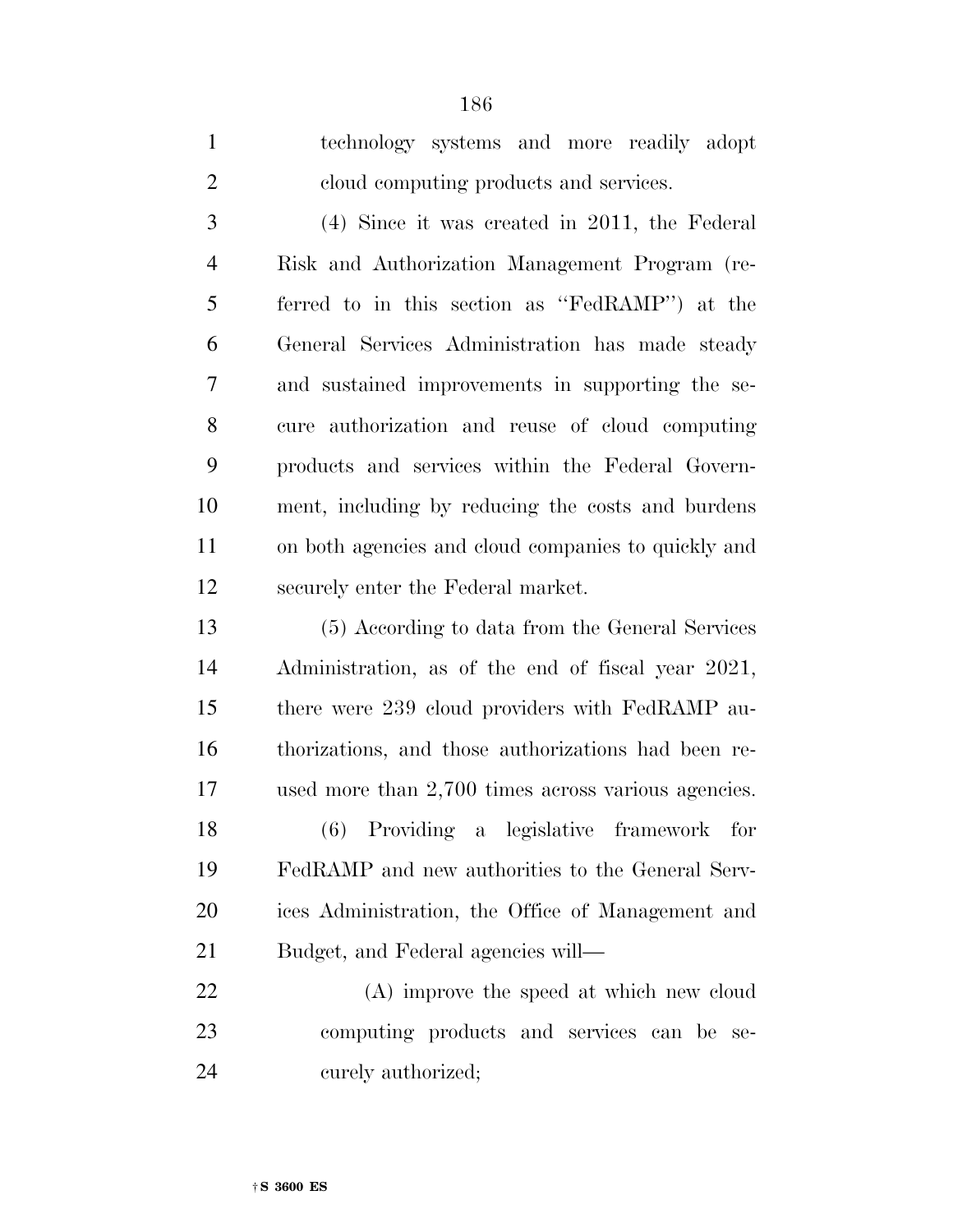technology systems and more readily adopt cloud computing products and services.

 (4) Since it was created in 2011, the Federal Risk and Authorization Management Program (re- ferred to in this section as ''FedRAMP'') at the General Services Administration has made steady and sustained improvements in supporting the se- cure authorization and reuse of cloud computing products and services within the Federal Govern- ment, including by reducing the costs and burdens on both agencies and cloud companies to quickly and securely enter the Federal market.

 (5) According to data from the General Services Administration, as of the end of fiscal year 2021, there were 239 cloud providers with FedRAMP au- thorizations, and those authorizations had been re- used more than 2,700 times across various agencies. (6) Providing a legislative framework for FedRAMP and new authorities to the General Serv-

 ices Administration, the Office of Management and Budget, and Federal agencies will—

 (A) improve the speed at which new cloud computing products and services can be se-curely authorized;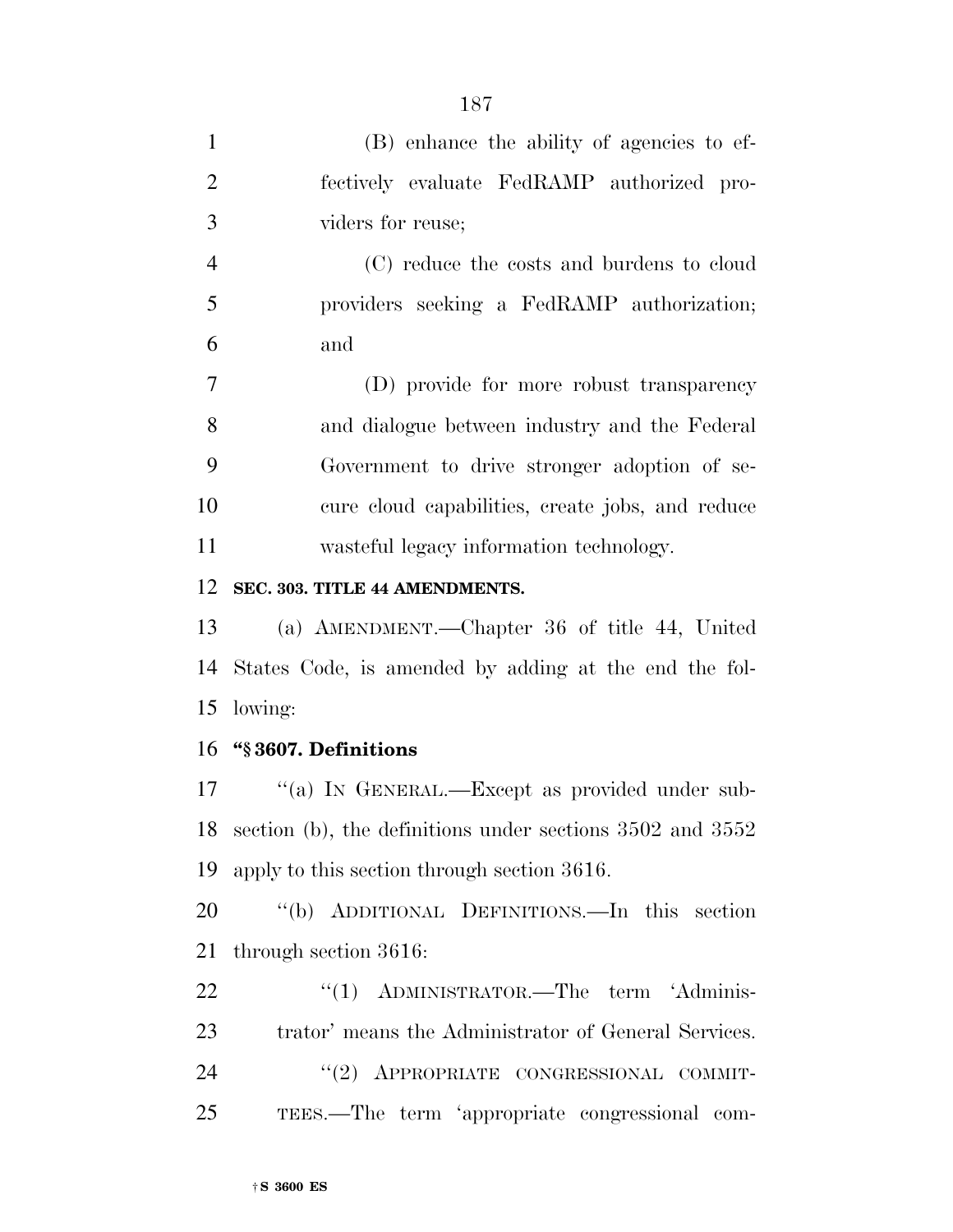| 1              | (B) enhance the ability of agencies to ef-       |
|----------------|--------------------------------------------------|
| 2              | fectively evaluate FedRAMP authorized pro-       |
| 3              | viders for reuse;                                |
| $\overline{4}$ | (C) reduce the costs and burdens to cloud        |
| 5              | providers seeking a FedRAMP authorization;       |
| 6              | and                                              |
| $\overline{7}$ | (D) provide for more robust transparency         |
| 8              | and dialogue between industry and the Federal    |
| 9              | Government to drive stronger adoption of se-     |
| 10             | cure cloud capabilities, create jobs, and reduce |
| 11             | wasteful legacy information technology.          |
| 12             | SEC. 303. TITLE 44 AMENDMENTS.                   |

 (a) AMENDMENT.—Chapter 36 of title 44, United States Code, is amended by adding at the end the fol-lowing:

### **''§ 3607. Definitions**

17 "(a) IN GENERAL.—Except as provided under sub- section (b), the definitions under sections 3502 and 3552 apply to this section through section 3616.

 ''(b) ADDITIONAL DEFINITIONS.—In this section through section 3616:

22 "(1) ADMINISTRATOR.—The term 'Adminis- trator' means the Administrator of General Services. 24 "(2) APPROPRIATE CONGRESSIONAL COMMIT-TEES.—The term 'appropriate congressional com-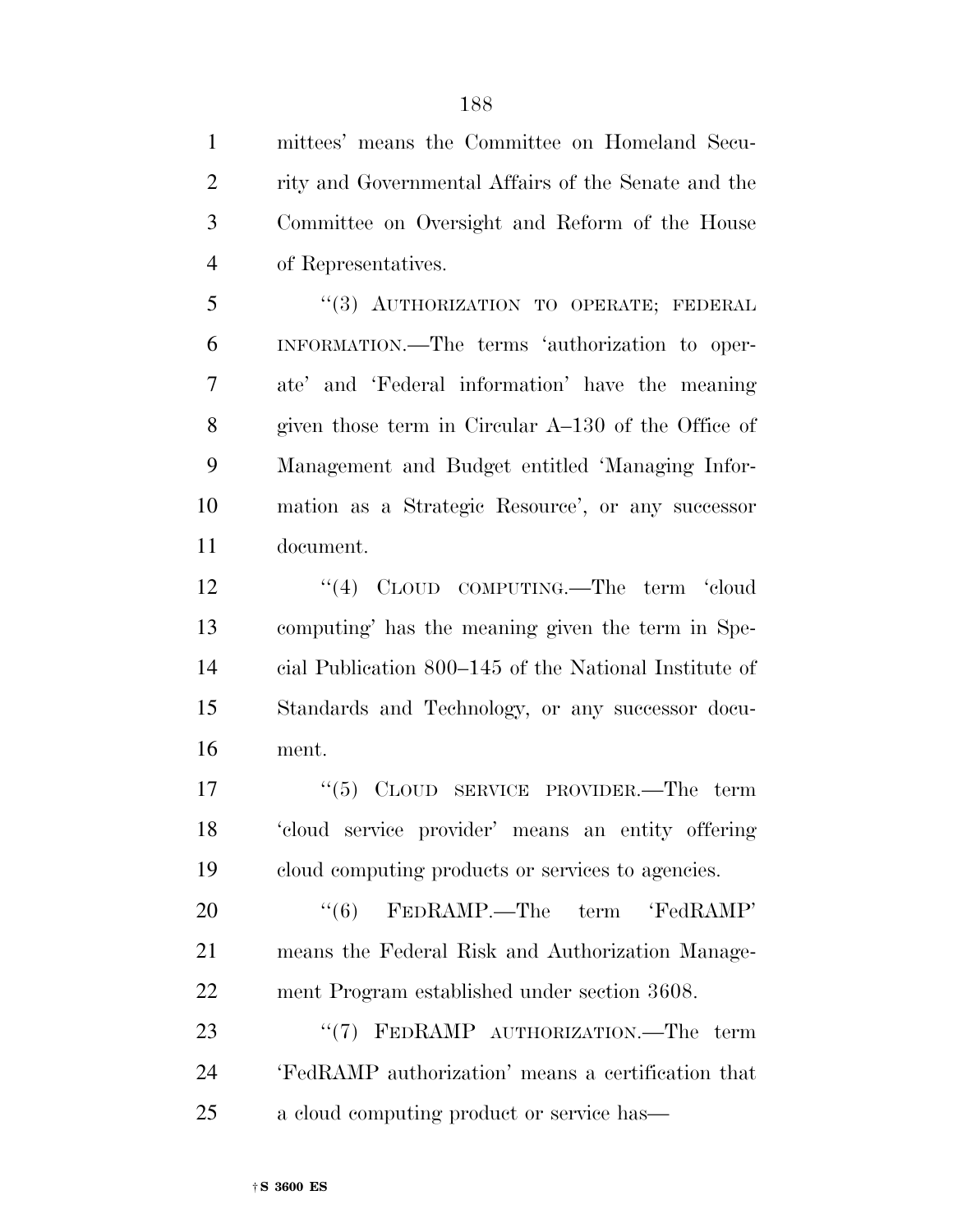mittees' means the Committee on Homeland Secu- rity and Governmental Affairs of the Senate and the Committee on Oversight and Reform of the House of Representatives. ''(3) AUTHORIZATION TO OPERATE; FEDERAL INFORMATION.—The terms 'authorization to oper- ate' and 'Federal information' have the meaning given those term in Circular A–130 of the Office of Management and Budget entitled 'Managing Infor- mation as a Strategic Resource', or any successor document. 12 ''(4) CLOUD COMPUTING.—The term 'cloud computing' has the meaning given the term in Spe-

 cial Publication 800–145 of the National Institute of Standards and Technology, or any successor docu-ment.

17 "(5) CLOUD SERVICE PROVIDER.—The term 'cloud service provider' means an entity offering cloud computing products or services to agencies.

20  $\textdegree{(6)}$  FEDRAMP.—The term 'FedRAMP' means the Federal Risk and Authorization Manage-ment Program established under section 3608.

23 "(7) FEDRAMP AUTHORIZATION.—The term 'FedRAMP authorization' means a certification that a cloud computing product or service has—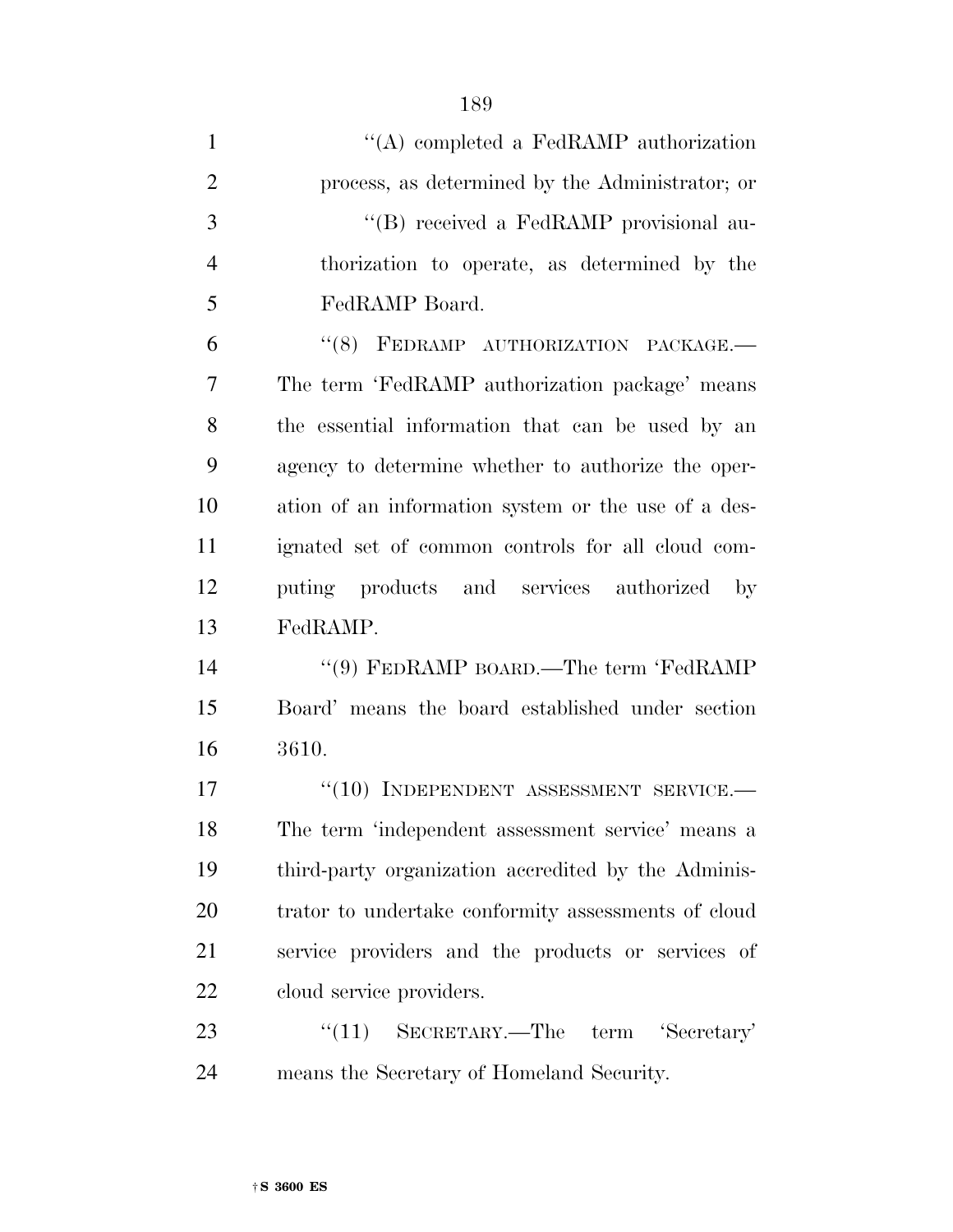| $\mathbf{1}$   | "(A) completed a FedRAMP authorization              |
|----------------|-----------------------------------------------------|
| $\overline{2}$ | process, as determined by the Administrator; or     |
| 3              | "(B) received a FedRAMP provisional au-             |
| $\overline{4}$ | thorization to operate, as determined by the        |
| 5              | FedRAMP Board.                                      |
| 6              | "(8) FEDRAMP AUTHORIZATION PACKAGE.-                |
| 7              | The term 'FedRAMP authorization package' means      |
| 8              | the essential information that can be used by an    |
| 9              | agency to determine whether to authorize the oper-  |
| 10             | ation of an information system or the use of a des- |
| 11             | ignated set of common controls for all cloud com-   |
| 12             | puting products and services authorized by          |
| 13             | FedRAMP.                                            |
| 14             | "(9) FEDRAMP BOARD.—The term 'FedRAMP               |
| 15             | Board' means the board established under section    |
| 16             | 3610.                                               |
| 17             | $``(10)$ INDEPENDENT ASSESSMENT SERVICE.-           |
| 18             | The term 'independent assessment service' means a   |
| 19             | third-party organization accredited by the Adminis- |
| 20             | trator to undertake conformity assessments of cloud |
| 21             | service providers and the products or services of   |
| 22             | cloud service providers.                            |
| 23             | "(11) SECRETARY.—The term 'Secretary'               |
| 24             | means the Secretary of Homeland Security.           |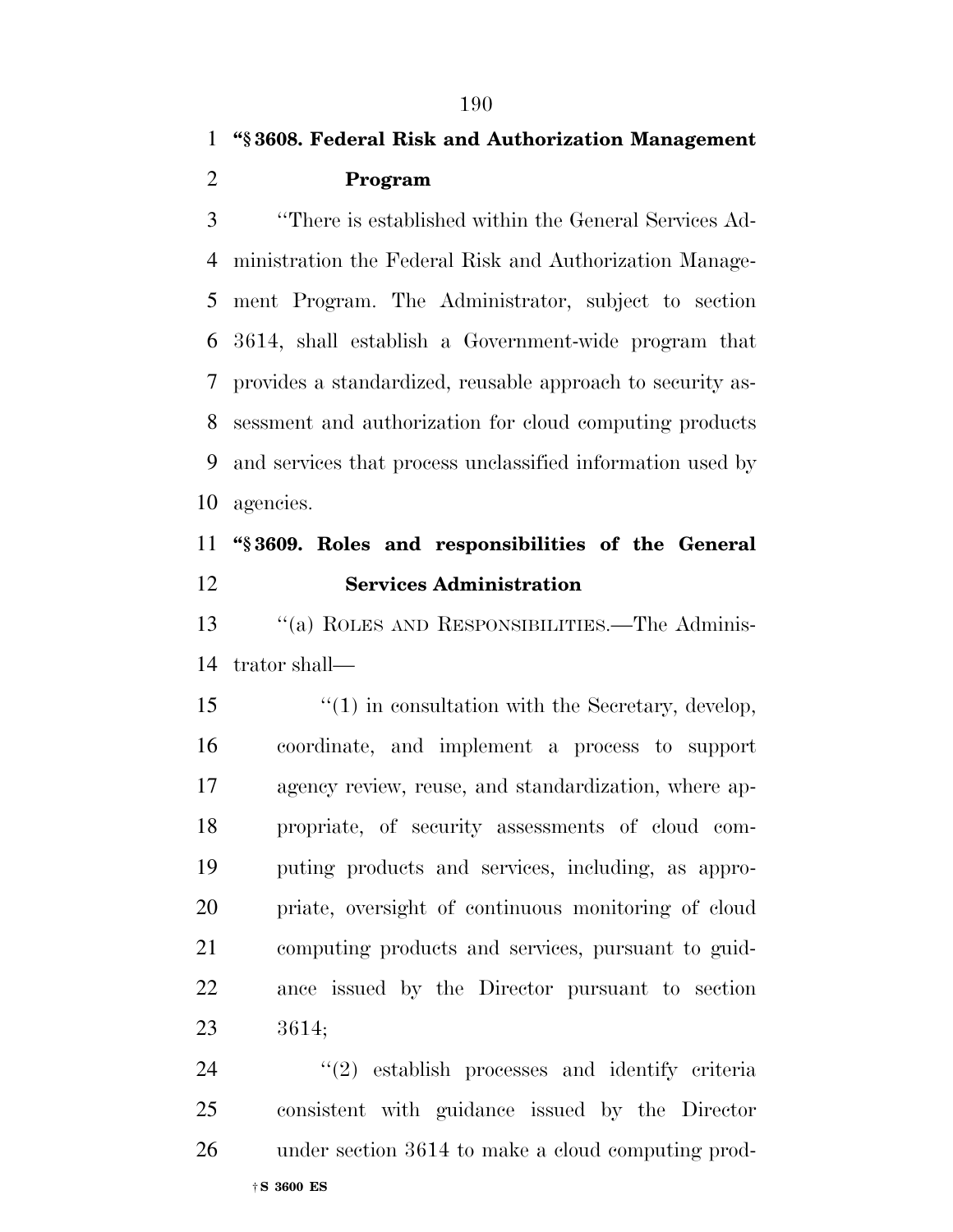## **''§ 3608. Federal Risk and Authorization Management Program**

 ''There is established within the General Services Ad- ministration the Federal Risk and Authorization Manage- ment Program. The Administrator, subject to section 3614, shall establish a Government-wide program that provides a standardized, reusable approach to security as- sessment and authorization for cloud computing products and services that process unclassified information used by agencies.

### **''§ 3609. Roles and responsibilities of the General Services Administration**

 ''(a) ROLES AND RESPONSIBILITIES.—The Adminis-trator shall—

 ''(1) in consultation with the Secretary, develop, coordinate, and implement a process to support agency review, reuse, and standardization, where ap- propriate, of security assessments of cloud com- puting products and services, including, as appro- priate, oversight of continuous monitoring of cloud computing products and services, pursuant to guid- ance issued by the Director pursuant to section 3614;

 ''(2) establish processes and identify criteria consistent with guidance issued by the Director under section 3614 to make a cloud computing prod-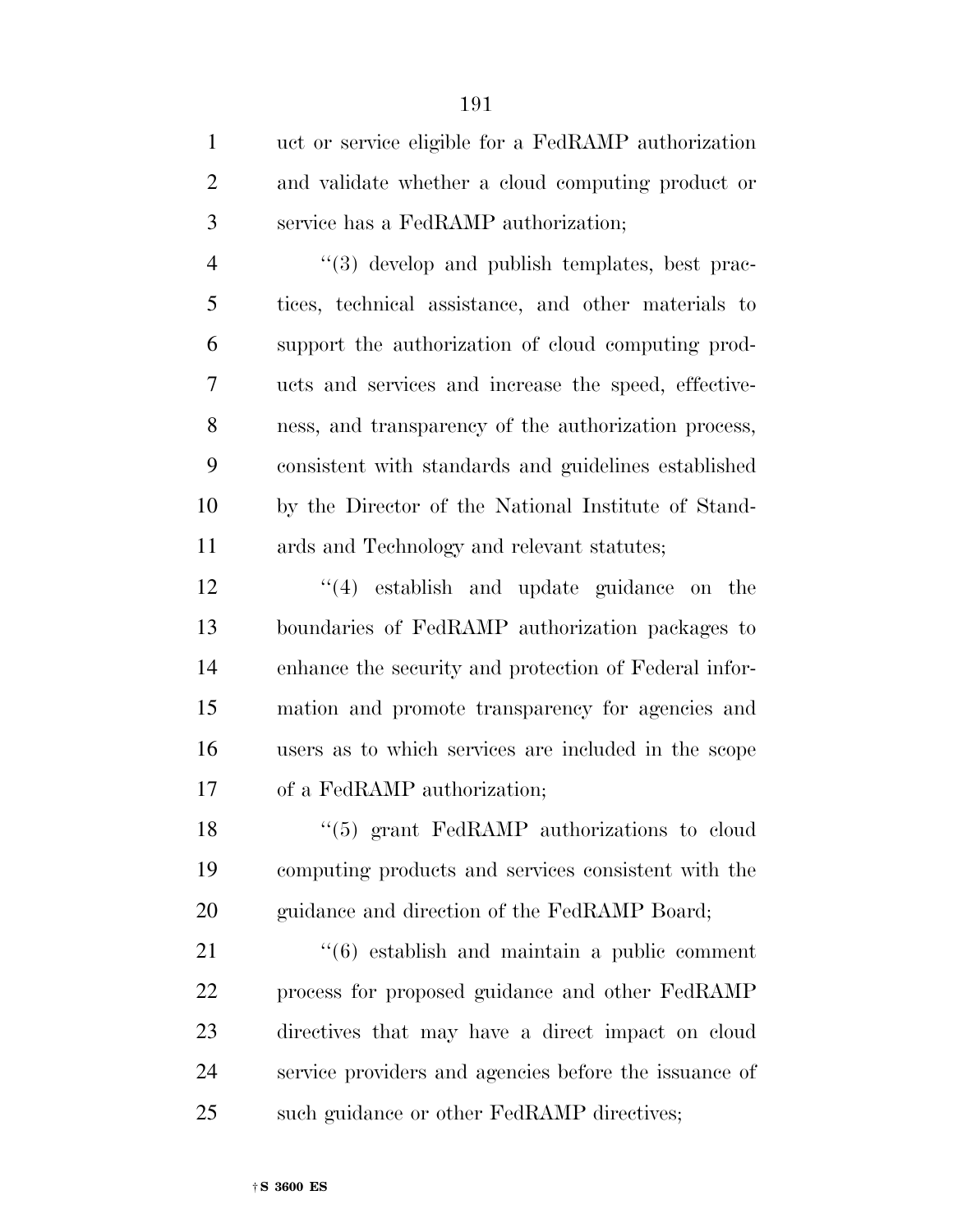| $\mathbf{1}$   | uct or service eligible for a FedRAMP authorization          |
|----------------|--------------------------------------------------------------|
| $\overline{2}$ | and validate whether a cloud computing product or            |
| 3              | service has a FedRAMP authorization;                         |
| $\overline{4}$ | "(3) develop and publish templates, best prac-               |
| 5              | tices, technical assistance, and other materials to          |
| 6              | support the authorization of cloud computing prod-           |
| 7              | ucts and services and increase the speed, effective-         |
| 8              | ness, and transparency of the authorization process,         |
| 9              | consistent with standards and guidelines established         |
| 10             | by the Director of the National Institute of Stand-          |
| 11             | ards and Technology and relevant statutes;                   |
| 12             | $\lq(4)$ establish and update guidance on the                |
| 13             | boundaries of FedRAMP authorization packages to              |
| 14             | enhance the security and protection of Federal infor-        |
| 15             | mation and promote transparency for agencies and             |
| 16             | users as to which services are included in the scope         |
| 17             | of a FedRAMP authorization;                                  |
| 18             | $\cdot\cdot$ (5) grant FedRAMP authorizations to cloud       |
| 19             | computing products and services consistent with the          |
| 20             | guidance and direction of the FedRAMP Board;                 |
| 21             | $\cdot\cdot\cdot(6)$ establish and maintain a public comment |
| 22             | process for proposed guidance and other FedRAMP              |
| 23             | directives that may have a direct impact on cloud            |
| 24             | service providers and agencies before the issuance of        |
| 25             | such guidance or other FedRAMP directives;                   |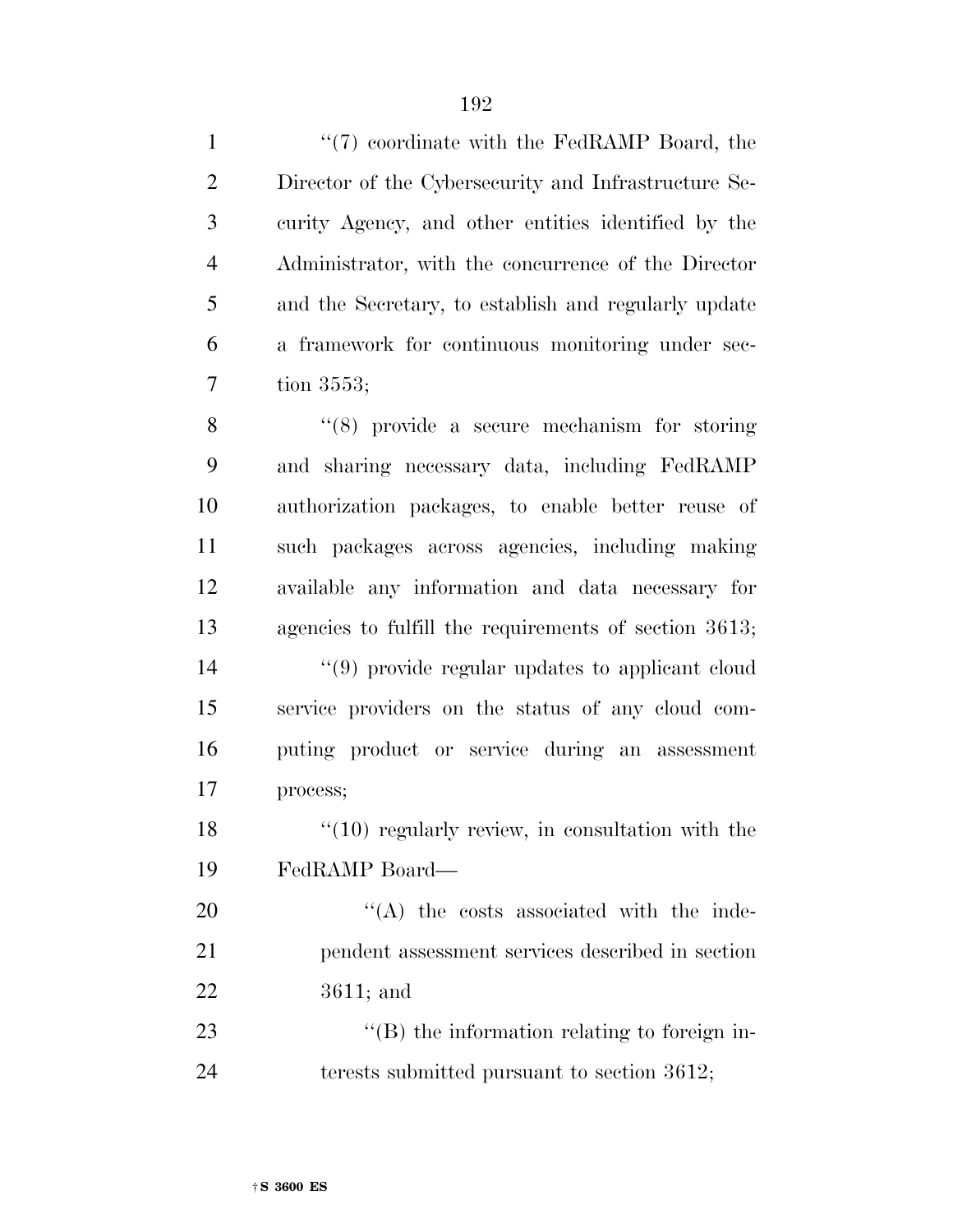1 ''(7) coordinate with the FedRAMP Board, the Director of the Cybersecurity and Infrastructure Se- curity Agency, and other entities identified by the Administrator, with the concurrence of the Director and the Secretary, to establish and regularly update a framework for continuous monitoring under sec-tion 3553;

8 ''(8) provide a secure mechanism for storing and sharing necessary data, including FedRAMP authorization packages, to enable better reuse of such packages across agencies, including making available any information and data necessary for agencies to fulfill the requirements of section 3613;

 ''(9) provide regular updates to applicant cloud service providers on the status of any cloud com- puting product or service during an assessment process;

18 ''(10) regularly review, in consultation with the FedRAMP Board—

20  $\text{``(A)}$  the costs associated with the inde- pendent assessment services described in section 3611; and

23  $\text{``(B)}$  the information relating to foreign in-24 terests submitted pursuant to section 3612;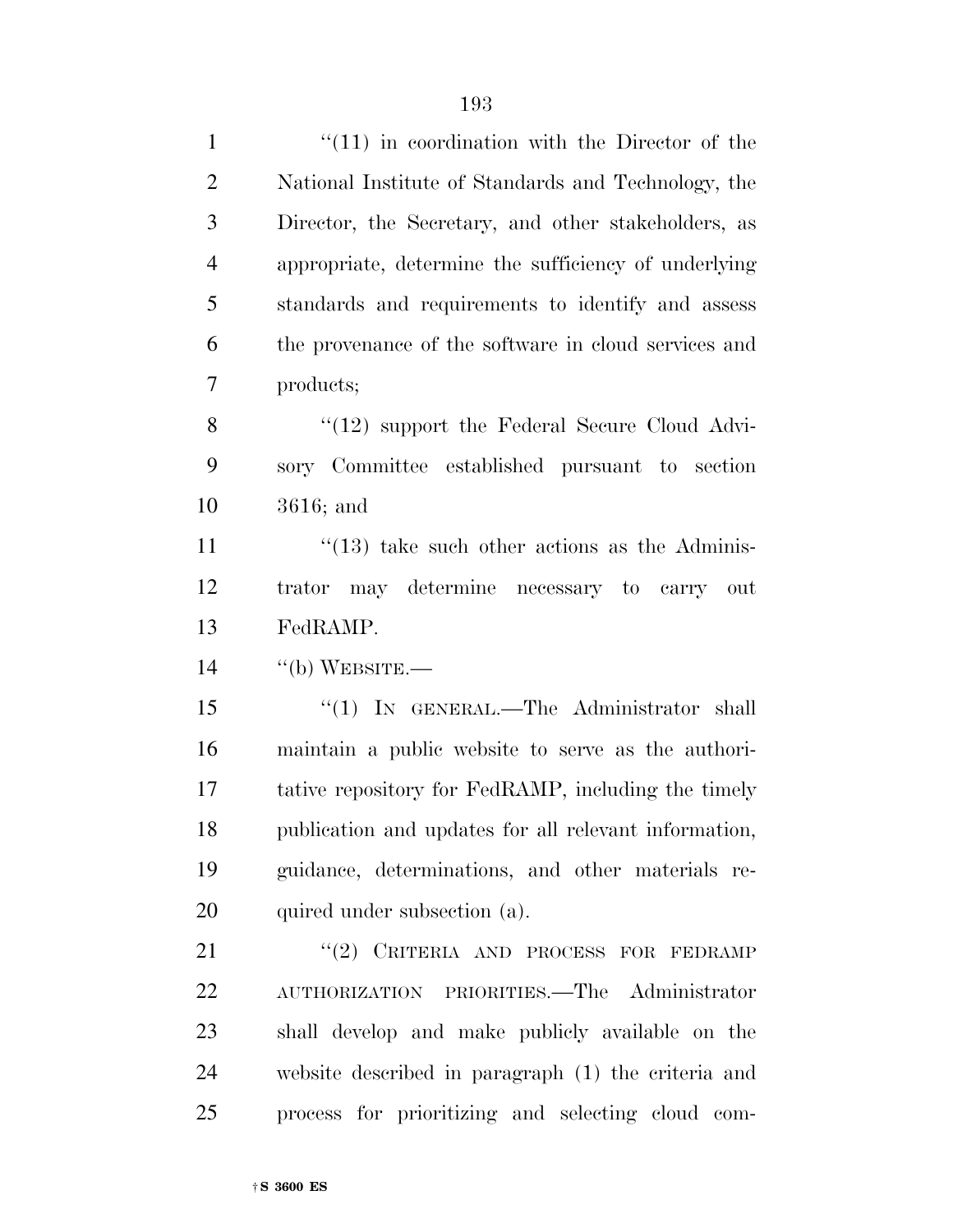| $\mathbf{1}$   | $\lq(11)$ in coordination with the Director of the       |
|----------------|----------------------------------------------------------|
| $\overline{2}$ | National Institute of Standards and Technology, the      |
| 3              | Director, the Secretary, and other stakeholders, as      |
| $\overline{4}$ | appropriate, determine the sufficiency of underlying     |
| 5              | standards and requirements to identify and assess        |
| 6              | the provenance of the software in cloud services and     |
| 7              | products;                                                |
| 8              | $\lq(12)$ support the Federal Secure Cloud Advi-         |
| 9              | sory Committee established pursuant to section           |
| 10             | $3616$ ; and                                             |
| 11             | $\cdot\cdot(13)$ take such other actions as the Adminis- |
| 12             | trator may determine necessary to carry out              |
| 13             | FedRAMP.                                                 |
| 14             | $``$ (b) WEBSITE.—                                       |
| 15             | "(1) IN GENERAL.—The Administrator shall                 |
| 16             | maintain a public website to serve as the authori-       |
| 17             | tative repository for FedRAMP, including the timely      |
| 18             | publication and updates for all relevant information,    |
| 19             | guidance, determinations, and other materials re-        |
| 20             | quired under subsection (a).                             |
| 21             | "(2) CRITERIA AND PROCESS FOR FEDRAMP                    |
| 22             | AUTHORIZATION PRIORITIES.—The Administrator              |
| 23             | shall develop and make publicly available on the         |
| 24             | website described in paragraph (1) the criteria and      |
| 25             | process for prioritizing and selecting cloud com-        |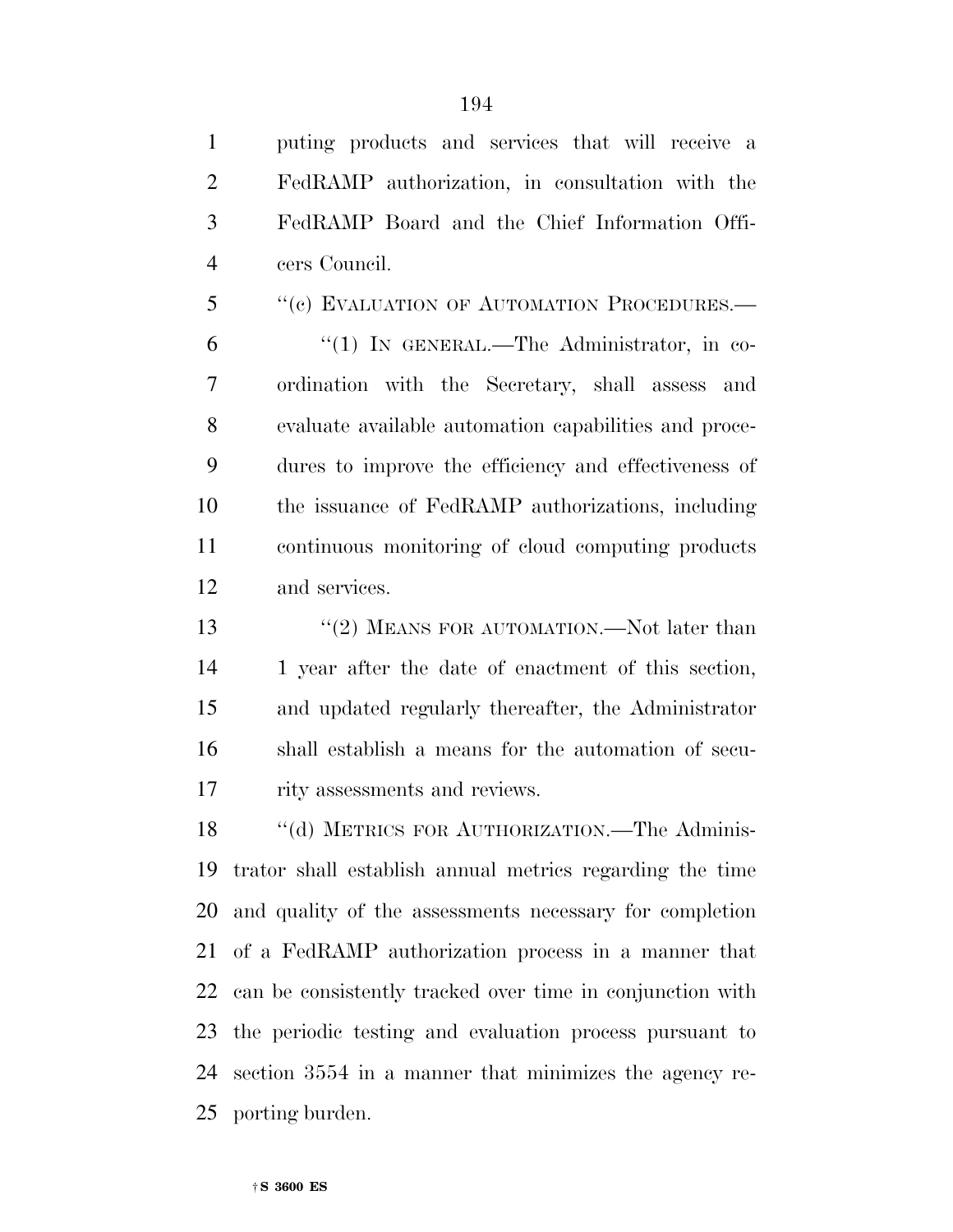puting products and services that will receive a FedRAMP authorization, in consultation with the FedRAMP Board and the Chief Information Offi-cers Council.

5 "(c) EVALUATION OF AUTOMATION PROCEDURES.— ''(1) IN GENERAL.—The Administrator, in co- ordination with the Secretary, shall assess and evaluate available automation capabilities and proce- dures to improve the efficiency and effectiveness of the issuance of FedRAMP authorizations, including continuous monitoring of cloud computing products and services.

13 ''(2) MEANS FOR AUTOMATION.—Not later than 1 year after the date of enactment of this section, and updated regularly thereafter, the Administrator shall establish a means for the automation of secu-17 rity assessments and reviews.

 ''(d) METRICS FOR AUTHORIZATION.—The Adminis- trator shall establish annual metrics regarding the time and quality of the assessments necessary for completion of a FedRAMP authorization process in a manner that can be consistently tracked over time in conjunction with the periodic testing and evaluation process pursuant to section 3554 in a manner that minimizes the agency re-porting burden.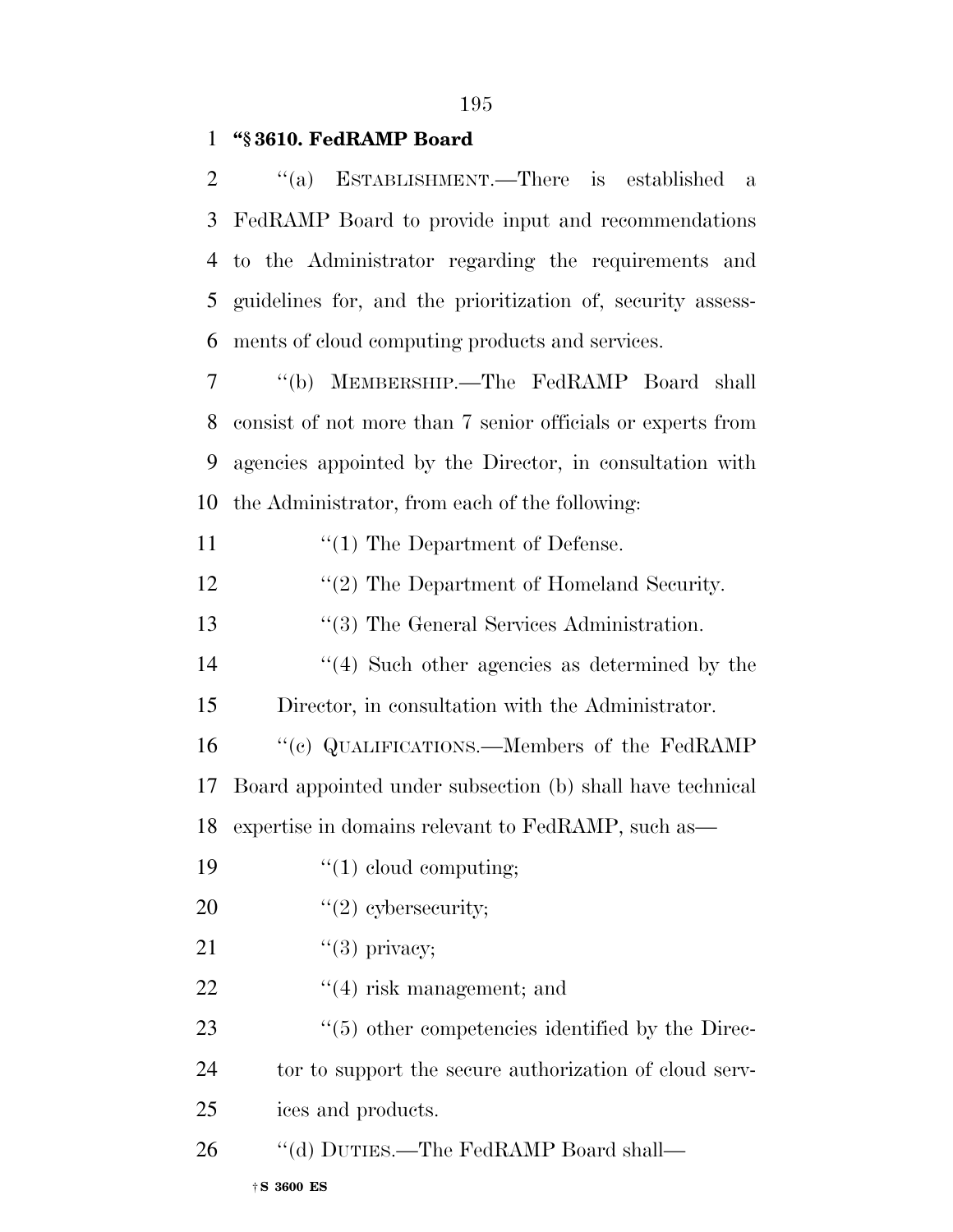### **''§ 3610. FedRAMP Board**

| 2              | "(a) ESTABLISHMENT.—There is established<br>- a             |
|----------------|-------------------------------------------------------------|
| 3              | FedRAMP Board to provide input and recommendations          |
| $\overline{4}$ | to the Administrator regarding the requirements and         |
| 5              | guidelines for, and the prioritization of, security assess- |
| 6              | ments of cloud computing products and services.             |
| 7              | "(b) MEMBERSHIP.—The FedRAMP Board shall                    |
| 8              | consist of not more than 7 senior officials or experts from |
| 9              | agencies appointed by the Director, in consultation with    |
| 10             | the Administrator, from each of the following:              |
| 11             | $\lq(1)$ The Department of Defense.                         |
| 12             | $\lq(2)$ The Department of Homeland Security.               |
| 13             | $\lq(3)$ The General Services Administration.               |
| 14             | $\cdot$ (4) Such other agencies as determined by the        |
| 15             | Director, in consultation with the Administrator.           |
| 16             | "(c) QUALIFICATIONS.—Members of the FedRAMP                 |
| 17             | Board appointed under subsection (b) shall have technical   |
| 18             | expertise in domains relevant to FedRAMP, such as—          |
| 19             | $\lq(1)$ cloud computing;                                   |
| 20             | $"(2)$ cybersecurity;                                       |
| 21             | $"(3)$ privacy;                                             |
| 22             | $\lq(4)$ risk management; and                               |
| 23             | $\lq(5)$ other competencies identified by the Direc-        |
| 24             | tor to support the secure authorization of cloud serv-      |
| 25             | ices and products.                                          |
| 26             | "(d) DUTIES.—The FedRAMP Board shall—                       |
|                | $\dagger$ S 3600 ES                                         |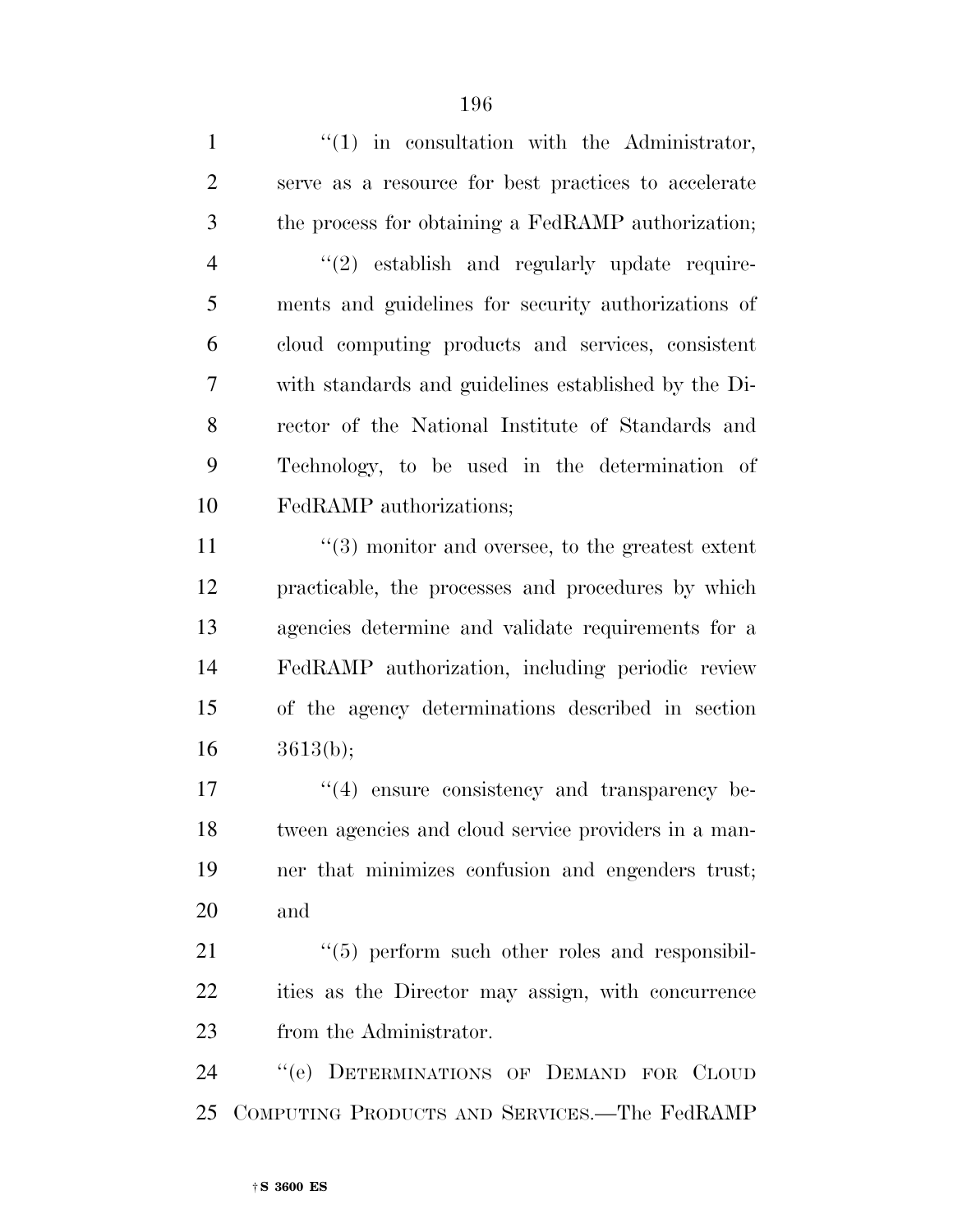| $\mathbf{1}$   | $f'(1)$ in consultation with the Administrator,         |
|----------------|---------------------------------------------------------|
| $\overline{2}$ | serve as a resource for best practices to accelerate    |
| 3              | the process for obtaining a FedRAMP authorization;      |
| $\overline{4}$ | "(2) establish and regularly update require-            |
| 5              | ments and guidelines for security authorizations of     |
| 6              | cloud computing products and services, consistent       |
| 7              | with standards and guidelines established by the Di-    |
| 8              | rector of the National Institute of Standards and       |
| 9              | Technology, to be used in the determination of          |
| 10             | FedRAMP authorizations;                                 |
| 11             | $\cdot$ (3) monitor and oversee, to the greatest extent |
| 12             | practicable, the processes and procedures by which      |
| 13             | agencies determine and validate requirements for a      |
| 14             | FedRAMP authorization, including periodic review        |
| 15             | of the agency determinations described in section       |
| 16             | 3613(b);                                                |
| 17             | $\cdot$ (4) ensure consistency and transparency be-     |
| 18             | tween agencies and cloud service providers in a man-    |
| 19             | ner that minimizes confusion and engenders trust;       |
| 20             | and                                                     |
| 21             | "(5) perform such other roles and responsibil-          |
| 22             | ities as the Director may assign, with concurrence      |
| 23             | from the Administrator.                                 |
| 24             | "(e) DETERMINATIONS OF DEMAND FOR CLOUD                 |
| 25             | COMPUTING PRODUCTS AND SERVICES.—The FedRAMP            |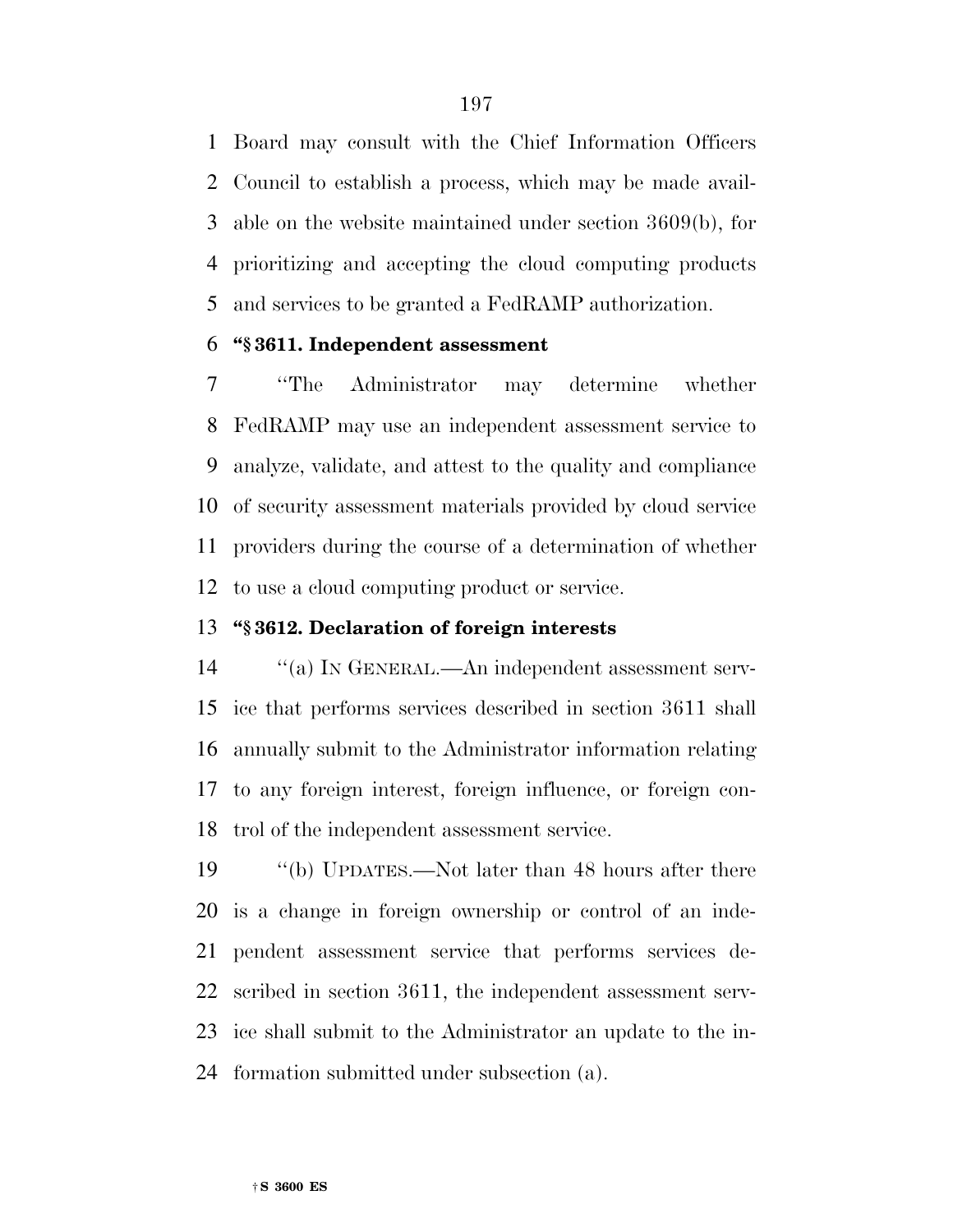Board may consult with the Chief Information Officers Council to establish a process, which may be made avail- able on the website maintained under section 3609(b), for prioritizing and accepting the cloud computing products and services to be granted a FedRAMP authorization.

#### **''§ 3611. Independent assessment**

 ''The Administrator may determine whether FedRAMP may use an independent assessment service to analyze, validate, and attest to the quality and compliance of security assessment materials provided by cloud service providers during the course of a determination of whether to use a cloud computing product or service.

### **''§ 3612. Declaration of foreign interests**

 ''(a) IN GENERAL.—An independent assessment serv- ice that performs services described in section 3611 shall annually submit to the Administrator information relating to any foreign interest, foreign influence, or foreign con-trol of the independent assessment service.

 ''(b) UPDATES.—Not later than 48 hours after there is a change in foreign ownership or control of an inde- pendent assessment service that performs services de- scribed in section 3611, the independent assessment serv- ice shall submit to the Administrator an update to the in-formation submitted under subsection (a).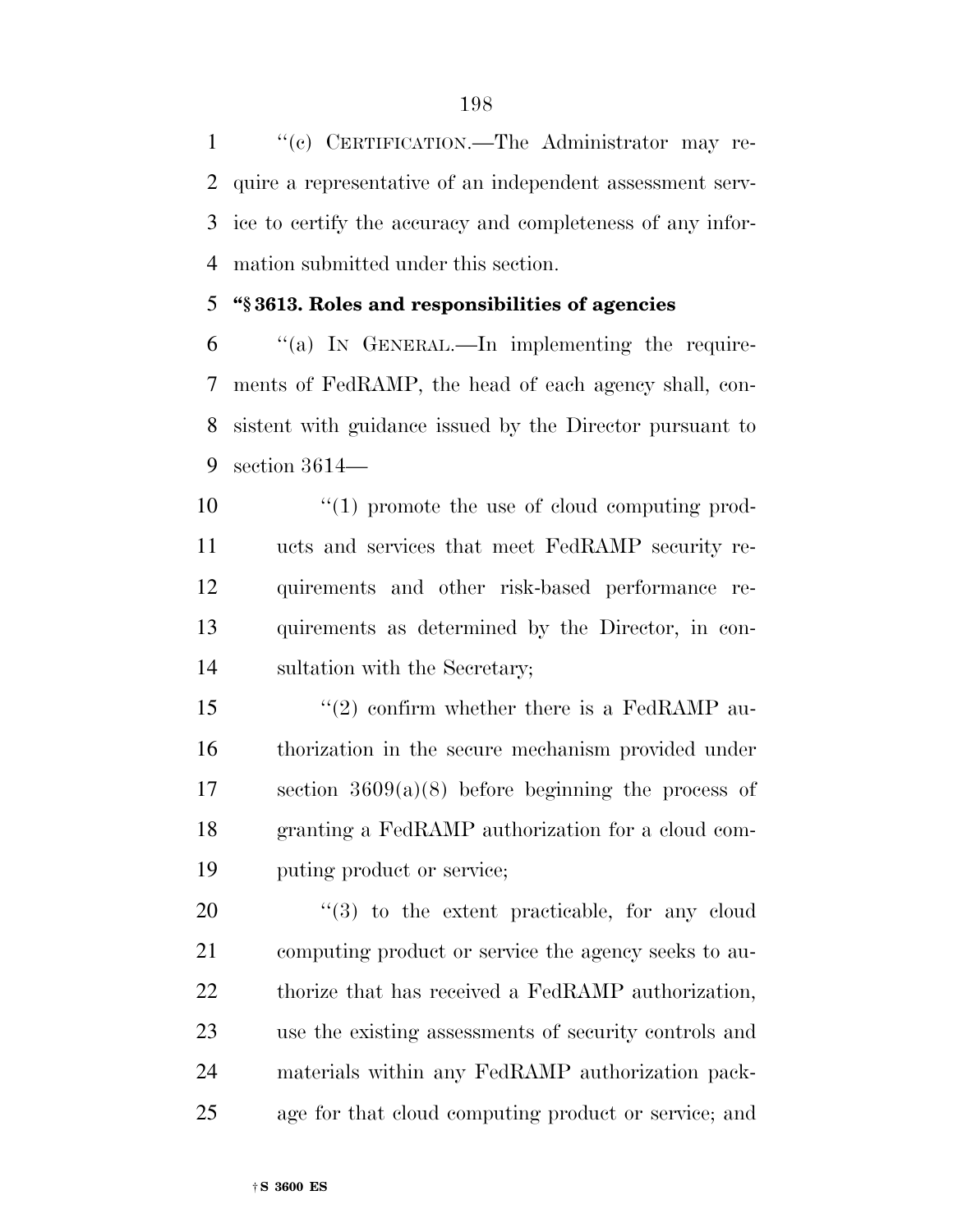''(c) CERTIFICATION.—The Administrator may re- quire a representative of an independent assessment serv- ice to certify the accuracy and completeness of any infor-mation submitted under this section.

### **''§ 3613. Roles and responsibilities of agencies**

 ''(a) IN GENERAL.—In implementing the require- ments of FedRAMP, the head of each agency shall, con- sistent with guidance issued by the Director pursuant to section 3614—

 $\frac{10}{10}$  promote the use of cloud computing prod- ucts and services that meet FedRAMP security re- quirements and other risk-based performance re- quirements as determined by the Director, in con-sultation with the Secretary;

 $\frac{1}{2}$  confirm whether there is a FedRAMP au- thorization in the secure mechanism provided under section 3609(a)(8) before beginning the process of granting a FedRAMP authorization for a cloud com-puting product or service;

 $\frac{1}{20}$  to the extent practicable, for any cloud computing product or service the agency seeks to au- thorize that has received a FedRAMP authorization, use the existing assessments of security controls and materials within any FedRAMP authorization pack-age for that cloud computing product or service; and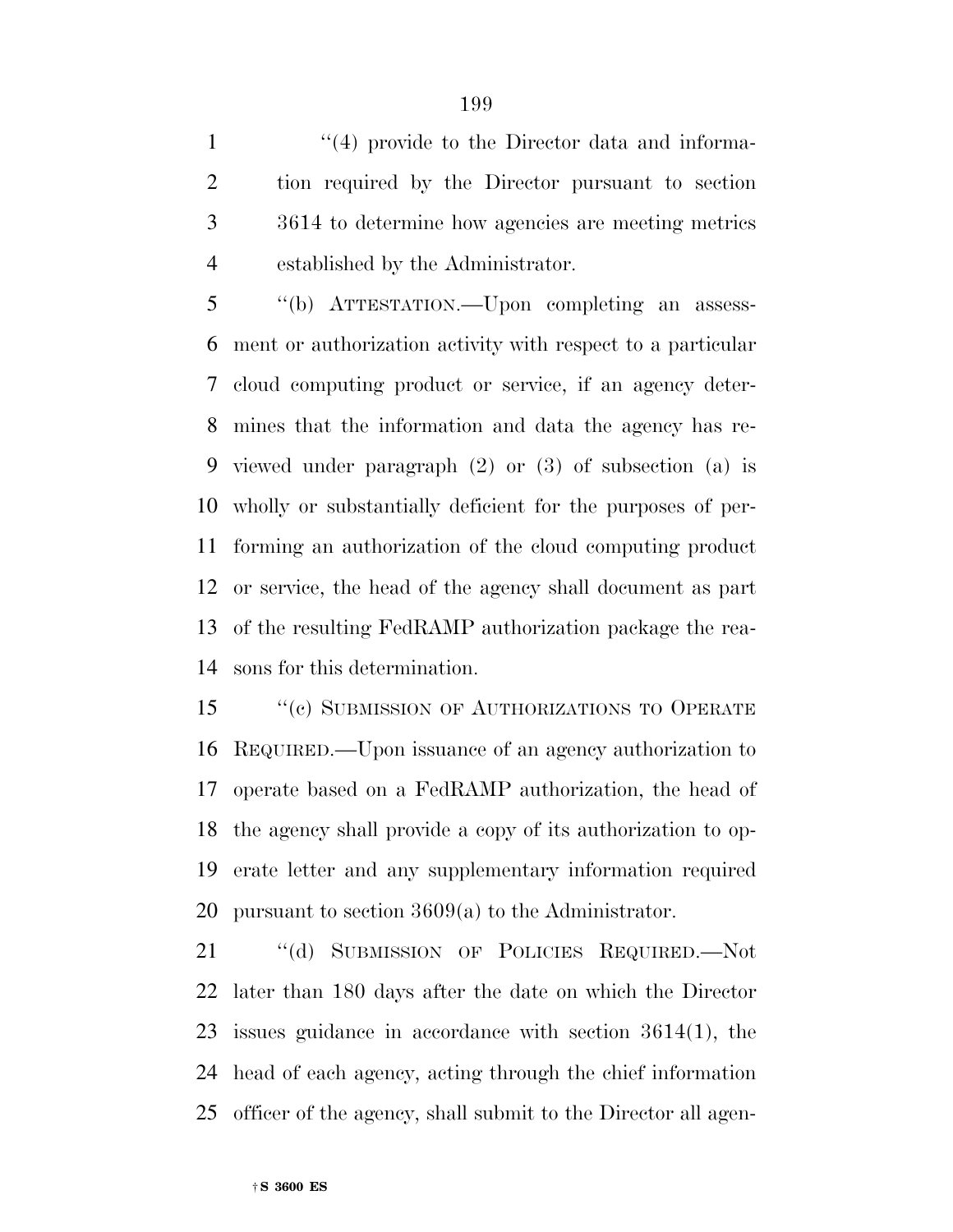1 ''(4) provide to the Director data and informa- tion required by the Director pursuant to section 3614 to determine how agencies are meeting metrics established by the Administrator.

 ''(b) ATTESTATION.—Upon completing an assess- ment or authorization activity with respect to a particular cloud computing product or service, if an agency deter- mines that the information and data the agency has re- viewed under paragraph (2) or (3) of subsection (a) is wholly or substantially deficient for the purposes of per- forming an authorization of the cloud computing product or service, the head of the agency shall document as part of the resulting FedRAMP authorization package the rea-sons for this determination.

15 "(c) SUBMISSION OF AUTHORIZATIONS TO OPERATE REQUIRED.—Upon issuance of an agency authorization to operate based on a FedRAMP authorization, the head of the agency shall provide a copy of its authorization to op- erate letter and any supplementary information required pursuant to section 3609(a) to the Administrator.

 ''(d) SUBMISSION OF POLICIES REQUIRED.—Not later than 180 days after the date on which the Director issues guidance in accordance with section 3614(1), the head of each agency, acting through the chief information officer of the agency, shall submit to the Director all agen-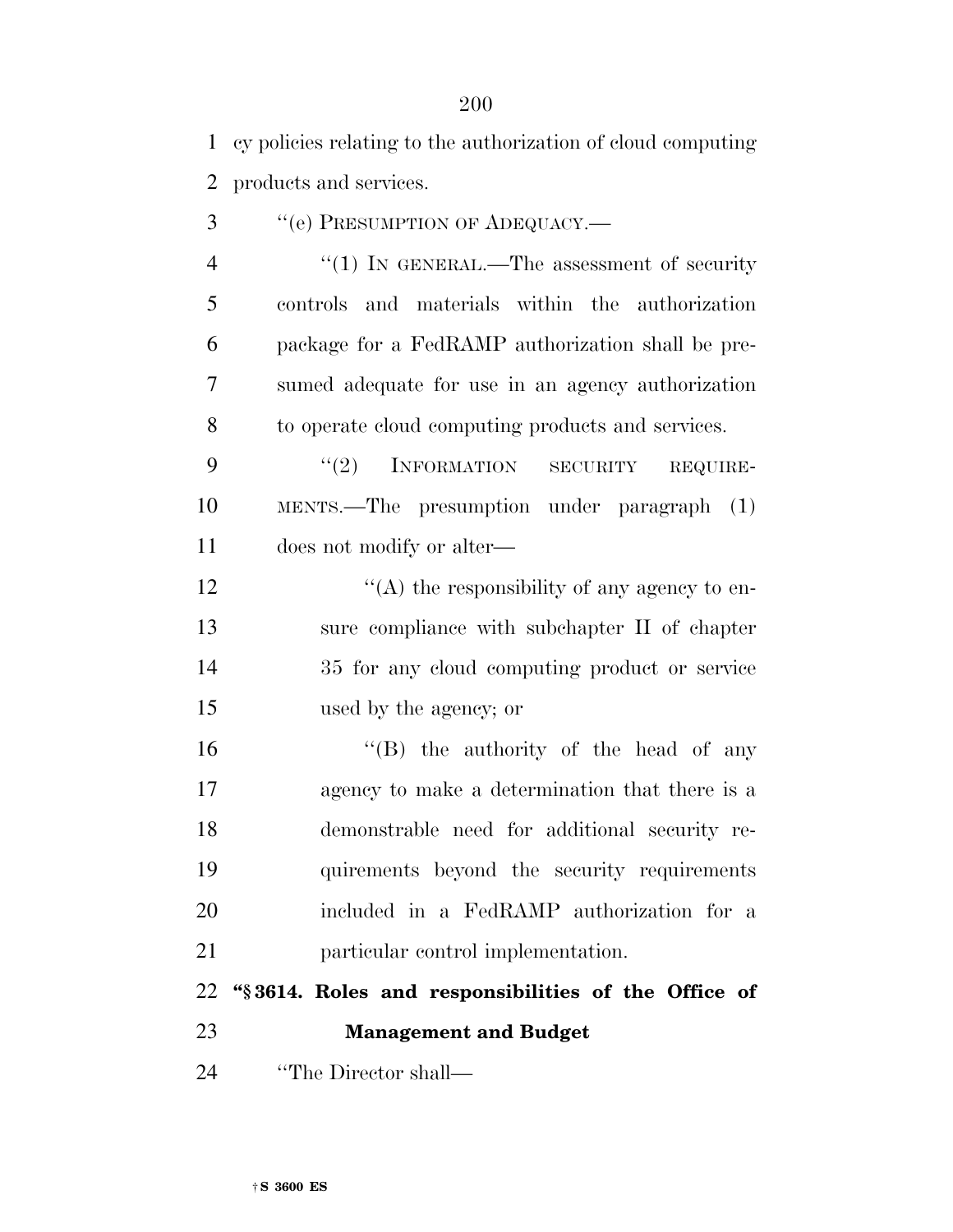| $\mathbf{1}$   | cy policies relating to the authorization of cloud computing |
|----------------|--------------------------------------------------------------|
| $\overline{2}$ | products and services.                                       |
| 3              | "(e) PRESUMPTION OF ADEQUACY.-                               |
| $\overline{4}$ | "(1) IN GENERAL.—The assessment of security                  |
| 5              | controls and materials within the authorization              |
| 6              | package for a FedRAMP authorization shall be pre-            |
| 7              | sumed adequate for use in an agency authorization            |
| 8              | to operate cloud computing products and services.            |
| 9              | (2)<br>INFORMATION SECURITY<br>REQUIRE-                      |
| 10             | MENTS.—The presumption under paragraph (1)                   |
| 11             | does not modify or alter—                                    |
| 12             | "(A) the responsibility of any agency to en-                 |
| 13             | sure compliance with subchapter II of chapter                |
| 14             | 35 for any cloud computing product or service                |
| 15             | used by the agency; or                                       |
| 16             | "(B) the authority of the head of any                        |
| 17             | agency to make a determination that there is a               |
| 18             | demonstrable need for additional security re-                |
| 19             | quirements beyond the security requirements                  |
| 20             | included in a FedRAMP authorization for a                    |
| 21             | particular control implementation.                           |
| 22             | "§3614. Roles and responsibilities of the Office of          |
| 23             | <b>Management and Budget</b>                                 |
| 24             | "The Director shall—                                         |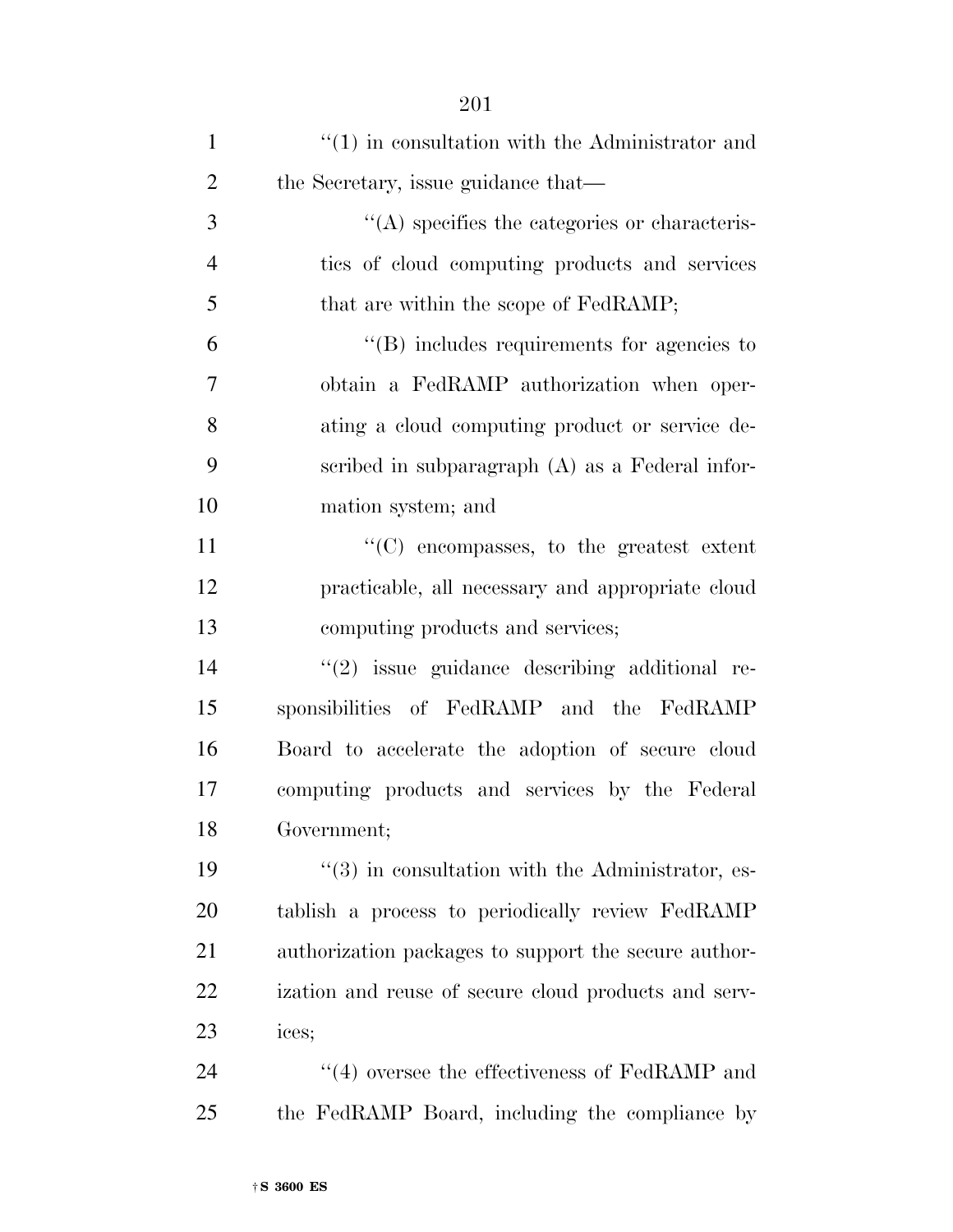| $\mathbf{1}$   | $f'(1)$ in consultation with the Administrator and      |
|----------------|---------------------------------------------------------|
| $\overline{2}$ | the Secretary, issue guidance that—                     |
| 3              | $\cdot$ (A) specifies the categories or characteris-    |
| $\overline{4}$ | ties of cloud computing products and services           |
| 5              | that are within the scope of FedRAMP;                   |
| 6              | $\lq\lq$ ) includes requirements for agencies to        |
| 7              | obtain a FedRAMP authorization when oper-               |
| 8              | ating a cloud computing product or service de-          |
| 9              | scribed in subparagraph $(A)$ as a Federal infor-       |
| 10             | mation system; and                                      |
| 11             | "(C) encompasses, to the greatest extent                |
| 12             | practicable, all necessary and appropriate cloud        |
| 13             | computing products and services;                        |
| 14             | $"(2)$ issue guidance describing additional re-         |
| 15             | sponsibilities of FedRAMP and the FedRAMP               |
| 16             | Board to accelerate the adoption of secure cloud        |
| 17             | computing products and services by the Federal          |
| 18             | Government;                                             |
| 19             | $\cdot$ (3) in consultation with the Administrator, es- |
| 20             | tablish a process to periodically review FedRAMP        |
| 21             | authorization packages to support the secure author-    |
| 22             | ization and reuse of secure cloud products and serv-    |
| 23             | ices;                                                   |
| 24             | $\cdot$ (4) oversee the effectiveness of FedRAMP and    |
| 25             | the FedRAMP Board, including the compliance by          |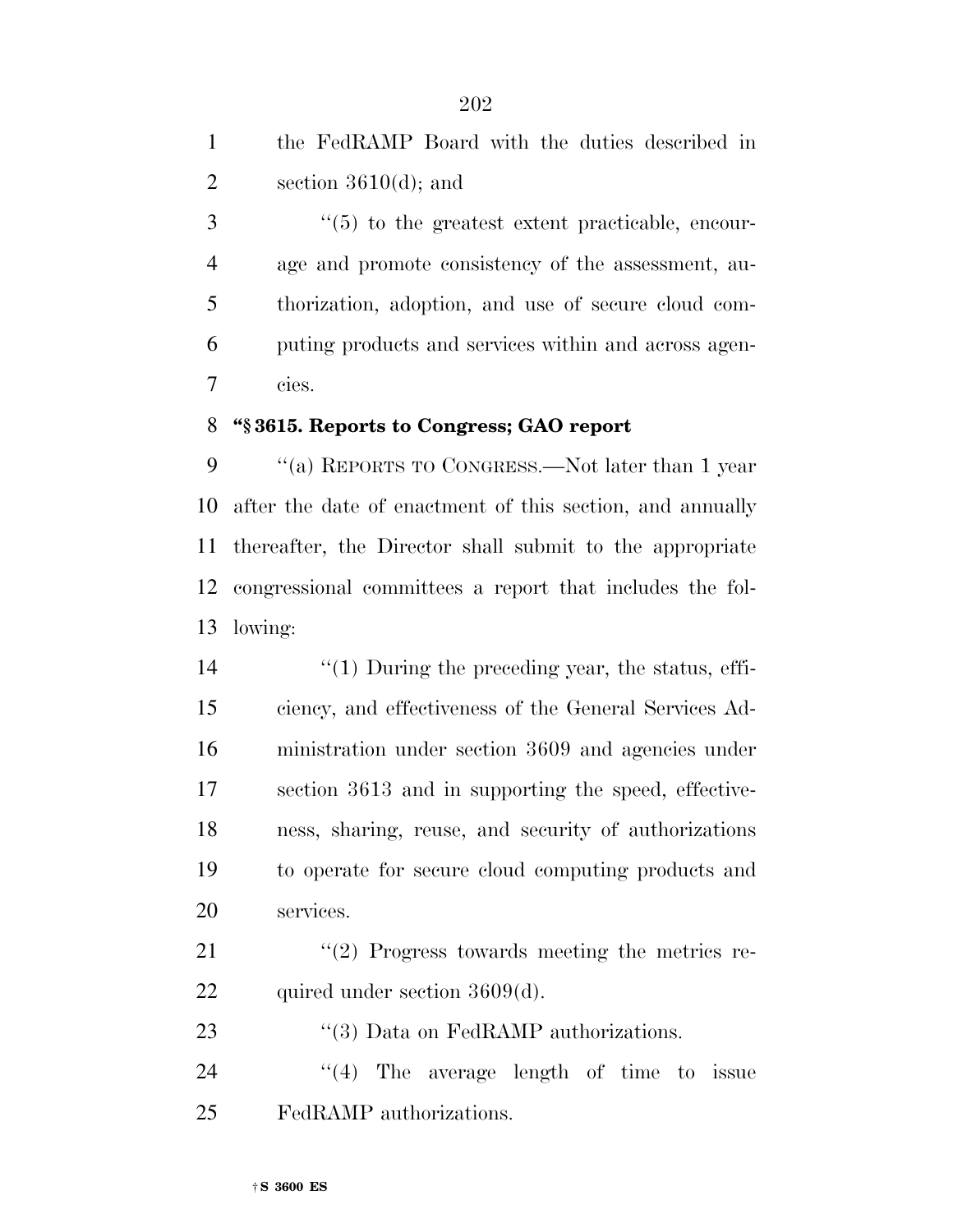the FedRAMP Board with the duties described in 2 section  $3610(d)$ ; and

3 (5) to the greatest extent practicable, encour- age and promote consistency of the assessment, au- thorization, adoption, and use of secure cloud com- puting products and services within and across agen-cies.

### **''§ 3615. Reports to Congress; GAO report**

 ''(a) REPORTS TO CONGRESS.—Not later than 1 year after the date of enactment of this section, and annually thereafter, the Director shall submit to the appropriate congressional committees a report that includes the fol-lowing:

 $\frac{1}{2}$   $\frac{1}{2}$  During the preceding year, the status, effi- ciency, and effectiveness of the General Services Ad- ministration under section 3609 and agencies under section 3613 and in supporting the speed, effective- ness, sharing, reuse, and security of authorizations to operate for secure cloud computing products and services.

21 ''(2) Progress towards meeting the metrics re-22 quired under section 3609(d).

23 "(3) Data on FedRAMP authorizations.

24  $\frac{1}{4}$  The average length of time to issue FedRAMP authorizations.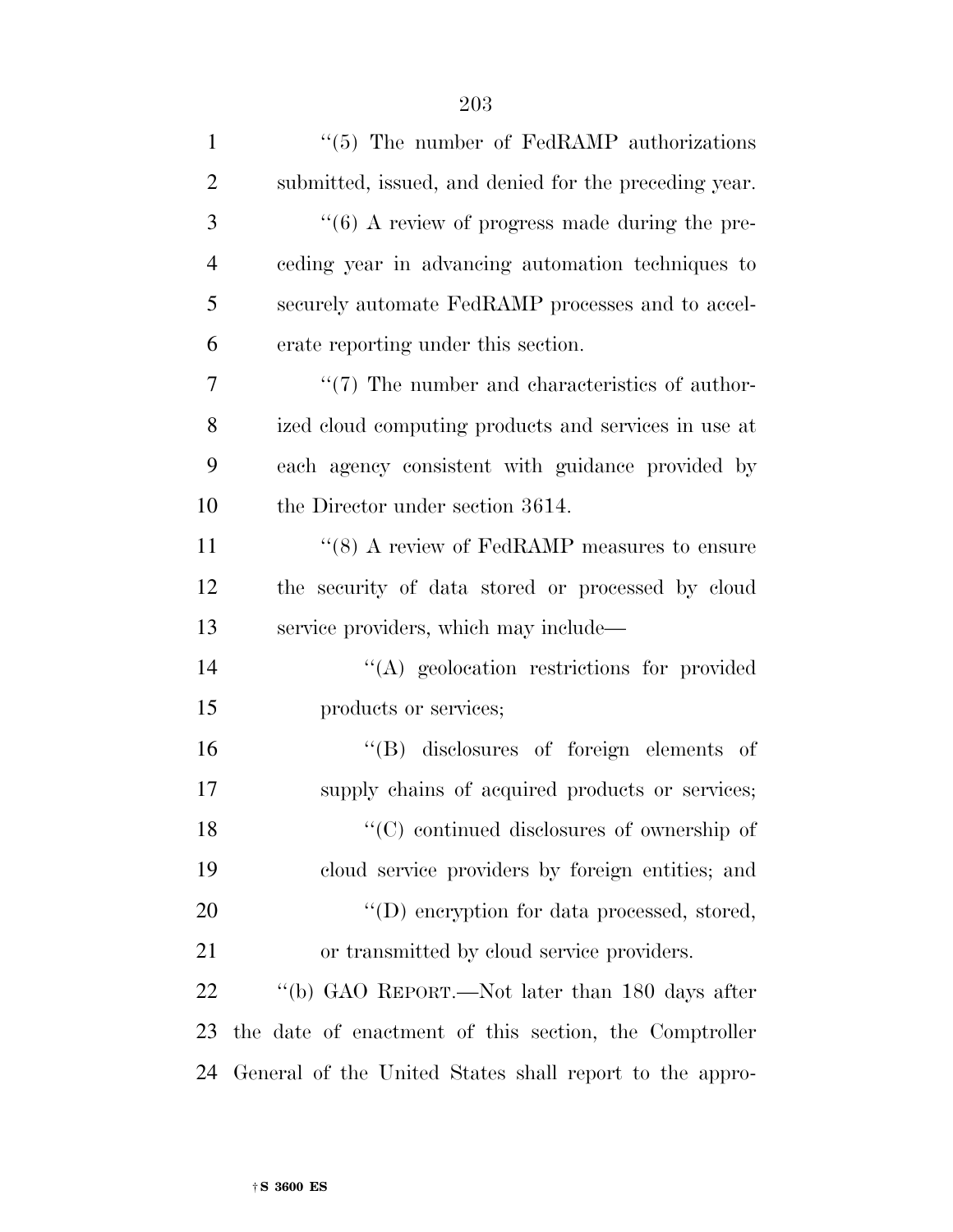| $\mathbf{1}$   | $\cdot\cdot$ (5) The number of FedRAMP authorizations           |
|----------------|-----------------------------------------------------------------|
| $\overline{2}$ | submitted, issued, and denied for the preceding year.           |
| 3              | $\cdot\cdot\cdot$ (6) A review of progress made during the pre- |
| $\overline{4}$ | ceding year in advancing automation techniques to               |
| 5              | securely automate FedRAMP processes and to accel-               |
| 6              | erate reporting under this section.                             |
| 7              | $\lq(7)$ The number and characteristics of author-              |
| 8              | ized cloud computing products and services in use at            |
| 9              | each agency consistent with guidance provided by                |
| 10             | the Director under section 3614.                                |
| 11             | " $(8)$ A review of FedRAMP measures to ensure                  |
| 12             | the security of data stored or processed by cloud               |
| 13             | service providers, which may include—                           |
| 14             | "(A) geolocation restrictions for provided                      |
| 15             | products or services;                                           |
| 16             | "(B) disclosures of foreign elements of                         |
| 17             | supply chains of acquired products or services;                 |
| 18             | $\lq\lq$ continued disclosures of ownership of                  |
| 19             | cloud service providers by foreign entities; and                |
| <b>20</b>      | $\lq\lq$ eneryption for data processed, stored,                 |
| 21             | or transmitted by cloud service providers.                      |
| 22             | "(b) GAO REPORT.—Not later than 180 days after                  |
| 23             | the date of enactment of this section, the Comptroller          |
| 24             | General of the United States shall report to the appro-         |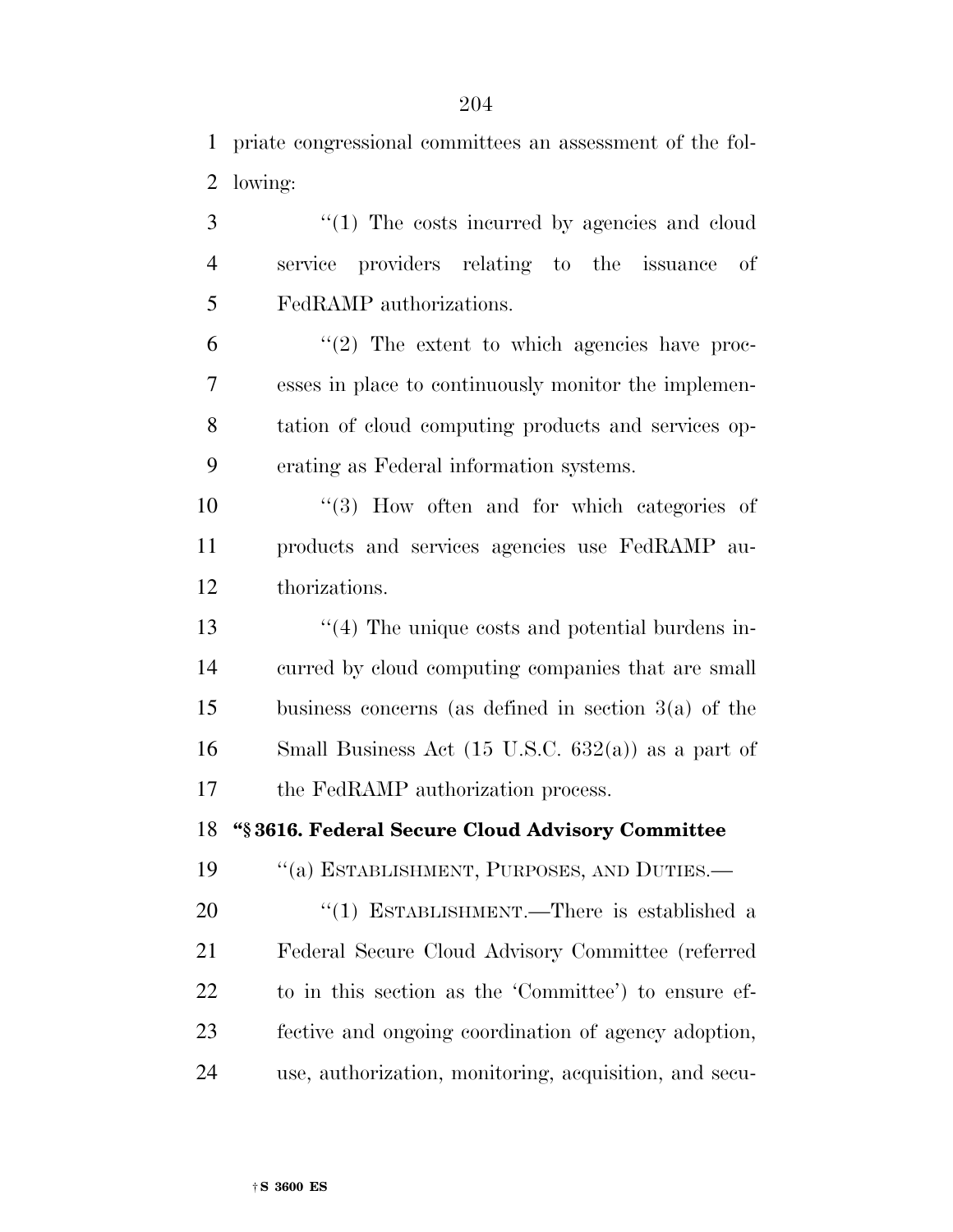priate congressional committees an assessment of the fol-lowing:

3 "(1) The costs incurred by agencies and cloud service providers relating to the issuance of FedRAMP authorizations.

 $^{\prime\prime}(2)$  The extent to which agencies have proc- esses in place to continuously monitor the implemen- tation of cloud computing products and services op-erating as Federal information systems.

10  $\frac{10}{3}$  How often and for which categories of products and services agencies use FedRAMP au-thorizations.

13 ''(4) The unique costs and potential burdens in- curred by cloud computing companies that are small business concerns (as defined in section 3(a) of the Small Business Act (15 U.S.C. 632(a)) as a part of the FedRAMP authorization process.

**''§ 3616. Federal Secure Cloud Advisory Committee** 

19 "(a) ESTABLISHMENT, PURPOSES, AND DUTIES.—

20 "(1) ESTABLISHMENT.—There is established a Federal Secure Cloud Advisory Committee (referred to in this section as the 'Committee') to ensure ef- fective and ongoing coordination of agency adoption, use, authorization, monitoring, acquisition, and secu-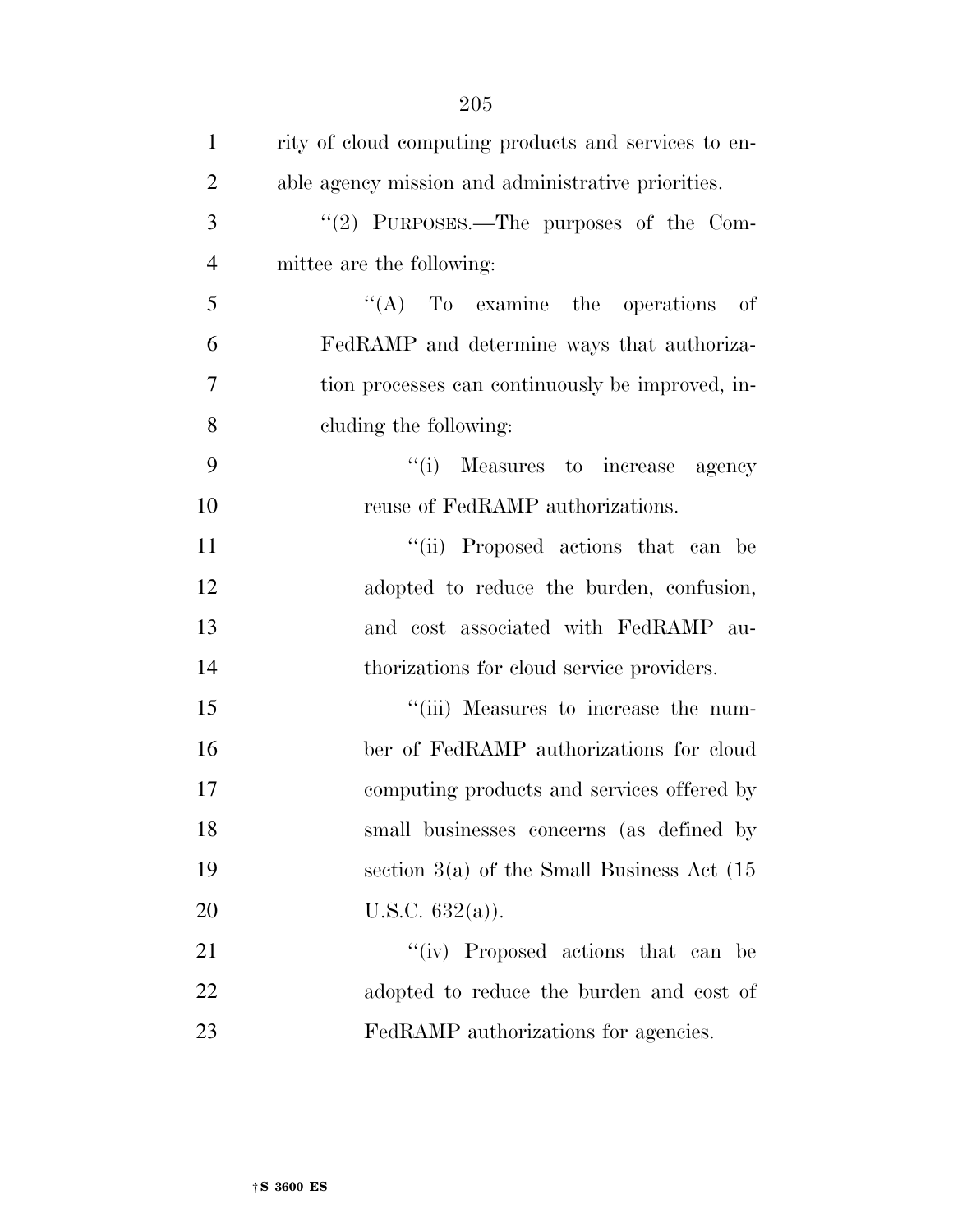| $\mathbf{1}$   | rity of cloud computing products and services to en- |
|----------------|------------------------------------------------------|
| $\overline{2}$ | able agency mission and administrative priorities.   |
| 3              | "(2) PURPOSES.—The purposes of the Com-              |
| $\overline{4}$ | mittee are the following:                            |
| 5              | $\lq\lq$ (A) To examine the operations<br>- of       |
| 6              | FedRAMP and determine ways that authoriza-           |
| 7              | tion processes can continuously be improved, in-     |
| 8              | cluding the following:                               |
| 9              | "(i) Measures to increase agency                     |
| 10             | reuse of FedRAMP authorizations.                     |
| 11             | "(ii) Proposed actions that can be                   |
| 12             | adopted to reduce the burden, confusion,             |
| 13             | and cost associated with FedRAMP au-                 |
| 14             | thorizations for cloud service providers.            |
| 15             | "(iii) Measures to increase the num-                 |
| 16             | ber of FedRAMP authorizations for cloud              |
| 17             | computing products and services offered by           |
| 18             | small businesses concerns (as defined by             |
| 19             | section $3(a)$ of the Small Business Act $(15)$      |
| 20             | U.S.C. $632(a)$ ).                                   |
| 21             | "(iv) Proposed actions that can be                   |
| 22             | adopted to reduce the burden and cost of             |
| 23             | FedRAMP authorizations for agencies.                 |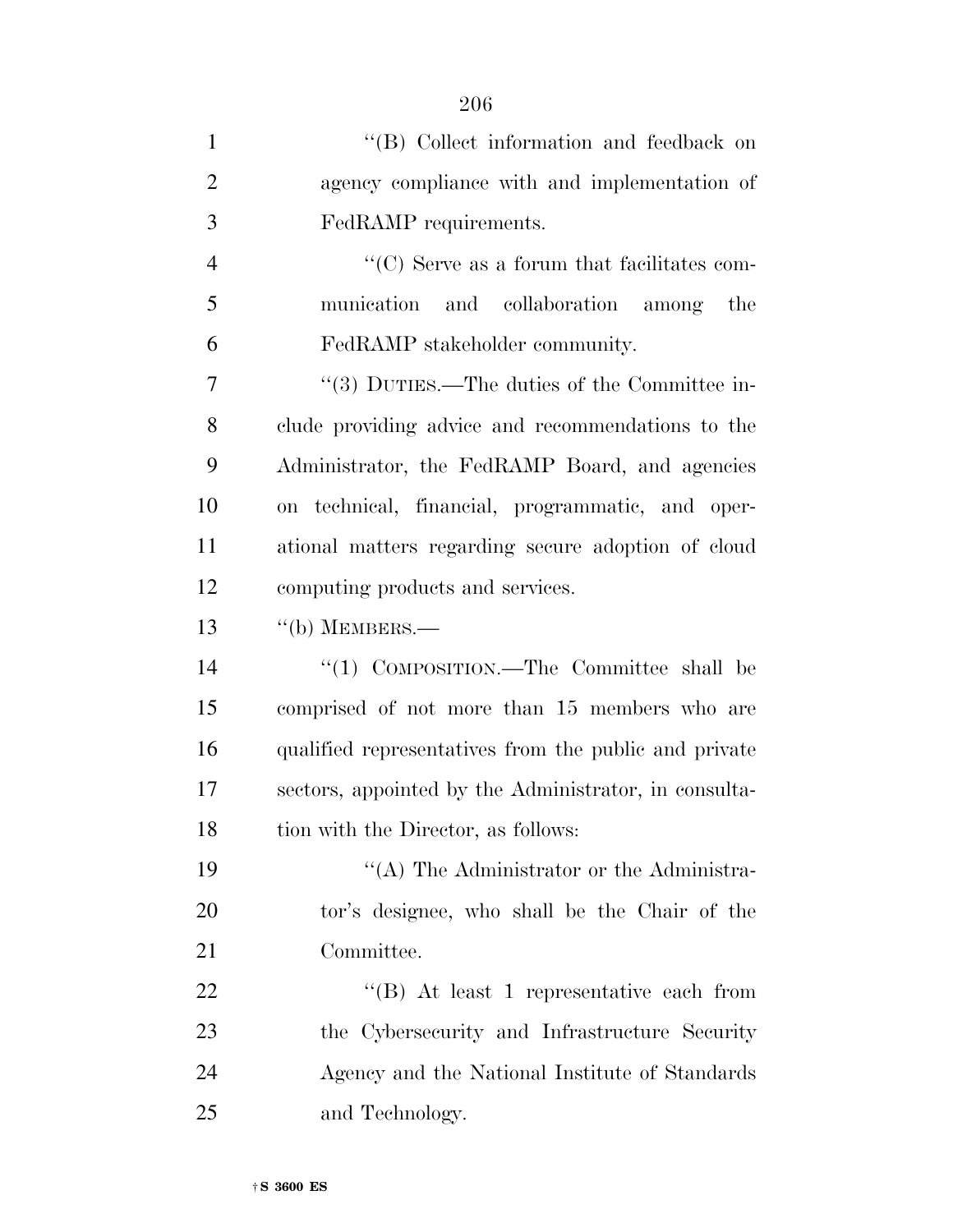| $\mathbf{1}$   | "(B) Collect information and feedback on                         |
|----------------|------------------------------------------------------------------|
| $\overline{2}$ | agency compliance with and implementation of                     |
| 3              | FedRAMP requirements.                                            |
| $\overline{4}$ | $\lq\lq$ <sup>c</sup> (C) Serve as a forum that facilitates com- |
| 5              | munication and collaboration among<br>the                        |
| 6              | FedRAMP stakeholder community.                                   |
| 7              | "(3) DUTIES.—The duties of the Committee in-                     |
| 8              | clude providing advice and recommendations to the                |
| 9              | Administrator, the FedRAMP Board, and agencies                   |
| 10             | on technical, financial, programmatic, and oper-                 |
| 11             | ational matters regarding secure adoption of cloud               |
| 12             | computing products and services.                                 |
| 13             | $``$ (b) MEMBERS.—                                               |
| 14             | "(1) COMPOSITION.—The Committee shall be                         |
| 15             | comprised of not more than 15 members who are                    |
| 16             | qualified representatives from the public and private            |
| 17             | sectors, appointed by the Administrator, in consulta-            |
| 18             | tion with the Director, as follows:                              |
| 19             | "(A) The Administrator or the Administra-                        |
| 20             | tor's designee, who shall be the Chair of the                    |
| 21             | Committee.                                                       |
| 22             | "(B) At least 1 representative each from                         |
| 23             | the Cybersecurity and Infrastructure Security                    |
| 24             | Agency and the National Institute of Standards                   |
| 25             | and Technology.                                                  |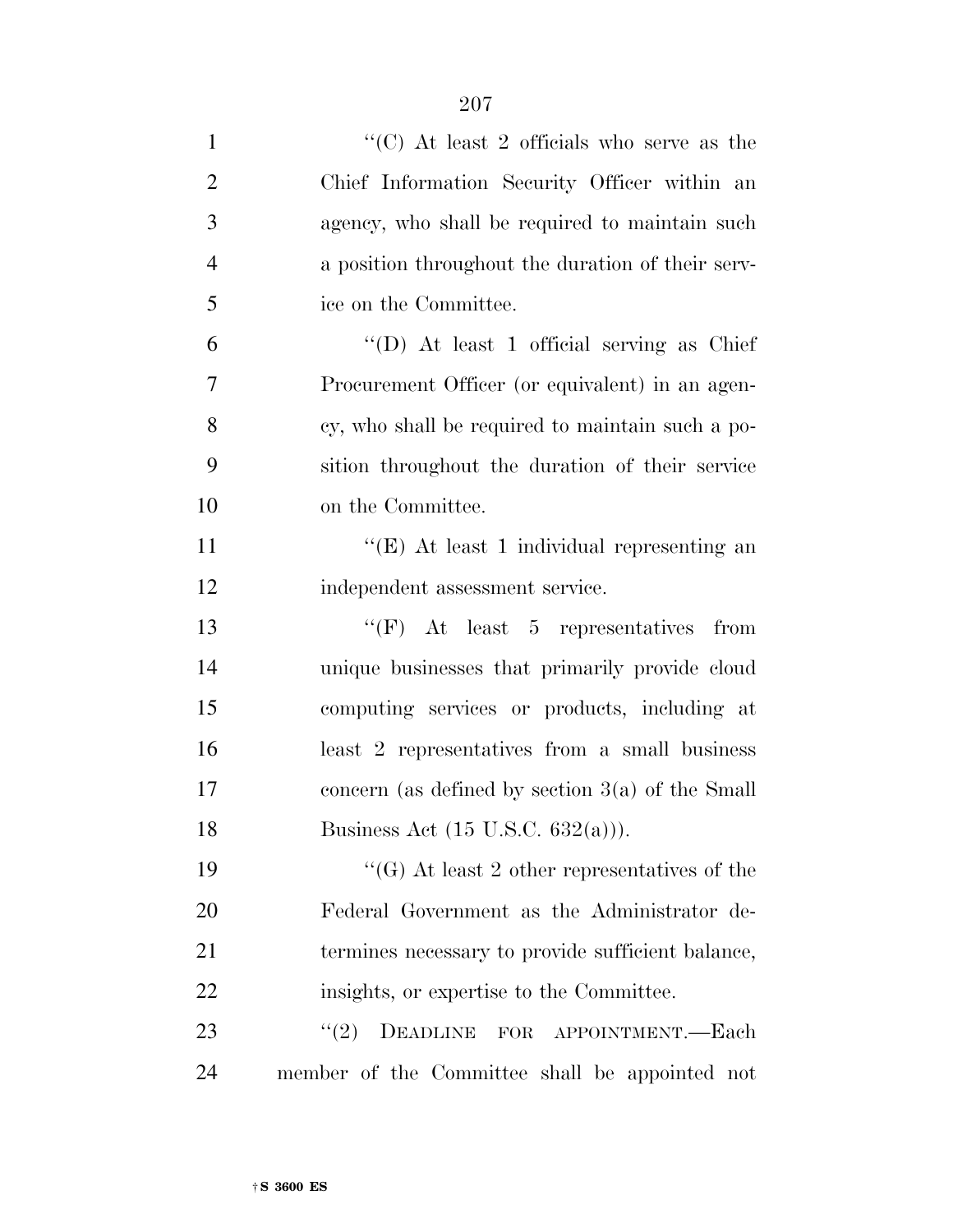| $\mathbf{1}$   | "(C) At least 2 officials who serve as the         |
|----------------|----------------------------------------------------|
| $\overline{2}$ | Chief Information Security Officer within an       |
| 3              | agency, who shall be required to maintain such     |
| $\overline{4}$ | a position throughout the duration of their serv-  |
| 5              | ice on the Committee.                              |
| 6              | "(D) At least 1 official serving as Chief          |
| 7              | Procurement Officer (or equivalent) in an agen-    |
| 8              | cy, who shall be required to maintain such a po-   |
| 9              | sition throughout the duration of their service    |
| 10             | on the Committee.                                  |
| 11             | "(E) At least 1 individual representing an         |
| 12             | independent assessment service.                    |
| 13             | "(F) At least 5 representatives from               |
| 14             | unique businesses that primarily provide cloud     |
| 15             | computing services or products, including at       |
| 16             | least 2 representatives from a small business      |
| 17             | concern (as defined by section $3(a)$ of the Small |
| 18             | Business Act $(15 \text{ U.S.C. } 632(a))$ ).      |
| 19             | "(G) At least 2 other representatives of the       |
| 20             | Federal Government as the Administrator de-        |
| 21             | termines necessary to provide sufficient balance,  |
| 22             | insights, or expertise to the Committee.           |
| 23             | (2)<br>DEADLINE FOR APPOINTMENT.-Each              |
| 24             | member of the Committee shall be appointed not     |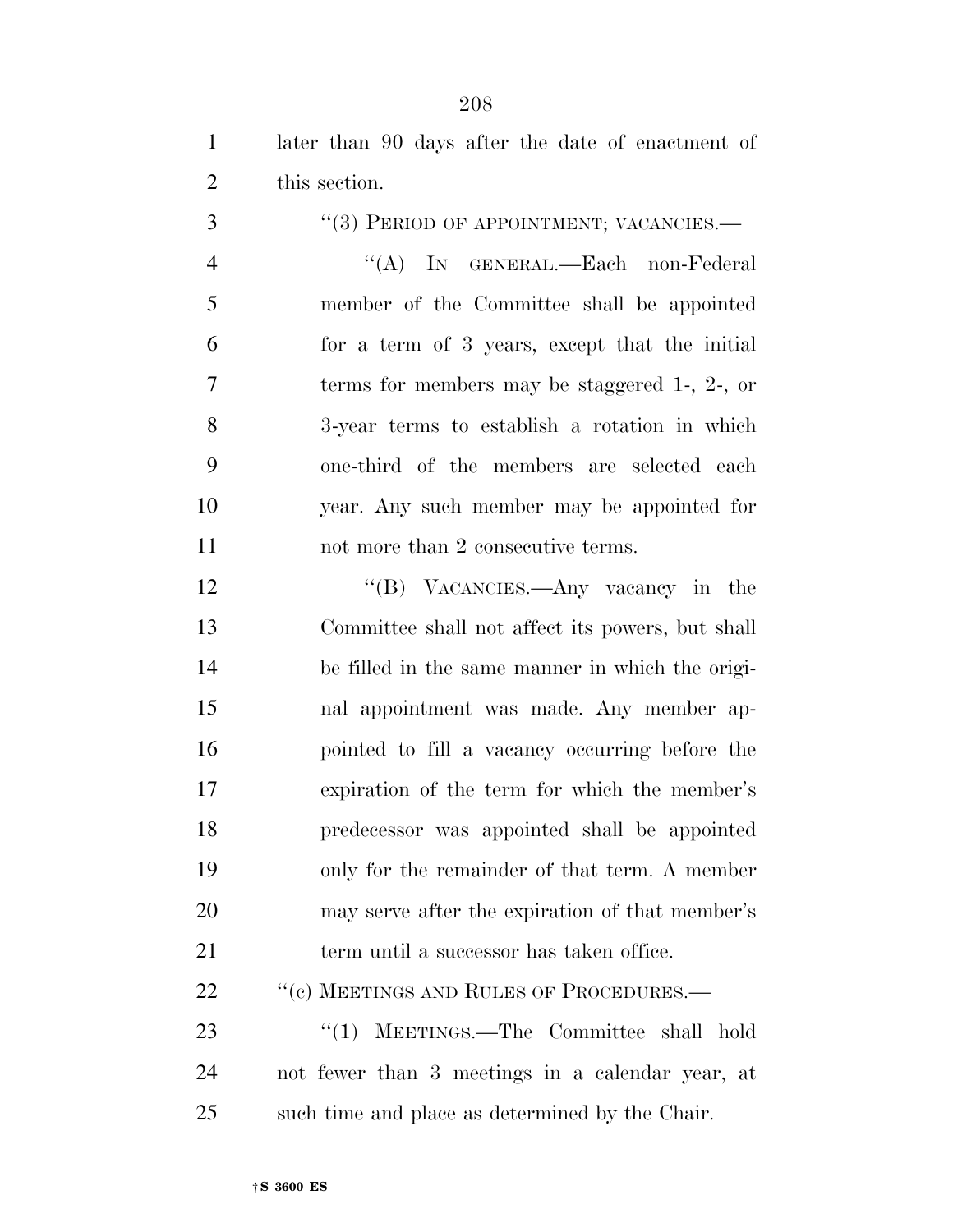later than 90 days after the date of enactment of this section.

3 "(3) PERIOD OF APPOINTMENT; VACANCIES.—

 ''(A) IN GENERAL.—Each non-Federal member of the Committee shall be appointed for a term of 3 years, except that the initial terms for members may be staggered 1-, 2-, or 3-year terms to establish a rotation in which one-third of the members are selected each year. Any such member may be appointed for 11 not more than 2 consecutive terms.

12 "(B) VACANCIES.—Any vacancy in the Committee shall not affect its powers, but shall be filled in the same manner in which the origi- nal appointment was made. Any member ap- pointed to fill a vacancy occurring before the expiration of the term for which the member's predecessor was appointed shall be appointed only for the remainder of that term. A member may serve after the expiration of that member's 21 term until a successor has taken office.

22 "(c) MEETINGS AND RULES OF PROCEDURES.—

23 "(1) MEETINGS.—The Committee shall hold not fewer than 3 meetings in a calendar year, at such time and place as determined by the Chair.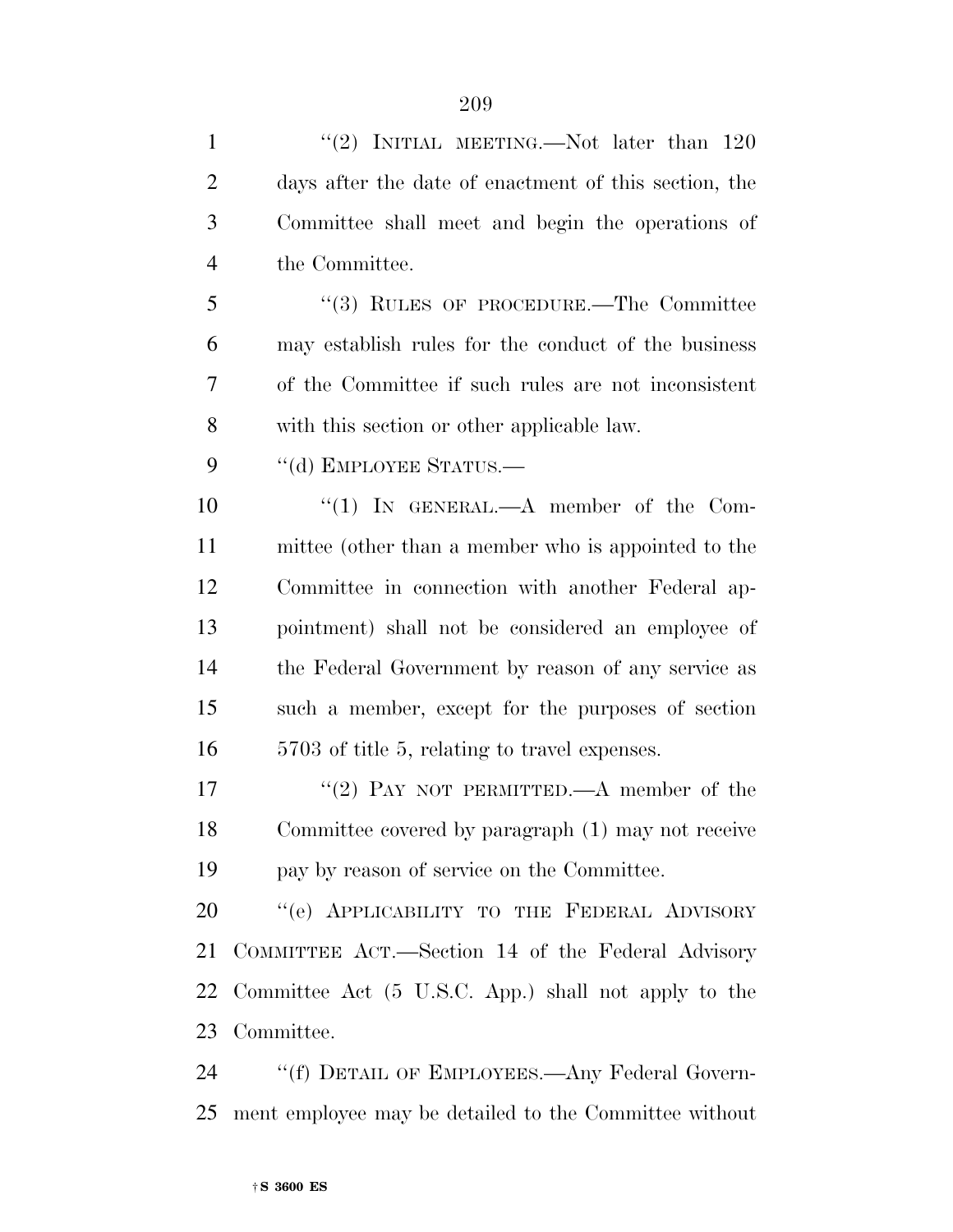| $\mathbf{1}$   | "(2) INITIAL MEETING.—Not later than $120$            |
|----------------|-------------------------------------------------------|
| $\overline{2}$ | days after the date of enactment of this section, the |
| 3              | Committee shall meet and begin the operations of      |
| 4              | the Committee.                                        |
| 5              | $\lq(3)$ RULES OF PROCEDURE.—The Committee            |
| 6              | may establish rules for the conduct of the business   |
| 7              | of the Committee if such rules are not inconsistent   |
| 8              | with this section or other applicable law.            |
| 9              | "(d) EMPLOYEE STATUS.—                                |
| 10             | "(1) IN GENERAL.—A member of the Com-                 |
| 11             | mittee (other than a member who is appointed to the   |
| 12             | Committee in connection with another Federal ap-      |
| 13             | pointment) shall not be considered an employee of     |
| 14             | the Federal Government by reason of any service as    |
| 15             | such a member, except for the purposes of section     |
| 16             | 5703 of title 5, relating to travel expenses.         |
| 17             | "(2) PAY NOT PERMITTED.—A member of the               |
| 18             | Committee covered by paragraph (1) may not receive    |
| 19             | pay by reason of service on the Committee.            |
| 20             | "(e) APPLICABILITY TO THE FEDERAL ADVISORY            |
| 21             | COMMITTEE ACT.—Section 14 of the Federal Advisory     |
| 22             | Committee Act (5 U.S.C. App.) shall not apply to the  |
| 23             | Committee.                                            |
| 24             | "(f) DETAIL OF EMPLOYEES.—Any Federal Govern-         |

ment employee may be detailed to the Committee without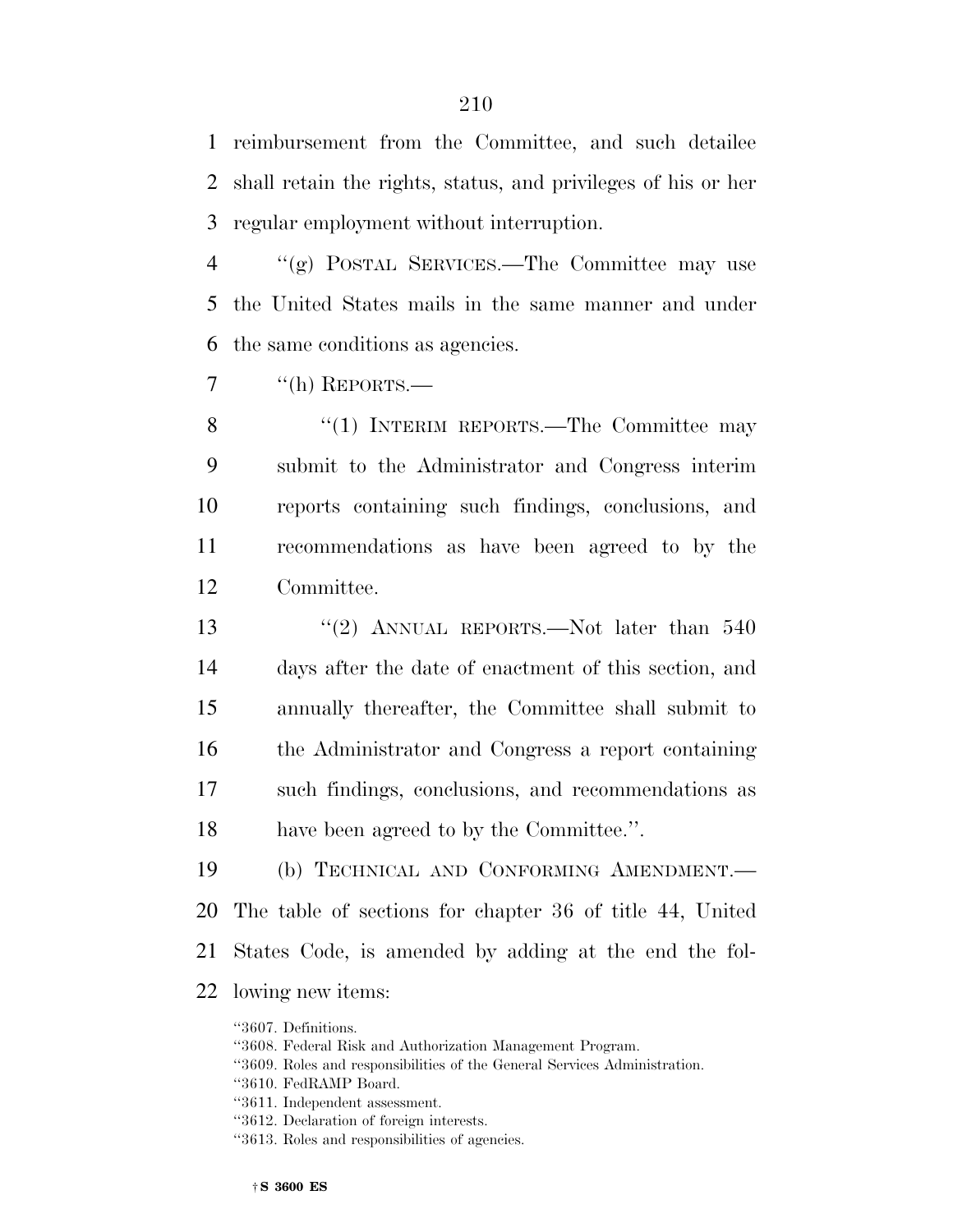reimbursement from the Committee, and such detailee shall retain the rights, status, and privileges of his or her regular employment without interruption.

 ''(g) POSTAL SERVICES.—The Committee may use the United States mails in the same manner and under the same conditions as agencies.

7 "(h) REPORTS.—

8 "(1) INTERIM REPORTS.—The Committee may submit to the Administrator and Congress interim reports containing such findings, conclusions, and recommendations as have been agreed to by the Committee.

13 "(2) ANNUAL REPORTS.—Not later than 540 days after the date of enactment of this section, and annually thereafter, the Committee shall submit to the Administrator and Congress a report containing such findings, conclusions, and recommendations as have been agreed to by the Committee.''.

 (b) TECHNICAL AND CONFORMING AMENDMENT.— The table of sections for chapter 36 of title 44, United States Code, is amended by adding at the end the fol-lowing new items:

''3607. Definitions.

''3608. Federal Risk and Authorization Management Program.

- ''3609. Roles and responsibilities of the General Services Administration.
- ''3610. FedRAMP Board.
- ''3611. Independent assessment.
- ''3612. Declaration of foreign interests.
- ''3613. Roles and responsibilities of agencies.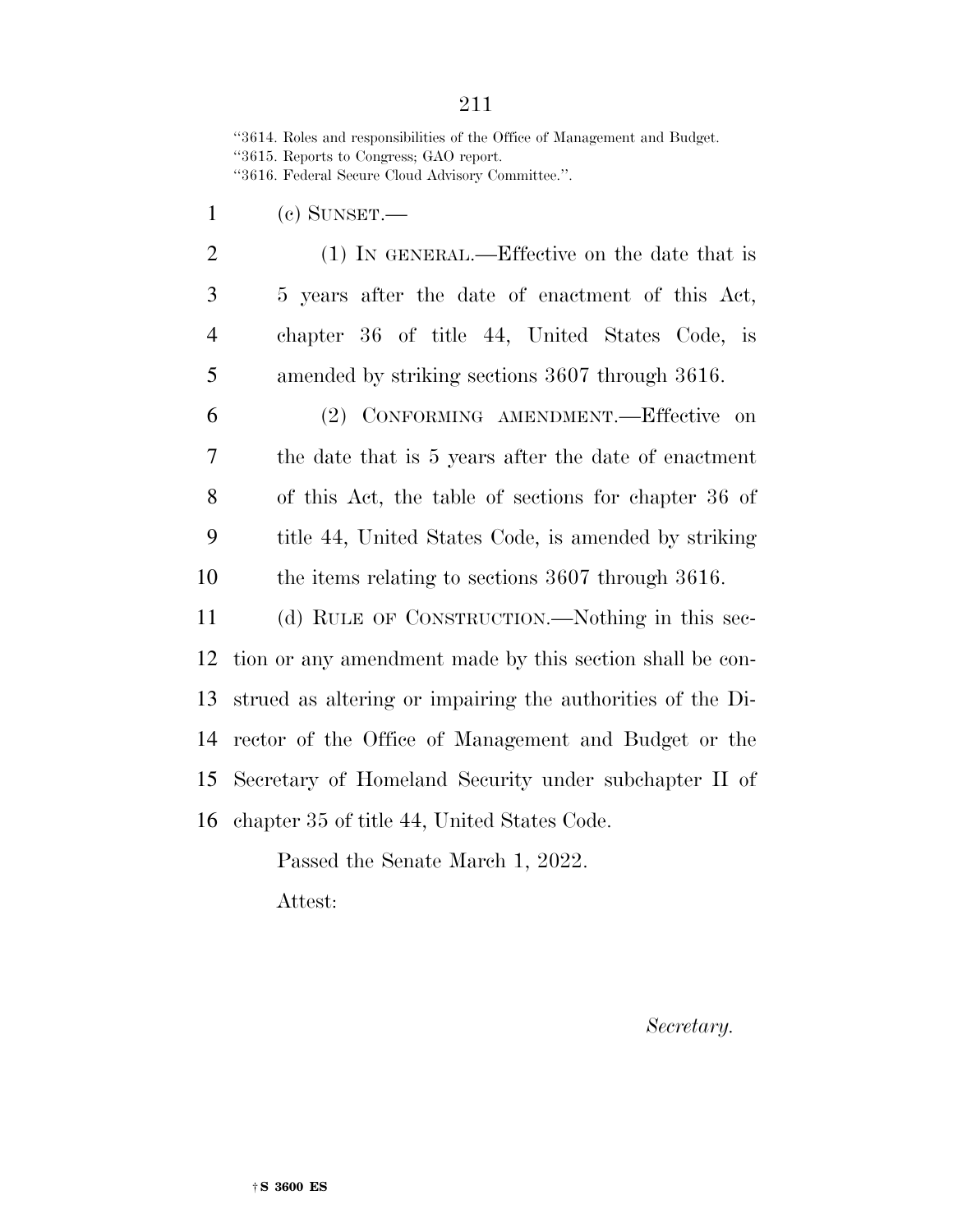''3614. Roles and responsibilities of the Office of Management and Budget. ''3615. Reports to Congress; GAO report.

''3616. Federal Secure Cloud Advisory Committee.''.

- (c) SUNSET.—
- 2 (1) IN GENERAL.—Effective on the date that is 5 years after the date of enactment of this Act, chapter 36 of title 44, United States Code, is amended by striking sections 3607 through 3616.

 (2) CONFORMING AMENDMENT.—Effective on the date that is 5 years after the date of enactment of this Act, the table of sections for chapter 36 of title 44, United States Code, is amended by striking the items relating to sections 3607 through 3616.

 (d) RULE OF CONSTRUCTION.—Nothing in this sec- tion or any amendment made by this section shall be con- strued as altering or impairing the authorities of the Di- rector of the Office of Management and Budget or the Secretary of Homeland Security under subchapter II of chapter 35 of title 44, United States Code.

> Passed the Senate March 1, 2022. Attest:

> > *Secretary.*